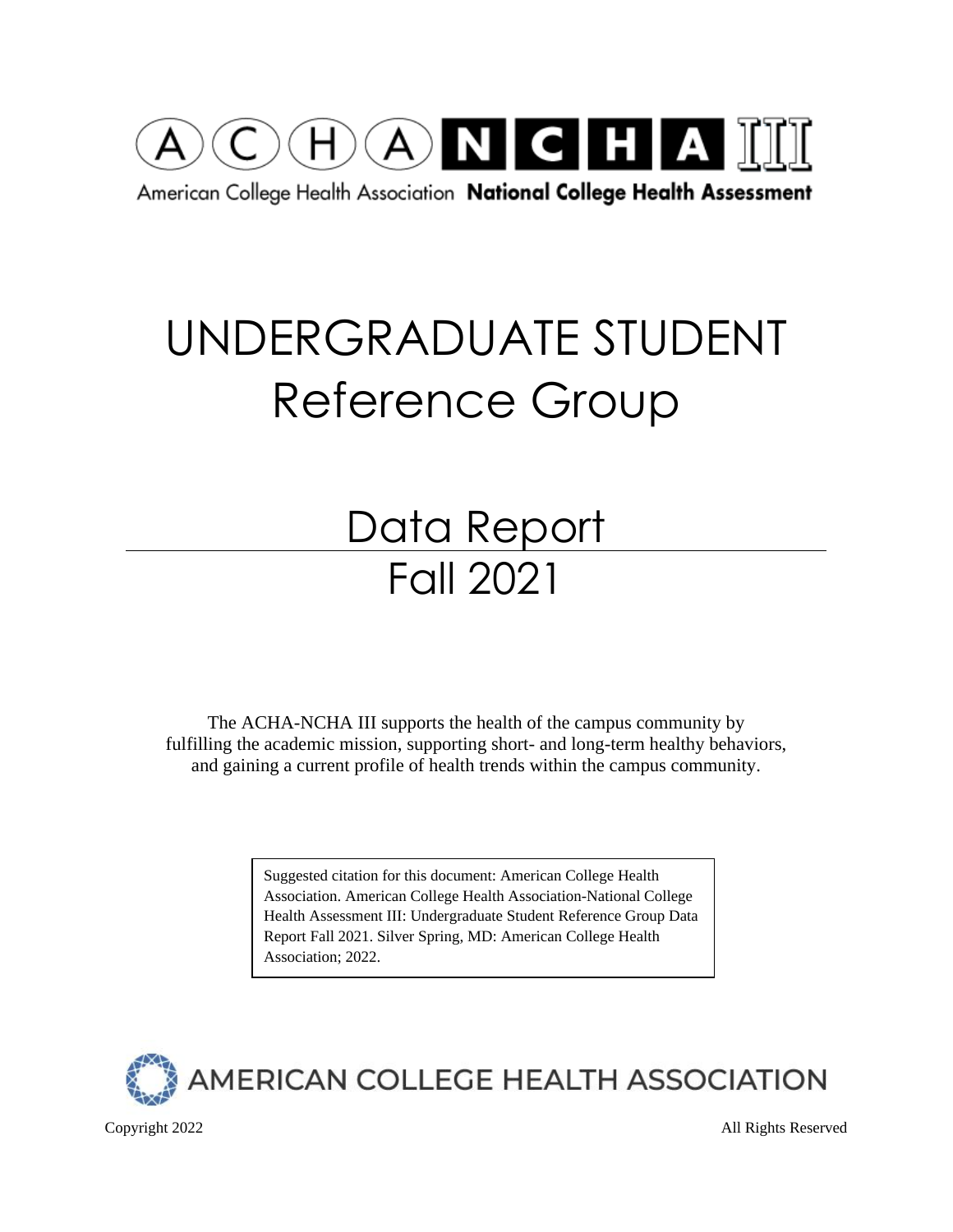

American College Health Association National College Health Assessment

# UNDERGRADUATE STUDENT Reference Group

# Data Report Fall 2021

The ACHA-NCHA III supports the health of the campus community by fulfilling the academic mission, supporting short- and long-term healthy behaviors, and gaining a current profile of health trends within the campus community.

> Suggested citation for this document: American College Health Association. American College Health Association-National College Health Assessment III: Undergraduate Student Reference Group Data Report Fall 2021. Silver Spring, MD: American College Health Association; 2022.



Copyright 2022 All Rights Reserved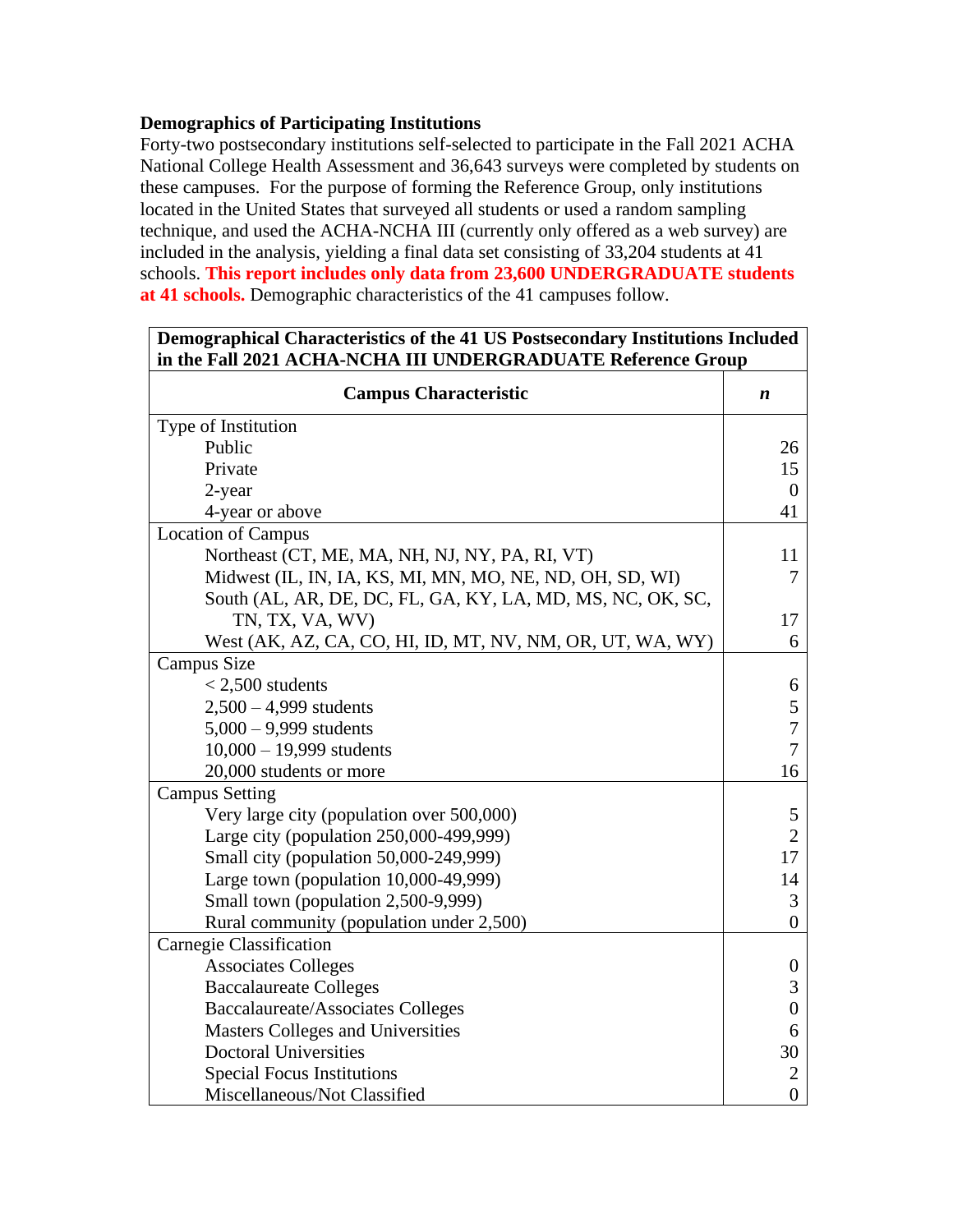### **Demographics of Participating Institutions**

Forty-two postsecondary institutions self-selected to participate in the Fall 2021 ACHA National College Health Assessment and 36,643 surveys were completed by students on these campuses. For the purpose of forming the Reference Group, only institutions located in the United States that surveyed all students or used a random sampling technique, and used the ACHA-NCHA III (currently only offered as a web survey) are included in the analysis, yielding a final data set consisting of 33,204 students at 41 schools. **This report includes only data from 23,600 UNDERGRADUATE students at 41 schools.** Demographic characteristics of the 41 campuses follow.

| Demographical Characteristics of the 41 US Postsecondary Institutions Included<br>in the Fall 2021 ACHA-NCHA III UNDERGRADUATE Reference Group<br><b>Campus Characteristic</b><br>n<br>Public<br>26<br>Private<br>15<br>$\overline{0}$<br>2-year<br>4-year or above<br>41<br>Northeast (CT, ME, MA, NH, NJ, NY, PA, RI, VT)<br>11<br>Midwest (IL, IN, IA, KS, MI, MN, MO, NE, ND, OH, SD, WI)<br>7<br>South (AL, AR, DE, DC, FL, GA, KY, LA, MD, MS, NC, OK, SC,<br>TN, TX, VA, WV)<br>17<br>West (AK, AZ, CA, CO, HI, ID, MT, NV, NM, OR, UT, WA, WY)<br>6<br>$<$ 2,500 students<br>6<br>5<br>$2,500 - 4,999$ students<br>$\overline{7}$<br>$5,000 - 9,999$ students<br>$10,000 - 19,999$ students<br>$\overline{7}$<br>20,000 students or more<br>16<br>Very large city (population over 500,000)<br>5<br>$\overline{2}$<br>Large city (population 250,000-499,999) |                  |  |  |  |
|-----------------------------------------------------------------------------------------------------------------------------------------------------------------------------------------------------------------------------------------------------------------------------------------------------------------------------------------------------------------------------------------------------------------------------------------------------------------------------------------------------------------------------------------------------------------------------------------------------------------------------------------------------------------------------------------------------------------------------------------------------------------------------------------------------------------------------------------------------------------------|------------------|--|--|--|
|                                                                                                                                                                                                                                                                                                                                                                                                                                                                                                                                                                                                                                                                                                                                                                                                                                                                       |                  |  |  |  |
| Type of Institution                                                                                                                                                                                                                                                                                                                                                                                                                                                                                                                                                                                                                                                                                                                                                                                                                                                   |                  |  |  |  |
|                                                                                                                                                                                                                                                                                                                                                                                                                                                                                                                                                                                                                                                                                                                                                                                                                                                                       |                  |  |  |  |
|                                                                                                                                                                                                                                                                                                                                                                                                                                                                                                                                                                                                                                                                                                                                                                                                                                                                       |                  |  |  |  |
|                                                                                                                                                                                                                                                                                                                                                                                                                                                                                                                                                                                                                                                                                                                                                                                                                                                                       |                  |  |  |  |
|                                                                                                                                                                                                                                                                                                                                                                                                                                                                                                                                                                                                                                                                                                                                                                                                                                                                       |                  |  |  |  |
| <b>Location of Campus</b>                                                                                                                                                                                                                                                                                                                                                                                                                                                                                                                                                                                                                                                                                                                                                                                                                                             |                  |  |  |  |
|                                                                                                                                                                                                                                                                                                                                                                                                                                                                                                                                                                                                                                                                                                                                                                                                                                                                       |                  |  |  |  |
|                                                                                                                                                                                                                                                                                                                                                                                                                                                                                                                                                                                                                                                                                                                                                                                                                                                                       |                  |  |  |  |
|                                                                                                                                                                                                                                                                                                                                                                                                                                                                                                                                                                                                                                                                                                                                                                                                                                                                       |                  |  |  |  |
|                                                                                                                                                                                                                                                                                                                                                                                                                                                                                                                                                                                                                                                                                                                                                                                                                                                                       |                  |  |  |  |
|                                                                                                                                                                                                                                                                                                                                                                                                                                                                                                                                                                                                                                                                                                                                                                                                                                                                       |                  |  |  |  |
| Campus Size                                                                                                                                                                                                                                                                                                                                                                                                                                                                                                                                                                                                                                                                                                                                                                                                                                                           |                  |  |  |  |
|                                                                                                                                                                                                                                                                                                                                                                                                                                                                                                                                                                                                                                                                                                                                                                                                                                                                       |                  |  |  |  |
|                                                                                                                                                                                                                                                                                                                                                                                                                                                                                                                                                                                                                                                                                                                                                                                                                                                                       |                  |  |  |  |
|                                                                                                                                                                                                                                                                                                                                                                                                                                                                                                                                                                                                                                                                                                                                                                                                                                                                       |                  |  |  |  |
|                                                                                                                                                                                                                                                                                                                                                                                                                                                                                                                                                                                                                                                                                                                                                                                                                                                                       |                  |  |  |  |
|                                                                                                                                                                                                                                                                                                                                                                                                                                                                                                                                                                                                                                                                                                                                                                                                                                                                       |                  |  |  |  |
| <b>Campus Setting</b>                                                                                                                                                                                                                                                                                                                                                                                                                                                                                                                                                                                                                                                                                                                                                                                                                                                 |                  |  |  |  |
|                                                                                                                                                                                                                                                                                                                                                                                                                                                                                                                                                                                                                                                                                                                                                                                                                                                                       |                  |  |  |  |
|                                                                                                                                                                                                                                                                                                                                                                                                                                                                                                                                                                                                                                                                                                                                                                                                                                                                       |                  |  |  |  |
| Small city (population 50,000-249,999)                                                                                                                                                                                                                                                                                                                                                                                                                                                                                                                                                                                                                                                                                                                                                                                                                                | 17               |  |  |  |
| Large town (population 10,000-49,999)                                                                                                                                                                                                                                                                                                                                                                                                                                                                                                                                                                                                                                                                                                                                                                                                                                 | 14               |  |  |  |
| Small town (population 2,500-9,999)                                                                                                                                                                                                                                                                                                                                                                                                                                                                                                                                                                                                                                                                                                                                                                                                                                   | 3                |  |  |  |
| Rural community (population under 2,500)                                                                                                                                                                                                                                                                                                                                                                                                                                                                                                                                                                                                                                                                                                                                                                                                                              | $\overline{0}$   |  |  |  |
| Carnegie Classification                                                                                                                                                                                                                                                                                                                                                                                                                                                                                                                                                                                                                                                                                                                                                                                                                                               |                  |  |  |  |
| <b>Associates Colleges</b>                                                                                                                                                                                                                                                                                                                                                                                                                                                                                                                                                                                                                                                                                                                                                                                                                                            | $\overline{0}$   |  |  |  |
| <b>Baccalaureate Colleges</b>                                                                                                                                                                                                                                                                                                                                                                                                                                                                                                                                                                                                                                                                                                                                                                                                                                         | 3                |  |  |  |
| <b>Baccalaureate/Associates Colleges</b>                                                                                                                                                                                                                                                                                                                                                                                                                                                                                                                                                                                                                                                                                                                                                                                                                              | $\boldsymbol{0}$ |  |  |  |
| Masters Colleges and Universities                                                                                                                                                                                                                                                                                                                                                                                                                                                                                                                                                                                                                                                                                                                                                                                                                                     | 6                |  |  |  |
| <b>Doctoral Universities</b>                                                                                                                                                                                                                                                                                                                                                                                                                                                                                                                                                                                                                                                                                                                                                                                                                                          | 30               |  |  |  |
| <b>Special Focus Institutions</b>                                                                                                                                                                                                                                                                                                                                                                                                                                                                                                                                                                                                                                                                                                                                                                                                                                     | $\overline{2}$   |  |  |  |
| Miscellaneous/Not Classified                                                                                                                                                                                                                                                                                                                                                                                                                                                                                                                                                                                                                                                                                                                                                                                                                                          | $\overline{0}$   |  |  |  |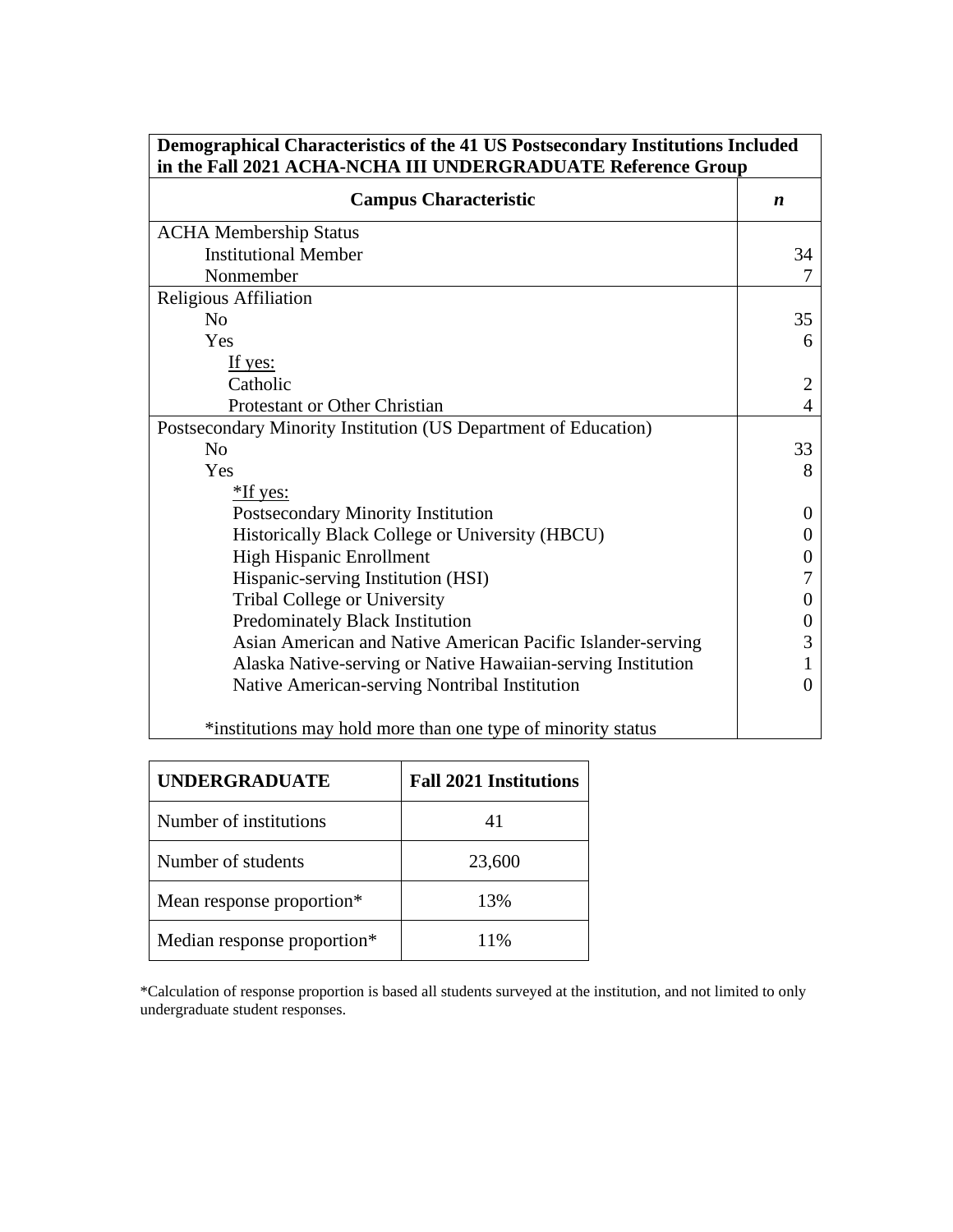| Demographical Characteristics of the 41 US Postsecondary Institutions Included<br>in the Fall 2021 ACHA-NCHA III UNDERGRADUATE Reference Group |                  |  |  |  |  |  |
|------------------------------------------------------------------------------------------------------------------------------------------------|------------------|--|--|--|--|--|
| <b>Campus Characteristic</b>                                                                                                                   | $\boldsymbol{n}$ |  |  |  |  |  |
| <b>ACHA Membership Status</b>                                                                                                                  |                  |  |  |  |  |  |
| <b>Institutional Member</b>                                                                                                                    | 34               |  |  |  |  |  |
| Nonmember                                                                                                                                      |                  |  |  |  |  |  |
| Religious Affiliation                                                                                                                          |                  |  |  |  |  |  |
| No                                                                                                                                             | 35               |  |  |  |  |  |
| Yes                                                                                                                                            | 6                |  |  |  |  |  |
| If yes:                                                                                                                                        |                  |  |  |  |  |  |
| Catholic                                                                                                                                       | 2                |  |  |  |  |  |
| Protestant or Other Christian                                                                                                                  | 4                |  |  |  |  |  |
| Postsecondary Minority Institution (US Department of Education)                                                                                |                  |  |  |  |  |  |
| N <sub>0</sub>                                                                                                                                 | 33               |  |  |  |  |  |
| Yes                                                                                                                                            | 8                |  |  |  |  |  |
| $*$ If yes:                                                                                                                                    |                  |  |  |  |  |  |
| Postsecondary Minority Institution                                                                                                             | $\theta$         |  |  |  |  |  |
| Historically Black College or University (HBCU)                                                                                                | 0                |  |  |  |  |  |
| <b>High Hispanic Enrollment</b>                                                                                                                |                  |  |  |  |  |  |
| Hispanic-serving Institution (HSI)                                                                                                             |                  |  |  |  |  |  |
| Tribal College or University                                                                                                                   |                  |  |  |  |  |  |
| Predominately Black Institution                                                                                                                |                  |  |  |  |  |  |
| Asian American and Native American Pacific Islander-serving                                                                                    |                  |  |  |  |  |  |
| Alaska Native-serving or Native Hawaiian-serving Institution                                                                                   |                  |  |  |  |  |  |
| Native American-serving Nontribal Institution                                                                                                  | 0                |  |  |  |  |  |
| *institutions may hold more than one type of minority status                                                                                   |                  |  |  |  |  |  |

| <b>UNDERGRADUATE</b>        | <b>Fall 2021 Institutions</b> |  |  |  |  |  |  |
|-----------------------------|-------------------------------|--|--|--|--|--|--|
| Number of institutions      | 41                            |  |  |  |  |  |  |
| Number of students          | 23,600                        |  |  |  |  |  |  |
| Mean response proportion*   | 13%                           |  |  |  |  |  |  |
| Median response proportion* | 11%                           |  |  |  |  |  |  |

\*Calculation of response proportion is based all students surveyed at the institution, and not limited to only undergraduate student responses.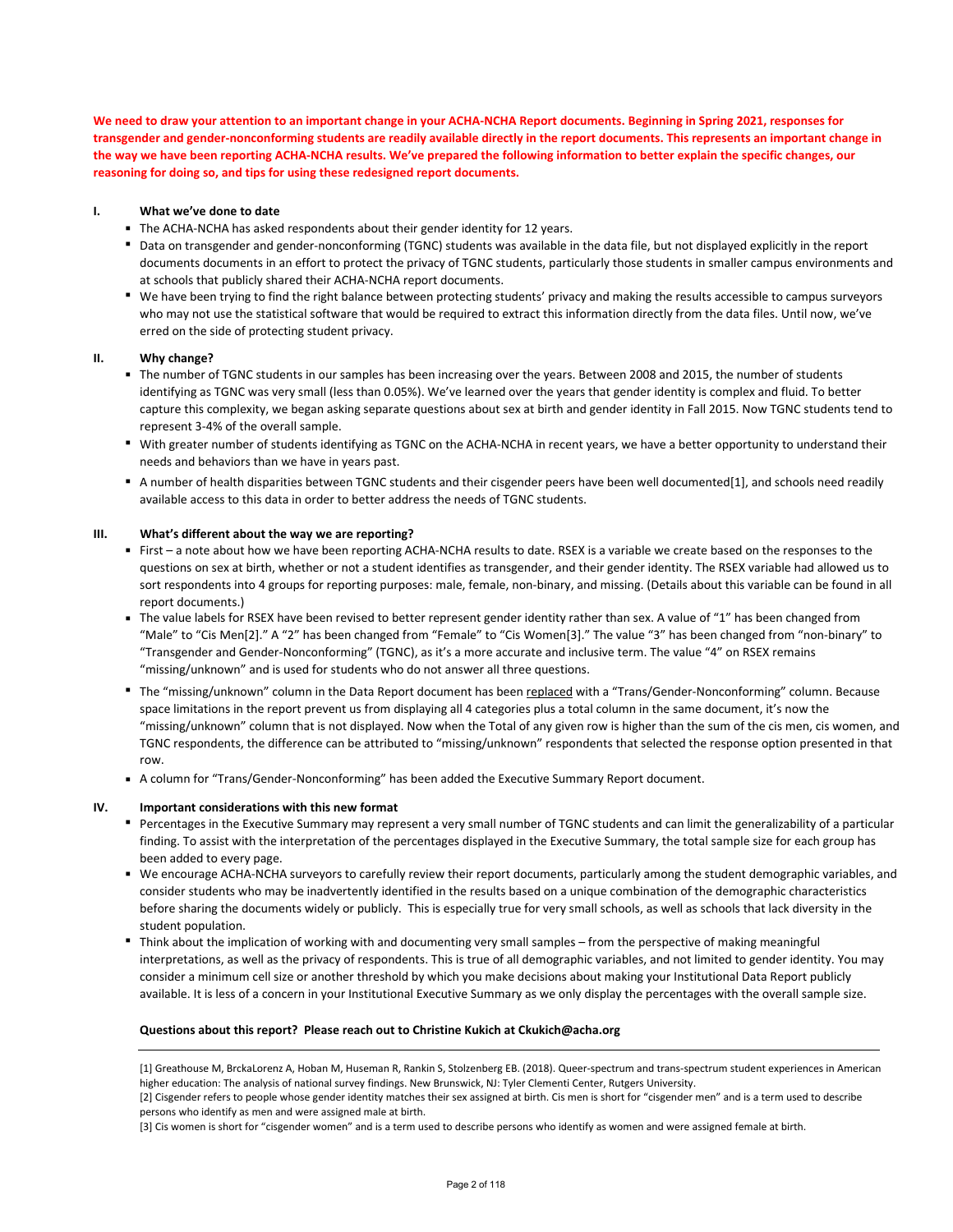We need to draw your attention to an important change in your ACHA-NCHA Report documents. Beginning in Spring 2021, responses for transgender and gender-nonconforming students are readily available directly in the report documents. This represents an important change in the way we have been reporting ACHA-NCHA results. We've prepared the following information to better explain the specific changes, our **reasoning for doing so, and tips for using these redesigned report documents.**

### **I. What we've done to date**

- The ACHA-NCHA has asked respondents about their gender identity for 12 years.
- Data on transgender and gender-nonconforming (TGNC) students was available in the data file, but not displayed explicitly in the report documents documents in an effort to protect the privacy of TGNC students, particularly those students in smaller campus environments and at schools that publicly shared their ACHA‐NCHA report documents.
- We have been trying to find the right balance between protecting students' privacy and making the results accessible to campus surveyors<br>■ We have been trying to find the right balance between protecting students' priva who may not use the statistical software that would be required to extract this information directly from the data files. Until now, we've erred on the side of protecting student privacy.

### **II. Why change?**

- **■** The number of TGNC students in our samples has been increasing over the years. Between 2008 and 2015, the number of students **■**<br>■ The number of TGNC students in our samples has been increasing over the years. Between identifying as TGNC was very small (less than 0.05%). We've learned over the years that gender identity is complex and fluid. To better capture this complexity, we began asking separate questions about sex at birth and gender identity in Fall 2015. Now TGNC students tend to represent 3‐4% of the overall sample.
- With greater number of students identifying as TGNC on the ACHA-NCHA in recent years, we have a better opportunity to understand their needs and behaviors than we have in years past.
- A number of health disparities between TGNC students and their cisgender peers have been well documented[1], and schools need readily available access to this data in order to better address the needs of TGNC students.

### **III. What's different about the way we are reporting?**

- **■** First a note about how we have been reporting ACHA-NCHA results to date. RSEX is a variable we create based on the responses to the questions on sex at birth, whether or not a student identifies as transgender, and their gender identity. The RSEX variable had allowed us to sort respondents into 4 groups for reporting purposes: male, female, non-binary, and missing. (Details about this variable can be found in all report documents.)
- **The value labels for RSEX have been revised to better represent gender identity rather than sex. A value of "1" has been changed from<br>"Male" to "Cis Mar [3] " A "3" has been changed from "Famels" to "Cis Maman[3] " The va** "Male" to "Cis Men[2]." A "2" has been changed from "Female" to "Cis Women[3]." The value "3" has been changed from "non‐binary" to "Transgender and Gender‐Nonconforming" (TGNC), as it's a more accurate and inclusive term. The value "4" on RSEX remains "missing/unknown" and is used for students who do not answer all three questions.
- The "missing/unknown" column in the Data Report document has been replaced with a "Trans/Gender-Nonconforming" column. Because space limitations in the report prevent us from displaying all 4 categories plus a total column in the same document, it's now the "missing/unknown" column that is not displayed. Now when the Total of any given row is higher than the sum of the cis men, cis women, and TGNC respondents, the difference can be attributed to "missing/unknown" respondents that selected the response option presented in that row.
- A column for "Trans/Gender-Nonconforming" has been added the Executive Summary Report document.

### **IV. Important considerations with this new format**

- Percentages in the Executive Summary may represent a very small number of TGNC students and can limit the generalizability of a particular finding. To assist with the interpretation of the percentages displayed in the Executive Summary, the total sample size for each group has been added to every page.
- We encourage ACHA‐NCHA surveyors to carefully review their report documents, particularly among the student demographic variables, and<br>■ We encourage ACHA‐NCHA surveyors to carefully review their report documents, parti consider students who may be inadvertently identified in the results based on a unique combination of the demographic characteristics before sharing the documents widely or publicly. This is especially true for very small schools, as well as schools that lack diversity in the student population.
- **ꞏ** Think about the implication of working with and documenting very small samples – from the perspective of making meaningful interpretations, as well as the privacy of respondents. This is true of all demographic variables, and not limited to gender identity. You may consider a minimum cell size or another threshold by which you make decisions about making your Institutional Data Report publicly available. It is less of a concern in your Institutional Executive Summary as we only display the percentages with the overall sample size.

### **Questions about this report? Please reach out to Christine Kukich at Ckukich@acha.org**

[1] Greathouse M, BrckaLorenz A, Hoban M, Huseman R, Rankin S, Stolzenberg EB. (2018). Queer‐spectrum and trans‐spectrum student experiences in American higher education: The analysis of national survey findings. New Brunswick, NJ: Tyler Clementi Center, Rutgers University.

[2] Cisgender refers to people whose gender identity matches their sex assigned at birth. Cis men is short for "cisgender men" and is a term used to describe persons who identify as men and were assigned male at birth.

[3] Cis women is short for "cisgender women" and is a term used to describe persons who identify as women and were assigned female at birth.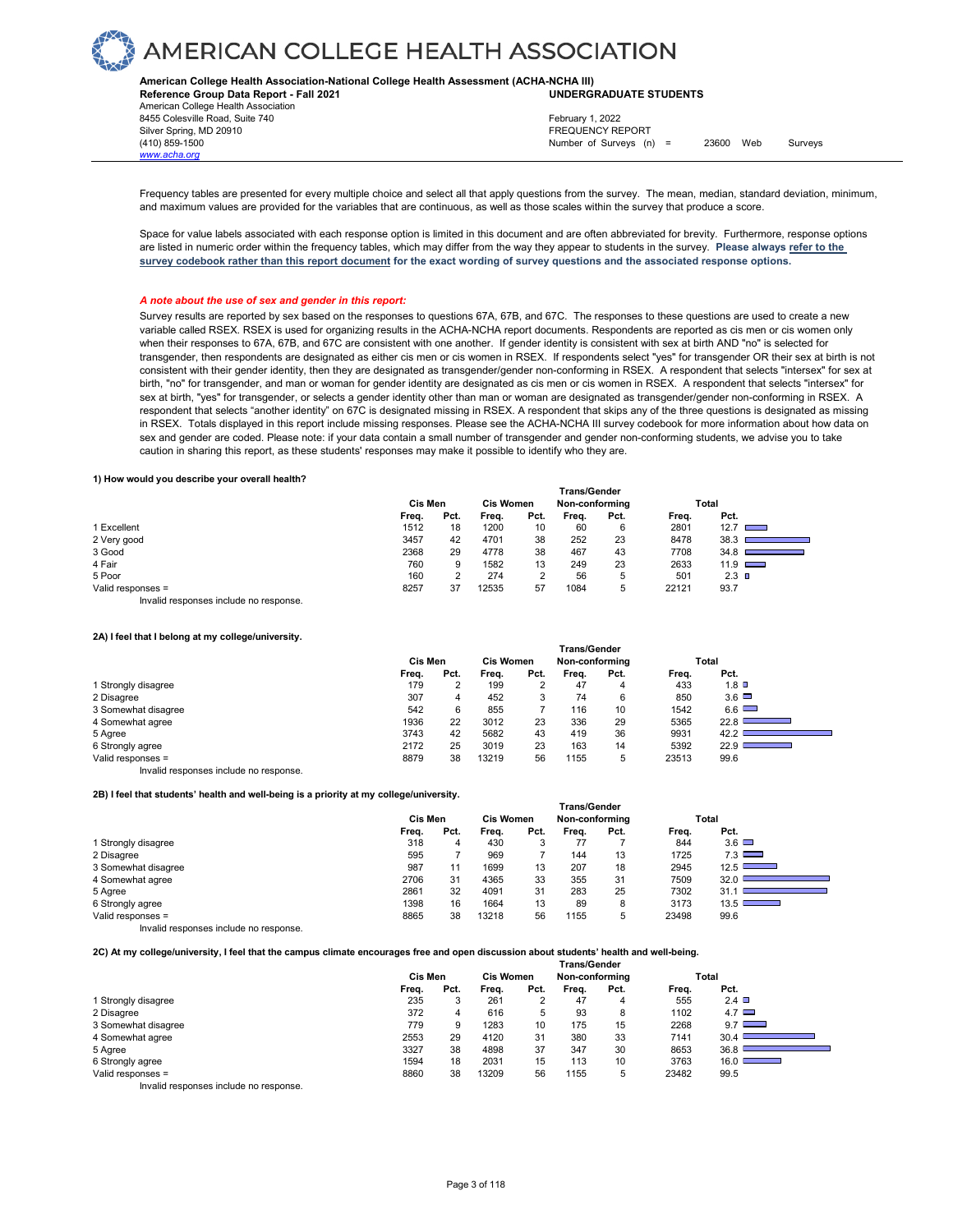

**American College Health Association-National College Health Assessment (ACHA-NCHA III) UNDERGRADUATE STUDENTS**

**Reference Group Data Report - Fall 2021** American College Health Association 8455 Colesville Road, Suite 740 Silver Spring, MD 20910<br>
FREQUENCY REPORT (410) 859-1500<br>
Mumber of Surveys (n *www.acha.org*

Number of Surveys  $(n) = 23600$  Web Surveys February 1, 2022

Frequency tables are presented for every multiple choice and select all that apply questions from the survey. The mean, median, standard deviation, minimum, and maximum values are provided for the variables that are continuous, as well as those scales within the survey that produce a score.

Space for value labels associated with each response option is limited in this document and are often abbreviated for brevity. Furthermore, response options are listed in numeric order within the frequency tables, which may differ from the way they appear to students in the survey. **Please always refer to the survey codebook rather than this report document for the exact wording of survey questions and the associated response options.**

### *A note about the use of sex and gender in this report:*

Survey results are reported by sex based on the responses to questions 67A, 67B, and 67C. The responses to these questions are used to create a new variable called RSEX. RSEX is used for organizing results in the ACHA-NCHA report documents. Respondents are reported as cis men or cis women only when their responses to 67A, 67B, and 67C are consistent with one another. If gender identity is consistent with sex at birth AND "no" is selected for transgender, then respondents are designated as either cis men or cis women in RSEX. If respondents select "yes" for transgender OR their sex at birth is not consistent with their gender identity, then they are designated as transgender/gender non-conforming in RSEX. A respondent that selects "intersex" for sex at birth, "no" for transgender, and man or woman for gender identity are designated as cis men or cis women in RSEX. A respondent that selects "intersex" for sex at birth, "yes" for transgender, or selects a gender identity other than man or woman are designated as transgender/gender non-conforming in RSEX. A respondent that selects "another identity" on 67C is designated missing in RSEX. A respondent that skips any of the three questions is designated as missing in RSEX. Totals displayed in this report include missing responses. Please see the ACHA-NCHA III survey codebook for more information about how data on sex and gender are coded. Please note: if your data contain a small number of transgender and gender non-conforming students, we advise you to take caution in sharing this report, as these students' responses may make it possible to identify who they are.

### **1) How would you describe your overall health?**

|                                        | <b>Trans/Gender</b> |      |       |                  |       |                |       |                 |
|----------------------------------------|---------------------|------|-------|------------------|-------|----------------|-------|-----------------|
|                                        | Cis Men             |      |       | <b>Cis Women</b> |       | Non-conforming |       | Total           |
|                                        | Freq.               | Pct. | Frea. | Pct.             | Frea. | Pct.           | Freq. | Pct.            |
| Excellent                              | 1512                | 18   | 1200  | 10               | 60    | 6              | 2801  | 12.7            |
| 2 Very good                            | 3457                | 42   | 4701  | 38               | 252   | 23             | 8478  | 38.3            |
| 3 Good                                 | 2368                | 29   | 4778  | 38               | 467   | 43             | 7708  | 34.8            |
| 4 Fair                                 | 760                 | 9    | 1582  | 13               | 249   | 23             | 2633  | $11.9$ $\Box$   |
| 5 Poor                                 | 160                 | C    | 274   | 2                | 56    | 5              | 501   | $2.3$ $\square$ |
| Valid responses =                      | 8257                | 37   | 12535 | 57               | 1084  | 5              | 22121 | 93.7            |
| Invalid responses include no response. |                     |      |       |                  |       |                |       |                 |

#### **2A) I feel that I belong at my college/university.**

| zing in leer that I belong at my conegeral liver sity. |       |         |       |                |                     |                |       |                             |  |
|--------------------------------------------------------|-------|---------|-------|----------------|---------------------|----------------|-------|-----------------------------|--|
|                                                        |       |         |       |                | <b>Trans/Gender</b> |                |       |                             |  |
|                                                        |       | Cis Men |       | Cis Women      |                     | Non-conforming |       | Total                       |  |
|                                                        | Freq. | Pct.    | Frea. | Pct.           | Frea.               | Pct.           | Freq. | Pct.                        |  |
| 1 Strongly disagree                                    | 179   |         | 199   | $\overline{2}$ | 47                  | 4              | 433   | $1.8$ D                     |  |
| 2 Disagree                                             | 307   | 4       | 452   | 3              | 74                  | 6              | 850   | $3.6\Box$                   |  |
| 3 Somewhat disagree                                    | 542   | 6       | 855   |                | 116                 | 10             | 1542  | $6.6$ $\Box$                |  |
| 4 Somewhat agree                                       | 1936  | 22      | 3012  | 23             | 336                 | 29             | 5365  | 22.8                        |  |
| 5 Agree                                                | 3743  | 42      | 5682  | 43             | 419                 | 36             | 9931  | 42.2                        |  |
| 6 Strongly agree                                       | 2172  | 25      | 3019  | 23             | 163                 | 14             | 5392  | 22.9<br><u> Barat da Ba</u> |  |
| Valid responses =                                      | 8879  | 38      | 13219 | 56             | 1155                | 5              | 23513 | 99.6                        |  |
| Invalid responses include no response                  |       |         |       |                |                     |                |       |                             |  |

**2B) I feel that students' health and well-being is a priority at my college/university.** 

|                                        | Trans/Gender |      |       |                  |       |                |       |                                  |  |
|----------------------------------------|--------------|------|-------|------------------|-------|----------------|-------|----------------------------------|--|
|                                        | Cis Men      |      |       | <b>Cis Women</b> |       | Non-conforming |       | Total                            |  |
|                                        | Freq.        | Pct. | Frea. | Pct.             | Frea. | Pct.           | Freq. | Pct.                             |  |
| 1 Strongly disagree                    | 318          | 4    | 430   | 3                | 77    |                | 844   | $3.6$ $\Box$                     |  |
| 2 Disagree                             | 595          |      | 969   |                  | 144   | 13             | 1725  | 7.3                              |  |
| 3 Somewhat disagree                    | 987          | 11   | 1699  | 13               | 207   | 18             | 2945  | $12.5$ D<br>and the state of the |  |
| 4 Somewhat agree                       | 2706         | 31   | 4365  | 33               | 355   | 31             | 7509  | 32.0                             |  |
| 5 Agree                                | 2861         | 32   | 4091  | 31               | 283   | 25             | 7302  | 31.1                             |  |
| 6 Strongly agree                       | 1398         | 16   | 1664  | 13               | 89    | 8              | 3173  | 13.5                             |  |
| Valid responses =                      | 8865         | 38   | 13218 | 56               | 1155  | 5              | 23498 | 99.6                             |  |
| Invalid responses include no response. |              |      |       |                  |       |                |       |                                  |  |

**2C) At my college/university, I feel that the campus climate encourages free and open discussion about students' health and well-being.** 

|                     | <b>Trans/Gender</b> |                             |       |      |                |      |       |                                  |  |  |
|---------------------|---------------------|-----------------------------|-------|------|----------------|------|-------|----------------------------------|--|--|
|                     |                     | Cis Men<br><b>Cis Women</b> |       |      | Non-conforming |      |       | Total                            |  |  |
|                     | Freq.               | Pct.                        | Frea. | Pct. | Frea.          | Pct. | Freq. | Pct.                             |  |  |
| 1 Strongly disagree | 235                 |                             | 261   | っ    | 47             | 4    | 555   | 2.4                              |  |  |
| 2 Disagree          | 372                 | 4                           | 616   | 5    | 93             | 8    | 1102  | 4.7                              |  |  |
| 3 Somewhat disagree | 779                 |                             | 1283  | 10   | 175            | 15   | 2268  | $9.7$ $\Box$                     |  |  |
| 4 Somewhat agree    | 2553                | 29                          | 4120  | 31   | 380            | 33   | 7141  | 30.4                             |  |  |
| 5 Agree             | 3327                | 38                          | 4898  | 37   | 347            | 30   | 8653  | 36.8                             |  |  |
| 6 Strongly agree    | 1594                | 18                          | 2031  | 15   | 113            | 10   | 3763  | 16.0<br><b>Contract Contract</b> |  |  |
| Valid responses =   | 8860                | 38                          | 13209 | 56   | 1155           | b    | 23482 | 99.5                             |  |  |
| $\cdots$ $\cdots$   |                     |                             |       |      |                |      |       |                                  |  |  |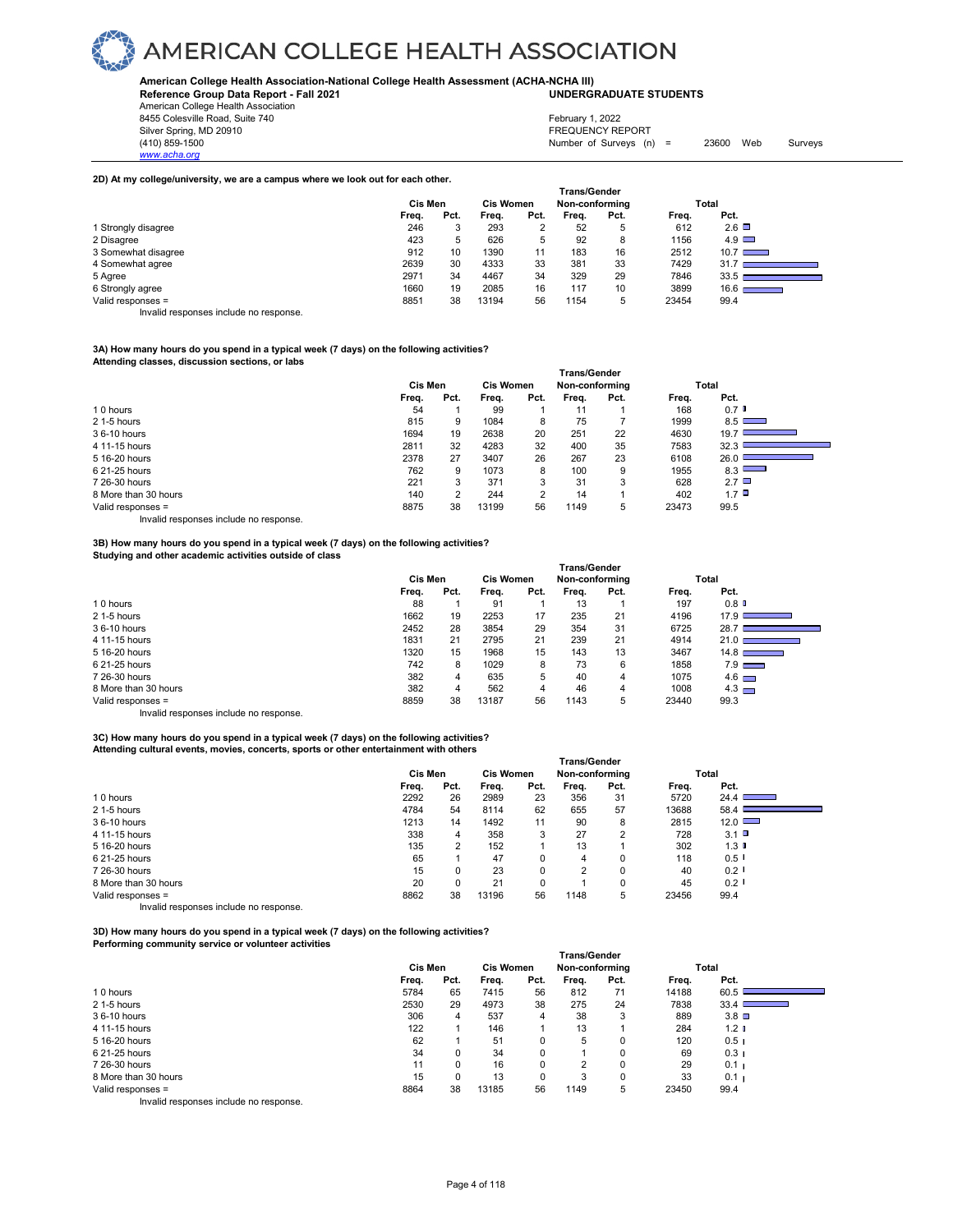### **American College Health Association-National College Health Assessment (ACHA-NCHA III)**

**Reference Group Data Report - Fall 2021 UNDERGRADUATE STUDENTS**

| American College Health Association |                                                      |
|-------------------------------------|------------------------------------------------------|
| 8455 Colesville Road, Suite 740     | February 1, 2022                                     |
| Silver Spring, MD 20910             | <b>FREQUENCY REPORT</b>                              |
| (410) 859-1500                      | 23600<br>Web<br>Number of Surveys $(n) =$<br>Surveys |
| www.acha.org                        |                                                      |

 **Trans/Gender**

### **2D) At my college/university, we are a campus where we look out for each other.**

|                                       | <b>Frans/Gender</b> |      |       |                  |       |                |       |                                               |  |  |
|---------------------------------------|---------------------|------|-------|------------------|-------|----------------|-------|-----------------------------------------------|--|--|
|                                       | Cis Men             |      |       | <b>Cis Women</b> |       | Non-conforming |       | Total                                         |  |  |
|                                       | Freq.               | Pct. | Frea. | Pct.             | Frea. | Pct.           | Frea. | Pct.                                          |  |  |
| 1 Strongly disagree                   | 246                 | ີ    | 293   | ◠<br>ے           | 52    | 5              | 612   | $2.6\Box$                                     |  |  |
| 2 Disagree                            | 423                 | 5    | 626   | 5                | 92    | 8              | 1156  | $4.9$ $\Box$                                  |  |  |
| 3 Somewhat disagree                   | 912                 | 10   | 1390  | 11               | 183   | 16             | 2512  | $10.7$ $\Box$                                 |  |  |
| 4 Somewhat agree                      | 2639                | 30   | 4333  | 33               | 381   | 33             | 7429  | 31.7                                          |  |  |
| 5 Agree                               | 2971                | 34   | 4467  | 34               | 329   | 29             | 7846  | 33.5                                          |  |  |
| 6 Strongly agree                      | 1660                | 19   | 2085  | 16               | 117   | 10             | 3899  | 16.6 <sub>0</sub><br><b>Contract Contract</b> |  |  |
| Valid responses =                     | 8851                | 38   | 13194 | 56               | 1154  | 5              | 23454 | 99.4                                          |  |  |
| lauglid vaananaan inaluda na vaananaa |                     |      |       |                  |       |                |       |                                               |  |  |

Invalid responses include no response.

### **3A) How many hours do you spend in a typical week (7 days) on the following activities?**

**Attending classes, discussion sections, or labs** 

|                      |         |      |       |                  | Trans/Gender   |      |       |              |
|----------------------|---------|------|-------|------------------|----------------|------|-------|--------------|
|                      | Cis Men |      |       | <b>Cis Women</b> | Non-conforming |      |       | Total        |
|                      | Freq.   | Pct. | Frea. | Pct.             | Freq.          | Pct. | Frea. | Pct.         |
| 10 hours             | 54      |      | 99    |                  | 11             |      | 168   | $0.7$ D      |
| 2 1-5 hours          | 815     | 9    | 1084  | 8                | 75             |      | 1999  | 8.5          |
| 36-10 hours          | 1694    | 19   | 2638  | 20               | 251            | 22   | 4630  | 19.7         |
| 4 11-15 hours        | 2811    | 32   | 4283  | 32               | 400            | 35   | 7583  | 32.3         |
| 5 16-20 hours        | 2378    | 27   | 3407  | 26               | 267            | 23   | 6108  | 26.0         |
| 6 21-25 hours        | 762     | 9    | 1073  | 8                | 100            | 9    | 1955  | 8.3          |
| 7 26-30 hours        | 221     | 3    | 371   | 3                | 31             | 3    | 628   | $2.7\Box$    |
| 8 More than 30 hours | 140     | C    | 244   | っ                | 14             |      | 402   | $1.7$ $\Box$ |
| Valid responses =    | 8875    | 38   | 13199 | 56               | 1149           | 5    | 23473 | 99.5         |

Invalid responses include no response.

### **3B) How many hours do you spend in a typical week (7 days) on the following activities? Studying and other academic activities outside of class**

|                      | <b>Trans/Gender</b> |                  |       |                |       |      |       |                                                     |  |  |
|----------------------|---------------------|------------------|-------|----------------|-------|------|-------|-----------------------------------------------------|--|--|
|                      | Cis Men             | <b>Cis Women</b> |       | Non-conforming |       |      | Total |                                                     |  |  |
|                      | Freq.               | Pct.             | Freq. | Pct.           | Frea. | Pct. | Freq. | Pct.                                                |  |  |
| 10 hours             | 88                  |                  | 91    |                | 13    |      | 197   | 0.8                                                 |  |  |
| 2 1-5 hours          | 1662                | 19               | 2253  | 17             | 235   | 21   | 4196  | 17.91<br><b>Contract Contract Contract Contract</b> |  |  |
| 36-10 hours          | 2452                | 28               | 3854  | 29             | 354   | 31   | 6725  | 28.                                                 |  |  |
| 4 11-15 hours        | 1831                | 21               | 2795  | 21             | 239   | 21   | 4914  | 21.01<br><u> Tanzania (h. 1888).</u>                |  |  |
| 5 16-20 hours        | 1320                | 15               | 1968  | 15             | 143   | 13   | 3467  | $14.8$ $\Box$                                       |  |  |
| 6 21-25 hours        | 742                 | 8                | 1029  | 8              | 73    | 6    | 1858  | $7.9$ $\qquad \qquad$                               |  |  |
| 7 26-30 hours        | 382                 | 4                | 635   | 5              | 40    | 4    | 1075  | $4.6$ $\Box$                                        |  |  |
| 8 More than 30 hours | 382                 | 4                | 562   | 4              | 46    | 4    | 1008  | $4.3$ $\Box$                                        |  |  |
| Valid responses =    | 8859                | 38               | 13187 | 56             | 1143  | 5    | 23440 | 99.3                                                |  |  |
|                      |                     |                  |       |                |       |      |       |                                                     |  |  |

Invalid responses include no response.

### **3C) How many hours do you spend in a typical week (7 days) on the following activities? Attending cultural events, movies, concerts, sports or other entertainment with others**

|                              | <b>Trans/Gender</b> |      |                  |      |                |      |       |                                                 |  |  |  |
|------------------------------|---------------------|------|------------------|------|----------------|------|-------|-------------------------------------------------|--|--|--|
|                              | <b>Cis Men</b>      |      | <b>Cis Women</b> |      | Non-conforming |      | Total |                                                 |  |  |  |
|                              | Freq.               | Pct. | Freq.            | Pct. | Freq.          | Pct. | Freq. | Pct.                                            |  |  |  |
| 10 hours                     | 2292                | 26   | 2989             | 23   | 356            | 31   | 5720  | 24.4                                            |  |  |  |
| 2 1-5 hours                  | 4784                | 54   | 8114             | 62   | 655            | 57   | 13688 | 58.4<br>$\mathcal{L}^{\text{max}}_{\text{max}}$ |  |  |  |
| 36-10 hours                  | 1213                | 14   | 1492             | 11   | 90             | 8    | 2815  | $12.0$ $\Box$                                   |  |  |  |
| 4 11-15 hours                | 338                 | 4    | 358              | 3    | 27             | 2    | 728   | $3.1$ $\Box$                                    |  |  |  |
| 5 16-20 hours                | 135                 | 2    | 152              |      | 13             |      | 302   | 1.3 <sup>°</sup>                                |  |  |  |
| 6 21-25 hours                | 65                  |      | 47               | 0    | 4              | 0    | 118   | $0.5$ $\blacksquare$                            |  |  |  |
| 7 26-30 hours                | 15                  | 0    | 23               | 0    | 2              | 0    | 40    | $0.2$ $\blacksquare$                            |  |  |  |
| 8 More than 30 hours         | 20                  | 0    | 21               | 0    |                | 0    | 45    | $0.2$ $\blacksquare$                            |  |  |  |
| Valid responses =            | 8862                | 38   | 13196            | 56   | 1148           | 5    | 23456 | 99.4                                            |  |  |  |
| $\cdot$ $\cdot$ $\cdot$<br>. |                     |      |                  |      |                |      |       |                                                 |  |  |  |

Invalid responses include no response.

**3D) How many hours do you spend in a typical week (7 days) on the following activities? Performing community service or volunteer activities** 

|                              |         |      |                  |          | <b>Trans/Gender</b> |      |       |                  |  |
|------------------------------|---------|------|------------------|----------|---------------------|------|-------|------------------|--|
|                              | Cis Men |      | <b>Cis Women</b> |          | Non-conforming      |      |       | Total            |  |
|                              | Freq.   | Pct. | Freq.            | Pct.     | Freq.               | Pct. | Freq. | Pct.             |  |
| 10 hours                     | 5784    | 65   | 7415             | 56       | 812                 | 71   | 14188 | 60.5             |  |
| 2 1-5 hours                  | 2530    | 29   | 4973             | 38       | 275                 | 24   | 7838  | 33.4             |  |
| 36-10 hours                  | 306     | 4    | 537              | 4        | 38                  | 3    | 889   | $3.8$ $\square$  |  |
| 4 11-15 hours                | 122     |      | 146              |          | 13                  |      | 284   | 1.2 <sub>0</sub> |  |
| 5 16-20 hours                | 62      |      | 51               | 0        | 5                   |      | 120   | 0.51             |  |
| 6 21-25 hours                | 34      | 0    | 34               | $\Omega$ |                     | 0    | 69    | 0.3 <sub>1</sub> |  |
| 7 26-30 hours                | 11      |      | 16               | $\Omega$ | C                   | 0    | 29    | 0.1 <sub>1</sub> |  |
| 8 More than 30 hours         | 15      |      | 13               | 0        | 3                   | 0    | 33    | 0.1 <sub>1</sub> |  |
| Valid responses =            | 8864    | 38   | 13185            | 56       | 1149                | 5    | 23450 | 99.4             |  |
| .<br>$\cdot$ $\cdot$ $\cdot$ |         |      |                  |          |                     |      |       |                  |  |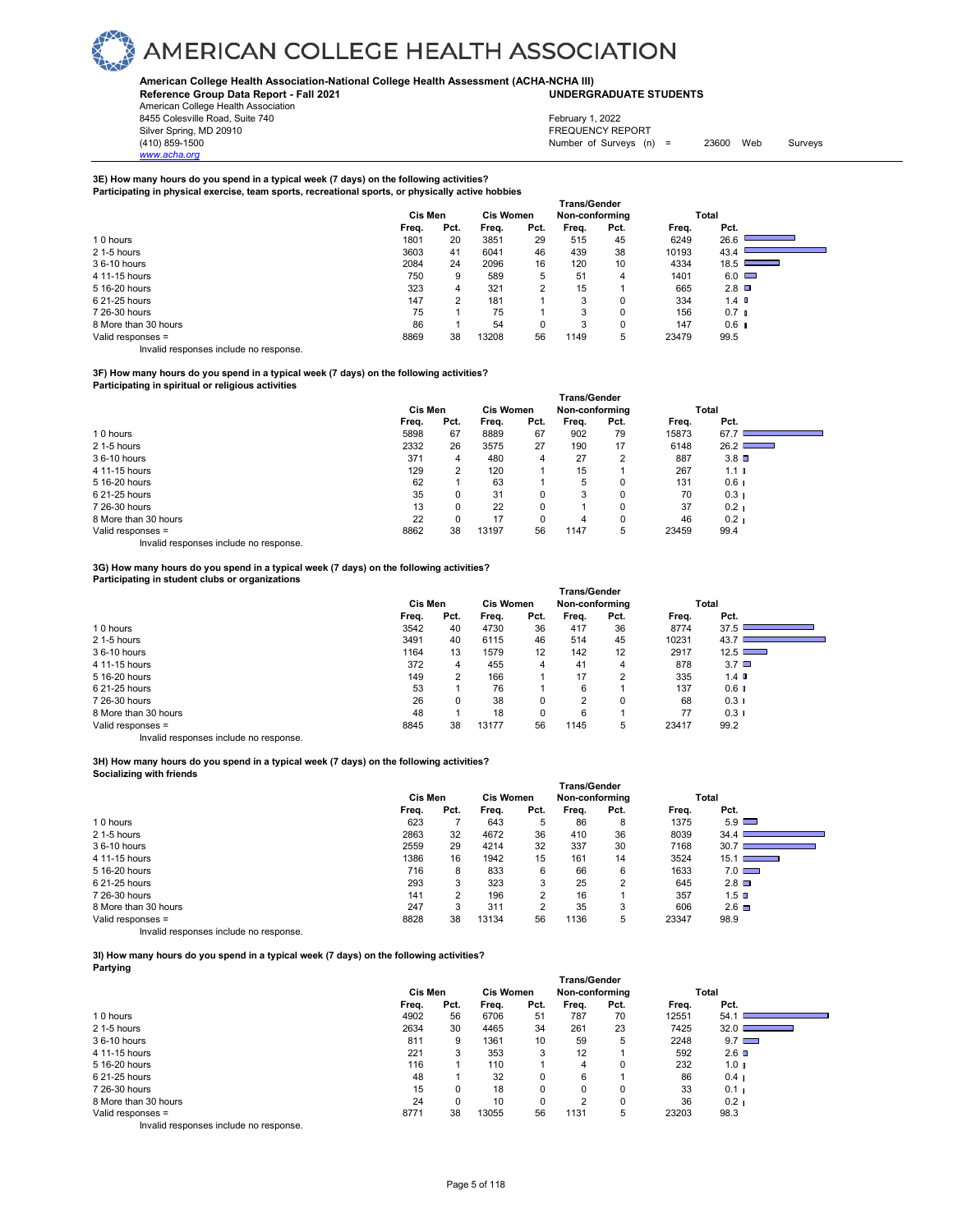### **American College Health Association-National College Health Assessment (ACHA-NCHA III) UNDERGRADUATE STUDENTS**

**Reference Group Data Report - Fall 2021**

American College Health Association 8455 Colesville Road, Suite 740

*www.acha.org*

Silver Spring, MD 20910<br>
1990 - The Survey States (1990) - The Survey States (1990) - Survey States (1990) - Survey States (1991) - Survey States (1991) - Survey States (1991) - Survey States (1991) - Survey States (1991) Number of Surveys  $(n) = 23600$  Web Surveys February 1, 2022

### **3E) How many hours do you spend in a typical week (7 days) on the following activities? Participating in physical exercise, team sports, recreational sports, or physically active hobbies**

| . .                  | <b>Trans/Gender</b> |          |                  |      |                |          |       |                  |  |  |
|----------------------|---------------------|----------|------------------|------|----------------|----------|-------|------------------|--|--|
|                      | Cis Men             |          | <b>Cis Women</b> |      | Non-conforming |          |       | Total            |  |  |
|                      | Freq.               | Pct.     | Freq.            | Pct. | Freq.          | Pct.     | Freq. | Pct.             |  |  |
| 10 hours             | 1801                | 20       | 3851             | 29   | 515            | 45       | 6249  | 26.6             |  |  |
| 2 1-5 hours          | 3603                | 41       | 6041             | 46   | 439            | 38       | 10193 | 43.4             |  |  |
| 36-10 hours          | 2084                | 24       | 2096             | 16   | 120            | 10       | 4334  | 18.5             |  |  |
| 4 11-15 hours        | 750                 | 9        | 589              | 5    | 51             | 4        | 1401  | $6.0$ $\Box$     |  |  |
| 5 16-20 hours        | 323                 | 4        | 321              | 2    | 15             |          | 665   | $2.8$ $\Box$     |  |  |
| 6 21-25 hours        | 147                 | $\Omega$ | 181              |      | 3              | $\Omega$ | 334   | 1.4 <sub>1</sub> |  |  |
| 7 26-30 hours        | 75                  |          | 75               |      | 3              | $\Omega$ | 156   | 0.7 <sub>l</sub> |  |  |
| 8 More than 30 hours | 86                  |          | 54               | 0    | 3              | 0        | 147   | $0.6$ 1          |  |  |
| Valid responses =    | 8869                | 38       | 13208            | 56   | 1149           | 5        | 23479 | 99.5             |  |  |

Invalid responses include no response.

### **3F) How many hours do you spend in a typical week (7 days) on the following activities?**

**Participating in spiritual or religious activities** 

|                      |                |          |                  |      | <b>Trans/Gender</b> |      |       |                  |  |
|----------------------|----------------|----------|------------------|------|---------------------|------|-------|------------------|--|
|                      | <b>Cis Men</b> |          | <b>Cis Women</b> |      | Non-conforming      |      |       | Total            |  |
|                      | Freq.          | Pct.     | Freq.            | Pct. | Freq.               | Pct. | Freq. | Pct.             |  |
| 10 hours             | 5898           | 67       | 8889             | 67   | 902                 | 79   | 15873 | 67.7             |  |
| 2 1-5 hours          | 2332           | 26       | 3575             | 27   | 190                 | 17   | 6148  | 26.2             |  |
| 36-10 hours          | 371            | 4        | 480              | 4    | 27                  | 2    | 887   | $3.8$ $\square$  |  |
| 4 11-15 hours        | 129            | 2        | 120              |      | 15                  |      | 267   | 1.1 <sub>l</sub> |  |
| 5 16-20 hours        | 62             |          | 63               |      | 5                   | 0    | 131   | 0.6 <sub>1</sub> |  |
| 6 21-25 hours        | 35             | 0        | 31               | 0    | 3                   | 0    | 70    | 0.3 <sub>1</sub> |  |
| 7 26-30 hours        | 13             | $\Omega$ | 22               | 0    |                     | 0    | 37    | 0.2 <sub>1</sub> |  |
| 8 More than 30 hours | 22             |          | 17               | 0    | 4                   | 0    | 46    | 0.2 <sub>1</sub> |  |
| Valid responses =    | 8862           | 38       | 13197            | 56   | 1147                | 5    | 23459 | 99.4             |  |

Invalid responses include no response.

### **3G) How many hours do you spend in a typical week (7 days) on the following activities? Participating in student clubs or organizations**

|                      |                             |      |       |      | <b>Trans/Gender</b> |          |       |                  |  |
|----------------------|-----------------------------|------|-------|------|---------------------|----------|-------|------------------|--|
|                      | <b>Cis Women</b><br>Cis Men |      |       |      | Non-conforming      |          |       | Total            |  |
|                      | Freq.                       | Pct. | Freq. | Pct. | Frea.               | Pct.     | Freq. | Pct.             |  |
| 10 hours             | 3542                        | 40   | 4730  | 36   | 417                 | 36       | 8774  | 37.5             |  |
| 2 1-5 hours          | 3491                        | 40   | 6115  | 46   | 514                 | 45       | 10231 | 43.7             |  |
| 36-10 hours          | 1164                        | 13   | 1579  | 12   | 142                 | 12       | 2917  | 12.5             |  |
| 4 11-15 hours        | 372                         | 4    | 455   | 4    | 41                  | 4        | 878   | $3.7\Box$        |  |
| 5 16-20 hours        | 149                         | 2    | 166   |      | 17                  | 2        | 335   | 1.4 <sub>0</sub> |  |
| 6 21-25 hours        | 53                          |      | 76    |      | 6                   |          | 137   | $0.6$ I          |  |
| 7 26-30 hours        | 26                          | 0    | 38    |      | $\Omega$            | $\Omega$ | 68    | $0.3 \;$ I       |  |
| 8 More than 30 hours | 48                          |      | 18    |      | 6                   |          | 77    | 0.31             |  |
| Valid responses =    | 8845                        | 38   | 13177 | 56   | 1145                | 5        | 23417 | 99.2             |  |
|                      |                             |      |       |      |                     |          |       |                  |  |

Invalid responses include no response.

### **3H) How many hours do you spend in a typical week (7 days) on the following activities? Socializing with friends**

|                                       |         |      |                  |      | <b>Trans/Gender</b> |      |       |                                                                                                                                                                                                                                              |  |
|---------------------------------------|---------|------|------------------|------|---------------------|------|-------|----------------------------------------------------------------------------------------------------------------------------------------------------------------------------------------------------------------------------------------------|--|
|                                       | Cis Men |      | <b>Cis Women</b> |      | Non-conforming      |      |       | Total                                                                                                                                                                                                                                        |  |
|                                       | Freq.   | Pct. | Frea.            | Pct. | Frea.               | Pct. | Freq. | Pct.                                                                                                                                                                                                                                         |  |
| 10 hours                              | 623     |      | 643              | 5    | 86                  | 8    | 1375  | $5.9$ $\Box$                                                                                                                                                                                                                                 |  |
| 2 1-5 hours                           | 2863    | 32   | 4672             | 36   | 410                 | 36   | 8039  | 34.4                                                                                                                                                                                                                                         |  |
| 36-10 hours                           | 2559    | 29   | 4214             | 32   | 337                 | 30   | 7168  | 30.7                                                                                                                                                                                                                                         |  |
| 4 11-15 hours                         | 1386    | 16   | 1942             | 15   | 161                 | 14   | 3524  | 15.1<br><u> The Company of the Company of the Company of the Company of the Company of the Company of the Company of the Company of the Company of the Company of the Company of the Company of the Company of the Company of the Compan</u> |  |
| 5 16-20 hours                         | 716     | 8    | 833              | 6    | 66                  | 6    | 1633  | $7.0$ $\Box$                                                                                                                                                                                                                                 |  |
| 6 21-25 hours                         | 293     | 3    | 323              |      | 25                  | 2    | 645   | $2.8\Box$                                                                                                                                                                                                                                    |  |
| 7 26-30 hours                         | 141     | 2    | 196              | 2    | 16                  |      | 357   | 1.5 ₪                                                                                                                                                                                                                                        |  |
| 8 More than 30 hours                  | 247     | 3    | 311              | 2    | 35                  | 3    | 606   | $2.6\Box$                                                                                                                                                                                                                                    |  |
| Valid responses =                     | 8828    | 38   | 13134            | 56   | 1136                | 5    | 23347 | 98.9                                                                                                                                                                                                                                         |  |
| Involid responses include no response |         |      |                  |      |                     |      |       |                                                                                                                                                                                                                                              |  |

d responses include no response.

**3I) How many hours do you spend in a typical week (7 days) on the following activities? Partying** 

|                      |                |      |                  |             | Trans/Gender   |          |       |                  |
|----------------------|----------------|------|------------------|-------------|----------------|----------|-------|------------------|
|                      | <b>Cis Men</b> |      | <b>Cis Women</b> |             | Non-conforming |          |       | Total            |
|                      | Freq.          | Pct. | Freq.            | Pct.        | Freq.          | Pct.     | Freq. | Pct.             |
| 10 hours             | 4902           | 56   | 6706             | 51          | 787            | 70       | 12551 | 54.1             |
| 2 1-5 hours          | 2634           | 30   | 4465             | 34          | 261            | 23       | 7425  | 32.0             |
| 36-10 hours          | 811            | 9    | 1361             | 10          | 59             | 5        | 2248  | $9.7 \Box$       |
| 4 11-15 hours        | 221            | 3    | 353              | 3           | 12             |          | 592   | $2.6$ D          |
| 5 16-20 hours        | 116            |      | 110              |             | 4              | 0        | 232   | 1.0 <sub>l</sub> |
| 6 21-25 hours        | 48             |      | 32               | 0           | 6              |          | 86    | $0.4 \;$         |
| 7 26-30 hours        | 15             |      | 18               | 0           | 0              | $\Omega$ | 33    | 0.1              |
| 8 More than 30 hours | 24             |      | 10               | $\mathbf 0$ | C              | 0        | 36    | 0.2              |
| Valid responses =    | 8771           | 38   | 13055            | 56          | 1131           | 5        | 23203 | 98.3             |
| .<br>.               |                |      |                  |             |                |          |       |                  |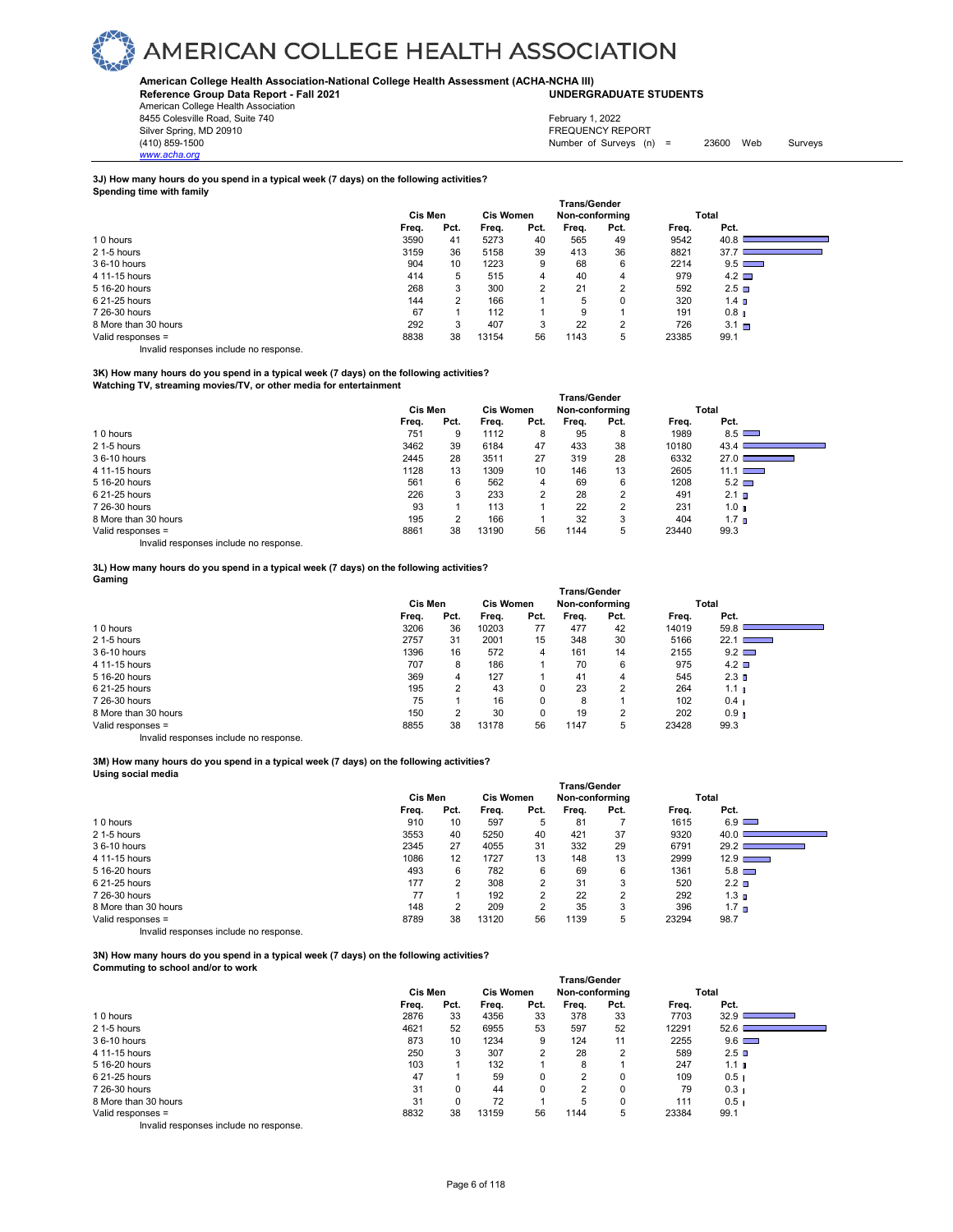### **American College Health Association-National College Health Assessment (ACHA-NCHA III) UNDERGRADUATE STUDENTS**

**Reference Group Data Report - Fall 2021** American College Health Association 8455 Colesville Road, Suite 740

*www.acha.org*

Silver Spring, MD 20910<br>
1990 - The Survey States (1990) - The Survey States (1990) - Survey States (1990) - Survey States (1991) - Survey States (1991) - Survey States (1991) - Survey States (1991) - Survey States (1991) Number of Surveys  $(n)$  = 23600 Web Surveys February 1, 2022

#### **3J) How many hours do you spend in a typical week (7 days) on the following activities? Spending time with family**

|                      | <b>Trans/Gender</b> |      |                  |      |                |                |       |                   |  |  |  |
|----------------------|---------------------|------|------------------|------|----------------|----------------|-------|-------------------|--|--|--|
|                      | Cis Men             |      | <b>Cis Women</b> |      | Non-conforming |                |       | Total             |  |  |  |
|                      | Freq.               | Pct. | Frea.            | Pct. | Freq.          | Pct.           | Freq. | Pct.              |  |  |  |
| 10 hours             | 3590                | 41   | 5273             | 40   | 565            | 49             | 9542  | 40.8              |  |  |  |
| 2 1-5 hours          | 3159                | 36   | 5158             | 39   | 413            | 36             | 8821  | 37.7              |  |  |  |
| 36-10 hours          | 904                 | 10   | 1223             | 9    | 68             | 6              | 2214  | $9.5$ $\Box$      |  |  |  |
| 4 11-15 hours        | 414                 | 5    | 515              | 4    | 40             | 4              | 979   | $4.2 \square$     |  |  |  |
| 5 16-20 hours        | 268                 | 3    | 300              | 2    | 21             | $\overline{2}$ | 592   | 2.5 <sub>0</sub>  |  |  |  |
| 6 21-25 hours        | 144                 | 2    | 166              |      | 5              | $\Omega$       | 320   | 1.4 <sub>0</sub>  |  |  |  |
| 7 26-30 hours        | 67                  |      | 112              |      | 9              |                | 191   | 0.8 <sub>II</sub> |  |  |  |
| 8 More than 30 hours | 292                 | 3    | 407              | 3    | 22             | 2              | 726   | $3.1 \square$     |  |  |  |
| Valid responses =    | 8838                | 38   | 13154            | 56   | 1143           | 5              | 23385 | 99.1              |  |  |  |

Invalid responses include no response.

### **3K) How many hours do you spend in a typical week (7 days) on the following activities? Watching TV, streaming movies/TV, or other media for entertainment**

|                      | Trans/Gender |      |       |                  |       |                |       |                  |  |  |
|----------------------|--------------|------|-------|------------------|-------|----------------|-------|------------------|--|--|
|                      | Cis Men      |      |       | <b>Cis Women</b> |       | Non-conforming |       | Total            |  |  |
|                      | Freq.        | Pct. | Frea. | Pct.             | Frea. | Pct.           | Frea. | Pct.             |  |  |
| 10 hours             | 751          | 9    | 1112  | 8                | 95    | 8              | 1989  | $8.5$ $\Box$     |  |  |
| 2 1-5 hours          | 3462         | 39   | 6184  | 47               | 433   | 38             | 10180 | 43.4             |  |  |
| 36-10 hours          | 2445         | 28   | 3511  | 27               | 319   | 28             | 6332  | 27.0             |  |  |
| 4 11-15 hours        | 1128         | 13   | 1309  | 10               | 146   | 13             | 2605  | $11.1$ $\Box$    |  |  |
| 5 16-20 hours        | 561          | 6    | 562   | 4                | 69    | 6              | 1208  | $5.2$ $\Box$     |  |  |
| 6 21-25 hours        | 226          | 3    | 233   | 2                | 28    | 2              | 491   | 2.1 <sub>0</sub> |  |  |
| 7 26-30 hours        | 93           |      | 113   |                  | 22    | 2              | 231   | 1.0 <sub>0</sub> |  |  |
| 8 More than 30 hours | 195          | 2    | 166   |                  | 32    | 3              | 404   | 1.7 <sub>n</sub> |  |  |
| Valid responses =    | 8861         | 38   | 13190 | 56               | 1144  | 5              | 23440 | 99.3             |  |  |

Invalid responses include no response.

### **3L) How many hours do you spend in a typical week (7 days) on the following activities? Gaming**

|                      | <b>Trans/Gender</b>         |      |       |      |                |      |       |                                  |  |
|----------------------|-----------------------------|------|-------|------|----------------|------|-------|----------------------------------|--|
|                      | <b>Cis Women</b><br>Cis Men |      |       |      | Non-conforming |      |       | Total                            |  |
|                      | Frea.                       | Pct. | Freq. | Pct. | Freq.          | Pct. | Freq. | Pct.                             |  |
| 10 hours             | 3206                        | 36   | 10203 | 77   | 477            | 42   | 14019 | 59.8                             |  |
| 2 1-5 hours          | 2757                        | 31   | 2001  | 15   | 348            | 30   | 5166  | 22.1<br><b>Contract Contract</b> |  |
| 36-10 hours          | 1396                        | 16   | 572   | 4    | 161            | 14   | 2155  | $9.2$ $\Box$                     |  |
| 4 11-15 hours        | 707                         | 8    | 186   |      | 70             | 6    | 975   | $4.2$ $\square$                  |  |
| 5 16-20 hours        | 369                         | 4    | 127   |      | 41             | 4    | 545   | 2.3 <sub>D</sub>                 |  |
| 6 21-25 hours        | 195                         | 2    | 43    |      | 23             | 2    | 264   | 1.1 <sub>II</sub>                |  |
| 7 26-30 hours        | 75                          |      | 16    | 0    | 8              |      | 102   | 0.4 <sub>1</sub>                 |  |
| 8 More than 30 hours | 150                         |      | 30    |      | 19             | 2    | 202   | 0.9 <sub>0</sub>                 |  |
| Valid responses =    | 8855                        | 38   | 13178 | 56   | 1147           | 5    | 23428 | 99.3                             |  |
|                      |                             |      |       |      |                |      |       |                                  |  |

Invalid responses include no response.

#### **3M) How many hours do you spend in a typical week (7 days) on the following activities? Using social media**

|                      |         |                   |                  |                | <b>Trans/Gender</b> |      |       |                  |  |
|----------------------|---------|-------------------|------------------|----------------|---------------------|------|-------|------------------|--|
|                      | Cis Men |                   | <b>Cis Women</b> |                | Non-conforming      |      |       | Total            |  |
|                      | Freq.   | Pct.              | Freq.            | Pct.           | Frea.               | Pct. | Frea. | Pct.             |  |
| 10 hours             | 910     | 10                | 597              | 5              | 81                  |      | 1615  | $6.9$ $\Box$     |  |
| 2 1-5 hours          | 3553    | 40                | 5250             | 40             | 421                 | 37   | 9320  | 40.0             |  |
| 36-10 hours          | 2345    | 27                | 4055             | 31             | 332                 | 29   | 6791  | 29.2             |  |
| 4 11-15 hours        | 1086    | $12 \overline{ }$ | 1727             | 13             | 148                 | 13   | 2999  | $12.9$ $\qquad$  |  |
| 5 16-20 hours        | 493     | 6                 | 782              | 6              | 69                  | 6    | 1361  | $5.8$ $\Box$     |  |
| 6 21-25 hours        | 177     |                   | 308              | 2              | 31                  | 3    | 520   | $2.2 \square$    |  |
| 7 26-30 hours        | 77      |                   | 192              | $\overline{2}$ | 22                  | 2    | 292   | 1.3 <sub>n</sub> |  |
| 8 More than 30 hours | 148     |                   | 209              |                | 35                  | 3    | 396   | 1.7 <sub>n</sub> |  |
| Valid responses =    | 8789    | 38                | 13120            | 56             | 1139                | 5    | 23294 | 98.7             |  |
| .<br>.               |         |                   |                  |                |                     |      |       |                  |  |

Invalid responses include no response.

**3N) How many hours do you spend in a typical week (7 days) on the following activities? Commuting to school and/or to work** 

|                                                                                                                 |         |      |                  |          | <b>Trans/Gender</b> |          |       |                  |  |
|-----------------------------------------------------------------------------------------------------------------|---------|------|------------------|----------|---------------------|----------|-------|------------------|--|
|                                                                                                                 | Cis Men |      | <b>Cis Women</b> |          | Non-conforming      |          |       | Total            |  |
|                                                                                                                 | Freq.   | Pct. | Frea.            | Pct.     | Freq.               | Pct.     | Frea. | Pct.             |  |
| 10 hours                                                                                                        | 2876    | 33   | 4356             | 33       | 378                 | 33       | 7703  | 32.9             |  |
| 2 1-5 hours                                                                                                     | 4621    | 52   | 6955             | 53       | 597                 | 52       | 12291 | 52.6             |  |
| 36-10 hours                                                                                                     | 873     | 10   | 1234             | 9        | 124                 | 11       | 2255  | $9.6$ $\Box$     |  |
| 4 11-15 hours                                                                                                   | 250     | 3    | 307              | 2        | 28                  | 2        | 589   | $2.5$ D          |  |
| 5 16-20 hours                                                                                                   | 103     |      | 132              |          | 8                   |          | 247   | 1.1 <sub>0</sub> |  |
| 6 21-25 hours                                                                                                   | 47      |      | 59               | $\Omega$ | 2                   | $\Omega$ | 109   | 0.5 <sub>1</sub> |  |
| 7 26-30 hours                                                                                                   | 31      | 0    | 44               | $\Omega$ | 2                   | $\Omega$ | 79    | 0.3 <sub>1</sub> |  |
| 8 More than 30 hours                                                                                            | 31      |      | 72               |          | 5                   |          | 111   | 0.5 <sub>1</sub> |  |
| Valid responses =                                                                                               | 8832    | 38   | 13159            | 56       | 1144                | 5        | 23384 | 99.1             |  |
| the contract of the contract of the contract of the contract of the contract of the contract of the contract of |         |      |                  |          |                     |          |       |                  |  |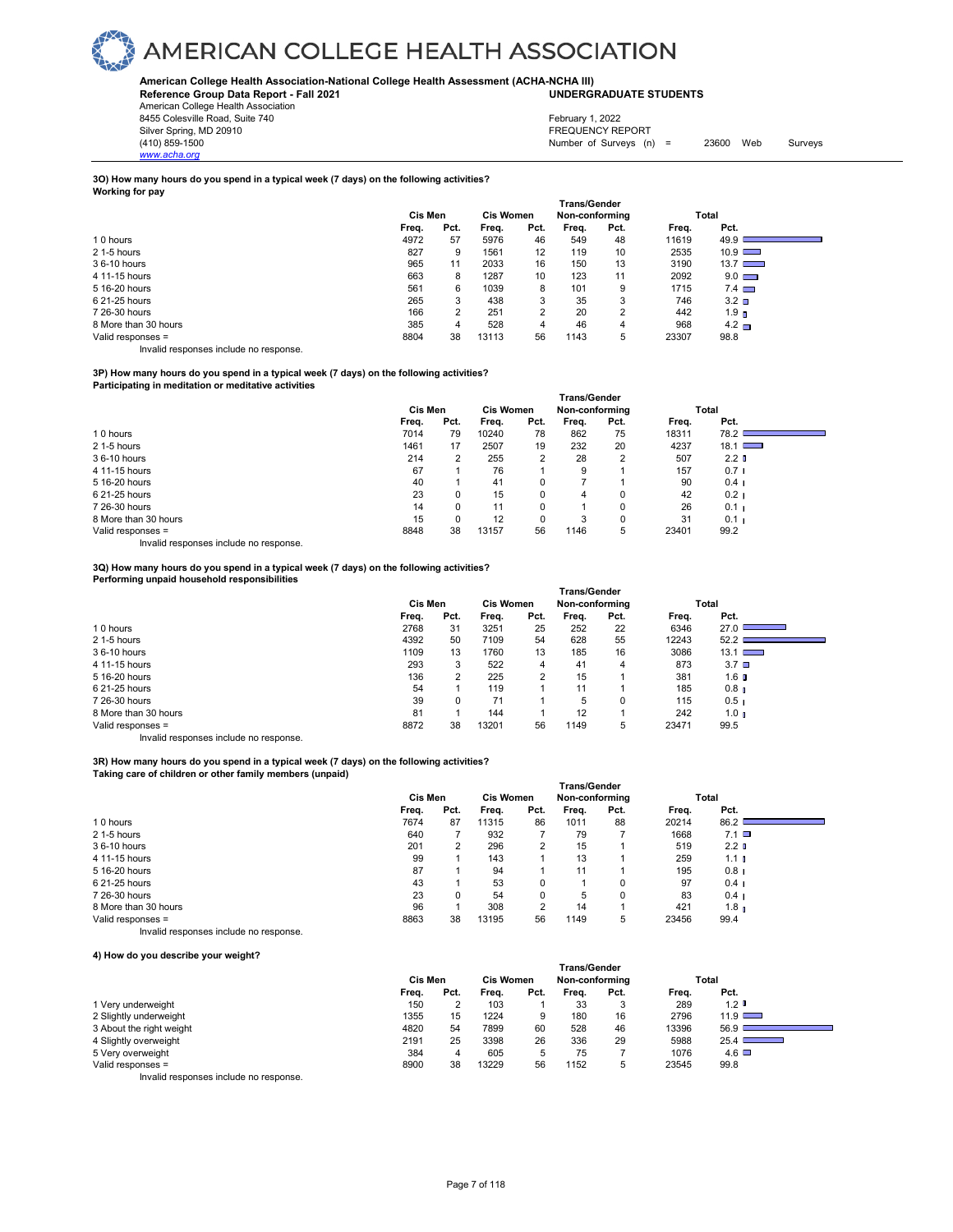### **American College Health Association-National College Health Assessment (ACHA-NCHA III) UNDERGRADUATE STUDENTS**

**Reference Group Data Report - Fall 2021** American College Health Association

8455 Colesville Road, Suite 740 Silver Spring, MD 20910<br>
(410) 859-1500<br>
Mumber of Surveys (n)

*www.acha.org*

Number of Surveys  $(n) = 23600$  Web Surveys February 1, 2022

### **3O) How many hours do you spend in a typical week (7 days) on the following activities? Working for pay**

|                      | <b>Trans/Gender</b> |      |       |                  |       |                |       |                  |  |  |
|----------------------|---------------------|------|-------|------------------|-------|----------------|-------|------------------|--|--|
|                      | Cis Men             |      |       | <b>Cis Women</b> |       | Non-conforming |       | Total            |  |  |
|                      | Freq.               | Pct. | Freq. | Pct.             | Freq. | Pct.           | Freq. | Pct.             |  |  |
| 10 hours             | 4972                | 57   | 5976  | 46               | 549   | 48             | 11619 | 49.9             |  |  |
| 2 1-5 hours          | 827                 | 9    | 1561  | 12               | 119   | 10             | 2535  | $10.9$ $\Box$    |  |  |
| 36-10 hours          | 965                 | 11   | 2033  | 16               | 150   | 13             | 3190  | $13.7$ $\Box$    |  |  |
| 4 11-15 hours        | 663                 | 8    | 1287  | 10               | 123   | 11             | 2092  | $9.0$ $\Box$     |  |  |
| 5 16-20 hours        | 561                 | 6    | 1039  | 8                | 101   | 9              | 1715  | $7.4$ $\Box$     |  |  |
| 6 21-25 hours        | 265                 | 3    | 438   | 3                | 35    | 3              | 746   | $3.2$ $\square$  |  |  |
| 7 26-30 hours        | 166                 | ◠    | 251   | 2                | 20    | 2              | 442   | 1.9 <sub>n</sub> |  |  |
| 8 More than 30 hours | 385                 | 4    | 528   | 4                | 46    | 4              | 968   | $4.2\Box$        |  |  |
| Valid responses =    | 8804                | 38   | 13113 | 56               | 1143  | 5              | 23307 | 98.8             |  |  |

Invalid responses include no response.

### **3P) How many hours do you spend in a typical week (7 days) on the following activities?**

**Participating in meditation or meditative activities** 

|                      | <b>Trans/Gender</b> |      |                  |      |                |                |       |                  |  |  |  |
|----------------------|---------------------|------|------------------|------|----------------|----------------|-------|------------------|--|--|--|
|                      | Cis Men             |      | <b>Cis Women</b> |      | Non-conforming |                | Total |                  |  |  |  |
|                      | Freq.               | Pct. | Freq.            | Pct. | Freq.          | Pct.           | Freq. | Pct.             |  |  |  |
| 10 hours             | 7014                | 79   | 10240            | 78   | 862            | 75             | 18311 | 78.2             |  |  |  |
| 2 1-5 hours          | 1461                | 17   | 2507             | 19   | 232            | 20             | 4237  | $18.1$ $\Box$    |  |  |  |
| 36-10 hours          | 214                 |      | 255              | 2    | 28             | $\overline{2}$ | 507   | 2.2 <sub>0</sub> |  |  |  |
| 4 11-15 hours        | 67                  |      | 76               |      | 9              |                | 157   | 0.7 <sub>1</sub> |  |  |  |
| 5 16-20 hours        | 40                  |      | 41               | 0    |                |                | 90    | 0.4 <sub>1</sub> |  |  |  |
| 6 21-25 hours        | 23                  |      | 15               | 0    | 4              | 0              | 42    | 0.2 <sub>1</sub> |  |  |  |
| 7 26-30 hours        | 14                  |      | 11               | 0    |                | 0              | 26    | 0.1 <sub>1</sub> |  |  |  |
| 8 More than 30 hours | 15                  |      | 12               | 0    | 3              | 0              | 31    | 0.1 <sub>1</sub> |  |  |  |
| Valid responses =    | 8848                | 38   | 13157            | 56   | 1146           | 5              | 23401 | 99.2             |  |  |  |

Invalid responses include no response.

### **3Q) How many hours do you spend in a typical week (7 days) on the following activities? Performing unpaid household responsibilities**

|                      | Trans/Gender |      |                  |      |                |          |       |                            |  |  |
|----------------------|--------------|------|------------------|------|----------------|----------|-------|----------------------------|--|--|
|                      | Cis Men      |      | <b>Cis Women</b> |      | Non-conforming |          | Total |                            |  |  |
|                      | Freq.        | Pct. | Freq.            | Pct. | Frea.          | Pct.     | Freq. | Pct.                       |  |  |
| 10 hours             | 2768         | 31   | 3251             | 25   | 252            | 22       | 6346  | 27.0                       |  |  |
| 2 1-5 hours          | 4392         | 50   | 7109             | 54   | 628            | 55       | 12243 | 52.2                       |  |  |
| 36-10 hours          | 1109         | 13   | 1760             | 13   | 185            | 16       | 3086  | 13.1<br><b>The Company</b> |  |  |
| 4 11-15 hours        | 293          | 3    | 522              | 4    | 41             | 4        | 873   | 3.7 <sub>0</sub>           |  |  |
| 5 16-20 hours        | 136          |      | 225              | 2    | 15             |          | 381   | 1.6 ∎                      |  |  |
| 6 21-25 hours        | 54           |      | 119              |      | 11             |          | 185   | 0.8 <sub>1</sub>           |  |  |
| 7 26-30 hours        | 39           | 0    | 71               |      | 5              | $\Omega$ | 115   | 0.5 <sub>1</sub>           |  |  |
| 8 More than 30 hours | 81           |      | 144              |      | 12             |          | 242   | 1.0 <sub>n</sub>           |  |  |
| Valid responses =    | 8872         | 38   | 13201            | 56   | 1149           | 5        | 23471 | 99.5                       |  |  |

Invalid responses include no response.

### **3R) How many hours do you spend in a typical week (7 days) on the following activities? Taking care of children or other family members (unpaid)**

|                                        | <b>Trans/Gender</b> |      |       |                  |       |                |       |                  |  |  |  |
|----------------------------------------|---------------------|------|-------|------------------|-------|----------------|-------|------------------|--|--|--|
|                                        | Cis Men             |      |       | <b>Cis Women</b> |       | Non-conforming |       | Total            |  |  |  |
|                                        | Freq.               | Pct. | Freq. | Pct.             | Freq. | Pct.           | Freq. | Pct.             |  |  |  |
| 10 hours                               | 7674                | 87   | 11315 | 86               | 1011  | 88             | 20214 | 86.2             |  |  |  |
| 2 1-5 hours                            | 640                 |      | 932   |                  | 79    |                | 1668  | $7.1$ $\Box$     |  |  |  |
| 36-10 hours                            | 201                 | 2    | 296   | $\overline{2}$   | 15    |                | 519   | 2.2 <sub>0</sub> |  |  |  |
| 4 11-15 hours                          | 99                  |      | 143   |                  | 13    |                | 259   | 1.1 <sub>l</sub> |  |  |  |
| 5 16-20 hours                          | 87                  |      | 94    |                  | 11    |                | 195   | $0.8$ I          |  |  |  |
| 6 21-25 hours                          | 43                  |      | 53    | $\Omega$         |       |                | 97    | 0.4 <sub>1</sub> |  |  |  |
| 7 26-30 hours                          | 23                  | 0    | 54    | $\Omega$         | 5     | $\Omega$       | 83    | 0.4 <sub>1</sub> |  |  |  |
| 8 More than 30 hours                   | 96                  |      | 308   | 2                | 14    |                | 421   | 1.8 <sub>n</sub> |  |  |  |
| Valid responses =                      | 8863                | 38   | 13195 | 56               | 1149  | 5              | 23456 | 99.4             |  |  |  |
| Invalid responses include no response. |                     |      |       |                  |       |                |       |                  |  |  |  |

### **4) How do you describe your weight?**

| <b>Trans/Gender</b> |                                 |                |
|---------------------|---------------------------------|----------------|
|                     |                                 | Pct.           |
| 33                  | 289                             | 1.2            |
| 180<br>16           | 2796                            | $11.9$ $\Box$  |
| 528<br>46           | 13396                           | 56.9           |
| 336<br>29           | 5988                            | 25.4           |
| 75                  | 1076                            | $4.6\Box$      |
| 1152<br>b           | 23545                           | 99.8           |
|                     | Non-conforming<br>Pct.<br>Freq. | Total<br>Freq. |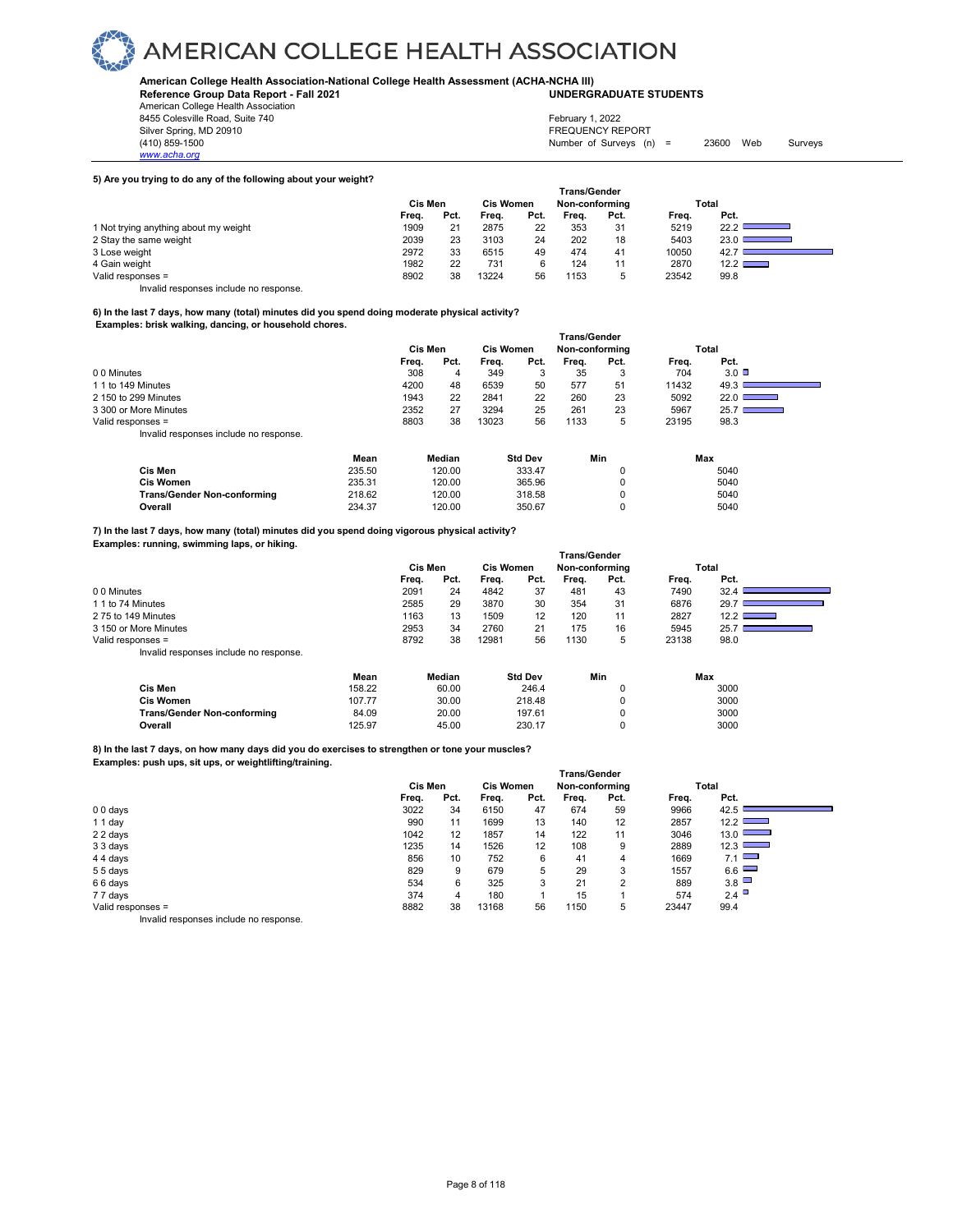**American College Health Association-National College Health Assessment (ACHA-NCHA III) UNDERGRADUATE STUDENTS**

**Reference Group Data Report - Fall 2021** American College Health Association 8455 Colesville Road, Suite 740

*www.acha.org*

### Silver Spring, MD 20910<br>
(410) 859-1500<br>
(410) 859-1500 Number of Surveys  $(n) = 23600$  Web Surveys February 1, 2022

### **5) Are you trying to do any of the following about your weight?**

|                                        | <b>Trans/Gender</b> |      |                  |      |                |      |       |                                   |  |  |  |
|----------------------------------------|---------------------|------|------------------|------|----------------|------|-------|-----------------------------------|--|--|--|
|                                        | Cis Men             |      | <b>Cis Women</b> |      | Non-conforming |      |       | Total                             |  |  |  |
|                                        | Freq.               | Pct. | Frea.            | Pct. | Frea.          | Pct. | Frea. | Pct.                              |  |  |  |
| 1 Not trying anything about my weight  | 1909                | 21   | 2875             | 22   | 353            | 31   | 5219  | 22.2                              |  |  |  |
| 2 Stay the same weight                 | 2039                | 23   | 3103             | 24   | 202            | 18   | 5403  | 23.0<br><u> Barbara (Barbara)</u> |  |  |  |
| 3 Lose weight                          | 2972                | 33   | 6515             | 49   | 474            | 41   | 10050 | 42.7                              |  |  |  |
| 4 Gain weight                          | 1982                | 22   | 731              |      | 124            |      | 2870  | $12.2 \ \blacksquare$             |  |  |  |
| Valid responses =                      | 8902                | 38   | 13224            | 56   | 1153           | 5    | 23542 | 99.8                              |  |  |  |
| Invalid responses include no response. |                     |      |                  |      |                |      |       |                                   |  |  |  |

### **6) In the last 7 days, how many (total) minutes did you spend doing moderate physical activity? Examples: brisk walking, dancing, or household chores.**

|                                        | <b>Trans/Gender</b> |      |                  |      |                |         |       |                              |  |  |
|----------------------------------------|---------------------|------|------------------|------|----------------|---------|-------|------------------------------|--|--|
|                                        | <b>Cis Men</b>      |      | <b>Cis Women</b> |      | Non-conforming |         |       | Total                        |  |  |
|                                        | Freq.               | Pct. | Frea.            | Pct. | Frea.          | Pct.    | Frea. | Pct.                         |  |  |
| 00 Minutes                             | 308                 | 4    | 349              | 3    | 35             | ິ<br>۰J | 704   | 3.0                          |  |  |
| 1 1 to 149 Minutes                     | 4200                | 48   | 6539             | 50   | 577            | 51      | 11432 | 49.3                         |  |  |
| 2 150 to 299 Minutes                   | 1943                | 22   | 2841             | 22   | 260            | 23      | 5092  | 22.0<br><b>Service State</b> |  |  |
| 3 300 or More Minutes                  | 2352                | 27   | 3294             | 25   | 261            | 23      | 5967  | 25.7                         |  |  |
| Valid responses =                      | 8803                | 38   | 13023            | 56   | 1133           | 5       | 23195 | 98.3                         |  |  |
| Invalid responses include no response. |                     |      |                  |      |                |         |       |                              |  |  |

|                                    | Mean   | Median | <b>Std Dev</b> | Min | Max  |
|------------------------------------|--------|--------|----------------|-----|------|
| Cis Men                            | 235.50 | 120.00 | 333.47         |     | 5040 |
| <b>Cis Women</b>                   | 235.31 | 120.00 | 365.96         |     | 5040 |
| <b>Trans/Gender Non-conforming</b> | 218.62 | 120.00 | 318.58         |     | 5040 |
| Overall                            | 234.37 | 120.00 | 350.67         |     | 5040 |

**7) In the last 7 days, how many (total) minutes did you spend doing vigorous physical activity? Examples: running, swimming laps, or hiking.**

| $12.2$ $\Box$ |
|---------------|
|               |
|               |
|               |
|               |
|               |

|                                    | Mean   | Median | <b>Std Dev</b> | Min | Max  |
|------------------------------------|--------|--------|----------------|-----|------|
| Cis Men                            | 158.22 | 60.00  | 246.4          |     | 3000 |
| Cis Women                          | 107.77 | 30.00  | 218.48         |     | 3000 |
| <b>Trans/Gender Non-conforming</b> | 84.09  | 20.00  | 197.61         |     | 3000 |
| Overall                            | 125.97 | 45.00  | 230.17         |     | 3000 |

**8) In the last 7 days, on how many days did you do exercises to strengthen or tone your muscles?**

**Examples: push ups, sit ups, or weightlifting/training.**

|                                         | Trans/Gender |      |                  |                   |                |                |       |                           |  |  |  |
|-----------------------------------------|--------------|------|------------------|-------------------|----------------|----------------|-------|---------------------------|--|--|--|
|                                         | Cis Men      |      | <b>Cis Women</b> |                   | Non-conforming |                |       | Total                     |  |  |  |
|                                         | Freq.        | Pct. | Freq.            | Pct.              | Freq.          | Pct.           | Freq. | Pct.                      |  |  |  |
| $00 \text{ days}$                       | 3022         | 34   | 6150             | 47                | 674            | 59             | 9966  | 42.5                      |  |  |  |
| 11 day                                  | 990          | 11   | 1699             | 13                | 140            | 12             | 2857  | 12.2                      |  |  |  |
| 22 days                                 | 1042         | 12   | 1857             | 14                | 122            | 11             | 3046  | 13.0<br><b>STATISTICS</b> |  |  |  |
| 3 3 days                                | 1235         | 14   | 1526             | $12 \overline{ }$ | 108            | 9              | 2889  | 12.3<br><b>STATISTICS</b> |  |  |  |
| 44 days                                 | 856          | 10   | 752              | 6                 | 41             | 4              | 1669  | 7.1                       |  |  |  |
| 55 days                                 | 829          | 9    | 679              | 5                 | 29             | 3              | 1557  | $6.6$ $\Box$              |  |  |  |
| 66 days                                 | 534          | 6    | 325              | 3                 | 21             | $\overline{2}$ | 889   | 3.8                       |  |  |  |
| 77 days                                 | 374          | 4    | 180              |                   | 15             |                | 574   | 2.4                       |  |  |  |
| Valid responses =                       | 8882         | 38   | 13168            | 56                | 1150           | 5              | 23447 | 99.4                      |  |  |  |
| Involid recononces include no recononce |              |      |                  |                   |                |                |       |                           |  |  |  |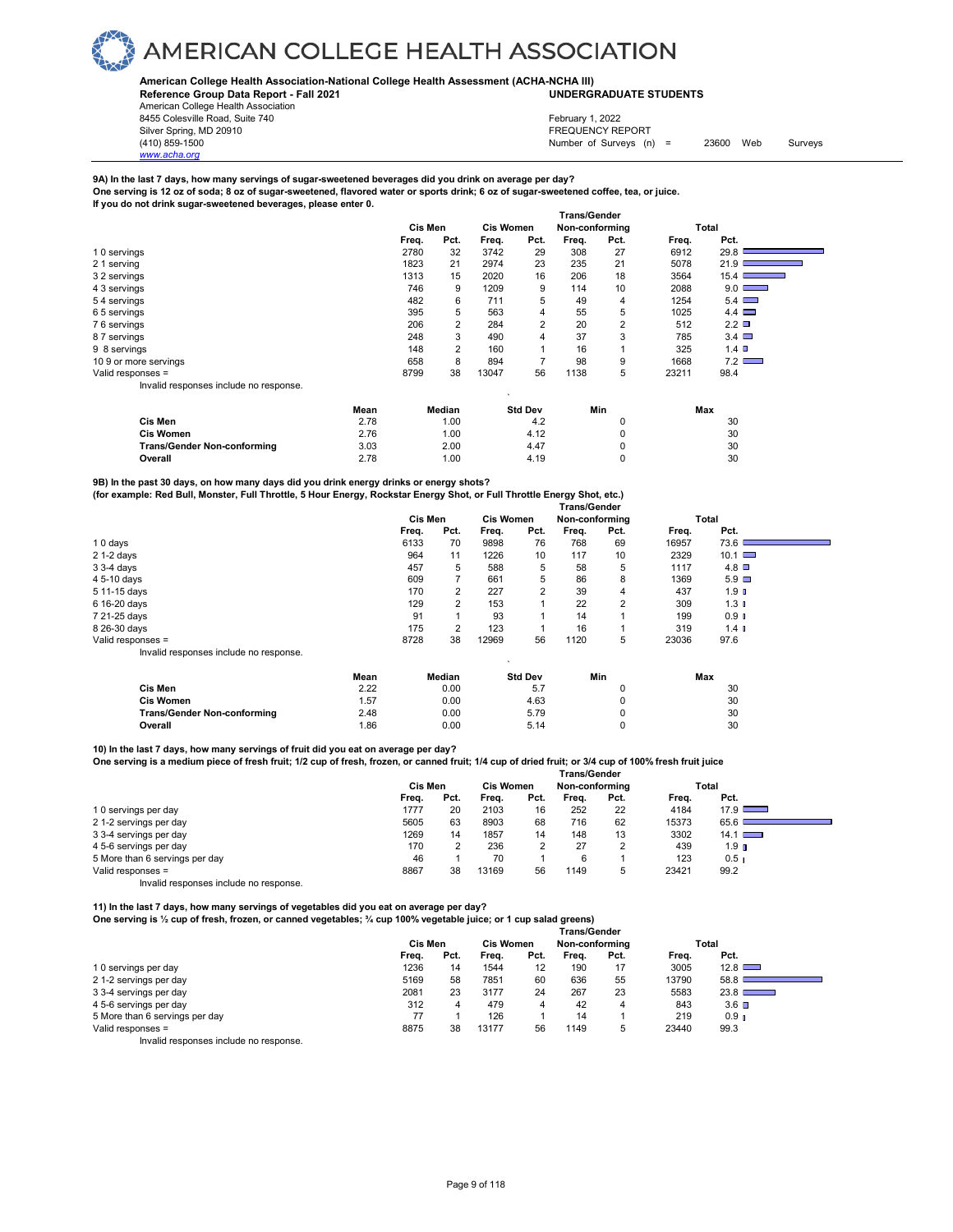

### **American College Health Association-National College Health Assessment (ACHA-NCHA III)**

**Reference Group Data Report - Fall 2021 UNDERGRADUATE STUDENTS**

American College Health Association 8455 Colesville Road, Suite 740 Silver Spring, MD 20910<br>
1990 - The Source of Surveys (n) San American Structure (1990)<br>
Surveys (n) Number of Surveys (n)

*www.acha.org*

Number of Surveys (n) = 23600 Web Surveys February 1, 2022

### **9A) In the last 7 days, how many servings of sugar-sweetened beverages did you drink on average per day?**

**One serving is 12 oz of soda; 8 oz of sugar-sweetened, flavored water or sports drink; 6 oz of sugar-sweetened coffee, tea, or juice. If you do not drink sugar-sweetened beverages, please enter 0.**

|                                        |         | <b>Trans/Gender</b> |                  |                |                |                |       |                  |
|----------------------------------------|---------|---------------------|------------------|----------------|----------------|----------------|-------|------------------|
|                                        | Cis Men |                     | <b>Cis Women</b> |                | Non-conforming |                |       | Total            |
|                                        | Freq.   | Pct.                | Freq.            | Pct.           | Freq.          | Pct.           | Freq. | Pct.             |
| 10 servings                            | 2780    | 32                  | 3742             | 29             | 308            | 27             | 6912  | 29.8             |
| 2 1 serving                            | 1823    | 21                  | 2974             | 23             | 235            | 21             | 5078  | 21.9             |
| 3 2 servings                           | 1313    | 15                  | 2020             | 16             | 206            | 18             | 3564  | 15.4             |
| 4 3 servings                           | 746     | 9                   | 1209             | 9              | 114            | 10             | 2088  | $9.0$ $\Box$     |
| 54 servings                            | 482     | 6                   | 711              | 5              | 49             | 4              | 1254  | 5.4              |
| 65 servings                            | 395     | 5                   | 563              | 4              | 55             | 5              | 1025  | 4.4              |
| 76 servings                            | 206     | 2                   | 284              | $\overline{2}$ | 20             | $\overline{2}$ | 512   | 2.2              |
| 87 servings                            | 248     | 3                   | 490              | 4              | 37             | 3              | 785   | $3.4$ $\Box$     |
| 9 8 servings                           | 148     | 2                   | 160              |                | 16             |                | 325   | 1.4 <sup>°</sup> |
| 10 9 or more servings                  | 658     | 8                   | 894              | $\overline{ }$ | 98             | 9              | 1668  | 7.2              |
| Valid responses =                      | 8799    | 38                  | 13047            | 56             | 1138           | 5              | 23211 | 98.4             |
| Invalid responses include no response. |         |                     |                  |                |                |                |       |                  |

|                                    | Mean | Median | <b>Std Dev</b> | Min | Max |
|------------------------------------|------|--------|----------------|-----|-----|
| Cis Men                            | 2.78 | 0.00   | 4.2            |     | 30  |
| <b>Cis Women</b>                   | 2.76 | 0.00   | 4.12           |     | 30  |
| <b>Trans/Gender Non-conforming</b> | 3.03 | 2.00   | 4.47           |     | 30  |
| Overall                            | 2.78 | 00.1   | 4.19           |     | 30  |

**9B) In the past 30 days, on how many days did you drink energy drinks or energy shots? (for example: Red Bull, Monster, Full Throttle, 5 Hour Energy, Rockstar Energy Shot, or Full Throttle Energy Shot, etc.)** 

|                                        | <b>Trans/Gender</b> |       |                |         |                  |                |      |       |                      |  |
|----------------------------------------|---------------------|-------|----------------|---------|------------------|----------------|------|-------|----------------------|--|
|                                        |                     |       | <b>Cis Men</b> |         | <b>Cis Women</b> | Non-conforming |      |       | Total                |  |
|                                        |                     | Freq. | Pct.           | Freq.   | Pct.             | Freq.          | Pct. | Freq. | Pct.                 |  |
| 10 days                                |                     | 6133  | 70             | 9898    | 76               | 768            | 69   | 16957 | 73.6                 |  |
| $21-2$ days                            |                     | 964   | 11             | 1226    | 10               | 117            | 10   | 2329  | $10.1$ $\Box$        |  |
| $33-4$ days                            |                     | 457   | 5              | 588     | 5                | 58             | 5    | 1117  | $4.8$ $\Box$         |  |
| 4 5-10 days                            |                     | 609   |                | 661     | 5                | 86             | 8    | 1369  | $5.9$ $\Box$         |  |
| 5 11-15 days                           |                     | 170   | 2              | 227     | $\overline{2}$   | 39             | 4    | 437   | 1.9 <sub>II</sub>    |  |
| 6 16-20 days                           |                     | 129   | 2              | 153     |                  | 22             | 2    | 309   | 1.3 <sub>1</sub>     |  |
| 7 21-25 days                           |                     | 91    |                | 93      |                  | 14             |      | 199   | $0.9$ $\blacksquare$ |  |
| 8 26-30 days                           |                     | 175   | $\overline{2}$ | 123     |                  | 16             |      | 319   | 1.4 <sub>0</sub>     |  |
| Valid responses =                      |                     | 8728  | 38             | 12969   | 56               | 1120           | 5    | 23036 | 97.6                 |  |
| Invalid responses include no response. |                     |       |                | $\cdot$ |                  |                |      |       |                      |  |
|                                        | Mean                |       | Median         |         | <b>Std Dev</b>   |                | Min  |       | Max                  |  |
| <b>Cis Men</b>                         | 2.22                |       | 0.00           |         | 5.7              |                | 0    |       | 30                   |  |

**Cis Women** 1.57 0.00 4.63 0 30 **Trans/Gender Non-conforming**  $2.48$  **0.00 5.79 0 30 30 Overall** 1.86 0.00 5.14 0 30

**10) In the last 7 days, how many servings of fruit did you eat on average per day?** 

**One serving is a medium piece of fresh fruit; 1/2 cup of fresh, frozen, or canned fruit; 1/4 cup of dried fruit; or 3/4 cup of 100% fresh fruit juice** 

|                                        | <b>Trans/Gender</b> |      |       |                  |       |                |       |                  |  |  |
|----------------------------------------|---------------------|------|-------|------------------|-------|----------------|-------|------------------|--|--|
|                                        | Cis Men             |      |       | <b>Cis Women</b> |       | Non-conforming |       | Total            |  |  |
|                                        | Freq.               | Pct. | Frea. | Pct.             | Frea. | Pct.           | Frea. | Pct.             |  |  |
| 10 servings per day                    | 1777                | 20   | 2103  | 16               | 252   | 22             | 4184  | $17.9$ $\Box$    |  |  |
| 21-2 servings per day                  | 5605                | 63   | 8903  | 68               | 716   | 62             | 15373 | 65.6             |  |  |
| 3 3-4 servings per day                 | 1269                | 14   | 1857  | 14               | 148   | 13             | 3302  | $14.1$ $\Box$    |  |  |
| 4 5-6 servings per day                 | 170                 |      | 236   |                  | 27    | 2              | 439   | 1.9 <sub>n</sub> |  |  |
| 5 More than 6 servings per day         | 46                  |      | 70    |                  | 6     |                | 123   | 0.5 <sub>1</sub> |  |  |
| Valid responses =                      | 8867                | 38   | 13169 | 56               | 1149  | 5              | 23421 | 99.2             |  |  |
| Invalid responses include no response. |                     |      |       |                  |       |                |       |                  |  |  |

**11) In the last 7 days, how many servings of vegetables did you eat on average per day?** 

**One serving is ½ cup of fresh, frozen, or canned vegetables; ¾ cup 100% vegetable juice; or 1 cup salad greens)**

|                                        | <b>Trans/Gender</b> |      |                  |      |       |                |       |                   |  |
|----------------------------------------|---------------------|------|------------------|------|-------|----------------|-------|-------------------|--|
|                                        | Cis Men             |      | <b>Cis Women</b> |      |       | Non-conforming |       | Total             |  |
|                                        | Freq.               | Pct. | Freq.            | Pct. | Frea. | Pct.           | Freq. | Pct.              |  |
| 10 servings per day                    | 1236                | 14   | 1544             | 12   | 190   | 17             | 3005  | 12.8              |  |
| 21-2 servings per day                  | 5169                | 58   | 7851             | 60   | 636   | 55             | 13790 | 58.8              |  |
| 3 3-4 servings per day                 | 2081                | 23   | 3177             | 24   | 267   | 23             | 5583  | 23.8 <sub>1</sub> |  |
| 4 5-6 servings per day                 | 312                 | 4    | 479              | 4    | 42    | 4              | 843   | $3.6$ $\Box$      |  |
| 5 More than 6 servings per day         | 77                  |      | 126              |      | 14    |                | 219   | 0.9 <sub>1</sub>  |  |
| Valid responses =                      | 8875                | 38   | 13177            | 56   | 1149  | b              | 23440 | 99.3              |  |
| Invalid responses include no response. |                     |      |                  |      |       |                |       |                   |  |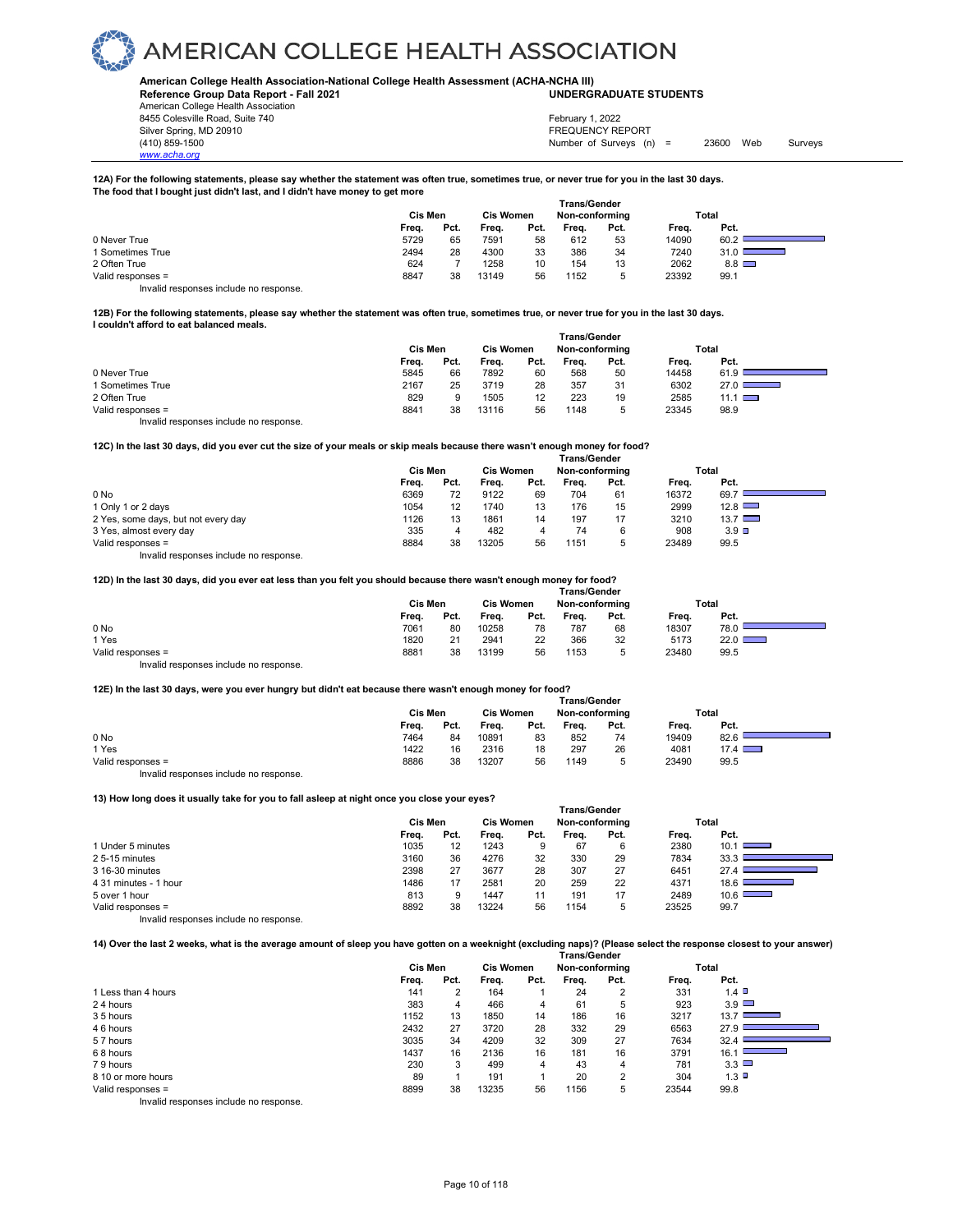### **American College Health Association-National College Health Assessment (ACHA-NCHA III)**

**Reference Group Data Report - Fall 2021 UNDERGRADUATE STUDENTS**

American College Health Association 8455 Colesville Road, Suite 740 Silver Spring, MD 20910<br>
1990 - The Source of Surveys (n) San American Structure (1990)<br>
Surveys (n) Number of Surveys (n)

*www.acha.org*

Number of Surveys  $(n)$  = 23600 Web Surveys February 1, 2022

### **12A) For the following statements, please say whether the statement was often true, sometimes true, or never true for you in the last 30 days. The food that I bought just didn't last, and I didn't have money to get more**

|                                        | Trans/Gender |      |                  |      |                |      |       |            |  |  |
|----------------------------------------|--------------|------|------------------|------|----------------|------|-------|------------|--|--|
|                                        | Cis Men      |      | <b>Cis Women</b> |      | Non-conforming |      |       | Total      |  |  |
|                                        | Freq.        | Pct. | Frea.            | Pct. | Frea.          | Pct. | Frea. | Pct.       |  |  |
| 0 Never True                           | 5729         | 65   | 7591             | 58   | 612            | 53   | 14090 | 60.2       |  |  |
| 1 Sometimes True                       | 2494         | 28   | 4300             | 33   | 386            | 34   | 7240  | $31.0$ D   |  |  |
| 2 Often True                           | 624          |      | 1258             | 10   | 154            | 13   | 2062  | $8.8 \Box$ |  |  |
| Valid responses =                      | 8847         | 38   | 13149            | 56   | 1152           | 5    | 23392 | 99.1       |  |  |
| Invalid responses include no response. |              |      |                  |      |                |      |       |            |  |  |

### **12B) For the following statements, please say whether the statement was often true, sometimes true, or never true for you in the last 30 days. I couldn't afford to eat balanced meals.**

|                                        | Trans/Gender |      |                  |      |                |      |       |                |  |  |
|----------------------------------------|--------------|------|------------------|------|----------------|------|-------|----------------|--|--|
|                                        | Cis Men      |      | <b>Cis Women</b> |      | Non-conforming |      |       | Total          |  |  |
|                                        | Freq.        | Pct. | Freq.            | Pct. | Frea.          | Pct. | Freq. | Pct.           |  |  |
| 0 Never True                           | 5845         | 66   | 7892             | 60   | 568            | 50   | 14458 | 61.9           |  |  |
| 1 Sometimes True                       | 2167         | 25   | 3719             | 28   | 357            | 31   | 6302  | 27.0           |  |  |
| 2 Often True                           | 829          | 9    | 1505             | 12   | 223            | 19   | 2585  | $11.1 \square$ |  |  |
| Valid responses =                      | 8841         | 38   | 13116            | 56   | 1148           | 5    | 23345 | 98.9           |  |  |
| Invalid responses include no response. |              |      |                  |      |                |      |       |                |  |  |

### **12C) In the last 30 days, did you ever cut the size of your meals or skip meals because there wasn't enough money for food?**

|                                        | <b>Trans/Gender</b> |      |                  |      |                |      |       |                 |  |
|----------------------------------------|---------------------|------|------------------|------|----------------|------|-------|-----------------|--|
|                                        | Cis Men             |      | <b>Cis Women</b> |      | Non-conforming |      | Total |                 |  |
|                                        | Freq.               | Pct. | Frea.            | Pct. | Frea.          | Pct. | Freq. | Pct.            |  |
| 0 No                                   | 6369                | 72   | 9122             | 69   | 704            | 61   | 16372 | 69.7            |  |
| 1 Only 1 or 2 days                     | 1054                | 12   | 1740             | 13   | 176            | 15   | 2999  | 12.8            |  |
| 2 Yes, some days, but not every day    | 1126                | 13   | 1861             | 14   | 197            | 17   | 3210  | $13.7$ $\Box$   |  |
| 3 Yes, almost every day                | 335                 | 4    | 482              | 4    | 74             | 6    | 908   | $3.9$ $\square$ |  |
| Valid responses =                      | 8884                | 38   | 13205            | 56   | 1151           | 5    | 23489 | 99.5            |  |
| Invalid responses include no response. |                     |      |                  |      |                |      |       |                 |  |

### **12D) In the last 30 days, did you ever eat less than you felt you should because there wasn't enough money for food?**

|                                        | <b>Trans/Gender</b> |      |                  |      |                |      |       |               |  |  |
|----------------------------------------|---------------------|------|------------------|------|----------------|------|-------|---------------|--|--|
|                                        | Cis Men             |      | <b>Cis Women</b> |      | Non-conforming |      |       | Total         |  |  |
|                                        | Freq.               | Pct. | Freq.            | Pct. | Frea.          | Pct. | Freq. | Pct.          |  |  |
| 0 No                                   | 7061                | 80   | 10258            | 78   | 787            | 68   | 18307 | 78.0          |  |  |
| 1 Yes                                  | 1820                | 21   | 2941             | 22   | 366            | 32   | 5173  | $22.0$ $\Box$ |  |  |
| Valid responses =                      | 8881                | 38   | 13199            | 56   | 1153           | ∽    | 23480 | 99.5          |  |  |
| Invalid responses include no response. |                     |      |                  |      |                |      |       |               |  |  |

### **12E) In the last 30 days, were you ever hungry but didn't eat because there wasn't enough money for food?**

|                                        | <b>Trans/Gender</b> |      |                  |      |                |      |       |               |  |  |
|----------------------------------------|---------------------|------|------------------|------|----------------|------|-------|---------------|--|--|
|                                        | Cis Men             |      | <b>Cis Women</b> |      | Non-conforming |      |       | Total         |  |  |
|                                        | Freq.               | Pct. | Freq.            | Pct. | Freq.          | Pct. | Freq. | Pct.          |  |  |
| 0 No                                   | 7464                | 84   | 10891            | 83   | 852            | 74   | 19409 | 82.6          |  |  |
| 1 Yes                                  | 1422                | 16   | 2316             | 18   | 297            | 26   | 4081  | $17.4$ $\Box$ |  |  |
| Valid responses =                      | 8886                | 38   | 13207            | 56   | 1149           | 5    | 23490 | 99.5          |  |  |
| Invalid responses include no response. |                     |      |                  |      |                |      |       |               |  |  |

### **13) How long does it usually take for you to fall asleep at night once you close your eyes?**

|                                        | <b>Trans/Gender</b> |      |                  |      |                |      |       |                                     |  |  |
|----------------------------------------|---------------------|------|------------------|------|----------------|------|-------|-------------------------------------|--|--|
|                                        | Cis Men             |      | <b>Cis Women</b> |      | Non-conforming |      |       | Total                               |  |  |
|                                        | Freq.               | Pct. | Freq.            | Pct. | Frea.          | Pct. | Freq. | Pct.                                |  |  |
| 1 Under 5 minutes                      | 1035                | 12   | 1243             | 9    | 67             | 6    | 2380  | 10.1<br>$\equiv$                    |  |  |
| 25-15 minutes                          | 3160                | 36   | 4276             | 32   | 330            | 29   | 7834  | 33.3                                |  |  |
| 3 16-30 minutes                        | 2398                | 27   | 3677             | 28   | 307            | 27   | 6451  | 27.4                                |  |  |
| 4 31 minutes - 1 hour                  | 1486                | 17   | 2581             | 20   | 259            | 22   | 4371  | 18.6<br><b>Service Service</b>      |  |  |
| 5 over 1 hour                          | 813                 | 9    | 1447             | 11   | 191            | 17   | 2489  | 10.6 $\Box$<br><b>Service State</b> |  |  |
| Valid responses =                      | 8892                | 38   | 13224            | 56   | 1154           | 5    | 23525 | 99.7                                |  |  |
| Invalid responses include no response. |                     |      |                  |      |                |      |       |                                     |  |  |

**14) Over the last 2 weeks, what is the average amount of sleep you have gotten on a weeknight (excluding naps)? (Please select the response closest to your answer)**

|                     | <b>Trans/Gender</b> |      |                  |      |       |                |       |                                  |  |  |
|---------------------|---------------------|------|------------------|------|-------|----------------|-------|----------------------------------|--|--|
|                     | Cis Men             |      | <b>Cis Women</b> |      |       | Non-conforming |       | Total                            |  |  |
|                     | Freq.               | Pct. | Freq.            | Pct. | Freq. | Pct.           | Freq. | Pct.                             |  |  |
| 1 Less than 4 hours | 141                 | 2    | 164              |      | 24    | 2              | 331   | 1.4                              |  |  |
| 24 hours            | 383                 | 4    | 466              | 4    | 61    | 5              | 923   | $3.9$ $\Box$                     |  |  |
| 35 hours            | 1152                | 13   | 1850             | 14   | 186   | 16             | 3217  | $13.7$ C<br><b>Service State</b> |  |  |
| 46 hours            | 2432                | 27   | 3720             | 28   | 332   | 29             | 6563  | 27.9                             |  |  |
| 57 hours            | 3035                | 34   | 4209             | 32   | 309   | 27             | 7634  | 32.4                             |  |  |
| 68 hours            | 1437                | 16   | 2136             | 16   | 181   | 16             | 3791  | 16.1                             |  |  |
| 79 hours            | 230                 | 3    | 499              | 4    | 43    | 4              | 781   | 3.3                              |  |  |
| 8 10 or more hours  | 89                  |      | 191              |      | 20    | $\overline{2}$ | 304   | $1.3$ D                          |  |  |
| Valid responses =   | 8899                | 38   | 13235            | 56   | 1156  | 5              | 23544 | 99.8                             |  |  |
| .<br>.              |                     |      |                  |      |       |                |       |                                  |  |  |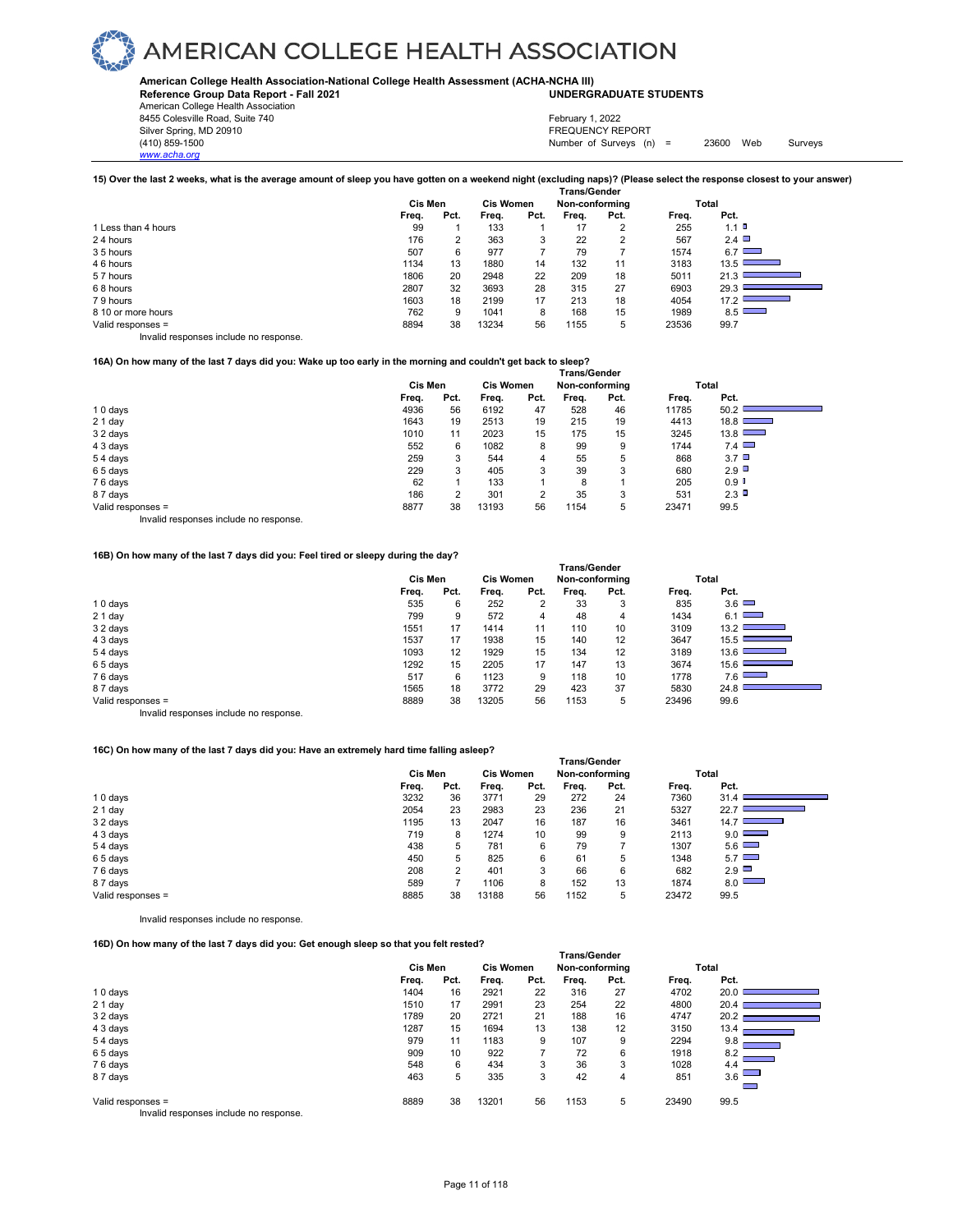**American College Health Association-National College Health Assessment (ACHA-NCHA III) UNDERGRADUATE STUDENTS**

**Reference Group Data Report - Fall 2021** American College Health Association

8455 Colesville Road, Suite 740<br>Silver Spring, MD 20910 8455 Colesville Road, Suite 740 February 1, 2022<br>Silver Spring, MD 20910 FREQUENCY REPORT

*www.acha.org*

(410) 859-1500 Number of Surveys (n) = 23600 Web Surveys

| 15) Over the last 2 weeks, what is the average amount of sleep you have gotten on a weekend night (excluding naps)? (Please select the response closest to your answer) |  |
|-------------------------------------------------------------------------------------------------------------------------------------------------------------------------|--|
|                                                                                                                                                                         |  |

|                                        | Trans/Gender |      |                  |      |                |      |       |                                                                                                                                     |  |  |
|----------------------------------------|--------------|------|------------------|------|----------------|------|-------|-------------------------------------------------------------------------------------------------------------------------------------|--|--|
|                                        | Cis Men      |      | <b>Cis Women</b> |      | Non-conforming |      |       | Total                                                                                                                               |  |  |
|                                        | Freq.        | Pct. | Frea.            | Pct. | Frea.          | Pct. | Frea. | Pct.                                                                                                                                |  |  |
| 1 Less than 4 hours                    | 99           |      | 133              |      | 17             |      | 255   | $1.1$ D                                                                                                                             |  |  |
| 24 hours                               | 176          | 2    | 363              | 3    | 22             | 2    | 567   | $2.4$ $\Box$                                                                                                                        |  |  |
| 35 hours                               | 507          | 6    | 977              |      | 79             |      | 1574  | $6.7$ $\Box$                                                                                                                        |  |  |
| 46 hours                               | 1134         | 13   | 1880             | 14   | 132            | 11   | 3183  | 13.5<br><b>Service Control</b>                                                                                                      |  |  |
| 57 hours                               | 1806         | 20   | 2948             | 22   | 209            | 18   | 5011  | 21.3                                                                                                                                |  |  |
| 68 hours                               | 2807         | 32   | 3693             | 28   | 315            | 27   | 6903  | 29.3<br><u> The Common Second Common Second Common Second Common Second Common Second Common Second Common Second Common Second</u> |  |  |
| 79 hours                               | 1603         | 18   | 2199             | 17   | 213            | 18   | 4054  | 17.2                                                                                                                                |  |  |
| 8 10 or more hours                     | 762          | 9    | 1041             | 8    | 168            | 15   | 1989  | 8.5                                                                                                                                 |  |  |
| Valid responses =                      | 8894         | 38   | 13234            | 56   | 1155           | 5    | 23536 | 99.7                                                                                                                                |  |  |
| Invalid responses include no response. |              |      |                  |      |                |      |       |                                                                                                                                     |  |  |

### **16A) On how many of the last 7 days did you: Wake up too early in the morning and couldn't get back to sleep?**

|                   | Trans/Gender |      |                  |      |                |      |       |                      |  |  |
|-------------------|--------------|------|------------------|------|----------------|------|-------|----------------------|--|--|
|                   | Cis Men      |      | <b>Cis Women</b> |      | Non-conforming |      |       | Total                |  |  |
|                   | Freq.        | Pct. | Freq.            | Pct. | Freq.          | Pct. | Freq. | Pct.                 |  |  |
| 10 days           | 4936         | 56   | 6192             | 47   | 528            | 46   | 11785 | 50.2                 |  |  |
| $21$ day          | 1643         | 19   | 2513             | 19   | 215            | 19   | 4413  | 18.8                 |  |  |
| 3 2 days          | 1010         | 11   | 2023             | 15   | 175            | 15   | 3245  | 13.8                 |  |  |
| 4 3 days          | 552          | 6    | 1082             | 8    | 99             | 9    | 1744  | 7.4                  |  |  |
| 54 days           | 259          | 3    | 544              | 4    | 55             | 5    | 868   | $3.7\Box$            |  |  |
| 65 days           | 229          | 3    | 405              | 3    | 39             | 3    | 680   | 2.9                  |  |  |
| 76 days           | 62           |      | 133              |      | 8              |      | 205   | $0.9$ $\blacksquare$ |  |  |
| 87 days           | 186          | 2    | 301              | 2    | 35             | 3    | 531   | 2.3                  |  |  |
| Valid responses = | 8877         | 38   | 13193            | 56   | 1154           | 5    | 23471 | 99.5                 |  |  |
| .<br>.            |              |      |                  |      |                |      |       |                      |  |  |

Invalid responses include no response.

### **16B) On how many of the last 7 days did you: Feel tired or sleepy during the day?**

|                   | <b>Trans/Gender</b> |         |       |                  |       |                |       |                                                             |  |  |
|-------------------|---------------------|---------|-------|------------------|-------|----------------|-------|-------------------------------------------------------------|--|--|
|                   |                     | Cis Men |       | <b>Cis Women</b> |       | Non-conforming |       | Total                                                       |  |  |
|                   | Freq.               | Pct.    | Freq. | Pct.             | Freq. | Pct.           | Freq. | Pct.                                                        |  |  |
| 10 days           | 535                 | 6       | 252   | 2                | 33    | 3              | 835   | $3.6$ $\Box$                                                |  |  |
| 21 day            | 799                 | 9       | 572   | 4                | 48    | 4              | 1434  | 6.1<br><b>The Contract</b>                                  |  |  |
| 3 2 days          | 1551                | 17      | 1414  | 11               | 110   | 10             | 3109  | 13.2<br><b>Service Contract</b>                             |  |  |
| 4 3 days          | 1537                | 17      | 1938  | 15               | 140   | 12             | 3647  | 15.5<br>the control of the control of                       |  |  |
| 54 days           | 1093                | 12      | 1929  | 15               | 134   | 12             | 3189  | $13.6$ I<br><b>Contract Contract</b>                        |  |  |
| 65 days           | 1292                | 15      | 2205  | 17               | 147   | 13             | 3674  | 15.6                                                        |  |  |
| 76 days           | 517                 | 6       | 1123  | 9                | 118   | 10             | 1778  | 7.6                                                         |  |  |
| 87 days           | 1565                | 18      | 3772  | 29               | 423   | 37             | 5830  | 24.8<br><u> The Common Section of the Common Section of</u> |  |  |
| Valid responses = | 8889                | 38      | 13205 | 56               | 1153  | 5              | 23496 | 99.6                                                        |  |  |
|                   |                     |         |       |                  |       |                |       |                                                             |  |  |

Invalid responses include no response.

### **16C) On how many of the last 7 days did you: Have an extremely hard time falling asleep?**

|                   | ı rans/Gender |      |                  |      |                |      |       |              |  |
|-------------------|---------------|------|------------------|------|----------------|------|-------|--------------|--|
|                   | Cis Men       |      | <b>Cis Women</b> |      | Non-conforming |      |       | Total        |  |
|                   | Freq.         | Pct. | Freq.            | Pct. | Freq.          | Pct. | Freq. | Pct.         |  |
| 10 days           | 3232          | 36   | 3771             | 29   | 272            | 24   | 7360  | 31.4         |  |
| $21$ day          | 2054          | 23   | 2983             | 23   | 236            | 21   | 5327  | 22.7         |  |
| 32 days           | 1195          | 13   | 2047             | 16   | 187            | 16   | 3461  | 14.7         |  |
| 4 3 days          | 719           | 8    | 1274             | 10   | 99             | 9    | 2113  | $9.0$ $\Box$ |  |
| 54 days           | 438           | 5    | 781              | 6    | 79             |      | 1307  | 5.6          |  |
| 65 days           | 450           | 5    | 825              | 6    | 61             | 5    | 1348  | 5.7          |  |
| 76 days           | 208           | 2    | 401              | 3    | 66             | 6    | 682   | 2.9          |  |
| 87 days           | 589           |      | 1106             | 8    | 152            | 13   | 1874  | 8.0          |  |
| Valid responses = | 8885          | 38   | 13188            | 56   | 1152           | 5    | 23472 | 99.5         |  |

 **Trans/Gender**

Invalid responses include no response.

**16D) On how many of the last 7 days did you: Get enough sleep so that you felt rested?** 

|                                        | <b>Trans/Gender</b> |      |                  |      |                |      |       |                                  |  |  |  |  |
|----------------------------------------|---------------------|------|------------------|------|----------------|------|-------|----------------------------------|--|--|--|--|
|                                        | Cis Men             |      | <b>Cis Women</b> |      | Non-conforming |      |       | Total                            |  |  |  |  |
|                                        | Freq.               | Pct. | Freq.            | Pct. | Freq.          | Pct. | Freq. | Pct.                             |  |  |  |  |
| 10 days                                | 1404                | 16   | 2921             | 22   | 316            | 27   | 4702  | 20.0                             |  |  |  |  |
| $21$ day                               | 1510                | 17   | 2991             | 23   | 254            | 22   | 4800  | 20.4                             |  |  |  |  |
| 32 days                                | 1789                | 20   | 2721             | 21   | 188            | 16   | 4747  | 20.2 <sub>1</sub>                |  |  |  |  |
| 4 3 days                               | 1287                | 15   | 1694             | 13   | 138            | 12   | 3150  | 13.4<br><b>Contract Contract</b> |  |  |  |  |
| 54 days                                | 979                 | 11   | 1183             | 9    | 107            | 9    | 2294  | 9.8                              |  |  |  |  |
| 65 days                                | 909                 | 10   | 922              | 7    | 72             | 6    | 1918  | 8.2<br><b>Service</b>            |  |  |  |  |
| 76 days                                | 548                 | 6    | 434              | 3    | 36             | 3    | 1028  | 4.4                              |  |  |  |  |
| 87 days                                | 463                 | 5    | 335              | 3    | 42             | 4    | 851   | 3.6                              |  |  |  |  |
| Valid responses =                      | 8889                | 38   | 13201            | 56   | 1153           | 5    | 23490 | 99.5                             |  |  |  |  |
| Invalid responses include no response. |                     |      |                  |      |                |      |       |                                  |  |  |  |  |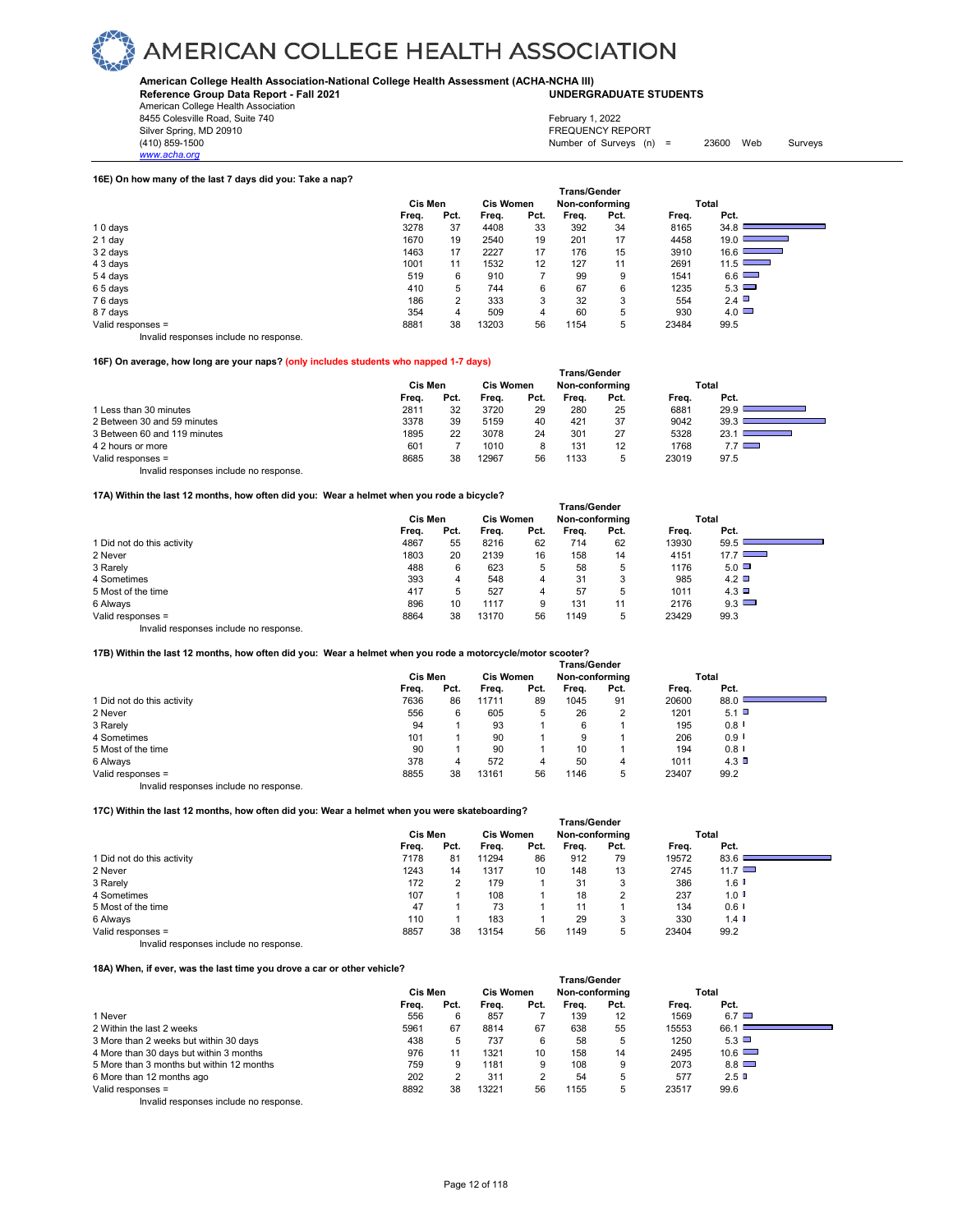**American College Health Association-National College Health Assessment (ACHA-NCHA III) UNDERGRADUATE STUDENTS**

**Reference Group Data Report - Fall 2021** American College Health Association

8455 Colesville Road, Suite 740 Silver Spring, MD 20910<br>
(410) 859-1500<br>
Mumber of Surveys (n)

*www.acha.org*

February 1, 2022

Number of Surveys  $(n) = 23600$  Web Surveys

### **16E) On how many of the last 7 days did you: Take a nap?**

|                                        | <b>Trans/Gender</b> |      |       |                  |       |                |       |                                  |  |  |  |
|----------------------------------------|---------------------|------|-------|------------------|-------|----------------|-------|----------------------------------|--|--|--|
|                                        | Cis Men             |      |       | <b>Cis Women</b> |       | Non-conforming |       | Total                            |  |  |  |
|                                        | Freq.               | Pct. | Freq. | Pct.             | Freq. | Pct.           | Freq. | Pct.                             |  |  |  |
| 10 days                                | 3278                | 37   | 4408  | 33               | 392   | 34             | 8165  | 34.8                             |  |  |  |
| $21$ day                               | 1670                | 19   | 2540  | 19               | 201   | 17             | 4458  | 19.0<br><u> a shekara ta 198</u> |  |  |  |
| 32 days                                | 1463                | 17   | 2227  | 17               | 176   | 15             | 3910  | 16.6 $\Box$                      |  |  |  |
| 4 3 days                               | 1001                | 11   | 1532  | 12               | 127   | 11             | 2691  | 11.5                             |  |  |  |
| 54 days                                | 519                 | 6    | 910   |                  | 99    | 9              | 1541  | 6.6                              |  |  |  |
| 65 days                                | 410                 | 5    | 744   | 6                | 67    | 6              | 1235  | 5.3                              |  |  |  |
| 76 days                                | 186                 | 2    | 333   | 3                | 32    | 3              | 554   | 2.4                              |  |  |  |
| 87 days                                | 354                 | 4    | 509   | 4                | 60    | 5              | 930   | $4.0$ $\Box$                     |  |  |  |
| Valid responses =                      | 8881                | 38   | 13203 | 56               | 1154  | 5              | 23484 | 99.5                             |  |  |  |
| Invalid responses include no response. |                     |      |       |                  |       |                |       |                                  |  |  |  |

### **16F) On average, how long are your naps? (only includes students who napped 1-7 days)**

|                                        | <b>Trans/Gender</b> |      |                  |      |                |      |       |            |  |  |  |
|----------------------------------------|---------------------|------|------------------|------|----------------|------|-------|------------|--|--|--|
|                                        | Cis Men             |      | <b>Cis Women</b> |      | Non-conforming |      |       | Total      |  |  |  |
|                                        | Frea.               | Pct. | Frea.            | Pct. | Frea.          | Pct. | Frea. | Pct.       |  |  |  |
| 1 Less than 30 minutes                 | 2811                | 32   | 3720             | 29   | 280            | 25   | 6881  | 29.9       |  |  |  |
| 2 Between 30 and 59 minutes            | 3378                | 39   | 5159             | 40   | 421            | 37   | 9042  | 39.3       |  |  |  |
| 3 Between 60 and 119 minutes           | 1895                | 22   | 3078             | 24   | 301            | 27   | 5328  | 23.1       |  |  |  |
| 4 2 hours or more                      | 601                 |      | 1010             | 8    | 131            | 12   | 1768  | $7.7 \Box$ |  |  |  |
| Valid responses =                      | 8685                | 38   | 12967            | 56   | 1133           | 5    | 23019 | 97.5       |  |  |  |
| Invalid responses include no response. |                     |      |                  |      |                |      |       |            |  |  |  |

### **17A) Within the last 12 months, how often did you: Wear a helmet when you rode a bicycle?**

|                                        | <b>Trans/Gender</b> |      |                  |      |                |      |       |               |  |  |
|----------------------------------------|---------------------|------|------------------|------|----------------|------|-------|---------------|--|--|
|                                        | Cis Men             |      | <b>Cis Women</b> |      | Non-conforming |      |       | Total         |  |  |
|                                        | Freq.               | Pct. | Freq.            | Pct. | Freq.          | Pct. | Freq. | Pct.          |  |  |
| 1 Did not do this activity             | 4867                | 55   | 8216             | 62   | 714            | 62   | 13930 | 59.5          |  |  |
| 2 Never                                | 1803                | 20   | 2139             | 16   | 158            | 14   | 4151  | $17.7$ $\Box$ |  |  |
| 3 Rarely                               | 488                 | 6    | 623              | 5    | 58             | 5    | 1176  | $5.0$ $\Box$  |  |  |
| 4 Sometimes                            | 393                 | 4    | 548              | 4    | 31             | 3    | 985   | $4.2$ $\Box$  |  |  |
| 5 Most of the time                     | 417                 | 5    | 527              | 4    | 57             | 5    | 1011  | 4.3           |  |  |
| 6 Always                               | 896                 | 10   | 1117             | 9    | 131            | 11   | 2176  | $9.3$ $\Box$  |  |  |
| Valid responses =                      | 8864                | 38   | 13170            | 56   | 1149           | 5    | 23429 | 99.3          |  |  |
| Invalid responses include no response. |                     |      |                  |      |                |      |       |               |  |  |

### **17B) Within the last 12 months, how often did you: Wear a helmet when you rode a motorcycle/motor scooter?**

|                            | <b>Trans/Gender</b> |      |                  |      |                |      |       |         |  |  |  |  |
|----------------------------|---------------------|------|------------------|------|----------------|------|-------|---------|--|--|--|--|
|                            | Cis Men             |      | <b>Cis Women</b> |      | Non-conforming |      | Total |         |  |  |  |  |
|                            | Freq.               | Pct. | Freq.            | Pct. | Freq.          | Pct. | Freq. | Pct.    |  |  |  |  |
| 1 Did not do this activity | 7636                | 86   | 11711            | 89   | 1045           | 91   | 20600 | 88.0    |  |  |  |  |
| 2 Never                    | 556                 | 6    | 605              | 5    | 26             | 2    | 1201  | 5.1     |  |  |  |  |
| 3 Rarely                   | 94                  |      | 93               |      | 6              |      | 195   | 0.8     |  |  |  |  |
| 4 Sometimes                | 101                 |      | 90               |      | 9              |      | 206   | $0.9$ I |  |  |  |  |
| 5 Most of the time         | 90                  |      | 90               |      | 10             |      | 194   | 0.8     |  |  |  |  |
| 6 Always                   | 378                 | 4    | 572              | 4    | 50             | 4    | 1011  | 4.3     |  |  |  |  |
| Valid responses =          | 8855                | 38   | 13161            | 56   | 1146           | b    | 23407 | 99.2    |  |  |  |  |
| $\cdots$ $\cdots$<br>.     |                     |      |                  |      |                |      |       |         |  |  |  |  |

Invalid responses include no response.

### **17C) Within the last 12 months, how often did you: Wear a helmet when you were skateboarding?**

|                                        | <b>Trans/Gender</b> |      |                  |      |                |      |       |                      |  |  |  |
|----------------------------------------|---------------------|------|------------------|------|----------------|------|-------|----------------------|--|--|--|
|                                        | Cis Men             |      | <b>Cis Women</b> |      | Non-conforming |      |       | Total                |  |  |  |
|                                        | Freq.               | Pct. | Freq.            | Pct. | Freq.          | Pct. | Frea. | Pct.                 |  |  |  |
| 1 Did not do this activity             | 7178                | 81   | 11294            | 86   | 912            | 79   | 19572 | 83.6                 |  |  |  |
| 2 Never                                | 1243                | 14   | 1317             | 10   | 148            | 13   | 2745  | 11.7 $\Box$          |  |  |  |
| 3 Rarely                               | 172                 | 2    | 179              |      | 31             | 3    | 386   | $1.6$ $\blacksquare$ |  |  |  |
| 4 Sometimes                            | 107                 |      | 108              |      | 18             |      | 237   | $1.0$ I              |  |  |  |
| 5 Most of the time                     | 47                  |      | 73               |      | 11             |      | 134   | $0.6$ $\blacksquare$ |  |  |  |
| 6 Always                               | 110                 |      | 183              |      | 29             |      | 330   | $1.4$ $\blacksquare$ |  |  |  |
| Valid responses =                      | 8857                | 38   | 13154            | 56   | 149            | 5    | 23404 | 99.2                 |  |  |  |
| Invalid responses include no response. |                     |      |                  |      |                |      |       |                      |  |  |  |

### **18A) When, if ever, was the last time you drove a car or other vehicle?**

|                                                                | <b>Trans/Gender</b> |      |                  |      |                |      |       |               |  |  |  |  |  |
|----------------------------------------------------------------|---------------------|------|------------------|------|----------------|------|-------|---------------|--|--|--|--|--|
|                                                                | Cis Men             |      | <b>Cis Women</b> |      | Non-conforming |      | Total |               |  |  |  |  |  |
|                                                                | Frea.               | Pct. | Frea.            | Pct. | Frea.          | Pct. | Frea. | Pct.          |  |  |  |  |  |
| 1 Never                                                        | 556                 | 6    | 857              |      | 139            | 12   | 1569  | $6.7$ $\Box$  |  |  |  |  |  |
| 2 Within the last 2 weeks                                      | 5961                | 67   | 8814             | 67   | 638            | 55   | 15553 | 66.1          |  |  |  |  |  |
| 3 More than 2 weeks but within 30 days                         | 438                 | 5    | 737              |      | 58             |      | 1250  | $5.3$ $\Box$  |  |  |  |  |  |
| 4 More than 30 days but within 3 months                        | 976                 | 11   | 1321             | 10   | 158            | 14   | 2495  | $10.6$ $\Box$ |  |  |  |  |  |
| 5 More than 3 months but within 12 months                      | 759                 | 9    | 1181             |      | 108            |      | 2073  | 8.8           |  |  |  |  |  |
| 6 More than 12 months ago                                      | 202                 |      | 311              |      | 54             |      | 577   | 2.5           |  |  |  |  |  |
| Valid responses =                                              | 8892                | 38   | 13221            | 56   | 1155           | 5    | 23517 | 99.6          |  |  |  |  |  |
| the control are a series and the attention and are a series of |                     |      |                  |      |                |      |       |               |  |  |  |  |  |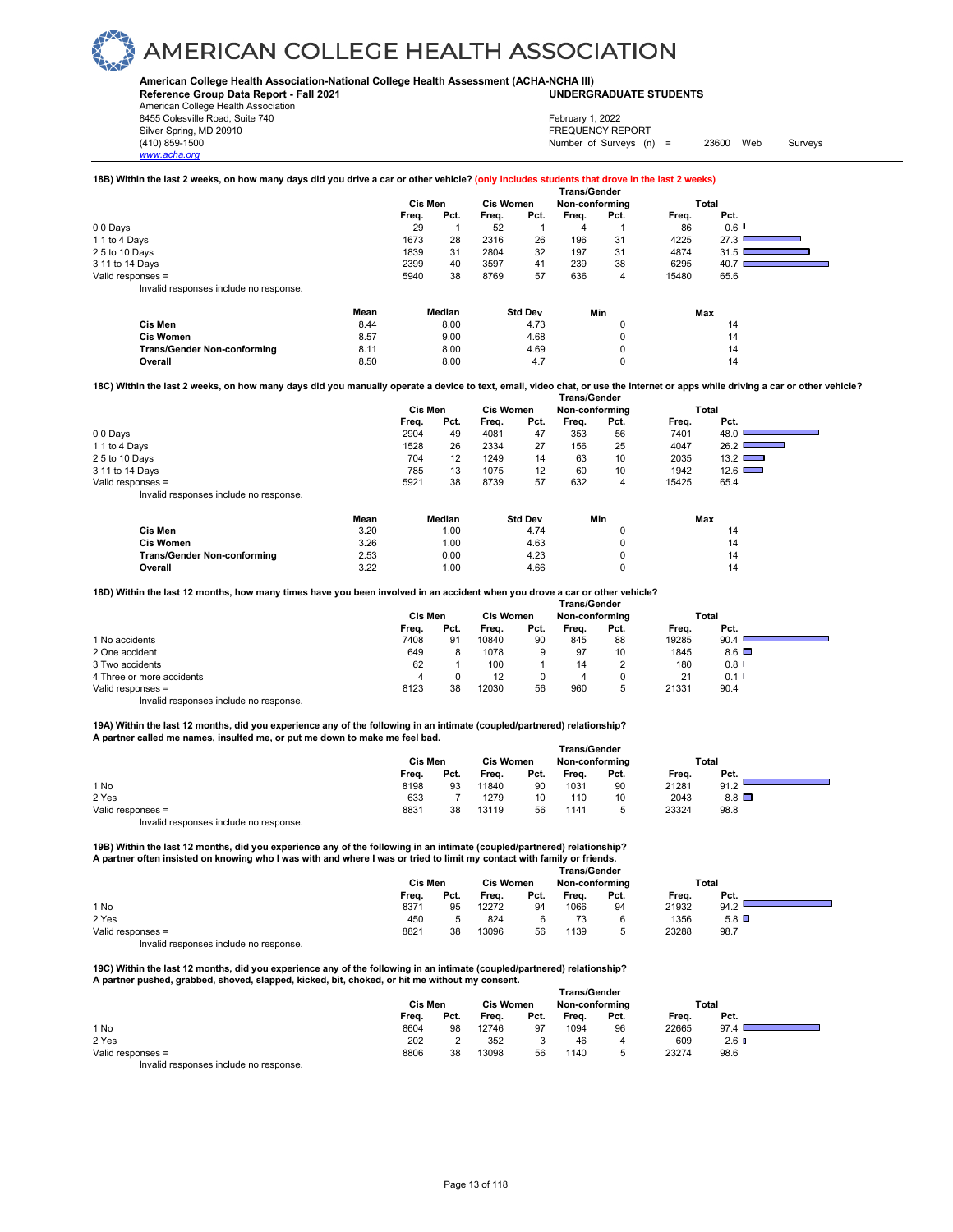**American College Health Association-National College Health Assessment (ACHA-NCHA III) UNDERGRADUATE STUDENTS**

**Reference Group Data Report - Fall 2021** American College Health Association

8455 Colesville Road, Suite 740 Silver Spring, MD 20910<br>
1990 - The Spring, MD 20910<br>
1990 - The Survey Structure of Surveys (notation of Surveys (notation of Surveys (notation of Surveys (notati *www.acha.org*

## February 1, 2022

Number of Surveys (n) = 23600 Web Surveys

### **18B) Within the last 2 weeks, on how many days did you drive a car or other vehicle? (only includes students that drove in the last 2 weeks)**

|                                            | <b>Trans/Gender</b> |        |                  |                |                |          |       |                      |  |  |  |
|--------------------------------------------|---------------------|--------|------------------|----------------|----------------|----------|-------|----------------------|--|--|--|
|                                            | Cis Men             |        | <b>Cis Women</b> |                | Non-conforming |          |       | Total                |  |  |  |
|                                            | Freq.               | Pct.   | Freq.            | Pct.           | Frea.          | Pct.     | Freq. | Pct.                 |  |  |  |
| 00 Days                                    | 29                  |        | 52               |                |                |          | 86    | $0.6$ $\blacksquare$ |  |  |  |
| 1 1 to 4 Days                              | 1673                | 28     | 2316             | 26             | 196            | 31       | 4225  | 27.3                 |  |  |  |
| 25 to 10 Days                              | 1839                | 31     | 2804             | 32             | 197            | 31       | 4874  | 31.5                 |  |  |  |
| 3 11 to 14 Days                            | 2399                | 40     | 3597             | 41             | 239            | 38       | 6295  | 40.7                 |  |  |  |
| Valid responses =                          | 5940                | 38     | 8769             | 57             | 636            | 4        | 15480 | 65.6                 |  |  |  |
| Invalid responses include no response.     |                     |        |                  |                |                |          |       |                      |  |  |  |
| Mean                                       |                     | Median |                  | <b>Std Dev</b> | Min            |          |       | Max                  |  |  |  |
| Cis Men<br>8.44                            |                     | 8.00   |                  | 4.73           |                |          |       | 14                   |  |  |  |
| 8.57<br><b>Cis Women</b>                   |                     | 9.00   |                  | 4.68           |                | $\Omega$ |       | 14                   |  |  |  |
| 8.11<br><b>Trans/Gender Non-conforming</b> |                     | 8.00   |                  | 4.69           |                |          |       | 14                   |  |  |  |
| 8.50<br>Overall                            |                     | 8.00   |                  | 4.7            |                | 0        |       | 14                   |  |  |  |

**Overall** 8.50 8.00 4.7 0 14 **18C) Within the last 2 weeks, on how many days did you manually operate a device to text, email, video chat, or use the internet or apps while driving a car or other vehicle?** 

|                                        | Trans/Gender |         |      |                  |      |                |      |       |               |  |
|----------------------------------------|--------------|---------|------|------------------|------|----------------|------|-------|---------------|--|
|                                        |              | Cis Men |      | <b>Cis Women</b> |      | Non-conforming |      |       | Total         |  |
|                                        |              | Freq.   | Pct. | Frea.            | Pct. | Freq.          | Pct. | Freq. | Pct.          |  |
| 00 Days                                |              | 2904    | 49   | 4081             | 47   | 353            | 56   | 7401  | 48.0          |  |
| 1 1 to 4 Days                          |              | 1528    | 26   | 2334             | 27   | 156            | 25   | 4047  | 26.2          |  |
| 25 to 10 Days                          |              | 704     | 12   | 1249             | 14   | 63             | 10   | 2035  | 13.2          |  |
| 3 11 to 14 Days                        |              | 785     | 13   | 1075             | 12   | 60             | 10   | 1942  | $12.6$ $\Box$ |  |
| Valid responses =                      |              | 5921    | 38   | 8739             | 57   | 632            | 4    | 15425 | 65.4          |  |
| Invalid responses include no response. |              |         |      |                  |      |                |      |       |               |  |
|                                        | Mean         | Median  |      | <b>Std Dev</b>   |      | Min            |      | Max   |               |  |
| Cis Men                                | 3.20         |         | 1.00 |                  | 4.74 |                |      |       | 14            |  |
|                                        |              |         |      |                  |      |                |      |       |               |  |

| 701111                             | $\mathsf{v}.\mathsf{v}$ | $\cdot\cdot\cdot$ | <b>T.IT</b>    |  |
|------------------------------------|-------------------------|-------------------|----------------|--|
| <b>Cis Women</b>                   | 3.26                    | .00،              | 4.63           |  |
| <b>Trans/Gender Non-conforming</b> | 2.53                    | 0.00              | $\sim$<br>4.ZS |  |
| <b>Dverall</b>                     | ר ה<br>ے.ت              | .00               | 4.66           |  |

**18D) Within the last 12 months, how many times have you been involved in an accident when you drove a car or other vehicle?** 

|                                        | <b>Trans/Gender</b> |      |                  |      |                |      |       |              |  |  |
|----------------------------------------|---------------------|------|------------------|------|----------------|------|-------|--------------|--|--|
|                                        | Cis Men             |      | <b>Cis Women</b> |      | Non-conforming |      | Total |              |  |  |
|                                        | Freq.               | Pct. | Frea.            | Pct. | Frea.          | Pct. | Frea. | Pct.         |  |  |
| 1 No accidents                         | 7408                | 91   | 10840            | 90   | 845            | 88   | 19285 | 90.4         |  |  |
| 2 One accident                         | 649                 | 8    | 1078             | 9    | 97             | 10   | 1845  | $8.6$ $\Box$ |  |  |
| 3 Two accidents                        | 62                  |      | 100              |      | 14             |      | 180   | $0.8$ I      |  |  |
| 4 Three or more accidents              | 4                   |      | 12               |      |                |      | 21    | 0.1          |  |  |
| Valid responses =                      | 8123                | 38   | 12030            | 56   | 960            | 5    | 21331 | 90.4         |  |  |
| Invalid responses include no response. |                     |      |                  |      |                |      |       |              |  |  |

**19A) Within the last 12 months, did you experience any of the following in an intimate (coupled/partnered) relationship? A partner called me names, insulted me, or put me down to make me feel bad.** 

|                                        | Trans/Gender |      |                  |      |                |      |       |                 |  |  |
|----------------------------------------|--------------|------|------------------|------|----------------|------|-------|-----------------|--|--|
|                                        | Cis Men      |      | <b>Cis Women</b> |      | Non-conforming |      |       | Total           |  |  |
|                                        | Freq.        | Pct. | Freq.            | Pct. | Freq.          | Pct. | Freq. | Pct.            |  |  |
| 1 No                                   | 8198         | 93   | 11840            | 90   | 1031           | 90   | 21281 | 91.2            |  |  |
| 2 Yes                                  | 633          |      | 1279             | 10   | 110            | 10   | 2043  | $8.8$ $\square$ |  |  |
| Valid responses =                      | 8831         | 38   | 13119            | 56   | 1141           | 5    | 23324 | 98.8            |  |  |
| Invalid responses include no response. |              |      |                  |      |                |      |       |                 |  |  |

**19B) Within the last 12 months, did you experience any of the following in an intimate (coupled/partnered) relationship?** 

| A partner often insisted on knowing who I was with and where I was or tried to limit my contact with family or friends. |                |           |                     |       |
|-------------------------------------------------------------------------------------------------------------------------|----------------|-----------|---------------------|-------|
|                                                                                                                         |                |           | <b>Trans/Gender</b> |       |
|                                                                                                                         | <b>Cis Men</b> | Cis Women | Non-conformina      | Total |

|                   |       | Cis Men |       | <b>Cis Women</b> |       | Non-conforming |       | Total           |  |
|-------------------|-------|---------|-------|------------------|-------|----------------|-------|-----------------|--|
|                   | Frea. | Pct.    | Freq. | Pct.             | Freq. | Pct.           | Frea. | Pct.            |  |
| 1 No              | 8371  | 95      | 12272 | 94               | 1066  | 94             | 21932 | 94.2            |  |
| 2 Yes             | 450   |         | 824   |                  |       |                | 1356  | $5.8$ $\square$ |  |
| Valid responses = | 8821  | 38      | 13096 | 56               | 1139  |                | 23288 | 98.7            |  |
| .                 |       |         |       |                  |       |                |       |                 |  |

Invalid responses include no response.

**19C) Within the last 12 months, did you experience any of the following in an intimate (coupled/partnered) relationship? A partner pushed, grabbed, shoved, slapped, kicked, bit, choked, or hit me without my consent. Trans/Gender**

|                                       | l rans/Gender |      |                  |      |                |      |       |                  |  |  |
|---------------------------------------|---------------|------|------------------|------|----------------|------|-------|------------------|--|--|
|                                       | Cis Men       |      | <b>Cis Women</b> |      | Non-conforming |      | Total |                  |  |  |
|                                       | Freq.         | Pct. | Freq.            | Pct. | Freq.          | Pct. | Freq. | Pct.             |  |  |
| 1 No                                  | 8604          | 98   | 12746            | 97   | 1094           | 96   | 22665 | 97.4             |  |  |
| 2 Yes                                 | 202           |      | 352              |      | 46             |      | 609   | 2.6 <sub>0</sub> |  |  |
| Valid responses =                     | 8806          | 38   | 13098            | 56   | 1140           | ∽    | 23274 | 98.6             |  |  |
| lauglid responses include no response |               |      |                  |      |                |      |       |                  |  |  |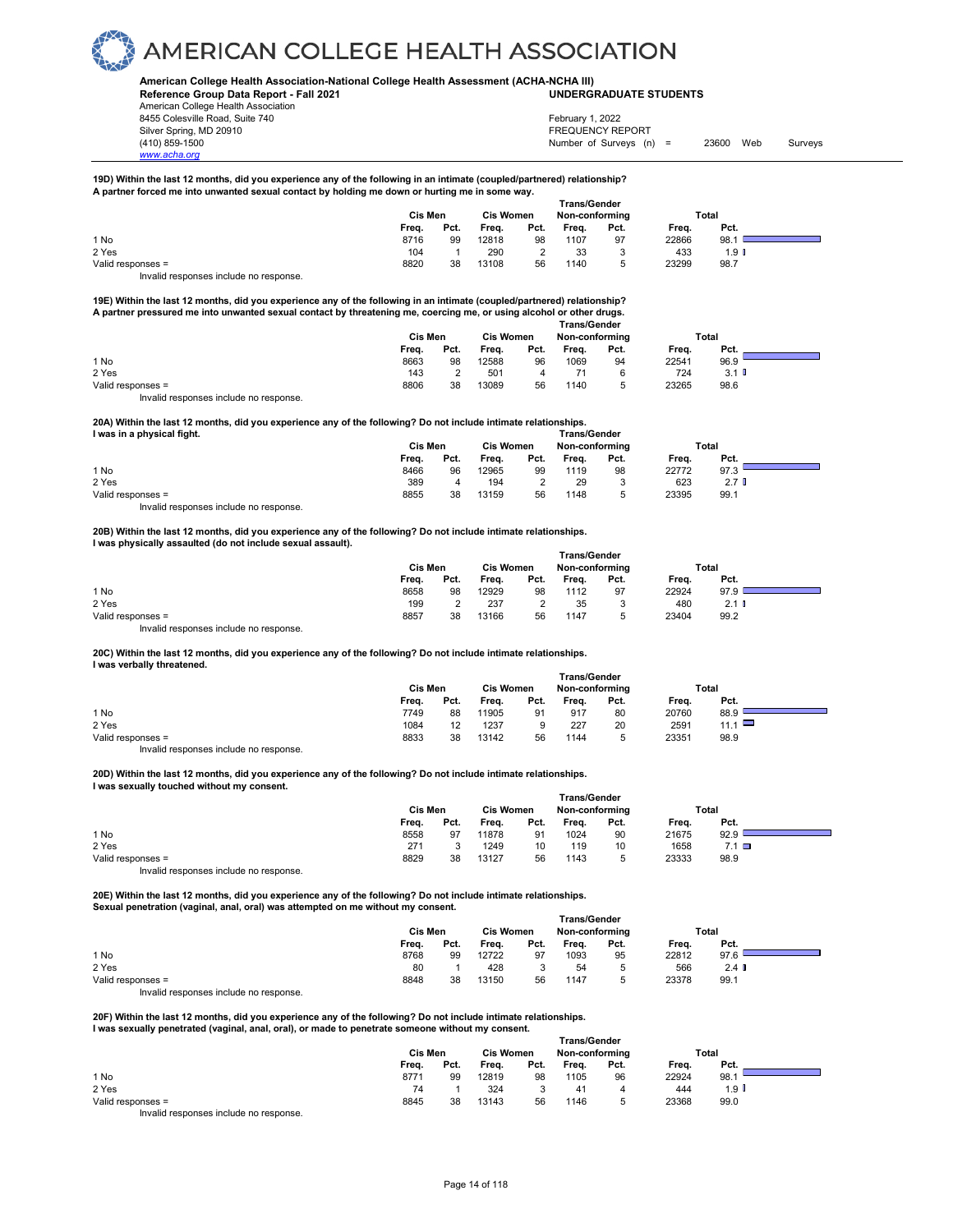**American College Health Association-National College Health Assessment (ACHA-NCHA III) UNDERGRADUATE STUDENTS**

**Reference Group Data Report - Fall 2021** American College Health Association 8455 Colesville Road, Suite 740 Silver Spring, MD 20910<br>
1990 - The Spring, MD 20910<br>
1990 - The Survey Structure of Surveys (notation of Surveys (notation of Surveys (notation of Surveys (notati

*www.acha.org*

February 1, 2022

Number of Surveys (n) = 23600 Web Surveys

#### **19D) Within the last 12 months, did you experience any of the following in an intimate (coupled/partnered) relationship? A partner forced me into unwanted sexual contact by holding me down or hurting me in some way.**

|                                        | <b>Trans/Gender</b> |      |                  |      |                |        |       |                  |  |
|----------------------------------------|---------------------|------|------------------|------|----------------|--------|-------|------------------|--|
|                                        | Cis Men             |      | <b>Cis Women</b> |      | Non-conforming |        | Total |                  |  |
|                                        | Freq.               | Pct. | Frea.            | Pct. | Freq.          | Pct.   | Freq. | Pct.             |  |
| 1 No                                   | 8716                | 99   | 12818            | 98   | 1107           | 97     | 22866 | 98.1             |  |
| 2 Yes                                  | 104                 |      | 290              |      | 33             | 3      | 433   | 1.9 <sub>l</sub> |  |
| Valid responses =                      | 8820                | 38   | 13108            | 56   | 1140           | ∽<br>v | 23299 | 98.7             |  |
| Invalid responses include no response. |                     |      |                  |      |                |        |       |                  |  |

**19E) Within the last 12 months, did you experience any of the following in an intimate (coupled/partnered) relationship? A partner pressured me into unwanted sexual contact by threatening me, coercing me, or using alcohol or other drugs.** 

|                   |         |                  |                 |                | <b>Trans/Gender</b> |                      |       |      |
|-------------------|---------|------------------|-----------------|----------------|---------------------|----------------------|-------|------|
|                   | Cis Men | <b>Cis Women</b> |                 | Non-conforming |                     | Total                |       |      |
|                   | Frea.   | Pct.             | Frea.           | Pct.           | Frea.               | Pct.                 | Frea. | Pct. |
| 1 No              | 8663    | 98               | 12588           | 96             | 1069                | 94                   | 22541 | 96.9 |
| 2 Yes             | 143     |                  | 50 <sup>2</sup> |                |                     |                      | 724   | 3.1  |
| Valid responses = | 8806    | 38               | 13089           | 56             | 1140                | $\ddot{\phantom{1}}$ | 23265 | 98.6 |

Invalid responses include no response.

### **20A) Within the last 12 months, did you experience any of the following? Do not include intimate relationships.**

| I was in a physical fight. | <b>Trans/Gender</b> |      |                  |      |                |      |       |                  |  |
|----------------------------|---------------------|------|------------------|------|----------------|------|-------|------------------|--|
|                            | Cis Men             |      | <b>Cis Women</b> |      | Non-conforming |      | Total |                  |  |
|                            | Freq.               | Pct. | Frea.            | Pct. | Frea.          | Pct. | Freq. | Pct.             |  |
| 1 No                       | 8466                | 96   | 12965            | 99   | 1119           | 98   | 22772 | 97.3             |  |
| 2 Yes                      | 389                 |      | 194              |      | 29             |      | 623   | 2.7 <sub>0</sub> |  |
| Valid responses =          | 8855                | 38   | 13159            | 56   | 1148           |      | 23395 | 99.1             |  |

Invalid responses include no response.

### **20B) Within the last 12 months, did you experience any of the following? Do not include intimate relationships. I was physically assaulted (do not include sexual assault).**

|                                        | <b>Trans/Gender</b> |      |                  |      |       |                |       |         |  |
|----------------------------------------|---------------------|------|------------------|------|-------|----------------|-------|---------|--|
|                                        | Cis Men             |      | <b>Cis Women</b> |      |       | Non-conforming |       | Total   |  |
|                                        | Freq.               | Pct. | Freq.            | Pct. | Freq. | Pct.           | Freq. | Pct.    |  |
| 1 No                                   | 8658                | 98   | 12929            | 98   | 1112  | 97             | 22924 | 97.9    |  |
| 2 Yes                                  | 199                 |      | 237              | っ    | 35    | Ø              | 480   | $2.1$ D |  |
| Valid responses =                      | 8857                | 38   | 13166            | 56   | 1147  |                | 23404 | 99.2    |  |
| Invalid responses include no response. |                     |      |                  |      |       |                |       |         |  |

**20C) Within the last 12 months, did you experience any of the following? Do not include intimate relationships. I was verbally threatened.** 

|                   | <b>Trans/Gender</b> |      |                  |      |                |        |       |             |  |  |
|-------------------|---------------------|------|------------------|------|----------------|--------|-------|-------------|--|--|
|                   | Cis Men             |      | <b>Cis Women</b> |      | Non-conforming |        |       | Total       |  |  |
|                   | Frea.               | Pct. | Frea.            | Pct. | Frea.          | Pct.   | Frea. | Pct.        |  |  |
| 1 No              | 7749                | 88   | 11905            | 91   | 917            | 80     | 20760 | 88.9        |  |  |
| 2 Yes             | 1084                |      | 1237             |      | 227            | 20     | 2591  | 11.1 $\Box$ |  |  |
| Valid responses = | 8833                | 38   | 13142            | 56   | 1144           | ∽<br>J | 23351 | 98.9        |  |  |
| $\cdots$          |                     |      |                  |      |                |        |       |             |  |  |

Invalid responses include no response.

**20D) Within the last 12 months, did you experience any of the following? Do not include intimate relationships. I was sexually touched without my consent.** 

|                   | <b>Trans/Gender</b> |      |                  |      |                |      |       |              |  |  |
|-------------------|---------------------|------|------------------|------|----------------|------|-------|--------------|--|--|
|                   | Cis Men             |      | <b>Cis Women</b> |      | Non-conforming |      | Total |              |  |  |
|                   | Freq.               | Pct. | Freq.            | Pct. | Freq.          | Pct. | Frea. | Pct.         |  |  |
| 1 No              | 8558                | 97   | 11878            | 91   | 1024           | 90   | 21675 | 92.9         |  |  |
| 2 Yes             | 271                 |      | 1249             | 10   | 119            | 10   | 1658  | $7.1$ $\Box$ |  |  |
| Valid responses = | 8829                | 38   | 13127            | 56   | 1143           | 5    | 23333 | 98.9         |  |  |
| .<br>. .          |                     |      |                  |      |                |      |       |              |  |  |

Invalid responses include no response.

**20E) Within the last 12 months, did you experience any of the following? Do not include intimate relationships. Sexual penetration (vaginal, anal, oral) was attempted on me without my consent.** 

|                   | <b>Trans/Gender</b> |      |                  |      |                |      |              |                  |  |  |
|-------------------|---------------------|------|------------------|------|----------------|------|--------------|------------------|--|--|
|                   | Cis Men             |      | <b>Cis Women</b> |      | Non-conforming |      | <b>Total</b> |                  |  |  |
|                   | Freq.               | Pct. | Frea.            | Pct. | Freq.          | Pct. | Freq.        | Pct.             |  |  |
| 1 No              | 8768                | 99   | 12722            | 97   | 1093           | 95   | 22812        | 97.6             |  |  |
| 2 Yes             | 80                  |      | 428              |      | 54             |      | 566          | 2.4 <sub>0</sub> |  |  |
| Valid responses = | 8848                | 38   | 13150            | 56   | 1147           |      | 23378        | 99.1             |  |  |

Invalid responses include no response.

#### **20F) Within the last 12 months, did you experience any of the following? Do not include intimate relationships. I was sexually penetrated (vaginal, anal, oral), or made to penetrate someone without my consent.**

|                   | <b>Trans/Gender</b> |      |                  |      |                |      |              |                  |  |  |
|-------------------|---------------------|------|------------------|------|----------------|------|--------------|------------------|--|--|
|                   | Cis Men             |      | <b>Cis Women</b> |      | Non-conforming |      | <b>Total</b> |                  |  |  |
|                   | Freq.               | Pct. | Freq.            | Pct. | Freq.          | Pct. | Freq.        | Pct.             |  |  |
| 1 No              | 8771                | 99   | 12819            | 98   | 1105           | 96   | 22924        | 98.1             |  |  |
| 2 Yes             | 74                  |      | 324              |      | 41             | 4    | 444          | 1.9 <sup>h</sup> |  |  |
| Valid responses = | 8845                | 38   | 13143            | 56   | 1146           | 5    | 23368        | 99.0             |  |  |
| .                 |                     |      |                  |      |                |      |              |                  |  |  |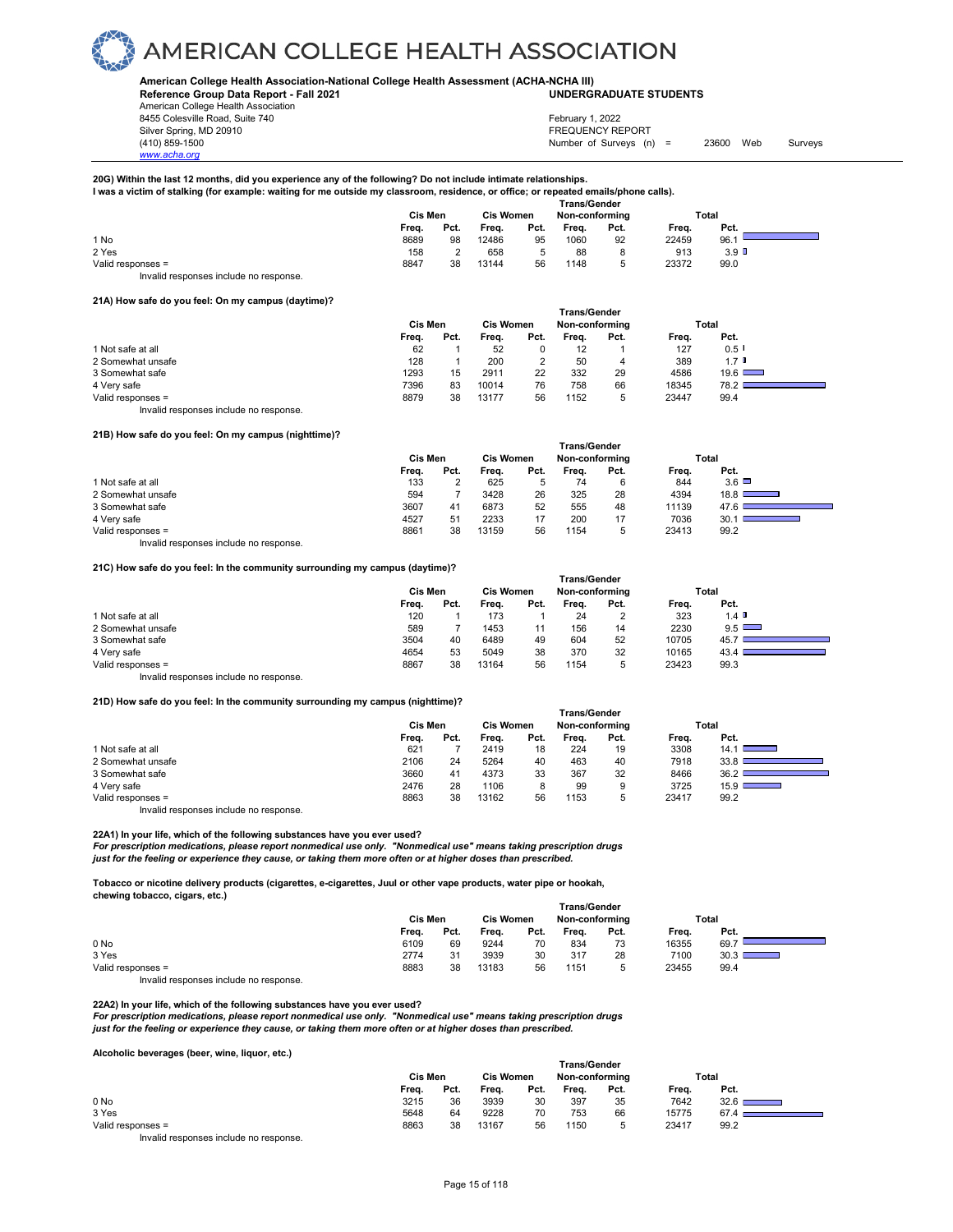### **American College Health Association-National College Health Assessment (ACHA-NCHA III) UNDERGRADUATE STUDENTS**

**Reference Group Data Report - Fall 2021** American College Health Association

8455 Colesville Road, Suite 740 Silver Spring, MD 20910<br>
1990 - The Source of Surveys (n) San American Structure (1990)<br>
Surveys (n) Number of Surveys (n)

*www.acha.org*

Number of Surveys (n) = 23600 Web Surveys February 1, 2022

**20G) Within the last 12 months, did you experience any of the following? Do not include intimate relationships.** 

**I was a victim of stalking (for example: waiting for me outside my classroom, residence, or office; or repeated emails/phone calls).** 

|                                        | <b>Trans/Gender</b> |      |                  |      |                |      |       |                  |  |
|----------------------------------------|---------------------|------|------------------|------|----------------|------|-------|------------------|--|
|                                        | Cis Men             |      | <b>Cis Women</b> |      | Non-conforming |      |       | Total            |  |
|                                        | Freq.               | Pct. | Freq.            | Pct. | Freq.          | Pct. | Freq. | Pct.             |  |
| 1 No                                   | 8689                | 98   | 12486            | 95   | 1060           | 92   | 22459 | 96.1             |  |
| 2 Yes                                  | 158                 |      | 658              |      | 88             |      | 913   | 3.9 <sup>°</sup> |  |
| Valid responses =                      | 8847                | 38   | 13144            | 56   | 1148           |      | 23372 | 99.0             |  |
| Invalid responses include no response. |                     |      |                  |      |                |      |       |                  |  |

### **21A) How safe do you feel: On my campus (daytime)?**

|                                        | <b>Trans/Gender</b> |      |                  |      |                   |      |       |               |  |  |
|----------------------------------------|---------------------|------|------------------|------|-------------------|------|-------|---------------|--|--|
|                                        | Cis Men             |      | <b>Cis Women</b> |      | Non-conforming    |      | Total |               |  |  |
|                                        | Freq.               | Pct. | Frea.            | Pct. | Frea.             | Pct. | Freq. | Pct.          |  |  |
| 1 Not safe at all                      | 62                  |      | 52               |      | $12 \overline{ }$ |      | 127   | $0.5$ I       |  |  |
| 2 Somewhat unsafe                      | 128                 |      | 200              |      | 50                | 4    | 389   | $1.7$ D       |  |  |
| 3 Somewhat safe                        | 1293                | 15   | 2911             | 22   | 332               | 29   | 4586  | $19.6$ $\Box$ |  |  |
| 4 Very safe                            | 7396                | 83   | 10014            | 76   | 758               | 66   | 18345 | 78.2          |  |  |
| Valid responses =                      | 8879                | 38   | 13177            | 56   | 1152              | 5    | 23447 | 99.4          |  |  |
| Invalid responses include no response. |                     |      |                  |      |                   |      |       |               |  |  |

### **21B) How safe do you feel: On my campus (nighttime)?**

| <b>Trans/Gender</b> |              |  |  |  |  |  |  |  |  |  |
|---------------------|--------------|--|--|--|--|--|--|--|--|--|
| Non-conforming      | Total        |  |  |  |  |  |  |  |  |  |
| Pct.                | Pct.         |  |  |  |  |  |  |  |  |  |
| Frea.               | Freq.        |  |  |  |  |  |  |  |  |  |
| 74                  | $3.6\Box$    |  |  |  |  |  |  |  |  |  |
| 6                   | 844          |  |  |  |  |  |  |  |  |  |
| 325<br>28           | 4394<br>18.8 |  |  |  |  |  |  |  |  |  |
| 48                  | 11139        |  |  |  |  |  |  |  |  |  |
| 555                 | 47.6         |  |  |  |  |  |  |  |  |  |
| 200                 | 7036         |  |  |  |  |  |  |  |  |  |
| 17                  | 30.1         |  |  |  |  |  |  |  |  |  |
| 1154                | 23413        |  |  |  |  |  |  |  |  |  |
| 5                   | 99.2         |  |  |  |  |  |  |  |  |  |
|                     |              |  |  |  |  |  |  |  |  |  |

Invalid responses include no response.

**21C) How safe do you feel: In the community surrounding my campus (daytime)?** 

|                                        | <b>Trans/Gender</b> |      |                  |      |                |      |       |              |  |  |
|----------------------------------------|---------------------|------|------------------|------|----------------|------|-------|--------------|--|--|
|                                        | Cis Men             |      | <b>Cis Women</b> |      | Non-conforming |      | Total |              |  |  |
|                                        | Freq.               | Pct. | Frea.            | Pct. | Frea.          | Pct. | Frea. | Pct.         |  |  |
| 1 Not safe at all                      | 120                 |      | 173              |      | 24             | 2    | 323   | $1.4$ D      |  |  |
| 2 Somewhat unsafe                      | 589                 |      | 1453             |      | 156            | 14   | 2230  | $9.5$ $\Box$ |  |  |
| 3 Somewhat safe                        | 3504                | 40   | 6489             | 49   | 604            | 52   | 10705 | 45.7         |  |  |
| 4 Very safe                            | 4654                | 53   | 5049             | 38   | 370            | 32   | 10165 | 43.4         |  |  |
| Valid responses =                      | 8867                | 38   | 13164            | 56   | 1154           | 5    | 23423 | 99.3         |  |  |
| Invalid responses include no response. |                     |      |                  |      |                |      |       |              |  |  |

**21D) How safe do you feel: In the community surrounding my campus (nighttime)?** 

|                   | Trans/Gender |      |                  |      |                |      |       |                           |  |  |
|-------------------|--------------|------|------------------|------|----------------|------|-------|---------------------------|--|--|
|                   | Cis Men      |      | <b>Cis Women</b> |      | Non-conforming |      |       | Total                     |  |  |
|                   | Freq.        | Pct. | Frea.            | Pct. | Frea.          | Pct. | Freq. | Pct.                      |  |  |
| 1 Not safe at all | 621          |      | 2419             | 18   | 224            | 19   | 3308  | 14.1                      |  |  |
| 2 Somewhat unsafe | 2106         | 24   | 5264             | 40   | 463            | 40   | 7918  | 33.8                      |  |  |
| 3 Somewhat safe   | 3660         | 41   | 4373             | 33   | 367            | 32   | 8466  | 36.2                      |  |  |
| 4 Very safe       | 2476         | 28   | 1106             | 8    | 99             | 9    | 3725  | 15.9<br><b>STATISTICS</b> |  |  |
| Valid responses = | 8863         | 38   | 13162            | 56   | 1153           | ۰.   | 23417 | 99.2                      |  |  |

Invalid responses include no response.

**22A1) In your life, which of the following substances have you ever used?** 

For prescription medications, please report nonmedical use only. "Nonmedical use" means taking prescription drugs<br>just for the feeling or experience they cause, or taking them more often or at higher doses than prescribed

**Tobacco or nicotine delivery products (cigarettes, e-cigarettes, Juul or other vape products, water pipe or hookah, chewing tobacco, cigars, etc.) Trans/Gender**

|                   | ı rans/Gender |      |                  |      |                |      |       |       |  |  |
|-------------------|---------------|------|------------------|------|----------------|------|-------|-------|--|--|
|                   | Cis Men       |      | <b>Cis Women</b> |      | Non-conforming |      |       | Total |  |  |
|                   | Freq.         | Pct. | Freq.            | Pct. | Freq.          | Pct. | Freq. | Pct.  |  |  |
| 0 No              | 6109          | 69   | 9244             | 70   | 834            | 73   | 16355 | 69.7  |  |  |
| 3 Yes             | 2774          | 31   | 3939             | 30   | 317            | 28   | 7100  | 30.3  |  |  |
| Valid responses = | 8883          | 38   | 13183            | 56   | 1151           |      | 23455 | 99.4  |  |  |

Invalid responses include no response.

22A2) In your life, which of the following substances have you ever used?<br>For prescription medications, please report nonmedical use only. "Nonmedical use" means taking prescription drugs<br>just for the feeling or experienc

**Alcoholic beverages (beer, wine, liquor, etc.)** 

|                                                                                                                                                                                                                                | <b>Trans/Gender</b> |      |                  |      |                |      |       |                  |  |  |  |  |
|--------------------------------------------------------------------------------------------------------------------------------------------------------------------------------------------------------------------------------|---------------------|------|------------------|------|----------------|------|-------|------------------|--|--|--|--|
|                                                                                                                                                                                                                                | Cis Men             |      | <b>Cis Women</b> |      | Non-conforming |      |       | Total            |  |  |  |  |
|                                                                                                                                                                                                                                | Freq.               | Pct. | Freq.            | Pct. | Frea.          | Pct. | Freq. | Pct.             |  |  |  |  |
| 0 <sub>No</sub>                                                                                                                                                                                                                | 3215                | 36   | 3939             | 30   | 397            | 35   | 7642  | $32.6$ $\square$ |  |  |  |  |
| 3 Yes                                                                                                                                                                                                                          | 5648                | 64   | 9228             | 70   | 753            | 66   | 15775 | 67.4             |  |  |  |  |
| Valid responses =                                                                                                                                                                                                              | 8863                | 38   | 13167            | 56   | 1150           |      | 23417 | 99.2             |  |  |  |  |
| The control to a process of the control of the process of the process of the control of the control of the control of the control of the control of the control of the control of the control of the control of the control of |                     |      |                  |      |                |      |       |                  |  |  |  |  |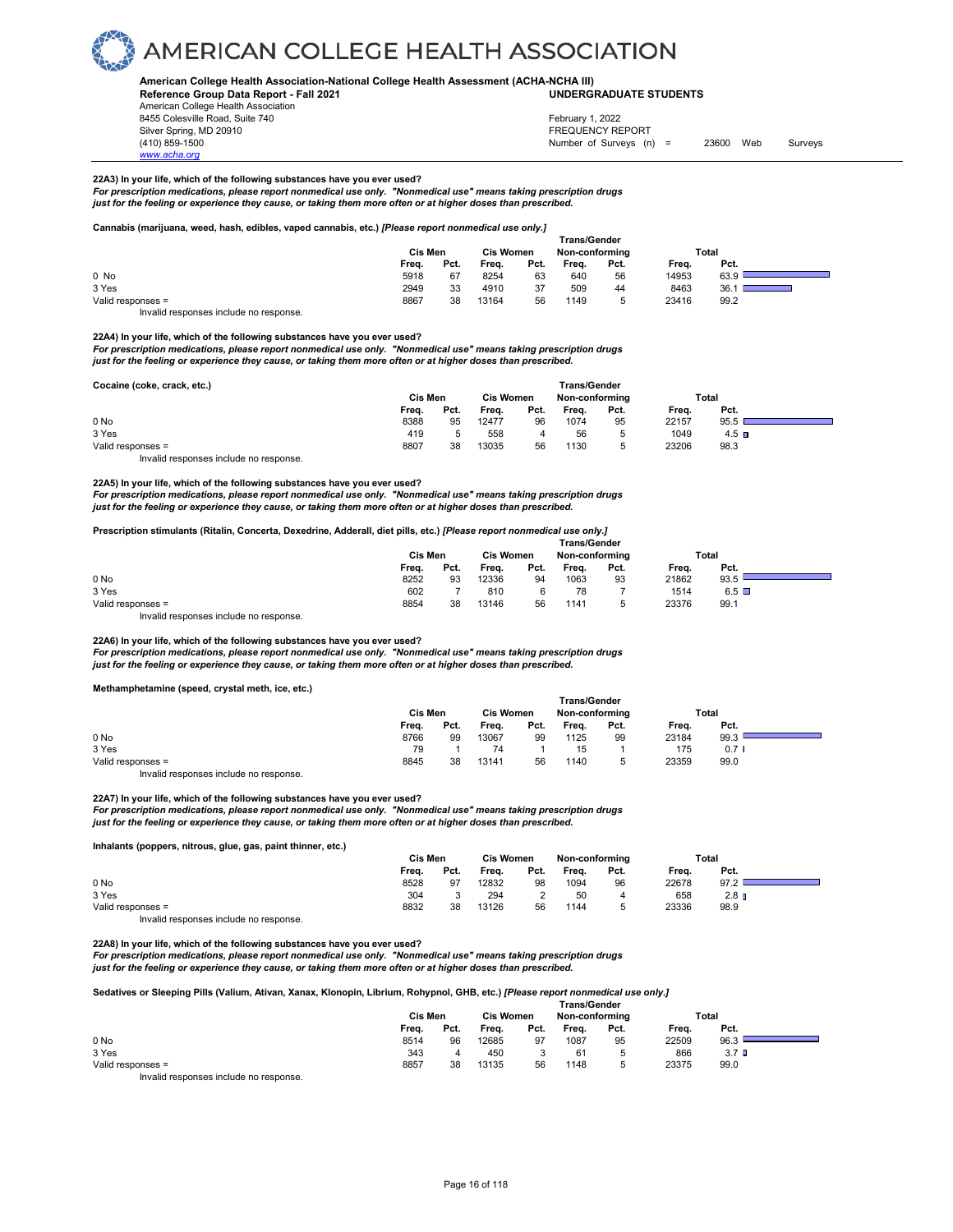

### **American College Health Association-National College Health Assessment (ACHA-NCHA III)**

**Reference Group Data Report - Fall 2021** American College Health Association 8455 Colesville Road, Suite 740 Silver Spring, MD 20910<br>
1990 - The Spring, MD 20910<br>
1990 - The Survey Structure of Surveys (notation of Surveys (notation of Surveys (notation of Surveys (notati

## **UNDERGRADUATE STUDENTS**

Number of Surveys (n) = 23600 Web Surveys February 1, 2022

### **22A3) In your life, which of the following substances have you ever used?**

*For prescription medications, please report nonmedical use only. "Nonmedical use" means taking prescription drugs just for the feeling or experience they cause, or taking them more often or at higher doses than prescribed.* 

### **Cannabis (marijuana, weed, hash, edibles, vaped cannabis, etc.)** *[Please report nonmedical use only.]*

|                   | <b>Trans/Gender</b> |      |       |                                    |       |      |       |      |  |  |
|-------------------|---------------------|------|-------|------------------------------------|-------|------|-------|------|--|--|
|                   | Cis Men             |      |       | <b>Cis Women</b><br>Non-conforming |       |      | Total |      |  |  |
|                   | Frea.               | Pct. | Frea. | Pct.                               | Frea. | Pct. | Frea. | Pct. |  |  |
| 0 No              | 5918                | 67   | 8254  | 63                                 | 640   | 56   | 14953 | 63.9 |  |  |
| 3 Yes             | 2949                | 33   | 4910  | 37                                 | 509   | 44   | 8463  | 36.  |  |  |
| Valid responses = | 8867                | 38   | 13164 | 56                                 | 1149  |      | 23416 | 99.2 |  |  |
|                   |                     |      |       |                                    |       |      |       |      |  |  |

Invalid responses include no response.

*www.acha.org*

**22A4) In your life, which of the following substances have you ever used?** 

*For prescription medications, please report nonmedical use only. "Nonmedical use" means taking prescription drugs just for the feeling or experience they cause, or taking them more often or at higher doses than prescribed.* 

| Cocaine (coke, crack, etc.)            |         |      |                  |      | <b>Trans/Gender</b> |      |       |         |  |
|----------------------------------------|---------|------|------------------|------|---------------------|------|-------|---------|--|
|                                        | Cis Men |      | <b>Cis Women</b> |      | Non-conforming      |      |       | Total   |  |
|                                        | Freq.   | Pct. | Freq.            | Pct. | Freq.               | Pct. | Freq. | Pct.    |  |
| 0 <sub>No</sub>                        | 8388    | 95   | 12477            | 96   | 1074                | 95   | 22157 | 95.5    |  |
| 3 Yes                                  | 419     |      | 558              |      | 56                  | 5    | 1049  | $4.5$ D |  |
| Valid responses =                      | 8807    | 38   | 13035            | 56   | 1130                | 5    | 23206 | 98.3    |  |
| Invalid responses include no response. |         |      |                  |      |                     |      |       |         |  |

### **22A5) In your life, which of the following substances have you ever used?**

For prescription medications, please report nonmedical use only. "Nonmedical use" means taking prescription drugs<br>just for the feeling or experience they cause, or taking them more often or at higher doses than prescribed

### **Prescription stimulants (Ritalin, Concerta, Dexedrine, Adderall, diet pills, etc.)** *[Please report nonmedical use only.]*

|                   | <b>Trans/Gender</b> |         |       |                  |       |                |       |                 |  |  |
|-------------------|---------------------|---------|-------|------------------|-------|----------------|-------|-----------------|--|--|
|                   |                     | Cis Men |       | <b>Cis Women</b> |       | Non-conformina |       | Total           |  |  |
|                   | Frea.               | Pct.    | Freq. | Pct.             | Frea. | Pct.           | Frea. | Pct.            |  |  |
| 0 <sub>No</sub>   | 8252                | 93      | 12336 | 94               | 1063  | 93             | 21862 | 93.5            |  |  |
| 3 Yes             | 602                 |         | 810   |                  | 78    |                | 1514  | $6.5$ $\square$ |  |  |
| Valid responses = | 8854                | 38      | 13146 | 56               | 1141  | Ð              | 23376 | 99.1            |  |  |
|                   |                     |         |       |                  |       |                |       |                 |  |  |

Invalid responses include no response.

**22A6) In your life, which of the following substances have you ever used?**  *For prescription medications, please report nonmedical use only. "Nonmedical use" means taking prescription drugs just for the feeling or experience they cause, or taking them more often or at higher doses than prescribed.* 

**Methamphetamine (speed, crystal meth, ice, etc.)** 

|                   |       | <b>Trans/Gender</b> |       |                  |       |                |       |       |  |
|-------------------|-------|---------------------|-------|------------------|-------|----------------|-------|-------|--|
|                   |       | Cis Men             |       | <b>Cis Women</b> |       | Non-conforming |       | Total |  |
|                   | Freq. | Pct.                | Freq. | Pct.             | Freq. | Pct.           | Freq. | Pct.  |  |
| 0 No              | 8766  | 99                  | 13067 | 99               | 1125  | 99             | 23184 | 99.3  |  |
| 3 Yes             | 79    |                     | 74    |                  | 15    |                | 175   | 0.71  |  |
| Valid responses = | 8845  | 38                  | 13141 | 56               | 1140  |                | 23359 | 99.0  |  |
| .<br>.            |       |                     |       |                  |       |                |       |       |  |

Invalid responses include no response.

**22A7) In your life, which of the following substances have you ever used?**  *For prescription medications, please report nonmedical use only. "Nonmedical use" means taking prescription drugs just for the feeling or experience they cause, or taking them more often or at higher doses than prescribed.* 

**Inhalants (poppers, nitrous, glue, gas, paint thinner, etc.)** 

|                   |       | Cis Men |       | <b>Cis Women</b> |       | Non-conforming |       | Total            |  |
|-------------------|-------|---------|-------|------------------|-------|----------------|-------|------------------|--|
|                   | Freq. | Pct.    | Freq. | Pct.             | Freq. | Pct.           | Freq. | Pct.             |  |
| 0 <sub>No</sub>   | 8528  | 97      | 12832 | 98               | 1094  | 96             | 22678 | 97.2             |  |
| 3 Yes             | 304   |         | 294   |                  | 50    |                | 658   | 2.8 <sub>n</sub> |  |
| Valid responses = | 8832  | 38      | 13126 | 56               | 1144  |                | 23336 | 98.9             |  |
| .                 |       |         |       |                  |       |                |       |                  |  |

Invalid responses include no response.

**22A8) In your life, which of the following substances have you ever used?** 

*For prescription medications, please report nonmedical use only. "Nonmedical use" means taking prescription drugs just for the feeling or experience they cause, or taking them more often or at higher doses than prescribed.* 

**Sedatives or Sleeping Pills (Valium, Ativan, Xanax, Klonopin, Librium, Rohypnol, GHB, etc.)** *[Please report nonmedical use only.]* 

|                   |       |         |       | <b>Trans/Gender</b> |       |                |       |                  |  |
|-------------------|-------|---------|-------|---------------------|-------|----------------|-------|------------------|--|
|                   |       | Cis Men |       | <b>Cis Women</b>    |       | Non-conforming |       | Total            |  |
|                   | Freq. | Pct.    | Frea. | Pct.                | Freq. | Pct.           | Frea. | Pct.             |  |
| 0 No              | 8514  | 96      | 12685 | 97                  | 1087  | 95             | 22509 | 96.3             |  |
| 3 Yes             | 343   |         | 450   |                     | 61    | 5              | 866   | 3.7 <sub>0</sub> |  |
| Valid responses = | 8857  | 38      | 13135 | 56                  | 1148  | 5              | 23375 | 99.0             |  |
| .<br>.            |       |         |       |                     |       |                |       |                  |  |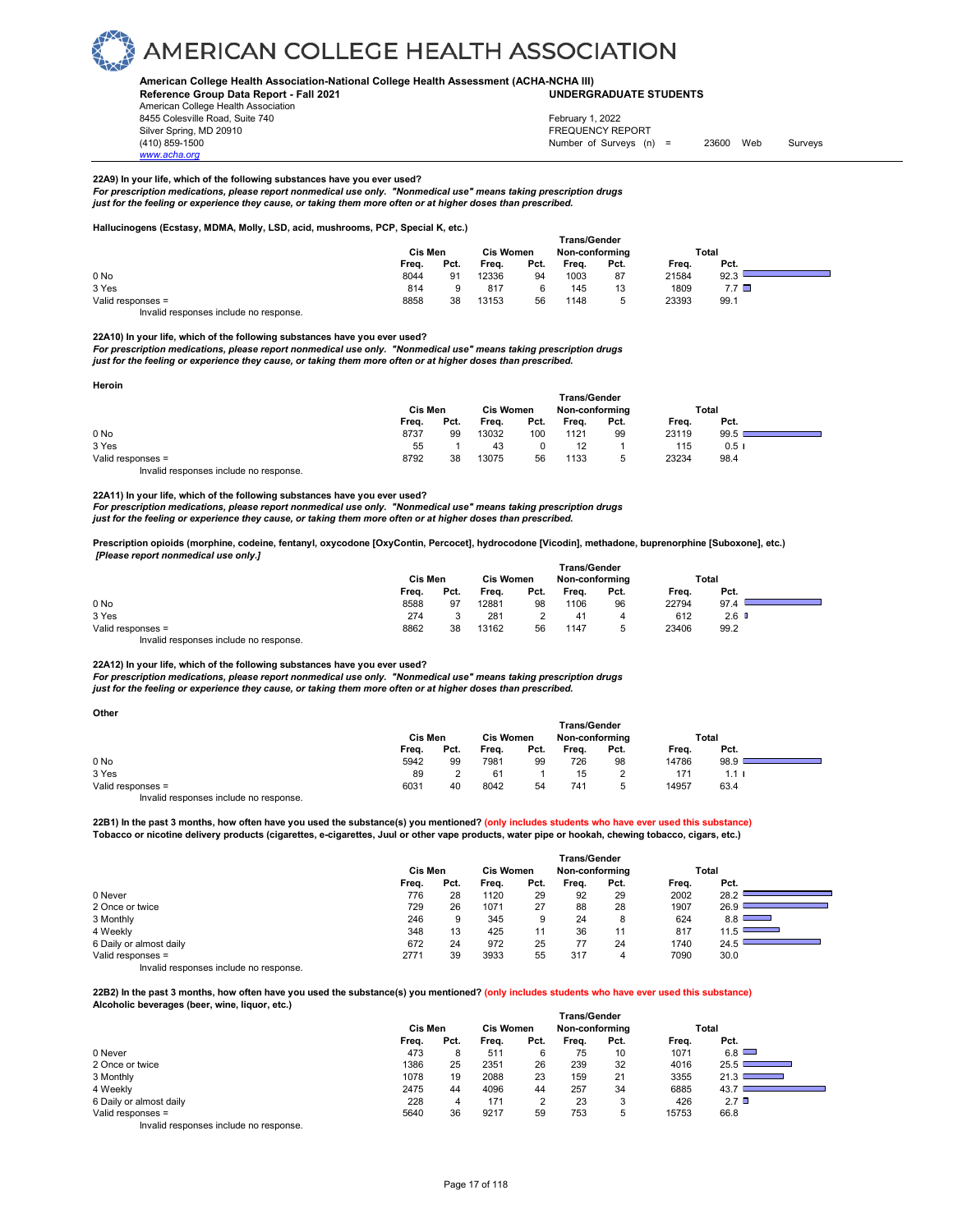

#### **American College Health Association-National College Health Assessment (ACHA-NCHA III) UNDERGRADUATE STUDENTS**

**Reference Group Data Report - Fall 2021** American College Health Association 8455 Colesville Road, Suite 740 Silver Spring, MD 20910<br>
1990 - The Source of Surveys (n) San American Structure (1990)<br>
Surveys (n) Number of Surveys (n)

### February 1, 2022

Number of Surveys (n) = 23600 Web Surveys

### **22A9) In your life, which of the following substances have you ever used?**

For prescription medications, please report nonmedical use only. "Nonmedical use" means taking prescription drugs<br>just for the feeling or experience they cause, or taking them more often or at higher doses than prescribed

#### **Hallucinogens (Ecstasy, MDMA, Molly, LSD, acid, mushrooms, PCP, Special K, etc.)**

|                   |       |         |       |                  | <b>Trans/Gender</b> |                |       |                 |  |
|-------------------|-------|---------|-------|------------------|---------------------|----------------|-------|-----------------|--|
|                   |       | Cis Men |       | <b>Cis Women</b> |                     | Non-conformina |       | Total           |  |
|                   | Frea. | Pct.    | Frea. | Pct.             | Frea.               | Pct.           | Frea. | Pct.            |  |
| 0 No              | 8044  | 91      | 12336 | 94               | 1003                | 87             | 21584 | 92.3            |  |
| 3 Yes             | 814   |         | 817   |                  | 145                 | 13             | 1809  | $7.7$ $\square$ |  |
| Valid responses = | 8858  | 38      | 13153 | 56               | 1148                | к              | 23393 | 99.1            |  |
| .<br>.            |       |         |       |                  |                     |                |       |                 |  |

Invalid responses include no response.

*www.acha.org*

**22A10) In your life, which of the following substances have you ever used?** 

*For prescription medications, please report nonmedical use only. "Nonmedical use" means taking prescription drugs just for the feeling or experience they cause, or taking them more often or at higher doses than prescribed.* 

| Heroin                                 |                                    |      |       |      |              |                |       |       |  |
|----------------------------------------|------------------------------------|------|-------|------|--------------|----------------|-------|-------|--|
|                                        |                                    |      |       |      | Trans/Gender |                |       |       |  |
|                                        | <b>Cis Women</b><br><b>Cis Men</b> |      |       |      |              | Non-conforming |       | Total |  |
|                                        | Freq.                              | Pct. | Frea. | Pct. | Freq.        | Pct.           | Frea. | Pct.  |  |
| 0 <sub>No</sub>                        | 8737                               | 99   | 13032 | 100  | 1121         | 99             | 23119 | 99.5  |  |
| 3 Yes                                  | 55                                 |      | 43    | 0    | 12           |                | 115   | 0.51  |  |
| Valid responses =                      | 8792                               | 38   | 13075 | 56   | 1133         | 5              | 23234 | 98.4  |  |
| Invalid responses include no response. |                                    |      |       |      |              |                |       |       |  |

**22A11) In your life, which of the following substances have you ever used?** 

*For prescription medications, please report nonmedical use only. "Nonmedical use" means taking prescription drugs just for the feeling or experience they cause, or taking them more often or at higher doses than prescribed.* 

**Prescription opioids (morphine, codeine, fentanyl, oxycodone [OxyContin, Percocet], hydrocodone [Vicodin], methadone, buprenorphine [Suboxone], etc.)**  *[Please report nonmedical use only.]* 

|                   | <b>Trans/Gender</b> |      |                  |      |                |      |       |                  |  |  |  |
|-------------------|---------------------|------|------------------|------|----------------|------|-------|------------------|--|--|--|
|                   | Cis Men             |      | <b>Cis Women</b> |      | Non-conforming |      | Total |                  |  |  |  |
|                   | Freq.               | Pct. | Freq.            | Pct. | Freq.          | Pct. | Frea. | Pct.             |  |  |  |
| 0 No              | 8588                | 97   | 12881            | 98   | 1106           | 96   | 22794 | 97.4             |  |  |  |
| 3 Yes             | 274                 |      | 281              |      | 41             |      | 612   | 2.6 <sub>0</sub> |  |  |  |
| Valid responses = | 8862                | 38   | 13162            | 56   | 1147           |      | 23406 | 99.2             |  |  |  |

Invalid responses include no response.

### **22A12) In your life, which of the following substances have you ever used?**

*For prescription medications, please report nonmedical use only. "Nonmedical use" means taking prescription drugs just for the feeling or experience they cause, or taking them more often or at higher doses than prescribed.* 

| Other                                  |         |                  |       |                |                     |       |       |                  |  |
|----------------------------------------|---------|------------------|-------|----------------|---------------------|-------|-------|------------------|--|
|                                        |         |                  |       |                | <b>Trans/Gender</b> |       |       |                  |  |
|                                        | Cis Men | <b>Cis Women</b> |       | Non-conforming |                     | Total |       |                  |  |
|                                        | Freq.   | Pct.             | Freq. | Pct.           | Freq.               | Pct.  | Freq. | Pct.             |  |
| 0 No                                   | 5942    | 99               | 7981  | 99             | 726                 | 98    | 14786 | 98.9             |  |
| 3 Yes                                  | 89      |                  | 61    |                | 15                  |       | 171   | 1.1 <sub>1</sub> |  |
| Valid responses =                      | 6031    | 40               | 8042  | 54             | 741                 | 5     | 14957 | 63.4             |  |
| Invalid responses include no response. |         |                  |       |                |                     |       |       |                  |  |

**22B1) In the past 3 months, how often have you used the substance(s) you mentioned? (only includes students who have ever used this substance) Tobacco or nicotine delivery products (cigarettes, e-cigarettes, Juul or other vape products, water pipe or hookah, chewing tobacco, cigars, etc.)** 

|                         | Trans/Gender |      |                  |      |                |      |       |                                 |  |  |  |  |
|-------------------------|--------------|------|------------------|------|----------------|------|-------|---------------------------------|--|--|--|--|
|                         | Cis Men      |      | <b>Cis Women</b> |      | Non-conforming |      |       | Total                           |  |  |  |  |
|                         | Freq.        | Pct. | Freq.            | Pct. | Freq.          | Pct. | Freq. | Pct.                            |  |  |  |  |
| 0 Never                 | 776          | 28   | 1120             | 29   | 92             | 29   | 2002  | 28.2                            |  |  |  |  |
| 2 Once or twice         | 729          | 26   | 1071             | 27   | 88             | 28   | 1907  | 26.9                            |  |  |  |  |
| 3 Monthly               | 246          | 9    | 345              | 9    | 24             | 8    | 624   | 8.8<br><b>Contract Contract</b> |  |  |  |  |
| 4 Weekly                | 348          | 13   | 425              | 11   | 36             | 11   | 817   | 11.5                            |  |  |  |  |
| 6 Daily or almost daily | 672          | 24   | 972              | 25   | 77             | 24   | 1740  | 24.5                            |  |  |  |  |
| Valid responses =       | 2771         | 39   | 3933             | 55   | 317            |      | 7090  | 30.0                            |  |  |  |  |

Invalid responses include no response.

**22B2) In the past 3 months, how often have you used the substance(s) you mentioned? (only includes students who have ever used this substance)** 

**Alcoholic beverages (beer, wine, liquor, etc.)** 

|                                        | Cis Men |      | <b>Cis Women</b> |      | Non-conforming |      |       | Total                                    |
|----------------------------------------|---------|------|------------------|------|----------------|------|-------|------------------------------------------|
|                                        | Frea.   | Pct. | Frea.            | Pct. | Frea.          | Pct. | Frea. | Pct.                                     |
| 0 Never                                | 473     | 8    | 511              |      | 75             | 10   | 1071  | 6.8                                      |
| 2 Once or twice                        | 1386    | 25   | 2351             | 26   | 239            | 32   | 4016  | 25.5                                     |
| 3 Monthly                              | 1078    | 19   | 2088             | 23   | 159            | 21   | 3355  | 21.3<br><b>Service Contract Contract</b> |
| 4 Weekly                               | 2475    | 44   | 4096             | 44   | 257            | 34   | 6885  | 43.7                                     |
| 6 Daily or almost daily                | 228     | 4    | 171              |      | 23             | 3    | 426   | $2.7$ $\Box$                             |
| Valid responses =                      | 5640    | 36   | 9217             | 59   | 753            | 5    | 15753 | 66.8                                     |
| Invalid responses include no response. |         |      |                  |      |                |      |       |                                          |

 **Trans/Gender**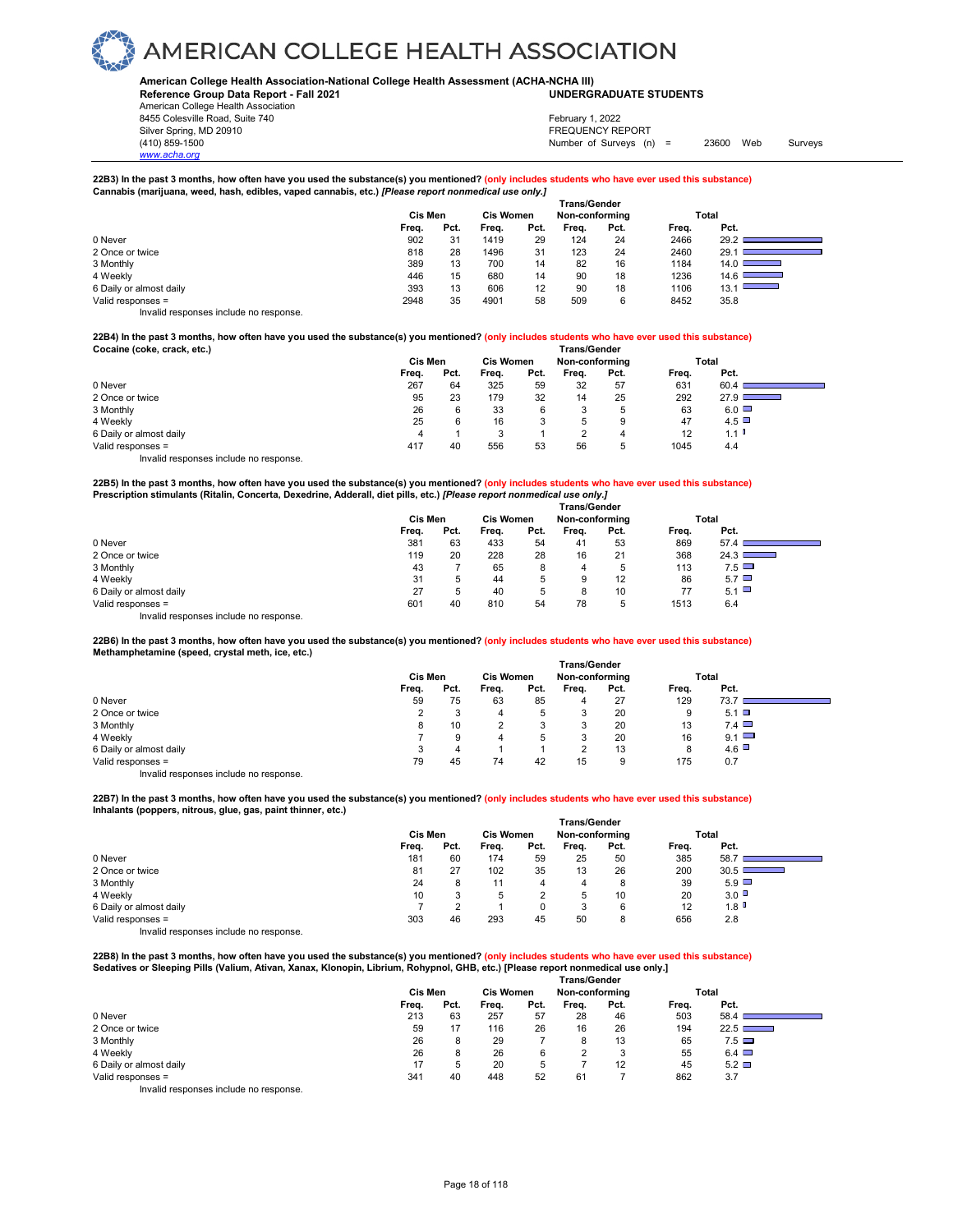### **American College Health Association-National College Health Assessment (ACHA-NCHA III)**

**Reference Group Data Report - Fall 2021 UNDERGRADUATE STUDENTS**

American College Health Association 8455 Colesville Road, Suite 740 Silver Spring, MD 20910<br>
1990 - The Spring, MD 20910<br>
1990 - The Survey Structure of Surveys (notation of Surveys (notation of Surveys (notation of Surveys (notati

*www.acha.org*

### Number of Surveys (n) = 23600 Web Surveys February 1, 2022

**22B3) In the past 3 months, how often have you used the substance(s) you mentioned? (only includes students who have ever used this substance) Cannabis (marijuana, weed, hash, edibles, vaped cannabis, etc.)** *[Please report nonmedical use only.]* 

|                         | . |         |      |       | . .                                | <b>Trans/Gender</b> |      |       |                                  |
|-------------------------|---|---------|------|-------|------------------------------------|---------------------|------|-------|----------------------------------|
|                         |   | Cis Men |      |       | <b>Cis Women</b><br>Non-conforming |                     |      |       | Total                            |
|                         |   | Freq.   | Pct. | Frea. | Pct.                               | Freq.               | Pct. | Freq. | Pct.                             |
| 0 Never                 |   | 902     | 31   | 1419  | 29                                 | 124                 | 24   | 2466  | 29.2                             |
| 2 Once or twice         |   | 818     | 28   | 1496  | 31                                 | 123                 | 24   | 2460  | 29.1                             |
| 3 Monthly               |   | 389     | 13   | 700   | 14                                 | 82                  | 16   | 1184  | 14.0 $\Box$                      |
| 4 Weekly                |   | 446     | 15   | 680   | 14                                 | 90                  | 18   | 1236  | 14.6<br><b>Contract Contract</b> |
| 6 Daily or almost daily |   | 393     | 13   | 606   | 12                                 | 90                  | 18   | 1106  | 13.1                             |
| Valid responses =       |   | 2948    | 35   | 4901  | 58                                 | 509                 | 6    | 8452  | 35.8                             |
| .                       |   |         |      |       |                                    |                     |      |       |                                  |

Invalid responses include no response.

**22B4) In the past 3 months, how often have you used the substance(s) you mentioned? (only includes students who have ever used this substance)**  Cocaine (coke, crack, etc.)

|                                        | Cis Men |      | <b>Cis Women</b> |      | Non-conforming |             |       | Total        |  |
|----------------------------------------|---------|------|------------------|------|----------------|-------------|-------|--------------|--|
|                                        | Freq.   | Pct. | Freq.            | Pct. | Freq.          | Pct.        | Freq. | Pct.         |  |
| 0 Never                                | 267     | 64   | 325              | 59   | 32             | 57          | 631   | 60.4         |  |
| 2 Once or twice                        | 95      | 23   | 179              | 32   | 14             | 25          | 292   | 27.9 $\Box$  |  |
| 3 Monthly                              | 26      |      | 33               | 6    | 3              | $\mathbf b$ | 63    | $6.0$ $\Box$ |  |
| 4 Weekly                               | 25      |      | 16               | ິ    | 5              | 9           | 47    | $4.5$ $\Box$ |  |
| 6 Daily or almost daily                | 4       |      |                  |      | っ              | 4           | 12    | 1.1          |  |
| Valid responses =                      | 417     | 40   | 556              | 53   | 56             | $\mathbf b$ | 1045  | 4.4          |  |
| Invalid responses include no response. |         |      |                  |      |                |             |       |              |  |

**22B5) In the past 3 months, how often have you used the substance(s) you mentioned? (only includes students who have ever used this substance) Prescription stimulants (Ritalin, Concerta, Dexedrine, Adderall, diet pills, etc.)** *[Please report nonmedical use only.]* 

|                                        |         |      |                  | <b>Trans/Gender</b> |                |             |       |              |  |
|----------------------------------------|---------|------|------------------|---------------------|----------------|-------------|-------|--------------|--|
|                                        | Cis Men |      | <b>Cis Women</b> |                     | Non-conforming |             |       | Total        |  |
|                                        | Freq.   | Pct. | Freq.            | Pct.                | Freq.          | Pct.        | Freq. | Pct.         |  |
| 0 Never                                | 381     | 63   | 433              | 54                  | 41             | 53          | 869   | 57.4         |  |
| 2 Once or twice                        | 119     | 20   | 228              | 28                  | 16             | 21          | 368   | 24.3         |  |
| 3 Monthly                              | 43      |      | 65               | 8                   | 4              | $\mathbf b$ | 113   | 7.5          |  |
| 4 Weekly                               | 31      | 5    | 44               | 5                   | 9              | 12          | 86    | $5.7$ $\Box$ |  |
| 6 Daily or almost daily                | 27      | 5    | 40               | 5                   | 8              | 10          | 77    | 5.1          |  |
| Valid responses =                      | 601     | 40   | 810              | 54                  | 78             | $\mathbf b$ | 1513  | 6.4          |  |
| Invalid responses include no response. |         |      |                  |                     |                |             |       |              |  |

**22B6) In the past 3 months, how often have you used the substance(s) you mentioned? (only includes students who have ever used this substance) Methamphetamine (speed, crystal meth, ice, etc.)** 

|                                        |         |      |                  |      | <b>Trans/Gender</b> |      |       |              |  |
|----------------------------------------|---------|------|------------------|------|---------------------|------|-------|--------------|--|
|                                        | Cis Men |      | <b>Cis Women</b> |      | Non-conforming      |      | Total |              |  |
|                                        | Freq.   | Pct. | Freq.            | Pct. | Freq.               | Pct. | Freq. | Pct.         |  |
| 0 Never                                | 59      | 75   | 63               | 85   |                     | 27   | 129   | 73.7         |  |
| 2 Once or twice                        | ◠       | 3    | 4                | 5    | 3                   | 20   | 9     | $5.1$ $\Box$ |  |
| 3 Monthly                              | 8       | 10   |                  | 3    | 3                   | 20   | 13    | $7.4\Box$    |  |
| 4 Weekly                               |         | 9    | 4                | 5    | 3                   | 20   | 16    | $9.1$ $\Box$ |  |
| 6 Daily or almost daily                | 3       | 4    |                  |      | $\Omega$            | 13   | 8     | $4.6$ $\Box$ |  |
| Valid responses =                      | 79      | 45   | 74               | 42   | 15                  | 9    | 175   | 0.7          |  |
| Invalid responses include no response. |         |      |                  |      |                     |      |       |              |  |

**22B7) In the past 3 months, how often have you used the substance(s) you mentioned? (only includes students who have ever used this substance) Inhalants (poppers, nitrous, glue, gas, paint thinner, etc.)** 

|                         |         |      |                  |      | <b>Trans/Gender</b> |      |       |                                |  |
|-------------------------|---------|------|------------------|------|---------------------|------|-------|--------------------------------|--|
|                         | Cis Men |      | <b>Cis Women</b> |      | Non-conforming      |      | Total |                                |  |
|                         | Freq.   | Pct. | Freq.            | Pct. | Freq.               | Pct. | Freq. | Pct.                           |  |
| 0 Never                 | 181     | 60   | 174              | 59   | 25                  | 50   | 385   | 58.7                           |  |
| 2 Once or twice         | 81      | 27   | 102              | 35   | 13                  | 26   | 200   | 30.5<br><b>Service Service</b> |  |
| 3 Monthly               | 24      | 8    | 11               | 4    | 4                   | 8    | 39    | $5.9$ $\Box$                   |  |
| 4 Weekly                | 10      |      | 5                |      | $\mathbf b$         | 10   | 20    | 3.0                            |  |
| 6 Daily or almost daily |         |      |                  | 0    | 3                   | 6    | 12    | 1.8                            |  |
| Valid responses =       | 303     | 46   | 293              | 45   | 50                  | 8    | 656   | 2.8                            |  |
|                         |         |      |                  |      |                     |      |       |                                |  |

Invalid responses include no response.

**22B8) In the past 3 months, how often have you used the substance(s) you mentioned? (only includes students who have ever used this substance) Sedatives or Sleeping Pills (Valium, Ativan, Xanax, Klonopin, Librium, Rohypnol, GHB, etc.) [Please report nonmedical use only.]** 

|                                        |         |      |                  |      | <b>Trans/Gender</b> |      |       |              |  |
|----------------------------------------|---------|------|------------------|------|---------------------|------|-------|--------------|--|
|                                        | Cis Men |      | <b>Cis Women</b> |      | Non-conforming      |      |       | Total        |  |
|                                        | Freq.   | Pct. | Frea.            | Pct. | Frea.               | Pct. | Freq. | Pct.         |  |
| 0 Never                                | 213     | 63   | 257              | 57   | 28                  | 46   | 503   | 58.4         |  |
| 2 Once or twice                        | 59      | 17   | 116              | 26   | 16                  | 26   | 194   | 22.5         |  |
| 3 Monthly                              | 26      | 8    | 29               |      | 8                   | 13   | 65    | $7.5 \Box$   |  |
| 4 Weekly                               | 26      | 8    | 26               | 6    | $\Omega$            | 3    | 55    | $6.4$ $\Box$ |  |
| 6 Daily or almost daily                | 17      | 5    | 20               | 5    |                     | 12   | 45    | $5.2\Box$    |  |
| Valid responses =                      | 341     | 40   | 448              | 52   | 61                  |      | 862   | 3.7          |  |
| Invalid responses include no response. |         |      |                  |      |                     |      |       |              |  |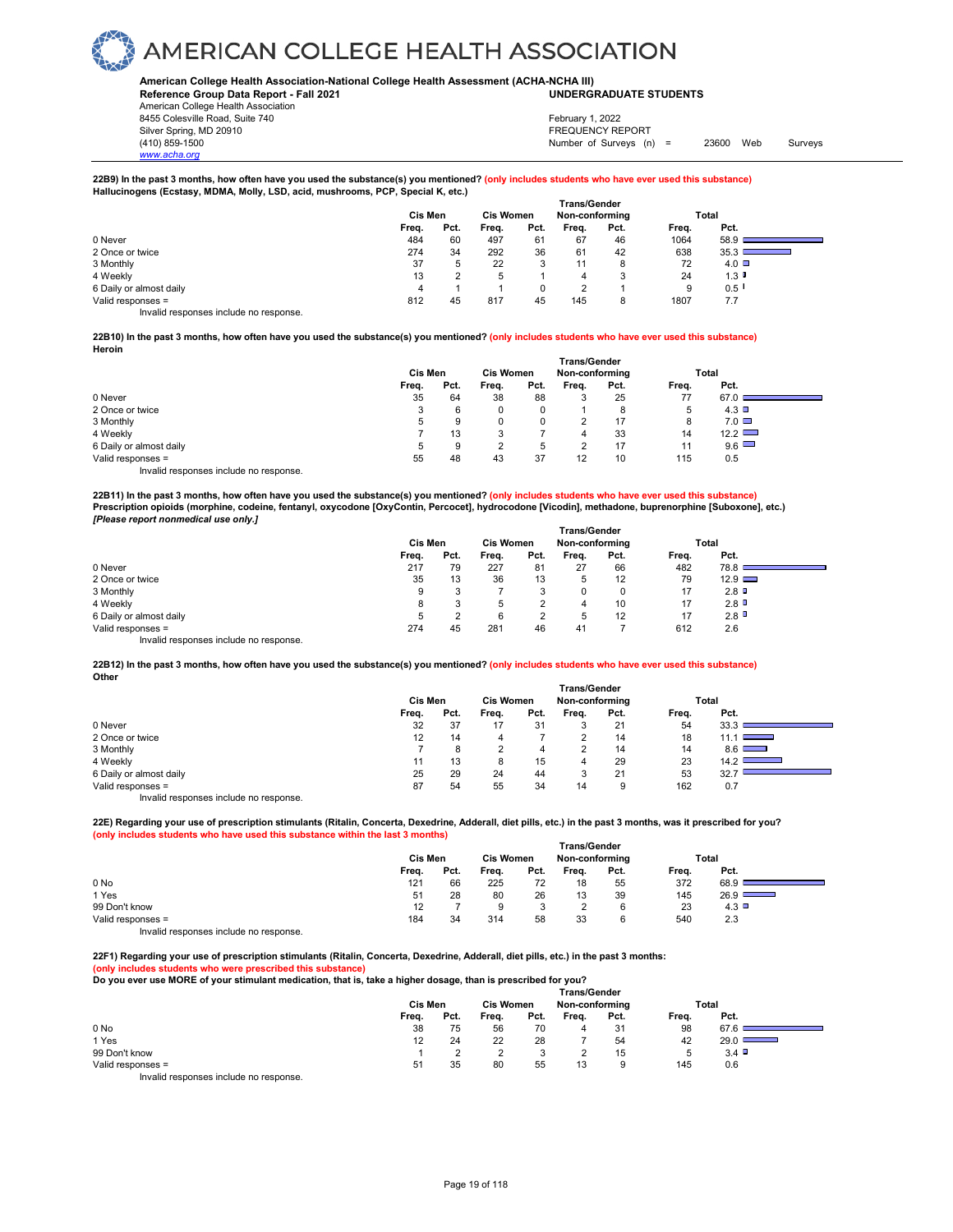### **American College Health Association-National College Health Assessment (ACHA-NCHA III) UNDERGRADUATE STUDENTS**

**Reference Group Data Report - Fall 2021** American College Health Association 8455 Colesville Road, Suite 740

*www.acha.org*

Silver Spring, MD 20910<br>
1990 - The Spring, MD 20910<br>
1990 - The Survey Structure of Surveys (notation of Surveys (notation of Surveys (notation of Surveys (notati Number of Surveys (n) = 23600 Web Surveys February 1, 2022

### **22B9) In the past 3 months, how often have you used the substance(s) you mentioned? (only includes students who have ever used this substance) Hallucinogens (Ecstasy, MDMA, Molly, LSD, acid, mushrooms, PCP, Special K, etc.)**

|                                           |         |              |                  |      | <b>Trans/Gender</b> |      |       |           |
|-------------------------------------------|---------|--------------|------------------|------|---------------------|------|-------|-----------|
|                                           | Cis Men |              | <b>Cis Women</b> |      | Non-conforming      |      |       | Total     |
|                                           | Freq.   | Pct.         | Freq.            | Pct. | Freq.               | Pct. | Freq. | Pct.      |
| 0 Never                                   | 484     | 60           | 497              | 61   | 67                  | 46   | 1064  | 58.9      |
| 2 Once or twice                           | 274     | 34           | 292              | 36   | 61                  | 42   | 638   | 35.3      |
| 3 Monthly                                 | 37      | $\mathbf{b}$ | 22               |      | 11                  | 8    | 72    | $4.0\Box$ |
| 4 Weekly                                  | 13      |              | 5                |      | 4                   | 2    | 24    | 1.3       |
| 6 Daily or almost daily                   | 4       |              |                  |      | ົ                   |      | 9     | 0.5       |
| Valid responses =                         | 812     | 45           | 817              | 45   | 145                 | 8    | 1807  | 7.7       |
| Initelial reconomers include no reconomer |         |              |                  |      |                     |      |       |           |

Invalid responses include no response.

### **22B10) In the past 3 months, how often have you used the substance(s) you mentioned? (only includes students who have ever used this substance) Heroin**

|                                        |         |      |                  |      | <b>Trans/Gender</b> |      |       |                 |  |
|----------------------------------------|---------|------|------------------|------|---------------------|------|-------|-----------------|--|
|                                        | Cis Men |      | <b>Cis Women</b> |      | Non-conforming      |      | Total |                 |  |
|                                        | Freq.   | Pct. | Freq.            | Pct. | Frea.               | Pct. | Freq. | Pct.            |  |
| 0 Never                                | 35      | 64   | 38               | 88   | 3                   | 25   | 77    | 67.0            |  |
| 2 Once or twice                        | 3       | 6    |                  | 0    |                     | 8    | 5     | $4.3$ $\square$ |  |
| 3 Monthly                              | 5       | 9    |                  | 0    |                     | 17   | 8     | $7.0\Box$       |  |
| 4 Weekly                               |         | 13   |                  |      | 4                   | 33   | 14    | 12.2            |  |
| 6 Daily or almost daily                | 5       | 9    |                  | 5    | າ                   | 17   | 11    | $9.6$ $\Box$    |  |
| Valid responses =                      | 55      | 48   | 43               | 37   | 12                  | 10   | 115   | 0.5             |  |
| Invalid responses include no response. |         |      |                  |      |                     |      |       |                 |  |

22B11) In the past 3 months, how often have you used the substance(s) you mentioned? (<mark>only includes students who have ever used this substance)</mark><br>Prescription opioids (morphine, codeine, fentanyl, oxycodone [OxyContin, Per *[Please report nonmedical use only.]* 

|                                        |         |      |                  |         | <b>Trans/Gender</b> |      |       |               |  |
|----------------------------------------|---------|------|------------------|---------|---------------------|------|-------|---------------|--|
|                                        | Cis Men |      | <b>Cis Women</b> |         | Non-conforming      |      | Total |               |  |
|                                        | Freq.   | Pct. | Frea.            | Pct.    | Frea.               | Pct. | Freq. | Pct.          |  |
| 0 Never                                | 217     | 79   | 227              | 81      | 27                  | 66   | 482   | 78.8          |  |
| 2 Once or twice                        | 35      | 13   | 36               | 13      | 5                   | 12   | 79    | $12.9$ $\Box$ |  |
| 3 Monthly                              | 9       | 3    |                  | s.<br>J | 0                   |      | 17    | 2.8           |  |
| 4 Weekly                               | 8       | 3    | 5                |         | 4                   | 10   | 17    | 2.8           |  |
| 6 Daily or almost daily                | 5       |      | 6                | ີ       | 5                   | 12   | 17    | 2.8           |  |
| Valid responses =                      | 274     | 45   | 281              | 46      | 41                  |      | 612   | 2.6           |  |
| Invalid responses include no response. |         |      |                  |         |                     |      |       |               |  |

**22B12) In the past 3 months, how often have you used the substance(s) you mentioned? (only includes students who have ever used this substance) Other**

|                                        |         |      |                  |      | <b>Trans/Gender</b> |      |       |                                    |
|----------------------------------------|---------|------|------------------|------|---------------------|------|-------|------------------------------------|
|                                        | Cis Men |      | <b>Cis Women</b> |      | Non-conforming      |      |       | Total                              |
|                                        | Freq.   | Pct. | Frea.            | Pct. | Frea.               | Pct. | Frea. | Pct.                               |
| 0 Never                                | 32      | 37   | 17               | 31   |                     | 21   | 54    | 33.3                               |
| 2 Once or twice                        | 12      | 14   |                  |      |                     | 14   | 18    | 11.1 I<br><b>Contract Contract</b> |
| 3 Monthly                              |         | 8    |                  | 4    |                     | 14   | 14    | 8.6                                |
| 4 Weekly                               | 11      | 13   | 8                | 15   | 4                   | 29   | 23    | 14.2                               |
| 6 Daily or almost daily                | 25      | 29   | 24               | 44   |                     | 21   | 53    | 32.                                |
| Valid responses =                      | 87      | 54   | 55               | 34   | 14                  | 9    | 162   | 0.7                                |
| Invalid responses include no response. |         |      |                  |      |                     |      |       |                                    |

**22E) Regarding your use of prescription stimulants (Ritalin, Concerta, Dexedrine, Adderall, diet pills, etc.) in the past 3 months, was it prescribed for you? (only includes students who have used this substance within the last 3 months) Trans/Gender**

|                                                                        | ı rans/Gender |      |                  |      |                |      |       |               |  |  |
|------------------------------------------------------------------------|---------------|------|------------------|------|----------------|------|-------|---------------|--|--|
|                                                                        | Cis Men       |      | <b>Cis Women</b> |      | Non-conforming |      | Total |               |  |  |
|                                                                        | Freq.         | Pct. | Freq.            | Pct. | Freq.          | Pct. | Freq. | Pct.          |  |  |
| 0 No                                                                   | 121           | 66   | 225              | 72   | 18             | 55   | 372   | 68.9          |  |  |
| 1 Yes                                                                  | 51            | 28   | 80               | 26   | 13             | 39   | 145   | $26.9$ $\Box$ |  |  |
| 99 Don't know                                                          | 12            |      |                  |      |                |      | 23    | 4.3           |  |  |
| Valid responses =                                                      | 184           | 34   | 314              | 58   | 33             | 6    | 540   | 2.3           |  |  |
| The control to a process of the control of the process of the process. |               |      |                  |      |                |      |       |               |  |  |

Invalid responses include no response.

**22F1) Regarding your use of prescription stimulants (Ritalin, Concerta, Dexedrine, Adderall, diet pills, etc.) in the past 3 months: (only includes students who were prescribed this substance)** 

**Do you ever use MORE of your stimulant medication, that is, take a higher dosage, than is prescribed for you?** 

|                                                                                                                                                                                                                                   |         |      |                  |      | <b>Trans/Gender</b> |      |       |                |  |
|-----------------------------------------------------------------------------------------------------------------------------------------------------------------------------------------------------------------------------------|---------|------|------------------|------|---------------------|------|-------|----------------|--|
|                                                                                                                                                                                                                                   | Cis Men |      | <b>Cis Women</b> |      | Non-conformina      |      | Total |                |  |
|                                                                                                                                                                                                                                   | Freq.   | Pct. | Freq.            | Pct. | Freq.               | Pct. | Freq. | Pct.           |  |
| 0 No                                                                                                                                                                                                                              | 38      | 75   | 56               | 70   | 4                   | 31   | 98    | 67.6           |  |
| 1 Yes                                                                                                                                                                                                                             | 12      | 24   | 22               | 28   |                     | 54   | 42    | 29.0 $\square$ |  |
| 99 Don't know                                                                                                                                                                                                                     |         |      |                  |      |                     | 15   |       | 3.4            |  |
| Valid responses =                                                                                                                                                                                                                 | 51      | 35   | 80               | 55   | 13                  | 9    | 145   | 0.6            |  |
| $\mathbf{r}$ , and the contract of the contract of the contract of the contract of the contract of the contract of the contract of the contract of the contract of the contract of the contract of the contract of the contract o |         |      |                  |      |                     |      |       |                |  |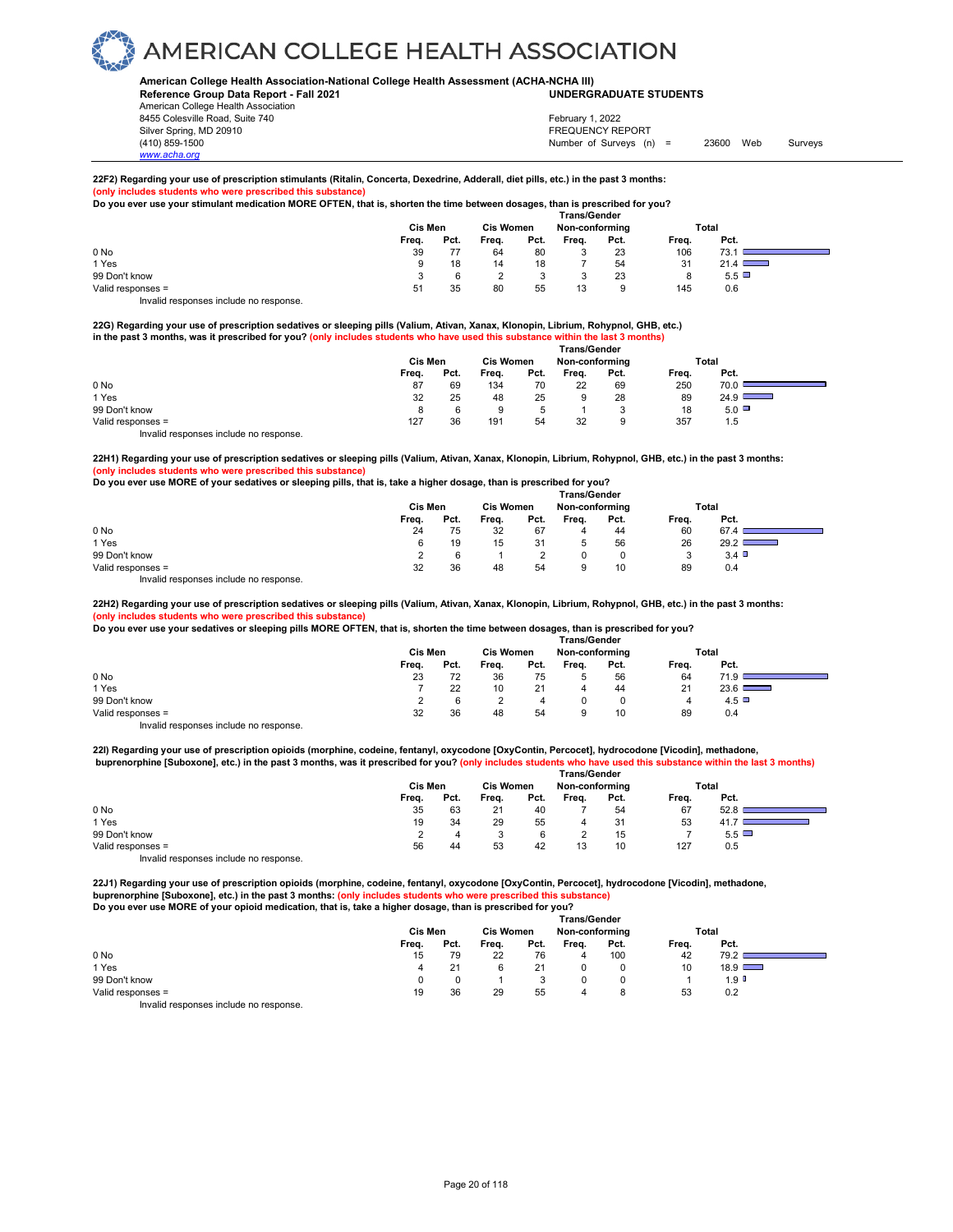#### **American College Health Association-National College Health Assessment (ACHA-NCHA III) UNDERGRADUATE STUDENTS**

**Reference Group Data Report - Fall 2021** American College Health Association 8455 Colesville Road, Suite 740 Silver Spring, MD 20910<br>
1990 - The Spring, MD 20910<br>
1990 - The Survey Structure of Surveys (notation of Surveys (notation of Surveys (notation of Surveys (notati

Number of Surveys (n) = 23600 Web Surveys February 1, 2022

### **22F2) Regarding your use of prescription stimulants (Ritalin, Concerta, Dexedrine, Adderall, diet pills, etc.) in the past 3 months:**

**(only includes students who were prescribed this substance) Do you ever use your stimulant medication MORE OFTEN, that is, shorten the time between dosages, than is prescribed for you?** 

|                   | <b>Trans/Gender</b> |      |                  |      |                |      |       |           |  |  |  |  |
|-------------------|---------------------|------|------------------|------|----------------|------|-------|-----------|--|--|--|--|
|                   | Cis Men             |      | <b>Cis Women</b> |      | Non-conforming |      | Total |           |  |  |  |  |
|                   | Freq.               | Pct. | Freq.            | Pct. | Frea.          | Pct. | Freq. | Pct.      |  |  |  |  |
| 0 No              | 39                  |      | 64               | 80   | v              | 23   | 106   | 73.1      |  |  |  |  |
| 1 Yes             |                     | 18   | 14               | 18   |                | 54   | 31    | 21.4      |  |  |  |  |
| 99 Don't know     |                     |      | ∼                |      |                | 23   |       | $5.5\Box$ |  |  |  |  |
| Valid responses = | 51                  | 35   | 80               | 55   | 13             |      | 145   | 0.6       |  |  |  |  |

Invalid responses include no response.

*www.acha.org*

### **22G) Regarding your use of prescription sedatives or sleeping pills (Valium, Ativan, Xanax, Klonopin, Librium, Rohypnol, GHB, etc.) in the past 3 months, was it prescribed for you? (only includes students who have used this substance within the last 3 months) Trans/Gender**

|                                        | ı rans/Gender |      |                  |      |                |      |       |           |  |  |
|----------------------------------------|---------------|------|------------------|------|----------------|------|-------|-----------|--|--|
|                                        | Cis Men       |      | <b>Cis Women</b> |      | Non-conforming |      | Total |           |  |  |
|                                        | Freq.         | Pct. | Freq.            | Pct. | Freq.          | Pct. | Freq. | Pct.      |  |  |
| 0 No                                   | 87            | 69   | 134              | 70   | 22             | 69   | 250   | 70.0      |  |  |
| 1 Yes                                  | 32            | 25   | 48               | 25   | 9              | 28   | 89    | 24.9      |  |  |
| 99 Don't know                          | 8             |      | 9                |      |                |      | 18    | $5.0\Box$ |  |  |
| Valid responses =                      | 127           | 36   | 191              | 54   | 32             | 9    | 357   | 1.5       |  |  |
| Invalid responses include no response. |               |      |                  |      |                |      |       |           |  |  |

**22H1) Regarding your use of prescription sedatives or sleeping pills (Valium, Ativan, Xanax, Klonopin, Librium, Rohypnol, GHB, etc.) in the past 3 months: (only includes students who were prescribed this substance)** 

|  |  | Do you ever use MORE of your sedatives or sleeping pills, that is, take a higher dosage, than is prescribed for you? |  |
|--|--|----------------------------------------------------------------------------------------------------------------------|--|
|  |  |                                                                                                                      |  |

|                                                                           |       | Cis Men |       | <b>Cis Women</b> | <b>Trans/Gender</b><br>Non-conforming |      | Total |          |  |
|---------------------------------------------------------------------------|-------|---------|-------|------------------|---------------------------------------|------|-------|----------|--|
|                                                                           | Freq. | Pct.    | Frea. | Pct.             | Frea.                                 | Pct. | Frea. | Pct.     |  |
| 0 <sub>No</sub>                                                           | 24    | 75      | 32    | 67               | 4                                     | 44   | 60    | 67.4     |  |
| 1 Yes                                                                     | 6     | 19      | 15    | 31               |                                       | 56   | 26    | $29.2$ I |  |
| 99 Don't know                                                             |       |         |       |                  |                                       |      |       | 3.4      |  |
| Valid responses =                                                         | 32    | 36      | 48    | 54               |                                       | 10   | 89    | 0.4      |  |
| the control theory is a structure that the collection of the state of the |       |         |       |                  |                                       |      |       |          |  |

Invalid responses include no response.

**22H2) Regarding your use of prescription sedatives or sleeping pills (Valium, Ativan, Xanax, Klonopin, Librium, Rohypnol, GHB, etc.) in the past 3 months:** (only includes students who were prescribed this sub

**Do you ever use your sedatives or sleeping pills MORE OFTEN, that is, shorten the time between dosages, than is prescribed for you?** 

|                   | <b>Trans/Gender</b> |      |                  |      |                |      |       |              |  |  |  |
|-------------------|---------------------|------|------------------|------|----------------|------|-------|--------------|--|--|--|
|                   | Cis Men             |      | <b>Cis Women</b> |      | Non-conforming |      |       | <b>Total</b> |  |  |  |
|                   | Freq.               | Pct. | Freq.            | Pct. | Frea.          | Pct. | Freq. | Pct.         |  |  |  |
| 0 No              | 23                  | 72   | 36               | 75   | b              | 56   | 64    | 71.9         |  |  |  |
| 1 Yes             |                     | 22   | 10               | 21   | 4              | 44   | 21    | $23.6$ I     |  |  |  |
| 99 Don't know     |                     |      |                  | 4    |                |      | 4     | 4.5          |  |  |  |
| Valid responses = | 32                  | 36   | 48               | 54   |                | 10   | 89    | 0.4          |  |  |  |
|                   |                     |      |                  |      |                |      |       |              |  |  |  |

Invalid responses include no response.

**22I) Regarding your use of prescription opioids (morphine, codeine, fentanyl, oxycodone [OxyContin, Percocet], hydrocodone [Vicodin], methadone, buprenorphine [Suboxone], etc.) in the past 3 months, was it prescribed for you? (only includes students who have used this substance within the last 3 months)** 

|                                        | <b>Trans/Gender</b> |      |                  |      |                |      |       |              |  |  |  |
|----------------------------------------|---------------------|------|------------------|------|----------------|------|-------|--------------|--|--|--|
|                                        | Cis Men             |      | <b>Cis Women</b> |      | Non-conforming |      | Total |              |  |  |  |
|                                        | Freq.               | Pct. | Freq.            | Pct. | Frea.          | Pct. | Freq. | Pct.         |  |  |  |
| 0 No                                   | 35                  | 63   | 21               | 40   |                | 54   | 67    | 52.8         |  |  |  |
| 1 Yes                                  | 19                  | 34   | 29               | 55   | 4              | 31   | 53    |              |  |  |  |
| 99 Don't know                          |                     |      |                  |      |                | 15   |       | $5.5$ $\Box$ |  |  |  |
| Valid responses =                      | 56                  | 44   | 53               | 42   | 13             | 10   | 127   | 0.5          |  |  |  |
| Invalid responses include no response. |                     |      |                  |      |                |      |       |              |  |  |  |

**22J1) Regarding your use of prescription opioids (morphine, codeine, fentanyl, oxycodone [OxyContin, Percocet], hydrocodone [Vicodin], methadone, buprenorphine [Suboxone], etc.) in the past 3 months: (only includes students who were prescribed this substance)** 

**Do you ever use MORE of your opioid medication, that is, take a higher dosage, than is prescribed for you?** 

|                                        | Trans/Gender |      |                  |      |                |      |       |                  |  |  |  |
|----------------------------------------|--------------|------|------------------|------|----------------|------|-------|------------------|--|--|--|
|                                        | Cis Men      |      | <b>Cis Women</b> |      | Non-conforming |      | Total |                  |  |  |  |
|                                        | Freq.        | Pct. | Freq.            | Pct. | Freq.          | Pct. | Freq. | Pct.             |  |  |  |
| 0 No                                   | 15           | 79   | 22               | 76   |                | 100  | 42    | 79.2             |  |  |  |
| 1 Yes                                  | 4            |      |                  | 21   |                |      | 10    | $18.9$ $\Box$    |  |  |  |
| 99 Don't know                          |              |      |                  |      |                |      |       | 1.9 <sup>T</sup> |  |  |  |
| Valid responses =                      | 19           | 36   | 29               | 55   |                |      | 53    | 0.2              |  |  |  |
| Invalid responses include no response. |              |      |                  |      |                |      |       |                  |  |  |  |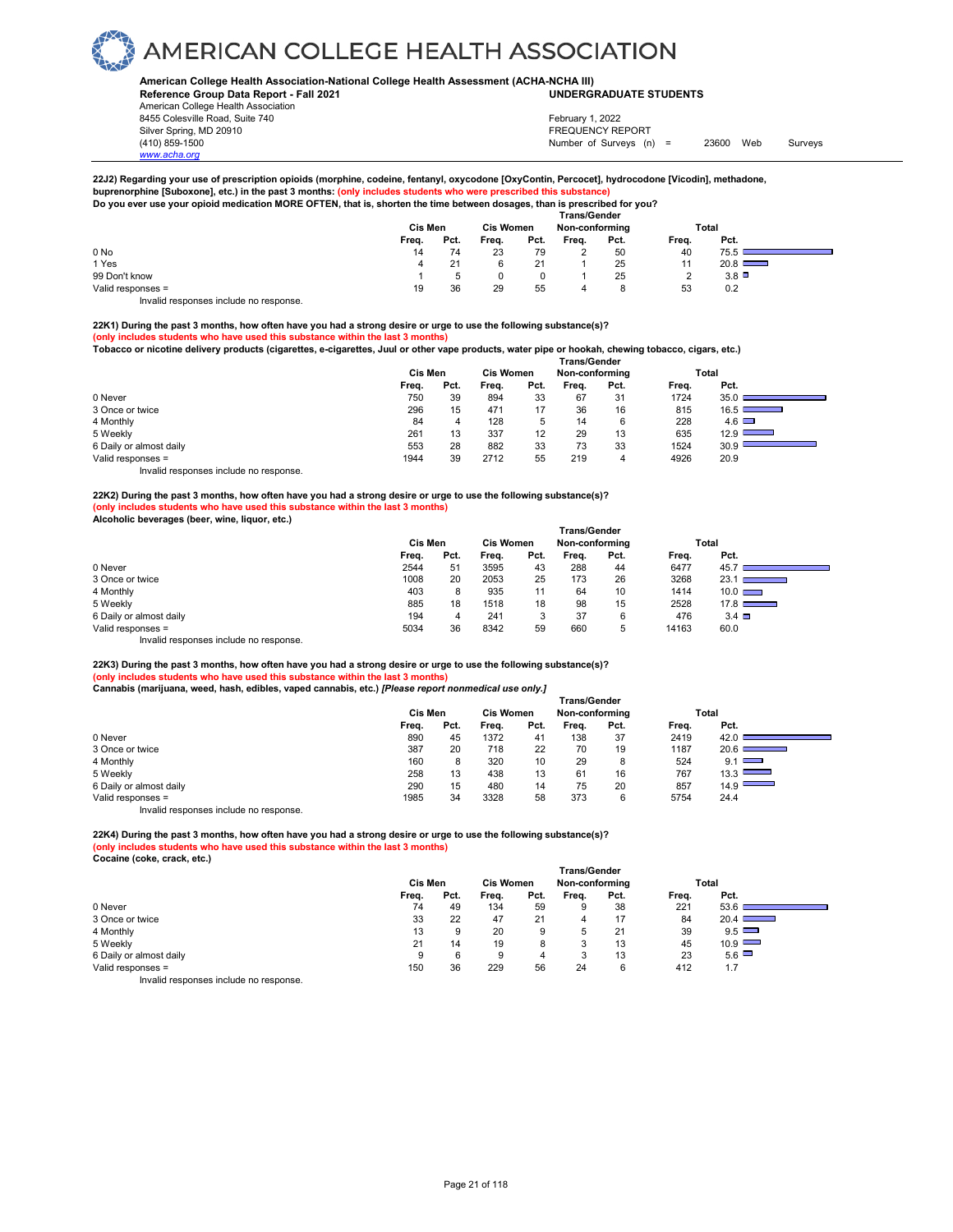### **American College Health Association-National College Health Assessment (ACHA-NCHA III) UNDERGRADUATE STUDENTS**

**Reference Group Data Report - Fall 2021** American College Health Association 8455 Colesville Road, Suite 740 Silver Spring, MD 20910<br>
1990 - The Spring, MD 20910<br>
1990 - The Survey Structure of Surveys (notation of Surveys (notation of Surveys (notation of Surveys (notati

Number of Surveys (n) = 23600 Web Surveys February 1, 2022

**22J2) Regarding your use of prescription opioids (morphine, codeine, fentanyl, oxycodone [OxyContin, Percocet], hydrocodone [Vicodin], methadone,**

buprenorphine [Suboxone], etc.) in the past 3 months: <mark>(only includes students who were prescribed this substance)</mark><br>Do you ever use your opioid medication MORE OFTEN, that is, shorten the time between dosages, than is pres

|                   | <b>Trans/Gender</b> |      |                  |      |                |      |       |               |  |  |  |  |
|-------------------|---------------------|------|------------------|------|----------------|------|-------|---------------|--|--|--|--|
|                   | Cis Men             |      | <b>Cis Women</b> |      | Non-conforming |      |       | Total         |  |  |  |  |
|                   | Freq.               | Pct. | Frea.            | Pct. | Freq.          | Pct. | Freq. | Pct.          |  |  |  |  |
| 0 No              | 14                  | 74   | 23               | 79   | ∸              | 50   | 40    | 75.5          |  |  |  |  |
| 1 Yes             |                     | 21   |                  |      |                | 25   | -1-1  | $20.8$ $\Box$ |  |  |  |  |
| 99 Don't know     |                     |      |                  |      |                | 25   |       | $3.8$ $\Box$  |  |  |  |  |
| Valid responses = | 19                  | 36   | 29               | 55   |                | 8    | 53    | 0.2           |  |  |  |  |

Invalid responses include no response.

*www.acha.org*

**22K1) During the past 3 months, how often have you had a strong desire or urge to use the following substance(s)? (only includes students who have used this substance within the last 3 months)** 

**Tobacco or nicotine delivery products (cigarettes, e-cigarettes, Juul or other vape products, water pipe or hookah, chewing tobacco, cigars, etc.)** 

|                                        | <b>Trans/Gender</b> |      |                  |      |                |      |       |                                  |  |  |  |
|----------------------------------------|---------------------|------|------------------|------|----------------|------|-------|----------------------------------|--|--|--|
|                                        | Cis Men             |      | <b>Cis Women</b> |      | Non-conforming |      |       | Total                            |  |  |  |
|                                        | Freq.               | Pct. | Frea.            | Pct. | Frea.          | Pct. | Freq. | Pct.                             |  |  |  |
| 0 Never                                | 750                 | 39   | 894              | 33   | 67             | 31   | 1724  | $35.0$ $\blacksquare$            |  |  |  |
| 3 Once or twice                        | 296                 | 15   | 471              | 17   | 36             | 16   | 815   | $16.5$ $\blacksquare$            |  |  |  |
| 4 Monthly                              | 84                  | 4    | 128              | 5    | 14             | 6    | 228   | $4.6$ $\Box$                     |  |  |  |
| 5 Weekly                               | 261                 | 13   | 337              | 12   | 29             | 13   | 635   | 12.9 $\Box$<br><b>STATISTICS</b> |  |  |  |
| 6 Daily or almost daily                | 553                 | 28   | 882              | 33   | 73             | 33   | 1524  | 30.9                             |  |  |  |
| Valid responses =                      | 1944                | 39   | 2712             | 55   | 219            | 4    | 4926  | 20.9                             |  |  |  |
| Invalid responses include no response. |                     |      |                  |      |                |      |       |                                  |  |  |  |

**22K2) During the past 3 months, how often have you had a strong desire or urge to use the following substance(s)? (only includes students who have used this substance within the last 3 months) Alcoholic beverages (beer, wine, liquor, etc.)** 

|                                                                                                                                                                                                                                   | Cis Men |      | <b>Cis Women</b> |      | Non-conforming |      |       | Total                                |  |
|-----------------------------------------------------------------------------------------------------------------------------------------------------------------------------------------------------------------------------------|---------|------|------------------|------|----------------|------|-------|--------------------------------------|--|
|                                                                                                                                                                                                                                   | Freq.   | Pct. | Freq.            | Pct. | Freq.          | Pct. | Freq. | Pct.                                 |  |
| 0 Never                                                                                                                                                                                                                           | 2544    | 51   | 3595             | 43   | 288            | 44   | 6477  | 45.7                                 |  |
| 3 Once or twice                                                                                                                                                                                                                   | 1008    | 20   | 2053             | 25   | 173            | 26   | 3268  | $23.1$ I<br><b>Contract Contract</b> |  |
| 4 Monthly                                                                                                                                                                                                                         | 403     | 8    | 935              | 11   | 64             | 10   | 1414  | $10.0$ $\Box$                        |  |
| 5 Weekly                                                                                                                                                                                                                          | 885     | 18   | 1518             | 18   | 98             | 15   | 2528  | 17.8                                 |  |
| 6 Daily or almost daily                                                                                                                                                                                                           | 194     | 4    | 241              |      | 37             | 6    | 476   | $3.4$ $\Box$                         |  |
| Valid responses =                                                                                                                                                                                                                 | 5034    | 36   | 8342             | 59   | 660            | 5    | 14163 | 60.0                                 |  |
| $\mathbf{r}$ , and the contract of the contract of the contract of the contract of the contract of the contract of the contract of the contract of the contract of the contract of the contract of the contract of the contract o |         |      |                  |      |                |      |       |                                      |  |

Invalid responses include no response.

**22K3) During the past 3 months, how often have you had a strong desire or urge to use the following substance(s)? (only includes students who have used this substance within the last 3 months) Cannabis (marijuana, weed, hash, edibles, vaped cannabis, etc.)** *[Please report nonmedical use only.]* 

|                         | <b>Trans/Gender</b> |      |                  |      |                |      |       |                                        |  |  |  |
|-------------------------|---------------------|------|------------------|------|----------------|------|-------|----------------------------------------|--|--|--|
|                         | Cis Men             |      | <b>Cis Women</b> |      | Non-conforming |      |       | Total                                  |  |  |  |
|                         | Freq.               | Pct. | Freq.            | Pct. | Frea.          | Pct. | Freq. | Pct.                                   |  |  |  |
| 0 Never                 | 890                 | 45   | 1372             | 41   | 138            | 37   | 2419  | 42.0                                   |  |  |  |
| 3 Once or twice         | 387                 | 20   | 718              | 22   | 70             | 19   | 1187  | 20.6<br>and the company of the company |  |  |  |
| 4 Monthly               | 160                 | 8    | 320              | 10   | 29             | 8    | 524   | 9.1                                    |  |  |  |
| 5 Weekly                | 258                 | 13   | 438              | 13   | 61             | 16   | 767   | $13.3$ $\Box$                          |  |  |  |
| 6 Daily or almost daily | 290                 | 15   | 480              | 14   | 75             | 20   | 857   | 14.9                                   |  |  |  |
| Valid responses =       | 1985                | 34   | 3328             | 58   | 373            | 6    | 5754  | 24.4                                   |  |  |  |
|                         |                     |      |                  |      |                |      |       |                                        |  |  |  |

Invalid responses include no response.

#### **22K4) During the past 3 months, how often have you had a strong desire or urge to use the following substance(s)? (only includes students who have used this substance within the last 3 months)**

**Cocaine (coke, crack, etc.)** 

|                         | <b>Trans/Gender</b> |      |                  |      |                |      |       |                                      |  |  |
|-------------------------|---------------------|------|------------------|------|----------------|------|-------|--------------------------------------|--|--|
|                         | Cis Men             |      | <b>Cis Women</b> |      | Non-conforming |      |       | Total                                |  |  |
|                         | Freq.               | Pct. | Freq.            | Pct. | Frea.          | Pct. | Freq. | Pct.                                 |  |  |
| 0 Never                 | 74                  | 49   | 134              | 59   | 9              | 38   | 221   | 53.6                                 |  |  |
| 3 Once or twice         | 33                  | 22   | 47               | 21   |                | 17   | 84    | $20.4$ D<br>$\overline{\phantom{a}}$ |  |  |
| 4 Monthly               | 13                  | 9    | 20               | 9    | 5              | 21   | 39    | 9.5                                  |  |  |
| 5 Weekly                | 21                  | 14   | 19               | 8    | 3              | 13   | 45    | $10.9$ $\Box$                        |  |  |
| 6 Daily or almost daily | 9                   | 6    | 9                | 4    | 3              | 13   | 23    | $5.6$ $\Box$                         |  |  |
| Valid responses =       | 150                 | 36   | 229              | 56   | 24             | 6    | 412   | 1.7                                  |  |  |
|                         |                     |      |                  |      |                |      |       |                                      |  |  |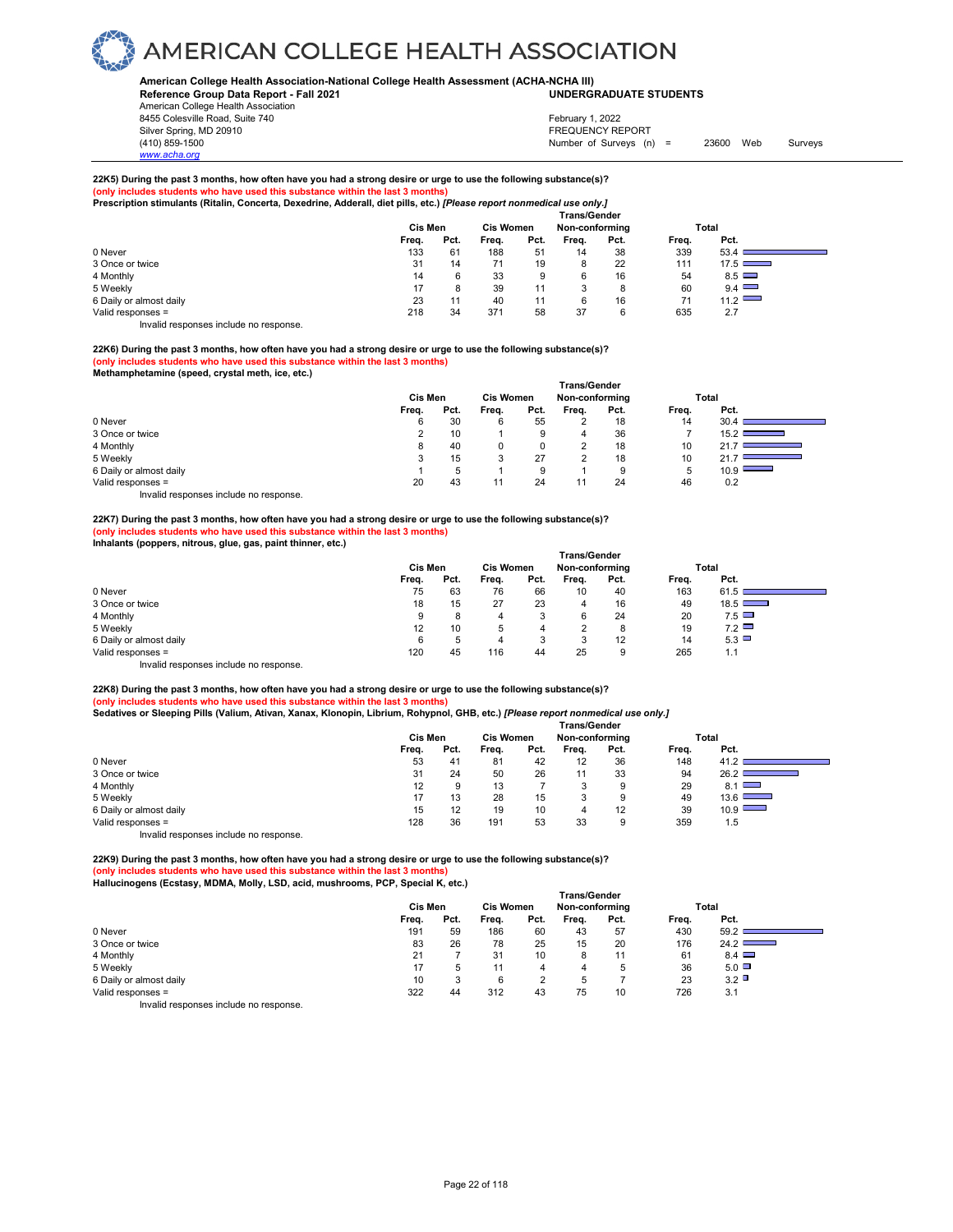### **American College Health Association-National College Health Assessment (ACHA-NCHA III) UNDERGRADUATE STUDENTS**

**Reference Group Data Report - Fall 2021** American College Health Association 8455 Colesville Road, Suite 740

Silver Spring, MD 20910<br>
1990 - The Source of Surveys (n) San Francisco Communication (410) 859-1500<br>
Surveys (n) Number of Surveys (n) Number of Surveys (n) = 23600 Web Surveys February 1, 2022

**22K5) During the past 3 months, how often have you had a strong desire or urge to use the following substance(s)? (only includes students who have used this substance within the last 3 months) Prescription stimulants (Ritalin, Concerta, Dexedrine, Adderall, diet pills, etc.)** *[Please report nonmedical use only.]* 

|                         | <b>Trans/Gender</b> |         |       |                  |       |                |       |       |  |  |  |  |  |
|-------------------------|---------------------|---------|-------|------------------|-------|----------------|-------|-------|--|--|--|--|--|
|                         |                     | Cis Men |       | <b>Cis Women</b> |       | Non-conforming |       | Total |  |  |  |  |  |
|                         | Frea.               | Pct.    | Frea. | Pct.             | Frea. | Pct.           | Frea. | Pct.  |  |  |  |  |  |
| 0 Never                 | 133                 | 61      | 188   | 51               | 14    | 38             | 339   | 53.4  |  |  |  |  |  |
| 3 Once or twice         | 31                  | 14      |       | 19               | 8     | 22             | 111   | 17.5  |  |  |  |  |  |
| 4 Monthly               | 14                  |         | 33    | 9                | 6     | 16             | 54    | 8.5   |  |  |  |  |  |
| 5 Weekly                |                     |         | 39    | 11               |       | 8              | 60    | 9.4   |  |  |  |  |  |
| 6 Daily or almost daily | 23                  | 11      | 40    | 11               |       | 16             | 71    | 11.2  |  |  |  |  |  |
| Valid responses =       | 218                 | 34      | 371   | 58               | 37    | 6              | 635   | 2.7   |  |  |  |  |  |
|                         |                     |         |       |                  |       |                |       |       |  |  |  |  |  |

Invalid responses include no response.

acha.

#### **22K6) During the past 3 months, how often have you had a strong desire or urge to use the following substance(s)? (only includes students who have used this substance within the last 3 months) Methamphetamine (speed, crystal meth, ice, etc.)**

|                                        | <b>Trans/Gender</b> |      |                  |                   |                |      |       |                                          |  |  |  |
|----------------------------------------|---------------------|------|------------------|-------------------|----------------|------|-------|------------------------------------------|--|--|--|
|                                        | <b>Cis Men</b>      |      | <b>Cis Women</b> |                   | Non-conforming |      |       | Total                                    |  |  |  |
|                                        | Freq.               | Pct. | Frea.            | Pct.              | Frea.          | Pct. | Freq. | Pct.                                     |  |  |  |
| 0 Never                                | 6                   | 30   | 6                | 55                | ◠              | 18   | 14    | 30.4                                     |  |  |  |
| 3 Once or twice                        |                     | 10   |                  | 9                 | 4              | 36   |       | 15.2                                     |  |  |  |
| 4 Monthly                              |                     | 40   | 0                | <sup>n</sup><br>υ | っ              | 18   | 10    | 21.                                      |  |  |  |
| 5 Weekly                               |                     | 15   | 3                | 27                | っ              | 18   | 10    | 21.<br>the control of the control of the |  |  |  |
| 6 Daily or almost daily                |                     |      |                  | 9                 |                | 9    | 5     | 10.9                                     |  |  |  |
| Valid responses =                      | 20                  | 43   | 11               | 24                | 11             | 24   | 46    | 0.2                                      |  |  |  |
| Invalid responses include no response. |                     |      |                  |                   |                |      |       |                                          |  |  |  |

**22K7) During the past 3 months, how often have you had a strong desire or urge to use the following substance(s)? (only includes students who have used this substance within the last 3 months)** 

**Inhalants (poppers, nitrous, glue, gas, paint thinner, etc.)** 

|                                                                          | <b>Trans/Gender</b> |      |                  |      |                |      |       |      |  |  |  |
|--------------------------------------------------------------------------|---------------------|------|------------------|------|----------------|------|-------|------|--|--|--|
|                                                                          | Cis Men             |      | <b>Cis Women</b> |      | Non-conforming |      | Total |      |  |  |  |
|                                                                          | Freq.               | Pct. | Frea.            | Pct. | Freq.          | Pct. | Freq. | Pct. |  |  |  |
| 0 Never                                                                  | 75                  | 63   | 76               | 66   | 10             | 40   | 163   | 61.5 |  |  |  |
| 3 Once or twice                                                          | 18                  | 15   | 27               | 23   | 4              | 16   | 49    | 18.5 |  |  |  |
| 4 Monthly                                                                | 9                   | 8    | 4                |      | 6              | 24   | 20    | 7.5  |  |  |  |
| 5 Weekly                                                                 | 12                  | 10   | 5                | 4    | ົ              | 8    | 19    | 7.2  |  |  |  |
| 6 Daily or almost daily                                                  | 6                   | b    | 4                | c    | 2<br>ت         | 12   | 14    | 5.3  |  |  |  |
| Valid responses =                                                        | 120                 | 45   | 116              | 44   | 25             | 9    | 265   | 1.1  |  |  |  |
| factuality that are a constructed to a final attack on a construction of |                     |      |                  |      |                |      |       |      |  |  |  |

Invalid responses include no response.

#### **22K8) During the past 3 months, how often have you had a strong desire or urge to use the following substance(s)? (only includes students who have used this substance within the last 3 months) Sedatives or Sleeping Pills (Valium, Ativan, Xanax, Klonopin, Librium, Rohypnol, GHB, etc.)** *[Please report nonmedical use only.]*

|                                       | - -<br>- -<br><b>Trans/Gender</b> |      |                  |      |                |      |       |                         |  |  |
|---------------------------------------|-----------------------------------|------|------------------|------|----------------|------|-------|-------------------------|--|--|
|                                       | Cis Men                           |      | <b>Cis Women</b> |      | Non-conforming |      |       | Total                   |  |  |
|                                       | Freq.                             | Pct. | Freq.            | Pct. | Freq.          | Pct. | Freq. | Pct.                    |  |  |
| 0 Never                               | 53                                | 41   | 81               | 42   | 12             | 36   | 148   | 41.2                    |  |  |
| 3 Once or twice                       | 31                                | 24   | 50               | 26   | 11             | 33   | 94    | 26.2                    |  |  |
| 4 Monthly                             | 12                                | 9    | 13               |      | <u>ົ</u>       | 9    | 29    | $8.1$ $\Box$            |  |  |
| 5 Weekly                              |                                   | 13   | 28               | 15   | <u>ົ</u>       | 9    | 49    | 13.6<br><b>Contract</b> |  |  |
| 6 Daily or almost daily               | 15                                | 12   | 19               | 10   | 4              | 12   | 39    | $10.9$ $\Box$           |  |  |
| Valid responses =                     | 128                               | 36   | 191              | 53   | 33             | 9    | 359   | 1.5                     |  |  |
| laughid seepenees include ne seepenee |                                   |      |                  |      |                |      |       |                         |  |  |

Invalid responses include no response.

**22K9) During the past 3 months, how often have you had a strong desire or urge to use the following substance(s)? (only includes students who have used this substance within the last 3 months) Hallucinogens (Ecstasy, MDMA, Molly, LSD, acid, mushrooms, PCP, Special K, etc.)** 

|                         | <b>Trans/Gender</b> |      |       |                                    |       |      |       |            |  |  |
|-------------------------|---------------------|------|-------|------------------------------------|-------|------|-------|------------|--|--|
|                         | Cis Men             |      |       | <b>Cis Women</b><br>Non-conforming |       |      |       | Total      |  |  |
|                         | Freq.               | Pct. | Freq. | Pct.                               | Freq. | Pct. | Freq. | Pct.       |  |  |
| 0 Never                 | 191                 | 59   | 186   | 60                                 | 43    | 57   | 430   | 59.2       |  |  |
| 3 Once or twice         | 83                  | 26   | 78    | 25                                 | 15    | 20   | 176   | 24.2       |  |  |
| 4 Monthly               | 21                  |      | 31    | 10                                 | 8     | 11   | 61    | $8.4 \Box$ |  |  |
| 5 Weekly                | 17                  | 5    |       |                                    | 4     | b    | 36    | 5.0        |  |  |
| 6 Daily or almost daily | 10                  | 3    | 6     |                                    | .5    |      | 23    | 3.2        |  |  |
| Valid responses =       | 322                 | 44   | 312   | 43                                 | 75    | 10   | 726   | 3.1        |  |  |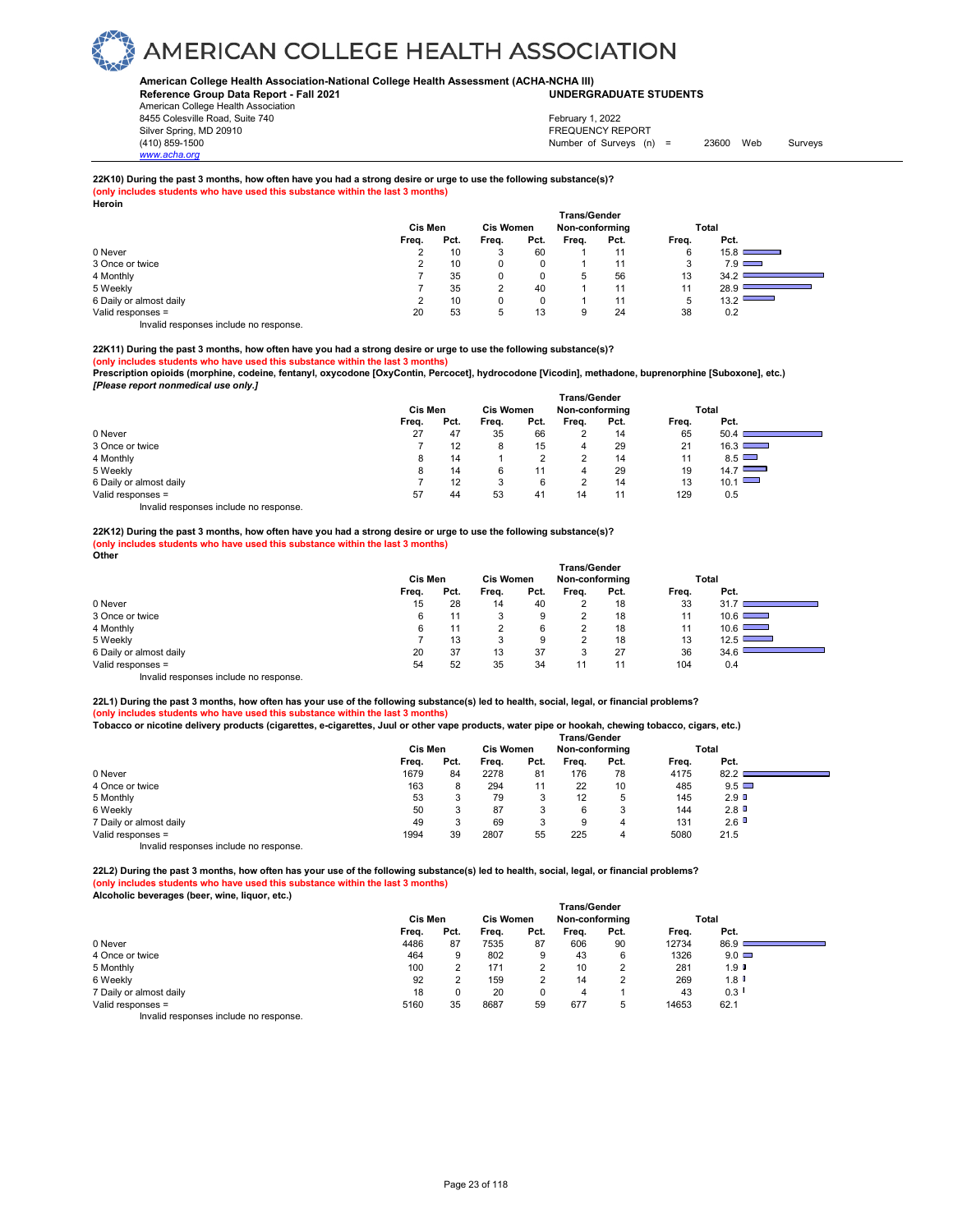### **American College Health Association-National College Health Assessment (ACHA-NCHA III) UNDERGRADUATE STUDENTS**

**Reference Group Data Report - Fall 2021** American College Health Association 8455 Colesville Road, Suite 740 Silver Spring, MD 20910<br>
1990 - The Source of Surveys (n) San Francisco Communication (410) 859-1500<br>
Surveys (n) Number of Surveys (n)

Number of Surveys (n) = 23600 Web Surveys February 1, 2022

**22K10) During the past 3 months, how often have you had a strong desire or urge to use the following substance(s)?**

**(only includes students who have used this substance within the last 3 months) Heroin**

| 1151 VIII               |       |         |       |                                                           |       |      |       |                                  |  |
|-------------------------|-------|---------|-------|-----------------------------------------------------------|-------|------|-------|----------------------------------|--|
|                         |       | Cis Men |       | <b>Trans/Gender</b><br><b>Cis Women</b><br>Non-conforming |       |      |       | Total                            |  |
|                         | Freq. | Pct.    | Freq. | Pct.                                                      | Freq. | Pct. | Freq. | Pct.                             |  |
| 0 Never                 | ∠     | 10      | 3     | 60                                                        |       | 11   | 6     | 15.8                             |  |
| 3 Once or twice         |       | 10      |       |                                                           |       | 11   | 3     | $7.9$ $\Box$                     |  |
| 4 Monthly               |       | 35      | 0     |                                                           | 5     | 56   | 13    | 34.2                             |  |
| 5 Weekly                |       | 35      | ◠     | 40                                                        |       | 11   | 11    | 28.9                             |  |
| 6 Daily or almost daily |       | 10      | 0     |                                                           |       | 11   | 5     | 13.2<br><b>Contract Contract</b> |  |
| Valid responses =       | 20    | 53      | 5     | 13                                                        | 9     | 24   | 38    | 0.2                              |  |
| .<br>.                  |       |         |       |                                                           |       |      |       |                                  |  |

Invalid responses include no response.

*www.acha.org*

### **22K11) During the past 3 months, how often have you had a strong desire or urge to use the following substance(s)?**

**(only includes students who have used this substance within the last 3 months)** 

**Prescription opioids (morphine, codeine, fentanyl, oxycodone [OxyContin, Percocet], hydrocodone [Vicodin], methadone, buprenorphine [Suboxone], etc.)**  *[Please report nonmedical use only.]* 

|                         | <b>Trans/Gender</b> |         |       |                                    |       |      |       |      |  |  |
|-------------------------|---------------------|---------|-------|------------------------------------|-------|------|-------|------|--|--|
|                         |                     | Cis Men |       | <b>Cis Women</b><br>Non-conforming |       |      | Total |      |  |  |
|                         | Freq.               | Pct.    | Freq. | Pct.                               | Freq. | Pct. | Freq. | Pct. |  |  |
| 0 Never                 | 27                  | 47      | 35    | 66                                 | 2     | 14   | 65    | 50.4 |  |  |
| 3 Once or twice         |                     | 12      | 8     | 15                                 | 4     | 29   | 21    | 16.3 |  |  |
| 4 Monthly               | 8                   | 14      |       | c                                  |       | 14   | 11    | 8.5  |  |  |
| 5 Weekly                | 8                   | 14      | 6     | 11                                 | 4     | 29   | 19    | 14.7 |  |  |
| 6 Daily or almost daily |                     | 12      |       | 6                                  |       | 14   | 13    | 10.1 |  |  |
| Valid responses =       | 57                  | 44      | 53    | 41                                 | 14    | 11   | 129   | 0.5  |  |  |
| .<br>.                  |                     |         |       |                                    |       |      |       |      |  |  |

Invalid responses include no response.

#### **22K12) During the past 3 months, how often have you had a strong desire or urge to use the following substance(s)? (only includes students who have used this substance within the last 3 months) Other**

|                         | Cis Men | <b>Cis Women</b> |       | <b>Trans/Gender</b><br>Non-conforming |       |      | Total |                                                                                                                               |
|-------------------------|---------|------------------|-------|---------------------------------------|-------|------|-------|-------------------------------------------------------------------------------------------------------------------------------|
|                         | Freq.   | Pct.             | Freq. | Pct.                                  | Freq. | Pct. | Freq. | Pct.                                                                                                                          |
| 0 Never                 | 15      | 28               | 14    | 40                                    |       | 18   | 33    | 31                                                                                                                            |
| 3 Once or twice         | 6       | 11               | 3     | 9                                     |       | 18   | 11    | 10.6                                                                                                                          |
| 4 Monthly               | 6       | 11               |       | 6                                     |       | 18   | 11    | $10.6$ $\qquad \qquad$                                                                                                        |
| 5 Weekly                |         | 13               | 3     |                                       | ◠     | 18   | 13    | 12.5<br><b>Contract Contract</b>                                                                                              |
| 6 Daily or almost daily | 20      | 37               | 13    | 37                                    | 3     | 27   | 36    | 34.6<br><u> 1989 - Johann Barnett, mars eta indonez erroman erroman erroman erroman erroman erroman erroman erroman errom</u> |
| Valid responses =       | 54      | 52               | 35    | 34                                    | 11    | 11   | 104   | 0.4                                                                                                                           |
| .<br>.                  |         |                  |       |                                       |       |      |       |                                                                                                                               |

Invalid responses include no response.

**22L1) During the past 3 months, how often has your use of the following substance(s) led to health, social, legal, or financial problems? (only includes students who have used this substance within the last 3 months)** 

| Tobacco or nicotine delivery products (cigarettes, e-cigarettes, Juul or other vape products, water pipe or hookah, chewing tobacco, cigars, etc.) |  |  |  |  |
|----------------------------------------------------------------------------------------------------------------------------------------------------|--|--|--|--|
|----------------------------------------------------------------------------------------------------------------------------------------------------|--|--|--|--|

|                                        |                |      |                  |      | <b>Trans/Gender</b> |      |       |              |  |
|----------------------------------------|----------------|------|------------------|------|---------------------|------|-------|--------------|--|
|                                        | <b>Cis Men</b> |      | <b>Cis Women</b> |      | Non-conforming      |      | Total |              |  |
|                                        | Freq.          | Pct. | Frea.            | Pct. | Frea.               | Pct. | Freq. | Pct.         |  |
| 0 Never                                | 1679           | 84   | 2278             | 81   | 176                 | 78   | 4175  | 82.2         |  |
| 4 Once or twice                        | 163            | 8    | 294              | 11   | 22                  | 10   | 485   | $9.5$ $\Box$ |  |
| 5 Monthly                              | 53             | ъ    | 79               | 3    | 12                  | 5    | 145   | 2.9          |  |
| 6 Weekly                               | 50             | ъ    | 87               |      | 6                   | 3    | 144   | 2.8          |  |
| 7 Daily or almost daily                | 49             |      | 69               |      | 9                   |      | 131   | 2.6          |  |
| Valid responses =                      | 1994           | 39   | 2807             | 55   | 225                 |      | 5080  | 21.5         |  |
| Invalid responses include no response. |                |      |                  |      |                     |      |       |              |  |

**22L2) During the past 3 months, how often has your use of the following substance(s) led to health, social, legal, or financial problems? (s)** students who have used this substance within the last 3 months) **Alcoholic beverages (beer, wine, liquor, etc.)** 

|                                        |         |      |                  |      | <b>Trans/Gender</b> |      |       |                      |  |
|----------------------------------------|---------|------|------------------|------|---------------------|------|-------|----------------------|--|
|                                        | Cis Men |      | <b>Cis Women</b> |      | Non-conforming      |      | Total |                      |  |
|                                        | Freq.   | Pct. | Freq.            | Pct. | Freq.               | Pct. | Freq. | Pct.                 |  |
| 0 Never                                | 4486    | 87   | 7535             | 87   | 606                 | 90   | 12734 | 86.9                 |  |
| 4 Once or twice                        | 464     | 9    | 802              | 9    | 43                  | 6    | 1326  | $9.0$ $\Box$         |  |
| 5 Monthly                              | 100     |      | 171              |      | 10                  | C    | 281   | $1.9$ $\blacksquare$ |  |
| 6 Weekly                               | 92      |      | 159              |      | 14                  | っ    | 269   | $1.8$ $\blacksquare$ |  |
| 7 Daily or almost daily                | 18      | 0    | 20               |      | 4                   |      | 43    | 0.3                  |  |
| Valid responses =                      | 5160    | 35   | 8687             | 59   | 677                 | 5    | 14653 | 62.1                 |  |
| Invalid responses include no response. |         |      |                  |      |                     |      |       |                      |  |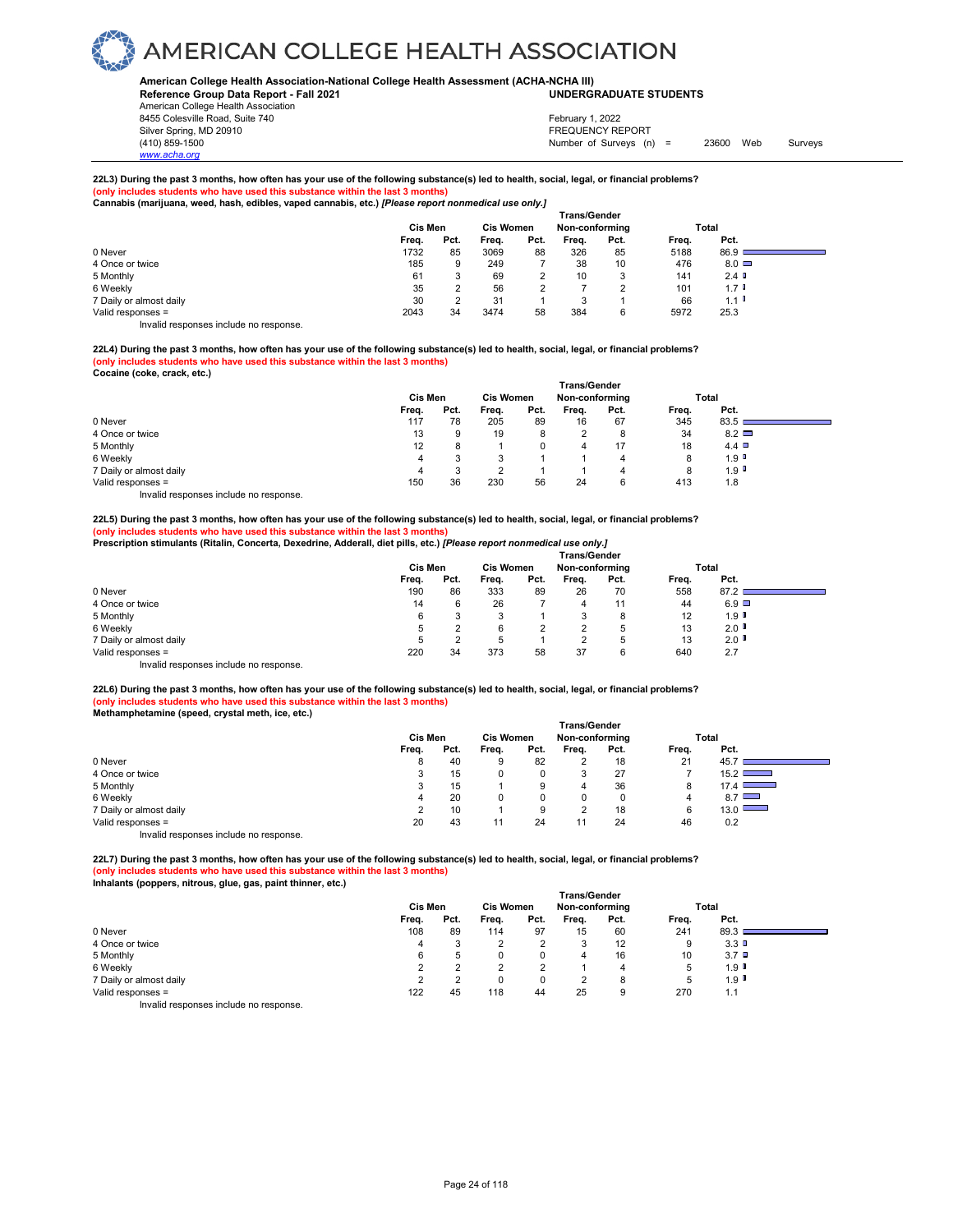### **American College Health Association-National College Health Assessment (ACHA-NCHA III) UNDERGRADUATE STUDENTS**

**Reference Group Data Report - Fall 2021** American College Health Association 8455 Colesville Road, Suite 740

Silver Spring, MD 20910<br>
1990 - The Spring, MD 20910<br>
1990 - The Survey Structure of Surveys (notation of Surveys (notation of Surveys (notation of Surveys (notati Number of Surveys (n) = 23600 Web Surveys February 1, 2022

### **22L3) During the past 3 months, how often has your use of the following substance(s) led to health, social, legal, or financial problems? (only includes students who have used this substance within the last 3 months) Cannabis (marijuana, weed, hash, edibles, vaped cannabis, etc.)** *[Please report nonmedical use only.]*

|                                        | ---<br>- -<br><b>Trans/Gender</b> |      |                  |      |                |      |       |                      |  |  |
|----------------------------------------|-----------------------------------|------|------------------|------|----------------|------|-------|----------------------|--|--|
|                                        | <b>Cis Men</b>                    |      | <b>Cis Women</b> |      | Non-conforming |      | Total |                      |  |  |
|                                        | Freq.                             | Pct. | Freq.            | Pct. | Freq.          | Pct. | Freq. | Pct.                 |  |  |
| 0 Never                                | 1732                              | 85   | 3069             | 88   | 326            | 85   | 5188  | 86.9                 |  |  |
| 4 Once or twice                        | 185                               | 9    | 249              |      | 38             | 10   | 476   | $8.0\Box$            |  |  |
| 5 Monthly                              | 61                                |      | 69               | ົ    | 10             | 3    | 141   | 2.4                  |  |  |
| 6 Weekly                               | 35                                |      | 56               | ົ    |                | ◠    | 101   | 1.7 <sup>0</sup>     |  |  |
| 7 Daily or almost daily                | 30                                |      | 31               |      | 3              |      | 66    | $1.1$ $\blacksquare$ |  |  |
| Valid responses =                      | 2043                              | 34   | 3474             | 58   | 384            | 6    | 5972  | 25.3                 |  |  |
| Invalid responses include no response. |                                   |      |                  |      |                |      |       |                      |  |  |

**22L4) During the past 3 months, how often has your use of the following substance(s) led to health, social, legal, or financial problems? (only includes students who have used this substance within the last 3 months)** 

| Cocaine (coke, crack, etc.) |  |  |
|-----------------------------|--|--|
|                             |  |  |

*www.acha.org*

|                                        |                |              |       |                                    | <b>Trans/Gender</b> |      |       |                      |  |
|----------------------------------------|----------------|--------------|-------|------------------------------------|---------------------|------|-------|----------------------|--|
|                                        | <b>Cis Men</b> |              |       | <b>Cis Women</b><br>Non-conforming |                     |      |       | Total                |  |
|                                        | Freq.          | Pct.         | Freq. | Pct.                               | Freq.               | Pct. | Freq. | Pct.                 |  |
| 0 Never                                | 117            | 78           | 205   | 89                                 | 16                  | 67   | 345   | 83.5                 |  |
| 4 Once or twice                        | 13             | 9            | 19    | 8                                  |                     | 8    | 34    | $8.2$ $\Box$         |  |
| 5 Monthly                              | 12             | 8            |       |                                    | 4                   | 17   | 18    | 4.4                  |  |
| 6 Weekly                               | 4              | ິ            | 3     |                                    |                     |      | 8     | $1.9$ $^{\circ}$     |  |
| 7 Daily or almost daily                | 4              | ິ<br>$\cdot$ |       |                                    |                     |      | 8     | $1.9$ $\blacksquare$ |  |
| Valid responses =                      | 150            | 36           | 230   | 56                                 | 24                  | 6    | 413   | 1.8                  |  |
| Invalid responses include no response. |                |              |       |                                    |                     |      |       |                      |  |

**22L5) During the past 3 months, how often has your use of the following substance(s) led to health, social, legal, or financial problems? (only includes students who have used this substance within the last 3 months) Prescription stimulants (Ritalin, Concerta, Dexedrine, Adderall, diet pills, etc.)** *[Please report nonmedical use only.]* 

|                                        | <b>Trans/Gender</b> |      |                  |      |                |      |       |              |                                                                                                                                                                                                                                      |  |
|----------------------------------------|---------------------|------|------------------|------|----------------|------|-------|--------------|--------------------------------------------------------------------------------------------------------------------------------------------------------------------------------------------------------------------------------------|--|
|                                        | <b>Cis Men</b>      |      | <b>Cis Women</b> |      | Non-conforming |      |       | Total        |                                                                                                                                                                                                                                      |  |
|                                        | Freq.               | Pct. | Freq.            | Pct. | Frea.          | Pct. | Freq. | Pct.         |                                                                                                                                                                                                                                      |  |
| 0 Never                                | 190                 | 86   | 333              | 89   | 26             | 70   | 558   | 87.2         | <u> The Common Section of the Common Section of the Common Section of the Common Section of the Common Section of the Common Section of the Common Section of the Common Section of the Common Section of the Common Section of </u> |  |
| 4 Once or twice                        | 14                  |      | 26               |      | 4              | 11   | 44    | $6.9$ $\Box$ |                                                                                                                                                                                                                                      |  |
| 5 Monthly                              | 6                   |      | 3                |      |                | 8    | 12    | 1.9          |                                                                                                                                                                                                                                      |  |
| 6 Weekly                               | 5                   |      | 6                | っ    | ◠              | 5    | 13    | 2.0          |                                                                                                                                                                                                                                      |  |
| 7 Daily or almost daily                |                     |      | 5                |      | ◠              | 5    | 13    | 2.0          |                                                                                                                                                                                                                                      |  |
| Valid responses =                      | 220                 | 34   | 373              | 58   | 37             | 6    | 640   | 2.7          |                                                                                                                                                                                                                                      |  |
| Invalid responses include no response. |                     |      |                  |      |                |      |       |              |                                                                                                                                                                                                                                      |  |

**22L6) During the past 3 months, how often has your use of the following substance(s) led to health, social, legal, or financial problems? (only includes students who have used this substance within the last 3 months) Methamphetamine (speed, crystal meth, ice, etc.)** 

|                                        | Trans/Gender   |      |                  |      |                |          |       |       |  |  |
|----------------------------------------|----------------|------|------------------|------|----------------|----------|-------|-------|--|--|
|                                        | <b>Cis Men</b> |      | <b>Cis Women</b> |      | Non-conforming |          |       | Total |  |  |
|                                        | Freq.          | Pct. | Freq.            | Pct. | Freq.          | Pct.     | Freq. | Pct.  |  |  |
| 0 Never                                |                | 40   |                  | 82   |                | 18       | 21    | 45.7  |  |  |
| 4 Once or twice                        |                | 15   |                  |      | 3              | 27       |       | 15.2  |  |  |
| 5 Monthly                              |                | 15   |                  | 9    | 4              | 36       | 8     | 17.4  |  |  |
| 6 Weekly                               | 4              | 20   |                  |      | 0              | $\Omega$ | 4     | 8.7   |  |  |
| 7 Daily or almost daily                |                | 10   |                  |      | ◠              | 18       | 6     | 13.0  |  |  |
| Valid responses =                      | 20             | 43   |                  | 24   | 11             | 24       | 46    | 0.2   |  |  |
| Invalid responses include no response. |                |      |                  |      |                |          |       |       |  |  |

**22L7) During the past 3 months, how often has your use of the following substance(s) led to health, social, legal, or financial problems? (only includes students who have used this substance within the last 3 months)** 

**Inhalants (poppers, nitrous, glue, gas, paint thinner, etc.)** 

|                                                                           | <b>Trans/Gender</b>                                    |      |       |      |       |      |       |         |  |  |  |
|---------------------------------------------------------------------------|--------------------------------------------------------|------|-------|------|-------|------|-------|---------|--|--|--|
|                                                                           | Cis Men<br><b>Cis Women</b><br>Non-conforming<br>Total |      |       |      |       |      |       |         |  |  |  |
|                                                                           | Freq.                                                  | Pct. | Freq. | Pct. | Frea. | Pct. | Freq. | Pct.    |  |  |  |
| 0 Never                                                                   | 108                                                    | 89   | 114   | 97   | 15    | 60   | 241   | 89.3    |  |  |  |
| 4 Once or twice                                                           | 4                                                      |      | ے     |      | ×.    | 12   | 9     | 3.3     |  |  |  |
| 5 Monthly                                                                 |                                                        |      | 0     |      | 4     | 16   | 10    | $3.7$ D |  |  |  |
| 6 Weekly                                                                  |                                                        |      |       |      |       | 4    | 5     | 1.9     |  |  |  |
| 7 Daily or almost daily                                                   |                                                        |      | 0     |      |       | 8    | 5     | 1.9     |  |  |  |
| Valid responses =                                                         | 122                                                    | 45   | 118   | 44   | 25    | 9    | 270   | 1.1     |  |  |  |
| the control theory is a structure that the collection of the state of the |                                                        |      |       |      |       |      |       |         |  |  |  |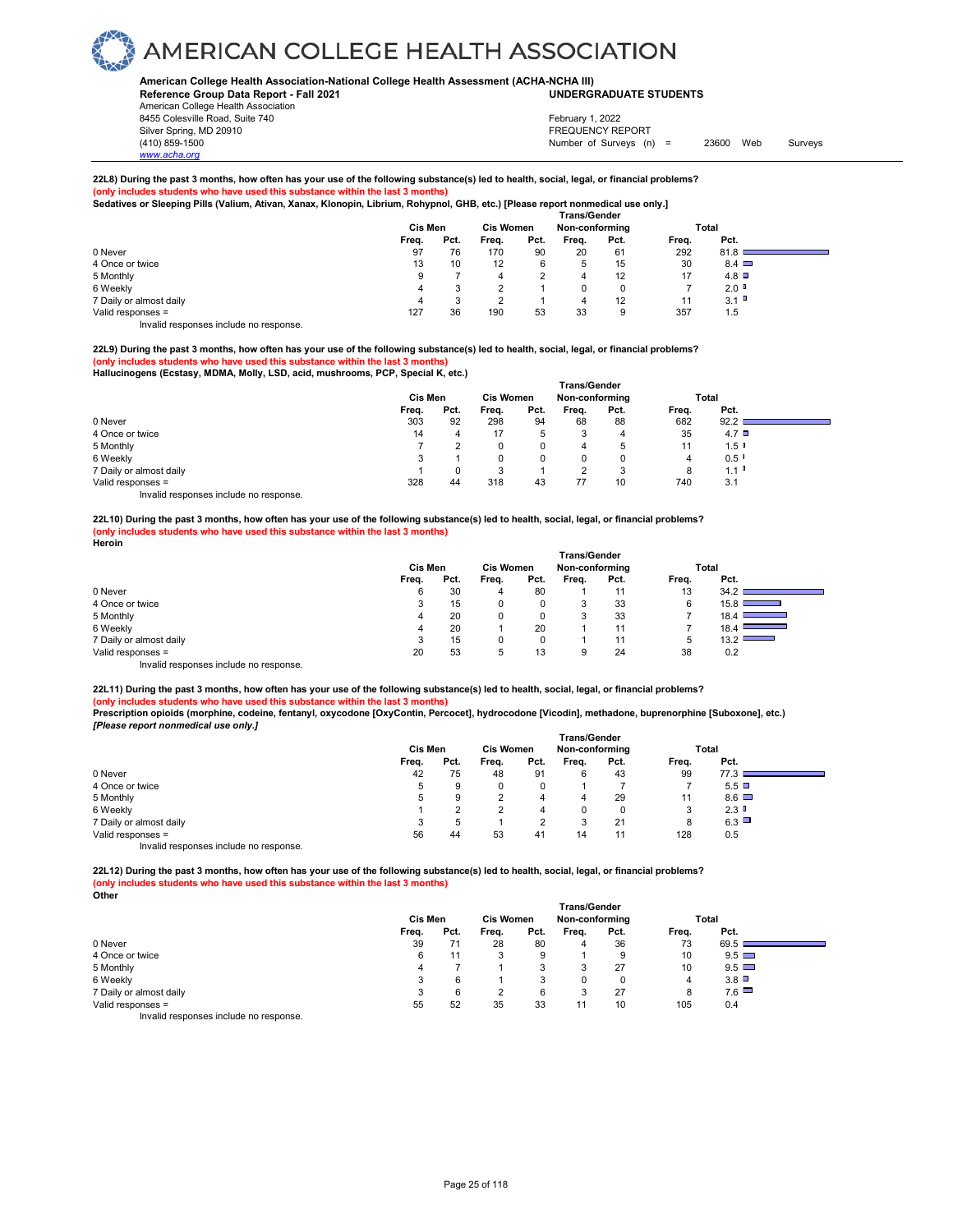#### **American College Health Association-National College Health Assessment (ACHA-NCHA III) UNDERGRADUATE STUDENTS**

**Reference Group Data Report - Fall 2021** American College Health Association 8455 Colesville Road, Suite 740 Silver Spring, MD 20910<br>
1990 - The Spring, MD 20910<br>
1990 - The Survey Structure of Surveys (notation of Surveys (notation of Surveys (notation of Surveys (notati

*www.acha.org*

### February 1, 2022

Number of Surveys (n) = 23600 Web Surveys

### **22L8) During the past 3 months, how often has your use of the following substance(s) led to health, social, legal, or financial problems? (only includes students who have used this substance within the last 3 months) Sedatives or Sleeping Pills (Valium, Ativan, Xanax, Klonopin, Librium, Rohypnol, GHB, etc.) [Please report nonmedical use only.]**

|                                        | <b>Trans/Gender</b> |         |       |                  |       |                |       |              |  |  |  |
|----------------------------------------|---------------------|---------|-------|------------------|-------|----------------|-------|--------------|--|--|--|
|                                        | Cis Men             |         |       | <b>Cis Women</b> |       | Non-conforming |       | Total        |  |  |  |
|                                        | Freq.               | Pct.    | Freq. | Pct.             | Freq. | Pct.           | Freq. | Pct.         |  |  |  |
| 0 Never                                | 97                  | 76      | 170   | 90               | 20    | 61             | 292   | 81.8         |  |  |  |
| 4 Once or twice                        | 13                  | 10      | 12    | 6                | 5     | 15             | 30    | $8.4$ $\Box$ |  |  |  |
| 5 Monthly                              | 9                   |         |       | $\Omega$         | 4     | 12             | 17    | 4.8          |  |  |  |
| 6 Weekly                               | 4                   |         |       |                  | 0     | 0              |       | 2.0          |  |  |  |
| 7 Daily or almost daily                | 4                   | 2<br>ĸ. |       |                  | 4     | 12             | 11    | 3.1          |  |  |  |
| Valid responses =                      | 127                 | 36      | 190   | 53               | 33    | 9              | 357   | 1.5          |  |  |  |
| Invalid responses include no response. |                     |         |       |                  |       |                |       |              |  |  |  |

**22L9) During the past 3 months, how often has your use of the following substance(s) led to health, social, legal, or financial problems? (only include included that substance within the last 3 months) Hallucinogens (Ecstasy, MDMA, Molly, LSD, acid, mushrooms, PCP, Special K, etc.)** 

|                                        | <b>Trans/Gender</b> |                  |       |                |       |          |       |                      |  |  |
|----------------------------------------|---------------------|------------------|-------|----------------|-------|----------|-------|----------------------|--|--|
|                                        | Cis Men             | <b>Cis Women</b> |       | Non-conforming |       | Total    |       |                      |  |  |
|                                        | Freq.               | Pct.             | Freq. | Pct.           | Freq. | Pct.     | Freq. | Pct.                 |  |  |
| 0 Never                                | 303                 | 92               | 298   | 94             | 68    | 88       | 682   | 92.2                 |  |  |
| 4 Once or twice                        | 14                  |                  | 17    | 5              |       | 4        | 35    | $4.7$ $\Box$         |  |  |
| 5 Monthly                              |                     |                  | 0     | 0              | 4     | 5        | 11    | $1.5$ $\blacksquare$ |  |  |
| 6 Weekly                               |                     |                  | 0     | 0              |       | $\Omega$ | 4     | $0.5$ $\blacksquare$ |  |  |
| 7 Daily or almost daily                |                     |                  | 3     |                |       | 3        | 8     | $1.1$ $\blacksquare$ |  |  |
| Valid responses =                      | 328                 | 44               | 318   | 43             | 77    | 10       | 740   | 3.1                  |  |  |
| Invalid responses include no response. |                     |                  |       |                |       |          |       |                      |  |  |

**22L10) During the past 3 months, how often has your use of the following substance(s) led to health, social, legal, or financial problems? (only includes students who have used this substance within the last 3 months) Heroin** 

|                         | <b>Trans/Gender</b> |                  |       |                |       |       |             |                                                          |  |
|-------------------------|---------------------|------------------|-------|----------------|-------|-------|-------------|----------------------------------------------------------|--|
|                         | Cis Men             | <b>Cis Women</b> |       | Non-conforming |       | Total |             |                                                          |  |
|                         | Freq.               | Pct.             | Freq. | Pct.           | Freq. | Pct.  | Freq.       | Pct.                                                     |  |
| 0 Never                 | 6                   | 30               | 4     | 80             |       | 11    | 13          | 34.2                                                     |  |
| 4 Once or twice         | 3                   | 15               |       | 0              | 3     | 33    | 6           | 15.8<br>___                                              |  |
| 5 Monthly               | 4                   | 20               |       | 0              | 3     | 33    |             | 18.4 $\blacksquare$<br><b>Contract Contract Contract</b> |  |
| 6 Weekly                | 4                   | 20               |       | 20             |       | 11    |             | 18.4                                                     |  |
| 7 Daily or almost daily | 3                   | 15               |       | 0              |       | 11    | $\mathbf b$ | 13.2<br>__                                               |  |
| Valid responses =       | 20                  | 53               | 5     | 13             | 9     | 24    | 38          | 0.2                                                      |  |
| .<br>.                  |                     |                  |       |                |       |       |             |                                                          |  |

Invalid responses include no response.

**22L11) During the past 3 months, how often has your use of the following substance(s) led to health, social, legal, or financial problems?**

**(only includes students who have used this substance within the last 3 months) Prescription opioids (morphine, codeine, fentanyl, oxycodone [OxyContin, Percocet], hydrocodone [Vicodin], methadone, buprenorphine [Suboxone], etc.)**

*[Please report nonmedical use only.]* 

|                                         |         |                  |       |                | <b>Trans/Gender</b> |      |       |              |  |
|-----------------------------------------|---------|------------------|-------|----------------|---------------------|------|-------|--------------|--|
|                                         | Cis Men | <b>Cis Women</b> |       | Non-conforming |                     |      | Total |              |  |
|                                         | Freq.   | Pct.             | Freq. | Pct.           | Freq.               | Pct. | Freq. | Pct.         |  |
| 0 Never                                 | 42      | 75               | 48    | 91             | 6                   | 43   | 99    | 77.3         |  |
| 4 Once or twice                         | 5       | 9                | 0     | 0              |                     |      |       | 5.5          |  |
| 5 Monthly                               | 5       | 9                |       | 4              | 4                   | 29   | 11    | $8.6$ $\Box$ |  |
| 6 Weekly                                |         |                  |       | 4              |                     |      | 3     | 2.3          |  |
| 7 Daily or almost daily                 | 3       |                  |       |                | ີ                   | 21   | 8     | 6.3          |  |
| Valid responses =                       | 56      | 44               | 53    | 41             | 14                  |      | 128   | 0.5          |  |
| Involid recononces include no recononce |         |                  |       |                |                     |      |       |              |  |

Invalid responses include no response.

**22L12) During the past 3 months, how often has your use of the following substance(s) led to health, social, legal, or financial problems? (only includes students who have used this substance within the last 3 months) Other**

|                                        | <b>Trans/Gender</b> |      |                  |      |                |      |       |              |  |  |
|----------------------------------------|---------------------|------|------------------|------|----------------|------|-------|--------------|--|--|
|                                        | Cis Men             |      | <b>Cis Women</b> |      | Non-conforming |      | Total |              |  |  |
|                                        | Freq.               | Pct. | Freq.            | Pct. | Freq.          | Pct. | Freq. | Pct.         |  |  |
| 0 Never                                | 39                  | 71   | 28               | 80   | 4              | 36   | 73    | 69.5         |  |  |
| 4 Once or twice                        | 6                   |      | っ<br>ت           | 9    |                | 9    | 10    | $9.5$ $\Box$ |  |  |
| 5 Monthly                              |                     |      |                  | 3    | 3              | 27   | 10    | $9.5$ $\Box$ |  |  |
| 6 Weekly                               | 3                   | 6    |                  | 3    |                |      | 4     | 3.8          |  |  |
| 7 Daily or almost daily                | 3                   | 6    | າ                | 6    | 3              | 27   | 8     | 7.6          |  |  |
| Valid responses =                      | 55                  | 52   | 35               | 33   |                | 10   | 105   | 0.4          |  |  |
| Invalid responses include no response. |                     |      |                  |      |                |      |       |              |  |  |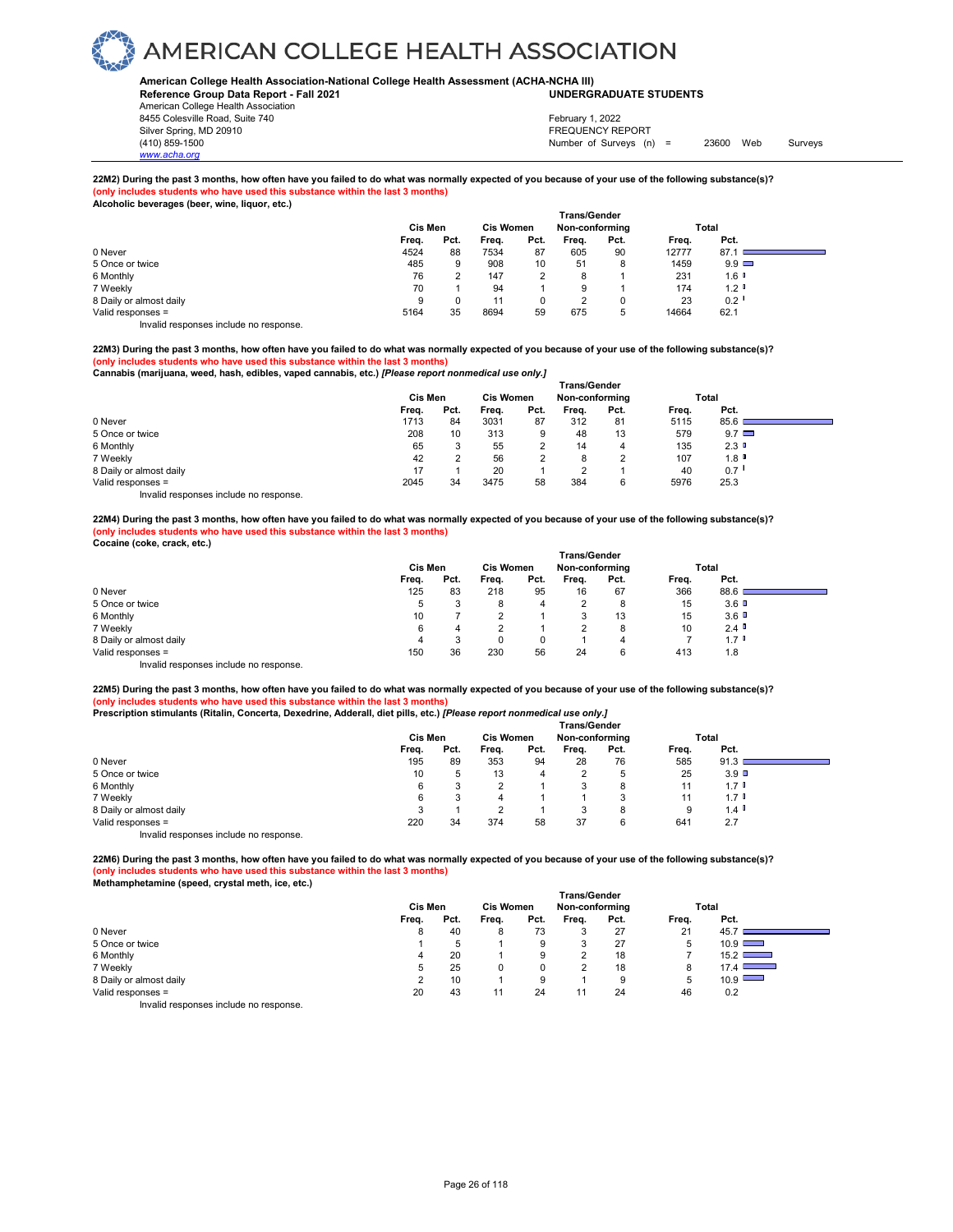### **American College Health Association-National College Health Assessment (ACHA-NCHA III) UNDERGRADUATE STUDENTS**

**Reference Group Data Report - Fall 2021** American College Health Association 8455 Colesville Road, Suite 740

*www.acha.org*

Silver Spring, MD 20910<br>
1990 - The Source of Surveys (n) San Francisco Communication (410) 859-1500<br>
Surveys (n) Number of Surveys (n) Number of Surveys (n) = 23600 Web Surveys February 1, 2022

### **22M2) During the past 3 months, how often have you failed to do what was normally expected of you because of your use of the following substance(s)? (only includes students who have used this substance within the last 3 months) Alcoholic beverages (beer, wine, liquor, etc.)**

| accessions workingso (woor) mind; newsit etail | <b>Trans/Gender</b> |      |       |                  |       |                |       |              |  |  |
|------------------------------------------------|---------------------|------|-------|------------------|-------|----------------|-------|--------------|--|--|
|                                                | Cis Men             |      |       | <b>Cis Women</b> |       | Non-conforming |       | Total        |  |  |
|                                                | Freq.               | Pct. | Freq. | Pct.             | Freq. | Pct.           | Freq. | Pct.         |  |  |
| 0 Never                                        | 4524                | 88   | 7534  | 87               | 605   | 90             | 12777 | 87.1         |  |  |
| 5 Once or twice                                | 485                 | 9    | 908   | 10               | 51    | 8              | 1459  | $9.9$ $\Box$ |  |  |
| 6 Monthly                                      | 76                  |      | 147   |                  | 8     |                | 231   | 1.6          |  |  |
| 7 Weekly                                       | 70                  |      | 94    |                  | 9     |                | 174   | 1.2          |  |  |
| 8 Daily or almost daily                        | 9                   |      | 11    | 0                | ົ     |                | 23    | 0.2          |  |  |
| Valid responses =                              | 5164                | 35   | 8694  | 59               | 675   | 5              | 14664 | 62.1         |  |  |
| Invalid responses include no response          |                     |      |       |                  |       |                |       |              |  |  |

**22M3) During the past 3 months, how often have you failed to do what was normally expected of you because of your use of the following substance(s)? (only includes students who have used this substance within the last 3 months)** 

**Cannabis (marijuana, weed, hash, edibles, vaped cannabis, etc.)** *[Please report nonmedical use only.]* 

|                                        | <b>Trans/Gender</b> |                  |       |                |       |       |       |               |  |  |  |
|----------------------------------------|---------------------|------------------|-------|----------------|-------|-------|-------|---------------|--|--|--|
|                                        | Cis Men             | <b>Cis Women</b> |       | Non-conforming |       | Total |       |               |  |  |  |
|                                        | Freq.               | Pct.             | Freq. | Pct.           | Freq. | Pct.  | Freq. | Pct.          |  |  |  |
| 0 Never                                | 1713                | 84               | 3031  | 87             | 312   | 81    | 5115  | 85.6          |  |  |  |
| 5 Once or twice                        | 208                 | 10               | 313   | 9              | 48    | 13    | 579   | $9.7 \square$ |  |  |  |
| 6 Monthly                              | 65                  | $\cdot$          | 55    |                | 14    | 4     | 135   | 2.3           |  |  |  |
| 7 Weekly                               | 42                  |                  | 56    |                | 8     |       | 107   | 1.8           |  |  |  |
| 8 Daily or almost daily                | 17                  |                  | 20    |                | າ     |       | 40    | 0.7           |  |  |  |
| Valid responses =                      | 2045                | 34               | 3475  | 58             | 384   | 6     | 5976  | 25.3          |  |  |  |
| Invalid responses include no response. |                     |                  |       |                |       |       |       |               |  |  |  |

**22M4) During the past 3 months, how often have you failed to do what was normally expected of you because of your use of the following substance(s)? (only includes students who have used this substance within the last 3 months) Cocaine (coke, crack, etc.)** 

|                         | <b>Trans/Gender</b><br>Cis Men<br><b>Cis Women</b><br>Non-conforming<br>Total |      |       |                   |       |      |       |                      |  |
|-------------------------|-------------------------------------------------------------------------------|------|-------|-------------------|-------|------|-------|----------------------|--|
|                         | Freq.                                                                         | Pct. | Freq. | Pct.              | Freq. | Pct. | Freq. | Pct.                 |  |
| 0 Never                 | 125                                                                           | 83   | 218   | 95                | 16    | 67   | 366   | 88.6                 |  |
| 5 Once or twice         | b                                                                             |      | 8     | 4                 | C     | 8    | 15    | $3.6$ D              |  |
| 6 Monthly               | 10                                                                            |      |       |                   | 3     | 13   | 15    | 3.6                  |  |
| 7 Weekly                | 6                                                                             | 4    |       |                   | ◠     | 8    | 10    | $2.4$ $\blacksquare$ |  |
| 8 Daily or almost daily | 4                                                                             |      | 0     | <sup>n</sup><br>υ |       | 4    |       | $1.7$ $^{\circ}$     |  |
| Valid responses =       | 150                                                                           | 36   | 230   | 56                | 24    | 6    | 413   | 1.8                  |  |
| .<br>.                  |                                                                               |      |       |                   |       |      |       |                      |  |

Invalid responses include no response.

**22M5) During the past 3 months, how often have you failed to do what was normally expected of you because of your use of the following substance(s)? (only includes students who have used this substance within the last 3 months) Prescription stimulants (Ritalin, Concerta, Dexedrine, Adderall, diet pills, etc.)** *[Please report nonmedical use only.]* 

|                                        | <b>Trans/Gender</b> |                  |       |                |       |       |       |                      |  |  |  |
|----------------------------------------|---------------------|------------------|-------|----------------|-------|-------|-------|----------------------|--|--|--|
|                                        | Cis Men             | <b>Cis Women</b> |       | Non-conforming |       | Total |       |                      |  |  |  |
|                                        | Freq.               | Pct.             | Freq. | Pct.           | Frea. | Pct.  | Freq. | Pct.                 |  |  |  |
| 0 Never                                | 195                 | 89               | 353   | 94             | 28    | 76    | 585   | 91.3                 |  |  |  |
| 5 Once or twice                        | 10                  | 5                | 13    | 4              |       | 5     | 25    | 3.9 <sup>°</sup>     |  |  |  |
| 6 Monthly                              | 6                   |                  |       |                | 3     | 8     | 11    | $1.7$ D              |  |  |  |
| 7 Weekly                               | 6                   |                  | 4     |                |       | 3     |       | $1.7$ $\blacksquare$ |  |  |  |
| 8 Daily or almost daily                |                     |                  |       |                | 3     | 8     | 9     | 1.4                  |  |  |  |
| Valid responses =                      | 220                 | 34               | 374   | 58             | 37    | 6     | 641   | 2.7                  |  |  |  |
| Invalid responses include no response. |                     |                  |       |                |       |       |       |                      |  |  |  |

**22M6) During the past 3 months, how often have you failed to do what was normally expected of you because of your use of the following substance(s)? (only includes students who have used this substance within the last 3 months)** 

| Methamphetamine (speed, crystal meth, ice, etc.) |  |
|--------------------------------------------------|--|
|--------------------------------------------------|--|

| methamphetamme (speed, crystal meth, ice, etc.) |         |      |                  |      | <b>Trans/Gender</b> |      |       |                                  |
|-------------------------------------------------|---------|------|------------------|------|---------------------|------|-------|----------------------------------|
|                                                 | Cis Men |      | <b>Cis Women</b> |      | Non-conforming      |      |       | Total                            |
|                                                 | Freq.   | Pct. | Frea.            | Pct. | Frea.               | Pct. | Freq. | Pct.                             |
| 0 Never                                         | 8       | 40   | 8                | 73   |                     | 27   | 21    | 45.7                             |
| 5 Once or twice                                 |         | 5    |                  | 9    |                     | 27   | b     | $10.9$ $\Box$                    |
| 6 Monthly                                       | 4       | 20   |                  | 9    | c                   | 18   |       | $15.2$ $\Box$                    |
| 7 Weekly                                        | b       | 25   | 0                | 0    |                     | 18   | 8     | 17.4<br><b>Contract Contract</b> |
| 8 Daily or almost daily                         |         | 10   |                  | 9    |                     | 9    | 5     | 10.9                             |
| Valid responses =                               | 20      | 43   | 11               | 24   | 11                  | 24   | 46    | 0.2                              |
| $\cdots$ $\cdots$<br>.                          |         |      |                  |      |                     |      |       |                                  |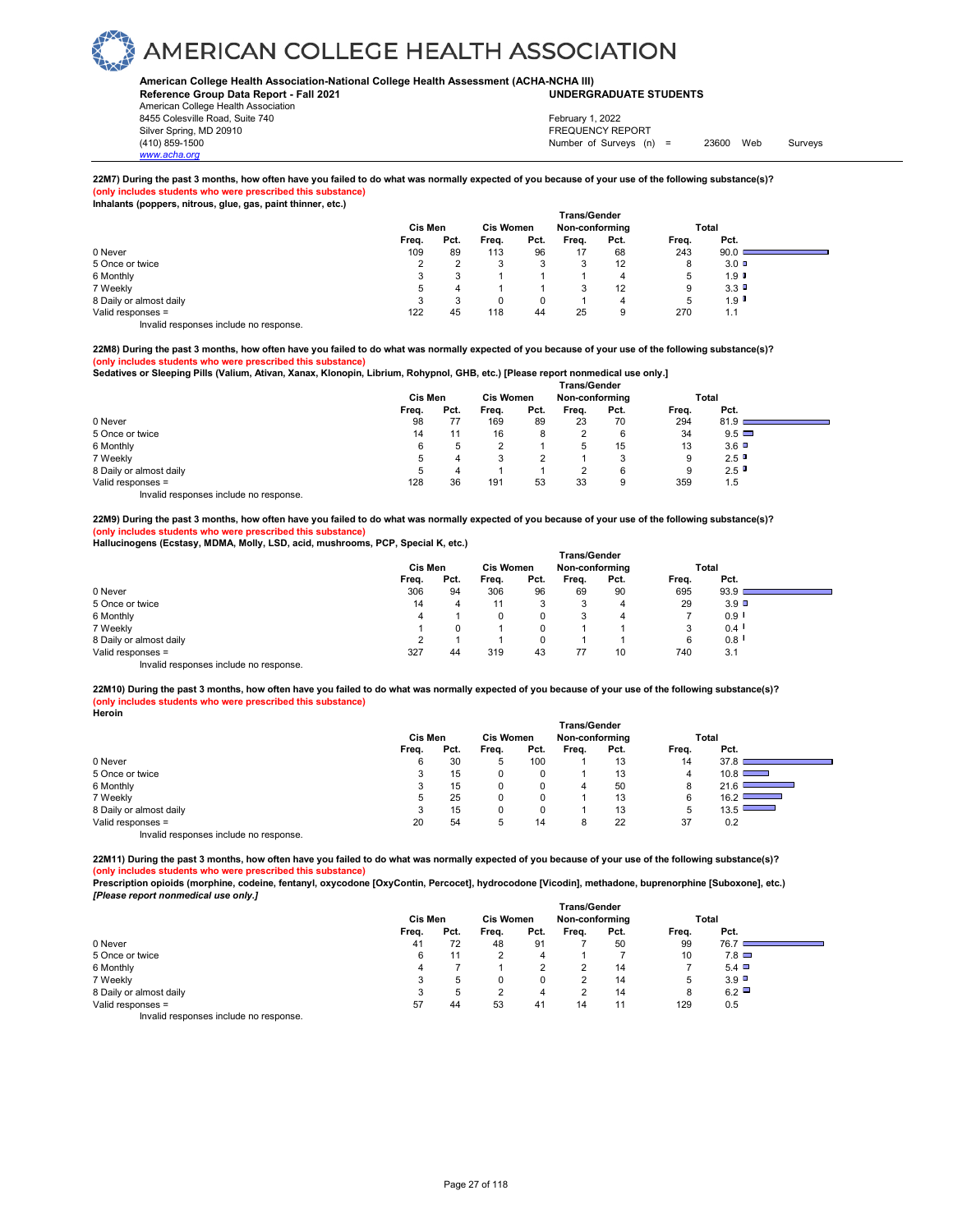### **American College Health Association-National College Health Assessment (ACHA-NCHA III) UNDERGRADUATE STUDENTS**

**Reference Group Data Report - Fall 2021** American College Health Association 8455 Colesville Road, Suite 740 Silver Spring, MD 20910<br>
1990 - The Spring, MD 20910<br>
1990 - The Survey Structure of Surveys (notation of Surveys (notation of Surveys (notation of Surveys (notati

*www.acha.org*

Number of Surveys (n) = 23600 Web Surveys February 1, 2022

### **22M7) During the past 3 months, how often have you failed to do what was normally expected of you because of your use of the following substance(s)? (only includes students who were prescribed this substance)**

|  | Inhalants (poppers, nitrous, glue, gas, paint thinner, etc.) |  |
|--|--------------------------------------------------------------|--|
|--|--------------------------------------------------------------|--|

|                                       | <b>Trans/Gender</b> |      |                  |      |                |      |       |                      |  |  |  |  |
|---------------------------------------|---------------------|------|------------------|------|----------------|------|-------|----------------------|--|--|--|--|
|                                       | <b>Cis Men</b>      |      | <b>Cis Women</b> |      | Non-conforming |      | Total |                      |  |  |  |  |
|                                       | Freq.               | Pct. | Freq.            | Pct. | Freq.          | Pct. | Freq. | Pct.                 |  |  |  |  |
| 0 Never                               | 109                 | 89   | 113              | 96   | 17             | 68   | 243   | 90.0                 |  |  |  |  |
| 5 Once or twice                       |                     |      |                  |      |                | 12   | 8     | $3.0$ D              |  |  |  |  |
| 6 Monthly                             | $\cdot$             |      |                  |      |                | 4    | 5     | $1.9$ $\blacksquare$ |  |  |  |  |
| 7 Weekly                              | b                   | 4    |                  |      |                | 12   | 9     | 3.3                  |  |  |  |  |
| 8 Daily or almost daily               |                     |      |                  |      |                | 4    | 5     | 1.9                  |  |  |  |  |
| Valid responses =                     | 122                 | 45   | 118              | 44   | 25             | 9    | 270   | 1.1                  |  |  |  |  |
| Invalid responses include no response |                     |      |                  |      |                |      |       |                      |  |  |  |  |

**22M8) During the past 3 months, how often have you failed to do what was normally expected of you because of your use of the following substance(s)?**

**(only includes students who were prescribed this substance)** 

**Sedatives or Sleeping Pills (Valium, Ativan, Xanax, Klonopin, Librium, Rohypnol, GHB, etc.) [Please report nonmedical use only.]** 

|                                        | <b>Trans/Gender</b> |      |                  |      |                |      |       |              |  |  |  |  |
|----------------------------------------|---------------------|------|------------------|------|----------------|------|-------|--------------|--|--|--|--|
|                                        | <b>Cis Men</b>      |      | <b>Cis Women</b> |      | Non-conforming |      | Total |              |  |  |  |  |
|                                        | Freq.               | Pct. | Freq.            | Pct. | Freq.          | Pct. | Freq. | Pct.         |  |  |  |  |
| 0 Never                                | 98                  | 77   | 169              | 89   | 23             | 70   | 294   | 81.9         |  |  |  |  |
| 5 Once or twice                        | 14                  | 11   | 16               | 8    |                | 6    | 34    | $9.5$ $\Box$ |  |  |  |  |
| 6 Monthly                              | 6                   |      |                  |      | 5              | 15   | 13    | 3.6          |  |  |  |  |
| 7 Weekly                               | 5                   | 4    | 3                | ◠    |                | 3    | 9     | 2.5          |  |  |  |  |
| 8 Daily or almost daily                |                     | 4    |                  |      |                | 6    | 9     | 2.5          |  |  |  |  |
| Valid responses =                      | 128                 | 36   | 191              | 53   | 33             | 9    | 359   | 1.5          |  |  |  |  |
| Invalid responses include no response. |                     |      |                  |      |                |      |       |              |  |  |  |  |

**22M9) During the past 3 months, how often have you failed to do what was normally expected of you because of your use of the following substance(s)? (only includes students who were prescribed this substance)** 

**Hallucinogens (Ecstasy, MDMA, Molly, LSD, acid, mushrooms, PCP, Special K, etc.)** 

|                         | <b>Trans/Gender</b> |      |                  |      |                |      |       |                      |  |  |  |  |
|-------------------------|---------------------|------|------------------|------|----------------|------|-------|----------------------|--|--|--|--|
|                         | Cis Men             |      | <b>Cis Women</b> |      | Non-conforming |      | Total |                      |  |  |  |  |
|                         | Freq.               | Pct. | Freq.            | Pct. | Freq.          | Pct. | Freq. | Pct.                 |  |  |  |  |
| 0 Never                 | 306                 | 94   | 306              | 96   | 69             | 90   | 695   | 93.9                 |  |  |  |  |
| 5 Once or twice         | 14                  | 4    | 11               |      | 3              | 4    | 29    | $3.9$ $\Box$         |  |  |  |  |
| 6 Monthly               | 4                   |      |                  | 0    | 3              | 4    |       | 0.9                  |  |  |  |  |
| 7 Weekly                |                     |      |                  |      |                |      | 3     | $0.4$ $\blacksquare$ |  |  |  |  |
| 8 Daily or almost daily |                     |      |                  |      |                |      | 6     | 0.8                  |  |  |  |  |
| Valid responses =       | 327                 | 44   | 319              | 43   | 77             | 10   | 740   | 3.1                  |  |  |  |  |
| .<br>$\cdots$           |                     |      |                  |      |                |      |       |                      |  |  |  |  |

Invalid responses include no response.

**22M10) During the past 3 months, how often have you failed to do what was normally expected of you because of your use of the following substance(s)? (only includes students who were prescribed this substance) Heroin**

|                                        | <b>Trans/Gender</b> |      |                  |      |                |      |       |                                  |  |  |  |  |
|----------------------------------------|---------------------|------|------------------|------|----------------|------|-------|----------------------------------|--|--|--|--|
|                                        | Cis Men             |      | <b>Cis Women</b> |      | Non-conforming |      |       | Total                            |  |  |  |  |
|                                        | Freq.               | Pct. | Freq.            | Pct. | Freq.          | Pct. | Freq. | Pct.                             |  |  |  |  |
| 0 Never                                | 6                   | 30   | <sub>5</sub>     | 100  |                | 13   | 14    | 37.8                             |  |  |  |  |
| 5 Once or twice                        | 3                   | 15   | 0                |      |                | 13   | 4     | 10.8                             |  |  |  |  |
| 6 Monthly                              | 3                   | 15   | 0                |      | 4              | 50   | 8     | 21.6<br>$\overline{\phantom{a}}$ |  |  |  |  |
| 7 Weekly                               | 5                   | 25   | 0                |      |                | 13   | 6     | 16.2<br>__                       |  |  |  |  |
| 8 Daily or almost daily                | 3                   | 15   | 0                |      |                | 13   | 5     | 13.5                             |  |  |  |  |
| Valid responses =                      | 20                  | 54   |                  | 14   | 8              | 22   | 37    | 0.2                              |  |  |  |  |
| Invalid responses include no response. |                     |      |                  |      |                |      |       |                                  |  |  |  |  |

**22M11) During the past 3 months, how often have you failed to do what was normally expected of you because of your use of the following substance(s)? (only includes students who were prescribed this substance)** 

**Prescription opioids (morphine, codeine, fentanyl, oxycodone [OxyContin, Percocet], hydrocodone [Vicodin], methadone, buprenorphine [Suboxone], etc.)** *[Please report nonmedical use only.]* 

|                                        | <b>Trans/Gender</b> |      |                  |      |                |      |       |              |  |  |  |  |
|----------------------------------------|---------------------|------|------------------|------|----------------|------|-------|--------------|--|--|--|--|
|                                        | Cis Men             |      | <b>Cis Women</b> |      | Non-conforming |      |       | Total        |  |  |  |  |
|                                        | Freq.               | Pct. | Freq.            | Pct. | Frea.          | Pct. | Freq. | Pct.         |  |  |  |  |
| 0 Never                                | 41                  | 72   | 48               | 91   |                | 50   | 99    | 76.7         |  |  |  |  |
| 5 Once or twice                        | 6                   | 11   |                  | 4    |                |      | 10    | $7.8\Box$    |  |  |  |  |
| 6 Monthly                              | 4                   |      |                  |      | ົ              | 14   |       | $5.4$ $\Box$ |  |  |  |  |
| 7 Weekly                               | 3                   | 5    |                  |      | ົ              | 14   | 5     | 3.9          |  |  |  |  |
| 8 Daily or almost daily                | 3                   | 5    |                  | 4    | っ              | 14   | 8     | 6.2          |  |  |  |  |
| Valid responses =                      | 57                  | 44   | 53               | 41   | 14             | 11   | 129   | 0.5          |  |  |  |  |
| Invalid responses include no response. |                     |      |                  |      |                |      |       |              |  |  |  |  |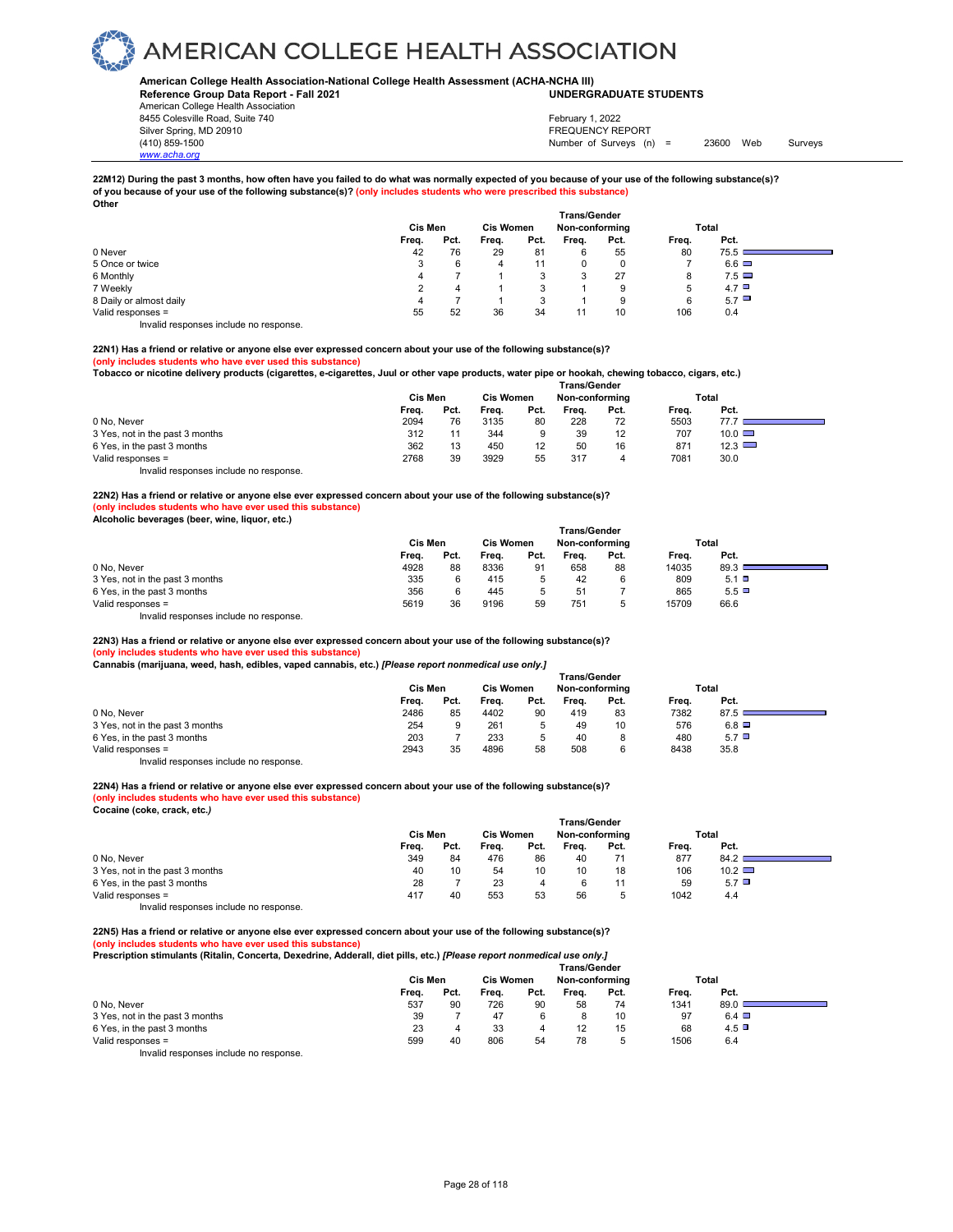### **American College Health Association-National College Health Assessment (ACHA-NCHA III) UNDERGRADUATE STUDENTS**

**Reference Group Data Report - Fall 2021** American College Health Association 8455 Colesville Road, Suite 740 Silver Spring, MD 20910<br>
1990 - The Source of Surveys (n) San Francisco Communication (410) 859-1500<br>
Surveys (n) Number of Surveys (n)

*www.acha.org*

Number of Surveys (n) = 23600 Web Surveys February 1, 2022

### **22M12) During the past 3 months, how often have you failed to do what was normally expected of you because of your use of the following substance(s)? of you because of your use of the following substance(s)? (only includes students who were prescribed this substance)**

| Other                                 |         |      |                  |      |                                       |          |       |                    |  |
|---------------------------------------|---------|------|------------------|------|---------------------------------------|----------|-------|--------------------|--|
|                                       | Cis Men |      | <b>Cis Women</b> |      | <b>Trans/Gender</b><br>Non-conforming |          |       | Total              |  |
|                                       | Freq.   | Pct. | Frea.            | Pct. | Frea.                                 | Pct.     | Freq. | Pct.               |  |
| 0 Never                               | 42      | 76   | 29               | 81   | 6                                     | 55       | 80    | 75.5               |  |
| 5 Once or twice                       | 3       | 6    | 4                | 11   |                                       | $\Omega$ |       | $6.6$ $\Box$       |  |
| 6 Monthly                             | 4       |      |                  | 3    | 3                                     | 27       | 8     | $7.5 \blacksquare$ |  |
| 7 Weekly                              |         | 4    |                  | 3    |                                       | 9        | 5     | $4.7$ $\Box$       |  |
| 8 Daily or almost daily               | 4       |      |                  | 3    |                                       | 9        | 6     | 5.7                |  |
| Valid responses =                     | 55      | 52   | 36               | 34   |                                       | 10       | 106   | 0.4                |  |
| Invalid responses include no response |         |      |                  |      |                                       |          |       |                    |  |

### **22N1) Has a friend or relative or anyone else ever expressed concern about your use of the following substance(s)?**

### **(only includes students who have ever used this substance)**

**Tobacco or nicotine delivery products (cigarettes, e-cigarettes, Juul or other vape products, water pipe or hookah, chewing tobacco, cigars, etc.)** 

|                                        | <b>Trans/Gender</b> |      |                  |      |       |                |       |               |  |  |  |  |
|----------------------------------------|---------------------|------|------------------|------|-------|----------------|-------|---------------|--|--|--|--|
|                                        | Cis Men             |      | <b>Cis Women</b> |      |       | Non-conforming |       | Total         |  |  |  |  |
|                                        | Freq.               | Pct. | Freq.            | Pct. | Frea. | Pct.           | Frea. | Pct.          |  |  |  |  |
| 0 No. Never                            | 2094                | 76   | 3135             | 80   | 228   | 72             | 5503  |               |  |  |  |  |
| 3 Yes, not in the past 3 months        | 312                 |      | 344              | 9    | 39    | 12             | 707   | $10.0$ $\Box$ |  |  |  |  |
| 6 Yes, in the past 3 months            | 362                 | 13   | 450              | 12   | 50    | 16             | 871   | $12.3$ $\Box$ |  |  |  |  |
| Valid responses =                      | 2768                | 39   | 3929             | 55   | 317   |                | 7081  | 30.0          |  |  |  |  |
| Invalid responses include no response. |                     |      |                  |      |       |                |       |               |  |  |  |  |

### **22N2) Has a friend or relative or anyone else ever expressed concern about your use of the following substance(s)?**

### **(only includes students who have ever used this substance) Alcoholic beverages (beer, wine, liquor, etc.)**

|  | Alconolic beverages (beer, wine, liquor, etc.) |  |
|--|------------------------------------------------|--|
|  |                                                |  |

| Alcoholic beverages (beer, write, hquor, etc.) |       |         |       |                                    |                     |      |       |              |  |
|------------------------------------------------|-------|---------|-------|------------------------------------|---------------------|------|-------|--------------|--|
|                                                |       |         |       |                                    | <b>Trans/Gender</b> |      |       |              |  |
|                                                |       | Cis Men |       | <b>Cis Women</b><br>Non-conforming |                     |      | Total |              |  |
|                                                | Freq. | Pct.    | Freq. | Pct.                               | Frea.               | Pct. | Frea. | Pct.         |  |
| 0 No. Never                                    | 4928  | 88      | 8336  | 91                                 | 658                 | 88   | 14035 | 89.3         |  |
| 3 Yes, not in the past 3 months                | 335   |         | 415   |                                    | 42                  |      | 809   | $5.1$ $\Box$ |  |
| 6 Yes, in the past 3 months                    | 356   |         | 445   | <u>.</u>                           | 51                  |      | 865   | $5.5$ $\Box$ |  |
| Valid responses =                              | 5619  | 36      | 9196  | 59                                 | 751                 | 5    | 15709 | 66.6         |  |
|                                                |       |         |       |                                    |                     |      |       |              |  |

Invalid responses include no response.

**22N3) Has a friend or relative or anyone else ever expressed concern about your use of the following substance(s)? (only includes students who have ever used this substance)**

|  |  |  |  |  |  |  |  |  | Cannabis (marijuana, weed, hash, edibles, vaped cannabis, etc.) [Please report nonmedical use only.] |  |
|--|--|--|--|--|--|--|--|--|------------------------------------------------------------------------------------------------------|--|
|--|--|--|--|--|--|--|--|--|------------------------------------------------------------------------------------------------------|--|

|                                 | <b>Trans/Gender</b> |      |                  |      |                |      |       |              |  |  |  |  |
|---------------------------------|---------------------|------|------------------|------|----------------|------|-------|--------------|--|--|--|--|
|                                 | Cis Men             |      | <b>Cis Women</b> |      | Non-conforming |      | Total |              |  |  |  |  |
|                                 | Freq.               | Pct. | Frea.            | Pct. | Frea.          | Pct. | Freq. | Pct.         |  |  |  |  |
| 0 No. Never                     | 2486                | 85   | 4402             | 90   | 419            | 83   | 7382  | 87.5         |  |  |  |  |
| 3 Yes, not in the past 3 months | 254                 |      | 261              |      | 49             | 10   | 576   | $6.8$ $\Box$ |  |  |  |  |
| 6 Yes, in the past 3 months     | 203                 |      | 233              |      | 40             | 8    | 480   | 5.7          |  |  |  |  |
| Valid responses =               | 2943                | 35   | 4896             | 58   | 508            |      | 8438  | 35.8         |  |  |  |  |

Invalid responses include no response.

### **22N4) Has a friend or relative or anyone else ever expressed concern about your use of the following substance(s)? (only includes students who have ever used this substance)**

**Cocaine (coke, crack, etc.***)* 

|                                 | <b>Trans/Gender</b> |      |                  |      |                |      |       |               |  |  |  |  |
|---------------------------------|---------------------|------|------------------|------|----------------|------|-------|---------------|--|--|--|--|
|                                 | Cis Men             |      | <b>Cis Women</b> |      | Non-conformina |      | Total |               |  |  |  |  |
|                                 | Freq.               | Pct. | Freq.            | Pct. | Freq.          | Pct. | Freq. | Pct.          |  |  |  |  |
| 0 No. Never                     | 349                 | 84   | 476              | 86   | 40             | 71   | 877   | 84.2          |  |  |  |  |
| 3 Yes, not in the past 3 months | 40                  | 10   | 54               | 10   | 10             | 18   | 106   | $10.2$ $\Box$ |  |  |  |  |
| 6 Yes, in the past 3 months     | 28                  |      | 23               |      |                |      | 59    | $5.7\Box$     |  |  |  |  |
| Valid responses =               | 417                 | 40   | 553              | 53   | 56             |      | 1042  | 4.4           |  |  |  |  |
| .<br>.                          |                     |      |                  |      |                |      |       |               |  |  |  |  |

Invalid responses include no response.

**22N5) Has a friend or relative or anyone else ever expressed concern about your use of the following substance(s)? (only includes students who have ever used this substance) Prescription stimulants (Ritalin, Concerta, Dexedrine, Adderall, diet pills, etc.)** *[Please report nonmedical use only.]* 

| , recemberent emmanue frammit extremented excessional concernit and burdt ered framewer about nomineated, and empt | Trans/Gender |         |       |      |                |      |       |              |  |  |  |  |  |
|--------------------------------------------------------------------------------------------------------------------|--------------|---------|-------|------|----------------|------|-------|--------------|--|--|--|--|--|
|                                                                                                                    |              | Cis Men |       |      | Non-conforming |      |       | Total        |  |  |  |  |  |
|                                                                                                                    | Frea.        | Pct.    | Frea. | Pct. | Frea.          | Pct. | Frea. | Pct.         |  |  |  |  |  |
| 0 No. Never                                                                                                        | 537          | 90      | 726   | 90   | 58             | 74   | 1341  | 89.0         |  |  |  |  |  |
| 3 Yes, not in the past 3 months                                                                                    | 39           |         | 47    |      |                | 10   | 97    | $6.4$ $\Box$ |  |  |  |  |  |
| 6 Yes, in the past 3 months                                                                                        | 23           |         | 33    |      |                | 15   | 68    | 4.5          |  |  |  |  |  |
| Valid responses =                                                                                                  | 599          | 40      | 806   | 54   | 78             |      | 1506  | 6.4          |  |  |  |  |  |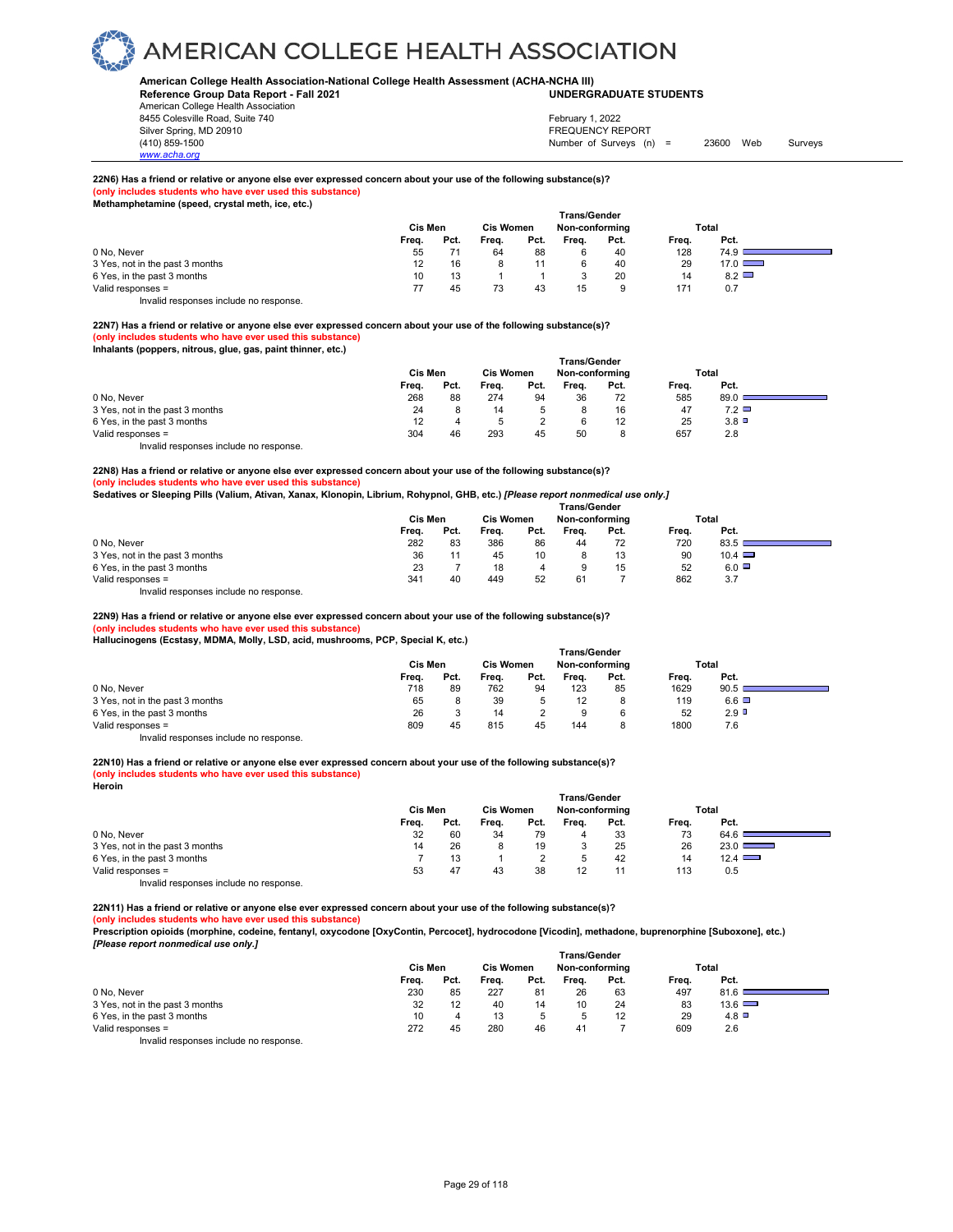### **American College Health Association-National College Health Assessment (ACHA-NCHA III) UNDERGRADUATE STUDENTS**

**Reference Group Data Report - Fall 2021** American College Health Association 8455 Colesville Road, Suite 740 Silver Spring, MD 20910<br>
1990 - The Source of Surveys (n) San Francisco Communication (410) 859-1500<br>
Surveys (n) Number of Surveys (n)

# *www.acha.org*

### Number of Surveys (n) = 23600 Web Surveys February 1, 2022

### **22N6) Has a friend or relative or anyone else ever expressed concern about your use of the following substance(s)?**

**(only includes students who have ever used this substance) Methamphetamine (speed, crystal meth, ice, etc.)** 

|                                 | Cis Men |      | <b>Trans/Gender</b><br><b>Cis Women</b><br>Non-conforming |      |       |      | Total |               |
|---------------------------------|---------|------|-----------------------------------------------------------|------|-------|------|-------|---------------|
|                                 | Freq.   | Pct. | Freq.                                                     | Pct. | Freq. | Pct. | Freq. | Pct.          |
| 0 No. Never                     | 55      |      | 64                                                        | 88   |       | 40   | 128   | 74.9          |
| 3 Yes, not in the past 3 months |         | 16   |                                                           |      |       | 40   | 29    | $17.0$ $\Box$ |
| 6 Yes, in the past 3 months     | 10      | 13   |                                                           |      |       | 20   | 14    | $8.2$ $\Box$  |
| Valid responses =               |         | 45   | 73                                                        | 43   | 15    | 9    | 171   | 0.7           |

Invalid responses include no response.

**22N7) Has a friend or relative or anyone else ever expressed concern about your use of the following substance(s)? (only includes students who have ever used this substance) Inhalants (poppers, nitrous, glue, gas, paint thinner, etc.)** 

|                                 | Trans/Gender |      |                  |      |       |                |       |            |  |  |  |
|---------------------------------|--------------|------|------------------|------|-------|----------------|-------|------------|--|--|--|
|                                 | Cis Men      |      | <b>Cis Women</b> |      |       | Non-conforming |       | Total      |  |  |  |
|                                 | Frea.        | Pct. | Frea.            | Pct. | Frea. | Pct.           | Frea. | Pct.       |  |  |  |
| 0 No, Never                     | 268          | 88   | 274              | 94   | 36    | 72             | 585   | 89.0       |  |  |  |
| 3 Yes, not in the past 3 months | 24           |      | 14               |      |       | 16             | 47    | $7.2 \Box$ |  |  |  |
| 6 Yes, in the past 3 months     | 12           |      |                  |      |       | 12             | 25    | 3.8        |  |  |  |
| Valid responses =               | 304          | 46   | 293              | 45   | 50    |                | 657   | 2.8        |  |  |  |
|                                 |              |      |                  |      |       |                |       |            |  |  |  |

Invalid responses include no response.

### **22N8) Has a friend or relative or anyone else ever expressed concern about your use of the following substance(s)?**

**(only includes students who have ever used this substance)**

**Sedatives or Sleeping Pills (Valium, Ativan, Xanax, Klonopin, Librium, Rohypnol, GHB, etc.)** *[Please report nonmedical use only.]* 

|                                 | <b>Trans/Gender</b> |      |                  |      |                |      |       |               |  |  |  |  |
|---------------------------------|---------------------|------|------------------|------|----------------|------|-------|---------------|--|--|--|--|
|                                 | Cis Men             |      | <b>Cis Women</b> |      | Non-conforming |      | Total |               |  |  |  |  |
|                                 | Freq.               | Pct. | Freq.            | Pct. | Frea.          | Pct. | Frea. | Pct.          |  |  |  |  |
| 0 No. Never                     | 282                 | 83   | 386              | 86   | 44             | 72   | 720   | 83.5          |  |  |  |  |
| 3 Yes, not in the past 3 months | 36                  |      | 45               | 10   |                | 13   | 90    | $10.4$ $\Box$ |  |  |  |  |
| 6 Yes, in the past 3 months     | 23                  |      | 18               | 4    |                | 15   | 52    | $6.0$ $\Box$  |  |  |  |  |
| Valid responses =               | 341                 | 40   | 449              | 52   | 61             |      | 862   | 3.7           |  |  |  |  |
|                                 |                     |      |                  |      |                |      |       |               |  |  |  |  |

Invalid responses include no response.

**22N9) Has a friend or relative or anyone else ever expressed concern about your use of the following substance(s)?** 

**(only includes students who have ever used this substance)**

**Hallucinogens (Ecstasy, MDMA, Molly, LSD, acid, mushrooms, PCP, Special K, etc.)** 

|                                 | <b>Trans/Gender</b> |      |                  |      |       |                |       |              |  |  |  |  |
|---------------------------------|---------------------|------|------------------|------|-------|----------------|-------|--------------|--|--|--|--|
|                                 | Cis Men             |      | <b>Cis Women</b> |      |       | Non-conforming |       | Total        |  |  |  |  |
|                                 | Freq.               | Pct. | Freq.            | Pct. | Frea. | Pct.           | Freq. | Pct.         |  |  |  |  |
| 0 No. Never                     | 718                 | 89   | 762              | 94   | 123   | 85             | 1629  | 90.5         |  |  |  |  |
| 3 Yes, not in the past 3 months | 65                  |      | 39               |      |       |                | 119   | $6.6$ $\Box$ |  |  |  |  |
| 6 Yes, in the past 3 months     | 26                  |      | 14               |      | 9     |                | 52    | $2.9$ D      |  |  |  |  |
| Valid responses =               | 809                 | 45   | 815              | 45   | 144   |                | 1800  | 7.6          |  |  |  |  |

Invalid responses include no response.

### **22N10) Has a friend or relative or anyone else ever expressed concern about your use of the following substance(s)?**

#### **(only includes students who have ever used this substance)**

**Heroin** 

|                                     | <b>Trans/Gender</b> |      |                  |      |                |      |       |                                  |  |  |  |
|-------------------------------------|---------------------|------|------------------|------|----------------|------|-------|----------------------------------|--|--|--|
|                                     | Cis Men             |      | <b>Cis Women</b> |      | Non-conforming |      |       | Total                            |  |  |  |
|                                     | Freq.               | Pct. | Frea.            | Pct. | Frea.          | Pct. | Frea. | Pct.                             |  |  |  |
| 0 No. Never                         | 32                  | 60   | 34               | 79   |                | 33   | 73    | 64.6                             |  |  |  |
| 3 Yes, not in the past 3 months     | 14                  | 26   |                  | 19   |                | 25   | 26    | 23.0<br><b>Contract Contract</b> |  |  |  |
| 6 Yes, in the past 3 months         |                     | 13   |                  |      |                | 42   | 14    | 12.4                             |  |  |  |
| Valid responses =                   | 53                  | 47   | 43               | 38   | 12             |      | 113   | 0.5                              |  |  |  |
| levalid recepses include no recepse |                     |      |                  |      |                |      |       |                                  |  |  |  |

Invalid responses include no response.

**22N11) Has a friend or relative or anyone else ever expressed concern about your use of the following substance(s)?** 

#### **(b)** s who have ever used this subs

**Prescription opioids (morphine, codeine, fentanyl, oxycodone [OxyContin, Percocet], hydrocodone [Vicodin], methadone, buprenorphine [Suboxone], etc.)**  *[Please report nonmedical use only.]* 

|                                        | <b>Trans/Gender</b> |      |                  |      |                |      |       |               |  |  |  |
|----------------------------------------|---------------------|------|------------------|------|----------------|------|-------|---------------|--|--|--|
|                                        | Cis Men             |      | <b>Cis Women</b> |      | Non-conforming |      |       | Total         |  |  |  |
|                                        | Freq.               | Pct. | Freq.            | Pct. | Freq.          | Pct. | Freq. | Pct.          |  |  |  |
| 0 No. Never                            | 230                 | 85   | 227              | 81   | 26             | 63   | 497   | 81.6          |  |  |  |
| 3 Yes, not in the past 3 months        | 32                  | 12   | 40               | 14   | 10             | 24   | 83    | $13.6$ $\Box$ |  |  |  |
| 6 Yes, in the past 3 months            | 10                  |      | 13               | 5    | $\mathbf{b}$   | 12   | 29    | 4.8           |  |  |  |
| Valid responses =                      | 272                 | 45   | 280              | 46   | 41             |      | 609   | 2.6           |  |  |  |
| Invalid responses include no response. |                     |      |                  |      |                |      |       |               |  |  |  |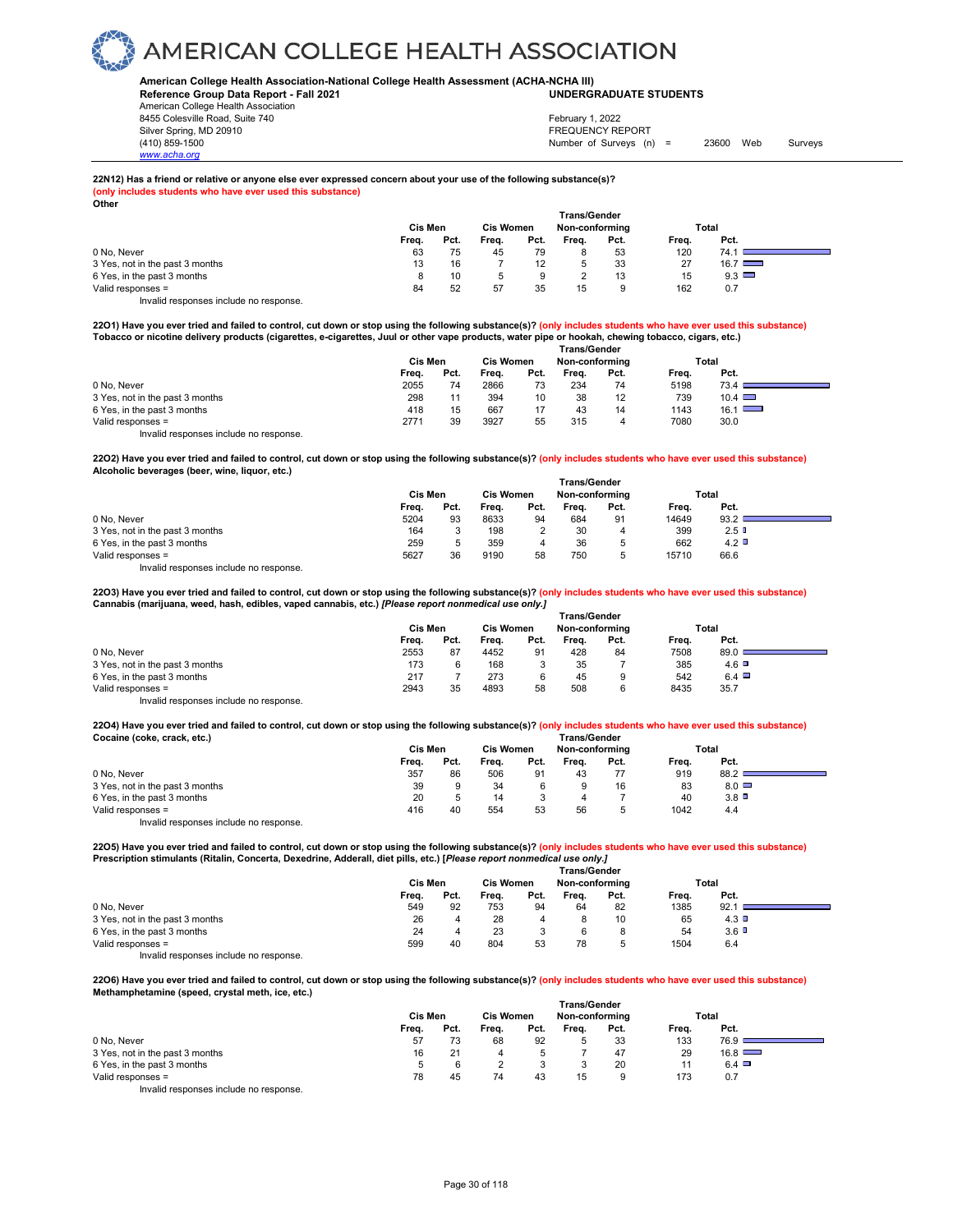**American College Health Association-National College Health Assessment (ACHA-NCHA III) UNDERGRADUATE STUDENTS**

**Reference Group Data Report - Fall 2021** American College Health Association 8455 Colesville Road, Suite 740 Silver Spring, MD 20910<br>
1990 - The Source of Surveys (n) San Francisco Communication (410) 859-1500<br>
Surveys (n) Number of Surveys (n)

*www.acha.org*

### Number of Surveys (n) = 23600 Web Surveys February 1, 2022

### **22N12) Has a friend or relative or anyone else ever expressed concern about your use of the following substance(s)?**

**(only includes students who have ever used this substance) Other**

| <b>VUIVI</b>                    | Cis Men |      | <b>Cis Women</b> |      | <b>Trans/Gender</b><br>Non-conforming |      |       | Total         |
|---------------------------------|---------|------|------------------|------|---------------------------------------|------|-------|---------------|
|                                 | Freq.   | Pct. | Freq.            | Pct. | Frea.                                 | Pct. | Frea. | Pct.          |
| 0 No, Never                     | 63      | 75   | 45               | 79   |                                       | 53   | 120   | 74.1          |
| 3 Yes, not in the past 3 months | 13      | 16   |                  | 12   |                                       | 33   | 27    | $16.7$ $\Box$ |
| 6 Yes, in the past 3 months     |         | 10   |                  | 9    |                                       | 13   | 15    | 9.3           |
| Valid responses =               | 84      | 52   | 57               | 35   | 15                                    | 9    | 162   | 0.7           |

Invalid responses include no response.

**22O1) Have you ever tried and failed to control, cut down or stop using the following substance(s)? (only includes students who have ever used this substance) Tobacco or nicotine delivery products (cigarettes, e-cigarettes, Juul or other vape products, water pipe or hookah, chewing tobacco, cigars, etc.)** 

|                                        | <b>Trans/Gender</b> |      |                  |      |                |      |       |               |  |  |
|----------------------------------------|---------------------|------|------------------|------|----------------|------|-------|---------------|--|--|
|                                        | Cis Men             |      | <b>Cis Women</b> |      | Non-conforming |      |       | Total         |  |  |
|                                        | Frea.               | Pct. | Frea.            | Pct. | Frea.          | Pct. | Freq. | Pct.          |  |  |
| 0 No. Never                            | 2055                | 74   | 2866             | 73   | 234            | 74   | 5198  | 73.4          |  |  |
| 3 Yes, not in the past 3 months        | 298                 | 11   | 394              | 10   | 38             | 12   | 739   | $10.4$ $\Box$ |  |  |
| 6 Yes, in the past 3 months            | 418                 | 15   | 667              | 17   | 43             | 14   | 1143  | 16.1          |  |  |
| Valid responses =                      | 2771                | 39   | 3927             | 55   | 315            | 4    | 7080  | 30.0          |  |  |
| Invalid responses include no response. |                     |      |                  |      |                |      |       |               |  |  |

**22O2) Have you ever tried and failed to control, cut down or stop using the following substance(s)? (only includes students who have ever used this substance) Alcoholic beverages (beer, wine, liquor, etc.)** 

|                                 | <b>Trans/Gender</b> |      |                  |      |                |             |       |      |  |  |  |
|---------------------------------|---------------------|------|------------------|------|----------------|-------------|-------|------|--|--|--|
|                                 | Cis Men             |      | <b>Cis Women</b> |      | Non-conforming |             | Total |      |  |  |  |
|                                 | Freq.               | Pct. | Freq.            | Pct. | Frea.          | Pct.        | Freq. | Pct. |  |  |  |
| 0 No. Never                     | 5204                | 93   | 8633             | 94   | 684            | 91          | 14649 | 93.2 |  |  |  |
| 3 Yes, not in the past 3 months | 164                 |      | 198              |      | 30             | 4           | 399   | 2.5  |  |  |  |
| 6 Yes, in the past 3 months     | 259                 |      | 359              | 4    | 36             | b           | 662   | 4.2  |  |  |  |
| Valid responses =               | 5627                | 36   | 9190             | 58   | 750            | $\mathbf b$ | 15710 | 66.6 |  |  |  |
| .<br>.                          |                     |      |                  |      |                |             |       |      |  |  |  |

Invalid responses include no response.

**22O3) Have you ever tried and failed to control, cut down or stop using the following substance(s)? (only includes students who have ever used this substance) Cannabis (marijuana, weed, hash, edibles, vaped cannabis, etc.)** *[Please report nonmedical use only.]* 

|                                        | <b>Trans/Gender</b> |      |                  |      |                |      |       |              |  |  |
|----------------------------------------|---------------------|------|------------------|------|----------------|------|-------|--------------|--|--|
|                                        | Cis Men             |      | <b>Cis Women</b> |      | Non-conforming |      | Total |              |  |  |
|                                        | Frea.               | Pct. | Freq.            | Pct. | Frea.          | Pct. | Frea. | Pct.         |  |  |
| 0 No. Never                            | 2553                | 87   | 4452             | 91   | 428            | 84   | 7508  | 89.0         |  |  |
| 3 Yes, not in the past 3 months        | 173                 |      | 168              |      | 35             |      | 385   | $4.6$ D      |  |  |
| 6 Yes, in the past 3 months            | 217                 |      | 273              | 6    | 45             | 9    | 542   | $6.4$ $\Box$ |  |  |
| Valid responses =                      | 2943                | 35   | 4893             | 58   | 508            | 6    | 8435  | 35.7         |  |  |
| Invalid responses include no response. |                     |      |                  |      |                |      |       |              |  |  |

**22O4) Have you ever tried and failed to control, cut down or stop using the following substance(s)? (only includes students who have ever used this substance) Cocaine (coke, crack, etc.) Trans/Gender**

|                                 |       | Cis Men |       |      | Non-conformina |      | Total |              |  |  |  |
|---------------------------------|-------|---------|-------|------|----------------|------|-------|--------------|--|--|--|
|                                 | Freq. | Pct.    | Freq. | Pct. | Frea.          | Pct. | Freq. | Pct.         |  |  |  |
| 0 No. Never                     | 357   | 86      | 506   | 91   | 43             | 77   | 919   | 88.2         |  |  |  |
| 3 Yes, not in the past 3 months | 39    |         | 34    |      |                | 16   | 83    | $8.0$ $\Box$ |  |  |  |
| 6 Yes, in the past 3 months     | 20    |         | 14    |      |                |      | 40    | 3.8          |  |  |  |
| Valid responses =               | 416   | 40      | 554   | 53   | 56             |      | 1042  | 4.4          |  |  |  |
|                                 |       |         |       |      |                |      |       |              |  |  |  |

Invalid responses include no response.

**22O5) Have you ever tried and failed to control, cut down or stop using the following substance(s)? (only includes students who have ever used this substance) Prescription stimulants (Ritalin, Concerta, Dexedrine, Adderall, diet pills, etc.) [***Please report nonmedical use only.]* 

|                                 | <b>Trans/Gender</b> |      |                  |      |                |      |       |       |  |  |  |
|---------------------------------|---------------------|------|------------------|------|----------------|------|-------|-------|--|--|--|
|                                 | Cis Men             |      | <b>Cis Women</b> |      | Non-conforming |      |       | Total |  |  |  |
|                                 | Freq.               | Pct. | Freq.            | Pct. | Frea.          | Pct. | Freq. | Pct.  |  |  |  |
| 0 No, Never                     | 549                 | 92   | 753              | 94   | 64             | 82   | 1385  | 92.1  |  |  |  |
| 3 Yes, not in the past 3 months | 26                  |      | 28               |      |                | 10   | 65    | 4.3   |  |  |  |
| 6 Yes, in the past 3 months     | 24                  |      | 23               |      |                |      | 54    | 3.6   |  |  |  |
| Valid responses =               | 599                 | 40   | 804              | 53   | 78             |      | 1504  | 6.4   |  |  |  |
|                                 |                     |      |                  |      |                |      |       |       |  |  |  |

Invalid responses include no response.

**22O6) Have you ever tried and failed to control, cut down or stop using the following substance(s)? (only includes students who have ever used this substance) Methamphetamine (speed, crystal meth, ice, etc.)** 

|                                        | <b>Trans/Gender</b> |      |                  |      |       |                |       |               |  |  |
|----------------------------------------|---------------------|------|------------------|------|-------|----------------|-------|---------------|--|--|
|                                        | Cis Men             |      | <b>Cis Women</b> |      |       | Non-conforming |       | Total         |  |  |
|                                        | Freq.               | Pct. | Freq.            | Pct. | Frea. | Pct.           | Freq. | Pct.          |  |  |
| 0 No, Never                            | 57                  | 73   | 68               | 92   |       | 33             | 133   | ا 76.9        |  |  |
| 3 Yes, not in the past 3 months        | 16                  | 21   |                  |      |       | 47             | 29    | $16.8$ $\Box$ |  |  |
| 6 Yes, in the past 3 months            | 5                   |      |                  |      |       | 20             | 11    | 6.4           |  |  |
| Valid responses =                      | 78                  | 45   | 74               | 43   | 15    | 9              | 173   | 0.7           |  |  |
| Invalid responses include no response. |                     |      |                  |      |       |                |       |               |  |  |

Page 30 of 118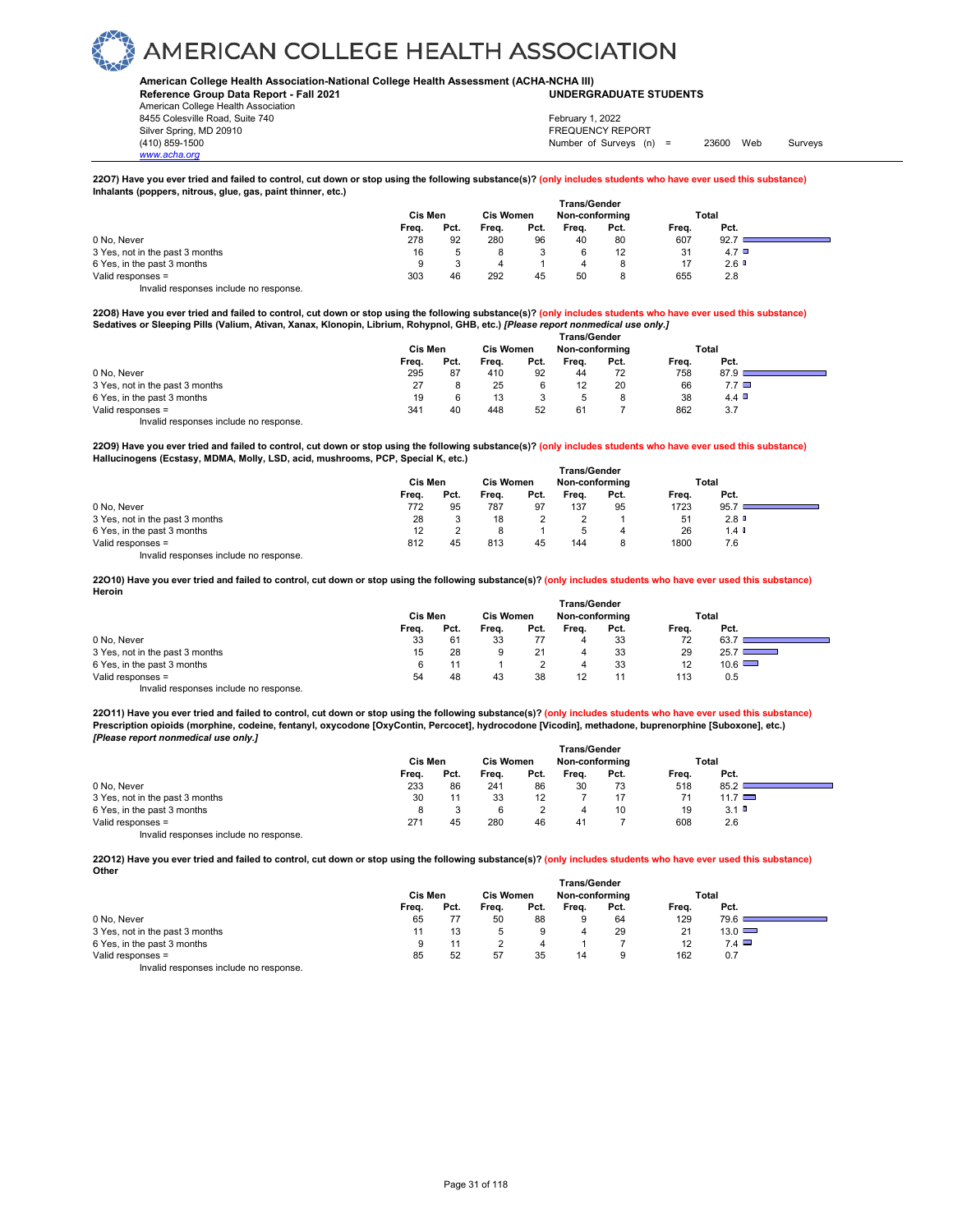#### **American College Health Association-National College Health Assessment (ACHA-NCHA III) UNDERGRADUATE STUDENTS**

**Reference Group Data Report - Fall 2021** American College Health Association 8455 Colesville Road, Suite 740

*www.acha.org*

Silver Spring, MD 20910<br>
1990 - The Spring, MD 20910<br>
1990 - The Survey Structure of Surveys (notation of Surveys (notation of Surveys (notation of Surveys (notati Number of Surveys (n) = 23600 Web Surveys February 1, 2022

#### **22O7) Have you ever tried and failed to control, cut down or stop using the following substance(s)? (only includes students who have ever used this substance) Inhalants (poppers, nitrous, glue, gas, paint thinner, etc.)**

|                                        | Trans/Gender |                  |       |                |       |      |       |              |  |
|----------------------------------------|--------------|------------------|-------|----------------|-------|------|-------|--------------|--|
|                                        | Cis Men      | <b>Cis Women</b> |       | Non-conforming |       |      | Total |              |  |
|                                        | Freq.        | Pct.             | Freq. | Pct.           | Frea. | Pct. | Freq. | Pct.         |  |
| 0 No. Never                            | 278          | 92               | 280   | 96             | 40    | 80   | 607   | 92.7         |  |
| 3 Yes, not in the past 3 months        | 16           |                  |       |                |       | 12   | 31    | $4.7$ $\Box$ |  |
| 6 Yes, in the past 3 months            | 9            |                  |       |                |       | 8    |       | 2.6          |  |
| Valid responses =                      | 303          | 46               | 292   | 45             | 50    |      | 655   | 2.8          |  |
| Invalid responses include no response. |              |                  |       |                |       |      |       |              |  |

**22O8) Have you ever tried and failed to control, cut down or stop using the following substance(s)? (only includes students who have ever used this substance) Sedatives or Sleeping Pills (Valium, Ativan, Xanax, Klonopin, Librium, Rohypnol, GHB, etc.)** *[Please report nonmedical use only.]* 

|                                        | Cis Men |      | <b>Cis Women</b> |      | Non-conforming |      | Total |              |  |
|----------------------------------------|---------|------|------------------|------|----------------|------|-------|--------------|--|
|                                        | Freq.   | Pct. | Frea.            | Pct. | Frea.          | Pct. | Freq. | Pct.         |  |
| 0 No. Never                            | 295     | 87   | 410              | 92   | 44             | 72   | 758   | 87.9         |  |
| 3 Yes, not in the past 3 months        | 27      |      | 25               |      | 12             | 20   | 66    | $7.7$ $\Box$ |  |
| 6 Yes, in the past 3 months            | 19      | 6    | 13               |      | 5              | 8    | 38    | 4.4 $\Box$   |  |
| Valid responses =                      | 341     | 40   | 448              | 52   | 61             |      | 862   | 3.7          |  |
| Invalid responses include no response. |         |      |                  |      |                |      |       |              |  |

**22O9) Have you ever tried and failed to control, cut down or stop using the following substance(s)? (only includes students who have ever used this substance) Hallucinogens (Ecstasy, MDMA, Molly, LSD, acid, mushrooms, PCP, Special K, etc.)** 

|                                        | <b>Trans/Gender</b> |      |                  |      |                |      |       |                      |  |
|----------------------------------------|---------------------|------|------------------|------|----------------|------|-------|----------------------|--|
|                                        | Cis Men             |      | <b>Cis Women</b> |      | Non-conforming |      | Total |                      |  |
|                                        | Freq.               | Pct. | Frea.            | Pct. | Frea.          | Pct. | Frea. | Pct.                 |  |
| 0 No, Never                            | 772                 | 95   | 787              | 97   | 137            | 95   | 1723  | 95.7                 |  |
| 3 Yes, not in the past 3 months        | 28                  |      | 18               |      |                |      | 51    | 2.8                  |  |
| 6 Yes, in the past 3 months            | 12                  |      |                  |      |                |      | 26    | $1.4$ $\blacksquare$ |  |
| Valid responses =                      | 812                 | 45   | 813              | 45   | 144            |      | 1800  | 7.6                  |  |
| Invalid responses include no response. |                     |      |                  |      |                |      |       |                      |  |

**22O10) Have you ever tried and failed to control, cut down or stop using the following substance(s)? (only includes students who have ever used this substance) Heroin** 

|                                        |         |      |                  |      | <b>Trans/Gender</b> |      |       |               |  |
|----------------------------------------|---------|------|------------------|------|---------------------|------|-------|---------------|--|
|                                        | Cis Men |      | <b>Cis Women</b> |      | Non-conforming      |      |       | Total         |  |
|                                        | Freq.   | Pct. | Freq.            | Pct. | Freq.               | Pct. | Freq. | Pct.          |  |
| 0 No, Never                            | 33      | 61   | 33               |      | 4                   | 33   | 72    | 63.           |  |
| 3 Yes, not in the past 3 months        | 15      | 28   |                  | 21   |                     | 33   | 29    | 25.7          |  |
| 6 Yes, in the past 3 months            | 6       |      |                  |      | 4                   | 33   | 12    | $10.6$ $\Box$ |  |
| Valid responses =                      | 54      | 48   | 43               | 38   | 12                  |      | 113   | 0.5           |  |
| Invalid responses include no response. |         |      |                  |      |                     |      |       |               |  |

**22O11) Have you ever tried and failed to control, cut down or stop using the following substance(s)? (only includes students who have ever used this substance) Prescription opioids (morphine, codeine, fentanyl, oxycodone [OxyContin, Percocet], hydrocodone [Vicodin], methadone, buprenorphine [Suboxone], etc.)** *[Please report nonmedical use only.]* 

|                                        | Cis Men | <b>Cis Women</b> |       |      | Non-conforming |      |       | Total       |  |
|----------------------------------------|---------|------------------|-------|------|----------------|------|-------|-------------|--|
|                                        | Freq.   | Pct.             | Frea. | Pct. | Freq.          | Pct. | Frea. | Pct.        |  |
| 0 No. Never                            | 233     | 86               | 241   | 86   | 30             | 73   | 518   | 85.2        |  |
| 3 Yes, not in the past 3 months        | 30      |                  | 33    | 12   |                |      |       | 11.7 $\Box$ |  |
| 6 Yes, in the past 3 months            |         |                  | 6     |      | 4              | 10   | 19    | 3.1         |  |
| Valid responses =                      | 271     | 45               | 280   | 46   | 41             |      | 608   | 2.6         |  |
| Invalid responses include no response. |         |                  |       |      |                |      |       |             |  |

**22O12) Have you ever tried and failed to control, cut down or stop using the following substance(s)? (only includes students who have ever used this substance) Other**

|                                        | <b>Trans/Gender</b> |      |                  |      |                |      |       |               |  |  |
|----------------------------------------|---------------------|------|------------------|------|----------------|------|-------|---------------|--|--|
|                                        | Cis Men             |      | <b>Cis Women</b> |      | Non-conforming |      |       | Total         |  |  |
|                                        | Freq.               | Pct. | Freq.            | Pct. | Frea.          | Pct. | Freq. | Pct.          |  |  |
| 0 No. Never                            | 65                  |      | 50               | 88   |                | 64   | 129   | 79.6          |  |  |
| 3 Yes, not in the past 3 months        |                     | 13   |                  | 9    |                | 29   | 21    | $13.0$ $\Box$ |  |  |
| 6 Yes, in the past 3 months            |                     |      |                  |      |                |      | 12    | $7.4$ $\Box$  |  |  |
| Valid responses =                      | 85                  | 52   | 57               | 35   | 14             | 9    | 162   | 0.7           |  |  |
| Invalid responses include no response. |                     |      |                  |      |                |      |       |               |  |  |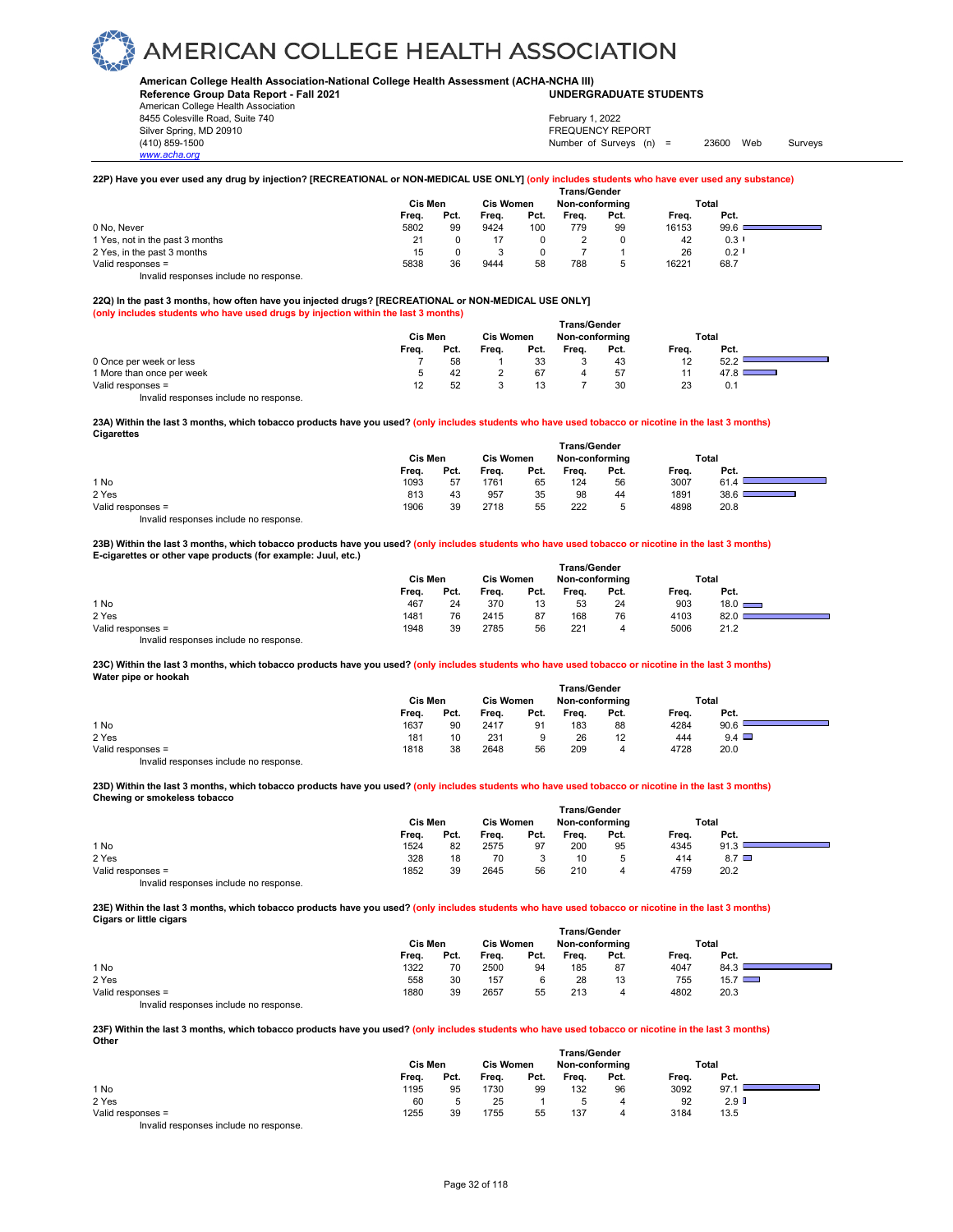**American College Health Association-National College Health Assessment (ACHA-NCHA III)**

**Reference Group Data Report - Fall 2021** American College Health Association 8455 Colesville Road, Suite 740

*www.acha.org*

### **UNDERGRADUATE STUDENTS**

Silver Spring, MD 20910<br>
1990 - The Spring, MD 20910<br>
1990 - The Survey Structure of Surveys (notation of Surveys (notation of Surveys (notation of Surveys (notati Number of Surveys (n) = 23600 Web Surveys February 1, 2022

### **22P) Have you ever used any drug by injection? [RECREATIONAL or NON-MEDICAL USE ONLY] (only includes students who have ever used any substance)**

|                                        |         |      |                  |      | <b>Trans/Gender</b> |      |       |                      |  |
|----------------------------------------|---------|------|------------------|------|---------------------|------|-------|----------------------|--|
|                                        | Cis Men |      | <b>Cis Women</b> |      | Non-conforming      |      | Total |                      |  |
|                                        | Freq.   | Pct. | Freq.            | Pct. | Freq.               | Pct. | Freq. | Pct.                 |  |
| 0 No. Never                            | 5802    | 99   | 9424             | 100  | 779                 | 99   | 16153 | 99.6                 |  |
| 1 Yes, not in the past 3 months        | 21      |      |                  |      |                     |      | 42    | $0.3$ $\blacksquare$ |  |
| 2 Yes, in the past 3 months            | 15      |      |                  |      |                     |      | 26    | 0.2                  |  |
| Valid responses =                      | 5838    | 36   | 9444             | 58   | 788                 | 5    | 16221 | 68.7                 |  |
| Invalid responses include no response. |         |      |                  |      |                     |      |       |                      |  |

### **22Q) In the past 3 months, how often have you injected drugs? [RECREATIONAL or NON-MEDICAL USE ONLY]**

**(only includes students who have used drugs by injection within the last 3 months)**

|                           | Cis Men |      |       | <b>Cis Women</b> | <b>Trans/Gender</b><br>Non-conforming |      |       | Total |
|---------------------------|---------|------|-------|------------------|---------------------------------------|------|-------|-------|
|                           | Frea.   | Pct. | Frea. | Pct.             | Frea.                                 | Pct. | Freq. | Pct.  |
| 0 Once per week or less   |         | 58   |       | 33               |                                       | 43   | 12    | 52.2  |
| 1 More than once per week |         | 42   |       | 67               |                                       | 57   |       | 47.8  |
| Valid responses =         |         | 52   |       |                  |                                       | 30   | 23    | 0.1   |

Invalid responses include no response.

#### **23A) Within the last 3 months, which tobacco products have you used? (only includes students who have used tobacco or nicotine in the last 3 months) Cigarettes**

|                   | <b>Trans/Gender</b> |      |                  |      |                |      |       |       |  |  |  |
|-------------------|---------------------|------|------------------|------|----------------|------|-------|-------|--|--|--|
|                   | Cis Men             |      | <b>Cis Women</b> |      | Non-conforming |      |       | Total |  |  |  |
|                   | Freq.               | Pct. | Freq.            | Pct. | Frea.          | Pct. | Freq. | Pct.  |  |  |  |
| 1 No              | 1093                | 57   | 1761             | 65   | 124            | 56   | 3007  | 61.4  |  |  |  |
| 2 Yes             | 813                 | 43   | 957              | 35   | 98             | 44   | 1891  | 38.6  |  |  |  |
| Valid responses = | 1906                | 39   | 2718             | 55   | 222            |      | 4898  | 20.8  |  |  |  |
|                   |                     |      |                  |      |                |      |       |       |  |  |  |

Invalid responses include no response.

#### **23B) Within the last 3 months, which tobacco products have you used? (only includes students who have used tobacco or nicotine in the last 3 months) E-cigarettes or other vape products (for example: Juul, etc.)**

|                                        | <b>Trans/Gender</b> |      |                  |      |                |      |       |               |  |  |  |
|----------------------------------------|---------------------|------|------------------|------|----------------|------|-------|---------------|--|--|--|
|                                        | Cis Men             |      | <b>Cis Women</b> |      | Non-conforming |      |       | Total         |  |  |  |
|                                        | Freq.               | Pct. | Freq.            | Pct. | Frea.          | Pct. | Freq. | Pct.          |  |  |  |
| 1 No                                   | 467                 | 24   | 370              | 13   | 53             | 24   | 903   | $18.0$ $\Box$ |  |  |  |
| 2 Yes                                  | 1481                | 76   | 2415             | 87   | 168            | 76   | 4103  | 82.0          |  |  |  |
| Valid responses =                      | 1948                | 39   | 2785             | 56   | 221            | 4    | 5006  | 21.2          |  |  |  |
| Invalid responses include no response. |                     |      |                  |      |                |      |       |               |  |  |  |

### **23C) Within the last 3 months, which tobacco products have you used? (only includes students who have used tobacco or nicotine in the last 3 months) Water pipe or hookah**

|                   | <b>Trans/Gender</b> |      |                  |      |                |      |       |              |  |  |  |  |
|-------------------|---------------------|------|------------------|------|----------------|------|-------|--------------|--|--|--|--|
|                   | Cis Men             |      | <b>Cis Women</b> |      | Non-conforming |      | Total |              |  |  |  |  |
|                   | Frea.               | Pct. | Freq.            | Pct. | Frea.          | Pct. | Freq. | Pct.         |  |  |  |  |
| 1 No              | 1637                | 90   | 2417             | 91   | 183            | 88   | 4284  | 90.6         |  |  |  |  |
| 2 Yes             | 181                 | 10   | 231              | 9    | 26             | 12   | 444   | $9.4$ $\Box$ |  |  |  |  |
| Valid responses = | 1818                | 38   | 2648             | 56   | 209            | 4    | 4728  | 20.0         |  |  |  |  |

Invalid responses include no response.

#### **23D) Within the last 3 months, which tobacco products have you used? (only includes students who have used tobacco or nicotine in the last 3 months) Chewing or smokeless tobacco**

|                                        | <b>Trans/Gender</b> |      |                  |      |                |      |       |            |  |  |  |
|----------------------------------------|---------------------|------|------------------|------|----------------|------|-------|------------|--|--|--|
|                                        | Cis Men             |      | <b>Cis Women</b> |      | Non-conformina |      | Total |            |  |  |  |
|                                        | Freq.               | Pct. | Freq.            | Pct. | Frea.          | Pct. | Freq. | Pct.       |  |  |  |
| 1 No                                   | 1524                | 82   | 2575             | 97   | 200            | 95   | 4345  | 91.3       |  |  |  |
| 2 Yes                                  | 328                 | 18   | 70               |      | 10             |      | 414   | $8.7 \Box$ |  |  |  |
| Valid responses =                      | 1852                | 39   | 2645             | 56   | 210            | 4    | 4759  | 20.2       |  |  |  |
| Invalid responses include no response. |                     |      |                  |      |                |      |       |            |  |  |  |

#### **23E) Within the last 3 months, which tobacco products have you used? (only includes students who have used tobacco or nicotine in the last 3 months) Cigars or little cigars**

|                                        | <b>Trans/Gender</b> |      |                  |      |                |      |       |               |  |  |  |
|----------------------------------------|---------------------|------|------------------|------|----------------|------|-------|---------------|--|--|--|
|                                        | Cis Men             |      | <b>Cis Women</b> |      | Non-conforming |      | Total |               |  |  |  |
|                                        | Freq.               | Pct. | Freq.            | Pct. | Freq.          | Pct. | Frea. | Pct.          |  |  |  |
| 1 No                                   | 1322                | 70   | 2500             | 94   | 185            | 87   | 4047  | 84.3          |  |  |  |
| 2 Yes                                  | 558                 | 30   | 157              |      | 28             | 13   | 755   | $15.7$ $\Box$ |  |  |  |
| Valid responses =                      | 1880                | 39   | 2657             | 55   | 213            | 4    | 4802  | 20.3          |  |  |  |
| Invalid responses include no response. |                     |      |                  |      |                |      |       |               |  |  |  |

**23F) Within the last 3 months, which tobacco products have you used? (only includes students who have used tobacco or nicotine in the last 3 months) Other** 

|                   | <b>Trans/Gender</b> |         |       |                  |       |                |       |                  |  |  |  |  |
|-------------------|---------------------|---------|-------|------------------|-------|----------------|-------|------------------|--|--|--|--|
|                   |                     | Cis Men |       | <b>Cis Women</b> |       | Non-conforming |       | Total            |  |  |  |  |
|                   | Freq.               | Pct.    | Frea. | Pct.             | Frea. | Pct.           | Frea. | Pct.             |  |  |  |  |
| 1 No              | 1195                | 95      | 1730  | 99               | 132   | 96             | 3092  | 97.1             |  |  |  |  |
| 2 Yes             | 60                  |         | 25    |                  |       |                | 92    | 2.9 <sup>°</sup> |  |  |  |  |
| Valid responses = | 1255                | 39      | 1755  | 55               | 137   |                | 3184  | 13.5             |  |  |  |  |
| $\cdots$ $\cdots$ |                     |         |       |                  |       |                |       |                  |  |  |  |  |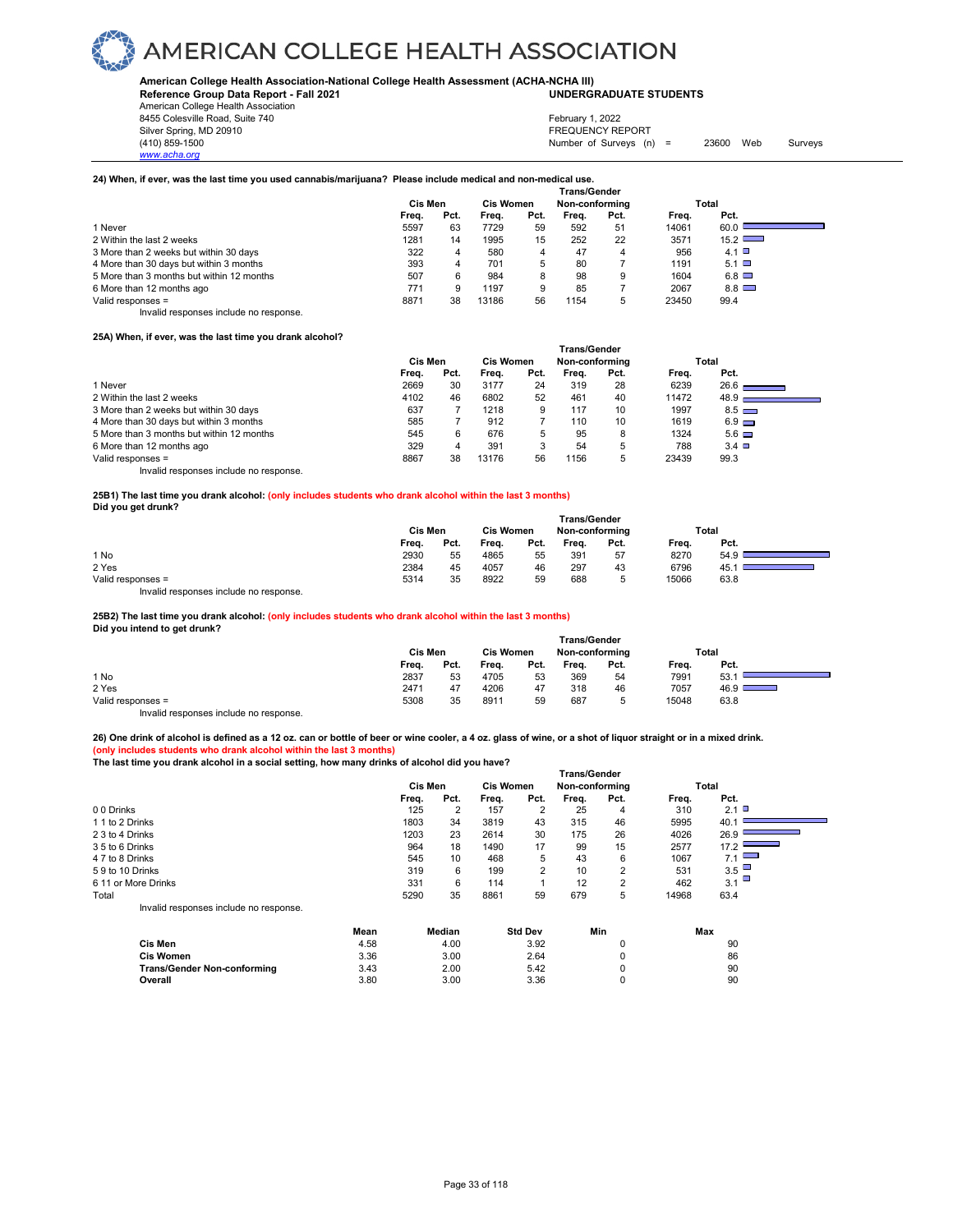**American College Health Association-National College Health Assessment (ACHA-NCHA III) UNDERGRADUATE STUDENTS**

**Reference Group Data Report - Fall 2021** American College Health Association

8455 Colesville Road, Suite 740 Silver Spring, MD 20910<br>
1990 - The Source of Surveys (n) San Francisco Communication (410) 859-1500<br>
Surveys (n) Number of Surveys (n)

*www.acha.org*

### February 1, 2022

Number of Surveys  $(n) = 23600$  Web Surveys

### **24) When, if ever, was the last time you used cannabis/marijuana? Please include medical and non-medical use.**

|                                           | Trans/Gender |      |           |      |                |      |       |               |  |  |
|-------------------------------------------|--------------|------|-----------|------|----------------|------|-------|---------------|--|--|
|                                           | Cis Men      |      | Cis Women |      | Non-conforming |      |       | Total         |  |  |
|                                           | Freq.        | Pct. | Frea.     | Pct. | Frea.          | Pct. | Frea. | Pct.          |  |  |
| 1 Never                                   | 5597         | 63   | 7729      | 59   | 592            | 51   | 14061 | 60.0          |  |  |
| 2 Within the last 2 weeks                 | 1281         | 14   | 1995      | 15   | 252            | 22   | 3571  | $15.2$ $\Box$ |  |  |
| 3 More than 2 weeks but within 30 days    | 322          | 4    | 580       | 4    | 47             | 4    | 956   | 4.1 $\Box$    |  |  |
| 4 More than 30 days but within 3 months   | 393          | 4    | 701       | 5    | 80             |      | 1191  | $5.1$ $\Box$  |  |  |
| 5 More than 3 months but within 12 months | 507          | 6    | 984       | 8    | 98             | 9    | 1604  | $6.8$ $\Box$  |  |  |
| 6 More than 12 months ago                 | 771          | 9    | 1197      | 9    | 85             |      | 2067  | $8.8$ $\Box$  |  |  |
| Valid responses =                         | 8871         | 38   | 13186     | 56   | 1154           | b    | 23450 | 99.4          |  |  |

Invalid responses include no response.

### **25A) When, if ever, was the last time you drank alcohol?**

|                                           | Trans/Gender |      |           |      |                |      |       |                   |  |
|-------------------------------------------|--------------|------|-----------|------|----------------|------|-------|-------------------|--|
|                                           | Cis Men      |      | Cis Women |      | Non-conforming |      | Total |                   |  |
|                                           | Freq.        | Pct. | Frea.     | Pct. | Frea.          | Pct. | Frea. | Pct.              |  |
| 1 Never                                   | 2669         | 30   | 3177      | 24   | 319            | 28   | 6239  | 26.6              |  |
| 2 Within the last 2 weeks                 | 4102         | 46   | 6802      | 52   | 461            | 40   | 11472 | 48.9 <sub>1</sub> |  |
| 3 More than 2 weeks but within 30 days    | 637          |      | 1218      | 9    | 117            | 10   | 1997  | $8.5$ $\Box$      |  |
| 4 More than 30 days but within 3 months   | 585          |      | 912       |      | 110            | 10   | 1619  | $6.9$ $\Box$      |  |
| 5 More than 3 months but within 12 months | 545          | 6    | 676       | 5    | 95             | 8    | 1324  | $5.6\Box$         |  |
| 6 More than 12 months ago                 | 329          |      | 391       | 3    | 54             | 5    | 788   | $3.4$ $\square$   |  |
| Valid responses =                         | 8867         | 38   | 13176     | 56   | 1156           | 5    | 23439 | 99.3              |  |
| Invalid responses include no response.    |              |      |           |      |                |      |       |                   |  |

**25B1) The last time you drank alcohol: (only includes students who drank alcohol within the last 3 months) Did you get drunk?** 

|                   | <b>Trans/Gender</b> |      |                  |      |                |      |       |      |  |  |  |
|-------------------|---------------------|------|------------------|------|----------------|------|-------|------|--|--|--|
|                   | Cis Men             |      | <b>Cis Women</b> |      | Non-conforming |      | Total |      |  |  |  |
|                   | Freq.               | Pct. | Freq.            | Pct. | Frea.          | Pct. | Freq. | Pct. |  |  |  |
| 1 No              | 2930                | 55   | 4865             | 55   | 391            | 57   | 8270  | 54.9 |  |  |  |
| 2 Yes             | 2384                | 45   | 4057             | 46   | 297            | 43   | 6796  | 45.  |  |  |  |
| Valid responses = | 5314                | 35   | 8922             | 59   | 688            |      | 15066 | 63.8 |  |  |  |
|                   |                     |      |                  |      |                |      |       |      |  |  |  |

Invalid responses include no response.

### **25B2) The last time you drank alcohol: (only includes students who drank alcohol within the last 3 months)**

**Did you intend to get drunk?** 

|                   | <b>Trans/Gender</b> |         |       |                  |       |                |       |                                                                                                                                 |  |  |  |  |
|-------------------|---------------------|---------|-------|------------------|-------|----------------|-------|---------------------------------------------------------------------------------------------------------------------------------|--|--|--|--|
|                   |                     | Cis Men |       | <b>Cis Women</b> |       | Non-conforming |       | Total                                                                                                                           |  |  |  |  |
|                   | Freq.               | Pct.    | Freq. | Pct.             | Freq. | Pct.           | Freq. | Pct.                                                                                                                            |  |  |  |  |
| 1 No              | 2837                | 53      | 4705  | 53               | 369   | 54             | 7991  | 53.                                                                                                                             |  |  |  |  |
| 2 Yes             | 2471                | 47      | 4206  | 47               | 318   | 46             | 7057  | ا 46.9<br><b>Contract Contract Contract Contract Contract Contract Contract Contract Contract Contract Contract Contract Co</b> |  |  |  |  |
| Valid responses = | 5308                | 35      | 8911  | 59               | 687   | ∽<br>w         | 15048 | 63.8                                                                                                                            |  |  |  |  |
| .<br>.            |                     |         |       |                  |       |                |       |                                                                                                                                 |  |  |  |  |

Invalid responses include no response.

**26) One drink of alcohol is defined as a 12 oz. can or bottle of beer or wine cooler, a 4 oz. glass of wine, or a shot of liquor straight or in a mixed drink.**

**(only includes students who drank alcohol within the last 3 months) The last time you drank alcohol in a social setting, how many drinks of alcohol did you have?**

|                                        | <b>Trans/Gender</b> |                |        |       |                  |       |                |       |                                 |  |  |
|----------------------------------------|---------------------|----------------|--------|-------|------------------|-------|----------------|-------|---------------------------------|--|--|
|                                        |                     | <b>Cis Men</b> |        |       | <b>Cis Women</b> |       | Non-conforming |       | Total                           |  |  |
|                                        |                     | Freq.          | Pct.   | Freq. | Pct.             | Freq. | Pct.           | Freq. | Pct.                            |  |  |
| 00 Drinks                              |                     | 125            | 2      | 157   | $\overline{2}$   | 25    | 4              | 310   | $2.1$ $\Box$                    |  |  |
| 1 1 to 2 Drinks                        |                     | 1803           | 34     | 3819  | 43               | 315   | 46             | 5995  | 40.7                            |  |  |
| 2 3 to 4 Drinks                        |                     | 1203           | 23     | 2614  | 30               | 175   | 26             | 4026  | 26.9                            |  |  |
| 3 5 to 6 Drinks                        |                     | 964            | 18     | 1490  | 17               | 99    | 15             | 2577  | 17.2                            |  |  |
| 4 7 to 8 Drinks                        |                     | 545            | 10     | 468   | 5                | 43    | 6              | 1067  | $\overline{\phantom{0}}$<br>7.1 |  |  |
| 59 to 10 Drinks                        |                     | 319            | 6      | 199   | $\overline{2}$   | 10    | 2              | 531   | 3.5                             |  |  |
| 6 11 or More Drinks                    |                     | 331            | 6      | 114   |                  | 12    | 2              | 462   | 3.1                             |  |  |
| Total                                  |                     | 5290           | 35     | 8861  | 59               | 679   | 5              | 14968 | 63.4                            |  |  |
| Invalid responses include no response. |                     |                |        |       |                  |       |                |       |                                 |  |  |
|                                        | Mean                |                | Median |       | <b>Std Dev</b>   |       | Min            |       | Max                             |  |  |
| $C1$ Max                               | 1.50                |                | 100    |       | 200              |       | $\sim$         |       | $\cap$                          |  |  |

|                                    | Mean | Median | <b>Std Dev</b> | Min | Max |
|------------------------------------|------|--------|----------------|-----|-----|
| Cis Men                            | 4.58 | 4.00   | 3.92           |     | 90  |
| <b>Cis Women</b>                   | 3.36 | 3.00   | 2.64           |     | 86  |
| <b>Trans/Gender Non-conforming</b> | 3.43 | 2.00   | 5.42           |     | 90  |
| Overall                            | 3.80 | 3.00   | 3.36           |     | 90  |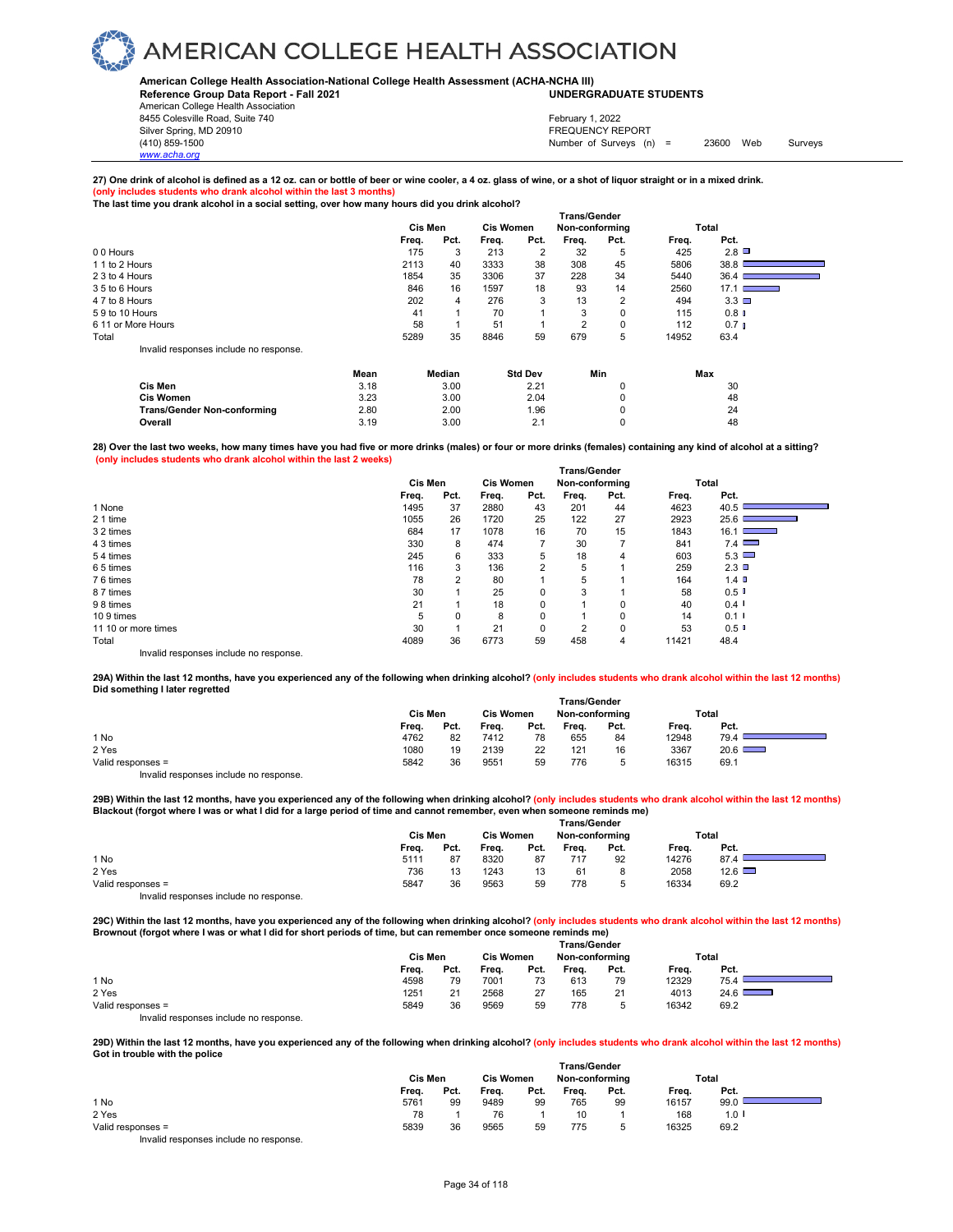#### **American College Health Association-National College Health Assessment (ACHA-NCHA III) UNDERGRADUATE STUDENTS**

**Reference Group Data Report - Fall 2021** American College Health Association

8455 Colesville Road, Suite 740 Silver Spring, MD 20910<br>
1990 - The Source of Surveys (n) San Francisco Communication (410) 859-1500<br>
Surveys (n) Number of Surveys (n)

*www.acha.org*

Number of Surveys (n) = 23600 Web Surveys February 1, 2022

### **27) One drink of alcohol is defined as a 12 oz. can or bottle of beer or wine cooler, a 4 oz. glass of wine, or a shot of liquor straight or in a mixed drink. (only includes students who drank alcohol within the last 3 months)**

**The last time you drank alcohol in a social setting, over how many hours did you drink alcohol?**

|                                        | <b>Trans/Gender</b> |                |      |                  |      |                |             |       |                   |  |
|----------------------------------------|---------------------|----------------|------|------------------|------|----------------|-------------|-------|-------------------|--|
|                                        |                     | <b>Cis Men</b> |      | <b>Cis Women</b> |      | Non-conforming |             |       | <b>Total</b>      |  |
|                                        |                     | Freq.          | Pct. | Freq.            | Pct. | Freq.          | Pct.        | Freq. | Pct.              |  |
| 00 Hours                               |                     | 175            | 3    | 213              | 2    | 32             | 5           | 425   | 2.8               |  |
| 1 1 to 2 Hours                         |                     | 2113           | 40   | 3333             | 38   | 308            | 45          | 5806  | 38.8              |  |
| 2 3 to 4 Hours                         |                     | 1854           | 35   | 3306             | 37   | 228            | 34          | 5440  | 36.4              |  |
| 3 5 to 6 Hours                         |                     | 846            | 16   | 1597             | 18   | 93             | 14          | 2560  | 17.1              |  |
| 4 7 to 8 Hours                         |                     | 202            | 4    | 276              | 3    | 13             | 2           | 494   | $3.3$ $\Box$      |  |
| 59 to 10 Hours                         |                     | 41             |      | 70               |      | 3              | $\mathbf 0$ | 115   | 0.8 <sub>0</sub>  |  |
| 6 11 or More Hours                     |                     | 58             |      | 51               |      | $\overline{2}$ | $\mathbf 0$ | 112   | 0.7 <sub>II</sub> |  |
| Total                                  |                     | 5289           | 35   | 8846             | 59   | 679            | 5           | 14952 | 63.4              |  |
| Invalid responses include no response. |                     |                |      |                  |      |                |             |       |                   |  |
|                                        | Mean                | Median         |      | <b>Std Dev</b>   |      | Min            |             |       | Max               |  |
| Cis Men                                | 3.18                |                | 3.00 |                  | 2.21 |                |             |       | 30                |  |
| <b>Cis Women</b>                       | 3.23                |                | 3.00 |                  | 2.04 |                | 0           |       | 48                |  |
| <b>Trans/Gender Non-conforming</b>     | 2.80                |                | 2.00 |                  | 1.96 |                | 0           |       | 24                |  |
| Overall                                | 3.19                |                | 3.00 |                  | 2.1  |                | 0           |       | 48                |  |

**28) Over the last two weeks, how many times have you had five or more drinks (males) or four or more drinks (females) containing any kind of alcohol at a sitting? (only includes students who drank alcohol within the last 2 weeks)**

|                                        | <b>Trans/Gender</b> |      |                  |      |                |          |       |                             |  |  |
|----------------------------------------|---------------------|------|------------------|------|----------------|----------|-------|-----------------------------|--|--|
|                                        | Cis Men             |      | <b>Cis Women</b> |      | Non-conforming |          |       | Total                       |  |  |
|                                        | Freq.               | Pct. | Freq.            | Pct. | Freq.          | Pct.     | Freq. | Pct.                        |  |  |
| 1 None                                 | 1495                | 37   | 2880             | 43   | 201            | 44       | 4623  | 40.5                        |  |  |
| 2 1 time                               | 1055                | 26   | 1720             | 25   | 122            | 27       | 2923  | 25.6                        |  |  |
| 3 2 times                              | 684                 | 17   | 1078             | 16   | 70             | 15       | 1843  | 16.11<br><u> Tanzania (</u> |  |  |
| 4 3 times                              | 330                 | 8    | 474              |      | 30             |          | 841   | 7.4                         |  |  |
| 54 times                               | 245                 | 6    | 333              | 5    | 18             | 4        | 603   | 5.3                         |  |  |
| 65 times                               | 116                 | 3    | 136              | 2    | 5              |          | 259   | 2.3                         |  |  |
| 76 times                               | 78                  | 2    | 80               |      | 5              |          | 164   | $1.4$ D                     |  |  |
| 8 7 times                              | 30                  |      | 25               | 0    | 3              |          | 58    | 0.5                         |  |  |
| 98 times                               | 21                  |      | 18               | 0    | 4              | 0        | 40    | $0.4$ $\blacksquare$        |  |  |
| 109 times                              | 5                   | 0    | 8                | 0    | и              | $\Omega$ | 14    | 0.1                         |  |  |
| 11 10 or more times                    | 30                  |      | 21               | 0    | $\overline{2}$ | 0        | 53    | 0.5                         |  |  |
| Total                                  | 4089                | 36   | 6773             | 59   | 458            | 4        | 11421 | 48.4                        |  |  |
| Invalid responses include no response. |                     |      |                  |      |                |          |       |                             |  |  |

**29A) Within the last 12 months, have you experienced any of the following when drinking alcohol? (only includes students who drank alcohol within the last 12 months) Did something I later regretted Trans/Gender**

|                   | l rans/Gender |      |                  |      |                |        |       |       |  |  |
|-------------------|---------------|------|------------------|------|----------------|--------|-------|-------|--|--|
|                   | Cis Men       |      | <b>Cis Women</b> |      | Non-conforming |        |       | Total |  |  |
|                   | Freq.         | Pct. | Freq.            | Pct. | Frea.          | Pct.   | Frea. | Pct.  |  |  |
| 1 No              | 4762          | 82   | 7412             | 78   | 655            | 84     | 12948 | 79.4  |  |  |
| 2 Yes             | 1080          | 19   | 2139             | 22   | 121            | 16     | 3367  | 20.6  |  |  |
| Valid responses = | 5842          | 36   | 9551             | 59   | 776            | ∽<br>◡ | 16315 | 69.1  |  |  |
| .<br>.            |               |      |                  |      |                |        |       |       |  |  |

Invalid responses include no response.

**29B) Within the last 12 months, have you experienced any of the following when drinking alcohol? (only includes students who drank alcohol within the last 12 months) Blackout (forgot where I was or what I did for a large period of time and cannot remember, even when someone reminds me)** 

|                                        | <b>Trans/Gender</b> |      |                  |      |                |      |       |               |  |
|----------------------------------------|---------------------|------|------------------|------|----------------|------|-------|---------------|--|
|                                        | Cis Men             |      | <b>Cis Women</b> |      | Non-conforming |      | Total |               |  |
|                                        | Freq.               | Pct. | Frea.            | Pct. | Freq.          | Pct. | Frea. | Pct.          |  |
| 1 No                                   | 5111                | 87   | 8320             | 87   | 717            | 92   | 14276 | 87.4          |  |
| 2 Yes                                  | 736                 | 13   | 1243             | 13   | 61             | 8    | 2058  | $12.6$ $\Box$ |  |
| Valid responses =                      | 5847                | 36   | 9563             | 59   | 778            | 5    | 16334 | 69.2          |  |
| Invalid responses include no response. |                     |      |                  |      |                |      |       |               |  |

**29C) Within the last 12 months, have you experienced any of the following when drinking alcohol? (only includes students who drank alcohol within the last 12 months) Brownout (forgot where I was or what I did for short periods of time, but can remember once someone reminds me)** 

|                                        | <b>Trans/Gender</b> |      |                  |      |                |      |       |       |  |  |
|----------------------------------------|---------------------|------|------------------|------|----------------|------|-------|-------|--|--|
|                                        | Cis Men             |      | <b>Cis Women</b> |      | Non-conforming |      |       | Total |  |  |
|                                        | Freq.               | Pct. | Freq.            | Pct. | Freq.          | Pct. | Freq. | Pct.  |  |  |
| 1 No                                   | 4598                | 79   | 7001             | 73   | 613            | 79   | 12329 | 75.4  |  |  |
| 2 Yes                                  | 1251                | 21   | 2568             | 27   | 165            | 21   | 4013  | 24.6  |  |  |
| Valid responses =                      | 5849                | 36   | 9569             | 59   | 778            | 5    | 16342 | 69.2  |  |  |
| Invalid responses include no response. |                     |      |                  |      |                |      |       |       |  |  |

**29D) Within the last 12 months, have you experienced any of the following when drinking alcohol? (only includes students who drank alcohol within the last 12 months) Got in trouble with the police Trans/Gender**

|                                        | Cis Men |      | <b>Cis Women</b> |      | Non-conforming |      | Total |         |  |
|----------------------------------------|---------|------|------------------|------|----------------|------|-------|---------|--|
|                                        | Freq.   | Pct. | Freq.            | Pct. | Frea.          | Pct. | Freq. | Pct.    |  |
| 1 No                                   | 5761    | 99   | 9489             | 99   | 765            | 99   | 16157 | 99.0    |  |
| 2 Yes                                  | 78      |      | 76               |      | 10             |      | 168   | $1.0$ I |  |
| Valid responses =                      | 5839    | 36   | 9565             | 59   | 775            |      | 16325 | 69.2    |  |
| Invalid responses include no response. |         |      |                  |      |                |      |       |         |  |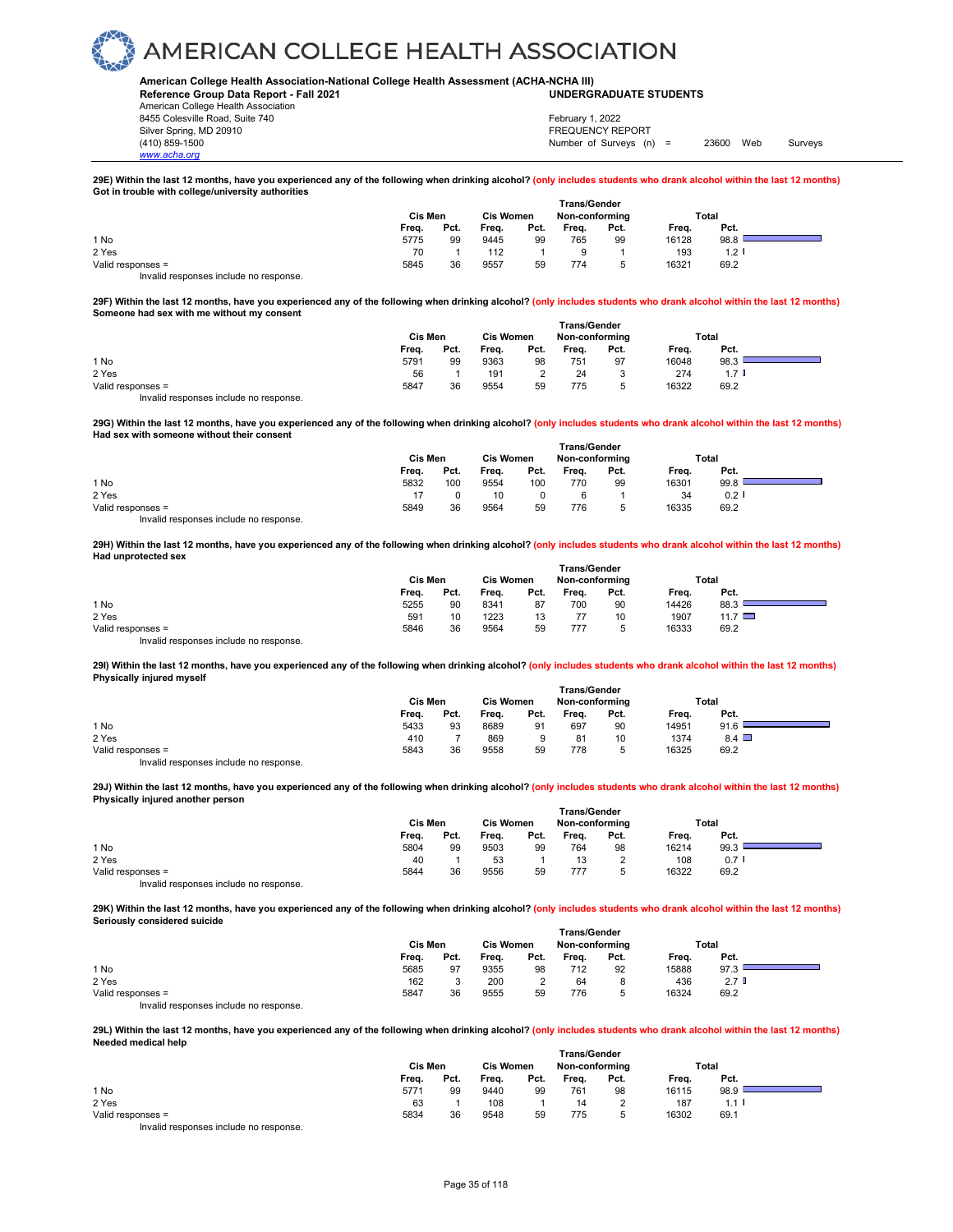#### **American College Health Association-National College Health Assessment (ACHA-NCHA III) UNDERGRADUATE STUDENTS**

**Reference Group Data Report - Fall 2021**

American College Health Association 8455 Colesville Road, Suite 740 Silver Spring, MD 20910<br>
1990 - The Spring, MD 20910<br>
1990 - The Survey Structure of Surveys (n)

*www.acha.org*

Number of Surveys  $(n) = 23600$  Web Surveys February 1, 2022

**29E) Within the last 12 months, have you experienced any of the following when drinking alcohol? (only includes students who drank alcohol within the last 12 months) Got in trouble with college/university authorities** 

|                                        | <b>Trans/Gender</b> |      |                  |      |                |      |       |         |  |  |
|----------------------------------------|---------------------|------|------------------|------|----------------|------|-------|---------|--|--|
|                                        | Cis Men             |      | <b>Cis Women</b> |      | Non-conforming |      | Total |         |  |  |
|                                        | Freq.               | Pct. | Freq.            | Pct. | Freq.          | Pct. | Freq. | Pct.    |  |  |
| 1 No                                   | 5775                | 99   | 9445             | 99   | 765            | 99   | 16128 | 98.8    |  |  |
| 2 Yes                                  | 70                  |      | 112              |      |                |      | 193   | $1.2$ I |  |  |
| Valid responses =                      | 5845                | 36   | 9557             | 59   | 774            |      | 16321 | 69.2    |  |  |
| Invalid responses include no response. |                     |      |                  |      |                |      |       |         |  |  |

**29F) Within the last 12 months, have you experienced any of the following when drinking alcohol? (only includes students who drank alcohol within the last 12 months) Someone had sex with me without my consent** 

|                                        | <b>Trans/Gender</b> |      |                  |      |                |      |       |                  |  |
|----------------------------------------|---------------------|------|------------------|------|----------------|------|-------|------------------|--|
|                                        | Cis Men             |      | <b>Cis Women</b> |      | Non-conforming |      | Total |                  |  |
|                                        | Freq.               | Pct. | Freq.            | Pct. | Freq.          | Pct. | Freq. | Pct.             |  |
| 1 No                                   | 5791                | 99   | 9363             | 98   | 751            | 97   | 16048 | 98.3             |  |
| 2 Yes                                  | 56                  |      | 191              |      | 24             | 3    | 274   | 1.7 <sup>1</sup> |  |
| Valid responses =                      | 5847                | 36   | 9554             | 59   | 775            | 5    | 16322 | 69.2             |  |
| Invalid responses include no response. |                     |      |                  |      |                |      |       |                  |  |

**29G) Within the last 12 months, have you experienced any of the following when drinking alcohol? (only includes students who drank alcohol within the last 12 months) Had sex with someone without their consent** 

|                                         |         |      |                  |      | <b>Trans/Gender</b> |      |       |         |  |
|-----------------------------------------|---------|------|------------------|------|---------------------|------|-------|---------|--|
|                                         | Cis Men |      | <b>Cis Women</b> |      | Non-conforming      |      | Total |         |  |
|                                         | Frea.   | Pct. | Frea.            | Pct. | Frea.               | Pct. | Frea. | Pct.    |  |
| 1 No                                    | 5832    | 100  | 9554             | 100  | 770                 | 99   | 16301 | 99.8    |  |
| 2 Yes                                   |         |      | 10               |      |                     |      | 34    | $0.2$ I |  |
| Valid responses =                       | 5849    | 36   | 9564             | 59   | 776                 | ∽    | 16335 | 69.2    |  |
| Involid recononces include no recononce |         |      |                  |      |                     |      |       |         |  |

Invalid responses include no response.

**29H) Within the last 12 months, have you experienced any of the following when drinking alcohol? (only includes students who drank alcohol within the last 12 months) Had unprotected sex Trans/Gender**

|                                        | ⊺rans/Gender |      |       |                  |       |                |       |                |  |  |  |
|----------------------------------------|--------------|------|-------|------------------|-------|----------------|-------|----------------|--|--|--|
|                                        | Cis Men      |      |       | <b>Cis Women</b> |       | Non-conforming | Total |                |  |  |  |
|                                        | Freq.        | Pct. | Freq. | Pct.             | Freq. | Pct.           | Freq. | Pct.           |  |  |  |
| 1 No                                   | 5255         | 90   | 8341  | 87               | 700   | 90             | 14426 | 88.3           |  |  |  |
| 2 Yes                                  | 591          | 10   | 1223  | 13               |       | 10             | 1907  | $11.7 \square$ |  |  |  |
| Valid responses =                      | 5846         | 36   | 9564  | 59               | 777   |                | 16333 | 69.2           |  |  |  |
| Invalid responses include no response. |              |      |       |                  |       |                |       |                |  |  |  |

**29I) Within the last 12 months, have you experienced any of the following when drinking alcohol? (only includes students who drank alcohol within the last 12 months) Physically injured myself Trans/Gender**

|                                        | ı rans/Gender |      |                  |      |                |      |       |              |  |  |  |
|----------------------------------------|---------------|------|------------------|------|----------------|------|-------|--------------|--|--|--|
|                                        | Cis Men       |      | <b>Cis Women</b> |      | Non-conforming |      | Total |              |  |  |  |
|                                        | Freq.         | Pct. | Freq.            | Pct. | Freq.          | Pct. | Frea. | Pct.         |  |  |  |
| 1 No                                   | 5433          | 93   | 8689             | 91   | 697            | 90   | 14951 | 91.6         |  |  |  |
| 2 Yes                                  | 410           |      | 869              |      | 81             | 10   | 1374  | $8.4$ $\Box$ |  |  |  |
| Valid responses =                      | 5843          | 36   | 9558             | 59   | 778            | b    | 16325 | 69.2         |  |  |  |
| Invalid responses include no response. |               |      |                  |      |                |      |       |              |  |  |  |

**29J) Within the last 12 months, have you experienced any of the following when drinking alcohol? (only includes students who drank alcohol within the last 12 months) Physically injured another person Trans/Gender**

|                                                                           | Trans/Gender |      |                  |      |                |      |       |      |  |
|---------------------------------------------------------------------------|--------------|------|------------------|------|----------------|------|-------|------|--|
|                                                                           | Cis Men      |      | <b>Cis Women</b> |      | Non-conforming |      | Total |      |  |
|                                                                           | Freq.        | Pct. | Freq.            | Pct. | Freq.          | Pct. | Freq. | Pct. |  |
| 1 No                                                                      | 5804         | 99   | 9503             | 99   | 764            | 98   | 16214 | 99.3 |  |
| 2 Yes                                                                     | 40           |      | 53               |      | 13             |      | 108   | 0.71 |  |
| Valid responses =                                                         | 5844         | 36   | 9556             | 59   | 777            | ∽    | 16322 | 69.2 |  |
| the control theory is a structure that the collection of the state of the |              |      |                  |      |                |      |       |      |  |

Invalid responses include no response.

**29K) Within the last 12 months, have you experienced any of the following when drinking alcohol? (only includes students who drank alcohol within the last 12 months) Seriously considered suicide Trans/Gender**

|                                        | ≀rans/Gender |      |                  |      |                |      |       |                  |  |  |  |
|----------------------------------------|--------------|------|------------------|------|----------------|------|-------|------------------|--|--|--|
|                                        | Cis Men      |      | <b>Cis Women</b> |      | Non-conforming |      | Total |                  |  |  |  |
|                                        | Frea.        | Pct. | Frea.            | Pct. | Frea.          | Pct. | Frea. | Pct.             |  |  |  |
| 1 No                                   | 5685         | 97   | 9355             | 98   | 712            | 92   | 15888 | 97.3             |  |  |  |
| 2 Yes                                  | 162          |      | 200              | ◠    | 64             |      | 436   | 2.7 <sub>0</sub> |  |  |  |
| Valid responses =                      | 5847         | 36   | 9555             | 59   | 776            |      | 16324 | 69.2             |  |  |  |
| Invalid responses include no response. |              |      |                  |      |                |      |       |                  |  |  |  |

**29L) Within the last 12 months, have you experienced any of the following when drinking alcohol? (only includes students who drank alcohol within the last 12 months) Needed medical help Trans/Gender**

|                                        | ⊺rans/Gender |      |                  |      |                |      |       |         |  |  |  |
|----------------------------------------|--------------|------|------------------|------|----------------|------|-------|---------|--|--|--|
|                                        | Cis Men      |      | <b>Cis Women</b> |      | Non-conforming |      | Total |         |  |  |  |
|                                        | Freq.        | Pct. | Freq.            | Pct. | Frea.          | Pct. | Freq. | Pct.    |  |  |  |
| 1 No                                   | 5771         | 99   | 9440             | 99   | 761            | 98   | 16115 | 98.9    |  |  |  |
| 2 Yes                                  | 63           |      | 108              |      | 14             |      | 187   | $1.1$ I |  |  |  |
| Valid responses =                      | 5834         | 36   | 9548             | 59   | 775            | 5    | 16302 | 69.1    |  |  |  |
| Invalid responses include no response. |              |      |                  |      |                |      |       |         |  |  |  |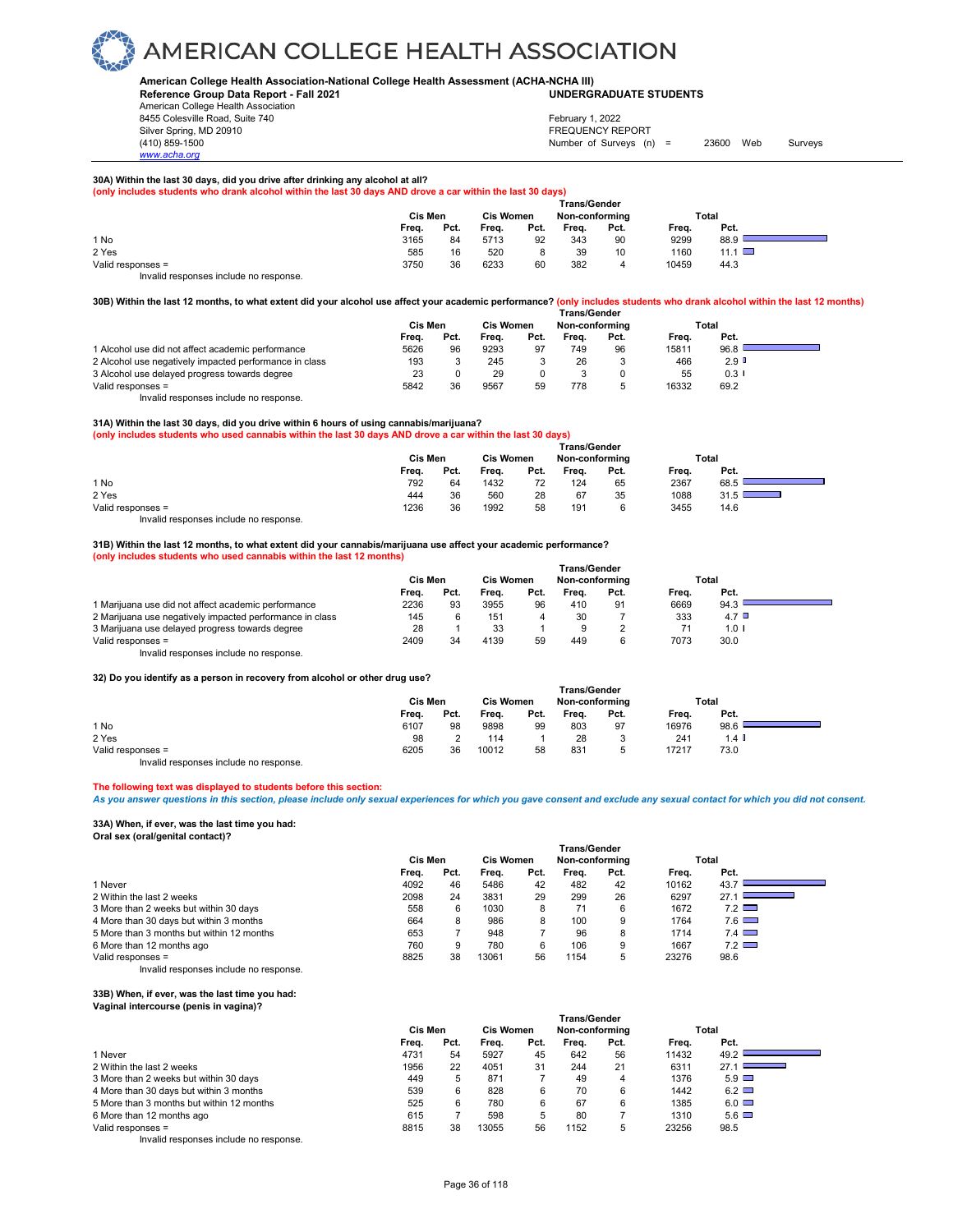#### **American College Health Association-National College Health Assessment (ACHA-NCHA III) UNDERGRADUATE STUDENTS**

**Reference Group Data Report - Fall 2021** American College Health Association 8455 Colesville Road, Suite 740 Silver Spring, MD 20910<br>
1990 - The Spring, MD 20910<br>
1990 - The Survey Structure of Surveys (n)

*www.acha.org*

### Number of Surveys (n) = 23600 Web Surveys February 1, 2022

**30A) Within the last 30 days, did you drive after drinking any alcohol at all?** 

**(only includes students who drank alcohol within the last 30 days AND drove a car within the last 30 days)**

|                                        |         |      |                  |      | <b>Trans/Gender</b> |      |       |             |  |
|----------------------------------------|---------|------|------------------|------|---------------------|------|-------|-------------|--|
|                                        | Cis Men |      | <b>Cis Women</b> |      | Non-conformina      |      | Total |             |  |
|                                        | Freq.   | Pct. | Freq.            | Pct. | Frea.               | Pct. | Freq. | Pct.        |  |
| 1 No                                   | 3165    | 84   | 5713             | 92   | 343                 | 90   | 9299  | 88.9        |  |
| 2 Yes                                  | 585     | 16   | 520              |      | 39                  | 10   | 1160  | 11.1 $\Box$ |  |
| Valid responses =                      | 3750    | 36   | 6233             | 60   | 382                 | 4    | 10459 | 44.3        |  |
| Invalid responses include no response. |         |      |                  |      |                     |      |       |             |  |

#### **30B) Within the last 12 months, to what extent did your alcohol use affect your academic performance? (only includes students who drank alcohol within the last 12 months)**

|                                                        | <b>Trans/Gender</b> |      |                  |      |                |      |       |                      |  |
|--------------------------------------------------------|---------------------|------|------------------|------|----------------|------|-------|----------------------|--|
|                                                        | Cis Men             |      | <b>Cis Women</b> |      | Non-conforming |      | Total |                      |  |
|                                                        | Freq.               | Pct. | Frea.            | Pct. | Frea.          | Pct. | Frea. | Pct.                 |  |
| 1 Alcohol use did not affect academic performance      | 5626                | 96   | 9293             | 97   | 749            | 96   | 15811 | 96.8                 |  |
| 2 Alcohol use negatively impacted performance in class | 193                 |      | 245              |      | 26             |      | 466   | $2.9$ D              |  |
| 3 Alcohol use delayed progress towards degree          | 23                  |      | 29               |      |                |      | 55    | $0.3$ $\blacksquare$ |  |
| Valid responses =                                      | 5842                | 36   | 9567             | 59   | 778            |      | 16332 | 69.2                 |  |
| .                                                      |                     |      |                  |      |                |      |       |                      |  |

Invalid responses include no response.

#### **31A) Within the last 30 days, did you drive within 6 hours of using cannabis/marijuana?**

**(only includes students who used cannabis within the last 30 days AND drove a car within the last 30 days)**

|                   |       |         |       | <b>Trans/Gender</b> |       |                |       |       |
|-------------------|-------|---------|-------|---------------------|-------|----------------|-------|-------|
|                   |       | Cis Men |       | <b>Cis Women</b>    |       | Non-conforming |       | Total |
|                   | Freq. | Pct.    | Freq. | Pct.                | Freq. | Pct.           | Freq. | Pct.  |
| 1 No              | 792   | 64      | 1432  | 72                  | 124   | 65             | 2367  | 68.5  |
| 2 Yes             | 444   | 36      | 560   | 28                  | 67    | 35             | 1088  | 31.5  |
| Valid responses = | 1236  | 36      | 1992  | 58                  | 191   | G              | 3455  | 14.6  |
|                   |       |         |       |                     |       |                |       |       |

Invalid responses include no response.

### **31B) Within the last 12 months, to what extent did your cannabis/marijuana use affect your academic performance?**

**(only includes students who used cannabis within the last 12 months)**

|                                                          | <b>Trans/Gender</b> |      |                  |      |                |      |       |            |  |  |
|----------------------------------------------------------|---------------------|------|------------------|------|----------------|------|-------|------------|--|--|
|                                                          | Cis Men             |      | <b>Cis Women</b> |      | Non-conforming |      | Total |            |  |  |
|                                                          | Frea.               | Pct. | Frea.            | Pct. | Frea.          | Pct. | Frea. | Pct.       |  |  |
| 1 Marijuana use did not affect academic performance      | 2236                | 93   | 3955             | 96   | 410            | 91   | 6669  | 94.3       |  |  |
| 2 Marijuana use negatively impacted performance in class | 145                 |      | 151              |      | 30             |      | 333   | 4.7 $\Box$ |  |  |
| 3 Marijuana use delayed progress towards degree          | 28                  |      | 33               |      | 9              |      | 71    | $1.0$ I    |  |  |
| Valid responses =                                        | 2409                | 34   | 4139             | 59   | 449            |      | 7073  | 30.0       |  |  |
| .                                                        |                     |      |                  |      |                |      |       |            |  |  |

Invalid responses include no response.

#### **32) Do you identify as a person in recovery from alcohol or other drug use?**

| <u>us po you luchiny as a person in recovery nonralconor or other urug ase:</u> |         |      |       |                  |                     |      |       |         |  |
|---------------------------------------------------------------------------------|---------|------|-------|------------------|---------------------|------|-------|---------|--|
|                                                                                 |         |      |       |                  | <b>Trans/Gender</b> |      |       |         |  |
|                                                                                 | Cis Men |      |       | <b>Cis Women</b> | Non-conforming      |      | Total |         |  |
|                                                                                 | Frea.   | Pct. | Frea. | Pct.             | Frea.               | Pct. | Frea. | Pct.    |  |
| 1 No                                                                            | 6107    | 98   | 9898  | 99               | 803                 | 97   | 16976 | 98.6    |  |
| 2 Yes                                                                           | 98      |      | 114   |                  | 28                  |      | 241   | $1.4$ I |  |
| Valid responses =                                                               | 6205    | 36   | 10012 | 58               | 831                 |      | 17217 | 73.0    |  |

Invalid responses include no response.

#### **The following text was displayed to students before this section:**

*As you answer questions in this section, please include only sexual experiences for which you gave consent and exclude any sexual contact for which you did not consent.*

#### **33A) When, if ever, was the last time you had: Oral sex (oral/genital contact)?**

|                                           | <b>Trans/Gender</b> |      |                  |      |                |      |       |              |  |  |  |
|-------------------------------------------|---------------------|------|------------------|------|----------------|------|-------|--------------|--|--|--|
|                                           | Cis Men             |      | <b>Cis Women</b> |      | Non-conforming |      |       | Total        |  |  |  |
|                                           | Freq.               | Pct. | Frea.            | Pct. | Frea.          | Pct. | Frea. | Pct.         |  |  |  |
| 1 Never                                   | 4092                | 46   | 5486             | 42   | 482            | 42   | 10162 | 43.7         |  |  |  |
| 2 Within the last 2 weeks                 | 2098                | 24   | 3831             | 29   | 299            | 26   | 6297  | 27.1         |  |  |  |
| 3 More than 2 weeks but within 30 days    | 558                 | 6    | 1030             |      |                |      | 1672  | 7.2          |  |  |  |
| 4 More than 30 days but within 3 months   | 664                 |      | 986              |      | 100            |      | 1764  | $7.6$ $\Box$ |  |  |  |
| 5 More than 3 months but within 12 months | 653                 |      | 948              |      | 96             |      | 1714  | 7.4          |  |  |  |
| 6 More than 12 months ago                 | 760                 | 9    | 780              |      | 106            |      | 1667  | $7.2$ $\Box$ |  |  |  |
| Valid responses =                         | 8825                | 38   | 13061            | 56   | 1154           |      | 23276 | 98.6         |  |  |  |

Invalid responses include no response.

#### **33B) When, if ever, was the last time you had: Vaginal intercourse (penis in vagina)?**

| ragmar microcaroc (porno m ragma).        |                                                                        |      |       |      |       |      |       |                                   |  |  |
|-------------------------------------------|------------------------------------------------------------------------|------|-------|------|-------|------|-------|-----------------------------------|--|--|
|                                           | Trans/Gender<br>Cis Men<br><b>Cis Women</b><br>Total<br>Non-conforming |      |       |      |       |      |       |                                   |  |  |
|                                           |                                                                        |      |       |      |       |      |       |                                   |  |  |
|                                           | Frea.                                                                  | Pct. | Frea. | Pct. | Frea. | Pct. | Frea. | Pct.                              |  |  |
| 1 Never                                   | 4731                                                                   | 54   | 5927  | 45   | 642   | 56   | 11432 | 49.2                              |  |  |
| 2 Within the last 2 weeks                 | 1956                                                                   | 22   | 4051  | 31   | 244   | 21   | 6311  | 27.1<br><u> Barbara (Barbara)</u> |  |  |
| 3 More than 2 weeks but within 30 days    | 449                                                                    | 5    | 871   |      | 49    | 4    | 1376  | $5.9$ $\Box$                      |  |  |
| 4 More than 30 days but within 3 months   | 539                                                                    | 6    | 828   | 6    | 70    | 6    | 1442  | $6.2$ $\Box$                      |  |  |
| 5 More than 3 months but within 12 months | 525                                                                    | 6    | 780   | 6    | 67    | 6    | 1385  | $6.0$ $\Box$                      |  |  |
| 6 More than 12 months ago                 | 615                                                                    |      | 598   | 5    | 80    |      | 1310  | $5.6$ $\Box$                      |  |  |
| Valid responses =                         | 8815                                                                   | 38   | 13055 | 56   | 1152  | 5    | 23256 | 98.5                              |  |  |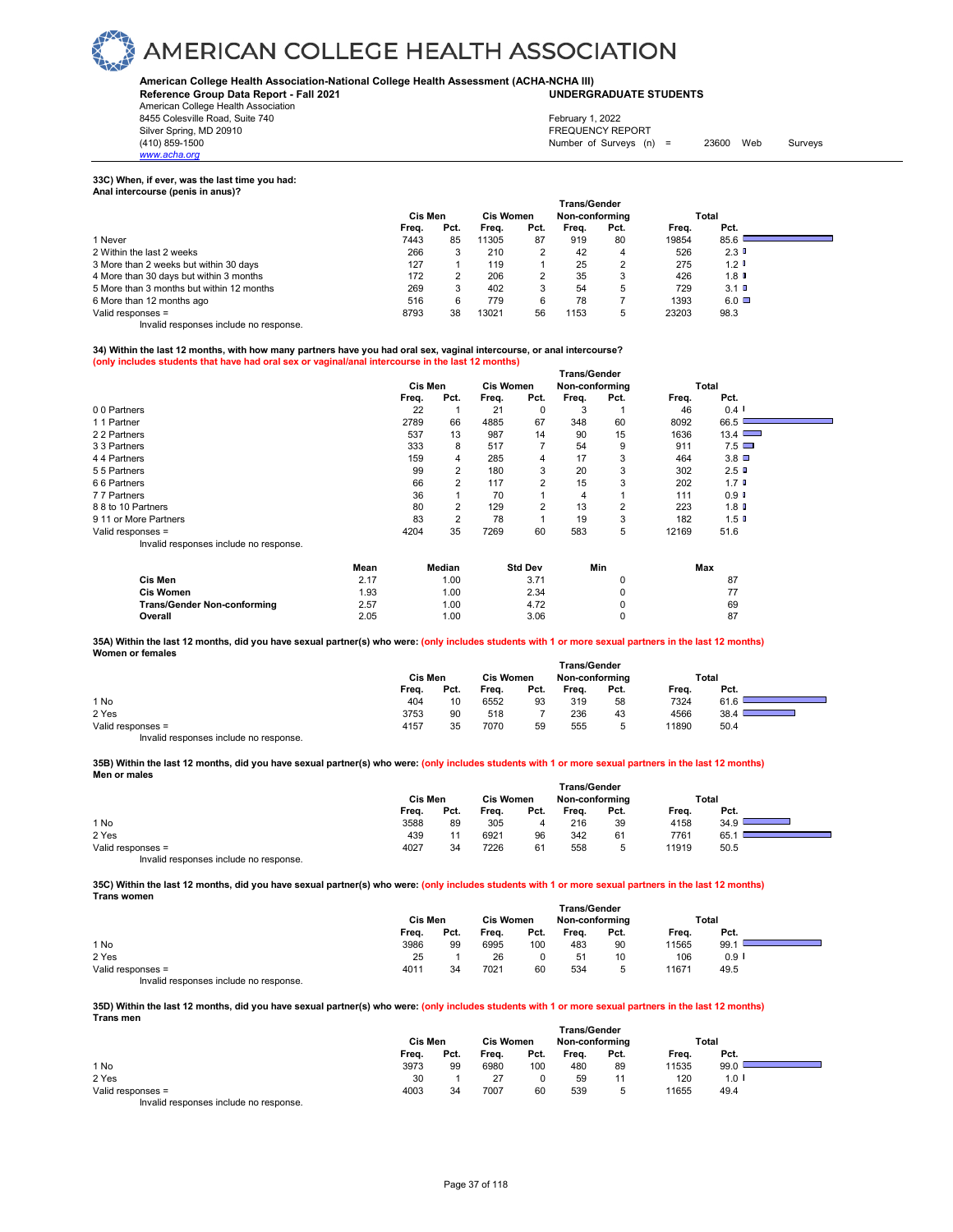#### **American College Health Association-National College Health Assessment (ACHA-NCHA III) UNDERGRADUATE STUDENTS**

**Reference Group Data Report - Fall 2021**

American College Health Association 8455 Colesville Road, Suite 740 Silver Spring, MD 20910<br>
1990 - The Spring, MD 20910<br>
1990 - The Survey Structure of Surveys (n)

Number of Surveys (n) =  $23600$  Web Surveys February 1, 2022

#### **33C) When, if ever, was the last time you had:**

*www.acha.org*

| Anal intercourse (penis in anus)?         |         |      |                  |      |                     |      |       |           |  |
|-------------------------------------------|---------|------|------------------|------|---------------------|------|-------|-----------|--|
|                                           |         |      |                  |      | <b>Trans/Gender</b> |      |       |           |  |
|                                           | Cis Men |      | <b>Cis Women</b> |      | Non-conforming      |      |       | Total     |  |
|                                           | Freq.   | Pct. | Frea.            | Pct. | Frea.               | Pct. | Freq. | Pct.      |  |
| 1 Never                                   | 7443    | 85   | 11305            | 87   | 919                 | 80   | 19854 | 85.6      |  |
| 2 Within the last 2 weeks                 | 266     | 3    | 210              |      | 42                  | 4    | 526   | 2.3       |  |
| 3 More than 2 weeks but within 30 days    | 127     |      | 119              |      | 25                  |      | 275   | 1.2       |  |
| 4 More than 30 days but within 3 months   | 172     | 2    | 206              |      | 35                  | 3    | 426   | $1.8$ D   |  |
| 5 More than 3 months but within 12 months | 269     | 3    | 402              | 3    | 54                  | 5    | 729   | 3.1       |  |
| 6 More than 12 months ago                 | 516     | 6    | 779              | 6    | 78                  |      | 1393  | $6.0\Box$ |  |
| Valid responses =                         | 8793    | 38   | 13021            | 56   | 1153                | 5    | 23203 | 98.3      |  |

Invalid responses include no response.

#### **34) Within the last 12 months, with how many partners have you had oral sex, vaginal intercourse, or anal intercourse? (only includes students that have had oral sex or vaginal/anal intercourse in the last 12 months)**

|                                        | <b>Trans/Gender</b> |         |                |                  |                |                |      |       |                      |  |
|----------------------------------------|---------------------|---------|----------------|------------------|----------------|----------------|------|-------|----------------------|--|
|                                        |                     | Cis Men |                | <b>Cis Women</b> |                | Non-conforming |      |       | Total                |  |
|                                        |                     | Freq.   | Pct.           | Freq.            | Pct.           | Freq.          | Pct. | Freq. | Pct.                 |  |
| 00 Partners                            |                     | 22      |                | 21               | 0              | 3              |      | 46    | $0.4$ $\blacksquare$ |  |
| 11 Partner                             |                     | 2789    | 66             | 4885             | 67             | 348            | 60   | 8092  | 66.5                 |  |
| 2 2 Partners                           |                     | 537     | 13             | 987              | 14             | 90             | 15   | 1636  | 13.4                 |  |
| 3 3 Partners                           |                     | 333     | 8              | 517              |                | 54             | 9    | 911   | 7.5                  |  |
| 44 Partners                            |                     | 159     | 4              | 285              | 4              | 17             | 3    | 464   | 3.8                  |  |
| 55 Partners                            |                     | 99      | 2              | 180              | 3              | 20             | 3    | 302   | 2.5                  |  |
| 66 Partners                            |                     | 66      | 2              | 117              | $\overline{2}$ | 15             | 3    | 202   | 1.7 <sup>0</sup>     |  |
| 77 Partners                            |                     | 36      |                | 70               |                | 4              |      | 111   | 0.9                  |  |
| 8 8 to 10 Partners                     |                     | 80      | 2              | 129              | 2              | 13             | 2    | 223   | 1.8                  |  |
| 9 11 or More Partners                  |                     | 83      | $\overline{2}$ | 78               |                | 19             | 3    | 182   | 1.5 <sub>0</sub>     |  |
| Valid responses =                      |                     | 4204    | 35             | 7269             | 60             | 583            | 5    | 12169 | 51.6                 |  |
| Invalid responses include no response. |                     |         |                |                  |                |                |      |       |                      |  |
|                                        | Mean                |         | Median         |                  | <b>Std Dev</b> |                | Min  |       | Max                  |  |
| Cis Men                                | 2.17                |         | 1.00           |                  | 3.71           |                | 0    |       | 87                   |  |
| <b>Cis Women</b>                       | 1.93                |         | 1.00           |                  | 2.34           |                | 0    |       | 77                   |  |

**Trans/Gender Non-conforming** 2.57 1.00 4.72 0 69<br> **Overall** 2.05 1.00 3.06 0 87 **Overall** 2.05 1.00 3.06 0 87 **35A) Within the last 12 months, did you have sexual partner(s) who were: (only includes students with 1 or more sexual partners in the last 12 months) Women or females** 

|                                           | Cis Men |      | <b>Cis Women</b> |      | <b>Trans/Gender</b><br>Non-conforming |        |       | Total |
|-------------------------------------------|---------|------|------------------|------|---------------------------------------|--------|-------|-------|
|                                           | Freq.   | Pct. | Freq.            | Pct. | Freq.                                 | Pct.   | Freq. | Pct.  |
| 1 No                                      | 404     | 10   | 6552             | 93   | 319                                   | 58     | 7324  | 61.6  |
| 2 Yes                                     | 3753    | 90   | 518              |      | 236                                   | 43     | 4566  | 38.4  |
| Valid responses =                         | 4157    | 35   | 7070             | 59   | 555                                   | 5<br>ັ | 11890 | 50.4  |
| Initelial reconomers include no reconomer |         |      |                  |      |                                       |        |       |       |

Invalid responses include no response.

#### **35B) Within the last 12 months, did you have sexual partner(s) who were: (only includes students with 1 or more sexual partners in the last 12 months) Men or males**

|                                        | <b>Trans/Gender</b> |      |                  |      |                |      |       |      |  |  |  |  |
|----------------------------------------|---------------------|------|------------------|------|----------------|------|-------|------|--|--|--|--|
|                                        | Cis Men             |      | <b>Cis Women</b> |      | Non-conforming |      | Total |      |  |  |  |  |
|                                        | Freq.               | Pct. | Freq.            | Pct. | Freq.          | Pct. | Frea. | Pct. |  |  |  |  |
| 1 No                                   | 3588                | 89   | 305              |      | 216            | 39   | 4158  | 34.9 |  |  |  |  |
| 2 Yes                                  | 439                 | 11   | 6921             | 96   | 342            | 61   | 7761  | 65.  |  |  |  |  |
| Valid responses =                      | 4027                | 34   | 7226             | 61   | 558            | 5    | 11919 | 50.5 |  |  |  |  |
| Invalid responses include no response. |                     |      |                  |      |                |      |       |      |  |  |  |  |

**35C) Within the last 12 months, did you have sexual partner(s) who were: (only includes students with 1 or more sexual partners in the last 12 months) Trans women**

|                   | <b>Trans/Gender</b> |         |       |      |                                    |      |       |                      |  |  |  |
|-------------------|---------------------|---------|-------|------|------------------------------------|------|-------|----------------------|--|--|--|
|                   |                     | Cis Men |       |      | <b>Cis Women</b><br>Non-conforming |      |       | Total                |  |  |  |
|                   | Freq.               | Pct.    | Freq. | Pct. | Freq.                              | Pct. | Freq. | Pct.                 |  |  |  |
| 1 No              | 3986                | 99      | 6995  | 100  | 483                                | 90   | 11565 | 99.1                 |  |  |  |
| 2 Yes             | 25                  |         | 26    |      | 51                                 | 10   | 106   | $0.9$ $\blacksquare$ |  |  |  |
| Valid responses = | 4011                | 34      | 7021  | 60   | 534                                | 5    | 11671 | 49.5                 |  |  |  |
| $\cdots$          |                     |         |       |      |                                    |      |       |                      |  |  |  |

Invalid responses include no response.

#### **35D) Within the last 12 months, did you have sexual partner(s) who were: (only includes students with 1 or more sexual partners in the last 12 months) Trans men**

|                                       |         |      |                  |      |                | <b>Trans/Gender</b> |       |                      |  |
|---------------------------------------|---------|------|------------------|------|----------------|---------------------|-------|----------------------|--|
|                                       | Cis Men |      | <b>Cis Women</b> |      | Non-conforming |                     | Total |                      |  |
|                                       | Freq.   | Pct. | Freq.            | Pct. | Freq.          | Pct.                | Freq. | Pct.                 |  |
| 1 No                                  | 3973    | 99   | 6980             | 100  | 480            | 89                  | 11535 | 99.0                 |  |
| 2 Yes                                 | 30      |      | 27               | 0    | 59             |                     | 120   | $1.0$ $\blacksquare$ |  |
| Valid responses =                     | 4003    | 34   | 7007             | 60   | 539            |                     | 11655 | 49.4                 |  |
| lauglid reeneneen inelude ne reenenee |         |      |                  |      |                |                     |       |                      |  |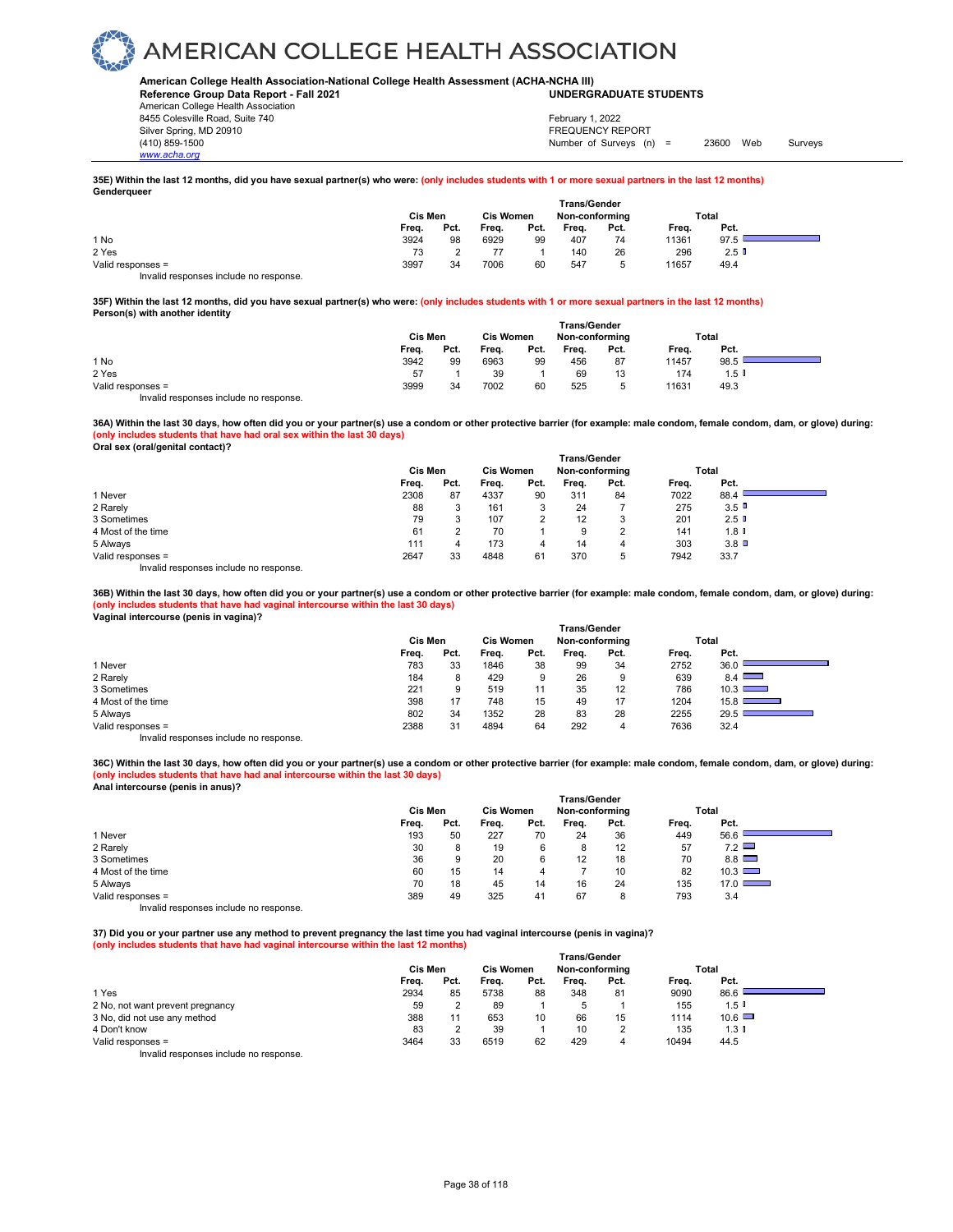#### **American College Health Association-National College Health Assessment (ACHA-NCHA III) UNDERGRADUATE STUDENTS**

**Reference Group Data Report - Fall 2021** American College Health Association 8455 Colesville Road, Suite 740 Silver Spring, MD 20910<br>
1990 - The Spring, MD 20910<br>
1990 - The Survey Structure of Surveys (notation of Surveys (notation of Surveys (notation of Surveys (notati

Number of Surveys (n) = 23600 Web Surveys February 1, 2022

#### **35E) Within the last 12 months, did you have sexual partner(s) who were: (only includes students with 1 or more sexual partners in the last 12 months) Genderqueer**

|                                        | Cis Men | <b>Cis Women</b> |       | <b>Trans/Gender</b><br>Non-conforming |       |      | Total |         |  |
|----------------------------------------|---------|------------------|-------|---------------------------------------|-------|------|-------|---------|--|
|                                        | Freq.   | Pct.             | Freq. | Pct.                                  | Freq. | Pct. | Frea. | Pct.    |  |
| 1 No                                   | 3924    | 98               | 6929  | 99                                    | 407   | 74   | 11361 | 97.5    |  |
| 2 Yes                                  | 73      |                  |       |                                       | 140   | 26   | 296   | $2.5$ 0 |  |
| Valid responses =                      | 3997    | 34               | 7006  | 60                                    | 547   |      | 11657 | 49.4    |  |
| Invalid responses include no response. |         |                  |       |                                       |       |      |       |         |  |

**35F) Within the last 12 months, did you have sexual partner(s) who were: (only includes students with 1 or more sexual partners in the last 12 months) Person(s) with another identity** 

|                   | Cis Men |      | <b>Cis Women</b> |      | <b>Trans/Gender</b><br>Non-conforming |      | Total |         |  |
|-------------------|---------|------|------------------|------|---------------------------------------|------|-------|---------|--|
|                   | Freq.   | Pct. | Frea.            | Pct. | Freq.                                 | Pct. | Freq. | Pct.    |  |
| 1 No              | 3942    | 99   | 6963             | 99   | 456                                   | 87   | 11457 | 98.5    |  |
| 2 Yes             | 57      |      | 39               |      | 69                                    | 13   | 174   | $1.5$ I |  |
| Valid responses = | 3999    | 34   | 7002             | 60   | 525                                   |      | 11631 | 49.3    |  |

Invalid responses include no response.

**36A) Within the last 30 days, how often did you or your partner(s) use a condom or other protective barrier (for example: male condom, female condom, dam, or glove) during: (only includes students that have had oral sex within the last 30 days)**

**Oral sex (oral/genital contact)?** 

*www.acha.org*

|                    |       | <b>Trans/Gender</b> |       |                  |       |                |       |                 |  |  |  |  |
|--------------------|-------|---------------------|-------|------------------|-------|----------------|-------|-----------------|--|--|--|--|
|                    |       | Cis Men             |       | <b>Cis Women</b> |       | Non-conforming | Total |                 |  |  |  |  |
|                    | Freq. | Pct.                | Freq. | Pct.             | Freq. | Pct.           | Freq. | Pct.            |  |  |  |  |
| 1 Never            | 2308  | 87                  | 4337  | 90               | 311   | 84             | 7022  | 88.4            |  |  |  |  |
| 2 Rarely           | 88    |                     | 161   | 3                | 24    |                | 275   | 3.5             |  |  |  |  |
| 3 Sometimes        | 79    |                     | 107   | $\overline{2}$   | 12    | 3              | 201   | 2.5             |  |  |  |  |
| 4 Most of the time | 61    |                     | 70    |                  | 9     |                | 141   | 1.8 U           |  |  |  |  |
| 5 Always           | 111   |                     | 173   |                  | 14    | 4              | 303   | $3.8$ $\square$ |  |  |  |  |
| Valid responses =  | 2647  | 33                  | 4848  | 61               | 370   | 5              | 7942  | 33.7            |  |  |  |  |
| .<br>.             |       |                     |       |                  |       |                |       |                 |  |  |  |  |

Invalid responses include no response.

**36B) Within the last 30 days, how often did you or your partner(s) use a condom or other protective barrier (for example: male condom, female condom, dam, or glove) during: (only includes students that have had vaginal intercourse within the last 30 days) Vaginal intercourse (penis in vagina)?** 

|                    |       | Cis Men |       | <b>Cis Women</b> |       | Non-conforming |       | Total  |
|--------------------|-------|---------|-------|------------------|-------|----------------|-------|--------|
|                    | Freq. | Pct.    | Freq. | Pct.             | Freq. | Pct.           | Freq. | Pct.   |
| 1 Never            | 783   | 33      | 1846  | 38               | 99    | 34             | 2752  | 36.0   |
| 2 Rarely           | 184   | 8       | 429   | 9                | 26    | 9              | 639   | 8.4    |
| 3 Sometimes        | 221   | 9       | 519   | 11               | 35    | 12             | 786   | 10.3   |
| 4 Most of the time | 398   | 17      | 748   | 15               | 49    | 17             | 1204  | 15.8 L |
| 5 Always           | 802   | 34      | 1352  | 28               | 83    | 28             | 2255  | 29.5   |
| Valid responses =  | 2388  | 31      | 4894  | 64               | 292   | 4              | 7636  | 32.4   |
|                    |       |         |       |                  |       |                |       |        |

Invalid responses include no response.

**36C) Within the last 30 days, how often did you or your partner(s) use a condom or other protective barrier (for example: male condom, female condom, dam, or glove) during: (only includes students that have had anal intercourse within the last 30 days) Anal intercourse (penis in anus)?** 

|                                        | <b>Trans/Gender</b> |      |                  |      |                |      |       |               |  |  |
|----------------------------------------|---------------------|------|------------------|------|----------------|------|-------|---------------|--|--|
|                                        | Cis Men             |      | <b>Cis Women</b> |      | Non-conforming |      |       | Total         |  |  |
|                                        | Freq.               | Pct. | Freq.            | Pct. | Freq.          | Pct. | Freq. | Pct.          |  |  |
| 1 Never                                | 193                 | 50   | 227              | 70   | 24             | 36   | 449   | 56.6          |  |  |
| 2 Rarely                               | 30                  |      | 19               | 6    | 8              | 12   | 57    | 7.2           |  |  |
| 3 Sometimes                            | 36                  | 9    | 20               | 6    | 12             | 18   | 70    | 8.8           |  |  |
| 4 Most of the time                     | 60                  | 15   | 14               | 4    |                | 10   | 82    | 10.3          |  |  |
| 5 Always                               | 70                  | 18   | 45               | 14   | 16             | 24   | 135   | $17.0$ $\Box$ |  |  |
| Valid responses =                      | 389                 | 49   | 325              | 41   | 67             | 8    | 793   | 3.4           |  |  |
| Invalid responses include no response. |                     |      |                  |      |                |      |       |               |  |  |

**37) Did you or your partner use any method to prevent pregnancy the last time you had vaginal intercourse (penis in vagina)? (only includes students that have had vaginal intercourse within the last 12 months)**

|                                        | <b>Trans/Gender</b> |      |                  |      |                |      |       |               |  |  |
|----------------------------------------|---------------------|------|------------------|------|----------------|------|-------|---------------|--|--|
|                                        | Cis Men             |      | <b>Cis Women</b> |      | Non-conforming |      | Total |               |  |  |
|                                        | Freq.               | Pct. | Frea.            | Pct. | Frea.          | Pct. | Freq. | Pct.          |  |  |
| 1 Yes                                  | 2934                | 85   | 5738             | 88   | 348            | 81   | 9090  | 86.6          |  |  |
| 2 No, not want prevent pregnancy       | 59                  |      | 89               |      | 5              |      | 155   | 1.5           |  |  |
| 3 No, did not use any method           | 388                 |      | 653              | 10   | 66             | 15   | 1114  | $10.6$ $\Box$ |  |  |
| 4 Don't know                           | 83                  |      | 39               |      | 10             | っ    | 135   | $1.3 \;$      |  |  |
| Valid responses =                      | 3464                | 33   | 6519             | 62   | 429            | 4    | 10494 | 44.5          |  |  |
| Invalid responses include no response. |                     |      |                  |      |                |      |       |               |  |  |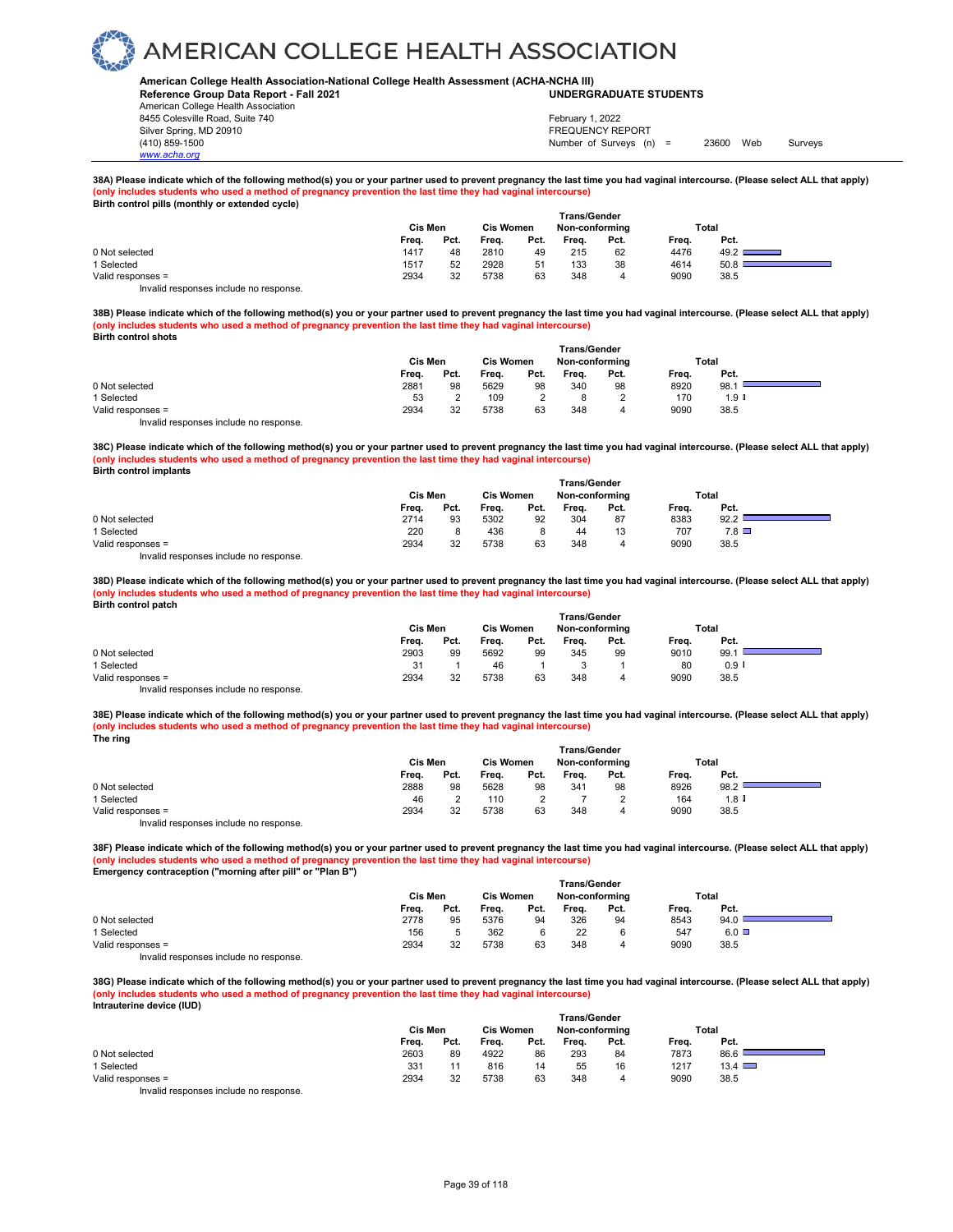#### **American College Health Association-National College Health Assessment (ACHA-NCHA III) UNDERGRADUATE STUDENTS**

**Reference Group Data Report - Fall 2021** American College Health Association 8455 Colesville Road, Suite 740 Silver Spring, MD 20910<br>
1990 - The Spring, MD 20910<br>
1990 - The Survey Structure of Surveys (notation of Surveys (notation of Surveys (notation of Surveys (notati

*www.acha.org*

### Number of Surveys (n) = 23600 Web Surveys February 1, 2022

### **38A) Please indicate which of the following method(s) you or your partner used to prevent pregnancy the last time you had vaginal intercourse. (Please select ALL that apply) (only includes students who used a method of pregnancy prevention the last time they had vaginal intercourse) Birth control pills (monthly or extended cycle)**

| $-$ we have found the content of the content $\alpha$ , $\alpha$ |                     |      |                  |      |       |                |       |       |  |  |  |  |
|------------------------------------------------------------------|---------------------|------|------------------|------|-------|----------------|-------|-------|--|--|--|--|
|                                                                  | <b>Trans/Gender</b> |      |                  |      |       |                |       |       |  |  |  |  |
|                                                                  | Cis Men             |      | <b>Cis Women</b> |      |       | Non-conforming |       | Total |  |  |  |  |
|                                                                  | Freq.               | Pct. | Freq.            | Pct. | Frea. | Pct.           | Frea. | Pct.  |  |  |  |  |
| 0 Not selected                                                   | 1417                | 48   | 2810             | 49   | 215   | 62             | 4476  | 49.2  |  |  |  |  |
| 1 Selected                                                       | 1517                | 52   | 2928             | 51   | 133   | 38             | 4614  | 50.8  |  |  |  |  |
| Valid responses =                                                | 2934                | 32   | 5738             | 63   | 348   | 4              | 9090  | 38.5  |  |  |  |  |
| Invalid responses include no response                            |                     |      |                  |      |       |                |       |       |  |  |  |  |

**38B) Please indicate which of the following method(s) you or your partner used to prevent pregnancy the last time you had vaginal intercourse. (Please select ALL that apply) (only includes students who used a method of pregnancy prevention the last time they had vaginal intercourse) Birth control shots** 

|                                        | <b>Trans/Gender</b> |      |                  |      |                |      |       |       |  |
|----------------------------------------|---------------------|------|------------------|------|----------------|------|-------|-------|--|
|                                        | Cis Men             |      | <b>Cis Women</b> |      | Non-conforming |      | Total |       |  |
|                                        | Freq.               | Pct. | Freq.            | Pct. | Frea.          | Pct. | Frea. | Pct.  |  |
| 0 Not selected                         | 2881                | 98   | 5629             | 98   | 340            | 98   | 8920  | 98.   |  |
| 1 Selected                             | 53                  |      | 109              |      |                |      | 170   | 1.9 ∎ |  |
| Valid responses =                      | 2934                | 32   | 5738             | 63   | 348            |      | 9090  | 38.5  |  |
| Invalid responses include no response. |                     |      |                  |      |                |      |       |       |  |

**38C) Please indicate which of the following method(s) you or your partner used to prevent pregnancy the last time you had vaginal intercourse. (Please select ALL that apply) (only includes students who used a method of pregnancy prevention the last time they had vaginal intercourse) Birth control implants** 

|                   | <b>Trans/Gender</b> |      |                  |      |                |      |       |                 |  |  |  |
|-------------------|---------------------|------|------------------|------|----------------|------|-------|-----------------|--|--|--|
|                   | Cis Men             |      | <b>Cis Women</b> |      | Non-conforming |      | Total |                 |  |  |  |
|                   | Frea.               | Pct. | Freq.            | Pct. | Freq.          | Pct. | Freq. | Pct.            |  |  |  |
| 0 Not selected    | 2714                | 93   | 5302             | 92   | 304            | 87   | 8383  | 92.2            |  |  |  |
| 1 Selected        | 220                 |      | 436              |      | 44             | 13   | 707   | $7.8$ $\square$ |  |  |  |
| Valid responses = | 2934                | 32   | 5738             | 63   | 348            | 4    | 9090  | 38.5            |  |  |  |
|                   |                     |      |                  |      |                |      |       |                 |  |  |  |

Invalid responses include no response.

**38D) Please indicate which of the following method(s) you or your partner used to prevent pregnancy the last time you had vaginal intercourse. (Please select ALL that apply) (only includes students who used a method of pregnancy prevention the last time they had vaginal intercourse) Birth control patch** 

|                                        | Cis Men |      | <b>Cis Women</b> |      | <b>Trans/Gender</b><br>Non-conforming |      | Total |                      |  |
|----------------------------------------|---------|------|------------------|------|---------------------------------------|------|-------|----------------------|--|
|                                        | Freq.   | Pct. | Frea.            | Pct. | Frea.                                 | Pct. | Freq. | Pct.                 |  |
| 0 Not selected                         | 2903    | 99   | 5692             | 99   | 345                                   | 99   | 9010  | 99.1                 |  |
| 1 Selected                             | 31      |      | 46               |      |                                       |      | 80    | $0.9$ $\blacksquare$ |  |
| Valid responses =                      | 2934    | 32   | 5738             | 63   | 348                                   | 4    | 9090  | 38.5                 |  |
| Invalid responses include no response. |         |      |                  |      |                                       |      |       |                      |  |

**38E) Please indicate which of the following method(s) you or your partner used to prevent pregnancy the last time you had vaginal intercourse. (Please select ALL that apply) (only includes students who used a method of pregnancy prevention the last time they had vaginal intercourse) The ring** 

|                                                                           | Trans/Gender |      |                  |      |                |      |       |         |  |  |
|---------------------------------------------------------------------------|--------------|------|------------------|------|----------------|------|-------|---------|--|--|
|                                                                           | Cis Men      |      | <b>Cis Women</b> |      | Non-conforming |      | Total |         |  |  |
|                                                                           | Frea.        | Pct. | Frea.            | Pct. | Frea.          | Pct. | Frea. | Pct.    |  |  |
| 0 Not selected                                                            | 2888         | 98   | 5628             | 98   | 341            | 98   | 8926  | 98.2    |  |  |
| 1 Selected                                                                | 46           |      | 110              |      |                |      | 164   | $1.8$ I |  |  |
| Valid responses =                                                         | 2934         | 32   | 5738             | 63   | 348            |      | 9090  | 38.5    |  |  |
| the control theory is a structure that the collection of the state of the |              |      |                  |      |                |      |       |         |  |  |

Invalid responses include no response.

**38F) Please indicate which of the following method(s) you or your partner used to prevent pregnancy the last time you had vaginal intercourse. (Please select ALL that apply) (only includes students who used a method of pregnancy prevention the last time they had vaginal intercourse) Emergency contraception ("morning after pill" or "Plan B")** 

|                                                           | <b>Trans/Gender</b> |      |                  |      |                |      |       |       |  |  |  |
|-----------------------------------------------------------|---------------------|------|------------------|------|----------------|------|-------|-------|--|--|--|
|                                                           | Cis Men             |      | <b>Cis Women</b> |      | Non-conformina |      |       | Total |  |  |  |
|                                                           | Frea.               | Pct. | Freq.            | Pct. | Freq.          | Pct. | Freq. | Pct.  |  |  |  |
| 0 Not selected                                            | 2778                | 95   | 5376             | 94   | 326            | 94   | 8543  | 94.0  |  |  |  |
| 1 Selected                                                | 156                 | 5    | 362              |      | 22             |      | 547   | 6.0   |  |  |  |
| Valid responses =                                         | 2934                | 32   | 5738             | 63   | 348            | 4    | 9090  | 38.5  |  |  |  |
| the control are one one of the children of the control of |                     |      |                  |      |                |      |       |       |  |  |  |

Invalid responses include no response.

**38G) Please indicate which of the following method(s) you or your partner used to prevent pregnancy the last time you had vaginal intercourse. (Please select ALL that apply) (only includes students who used a method of pregnancy prevention the last time they had vaginal intercourse) Intrauterine device (IUD)** 

|                                                                        | Cis Men |      | Cis Women<br>Non-conforming |      |       |      | Total |               |  |
|------------------------------------------------------------------------|---------|------|-----------------------------|------|-------|------|-------|---------------|--|
|                                                                        | Freq.   | Pct. | Freq.                       | Pct. | Frea. | Pct. | Frea. | Pct.          |  |
| 0 Not selected                                                         | 2603    | 89   | 4922                        | 86   | 293   | 84   | 7873  | 86.6          |  |
| 1 Selected                                                             | 331     |      | 816                         | 14   | 55    | 16   | 1217  | $13.4$ $\Box$ |  |
| Valid responses =                                                      | 2934    | 32   | 5738                        | 63   | 348   | 4    | 9090  | 38.5          |  |
| The control to a process of the control of the process of the process. |         |      |                             |      |       |      |       |               |  |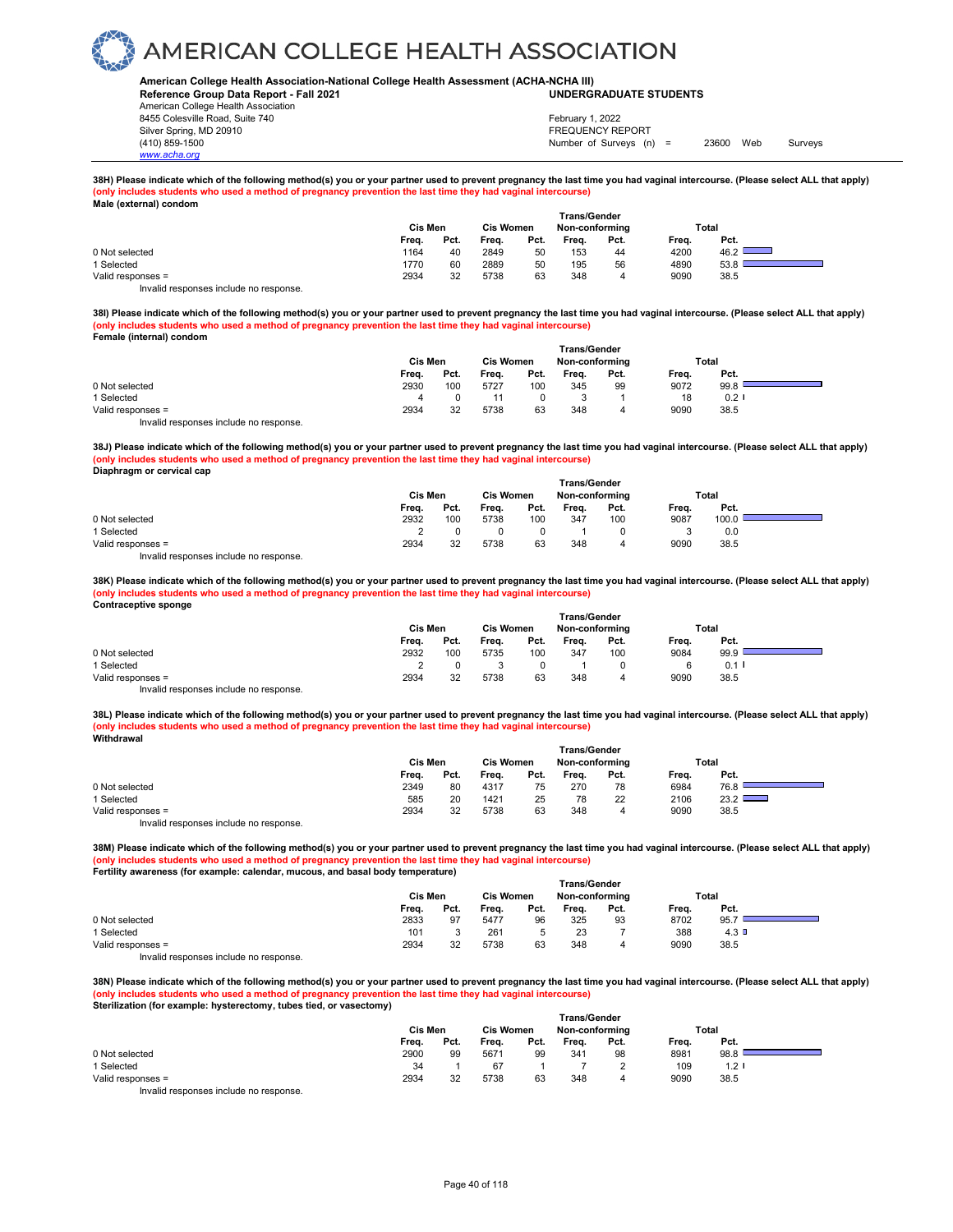#### **American College Health Association-National College Health Assessment (ACHA-NCHA III) UNDERGRADUATE STUDENTS**

**Reference Group Data Report - Fall 2021** American College Health Association 8455 Colesville Road, Suite 740 Silver Spring, MD 20910<br>
1990 - The Spring, MD 20910<br>
1990 - The Survey Structure of Surveys (notation of Surveys (notation of Surveys (notation of Surveys (notati

*www.acha.org*

Number of Surveys (n) = 23600 Web Surveys February 1, 2022

**38H) Please indicate which of the following method(s) you or your partner used to prevent pregnancy the last time you had vaginal intercourse. (Please select ALL that apply) (only includes students who used a method of pregnancy prevention the last time they had vaginal intercourse) Male (external) condom** 

| $maw$ , $maw$ , $maw$ , $maw$ |         |      |                                                           |      |       |      |       |                |
|-------------------------------|---------|------|-----------------------------------------------------------|------|-------|------|-------|----------------|
|                               | Cis Men |      | <b>Trans/Gender</b><br><b>Cis Women</b><br>Non-conforming |      |       |      |       | Total          |
|                               | Freq.   | Pct. | Freq.                                                     | Pct. | Freq. | Pct. | Freq. | Pct.           |
| 0 Not selected                | 1164    | 40   | 2849                                                      | 50   | 153   | 44   | 4200  | 46.2 $\square$ |
| 1 Selected                    | 1770    | 60   | 2889                                                      | 50   | 195   | 56   | 4890  | 53.8           |
| Valid responses =             | 2934    | 32   | 5738                                                      | 63   | 348   | 4    | 9090  | 38.5           |
|                               |         |      |                                                           |      |       |      |       |                |

Invalid responses include no response.

**38I) Please indicate which of the following method(s) you or your partner used to prevent pregnancy the last time you had vaginal intercourse. (Please select ALL that apply) (only includes students who used a method of pregnancy prevention the last time they had vaginal intercourse) Female (internal) condom** 

|                                        | Trans/Gender |      |                  |      |                |      |       |       |  |  |
|----------------------------------------|--------------|------|------------------|------|----------------|------|-------|-------|--|--|
|                                        | Cis Men      |      | <b>Cis Women</b> |      | Non-conforming |      | Total |       |  |  |
|                                        | Freq.        | Pct. | Freq.            | Pct. | Freq.          | Pct. | Freq. | Pct.  |  |  |
| 0 Not selected                         | 2930         | 100  | 5727             | 100  | 345            | 99   | 9072  | 99.8  |  |  |
| 1 Selected                             | 4            |      |                  |      |                |      | 18    | 0.2 I |  |  |
| Valid responses =                      | 2934         | 32   | 5738             | 63   | 348            | 4    | 9090  | 38.5  |  |  |
| Invalid responses include no response. |              |      |                  |      |                |      |       |       |  |  |

**38J) Please indicate which of the following method(s) you or your partner used to prevent pregnancy the last time you had vaginal intercourse. (Please select ALL that apply) (only includes students who used a method of pregnancy prevention the last time they had vaginal intercourse) Diaphragm or cervical cap** 

|                   | <b>Trans/Gender</b> |                                    |       |      |       |       |       |       |  |  |  |  |
|-------------------|---------------------|------------------------------------|-------|------|-------|-------|-------|-------|--|--|--|--|
|                   | Cis Men             | <b>Cis Women</b><br>Non-conforming |       |      |       | Total |       |       |  |  |  |  |
|                   | Freq.               | Pct.                               | Freq. | Pct. | Frea. | Pct.  | Freq. | Pct.  |  |  |  |  |
| 0 Not selected    | 2932                | 100                                | 5738  | 100  | 347   | 100   | 9087  | 100.0 |  |  |  |  |
| 1 Selected        |                     |                                    |       |      |       |       |       | 0.0   |  |  |  |  |
| Valid responses = | 2934                | 32                                 | 5738  | 63   | 348   | 4     | 9090  | 38.5  |  |  |  |  |
|                   |                     |                                    |       |      |       |       |       |       |  |  |  |  |

Invalid responses include no response.

**38K) Please indicate which of the following method(s) you or your partner used to prevent pregnancy the last time you had vaginal intercourse. (Please select ALL that apply) (only includes students who used a method of pregnancy prevention the last time they had vaginal intercourse) Contraceptive sponge** 

|                                        | Cis Men |      | <b>Cis Women</b> |      | <b>Trans/Gender</b><br>Non-conforming |      | Total |         |  |
|----------------------------------------|---------|------|------------------|------|---------------------------------------|------|-------|---------|--|
|                                        | Freq.   | Pct. | Frea.            | Pct. | Frea.                                 | Pct. | Freq. | Pct.    |  |
| 0 Not selected                         | 2932    | 100  | 5735             | 100  | 347                                   | 100  | 9084  | 99.9    |  |
| 1 Selected                             |         |      |                  |      |                                       |      |       | $0.1$ l |  |
| Valid responses =                      | 2934    | 32   | 5738             | 63   | 348                                   |      | 9090  | 38.5    |  |
| Invalid responses include no response. |         |      |                  |      |                                       |      |       |         |  |

**38L) Please indicate which of the following method(s) you or your partner used to prevent pregnancy the last time you had vaginal intercourse. (Please select ALL that apply) (only includes students who used a method of pregnancy prevention the last time they had vaginal intercourse) Withdrawal** 

|                                        | Trans/Gender |      |                  |      |                |      |       |      |  |  |  |
|----------------------------------------|--------------|------|------------------|------|----------------|------|-------|------|--|--|--|
|                                        | Cis Men      |      | <b>Cis Women</b> |      | Non-conforming |      | Total |      |  |  |  |
|                                        | Freq.        | Pct. | Frea.            | Pct. | Frea.          | Pct. | Freq. | Pct. |  |  |  |
| 0 Not selected                         | 2349         | 80   | 4317             | 75   | 270            | 78   | 6984  | 76.8 |  |  |  |
| 1 Selected                             | 585          | 20   | 1421             | 25   | 78             | 22   | 2106  | 23.2 |  |  |  |
| Valid responses =                      | 2934         | 32   | 5738             | 63   | 348            | 4    | 9090  | 38.5 |  |  |  |
| Invalid responses include no response. |              |      |                  |      |                |      |       |      |  |  |  |

**38M) Please indicate which of the following method(s) you or your partner used to prevent pregnancy the last time you had vaginal intercourse. (Please select ALL that apply) (only includes students who used a method of pregnancy prevention the last time they had vaginal intercourse) Fertility awareness (for example: calendar, mucous, and basal body temperature)** 

|                   | <b>Trans/Gender</b> |         |       |                  |       |                |       |       |  |  |  |  |
|-------------------|---------------------|---------|-------|------------------|-------|----------------|-------|-------|--|--|--|--|
|                   |                     | Cis Men |       | <b>Cis Women</b> |       | Non-conforming |       | Total |  |  |  |  |
|                   | Freq.               | Pct.    | Freq. | Pct.             | Freq. | Pct.           | Freq. | Pct.  |  |  |  |  |
| 0 Not selected    | 2833                | 97      | 5477  | 96               | 325   | 93             | 8702  | 95.7  |  |  |  |  |
| 1 Selected        | 101                 |         | 261   |                  | 23    |                | 388   | 4.3   |  |  |  |  |
| Valid responses = | 2934                | 32      | 5738  | 63               | 348   | 4              | 9090  | 38.5  |  |  |  |  |
| .                 |                     |         |       |                  |       |                |       |       |  |  |  |  |

Invalid responses include no response.

**38N) Please indicate which of the following method(s) you or your partner used to prevent pregnancy the last time you had vaginal intercourse. (Please select ALL that apply) (only includes students who used a method of pregnancy prevention the last time they had vaginal intercourse) Sterilization (for example: hysterectomy, tubes tied, or vasectomy)** 

|                   |         |      |                  |      | <b>Trans/Gender</b> |        |       |       |  |
|-------------------|---------|------|------------------|------|---------------------|--------|-------|-------|--|
|                   | Cis Men |      | <b>Cis Women</b> |      | Non-conformina      |        |       | Total |  |
|                   | Freq.   | Pct. | Freq.            | Pct. | Frea.               | Pct.   | Freq. | Pct.  |  |
| 0 Not selected    | 2900    | 99   | 5671             | 99   | 341                 | 98     | 8981  | 98.8  |  |
| 1 Selected        | 34      |      | 67               |      |                     | $\sim$ | 109   | 1.2   |  |
| Valid responses = | 2934    | 32   | 5738             | 63   | 348                 | 4      | 9090  | 38.5  |  |
|                   |         |      |                  |      |                     |        |       |       |  |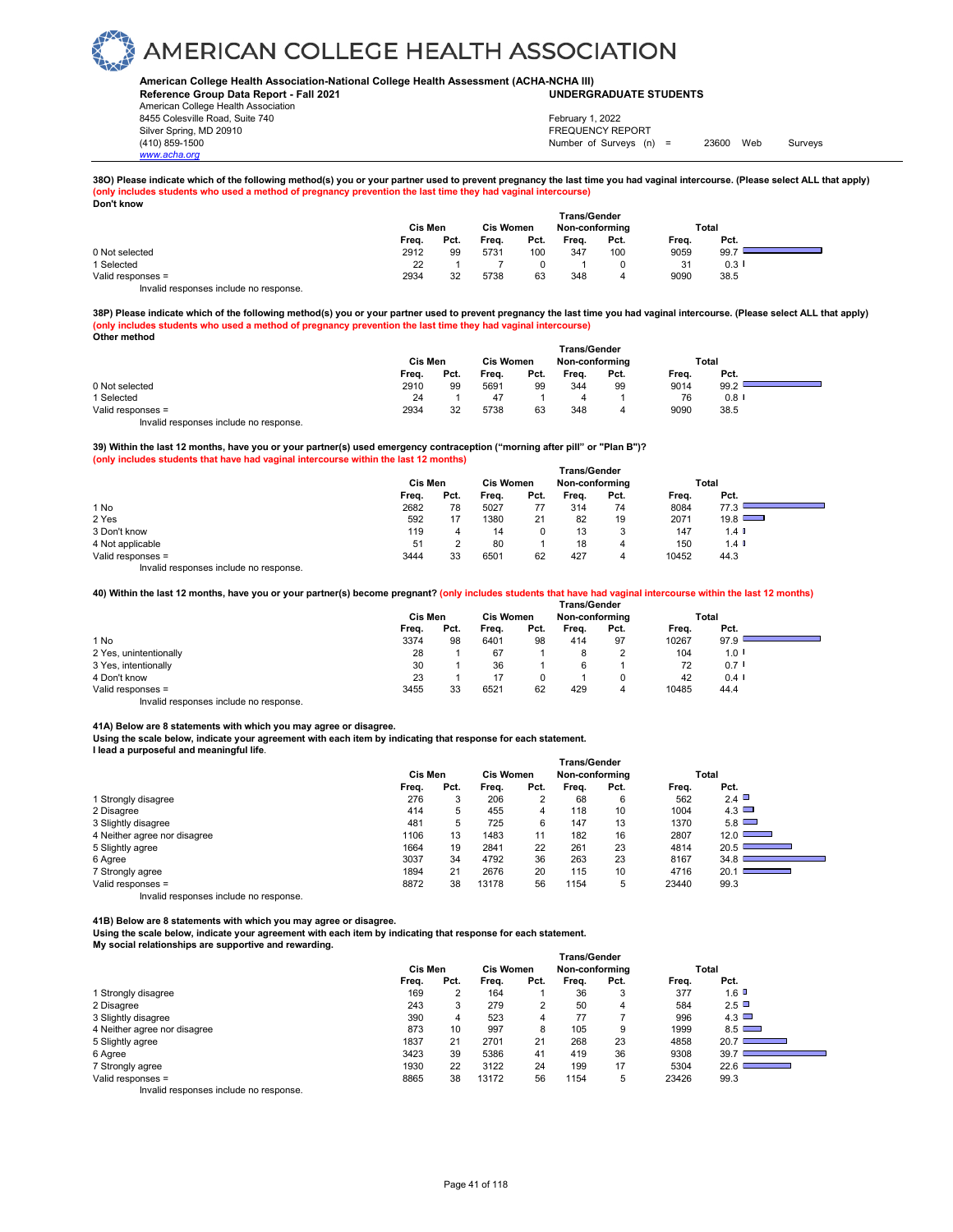#### **American College Health Association-National College Health Assessment (ACHA-NCHA III) UNDERGRADUATE STUDENTS**

**Reference Group Data Report - Fall 2021** American College Health Association 8455 Colesville Road, Suite 740 Silver Spring, MD 20910<br>
1990 - The Spring, MD 20910<br>
1990 - The Survey Structure of Surveys (notation of Surveys (notation of Surveys (notation of Surveys (notati

*www.acha.org*

### Number of Surveys (n) = 23600 Web Surveys February 1, 2022

**38O) Please indicate which of the following method(s) you or your partner used to prevent pregnancy the last time you had vaginal intercourse. (Please select ALL that apply) (only includes students who used a method of pregnancy prevention the last time they had vaginal intercourse) Don't know** 

| <b>PVII LINIVII</b>                   | <b>Trans/Gender</b><br>Cis Men<br><b>Cis Women</b><br>Total<br>Non-conforming |      |       |      |       |      |                |         |  |  |
|---------------------------------------|-------------------------------------------------------------------------------|------|-------|------|-------|------|----------------|---------|--|--|
|                                       | Freq.                                                                         | Pct. | Frea. | Pct. | Freq. | Pct. | Freq.          | Pct.    |  |  |
| 0 Not selected                        | 2912                                                                          | 99   | 5731  | 100  | 347   | 100  | 9059           | 99.7    |  |  |
| 1 Selected                            | 22                                                                            |      |       |      |       |      | 3 <sup>1</sup> | $0.3$ I |  |  |
| Valid responses =                     | 2934                                                                          | 32   | 5738  | 63   | 348   | 4    | 9090           | 38.5    |  |  |
| Invalid responses include no response |                                                                               |      |       |      |       |      |                |         |  |  |

**38P) Please indicate which of the following method(s) you or your partner used to prevent pregnancy the last time you had vaginal intercourse. (Please select ALL that apply) (only includes students who used a method of pregnancy prevention the last time they had vaginal intercourse) Other method** 

|                                        | <b>Trans/Gender</b> |      |                  |      |       |                |       |         |  |  |  |
|----------------------------------------|---------------------|------|------------------|------|-------|----------------|-------|---------|--|--|--|
|                                        | Cis Men             |      | <b>Cis Women</b> |      |       | Non-conforming |       | Total   |  |  |  |
|                                        | Freq.               | Pct. | Freq.            | Pct. | Freq. | Pct.           | Freq. | Pct.    |  |  |  |
| 0 Not selected                         | 2910                | 99   | 5691             | 99   | 344   | 99             | 9014  | 99.2    |  |  |  |
| 1 Selected                             | 24                  |      | 47               |      |       |                | 76    | $0.8$ I |  |  |  |
| Valid responses =                      | 2934                | 32   | 5738             | 63   | 348   | 4              | 9090  | 38.5    |  |  |  |
| Invalid responses include no response. |                     |      |                  |      |       |                |       |         |  |  |  |

**39) Within the last 12 months, have you or your partner(s) used emergency contraception ("morning after pill" or "Plan B")? (only includes students that have had vaginal intercourse within the last 12 months)**

|                                           | <b>Trans/Gender</b> |      |                  |      |                |      |       |                      |  |  |  |
|-------------------------------------------|---------------------|------|------------------|------|----------------|------|-------|----------------------|--|--|--|
|                                           | Cis Men             |      | <b>Cis Women</b> |      | Non-conforming |      | Total |                      |  |  |  |
|                                           | Freq.               | Pct. | Freq.            | Pct. | Freq.          | Pct. | Freq. | Pct.                 |  |  |  |
| 1 No                                      | 2682                | 78   | 5027             | 77   | 314            | 74   | 8084  | 77.3                 |  |  |  |
| 2 Yes                                     | 592                 |      | 1380             | 21   | 82             | 19   | 2071  | 19.8                 |  |  |  |
| 3 Don't know                              | 119                 |      | 14               |      | 13             |      | 147   | $1.4$ $\blacksquare$ |  |  |  |
| 4 Not applicable                          | 51                  |      | 80               |      | 18             | 4    | 150   | $1.4$ 0              |  |  |  |
| Valid responses =                         | 3444                | 33   | 6501             | 62   | 427            | 4    | 10452 | 44.3                 |  |  |  |
| Initelial reconomers include no reconomer |                     |      |                  |      |                |      |       |                      |  |  |  |

Invalid responses include no response.

**40) Within the last 12 months, have you or your partner(s) become pregnant? (only includes students that have had vaginal intercourse within the last 12 months)**

|                                        | <b>Trans/Gender</b> |      |                  |      |                |      |       |                      |  |  |  |
|----------------------------------------|---------------------|------|------------------|------|----------------|------|-------|----------------------|--|--|--|
|                                        | Cis Men             |      | <b>Cis Women</b> |      | Non-conforming |      | Total |                      |  |  |  |
|                                        | Freq.               | Pct. | Frea.            | Pct. | Frea.          | Pct. | Freq. | Pct.                 |  |  |  |
| 1 No                                   | 3374                | 98   | 6401             | 98   | 414            | 97   | 10267 | 97.9                 |  |  |  |
| 2 Yes, unintentionally                 | 28                  |      | 67               |      | 8              |      | 104   | 1.0                  |  |  |  |
| 3 Yes, intentionally                   | 30                  |      | 36               |      | 6              |      | 72    | $0.7$ I              |  |  |  |
| 4 Don't know                           | 23                  |      | 17               | 0    |                |      | 42    | $0.4$ $\blacksquare$ |  |  |  |
| Valid responses =                      | 3455                | 33   | 6521             | 62   | 429            | 4    | 10485 | 44.4                 |  |  |  |
| Invalid responses include no response. |                     |      |                  |      |                |      |       |                      |  |  |  |

**41A) Below are 8 statements with which you may agree or disagree.** 

**Using the scale below, indicate your agreement with each item by indicating that response for each statement.**

**I lead a purposeful and meaningful life**.

|                                        | <b>Trans/Gender</b> |      |                  |      |                |      |       |                                           |  |  |  |
|----------------------------------------|---------------------|------|------------------|------|----------------|------|-------|-------------------------------------------|--|--|--|
|                                        | Cis Men             |      | <b>Cis Women</b> |      | Non-conforming |      | Total |                                           |  |  |  |
|                                        | Freq.               | Pct. | Frea.            | Pct. | Frea.          | Pct. | Frea. | Pct.                                      |  |  |  |
| 1 Strongly disagree                    | 276                 | 3    | 206              |      | 68             | 6    | 562   | 2.4 $\Box$                                |  |  |  |
| 2 Disagree                             | 414                 | 5    | 455              | 4    | 118            | 10   | 1004  | 4.3                                       |  |  |  |
| 3 Slightly disagree                    | 481                 | 5    | 725              | 6    | 147            | 13   | 1370  | 5.8                                       |  |  |  |
| 4 Neither agree nor disagree           | 1106                | 13   | 1483             | 11   | 182            | 16   | 2807  | $12.0$ $\Box$                             |  |  |  |
| 5 Slightly agree                       | 1664                | 19   | 2841             | 22   | 261            | 23   | 4814  | $20.5$ I<br>the control of the control of |  |  |  |
| 6 Agree                                | 3037                | 34   | 4792             | 36   | 263            | 23   | 8167  | 34.8                                      |  |  |  |
| 7 Strongly agree                       | 1894                | 21   | 2676             | 20   | 115            | 10   | 4716  | 20.1<br><b>The Committee Committee</b>    |  |  |  |
| Valid responses =                      | 8872                | 38   | 13178            | 56   | 1154           | 5    | 23440 | 99.3                                      |  |  |  |
| Invalid responses include no response. |                     |      |                  |      |                |      |       |                                           |  |  |  |

**41B) Below are 8 statements with which you may agree or disagree.** 

**Using the scale below, indicate your agreement with each item by indicating that response for each statement.**

**My social relationships are supportive and rewarding.** 

|                              | <b>Trans/Gender</b> |      |                                    |      |       |      |       |                                           |  |  |  |
|------------------------------|---------------------|------|------------------------------------|------|-------|------|-------|-------------------------------------------|--|--|--|
|                              | Cis Men             |      | <b>Cis Women</b><br>Non-conforming |      |       |      | Total |                                           |  |  |  |
|                              | Freq.               | Pct. | Frea.                              | Pct. | Frea. | Pct. | Freq. | Pct.                                      |  |  |  |
| 1 Strongly disagree          | 169                 | າ    | 164                                |      | 36    | 3    | 377   | 1.6                                       |  |  |  |
| 2 Disagree                   | 243                 | 3    | 279                                | っ    | 50    | 4    | 584   | 2.5                                       |  |  |  |
| 3 Slightly disagree          | 390                 | 4    | 523                                | 4    | 77    |      | 996   | 4.3                                       |  |  |  |
| 4 Neither agree nor disagree | 873                 | 10   | 997                                | 8    | 105   | 9    | 1999  | 8.5                                       |  |  |  |
| 5 Slightly agree             | 1837                | 21   | 2701                               | 21   | 268   | 23   | 4858  | 20.7<br><b>Contract Contract Contract</b> |  |  |  |
| 6 Agree                      | 3423                | 39   | 5386                               | 41   | 419   | 36   | 9308  | 39.7                                      |  |  |  |
| 7 Strongly agree             | 1930                | 22   | 3122                               | 24   | 199   | 17   | 5304  | 22.6<br>the control of the control of the |  |  |  |
| Valid responses =            | 8865                | 38   | 13172                              | 56   | 1154  | 5    | 23426 | 99.3                                      |  |  |  |
| $\cdots$ $\cdots$<br>.       |                     |      |                                    |      |       |      |       |                                           |  |  |  |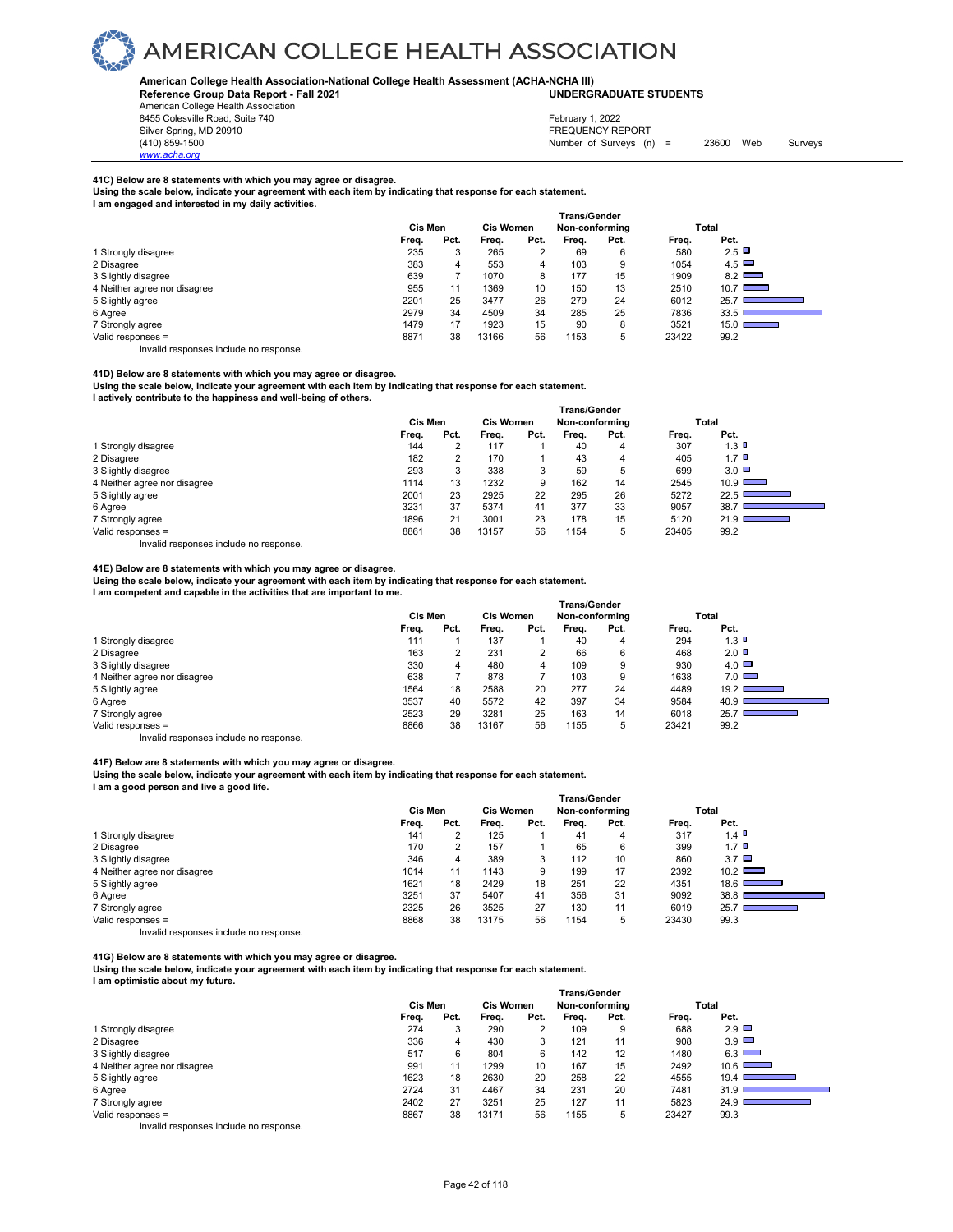

#### **American College Health Association-National College Health Assessment (ACHA-NCHA III) UNDERGRADUATE STUDENTS**

**Reference Group Data Report - Fall 2021**

American College Health Association 8455 Colesville Road, Suite 740

*www.acha.org*

### February 1, 2022

Silver Spring, MD 20910<br>
1990 - The Spring, MD 20910<br>
1990 - The Survey Structure of Surveys (n) Number of Surveys (n) = 23600 Web Surveys

#### **41C) Below are 8 statements with which you may agree or disagree.**

**Using the scale below, indicate your agreement with each item by indicating that response for each statement. I am engaged and interested in my daily activities.** 

| , and onyagod and microsted in my dany activities. |              |      |       |                  |                |      |       |                                  |  |  |  |  |  |
|----------------------------------------------------|--------------|------|-------|------------------|----------------|------|-------|----------------------------------|--|--|--|--|--|
|                                                    | Trans/Gender |      |       |                  |                |      |       |                                  |  |  |  |  |  |
|                                                    | Cis Men      |      |       | <b>Cis Women</b> | Non-conforming |      |       | Total                            |  |  |  |  |  |
|                                                    | Freq.        | Pct. | Freq. | Pct.             | Frea.          | Pct. | Frea. | Pct.                             |  |  |  |  |  |
| 1 Strongly disagree                                | 235          | 3    | 265   | っ                | 69             | 6    | 580   | 2.5                              |  |  |  |  |  |
| 2 Disagree                                         | 383          | 4    | 553   | 4                | 103            | 9    | 1054  | $4.5$ $\Box$                     |  |  |  |  |  |
| 3 Slightly disagree                                | 639          |      | 1070  | 8                | 177            | 15   | 1909  | 8.2                              |  |  |  |  |  |
| 4 Neither agree nor disagree                       | 955          | 11   | 1369  | 10               | 150            | 13   | 2510  | $10.7$ $\Box$                    |  |  |  |  |  |
| 5 Slightly agree                                   | 2201         | 25   | 3477  | 26               | 279            | 24   | 6012  | 25.7                             |  |  |  |  |  |
| 6 Agree                                            | 2979         | 34   | 4509  | 34               | 285            | 25   | 7836  | 33.5                             |  |  |  |  |  |
| 7 Strongly agree                                   | 1479         | 17   | 1923  | 15               | 90             | 8    | 3521  | 15.0<br><b>Contract Contract</b> |  |  |  |  |  |
| Valid responses =                                  | 8871         | 38   | 13166 | 56               | 1153           | 5    | 23422 | 99.2                             |  |  |  |  |  |

Invalid responses include no response.

#### **41D) Below are 8 statements with which you may agree or disagree.**

**Using the scale below, indicate your agreement with each item by indicating that response for each statement.**

**I actively contribute to the happiness and well-being of others.** 

|                              | <b>Trans/Gender</b> |                  |       |                |       |      |       |                                                              |  |  |
|------------------------------|---------------------|------------------|-------|----------------|-------|------|-------|--------------------------------------------------------------|--|--|
|                              | Cis Men             | <b>Cis Women</b> |       | Non-conforming |       |      | Total |                                                              |  |  |
|                              | Freq.               | Pct.             | Frea. | Pct.           | Frea. | Pct. | Freq. | Pct.                                                         |  |  |
| 1 Strongly disagree          | 144                 | າ                | 117   |                | 40    | 4    | 307   | 1.3                                                          |  |  |
| 2 Disagree                   | 182                 | 2                | 170   |                | 43    | 4    | 405   | $1.7$ D                                                      |  |  |
| 3 Slightly disagree          | 293                 | 3                | 338   |                | 59    | 5    | 699   | $3.0\Box$                                                    |  |  |
| 4 Neither agree nor disagree | 1114                | 13               | 1232  | 9              | 162   | 14   | 2545  | $10.9$ $\Box$                                                |  |  |
| 5 Slightly agree             | 2001                | 23               | 2925  | 22             | 295   | 26   | 5272  | 22.5 $\square$<br><b>Contract Contract Contract Contract</b> |  |  |
| 6 Agree                      | 3231                | 37               | 5374  | 41             | 377   | 33   | 9057  | 38.7                                                         |  |  |
| 7 Strongly agree             | 1896                | 21               | 3001  | 23             | 178   | 15   | 5120  | $21.9-$<br><b>Contract Contract Contract</b>                 |  |  |
| Valid responses =            | 8861                | 38               | 13157 | 56             | 1154  | 5    | 23405 | 99.2                                                         |  |  |

Invalid responses include no response.

#### **41E) Below are 8 statements with which you may agree or disagree.**

**Using the scale below, indicate your agreement with each item by indicating that response for each statement. I am competent and capable in the activities that are important to me.** 

|                              |         |      |                  |      | <b>Trans/Gender</b> |      |       |                                                     |
|------------------------------|---------|------|------------------|------|---------------------|------|-------|-----------------------------------------------------|
|                              | Cis Men |      | <b>Cis Women</b> |      | Non-conforming      |      |       | Total                                               |
|                              | Freq.   | Pct. | Freq.            | Pct. | Frea.               | Pct. | Freq. | Pct.                                                |
| 1 Strongly disagree          | 111     |      | 137              |      | 40                  | 4    | 294   | 1.3                                                 |
| 2 Disagree                   | 163     | າ    | 231              | 2    | 66                  | 6    | 468   | $2.0\Box$                                           |
| 3 Slightly disagree          | 330     | 4    | 480              | 4    | 109                 | 9    | 930   | $4.0\Box$                                           |
| 4 Neither agree nor disagree | 638     |      | 878              |      | 103                 | 9    | 1638  | $7.0$ $\Box$                                        |
| 5 Slightly agree             | 1564    | 18   | 2588             | 20   | 277                 | 24   | 4489  | 19.2 $\square$<br><b>Contract Contract Contract</b> |
| 6 Agree                      | 3537    | 40   | 5572             | 42   | 397                 | 34   | 9584  | 40.9                                                |
| 7 Strongly agree             | 2523    | 29   | 3281             | 25   | 163                 | 14   | 6018  | 25.7                                                |
| Valid responses =            | 8866    | 38   | 13167            | 56   | 1155                | 5    | 23421 | 99.2                                                |

Invalid responses include no response.

#### **41F) Below are 8 statements with which you may agree or disagree.**

**Using the scale below, indicate your agreement with each item by indicating that response for each statement. I am a good person and live a good life.** 

|                                        | Trans/Gender |      |                  |      |                |      |       |                                                                                                                                         |  |  |
|----------------------------------------|--------------|------|------------------|------|----------------|------|-------|-----------------------------------------------------------------------------------------------------------------------------------------|--|--|
|                                        | Cis Men      |      | <b>Cis Women</b> |      | Non-conforming |      | Total |                                                                                                                                         |  |  |
|                                        | Freq.        | Pct. | Frea.            | Pct. | Frea.          | Pct. | Frea. | Pct.                                                                                                                                    |  |  |
| 1 Strongly disagree                    | 141          |      | 125              |      | 41             | 4    | 317   | $1.4$ $\blacksquare$                                                                                                                    |  |  |
| 2 Disagree                             | 170          |      | 157              |      | 65             | 6    | 399   | 1.7 <sup>1</sup>                                                                                                                        |  |  |
| 3 Slightly disagree                    | 346          | 4    | 389              | 3    | 112            | 10   | 860   | $3.7$ $\Box$                                                                                                                            |  |  |
| 4 Neither agree nor disagree           | 1014         | 11   | 1143             | 9    | 199            | 17   | 2392  | $10.2$ $\Box$                                                                                                                           |  |  |
| 5 Slightly agree                       | 1621         | 18   | 2429             | 18   | 251            | 22   | 4351  | 18.6<br><u>a sa sanadka a</u>                                                                                                           |  |  |
| 6 Agree                                | 3251         | 37   | 5407             | 41   | 356            | 31   | 9092  | 38.8<br>$\mathcal{L}^{\text{max}}_{\text{max}}$ and $\mathcal{L}^{\text{max}}_{\text{max}}$ and $\mathcal{L}^{\text{max}}_{\text{max}}$ |  |  |
| 7 Strongly agree                       | 2325         | 26   | 3525             | 27   | 130            | 11   | 6019  | 25.7<br><b>Contract Contract Contract</b>                                                                                               |  |  |
| Valid responses =                      | 8868         | 38   | 13175            | 56   | 1154           | 5    | 23430 | 99.3                                                                                                                                    |  |  |
| Invalid responses include no response. |              |      |                  |      |                |      |       |                                                                                                                                         |  |  |

**41G) Below are 8 statements with which you may agree or disagree.** 

**Using the scale below, indicate your agreement with each item by indicating that response for each statement.**

**I am optimistic about my future.** 

|                              | Trans/Gender |         |       |      |                |      |       |               |  |  |
|------------------------------|--------------|---------|-------|------|----------------|------|-------|---------------|--|--|
|                              |              | Cis Men |       |      | Non-conforming |      |       | Total         |  |  |
|                              | Freq.        | Pct.    | Freq. | Pct. | Frea.          | Pct. | Freq. | Pct.          |  |  |
| 1 Strongly disagree          | 274          | 3       | 290   | 2    | 109            | 9    | 688   | 2.9           |  |  |
| 2 Disagree                   | 336          | 4       | 430   | 3    | 121            | 11   | 908   | $3.9$ $\Box$  |  |  |
| 3 Slightly disagree          | 517          | 6       | 804   | 6    | 142            | 12   | 1480  | 6.3           |  |  |
| 4 Neither agree nor disagree | 991          | 11      | 1299  | 10   | 167            | 15   | 2492  | $10.6$ $\Box$ |  |  |
| 5 Slightly agree             | 1623         | 18      | 2630  | 20   | 258            | 22   | 4555  | 19.4          |  |  |
| 6 Agree                      | 2724         | 31      | 4467  | 34   | 231            | 20   | 7481  | 31.9          |  |  |
| 7 Strongly agree             | 2402         | 27      | 3251  | 25   | 127            | 11   | 5823  | 24.9          |  |  |
| Valid responses =            | 8867         | 38      | 13171 | 56   | 1155           | 5    | 23427 | 99.3          |  |  |
| .<br>.                       |              |         |       |      |                |      |       |               |  |  |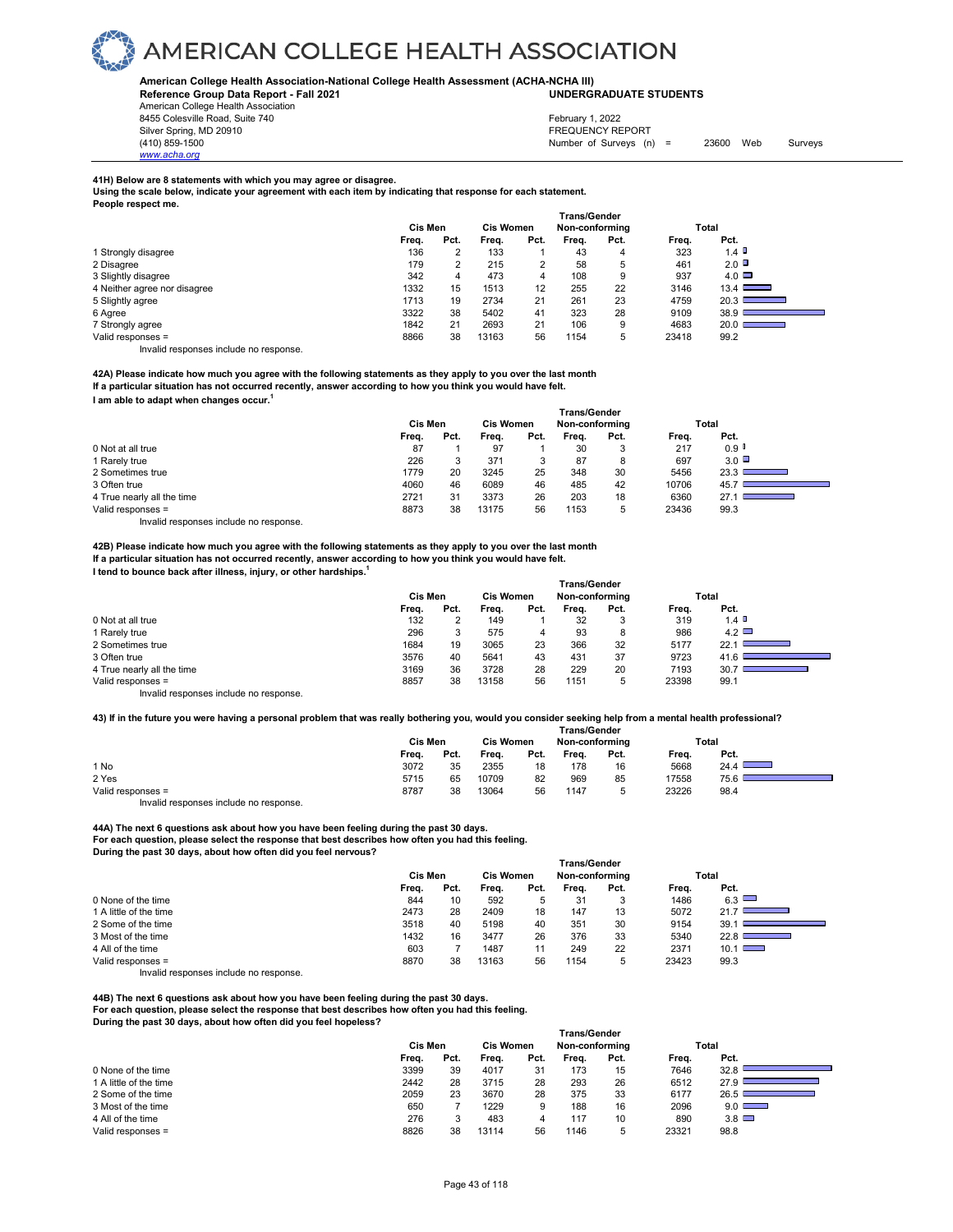

#### **American College Health Association-National College Health Assessment (ACHA-NCHA III) UNDERGRADUATE STUDENTS**

**Reference Group Data Report - Fall 2021**

American College Health Association 8455 Colesville Road, Suite 740 Silver Spring, MD 20910<br>
1990 - The Spring, MD 20910<br>
1990 - The Survey Structure of Surveys (n)

*www.acha.org*

# February 1, 2022

Number of Surveys (n) = 23600 Web Surveys

#### **41H) Below are 8 statements with which you may agree or disagree.**

**Using the scale below, indicate your agreement with each item by indicating that response for each statement.**

| People respect me.           |       |         |       |                  |                     |                |       |           |  |
|------------------------------|-------|---------|-------|------------------|---------------------|----------------|-------|-----------|--|
|                              |       |         |       |                  | <b>Trans/Gender</b> |                |       |           |  |
|                              |       | Cis Men |       | <b>Cis Women</b> |                     | Non-conforming |       | Total     |  |
|                              | Freq. | Pct.    | Frea. | Pct.             | Frea.               | Pct.           | Freq. | Pct.      |  |
| 1 Strongly disagree          | 136   | 2       | 133   |                  | 43                  | 4              | 323   | $1.4$ D   |  |
| 2 Disagree                   | 179   | 2       | 215   |                  | 58                  | 5              | 461   | $2.0\Box$ |  |
| 3 Slightly disagree          | 342   | 4       | 473   | 4                | 108                 | 9              | 937   | $4.0\Box$ |  |
| 4 Neither agree nor disagree | 1332  | 15      | 1513  | 12               | 255                 | 22             | 3146  | 13.4      |  |
| 5 Slightly agree             | 1713  | 19      | 2734  | 21               | 261                 | 23             | 4759  | 20.3      |  |
| 6 Agree                      | 3322  | 38      | 5402  | 41               | 323                 | 28             | 9109  | 38.9      |  |
| 7 Strongly agree             | 1842  | 21      | 2693  | 21               | 106                 | 9              | 4683  | 20.0      |  |
| Valid responses =            | 8866  | 38      | 13163 | 56               | 1154                | 5              | 23418 | 99.2      |  |
|                              |       |         |       |                  |                     |                |       |           |  |

Invalid responses include no response.

**42A) Please indicate how much you agree with the following statements as they apply to you over the last month If a particular situation has not occurred recently, answer according to how you think you would have felt. I am able to adapt when changes occur.1** 

|                            | <b>Trans/Gender</b> |         |       |                  |       |                |       |              |  |  |  |
|----------------------------|---------------------|---------|-------|------------------|-------|----------------|-------|--------------|--|--|--|
|                            |                     | Cis Men |       | <b>Cis Women</b> |       | Non-conforming |       | Total        |  |  |  |
|                            | Freq.               | Pct.    | Frea. | Pct.             | Frea. | Pct.           | Freq. | Pct.         |  |  |  |
| 0 Not at all true          | 87                  |         | 97    |                  | 30    |                | 217   | 0.9          |  |  |  |
| 1 Rarely true              | 226                 |         | 371   | 3                | 87    | 8              | 697   | $3.0$ $\Box$ |  |  |  |
| 2 Sometimes true           | 1779                | 20      | 3245  | 25               | 348   | 30             | 5456  | 23.3         |  |  |  |
| 3 Often true               | 4060                | 46      | 6089  | 46               | 485   | 42             | 10706 | 45.7         |  |  |  |
| 4 True nearly all the time | 2721                | 31      | 3373  | 26               | 203   | 18             | 6360  | 27.1         |  |  |  |
| Valid responses =          | 8873                | 38      | 13175 | 56               | 1153  | 5              | 23436 | 99.3         |  |  |  |
|                            |                     |         |       |                  |       |                |       |              |  |  |  |

Invalid responses include no response.

**42B) Please indicate how much you agree with the following statements as they apply to you over the last month If a particular situation has not occurred recently, answer according to how you think you would have felt. I tend to bounce back after illness, injury, or other hardships.1** 

|                                        | <b>Trans/Gender</b> |      |                  |      |                |      |       |                                                                                                                                                                                                                   |  |  |
|----------------------------------------|---------------------|------|------------------|------|----------------|------|-------|-------------------------------------------------------------------------------------------------------------------------------------------------------------------------------------------------------------------|--|--|
|                                        | Cis Men             |      | <b>Cis Women</b> |      | Non-conforming |      |       | Total                                                                                                                                                                                                             |  |  |
|                                        | Freq.               | Pct. | Freq.            | Pct. | Frea.          | Pct. | Freq. | Pct.                                                                                                                                                                                                              |  |  |
| 0 Not at all true                      | 132                 |      | 149              |      | 32             | 3    | 319   | $1.4$ D                                                                                                                                                                                                           |  |  |
| 1 Rarely true                          | 296                 | 3    | 575              | 4    | 93             | 8    | 986   | 4.2                                                                                                                                                                                                               |  |  |
| 2 Sometimes true                       | 1684                | 19   | 3065             | 23   | 366            | 32   | 5177  | 22.1<br>$\mathcal{L}^{\mathcal{L}}(\mathcal{L}^{\mathcal{L}})$ and $\mathcal{L}^{\mathcal{L}}(\mathcal{L}^{\mathcal{L}})$ . The contribution of the set of $\mathcal{L}^{\mathcal{L}}(\mathcal{L}^{\mathcal{L}})$ |  |  |
| 3 Often true                           | 3576                | 40   | 5641             | 43   | 431            | 37   | 9723  | 41.6                                                                                                                                                                                                              |  |  |
| 4 True nearly all the time             | 3169                | 36   | 3728             | 28   | 229            | 20   | 7193  | 30.7<br><u> Tanzania (h. 1888).</u>                                                                                                                                                                               |  |  |
| Valid responses =                      | 8857                | 38   | 13158            | 56   | 1151           | 5    | 23398 | 99.1                                                                                                                                                                                                              |  |  |
| Invalid responses include no response. |                     |      |                  |      |                |      |       |                                                                                                                                                                                                                   |  |  |

**43) If in the future you were having a personal problem that was really bothering you, would you consider seeking help from a mental health professional?**

|                                                                        | <b>Trans/Gender</b> |      |                  |      |                |      |       |       |  |  |
|------------------------------------------------------------------------|---------------------|------|------------------|------|----------------|------|-------|-------|--|--|
|                                                                        | Cis Men             |      | <b>Cis Women</b> |      | Non-conforming |      |       | Total |  |  |
|                                                                        | Freq.               | Pct. | Freq.            | Pct. | Freq.          | Pct. | Freq. | Pct.  |  |  |
| 1 No                                                                   | 3072                | 35   | 2355             | 18   | 178            | 16   | 5668  | 24.4  |  |  |
| 2 Yes                                                                  | 5715                | 65   | 10709            | 82   | 969            | 85   | 17558 | 75.6  |  |  |
| Valid responses =                                                      | 8787                | 38   | 13064            | 56   | 1147           |      | 23226 | 98.4  |  |  |
| the control and discussions are the discuted as a second discussion of |                     |      |                  |      |                |      |       |       |  |  |

Invalid responses include no response.

**44A) The next 6 questions ask about how you have been feeling during the past 30 days. For each question, please select the response that best describes how often you had this feeling. During the past 30 days, about how often did you feel nervous?**

| i i diskuelluei |      |                  |      |                |             |       |                                  |       |  |
|-----------------|------|------------------|------|----------------|-------------|-------|----------------------------------|-------|--|
| Cis Men         |      | <b>Cis Women</b> |      | Non-conforming |             |       |                                  |       |  |
| Freq.           | Pct. | Freq.            | Pct. | Frea.          | Pct.        | Freq. | Pct.                             |       |  |
| 844             | 10   | 592              | 5    | 31             | 3           | 1486  | 6.3                              |       |  |
| 2473            | 28   | 2409             | 18   | 147            | 13          | 5072  | 21.7                             |       |  |
| 3518            | 40   | 5198             | 40   | 351            | 30          | 9154  | 39.1                             |       |  |
| 1432            | 16   | 3477             | 26   | 376            | 33          | 5340  | 22.8<br><b>Contract Contract</b> |       |  |
| 603             |      | 1487             |      | 249            | 22          | 2371  | $10.1$ $\Box$                    |       |  |
| 8870            | 38   | 13163            | 56   | 1154           | $\mathbf b$ | 23423 | 99.3                             |       |  |
|                 |      |                  |      |                |             |       |                                  | Total |  |

 **Trans/Gender**

Invalid responses include no response.

**44B) The next 6 questions ask about how you have been feeling during the past 30 days.** 

**For each question, please select the response that best describes how often you had this feeling. During the past 30 days, about how often did you feel hopeless?**

|                        | <b>Trans/Gender</b> |      |                  |      |                |      |       |              |  |  |  |
|------------------------|---------------------|------|------------------|------|----------------|------|-------|--------------|--|--|--|
|                        | Cis Men             |      | <b>Cis Women</b> |      | Non-conforming |      |       | Total        |  |  |  |
|                        | Freq.               | Pct. | Frea.            | Pct. | Frea.          | Pct. | Frea. | Pct.         |  |  |  |
| 0 None of the time     | 3399                | 39   | 4017             | 31   | 173            | 15   | 7646  | 32.8         |  |  |  |
| 1 A little of the time | 2442                | 28   | 3715             | 28   | 293            | 26   | 6512  | 27.9         |  |  |  |
| 2 Some of the time     | 2059                | 23   | 3670             | 28   | 375            | 33   | 6177  | 26.5         |  |  |  |
| 3 Most of the time     | 650                 |      | 1229             | 9    | 188            | 16   | 2096  | $9.0$ $\Box$ |  |  |  |
| 4 All of the time      | 276                 |      | 483              |      | 117            | 10   | 890   | $3.8$ $\Box$ |  |  |  |
| Valid responses =      | 8826                | 38   | 13114            | 56   | 1146           | 5    | 23321 | 98.8         |  |  |  |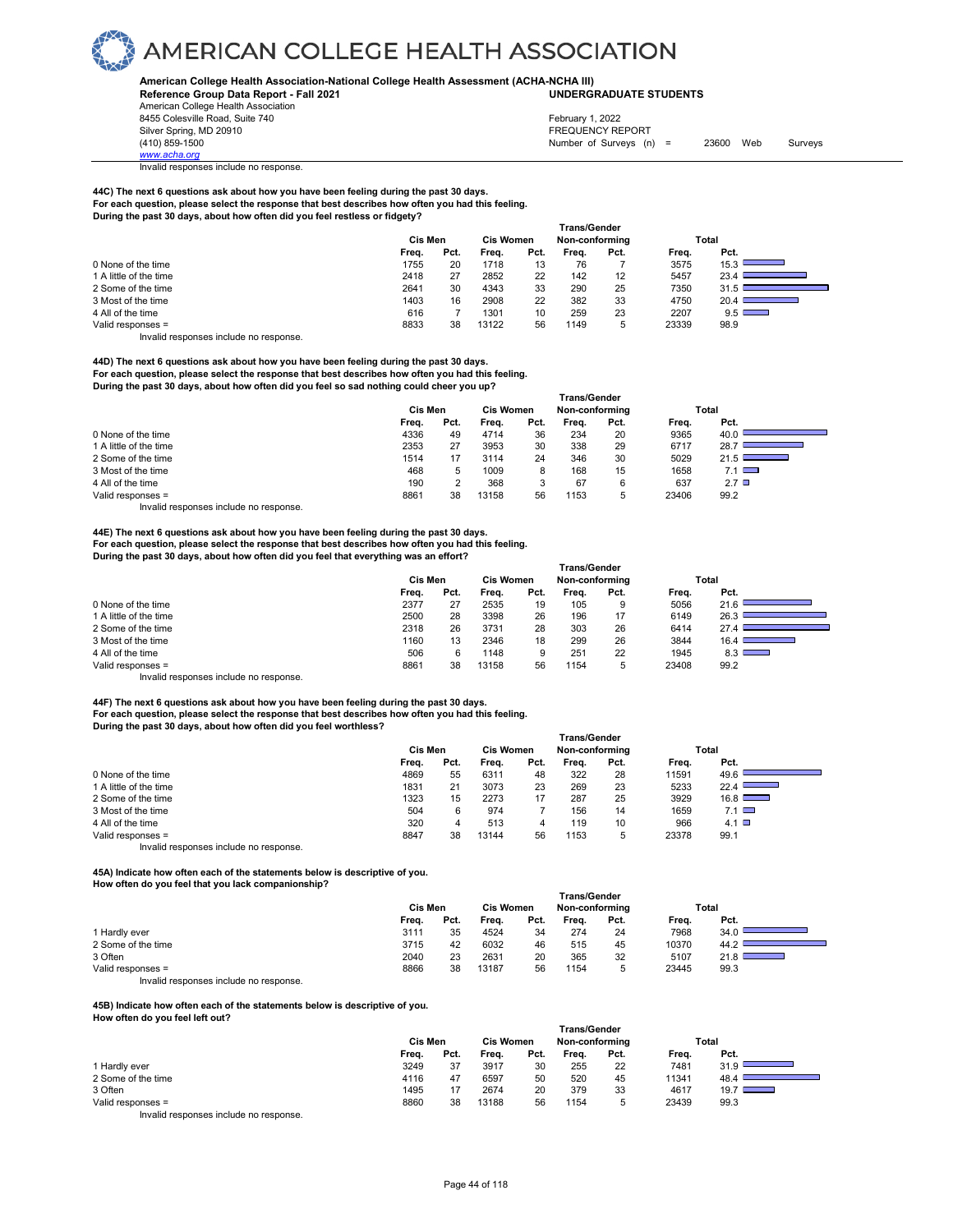**American College Health Association-National College Health Assessment (ACHA-NCHA III) UNDERGRADUATE STUDENTS**

**Reference Group Data Report - Fall 2021** American College Health Association 8455 Colesville Road, Suite 740 Silver Spring, MD 20910<br>
1990 - The Spring, MD 20910<br>
1990 - The Survey Structure of Surveys (notation of Surveys (notation of Surveys (notation of Surveys (notati

*www.acha.org*

Invalid responses include no response.

**44C) The next 6 questions ask about how you have been feeling during the past 30 days. For each question, please select the response that best describes how often you had this feeling. During the past 30 days, about how often did you feel restless or fidgety?**

|                        |         |      |                  |      | <b>Trans/Gender</b> |      |       |              |
|------------------------|---------|------|------------------|------|---------------------|------|-------|--------------|
|                        | Cis Men |      | <b>Cis Women</b> |      | Non-conforming      |      |       | Total        |
|                        | Freq.   | Pct. | Freq.            | Pct. | Frea.               | Pct. | Freq. | Pct.         |
| 0 None of the time     | 1755    | 20   | 1718             | 13   | 76                  |      | 3575  | 15.3         |
| 1 A little of the time | 2418    | 27   | 2852             | 22   | 142                 | 12   | 5457  | 23.4         |
| 2 Some of the time     | 2641    | 30   | 4343             | 33   | 290                 | 25   | 7350  | 31.5         |
| 3 Most of the time     | 1403    | 16   | 2908             | 22   | 382                 | 33   | 4750  | 20.4         |
| 4 All of the time      | 616     |      | 1301             | 10   | 259                 | 23   | 2207  | $9.5$ $\Box$ |
| Valid responses =      | 8833    | 38   | 13122            | 56   | 1149                | b    | 23339 | 98.9         |

Number of Surveys (n) = 23600 Web Surveys

February 1, 2022

Invalid responses include no response.

**44D) The next 6 questions ask about how you have been feeling during the past 30 days. For each question, please select the response that best describes how often you had this feeling. During the past 30 days, about how often did you feel so sad nothing could cheer you up?**

| <u>, and the basis of autor anoming a crew and the rest of our network come and the spi</u> |       |                                 |  |  |  |  |  |  |  |  |
|---------------------------------------------------------------------------------------------|-------|---------------------------------|--|--|--|--|--|--|--|--|
| <b>Trans/Gender</b>                                                                         |       |                                 |  |  |  |  |  |  |  |  |
| Non-conforming                                                                              | Total |                                 |  |  |  |  |  |  |  |  |
| Frea.<br>Pct.                                                                               | Freq. | Pct.                            |  |  |  |  |  |  |  |  |
| 20<br>234                                                                                   | 9365  | 40.0                            |  |  |  |  |  |  |  |  |
| 29<br>338                                                                                   | 6717  | 28.7                            |  |  |  |  |  |  |  |  |
| 346<br>30                                                                                   | 5029  | 21.5<br>the control of the con- |  |  |  |  |  |  |  |  |
| 168<br>15                                                                                   | 1658  | $7.1$ $\Box$                    |  |  |  |  |  |  |  |  |
| 67<br>6                                                                                     | 637   | $2.7$ $\Box$                    |  |  |  |  |  |  |  |  |
| 1153<br>5                                                                                   | 23406 | 99.2                            |  |  |  |  |  |  |  |  |
|                                                                                             |       |                                 |  |  |  |  |  |  |  |  |

Invalid responses include no response.

#### **44E) The next 6 questions ask about how you have been feeling during the past 30 days.**

**For each question, please select the response that best describes how often you had this feeling.** 

**During the past 30 days, about how often did you feel that everything was an effort? Trans/Gender Cis Men Cis Women Non-conforming Total Freq. Pct. Freq. Pct. Freq. Pct. Freq. Pct.** 0 None of the time <br>
1 A little of the time <br>
2500 28 3398 26 196 17 6149 26.3 1 A little of the time and the time and the compact to the compact the compact to the compact the compact to the compact the compact to the compact to the compact to the compact to the compact to the compact to the compac 2 Some of the time 27.4 Let us not the time 2318 26 3731 28 303 26 6414 27.4 Let us not the time 23 AM 27.4 Let us not the time 23 AM 27.4 Let us not the time 23 AM 27.4 Let us not the time 23 AM 27.4 Let us not the time 2 3 Most of the time 4 All of the time 506 6 1148 9 251 22 1945 8.3 ■<br>
19 Valid responses = 1154 5 23408 99.2 Valid responses =

Invalid responses include no response.

**44F) The next 6 questions ask about how you have been feeling during the past 30 days. For each question, please select the response that best describes how often you had this feeling. During the past 30 days, about how often did you feel worthless?**

|                                       |         |      |                  |      | <b>Trans/Gender</b> |      |       |               |
|---------------------------------------|---------|------|------------------|------|---------------------|------|-------|---------------|
|                                       | Cis Men |      | <b>Cis Women</b> |      | Non-conforming      |      |       | Total         |
|                                       | Freq.   | Pct. | Frea.            | Pct. | Frea.               | Pct. | Frea. | Pct.          |
| 0 None of the time                    | 4869    | 55   | 6311             | 48   | 322                 | 28   | 11591 | 49.6          |
| 1 A little of the time                | 1831    | 21   | 3073             | 23   | 269                 | 23   | 5233  | 22.4          |
| 2 Some of the time                    | 1323    | 15   | 2273             | 17   | 287                 | 25   | 3929  | $16.8$ $\Box$ |
| 3 Most of the time                    | 504     | 6    | 974              |      | 156                 | 14   | 1659  | 7.1           |
| 4 All of the time                     | 320     | 4    | 513              | 4    | 119                 | 10   | 966   | 4.1 $\Box$    |
| Valid responses =                     | 8847    | 38   | 13144            | 56   | 1153                | 5    | 23378 | 99.1          |
| Invalid responses include no response |         |      |                  |      |                     |      |       |               |

**45A) Indicate how often each of the statements below is descriptive of you.** 

**How often do you feel that you lack companionship?** 

|                                                                           |         |      |                  |      | <b>Trans/Gender</b> |      |       |       |
|---------------------------------------------------------------------------|---------|------|------------------|------|---------------------|------|-------|-------|
|                                                                           | Cis Men |      | <b>Cis Women</b> |      | Non-conforming      |      |       | Total |
|                                                                           | Freq.   | Pct. | Freq.            | Pct. | Frea.               | Pct. | Freq. | Pct.  |
| 1 Hardly ever                                                             | 3111    | 35   | 4524             | 34   | 274                 | 24   | 7968  | 34.0  |
| 2 Some of the time                                                        | 3715    | 42   | 6032             | 46   | 515                 | 45   | 10370 | 44.2  |
| 3 Often                                                                   | 2040    | 23   | 2631             | 20   | 365                 | 32   | 5107  | 21.8  |
| Valid responses =                                                         | 8866    | 38   | 13187            | 56   | 1154                | 5    | 23445 | 99.3  |
| the control theory is a structure that the collection of the state of the |         |      |                  |      |                     |      |       |       |

Invalid responses include no response.

**45B) Indicate how often each of the statements below is descriptive of you. How often do you feel left out?** 

|                                        | <b>Trans/Gender</b> |      |                  |      |                |      |       |                                            |  |  |
|----------------------------------------|---------------------|------|------------------|------|----------------|------|-------|--------------------------------------------|--|--|
|                                        | <b>Cis Men</b>      |      | <b>Cis Women</b> |      | Non-conforming |      |       | Total                                      |  |  |
|                                        | Freq.               | Pct. | Freq.            | Pct. | Freq.          | Pct. | Freq. | Pct.                                       |  |  |
| 1 Hardly ever                          | 3249                | 37   | 3917             | 30   | 255            | 22   | 7481  | 31.9                                       |  |  |
| 2 Some of the time                     | 4116                | 47   | 6597             | 50   | 520            | 45   | 11341 | 48.4                                       |  |  |
| 3 Often                                | 1495                |      | 2674             | 20   | 379            | 33   | 4617  | 19.7 $\square$<br><b>Contract Contract</b> |  |  |
| Valid responses =                      | 8860                | 38   | 13188            | 56   | 1154           | 5    | 23439 | 99.3                                       |  |  |
| Invalid responses include no response. |                     |      |                  |      |                |      |       |                                            |  |  |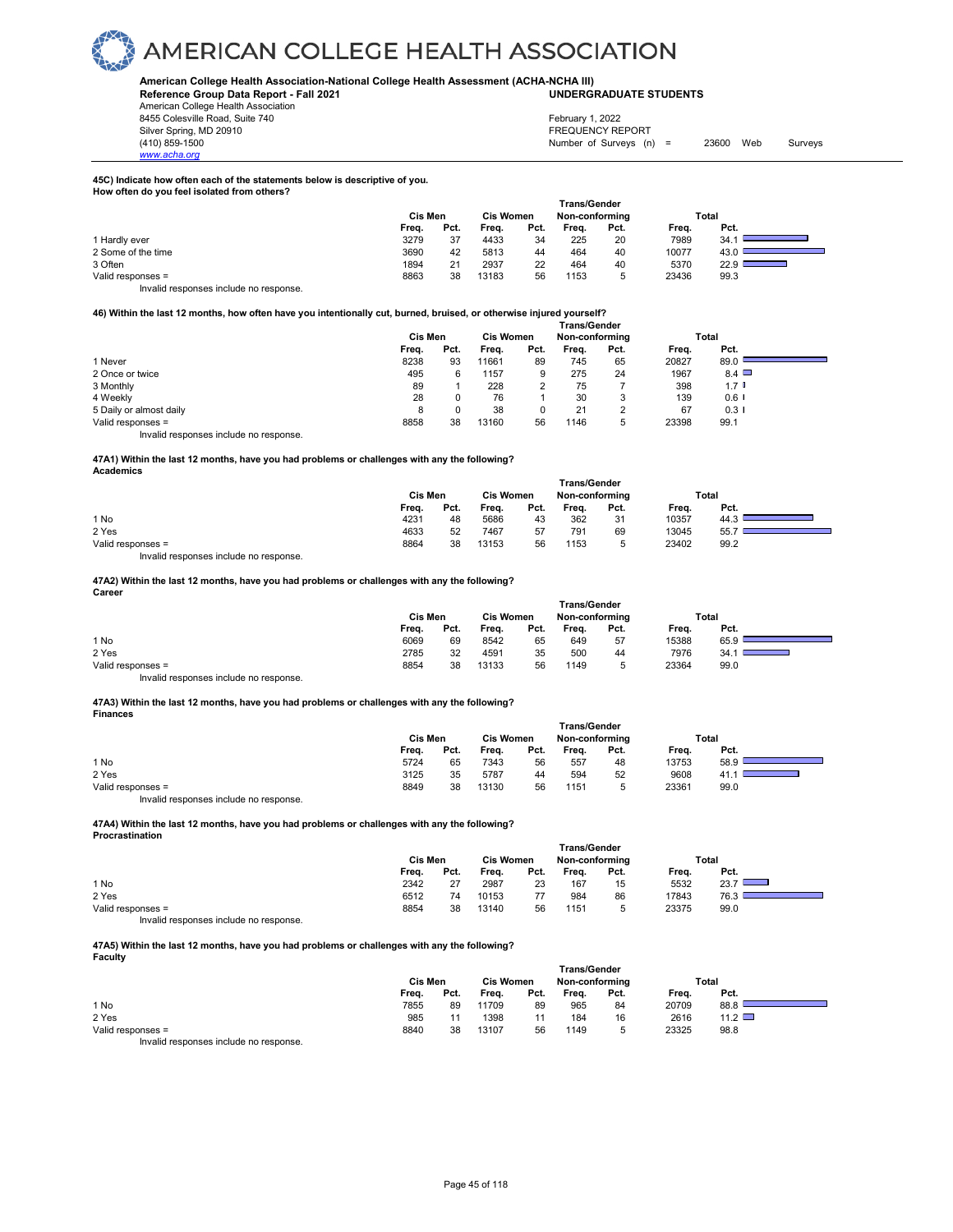#### **American College Health Association-National College Health Assessment (ACHA-NCHA III) UNDERGRADUATE STUDENTS**

**Reference Group Data Report - Fall 2021** American College Health Association 8455 Colesville Road, Suite 740

*www.acha.org*

#### Silver Spring, MD 20910<br>
1990 - The Spring, MD 20910<br>
1990 - The Survey Structure of Surveys (notation of Surveys (notation of Surveys (notation of Surveys (notati Number of Surveys (n) = 23600 Web Surveys February 1, 2022

#### **45C) Indicate how often each of the statements below is descriptive of you. How often do you feel isolated from others?**

|                                       | Cis Men |      | <b>Cis Women</b> |      | <b>Trans/Gender</b><br>Non-conforming |      |       | Total                             |
|---------------------------------------|---------|------|------------------|------|---------------------------------------|------|-------|-----------------------------------|
|                                       | Freq.   | Pct. | Frea.            | Pct. | Freq.                                 | Pct. | Freq. | Pct.                              |
| 1 Hardly ever                         | 3279    | 37   | 4433             | 34   | 225                                   | 20   | 7989  | 34.                               |
| 2 Some of the time                    | 3690    | 42   | 5813             | 44   | 464                                   | 40   | 10077 | 43.                               |
| 3 Often                               | 1894    | 21   | 2937             | 22   | 464                                   | 40   | 5370  | 22.9<br><u> 1989 - Andrea Sta</u> |
| Valid responses =                     | 8863    | 38   | 13183            | 56   | 1153                                  | 5    | 23436 | 99.3                              |
| Invalid responses include no response |         |      |                  |      |                                       |      |       |                                   |

#### **46) Within the last 12 months, how often have you intentionally cut, burned, bruised, or otherwise injured yourself?**

|                         | <b>Trans/Gender</b> |      |                  |      |                |               |       |              |  |  |  |
|-------------------------|---------------------|------|------------------|------|----------------|---------------|-------|--------------|--|--|--|
|                         | Cis Men             |      | <b>Cis Women</b> |      | Non-conforming |               | Total |              |  |  |  |
|                         | Freq.               | Pct. | Freq.            | Pct. | Frea.          | Pct.          | Freq. | Pct.         |  |  |  |
| 1 Never                 | 8238                | 93   | 11661            | 89   | 745            | 65            | 20827 | 89.0         |  |  |  |
| 2 Once or twice         | 495                 | 6    | 1157             | 9    | 275            | 24            | 1967  | $8.4$ $\Box$ |  |  |  |
| 3 Monthly               | 89                  |      | 228              |      | 75             |               | 398   | $1.7$ D      |  |  |  |
| 4 Weekly                | 28                  | 0    | 76               |      | 30             | 3             | 139   | $0.6$ I      |  |  |  |
| 5 Daily or almost daily | 8                   |      | 38               |      | 21             | C<br><u>.</u> | 67    | 0.31         |  |  |  |
| Valid responses =       | 8858                | 38   | 13160            | 56   | 1146           | 5             | 23398 | 99.1         |  |  |  |

Invalid responses include no response.

#### **47A1) Within the last 12 months, have you had problems or challenges with any the following? Academics**

| <b>Trans/Gender</b> |      |                  |      |                |      |       |      |       |  |  |
|---------------------|------|------------------|------|----------------|------|-------|------|-------|--|--|
| Cis Men             |      | <b>Cis Women</b> |      | Non-conforming |      |       |      |       |  |  |
| Freq.               | Pct. | Freq.            | Pct. | Frea.          | Pct. | Frea. | Pct. |       |  |  |
| 4231                | 48   | 5686             | 43   | 362            | 31   | 10357 | 44.3 |       |  |  |
| 4633                | 52   | 7467             | 57   | 791            | 69   | 13045 | 55.7 |       |  |  |
| 8864                | 38   | 13153            | 56   | 1153           | 5    | 23402 | 99.2 |       |  |  |
|                     |      |                  |      |                |      |       |      | Total |  |  |

Invalid responses include no response.

#### **47A2) Within the last 12 months, have you had problems or challenges with any the following? Career**

|                   | <b>Trans/Gender</b> |         |       |                  |       |                |       |       |  |  |  |
|-------------------|---------------------|---------|-------|------------------|-------|----------------|-------|-------|--|--|--|
|                   |                     | Cis Men |       | <b>Cis Women</b> |       | Non-conforming |       | Total |  |  |  |
|                   | Frea.               | Pct.    | Frea. | Pct.             | Frea. | Pct.           | Frea. | Pct.  |  |  |  |
| 1 No              | 6069                | 69      | 8542  | 65               | 649   | 57             | 15388 | 65.9  |  |  |  |
| 2 Yes             | 2785                | 32      | 4591  | 35               | 500   | 44             | 7976  | 34.7  |  |  |  |
| Valid responses = | 8854                | 38      | 13133 | 56               | 1149  | ∽              | 23364 | 99.0  |  |  |  |
| .<br>.            |                     |         |       |                  |       |                |       |       |  |  |  |

Invalid responses include no response.

#### **47A3) Within the last 12 months, have you had problems or challenges with any the following? Finances**

|                   | Cis Men |      |       | <b>Trans/Gender</b><br><b>Cis Women</b><br>Non-conforming |       |      |       | Total |  |
|-------------------|---------|------|-------|-----------------------------------------------------------|-------|------|-------|-------|--|
|                   | Freq.   | Pct. | Freq. | Pct.                                                      | Freq. | Pct. | Freq. | Pct.  |  |
| 1 No              | 5724    | 65   | 7343  | 56                                                        | 557   | 48   | 13753 | 58.9  |  |
| 2 Yes             | 3125    | 35   | 5787  | 44                                                        | 594   | 52   | 9608  | - 41. |  |
| Valid responses = | 8849    | 38   | 13130 | 56                                                        | 1151  | 5    | 23361 | 99.0  |  |

Invalid responses include no response.

#### **47A4) Within the last 12 months, have you had problems or challenges with any the following? Procrastination**

|                                        | <b>Trans/Gender</b> |      |                  |      |                |      |       |       |  |  |  |
|----------------------------------------|---------------------|------|------------------|------|----------------|------|-------|-------|--|--|--|
|                                        | Cis Men             |      | <b>Cis Women</b> |      | Non-conforming |      |       | Total |  |  |  |
|                                        | Freq.               | Pct. | Freq.            | Pct. | Frea.          | Pct. | Frea. | Pct.  |  |  |  |
| 1 No                                   | 2342                | 27   | 2987             | 23   | 167            | 15   | 5532  | 23.7  |  |  |  |
| 2 Yes                                  | 6512                | 74   | 10153            | 77   | 984            | 86   | 17843 | 76.3  |  |  |  |
| Valid responses =                      | 8854                | 38   | 13140            | 56   | 1151           | ∽    | 23375 | 99.0  |  |  |  |
| Invalid responses include no response. |                     |      |                  |      |                |      |       |       |  |  |  |

#### **47A5) Within the last 12 months, have you had problems or challenges with any the following? Faculty**

|                                        | <b>Trans/Gender</b> |      |           |      |                |      |       |             |  |  |  |
|----------------------------------------|---------------------|------|-----------|------|----------------|------|-------|-------------|--|--|--|
|                                        | Cis Men             |      | Cis Women |      | Non-conforming |      |       | Total       |  |  |  |
|                                        | Freq.               | Pct. | Freq.     | Pct. | Frea.          | Pct. | Freq. | Pct.        |  |  |  |
| 1 No                                   | 7855                | 89   | 11709     | 89   | 965            | 84   | 20709 | 88.8        |  |  |  |
| 2 Yes                                  | 985                 |      | 1398      | 11   | 184            | 16   | 2616  | 11.2 $\Box$ |  |  |  |
| Valid responses =                      | 8840                | 38   | 13107     | 56   | 1149           | ∽    | 23325 | 98.8        |  |  |  |
| Invalid responses include no response. |                     |      |           |      |                |      |       |             |  |  |  |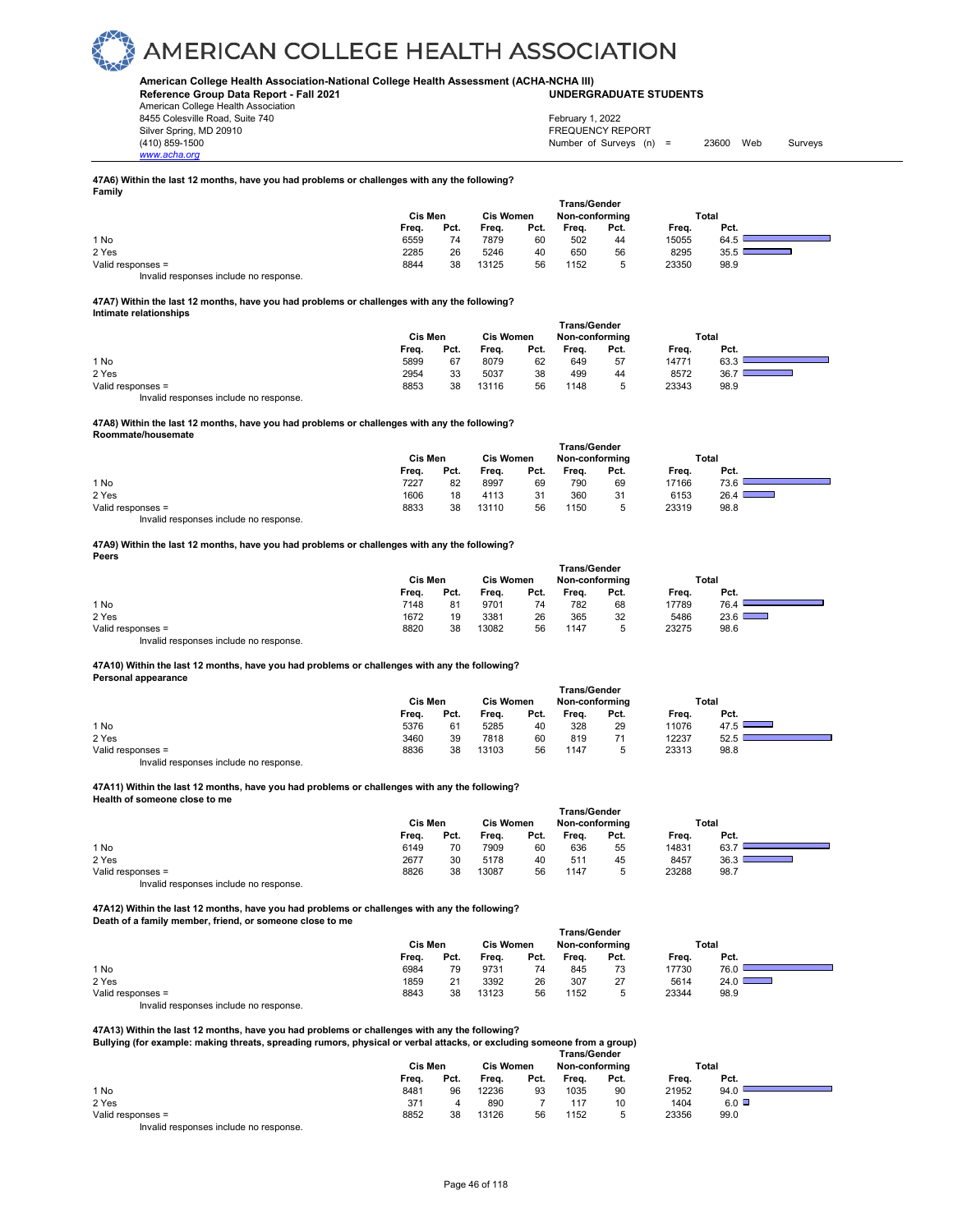#### **American College Health Association-National College Health Assessment (ACHA-NCHA III) UNDERGRADUATE STUDENTS**

**Reference Group Data Report - Fall 2021** American College Health Association 8455 Colesville Road, Suite 740 Silver Spring, MD 20910<br>
1990 - The Spring, MD 20910<br>
1990 - The Survey Structure of Surveys (n)

*www.acha.org*

Number of Surveys  $(n) = 23600$  Web Surveys February 1, 2022

#### **47A6) Within the last 12 months, have you had problems or challenges with any the following? Family**

|                                        | <b>Trans/Gender</b> |      |                  |      |                |      |       |       |  |  |  |
|----------------------------------------|---------------------|------|------------------|------|----------------|------|-------|-------|--|--|--|
|                                        | Cis Men             |      | <b>Cis Women</b> |      | Non-conforming |      |       | Total |  |  |  |
|                                        | Freq.               | Pct. | Freq.            | Pct. | Frea.          | Pct. | Freq. | Pct.  |  |  |  |
| 1 No                                   | 6559                | 74   | 7879             | 60   | 502            | 44   | 15055 | 64.5  |  |  |  |
| 2 Yes                                  | 2285                | 26   | 5246             | 40   | 650            | 56   | 8295  | 35.5  |  |  |  |
| Valid responses =                      | 8844                | 38   | 13125            | 56   | 1152           |      | 23350 | 98.9  |  |  |  |
| Invalid responses include no response. |                     |      |                  |      |                |      |       |       |  |  |  |

#### **47A7) Within the last 12 months, have you had problems or challenges with any the following? Intimate relationships**

|                   | Cis Men |      | <b>Cis Women</b> |      | <b>Trans/Gender</b><br>Non-conforming |      | Total |      |  |
|-------------------|---------|------|------------------|------|---------------------------------------|------|-------|------|--|
|                   | Freq.   | Pct. | Freq.            | Pct. | Frea.                                 | Pct. | Frea. | Pct. |  |
| 1 No              | 5899    | 67   | 8079             | 62   | 649                                   | 57   | 14771 | 63.3 |  |
| 2 Yes             | 2954    | 33   | 5037             | 38   | 499                                   | 44   | 8572  | 36.  |  |
| Valid responses = | 8853    | 38   | 13116            | 56   | 1148                                  |      | 23343 | 98.9 |  |

Invalid responses include no response.

#### **47A8) Within the last 12 months, have you had problems or challenges with any the following? Roommate/housemate**

|                                       |         |      |                  |      | <b>Trans/Gender</b> |      |       |                                  |  |
|---------------------------------------|---------|------|------------------|------|---------------------|------|-------|----------------------------------|--|
|                                       | Cis Men |      | <b>Cis Women</b> |      | Non-conforming      |      |       | Total                            |  |
|                                       | Freq.   | Pct. | Freq.            | Pct. | Freq.               | Pct. | Freq. | Pct.                             |  |
| 1 No                                  | 7227    | 82   | 8997             | 69   | 790                 | 69   | 17166 | 73.6                             |  |
| 2 Yes                                 | 1606    | 18   | 4113             | 31   | 360                 | 31   | 6153  | 26.4<br>$\overline{\phantom{0}}$ |  |
| Valid responses =                     | 8833    | 38   | 13110            | 56   | 1150                | 5    | 23319 | 98.8                             |  |
| Involid reconoces include no reconoce |         |      |                  |      |                     |      |       |                                  |  |

Invalid responses include no response.

#### **47A9) Within the last 12 months, have you had problems or challenges with any the following? Peers**

|                                        | <b>Trans/Gender</b> |                  |       |      |                |      |       |               |  |  |  |
|----------------------------------------|---------------------|------------------|-------|------|----------------|------|-------|---------------|--|--|--|
|                                        | Cis Men             | <b>Cis Women</b> |       |      | Non-conforming |      | Total |               |  |  |  |
|                                        | Freq.               | Pct.             | Frea. | Pct. | Frea.          | Pct. | Frea. | Pct.          |  |  |  |
| 1 No                                   | 7148                | 81               | 9701  | 74   | 782            | 68   | 17789 | 76.4          |  |  |  |
| 2 Yes                                  | 1672                | 19               | 3381  | 26   | 365            | 32   | 5486  | $23.6$ $\Box$ |  |  |  |
| Valid responses =                      | 8820                | 38               | 13082 | 56   | 1147           | h    | 23275 | 98.6          |  |  |  |
| Invalid responses include no response. |                     |                  |       |      |                |      |       |               |  |  |  |

#### **47A10) Within the last 12 months, have you had problems or challenges with any the following?**

**Personal appearance** 

| $\sim$ 0.000 $\sim$ 0.000 $\sim$ 0.000 $\sim$ |         |                  |       |                | <b>Trans/Gender</b> |      |       |                                 |
|-----------------------------------------------|---------|------------------|-------|----------------|---------------------|------|-------|---------------------------------|
|                                               | Cis Men | <b>Cis Women</b> |       | Non-conforming |                     |      | Total |                                 |
|                                               | Freq.   | Pct.             | Freq. | Pct.           | Frea.               | Pct. | Frea. | Pct.                            |
| 1 No                                          | 5376    | 61               | 5285  | 40             | 328                 | 29   | 11076 | 47.5 $\Box$<br><u>expertise</u> |
| 2 Yes                                         | 3460    | 39               | 7818  | 60             | 819                 | 71   | 12237 | 52.5                            |
| Valid responses =                             | 8836    | 38               | 13103 | 56             | 1147                | ь    | 23313 | 98.8                            |
| Invalid responses include no response.        |         |                  |       |                |                     |      |       |                                 |

#### **47A11) Within the last 12 months, have you had problems or challenges with any the following? Health of someone close to me**

|                   | <b>Trans/Gender</b> |      |       |                                    |       |      |       |       |  |  |  |  |  |
|-------------------|---------------------|------|-------|------------------------------------|-------|------|-------|-------|--|--|--|--|--|
|                   | <b>Cis Men</b>      |      |       | <b>Cis Women</b><br>Non-conforming |       |      |       | Total |  |  |  |  |  |
|                   | Freq.               | Pct. | Freq. | Pct.                               | Frea. | Pct. | Freq. | Pct.  |  |  |  |  |  |
| 1 No              | 6149                | 70   | 7909  | 60                                 | 636   | 55   | 14831 | 63.7  |  |  |  |  |  |
| 2 Yes             | 2677                | 30   | 5178  | 40                                 | 511   | 45   | 8457  | 36.3  |  |  |  |  |  |
| Valid responses = | 8826                | 38   | 13087 | 56                                 | 1147  |      | 23288 | 98.7  |  |  |  |  |  |

Invalid responses include no response.

**47A12) Within the last 12 months, have you had problems or challenges with any the following? Death of a family member, friend, or someone close to me** 

|                                        | <b>Trans/Gender</b> |      |                  |      |                |      |       |                                   |  |  |  |
|----------------------------------------|---------------------|------|------------------|------|----------------|------|-------|-----------------------------------|--|--|--|
|                                        | Cis Men             |      | <b>Cis Women</b> |      | Non-conforming |      | Total |                                   |  |  |  |
|                                        | Freq.               | Pct. | Freq.            | Pct. | Freq.          | Pct. | Freq. | Pct.                              |  |  |  |
| 1 No                                   | 6984                | 79   | 9731             | 74   | 845            | 73   | 17730 | 76.0                              |  |  |  |
| 2 Yes                                  | 1859                | 21   | 3392             | 26   | 307            | 27   | 5614  | 24.0 $\square$<br>$\qquad \qquad$ |  |  |  |
| Valid responses =                      | 8843                | 38   | 13123            | 56   | 1152           | 5    | 23344 | 98.9                              |  |  |  |
| Invalid responses include no response. |                     |      |                  |      |                |      |       |                                   |  |  |  |

**47A13) Within the last 12 months, have you had problems or challenges with any the following? Bullying (for example: making threats, spreading rumors, physical or verbal attacks, or excluding someone from a group)** 

| Duilying (for example, making ulleats, spreading funiols, physical or verbal attacks, or excluding someone from a group) |              |       |       |      |       |      |       |              |  |  |  |  |  |  |
|--------------------------------------------------------------------------------------------------------------------------|--------------|-------|-------|------|-------|------|-------|--------------|--|--|--|--|--|--|
|                                                                                                                          | Trans/Gender |       |       |      |       |      |       |              |  |  |  |  |  |  |
|                                                                                                                          | Cis Men      | Total |       |      |       |      |       |              |  |  |  |  |  |  |
|                                                                                                                          | Freq.        | Pct.  | Frea. | Pct. | Frea. | Pct. | Frea. | Pct.         |  |  |  |  |  |  |
| 1 No                                                                                                                     | 8481         | 96    | 12236 | 93   | 1035  | 90   | 21952 | 94.0         |  |  |  |  |  |  |
| 2 Yes                                                                                                                    | 371          |       | 890   |      | 117   | 10   | 1404  | $6.0$ $\Box$ |  |  |  |  |  |  |
| Valid responses =                                                                                                        | 8852         | 38    | 13126 | 56   | 1152  |      | 23356 | 99.0         |  |  |  |  |  |  |
| Involid recononces include no recononce                                                                                  |              |       |       |      |       |      |       |              |  |  |  |  |  |  |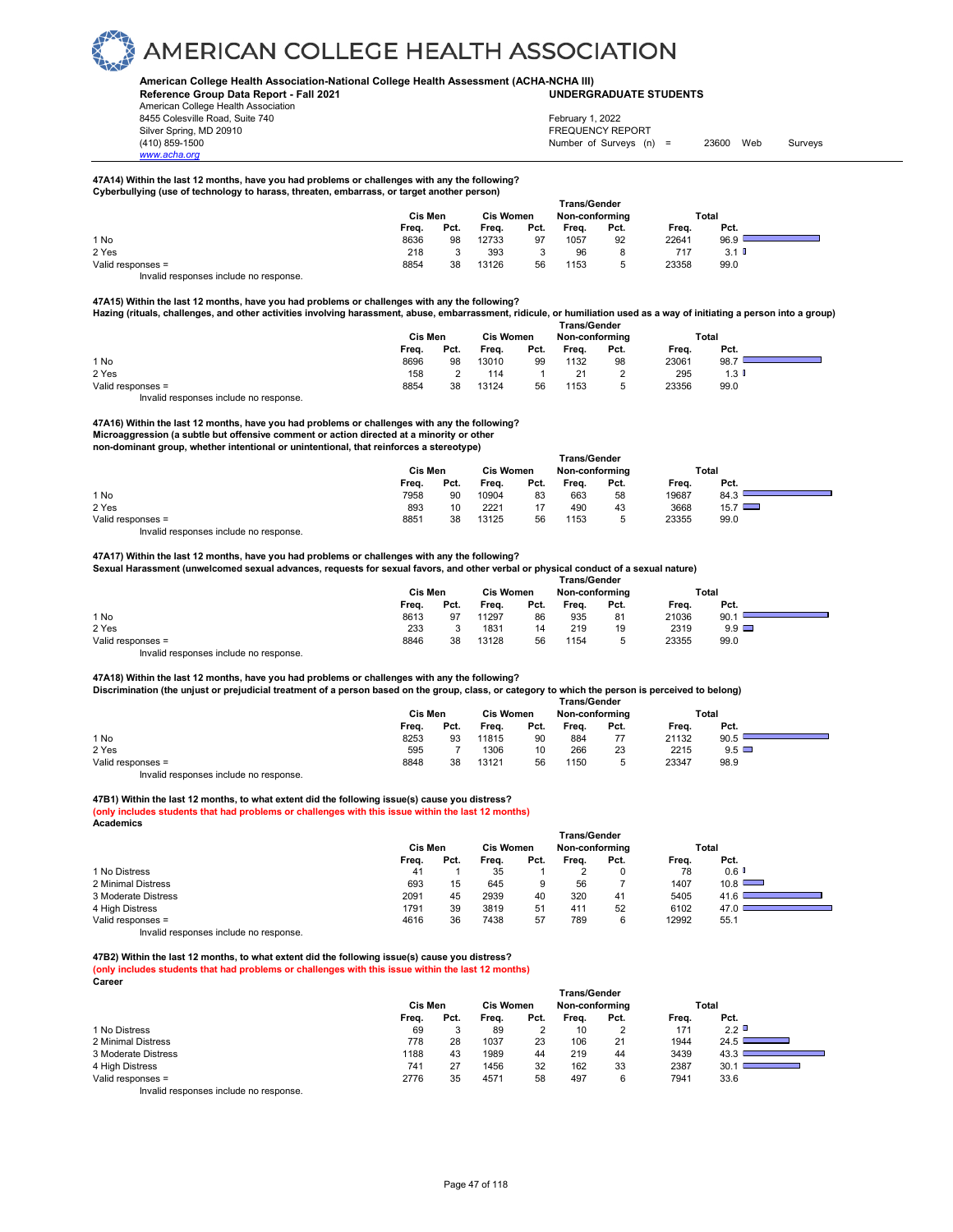

#### **American College Health Association-National College Health Assessment (ACHA-NCHA III)**

**Reference Group Data Report - Fall 2021 UNDERGRADUATE STUDENTS**

American College Health Association 8455 Colesville Road, Suite 740 Silver Spring, MD 20910<br>
1990 - The Spring, MD 20910<br>
1990 - The Survey Structure of Surveys (notation of Surveys (notation of Surveys (notation of Surveys (notati

*www.acha.org*

Number of Surveys (n) = 23600 Web Surveys February 1, 2022

#### **47A14) Within the last 12 months, have you had problems or challenges with any the following? Cyberbullying (use of technology to harass, threaten, embarrass, or target another person)**

|                                        | <b>Trans/Gender</b> |                  |       |                |       |      |       |         |  |  |  |  |
|----------------------------------------|---------------------|------------------|-------|----------------|-------|------|-------|---------|--|--|--|--|
|                                        | Cis Men             | <b>Cis Women</b> |       | Non-conforming |       |      | Total |         |  |  |  |  |
|                                        | Frea.               | Pct.             | Frea. | Pct.           | Frea. | Pct. | Frea. | Pct.    |  |  |  |  |
| 1 No                                   | 8636                | 98               | 12733 | 97             | 1057  | 92   | 22641 | 96.9    |  |  |  |  |
| 2 Yes                                  | 218                 |                  | 393   | 3              | 96    | 8    | 717   | $3.1$ D |  |  |  |  |
| Valid responses =                      | 8854                | 38               | 13126 | 56             | 1153  |      | 23358 | 99.0    |  |  |  |  |
| Invalid responses include no response. |                     |                  |       |                |       |      |       |         |  |  |  |  |

**47A15) Within the last 12 months, have you had problems or challenges with any the following?** 

**Hazing (rituals, challenges, and other activities involving harassment, abuse, embarrassment, ridicule, or humiliation used as a way of initiating a person into a group) Trans/Gender**

|                   | .       |      |                  |      |                |      |       |          |  |  |  |
|-------------------|---------|------|------------------|------|----------------|------|-------|----------|--|--|--|
|                   | Cis Men |      | <b>Cis Women</b> |      | Non-conforming |      |       | Total    |  |  |  |
|                   | Freq.   | Pct. | Freq.            | Pct. | Freq.          | Pct. | Frea. | Pct.     |  |  |  |
| 1 No              | 8696    | 98   | 13010            | 99   | 1132           | 98   | 23061 | 98.7     |  |  |  |
| 2 Yes             | 158     |      | 114              |      |                |      | 295   | $1.3 \;$ |  |  |  |
| Valid responses = | 8854    | 38   | 13124            | 56   | 1153           |      | 23356 | 99.0     |  |  |  |

Invalid responses include no response.

#### **47A16) Within the last 12 months, have you had problems or challenges with any the following? Microaggression (a subtle but offensive comment or action directed at a minority or other**

**non-dominant group, whether intentional or unintentional, that reinforces a stereotype)** 

| ______            | Cis Men |      | ---<br><b>Cis Women</b> |      | <b>Trans/Gender</b><br>Non-conforming |      | Total |               |  |
|-------------------|---------|------|-------------------------|------|---------------------------------------|------|-------|---------------|--|
|                   | Frea.   | Pct. | Freq.                   | Pct. | Frea.                                 | Pct. | Frea. | Pct.          |  |
| 1 No              | 7958    | 90   | 10904                   | 83   | 663                                   | 58   | 19687 | 84.3          |  |
| 2 Yes             | 893     | 10   | 2221                    |      | 490                                   | 43   | 3668  | $15.7$ $\Box$ |  |
| Valid responses = | 8851    | 38   | 13125                   | 56   | 1153                                  |      | 23355 | 99.0          |  |

Invalid responses include no response.

### **47A17) Within the last 12 months, have you had problems or challenges with any the following?**

**Sexual Harassment (unwelcomed sexual advances, requests for sexual favors, and other verbal or physical conduct of a sexual nature) Trans/Gender**

|                   | Cis Men |      | <b>Cis Women</b> |      | Non-conforming |      | Total |              |  |
|-------------------|---------|------|------------------|------|----------------|------|-------|--------------|--|
|                   | Freq.   | Pct. | Freq.            | Pct. | Freq.          | Pct. | Freq. | Pct.         |  |
| 1 No              | 8613    | 97   | 11297            | 86   | 935            | 81   | 21036 | 90.          |  |
| 2 Yes             | 233     |      | 1831             | 14   | 219            | 19   | 2319  | $9.9$ $\Box$ |  |
| Valid responses = | 8846    | 38   | 13128            | 56   | 1154           | ∽    | 23355 | 99.0         |  |
|                   |         |      |                  |      |                |      |       |              |  |

Invalid responses include no response.

#### **47A18) Within the last 12 months, have you had problems or challenges with any the following? Discrimination (the unjust or prejudicial treatment of a person based on the group, class, or category to which the person is perceived to belong)**

|                   | <b>Trans/Gender</b> |                  |       |                |       |       |       |              |  |  |  |
|-------------------|---------------------|------------------|-------|----------------|-------|-------|-------|--------------|--|--|--|
|                   | Cis Men             | <b>Cis Women</b> |       | Non-conformina |       | Total |       |              |  |  |  |
|                   | Freq.               | Pct.             | Freq. | Pct.           | Frea. | Pct.  | Frea. | Pct.         |  |  |  |
| 1 No              | 8253                | 93               | 11815 | 90             | 884   | 77    | 21132 | 90.5         |  |  |  |
| 2 Yes             | 595                 |                  | 1306  | 10             | 266   | 23    | 2215  | $9.5$ $\Box$ |  |  |  |
| Valid responses = | 8848                | 38               | 13121 | 56             | 1150  | ь     | 23347 | 98.9         |  |  |  |
|                   |                     |                  |       |                |       |       |       |              |  |  |  |

Invalid responses include no response.

#### **47B1) Within the last 12 months, to what extent did the following issue(s) cause you distress?**

**(only includes students that had problems or challenges with this issue within the last 12 months)**

**Academics Trans/Gender Cis Men Cis Women Non-conforming Total Freq. Pct. Freq. Pct. Freq. Pct. Freq. Pct.** 1 No Distress 41 1 35 1 2 0 78 0.6 2 Minimal Distress 693 15 645 9 56 7 1407 10.8 3 Moderate Distress 2091 45 2939 40 320 41 5405<br>4 High Distress 4 High Distress 2001 45 1791 39 3819 51 411 52 6102

4 High Distress 1791 39 3819 51 411 52 6102 47.0

Valid responses = Invalid responses include no response.

**47B2) Within the last 12 months, to what extent did the following issue(s) cause you distress? (only includes students that had problems or challenges with this issue within the last 12 months) Career**

|                                                                                                                                                                                                                                   | <b>Trans/Gender</b> |      |                                    |      |       |                |       |       |  |  |  |
|-----------------------------------------------------------------------------------------------------------------------------------------------------------------------------------------------------------------------------------|---------------------|------|------------------------------------|------|-------|----------------|-------|-------|--|--|--|
|                                                                                                                                                                                                                                   | Cis Men             |      | <b>Cis Women</b><br>Non-conforming |      |       |                |       | Total |  |  |  |
|                                                                                                                                                                                                                                   | Freq.               | Pct. | Frea.                              | Pct. | Frea. | Pct.           | Freq. | Pct.  |  |  |  |
| 1 No Distress                                                                                                                                                                                                                     | 69                  |      | 89                                 |      | 10    | $\overline{2}$ | 171   | 2.2   |  |  |  |
| 2 Minimal Distress                                                                                                                                                                                                                | 778                 | 28   | 1037                               | 23   | 106   | 21             | 1944  | 24.5  |  |  |  |
| 3 Moderate Distress                                                                                                                                                                                                               | 1188                | 43   | 1989                               | 44   | 219   | 44             | 3439  | 43.   |  |  |  |
| 4 High Distress                                                                                                                                                                                                                   | 741                 |      | 1456                               | 32   | 162   | 33             | 2387  | 30.   |  |  |  |
| Valid responses =                                                                                                                                                                                                                 | 2776                | 35   | 4571                               | 58   | 497   | 6              | 7941  | 33.6  |  |  |  |
| $\mathbf{r}$ , and the contract of the contract of the contract of the contract of the contract of the contract of the contract of the contract of the contract of the contract of the contract of the contract of the contract o |                     |      |                                    |      |       |                |       |       |  |  |  |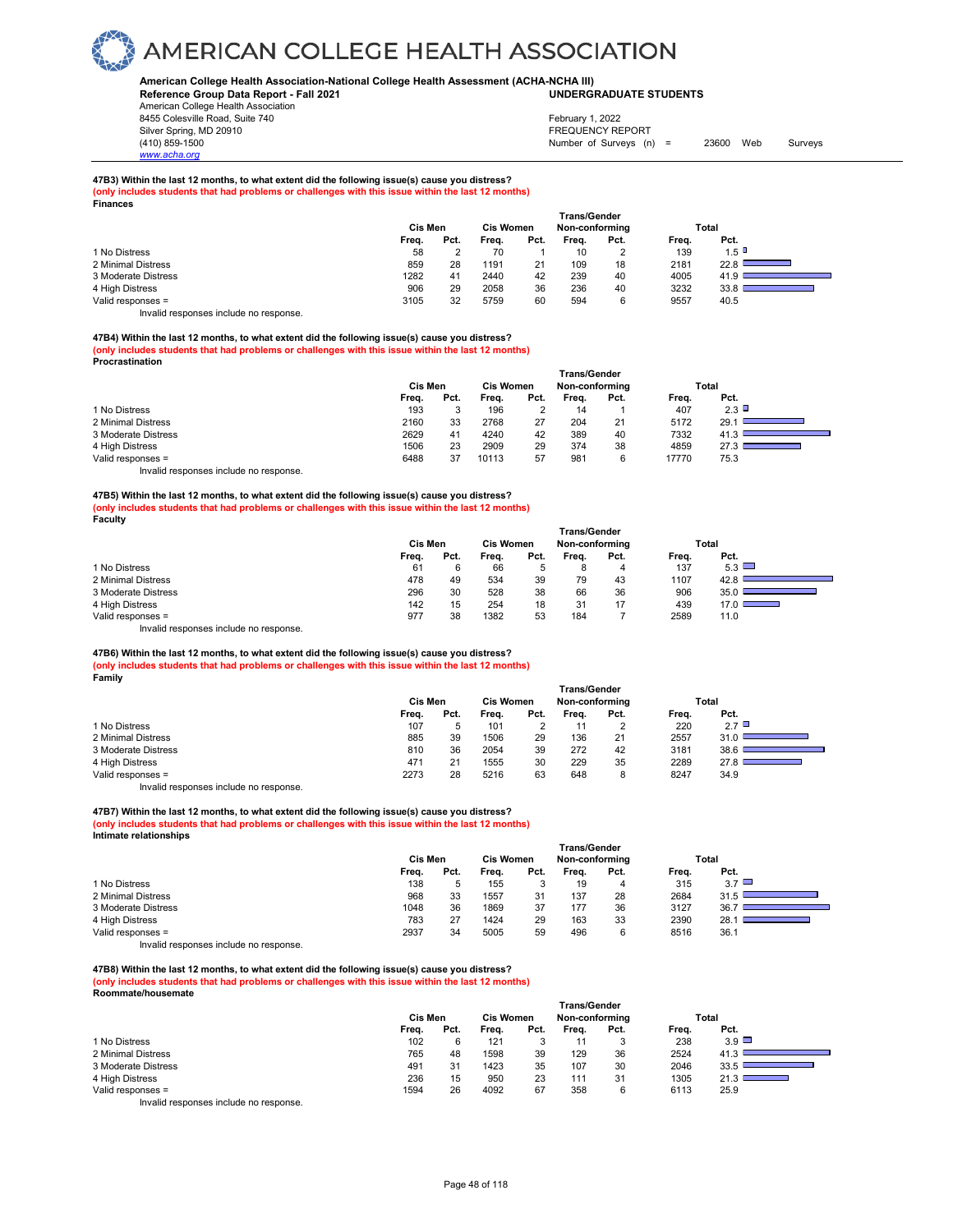#### **American College Health Association-National College Health Assessment (ACHA-NCHA III) UNDERGRADUATE STUDENTS**

**Reference Group Data Report - Fall 2021** American College Health Association 8455 Colesville Road, Suite 740

Silver Spring, MD 20910<br>
1990 - The Spring, MD 20910<br>
1990 - The Survey Structure of Surveys (n) *www.acha.org*

**Finances** 

### February 1, 2022

Number of Surveys (n) = 23600 Web Surveys

#### **47B3) Within the last 12 months, to what extent did the following issue(s) cause you distress?**

**(only includes students that had problems or challenges with this issue within the last 12 months)**

|                     | Cis Men |      | <b>Cis Women</b> |      | <b>Trans/Gender</b><br>Non-conforming |      |       | Total |
|---------------------|---------|------|------------------|------|---------------------------------------|------|-------|-------|
|                     | Freq.   | Pct. | Frea.            | Pct. | Freq.                                 | Pct. | Freq. | Pct.  |
| 1 No Distress       | 58      |      | 70               |      | 10                                    | 2    | 139   | 1.5   |
| 2 Minimal Distress  | 859     | 28   | 1191             | 21   | 109                                   | 18   | 2181  | 22.8  |
| 3 Moderate Distress | 1282    | 41   | 2440             | 42   | 239                                   | 40   | 4005  | 41.9  |
| 4 High Distress     | 906     | 29   | 2058             | 36   | 236                                   | 40   | 3232  | 33.8  |
| Valid responses =   | 3105    | 32   | 5759             | 60   | 594                                   | 6    | 9557  | 40.5  |

Invalid responses include no response.

### **47B4) Within the last 12 months, to what extent did the following issue(s) cause you distress?**

**(only includes students that had problems or challenges with this issue within the last 12 months) Procrastination** 

|                                        | <b>Trans/Gender</b> |         |                  |      |                |      |       |       |  |  |  |
|----------------------------------------|---------------------|---------|------------------|------|----------------|------|-------|-------|--|--|--|
|                                        | Cis Men             |         | <b>Cis Women</b> |      | Non-conforming |      |       | Total |  |  |  |
|                                        | Freq.               | Pct.    | Freq.            | Pct. | Freq.          | Pct. | Freq. | Pct.  |  |  |  |
| 1 No Distress                          | 193                 | $\cdot$ | 196              |      | 14             |      | 407   | 2.3   |  |  |  |
| 2 Minimal Distress                     | 2160                | 33      | 2768             | 27   | 204            | 21   | 5172  | 29.1  |  |  |  |
| 3 Moderate Distress                    | 2629                | 41      | 4240             | 42   | 389            | 40   | 7332  | 41.3  |  |  |  |
| 4 High Distress                        | 1506                | 23      | 2909             | 29   | 374            | 38   | 4859  | 27.3  |  |  |  |
| Valid responses =                      | 6488                | 37      | 10113            | 57   | 981            | 6    | 17770 | 75.3  |  |  |  |
| Invalid responses include no response. |                     |         |                  |      |                |      |       |       |  |  |  |

**47B5) Within the last 12 months, to what extent did the following issue(s) cause you distress? (only includes students that had problems or challenges with this issue within the last 12 months) Faculty** 

|                                        | <b>Trans/Gender</b> |      |                  |      |                |      |       |                                  |  |  |
|----------------------------------------|---------------------|------|------------------|------|----------------|------|-------|----------------------------------|--|--|
|                                        | Cis Men             |      | <b>Cis Women</b> |      | Non-conforming |      |       | Total                            |  |  |
|                                        | Freq.               | Pct. | Freq.            | Pct. | Freq.          | Pct. | Freq. | Pct.                             |  |  |
| 1 No Distress                          | 61                  |      | 66               | 5    |                | 4    | 137   | 5.3                              |  |  |
| 2 Minimal Distress                     | 478                 | 49   | 534              | 39   | 79             | 43   | 1107  | 42.8                             |  |  |
| 3 Moderate Distress                    | 296                 | 30   | 528              | 38   | 66             | 36   | 906   | 35(                              |  |  |
| 4 High Distress                        | 142                 | 15   | 254              | 18   | 31             | 17   | 439   | 17.0<br><b>Contract Contract</b> |  |  |
| Valid responses =                      | 977                 | 38   | 1382             | 53   | 184            |      | 2589  | 11.0                             |  |  |
| Invalid responses include no response. |                     |      |                  |      |                |      |       |                                  |  |  |

#### **47B6) Within the last 12 months, to what extent did the following issue(s) cause you distress? (only includes students that had problems or challenges with this issue within the last 12 months) Family**

|                     | <b>Trans/Gender</b> |      |                  |      |                |      |       |       |  |  |  |
|---------------------|---------------------|------|------------------|------|----------------|------|-------|-------|--|--|--|
|                     | Cis Men             |      | <b>Cis Women</b> |      | Non-conforming |      |       | Total |  |  |  |
|                     | Freq.               | Pct. | Frea.            | Pct. | Frea.          | Pct. | Freq. | Pct.  |  |  |  |
| 1 No Distress       | 107                 |      | 101              |      |                |      | 220   | 2.7   |  |  |  |
| 2 Minimal Distress  | 885                 | 39   | 1506             | 29   | 136            | 21   | 2557  | 31.0  |  |  |  |
| 3 Moderate Distress | 810                 | 36   | 2054             | 39   | 272            | 42   | 3181  | 38.6  |  |  |  |
| 4 High Distress     | 471                 |      | 1555             | 30   | 229            | 35   | 2289  | 27.8  |  |  |  |
| Valid responses =   | 2273                | 28   | 5216             | 63   | 648            | 8    | 8247  | 34.9  |  |  |  |

Invalid responses include no response.

#### **47B7) Within the last 12 months, to what extent did the following issue(s) cause you distress?**

**(only includes students that had problems or challenges with this issue within the last 12 months) Intimate relationships** 

|                     | Cis Men |      | <b>Cis Women</b> |      | <b>Trans/Gender</b><br>Non-conforming |      |       | Total        |
|---------------------|---------|------|------------------|------|---------------------------------------|------|-------|--------------|
|                     | Freq.   | Pct. | Freq.            | Pct. | Freq.                                 | Pct. | Freq. | Pct.         |
| 1 No Distress       | 138     |      | 155              | J    | 19                                    | 4    | 315   | $3.7$ $\Box$ |
| 2 Minimal Distress  | 968     | 33   | 1557             | 31   | 137                                   | 28   | 2684  | 31.5         |
| 3 Moderate Distress | 1048    | 36   | 1869             | 37   | 177                                   | 36   | 3127  | 36.7         |
| 4 High Distress     | 783     | 27   | 1424             | 29   | 163                                   | 33   | 2390  | 28.          |
| Valid responses =   | 2937    | 34   | 5005             | 59   | 496                                   | 6    | 8516  | 36.1         |

Invalid responses include no response.

#### **47B8) Within the last 12 months, to what extent did the following issue(s) cause you distress? (only includes students that had problems or challenges with this issue within the last 12 months) Roommate/housemate**

|                     | <b>Trans/Gender</b> |      |                  |      |                |      |       |              |  |  |  |
|---------------------|---------------------|------|------------------|------|----------------|------|-------|--------------|--|--|--|
|                     | Cis Men             |      | <b>Cis Women</b> |      | Non-conforming |      |       | Total        |  |  |  |
|                     | Freq.               | Pct. | Freq.            | Pct. | Freq.          | Pct. | Freq. | Pct.         |  |  |  |
| 1 No Distress       | 102                 |      | 121              | 3    |                | 3    | 238   | $3.9$ $\Box$ |  |  |  |
| 2 Minimal Distress  | 765                 | 48   | 1598             | 39   | 129            | 36   | 2524  | 41.3         |  |  |  |
| 3 Moderate Distress | 491                 | 31   | 1423             | 35   | 107            | 30   | 2046  | 33.5         |  |  |  |
| 4 High Distress     | 236                 | 15   | 950              | 23   | 111            | 31   | 1305  | 21.3         |  |  |  |
| Valid responses =   | 1594                | 26   | 4092             | 67   | 358            | 6    | 6113  | 25.9         |  |  |  |
| $\cdots$            |                     |      |                  |      |                |      |       |              |  |  |  |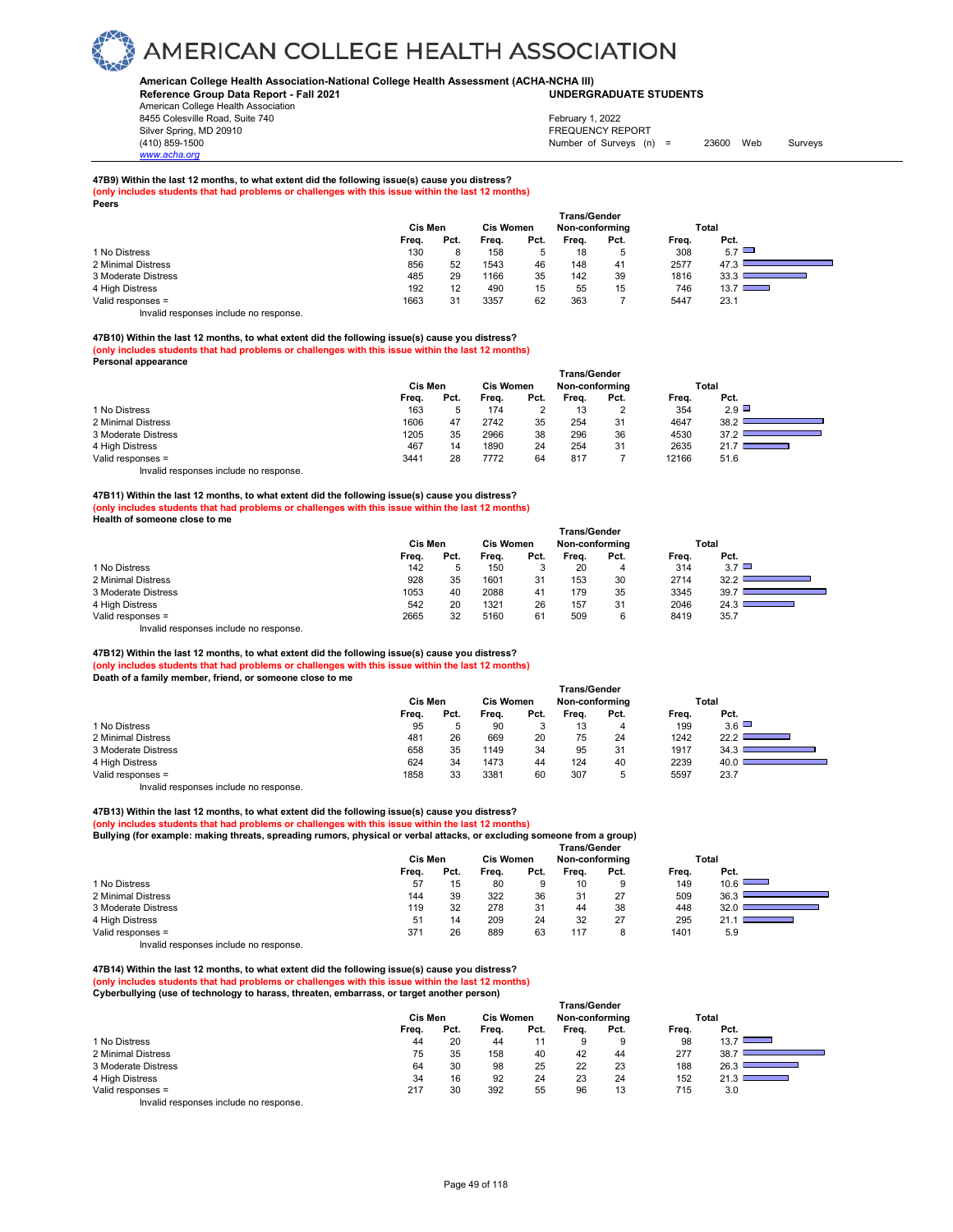#### **American College Health Association-National College Health Assessment (ACHA-NCHA III) UNDERGRADUATE STUDENTS**

**Reference Group Data Report - Fall 2021** American College Health Association 8455 Colesville Road, Suite 740

Silver Spring, MD 20910<br>
1990 - The Spring, MD 20910<br>
1990 - The Survey Structure of Surveys (notation of Surveys (notation of Surveys (notation of Surveys (notati Number of Surveys (n) = 23600 Web Surveys February 1, 2022

### **47B9) Within the last 12 months, to what extent did the following issue(s) cause you distress?**

**(only includes students that had problems or challenges with this issue within the last 12 months)**

|                     | Cis Men |      | <b>Cis Women</b> |      | <b>Trans/Gender</b><br>Non-conforming |      |       | Total        |
|---------------------|---------|------|------------------|------|---------------------------------------|------|-------|--------------|
|                     | Freq.   | Pct. | Freq.            | Pct. | Freq.                                 | Pct. | Freq. | Pct.         |
| 1 No Distress       | 130     |      | 158              | 5    | 18                                    | b    | 308   | $5.7$ $\Box$ |
| 2 Minimal Distress  | 856     | 52   | 1543             | 46   | 148                                   | 41   | 2577  | 47.3         |
| 3 Moderate Distress | 485     | 29   | 1166             | 35   | 142                                   | 39   | 1816  | 33.3         |
| 4 High Distress     | 192     | 12   | 490              | 15   | 55                                    | 15   | 746   | $13.7 \Box$  |
| Valid responses =   | 1663    | 31   | 3357             | 62   | 363                                   |      | 5447  | 23.1         |

Invalid responses include no response.

#### **47B10) Within the last 12 months, to what extent did the following issue(s) cause you distress? (only includes students that had problems or challenges with this issue within the last 12 months)**

**Personal appearance** 

*www.acha.org*

**Peers**

|                     | <b>Trans/Gender</b> |      |                  |      |                |      |       |       |  |  |  |
|---------------------|---------------------|------|------------------|------|----------------|------|-------|-------|--|--|--|
|                     | Cis Men             |      | <b>Cis Women</b> |      | Non-conforming |      |       | Total |  |  |  |
|                     | Freq.               | Pct. | Freq.            | Pct. | Frea.          | Pct. | Freq. | Pct.  |  |  |  |
| 1 No Distress       | 163                 |      | 174              |      | 13             | 2    | 354   | 2.9   |  |  |  |
| 2 Minimal Distress  | 1606                | 47   | 2742             | 35   | 254            | 31   | 4647  | 38.2  |  |  |  |
| 3 Moderate Distress | 1205                | 35   | 2966             | 38   | 296            | 36   | 4530  | 37.2  |  |  |  |
| 4 High Distress     | 467                 | 14   | 1890             | 24   | 254            | 31   | 2635  | 21.7  |  |  |  |
| Valid responses =   | 3441                | 28   | 7772             | 64   | 817            |      | 12166 | 51.6  |  |  |  |

Invalid responses include no response.

**47B11) Within the last 12 months, to what extent did the following issue(s) cause you distress? (only includes students that had problems or challenges with this issue within the last 12 months) Health of someone close to me** 

|                                          | Trans/Gender |      |                  |      |                |      |       |       |  |  |  |
|------------------------------------------|--------------|------|------------------|------|----------------|------|-------|-------|--|--|--|
|                                          | Cis Men      |      | <b>Cis Women</b> |      | Non-conforming |      |       | Total |  |  |  |
|                                          | Freq.        | Pct. | Freq.            | Pct. | Frea.          | Pct. | Freq. | Pct.  |  |  |  |
| 1 No Distress                            | 142          |      | 150              |      | 20             | 4    | 314   | 3.7   |  |  |  |
| 2 Minimal Distress                       | 928          | 35   | 1601             | 31   | 153            | 30   | 2714  | 32.2  |  |  |  |
| 3 Moderate Distress                      | 1053         | 40   | 2088             | 41   | 179            | 35   | 3345  | 39.7  |  |  |  |
| 4 High Distress                          | 542          | 20   | 1321             | 26   | 157            | 31   | 2046  | 24.3  |  |  |  |
| Valid responses =                        | 2665         | 32   | 5160             | 61   | 509            | 6    | 8419  | 35.7  |  |  |  |
| Involid reapenance include no reapenance |              |      |                  |      |                |      |       |       |  |  |  |

Invalid responses include no response.

### **47B12) Within the last 12 months, to what extent did the following issue(s) cause you distress? (only includes students that had problems or challenges with this issue within the last 12 months)**

**Death of a family member, friend, or someone close to me** 

|                     | <b>Trans/Gender</b> |      |                  |      |                |      |       |              |  |  |  |
|---------------------|---------------------|------|------------------|------|----------------|------|-------|--------------|--|--|--|
|                     | Cis Men             |      | <b>Cis Women</b> |      | Non-conforming |      |       | Total        |  |  |  |
|                     | Freq.               | Pct. | Freq.            | Pct. | Frea.          | Pct. | Freq. | Pct.         |  |  |  |
| 1 No Distress       | 95                  |      | 90               | 3    | 13             | 4    | 199   | $3.6$ $\Box$ |  |  |  |
| 2 Minimal Distress  | 481                 | 26   | 669              | 20   | 75             | 24   | 1242  | 22.2         |  |  |  |
| 3 Moderate Distress | 658                 | 35   | 1149             | 34   | 95             | 31   | 1917  | 34.3         |  |  |  |
| 4 High Distress     | 624                 | 34   | 1473             | 44   | 124            | 40   | 2239  | 40.0         |  |  |  |
| Valid responses =   | 1858                | 33   | 3381             | 60   | 307            | 5    | 5597  | 23.7         |  |  |  |

Invalid responses include no response.

#### **47B13) Within the last 12 months, to what extent did the following issue(s) cause you distress? (only includes students that had problems or challenges with this issue within the last 12 months)**

**Bullying (for example: making threats, spreading rumors, physical or verbal attacks, or excluding someone from a group)**

|                     | <b>Trans/Gender</b> |      |                  |      |                |      |       |      |  |  |
|---------------------|---------------------|------|------------------|------|----------------|------|-------|------|--|--|
|                     | <b>Cis Men</b>      |      | <b>Cis Women</b> |      | Non-conforming |      | Total |      |  |  |
|                     | Freq.               | Pct. | Freq.            | Pct. | Freq.          | Pct. | Freq. | Pct. |  |  |
| 1 No Distress       | 57                  | 15   | 80               | 9    | 10             | 9    | 149   | 10.6 |  |  |
| 2 Minimal Distress  | 144                 | 39   | 322              | 36   | 31             | 27   | 509   | 36.3 |  |  |
| 3 Moderate Distress | 119                 | 32   | 278              | 31   | 44             | 38   | 448   | 32.0 |  |  |
| 4 High Distress     | 51                  | 14   | 209              | 24   | 32             | 27   | 295   | 21.1 |  |  |
| Valid responses =   | 371                 | 26   | 889              | 63   | 117            | 8    | 1401  | 5.9  |  |  |

Invalid responses include no response.

**47B14) Within the last 12 months, to what extent did the following issue(s) cause you distress? (only includes students that had problems or challenges with this issue within the last 12 months) Cyberbullying (use of technology to harass, threaten, embarrass, or target another person)** 

|                     | <b>Trans/Gender</b> |         |       |                  |       |                |       |                           |  |  |  |
|---------------------|---------------------|---------|-------|------------------|-------|----------------|-------|---------------------------|--|--|--|
|                     |                     | Cis Men |       | <b>Cis Women</b> |       | Non-conforming |       | Total                     |  |  |  |
|                     | Freq.               | Pct.    | Frea. | Pct.             | Frea. | Pct.           | Freq. | Pct.                      |  |  |  |
| 1 No Distress       | 44                  | 20      | 44    |                  | 9     | 9              | 98    | 13.7<br><b>STATISTICS</b> |  |  |  |
| 2 Minimal Distress  | 75                  | 35      | 158   | 40               | 42    | 44             | 277   | 38.7                      |  |  |  |
| 3 Moderate Distress | 64                  | 30      | 98    | 25               | 22    | 23             | 188   | 26.3                      |  |  |  |
| 4 High Distress     | 34                  | 16      | 92    | 24               | 23    | 24             | 152   | ╼═                        |  |  |  |
| Valid responses =   | 217                 | 30      | 392   | 55               | 96    | 13             | 715   | 3.0                       |  |  |  |
|                     |                     |         |       |                  |       |                |       |                           |  |  |  |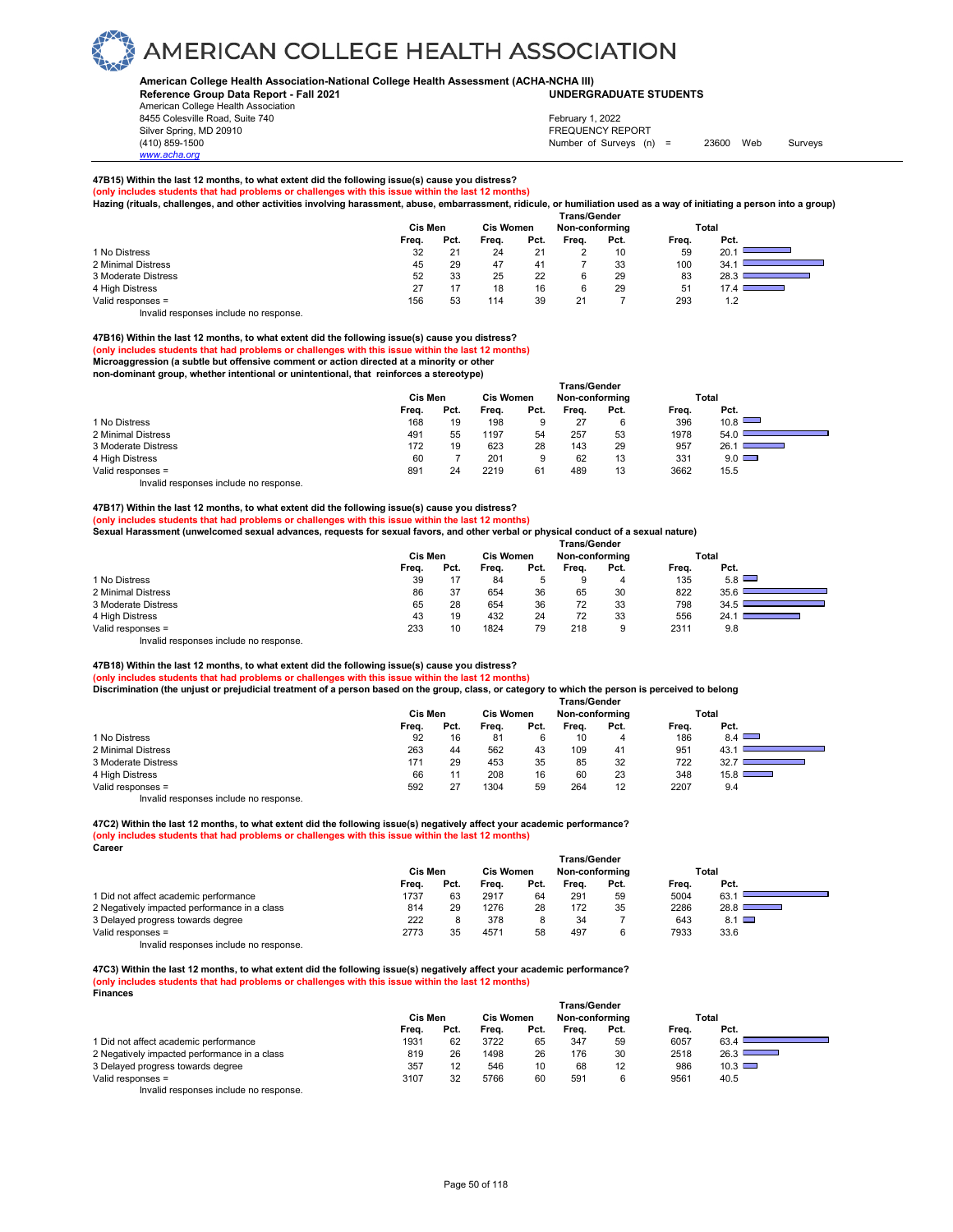#### **American College Health Association-National College Health Assessment (ACHA-NCHA III) UNDERGRADUATE STUDENTS**

**Reference Group Data Report - Fall 2021** American College Health Association 8455 Colesville Road, Suite 740

*www.acha.org*

#### Silver Spring, MD 20910<br>
1990 - The Spring, MD 20910<br>
1990 - The Survey Structure of Surveys (notation of Surveys (notation of Surveys (notation of Surveys (notati Number of Surveys (n) = 23600 Web Surveys February 1, 2022

### **47B15) Within the last 12 months, to what extent did the following issue(s) cause you distress?**

**(only includes students that had problems or challenges with this issue within the last 12 months)**

**Hazing (rituals, challenges, and other activities involving harassment, abuse, embarrassment, ridicule, or humiliation used as a way of initiating a person into a group)**

|                     |       |         |       |                  | <b>Trans/Gender</b> |      |       |                                           |
|---------------------|-------|---------|-------|------------------|---------------------|------|-------|-------------------------------------------|
|                     |       | Cis Men |       | <b>Cis Women</b> | Non-conforming      |      |       | Total                                     |
|                     | Freq. | Pct.    | Frea. | Pct.             | Frea.               | Pct. | Freq. | Pct.                                      |
| 1 No Distress       | 32    | 21      | 24    | 21               |                     | 10   | 59    | 20.1                                      |
| 2 Minimal Distress  | 45    | 29      | 47    | 41               |                     | 33   | 100   | 34.1                                      |
| 3 Moderate Distress | 52    | 33      | 25    | 22               |                     | 29   | 83    | 28.3                                      |
| 4 High Distress     | 27    |         | 18    | 16               |                     | 29   | 51    | 17.4<br><b>Contract Contract Contract</b> |
| Valid responses =   | 156   | 53      | 114   | 39               | 21                  |      | 293   | 1.2                                       |

Invalid responses include no response.

#### **47B16) Within the last 12 months, to what extent did the following issue(s) cause you distress?**

**(only includes students that had problems or challenges with this issue within the last 12 months)**

**Microaggression (a subtle but offensive comment or action directed at a minority or other non-dominant group, whether intentional or unintentional, that reinforces a stereotype)** 

|                                        | Trans/Gender |      |                  |      |                |      |       |                                  |  |  |
|----------------------------------------|--------------|------|------------------|------|----------------|------|-------|----------------------------------|--|--|
|                                        | Cis Men      |      | <b>Cis Women</b> |      | Non-conforming |      |       | Total                            |  |  |
|                                        | Freq.        | Pct. | Freq.            | Pct. | Frea.          | Pct. | Freq. | Pct.                             |  |  |
| 1 No Distress                          | 168          | 19   | 198              | 9    | 27             | 6    | 396   | 10.8                             |  |  |
| 2 Minimal Distress                     | 491          | 55   | 1197             | 54   | 257            | 53   | 1978  | 54.0                             |  |  |
| 3 Moderate Distress                    | 172          | 19   | 623              | 28   | 143            | 29   | 957   | 26.1<br><b>Contract Contract</b> |  |  |
| 4 High Distress                        | 60           |      | 201              | 9    | 62             | 13   | 331   | $9.0$ $\Box$                     |  |  |
| Valid responses =                      | 891          | 24   | 2219             | 61   | 489            | 13   | 3662  | 15.5                             |  |  |
| Invalid responses include no response. |              |      |                  |      |                |      |       |                                  |  |  |

#### **47B17) Within the last 12 months, to what extent did the following issue(s) cause you distress?**

**(only includes students that had problems or challenges with this issue within the last 12 months)**

**Sexual Harassment (unwelcomed sexual advances, requests for sexual favors, and other verbal or physical conduct of a sexual nature)**

|                                        | <b>Trans/Gender</b> |      |                  |      |                |      |       |              |  |  |  |
|----------------------------------------|---------------------|------|------------------|------|----------------|------|-------|--------------|--|--|--|
|                                        | Cis Men             |      | <b>Cis Women</b> |      | Non-conforming |      |       | Total        |  |  |  |
|                                        | Frea.               | Pct. | Freq.            | Pct. | Frea.          | Pct. | Freq. | Pct.         |  |  |  |
| 1 No Distress                          | 39                  |      | 84               |      | 9              | 4    | 135   | $5.8$ $\Box$ |  |  |  |
| 2 Minimal Distress                     | 86                  | 37   | 654              | 36   | 65             | 30   | 822   | 35.6         |  |  |  |
| 3 Moderate Distress                    | 65                  | 28   | 654              | 36   | 72             | 33   | 798   | 34.5         |  |  |  |
| 4 High Distress                        | 43                  | 19   | 432              | 24   | 72             | 33   | 556   | 24.1         |  |  |  |
| Valid responses =                      | 233                 | 10   | 1824             | 79   | 218            | 9    | 2311  | 9.8          |  |  |  |
| Invalid responses include no response. |                     |      |                  |      |                |      |       |              |  |  |  |

**47B18) Within the last 12 months, to what extent did the following issue(s) cause you distress?** 

**(only includes students that had problems or challenges with this issue within the last 12 months)**

**Discrimination (the unjust or prejudicial treatment of a person based on the group, class, or category to which the person is perceived to belong** 

|                     | <b>Trans/Gender</b> |      |                  |      |                |      |       |               |  |  |
|---------------------|---------------------|------|------------------|------|----------------|------|-------|---------------|--|--|
|                     | Cis Men             |      | <b>Cis Women</b> |      | Non-conforming |      |       | Total         |  |  |
|                     | Freq.               | Pct. | Frea.            | Pct. | Frea.          | Pct. | Freq. | Pct.          |  |  |
| 1 No Distress       | 92                  | 16   | 81               |      | 10             | 4    | 186   | 8.4           |  |  |
| 2 Minimal Distress  | 263                 | 44   | 562              | 43   | 109            | 41   | 951   | 43.           |  |  |
| 3 Moderate Distress | 171                 | 29   | 453              | 35   | 85             | 32   | 722   | 32.           |  |  |
| 4 High Distress     | 66                  |      | 208              | 16   | 60             | 23   | 348   | $15.8$ $\Box$ |  |  |
| Valid responses =   | 592                 |      | 1304             | 59   | 264            | 12   | 2207  | 9.4           |  |  |

Invalid responses include no response.

**47C2) Within the last 12 months, to what extent did the following issue(s) negatively affect your academic performance? (only includes students that had problems or challenges with this issue within the last 12 months) Career** 

|                                              | <b>Trans/Gender</b> |      |                  |      |                |      |       |                           |  |  |  |
|----------------------------------------------|---------------------|------|------------------|------|----------------|------|-------|---------------------------|--|--|--|
|                                              | Cis Men             |      | <b>Cis Women</b> |      | Non-conforming |      |       | Total                     |  |  |  |
|                                              | Frea.               | Pct. | Frea.            | Pct. | Frea.          | Pct. | Freq. | Pct.                      |  |  |  |
| 1 Did not affect academic performance        | 1737                | 63   | 2917             | 64   | 291            | 59   | 5004  | 63.                       |  |  |  |
| 2 Negatively impacted performance in a class | 814                 | 29   | 1276             | 28   | 172            | 35   | 2286  | 28.8<br><b>STATISTICS</b> |  |  |  |
| 3 Delayed progress towards degree            | 222                 |      | 378              |      | 34             |      | 643   | $8.1$ $\Box$              |  |  |  |
| Valid responses =                            | 2773                | 35   | 4571             | 58   | 497            | 6    | 7933  | 33.6                      |  |  |  |
| .<br>.                                       |                     |      |                  |      |                |      |       |                           |  |  |  |

Invalid responses include no response.

**47C3) Within the last 12 months, to what extent did the following issue(s) negatively affect your academic performance? (only includes students that had problems or challenges with this issue within the last 12 months) Finances** 

|                                              | Cis Men |      | <b>Cis Women</b> |      | <b>Trans/Gender</b><br>Non-conforming |      |       | Total                            |
|----------------------------------------------|---------|------|------------------|------|---------------------------------------|------|-------|----------------------------------|
|                                              | Freq.   | Pct. | Freq.            | Pct. | Frea.                                 | Pct. | Freq. | Pct.                             |
| 1 Did not affect academic performance        | 1931    | 62   | 3722             | 65   | 347                                   | 59   | 6057  | 63.4                             |
| 2 Negatively impacted performance in a class | 819     | 26   | 1498             | 26   | 176                                   | 30   | 2518  | 26.3<br><b>STATE OF BUILDING</b> |
| 3 Delayed progress towards degree            | 357     | 12   | 546              | 10   | 68                                    | 12   | 986   | $10.3$ $\Box$                    |
| Valid responses =                            | 3107    | 32   | 5766             | 60   | 591                                   |      | 9561  | 40.5                             |
|                                              |         |      |                  |      |                                       |      |       |                                  |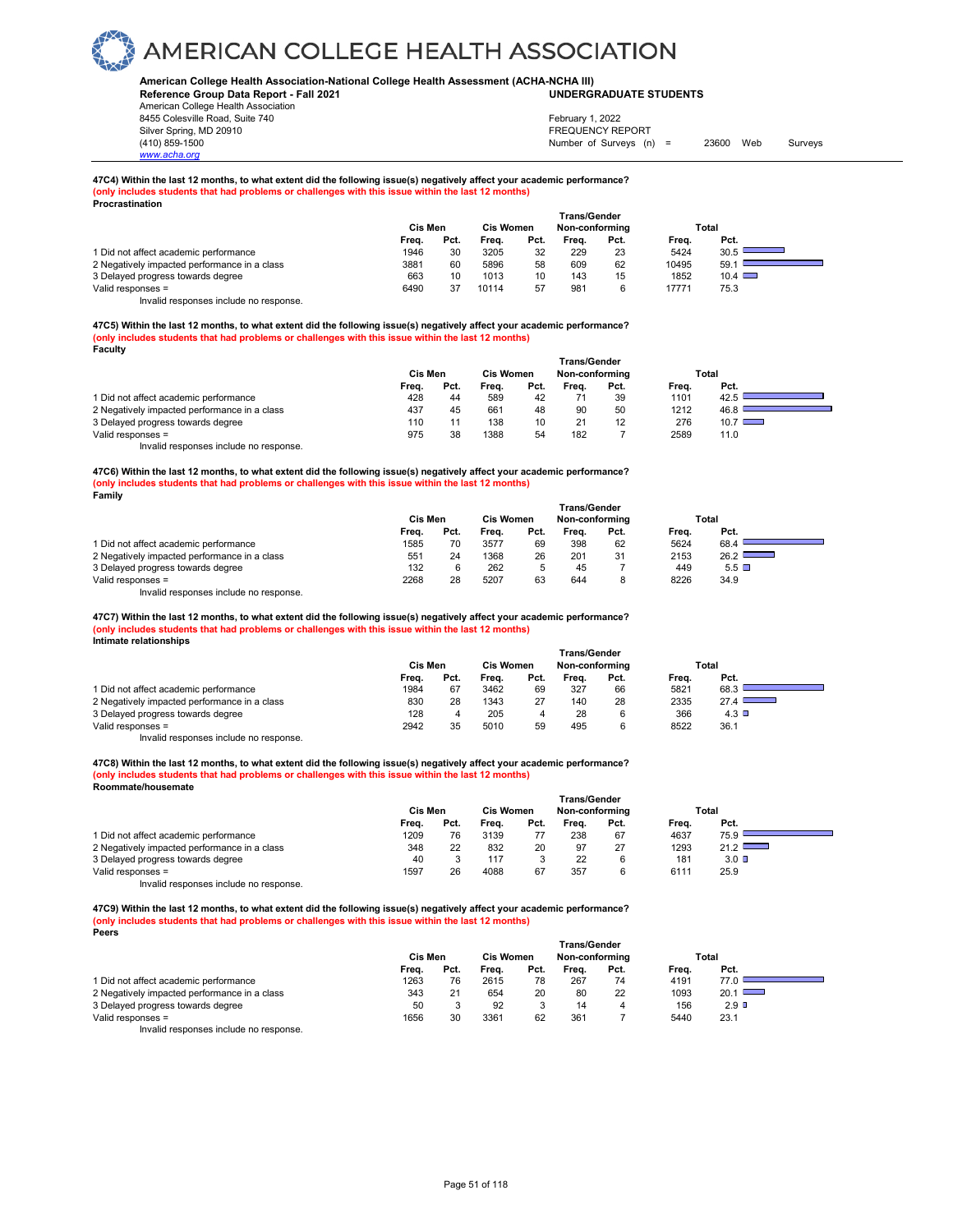#### **American College Health Association-National College Health Assessment (ACHA-NCHA III) UNDERGRADUATE STUDENTS**

**Reference Group Data Report - Fall 2021** American College Health Association 8455 Colesville Road, Suite 740

*www.acha.org*

Silver Spring, MD 20910<br>
1990 - The Spring, MD 20910<br>
1990 - The Survey Structure of Surveys (notation of Surveys (notation of Surveys (notation of Surveys (notati Number of Surveys (n) = 23600 Web Surveys February 1, 2022

#### **47C4) Within the last 12 months, to what extent did the following issue(s) negatively affect your academic performance? (only includes students that had problems or challenges with this issue within the last 12 months) Procrastination**

|                                              | <b>Trans/Gender</b> |      |                  |      |                |      |       |               |  |  |
|----------------------------------------------|---------------------|------|------------------|------|----------------|------|-------|---------------|--|--|
|                                              | Cis Men             |      | <b>Cis Women</b> |      | Non-conforming |      |       | Total         |  |  |
|                                              | Freq.               | Pct. | Frea.            | Pct. | Frea.          | Pct. | Frea. | Pct.          |  |  |
| 1 Did not affect academic performance        | 1946                | 30   | 3205             | 32   | 229            | 23   | 5424  | 30.5          |  |  |
| 2 Negatively impacted performance in a class | 3881                | 60   | 5896             | 58   | 609            | 62   | 10495 | 59.           |  |  |
| 3 Delayed progress towards degree            | 663                 | 10   | 1013             | 10   | 143            | 15   | 1852  | $10.4$ $\Box$ |  |  |
| Valid responses =                            | 6490                |      | 10114            | 57   | 981            | 6    | 17771 | 75.3          |  |  |

Invalid responses include no response.

**47C5) Within the last 12 months, to what extent did the following issue(s) negatively affect your academic performance? (only includes students that had problems or challenges with this issue within the last 12 months) Faculty** 

|                                              | <b>Trans/Gender</b> |      |                  |      |                |      |       |               |  |  |
|----------------------------------------------|---------------------|------|------------------|------|----------------|------|-------|---------------|--|--|
|                                              | Cis Men             |      | <b>Cis Women</b> |      | Non-conforming |      | Total |               |  |  |
|                                              | Frea.               | Pct. | Freq.            | Pct. | Frea.          | Pct. | Frea. | Pct.          |  |  |
| 1 Did not affect academic performance        | 428                 | 44   | 589              | 42   |                | 39   | 1101  | 42.5          |  |  |
| 2 Negatively impacted performance in a class | 437                 | 45   | 661              | 48   | 90             | 50   | 1212  | 46.8          |  |  |
| 3 Delayed progress towards degree            | 110                 | 11   | 138              | 10   | 21             | 12   | 276   | $10.7$ $\Box$ |  |  |
| Valid responses =                            | 975                 | 38   | 1388             | 54   | 182            |      | 2589  | 11.0          |  |  |
| Invalid responses include no response.       |                     |      |                  |      |                |      |       |               |  |  |

**47C6) Within the last 12 months, to what extent did the following issue(s) negatively affect your academic performance? (only includes students that had problems or challenges with this issue within the last 12 months) Family** 

|                                              | Trans/Gender |      |                  |      |       |                |       |           |  |  |  |
|----------------------------------------------|--------------|------|------------------|------|-------|----------------|-------|-----------|--|--|--|
|                                              | Cis Men      |      | <b>Cis Women</b> |      |       | Non-conforming |       | Total     |  |  |  |
|                                              | Freq.        | Pct. | Frea.            | Pct. | Frea. | Pct.           | Frea. | Pct.      |  |  |  |
| 1 Did not affect academic performance        | 1585         |      | 3577             | 69   | 398   | 62             | 5624  | 68.4      |  |  |  |
| 2 Negatively impacted performance in a class | 551          | 24   | 1368             | 26   | 201   | 31             | 2153  | $26.2$ I  |  |  |  |
| 3 Delayed progress towards degree            | 132          |      | 262              |      | 45    |                | 449   | $5.5\Box$ |  |  |  |
| Valid responses =                            | 2268         | 28   | 5207             | 63   | 644   | 8              | 8226  | 34.9      |  |  |  |

Invalid responses include no response.

47C7) Within the last 12 months, to what extent did the following issue(s) negatively affect your academic performance?<br>(only includes students that had problems or challenges with this issue within the last 12 months) **Intimate relationships** 

|                                              | <b>Trans/Gender</b> |      |                  |      |                |      |       |       |  |  |
|----------------------------------------------|---------------------|------|------------------|------|----------------|------|-------|-------|--|--|
|                                              | Cis Men             |      | <b>Cis Women</b> |      | Non-conforming |      |       | Total |  |  |
|                                              | Freq.               | Pct. | Frea.            | Pct. | Frea.          | Pct. | Frea. | Pct.  |  |  |
| 1 Did not affect academic performance        | 1984                | 67   | 3462             | 69   | 327            | 66   | 5821  | 68.3  |  |  |
| 2 Negatively impacted performance in a class | 830                 | 28   | 1343             | 27   | 140            | 28   | 2335  | 27.4  |  |  |
| 3 Delayed progress towards degree            | 128                 |      | 205              | 4    | 28             | 6    | 366   | 4.3   |  |  |
| Valid responses =                            | 2942                | 35   | 5010             | 59   | 495            | 6    | 8522  | 36.1  |  |  |
| Invalid responses include no response.       |                     |      |                  |      |                |      |       |       |  |  |

**47C8) Within the last 12 months, to what extent did the following issue(s) negatively affect your academic performance?** 

**(only includes students that had problems or challenges with this issue within the last 12 months) Roommate/housemate** 

|                                              | <b>Cis Men</b><br><b>Cis Women</b> |      |       |      | Total |      |       |      |
|----------------------------------------------|------------------------------------|------|-------|------|-------|------|-------|------|
|                                              | Frea.                              | Pct. | Frea. | Pct. | Frea. | Pct. | Frea. | Pct. |
| 1 Did not affect academic performance        | 1209                               | 76   | 3139  |      | 238   | 67   | 4637  | 75.9 |
| 2 Negatively impacted performance in a class | 348                                | 22   | 832   | 20   | 97    | 27   | 1293  | 21.2 |
| 3 Delayed progress towards degree            | 40                                 |      | 117   |      | 22    | 6    | 181   | 3.0  |
| Valid responses =                            | 1597                               | 26   | 4088  | 67   | 357   | 6    | 6111  | 25.9 |

Invalid responses include no response.

**47C9) Within the last 12 months, to what extent did the following issue(s) negatively affect your academic performance? (only includes students that had problems or challenges with this issue within the last 12 months) Peers** 

|                                              | <b>Trans/Gender</b> |      |                  |      |                |      |       |         |  |  |
|----------------------------------------------|---------------------|------|------------------|------|----------------|------|-------|---------|--|--|
|                                              | Cis Men             |      | <b>Cis Women</b> |      | Non-conforming |      | Total |         |  |  |
|                                              | Frea.               | Pct. | Frea.            | Pct. | Frea.          | Pct. | Frea. | Pct.    |  |  |
| 1 Did not affect academic performance        | 1263                | 76   | 2615             | 78   | 267            | 74   | 4191  |         |  |  |
| 2 Negatively impacted performance in a class | 343                 | 21   | 654              | 20   | 80             | 22   | 1093  | 20.1    |  |  |
| 3 Delayed progress towards degree            | 50                  |      | 92               |      | 14             |      | 156   | $2.9$ D |  |  |
| Valid responses =                            | 1656                | 30   | 3361             | 62   | 361            |      | 5440  | 23.1    |  |  |
| Involid responses include no response        |                     |      |                  |      |                |      |       |         |  |  |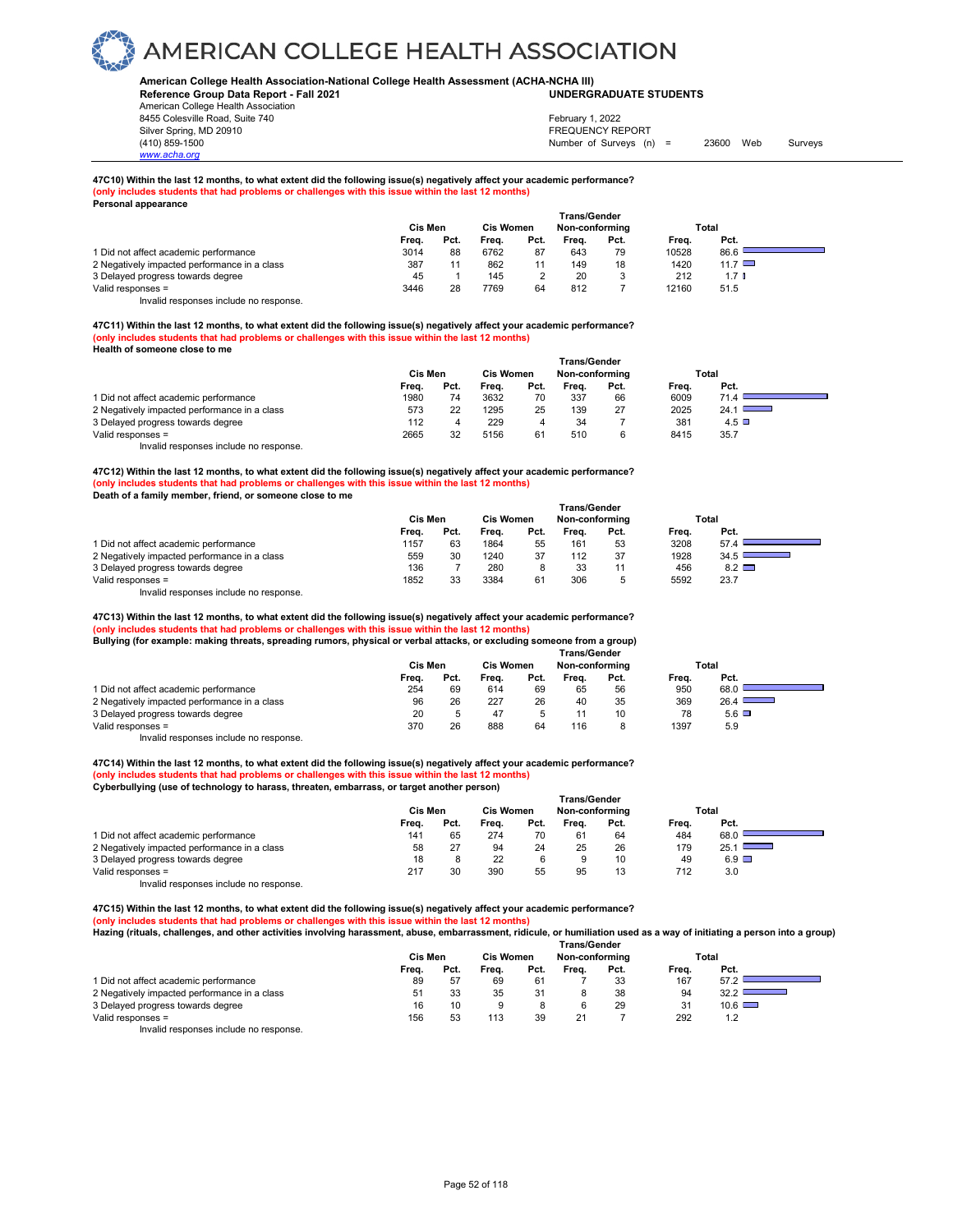**American College Health Association-National College Health Assessment (ACHA-NCHA III) UNDERGRADUATE STUDENTS**

**Reference Group Data Report - Fall 2021** American College Health Association 8455 Colesville Road, Suite 740

Silver Spring, MD 20910<br>
1990 - The Spring, MD 20910<br>
1990 - The Survey Structure of Surveys (notation of Surveys (notation of Surveys (notation of Surveys (notati Number of Surveys (n) = 23600 Web Surveys February 1, 2022

h

#### **47C10) Within the last 12 months, to what extent did the following issue(s) negatively affect your academic performance? (only includes students that had problems or challenges with this issue within the last 12 months) Personal appearance**

| .                                            | Cis Men |      | <b>Cis Women</b> |      | Trans/Gender<br>Non-conformina |      |       | Total       |
|----------------------------------------------|---------|------|------------------|------|--------------------------------|------|-------|-------------|
|                                              | Freq.   | Pct. | Frea.            | Pct. | Frea.                          | Pct. | Freq. | Pct.        |
| 1 Did not affect academic performance        | 3014    | 88   | 6762             | 87   | 643                            | 79   | 10528 | 86.6        |
| 2 Negatively impacted performance in a class | 387     |      | 862              |      | 149                            | 18   | 1420  | 11.7 $\Box$ |
| 3 Delayed progress towards degree            | 45      |      | 145              |      | 20                             |      | 212   | 1.7 ∎       |
| Valid responses =                            | 3446    | 28   | 7769             | 64   | 812                            |      | 12160 | 51.5        |

Invalid responses include no response.

*www.acha.org*

**47C11) Within the last 12 months, to what extent did the following issue(s) negatively affect your academic performance? (only includes students that had problems or challenges with this issue within the last 12 months) Health of someone close to me** 

|                                              | Trans/Gender |      |       |                                    |       |      |       |              |  |  |
|----------------------------------------------|--------------|------|-------|------------------------------------|-------|------|-------|--------------|--|--|
|                                              | Cis Men      |      |       | <b>Cis Women</b><br>Non-conforming |       |      |       | Total        |  |  |
|                                              | Frea.        | Pct. | Frea. | Pct.                               | Frea. | Pct. | Frea. | Pct.         |  |  |
| 1 Did not affect academic performance        | 1980         | 74   | 3632  | 70                                 | 337   | 66   | 6009  | 71.4         |  |  |
| 2 Negatively impacted performance in a class | 573          | 22   | 1295  | 25                                 | 139   | 27   | 2025  | 24.1         |  |  |
| 3 Delayed progress towards degree            | 112          |      | 229   |                                    | 34    |      | 381   | $4.5$ $\Box$ |  |  |
| Valid responses =                            | 2665         | 32   | 5156  | 61                                 | 510   | 6    | 8415  | 35.7         |  |  |
| Invalid responses include no response.       |              |      |       |                                    |       |      |       |              |  |  |

**47C12) Within the last 12 months, to what extent did the following issue(s) negatively affect your academic performance? (only includes students that had problems or challenges with this issue within the last 12 months)**

**Death of a family member, friend, or someone close to me** 

|                                              | <b>Trans/Gender</b> |      |       |                                    |       |      |       |              |  |  |
|----------------------------------------------|---------------------|------|-------|------------------------------------|-------|------|-------|--------------|--|--|
|                                              | Cis Men             |      |       | <b>Cis Women</b><br>Non-conformina |       |      |       | Total        |  |  |
|                                              | Frea.               | Pct. | Frea. | Pct.                               | Frea. | Pct. | Frea. | Pct.         |  |  |
| 1 Did not affect academic performance        | 1157                | 63   | 1864  | 55                                 | 161   | 53   | 3208  | 57.4         |  |  |
| 2 Negatively impacted performance in a class | 559                 | 30   | 1240  | 37                                 | 112   | 37   | 1928  | 34.5         |  |  |
| 3 Delayed progress towards degree            | 136                 |      | 280   | 8                                  | 33    |      | 456   | $8.2$ $\Box$ |  |  |
| Valid responses =                            | 1852                |      | 3384  | 61                                 | 306   |      | 5592  | 23.7         |  |  |

Invalid responses include no response.

**47C13) Within the last 12 months, to what extent did the following issue(s) negatively affect your academic performance? (only includes students that had problems or challenges with this issue within the last 12 months)**

| Bullying (for example: making threats, spreading rumors, physical or verbal attacks, or excluding someone from a group) |
|-------------------------------------------------------------------------------------------------------------------------|
|                                                                                                                         |
| <b>Trans/Gender</b>                                                                                                     |
|                                                                                                                         |

|                                              |                |      |                  |      | ı rans/Gender  |      |       |      |
|----------------------------------------------|----------------|------|------------------|------|----------------|------|-------|------|
|                                              | <b>Cis Men</b> |      | <b>Cis Women</b> |      | Non-conforming |      | Total |      |
|                                              | Frea.          | Pct. | Frea.            | Pct. | Frea.          | Pct. | Frea. | Pct. |
| 1 Did not affect academic performance        | 254            | 69   | 614              | 69   | 65             | 56   | 950   | 68.0 |
| 2 Negatively impacted performance in a class | 96             | 26   | 227              | 26   | 40             | 35   | 369   | 26.4 |
| 3 Delayed progress towards degree            | 20             | 5    | 47               |      |                | 10   | 78    | 5.6  |
| Valid responses =                            | 370            | 26   | 888              | 64   | 116            |      | 1397  | 5.9  |
| .                                            |                |      |                  |      |                |      |       |      |

Invalid responses include no response.

**47C14) Within the last 12 months, to what extent did the following issue(s) negatively affect your academic performance? (only includes students that had problems or challenges with this issue within the last 12 months) Cyberbullying (use of technology to harass, threaten, embarrass, or target another person)**

|                                              | <b>Trans/Gender</b> |      |       |                                    |       |      |       |                                  |  |  |  |
|----------------------------------------------|---------------------|------|-------|------------------------------------|-------|------|-------|----------------------------------|--|--|--|
|                                              | Cis Men             |      |       | <b>Cis Women</b><br>Non-conforming |       |      | Total |                                  |  |  |  |
|                                              | Frea.               | Pct. | Frea. | Pct.                               | Frea. | Pct. | Freq. | Pct.                             |  |  |  |
| 1 Did not affect academic performance        | 141                 | 65   | 274   | 70                                 | 61    | 64   | 484   | 68.0                             |  |  |  |
| 2 Negatively impacted performance in a class | 58                  |      | 94    | 24                                 | 25    | 26   | 179   | 25.1<br><b>Contract Contract</b> |  |  |  |
| 3 Delayed progress towards degree            | 18                  |      | 22    |                                    |       | 10   | 49    | $6.9$ $\Box$                     |  |  |  |
| Valid responses =                            | 217                 | 30   | 390   | 55                                 | 95    | 13   | 712   | 3.0                              |  |  |  |
| .                                            |                     |      |       |                                    |       |      |       |                                  |  |  |  |

Invalid responses include no response.

**47C15) Within the last 12 months, to what extent did the following issue(s) negatively affect your academic performance? (only includes students that had problems or challenges with this issue within the last 12 months) Hazing (rituals, challenges, and other activities involving harassment, abuse, embarrassment, ridicule, or humiliation used as a way of initiating a person into a group)** 

|                                              | Trans/Gender |      |                                    |                |       |      |       |               |  |  |  |
|----------------------------------------------|--------------|------|------------------------------------|----------------|-------|------|-------|---------------|--|--|--|
|                                              | Cis Men      |      | <b>Cis Women</b><br>Non-conforming |                |       |      | Total |               |  |  |  |
|                                              | Freq.        | Pct. | Frea.                              | Pct.           | Frea. | Pct. | Frea. | Pct.          |  |  |  |
| 1 Did not affect academic performance        | 89           | 57   | 69                                 | 61             |       | 33   | 167   | 57.2          |  |  |  |
| 2 Negatively impacted performance in a class | 51           | 33   | 35                                 | 3 <sup>1</sup> |       | 38   | 94    | 32.2          |  |  |  |
| 3 Delayed progress towards degree            | 16           | 10   | 9                                  |                | 6     | 29   | 31    | $10.6$ $\Box$ |  |  |  |
| Valid responses =                            | 156          | 53   | 113                                | 39             | 21    |      | 292   | 1.2           |  |  |  |
| Involid responses include no response        |              |      |                                    |                |       |      |       |               |  |  |  |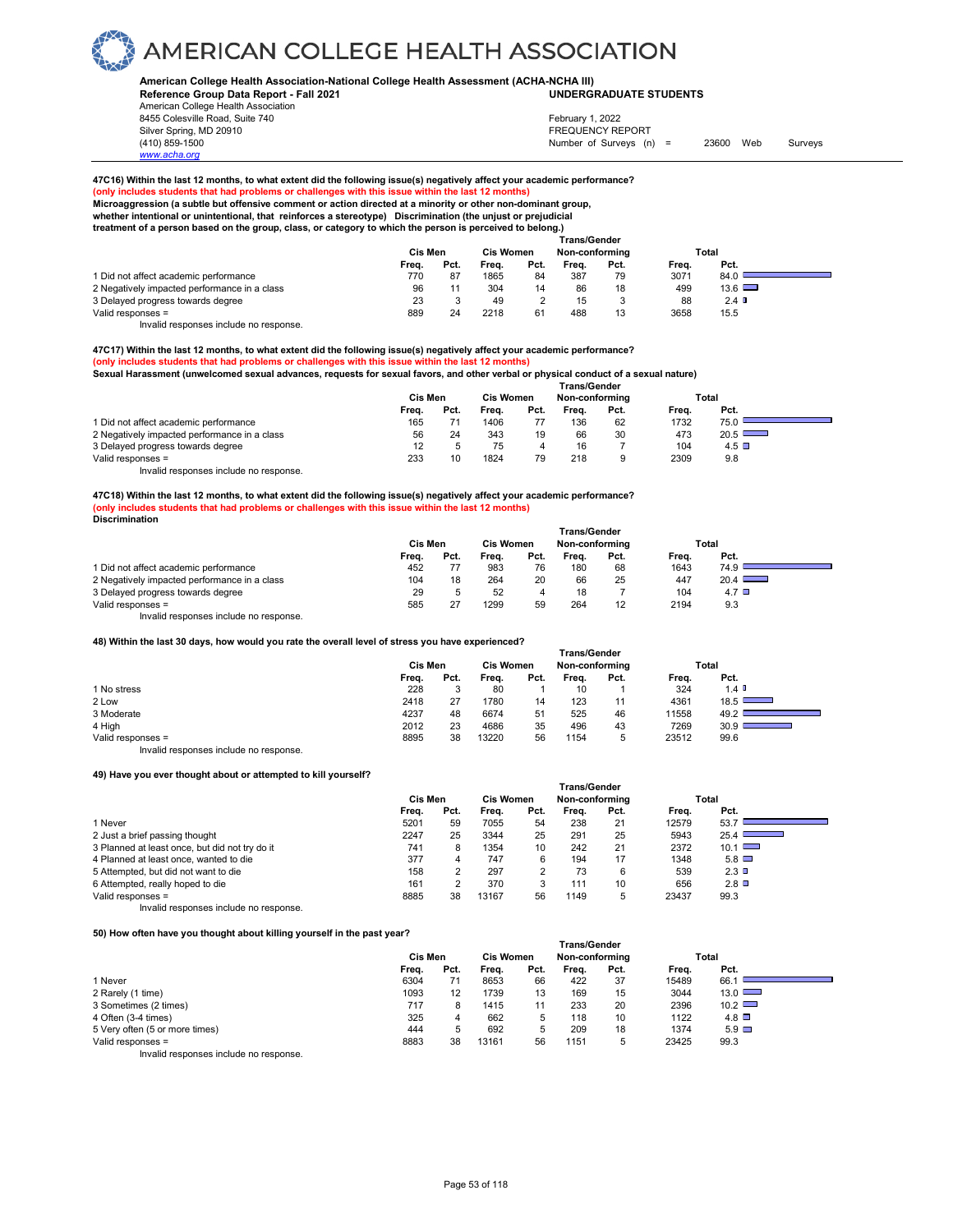#### **American College Health Association-National College Health Assessment (ACHA-NCHA III) UNDERGRADUATE STUDENTS**

**Reference Group Data Report - Fall 2021** American College Health Association 8455 Colesville Road, Suite 740

*www.acha.org*

### February 1, 2022

Silver Spring, MD 20910<br>
1990 - The Spring, MD 20910<br>
1990 - The Survey Structure of Surveys (n) Number of Surveys (n) = 23600 Web Surveys

### **47C16) Within the last 12 months, to what extent did the following issue(s) negatively affect your academic performance?**

#### **(only includes students that had problems or challenges with this issue within the last 12 months)**

**Microaggression (a subtle but offensive comment or action directed at a minority or other non-dominant group,**

#### **whether intentional or unintentional, that reinforces a stereotype) Discrimination (the unjust or prejudicial treatment of a person based on the group, class, or category to which the person is perceived to belong.)**

|                                              | Trans/Gender |      |                  |      |                |      |       |               |  |  |  |
|----------------------------------------------|--------------|------|------------------|------|----------------|------|-------|---------------|--|--|--|
|                                              | Cis Men      |      | <b>Cis Women</b> |      | Non-conforming |      |       | Total         |  |  |  |
|                                              | Frea.        | Pct. | Frea.            | Pct. | Frea.          | Pct. | Frea. | Pct.          |  |  |  |
| 1 Did not affect academic performance        | 770          | 87   | 1865             | 84   | 387            | 79   | 3071  | 84.0          |  |  |  |
| 2 Negatively impacted performance in a class | 96           |      | 304              | 14   | 86             | 18   | 499   | $13.6$ $\Box$ |  |  |  |
| 3 Delayed progress towards degree            | 23           |      | 49               |      | 15             | ۰J   | 88    | 2.4           |  |  |  |
| Valid responses =                            | 889          | 24   | 2218             |      | 488            | 13   | 3658  | 15.5          |  |  |  |

Invalid responses include no response.

#### **47C17) Within the last 12 months, to what extent did the following issue(s) negatively affect your academic performance? (only includes students that had problems or challenges with this issue within the last 12 months)**

**Sexual Harassment (unwelcomed sexual advances, requests for sexual favors, and other verbal or physical conduct of a sexual nature)**

|                                              | <b>Trans/Gender</b> |      |                                    |      |       |      |       |              |  |  |  |
|----------------------------------------------|---------------------|------|------------------------------------|------|-------|------|-------|--------------|--|--|--|
|                                              | Cis Men             |      | Non-conformina<br><b>Cis Women</b> |      |       |      | Total |              |  |  |  |
|                                              | Frea.               | Pct. | Freq.                              | Pct. | Frea. | Pct. | Frea. | Pct.         |  |  |  |
| 1 Did not affect academic performance        | 165                 |      | 1406                               |      | 136   | 62   | 1732  | 75.0         |  |  |  |
| 2 Negatively impacted performance in a class | 56                  | 24   | 343                                | 19   | 66    | 30   | 473   | 20.5         |  |  |  |
| 3 Delayed progress towards degree            | 12                  |      | 75                                 |      | 16    |      | 104   | $4.5$ $\Box$ |  |  |  |
| Valid responses =                            | 233                 | 10   | 1824                               | 79   | 218   | 9    | 2309  | 9.8          |  |  |  |

Invalid responses include no response.

**47C18) Within the last 12 months, to what extent did the following issue(s) negatively affect your academic performance? (only includes students that had problems or challenges with this issue within the last 12 months) Discrimination** 

|                                              | <b>Trans/Gender</b> |      |                  |      |       |                |       |                  |  |  |  |
|----------------------------------------------|---------------------|------|------------------|------|-------|----------------|-------|------------------|--|--|--|
|                                              | Cis Men             |      | <b>Cis Women</b> |      |       | Non-conforming |       | Total            |  |  |  |
|                                              | Frea.               | Pct. | Freq.            | Pct. | Frea. | Pct.           | Frea. | Pct.             |  |  |  |
| 1 Did not affect academic performance        | 452                 |      | 983              | 76   | 180   | 68             | 1643  | 74.9             |  |  |  |
| 2 Negatively impacted performance in a class | 104                 | 18   | 264              | 20   | 66    | 25             | 447   | 20.4             |  |  |  |
| 3 Delayed progress towards degree            | 29                  |      | 52               | 4    | 18    |                | 104   | 4.7 <sup>°</sup> |  |  |  |
| Valid responses =                            | 585                 | 27   | 1299             | 59   | 264   | 12             | 2194  | 9.3              |  |  |  |

Invalid responses include no response.

**48) Within the last 30 days, how would you rate the overall level of stress you have experienced?**

|                                        | <b>Trans/Gender</b> |      |       |                  |       |                |       |                      |  |  |  |
|----------------------------------------|---------------------|------|-------|------------------|-------|----------------|-------|----------------------|--|--|--|
|                                        | Cis Men             |      |       | <b>Cis Women</b> |       | Non-conforming |       | Total                |  |  |  |
|                                        | Freq.               | Pct. | Freq. | Pct.             | Freq. | Pct.           | Freq. | Pct.                 |  |  |  |
| 1 No stress                            | 228                 | 3    | 80    |                  | 10    |                | 324   | $1.4$ $\blacksquare$ |  |  |  |
| 2 Low                                  | 2418                | 27   | 1780  | 14               | 123   | 11             | 4361  | 18.5                 |  |  |  |
| 3 Moderate                             | 4237                | 48   | 6674  | 51               | 525   | 46             | 11558 | 49.2                 |  |  |  |
| 4 High                                 | 2012                | 23   | 4686  | 35               | 496   | 43             | 7269  | 30.9                 |  |  |  |
| Valid responses =                      | 8895                | 38   | 13220 | 56               | 1154  | 5              | 23512 | 99.6                 |  |  |  |
| Invalid responses include no response. |                     |      |       |                  |       |                |       |                      |  |  |  |

#### **49) Have you ever thought about or attempted to kill yourself?**

| -official fourth mought about of attompted to him fourboll . |                |      |                  |                |                     |      |       |                                  |
|--------------------------------------------------------------|----------------|------|------------------|----------------|---------------------|------|-------|----------------------------------|
|                                                              |                |      |                  |                | <b>Trans/Gender</b> |      |       |                                  |
|                                                              | <b>Cis Men</b> |      | <b>Cis Women</b> |                | Non-conforming      |      |       | Total                            |
|                                                              | Frea.          | Pct. | Frea.            | Pct.           | Frea.               | Pct. | Frea. | Pct.                             |
| 1 Never                                                      | 5201           | 59   | 7055             | 54             | 238                 | 21   | 12579 | 53.7                             |
| 2 Just a brief passing thought                               | 2247           | 25   | 3344             | 25             | 291                 | 25   | 5943  | 25.4<br><b>Contract Contract</b> |
| 3 Planned at least once, but did not try do it               | 741            | 8    | 1354             | 10             | 242                 | 21   | 2372  | 10.1                             |
| 4 Planned at least once, wanted to die                       | 377            | 4    | 747              | 6              | 194                 | 17   | 1348  | $5.8$ $\Box$                     |
| 5 Attempted, but did not want to die                         | 158            |      | 297              | $\overline{2}$ | 73                  | 6    | 539   | $2.3$ D                          |
| 6 Attempted, really hoped to die                             | 161            |      | 370              | 3              | 111                 | 10   | 656   | $2.8$ $\square$                  |
| Valid responses =                                            | 8885           | 38   | 13167            | 56             | 1149                | 5    | 23437 | 99.3                             |
| Invalid responses include no response.                       |                |      |                  |                |                     |      |       |                                  |

#### **50) How often have you thought about killing yourself in the past year?**

| 30) HOW OREH Have you mought about Killing your sell in the past year : |         |      |                  |      | Trans/Gender   |      |       |               |  |
|-------------------------------------------------------------------------|---------|------|------------------|------|----------------|------|-------|---------------|--|
|                                                                         | Cis Men |      | <b>Cis Women</b> |      | Non-conforming |      |       | Total         |  |
|                                                                         | Frea.   | Pct. | Frea.            | Pct. | Frea.          | Pct. | Freq. | Pct.          |  |
| 1 Never                                                                 | 6304    | 71   | 8653             | 66   | 422            | 37   | 15489 | 66.           |  |
| 2 Rarely (1 time)                                                       | 1093    | 12   | 1739             | 13   | 169            | 15   | 3044  | 13.0          |  |
| 3 Sometimes (2 times)                                                   | 717     | 8    | 1415             | 11   | 233            | 20   | 2396  | $10.2$ $\Box$ |  |
| 4 Often (3-4 times)                                                     | 325     | 4    | 662              | 5    | 118            | 10   | 1122  | $4.8$ $\Box$  |  |
| 5 Very often (5 or more times)                                          | 444     | 5    | 692              | 5    | 209            | 18   | 1374  | $5.9$ $\Box$  |  |
| Valid responses =                                                       | 8883    | 38   | 13161            | 56   | 1151           | 5    | 23425 | 99.3          |  |
| Invalid responses include no response.                                  |         |      |                  |      |                |      |       |               |  |

Page 53 of 118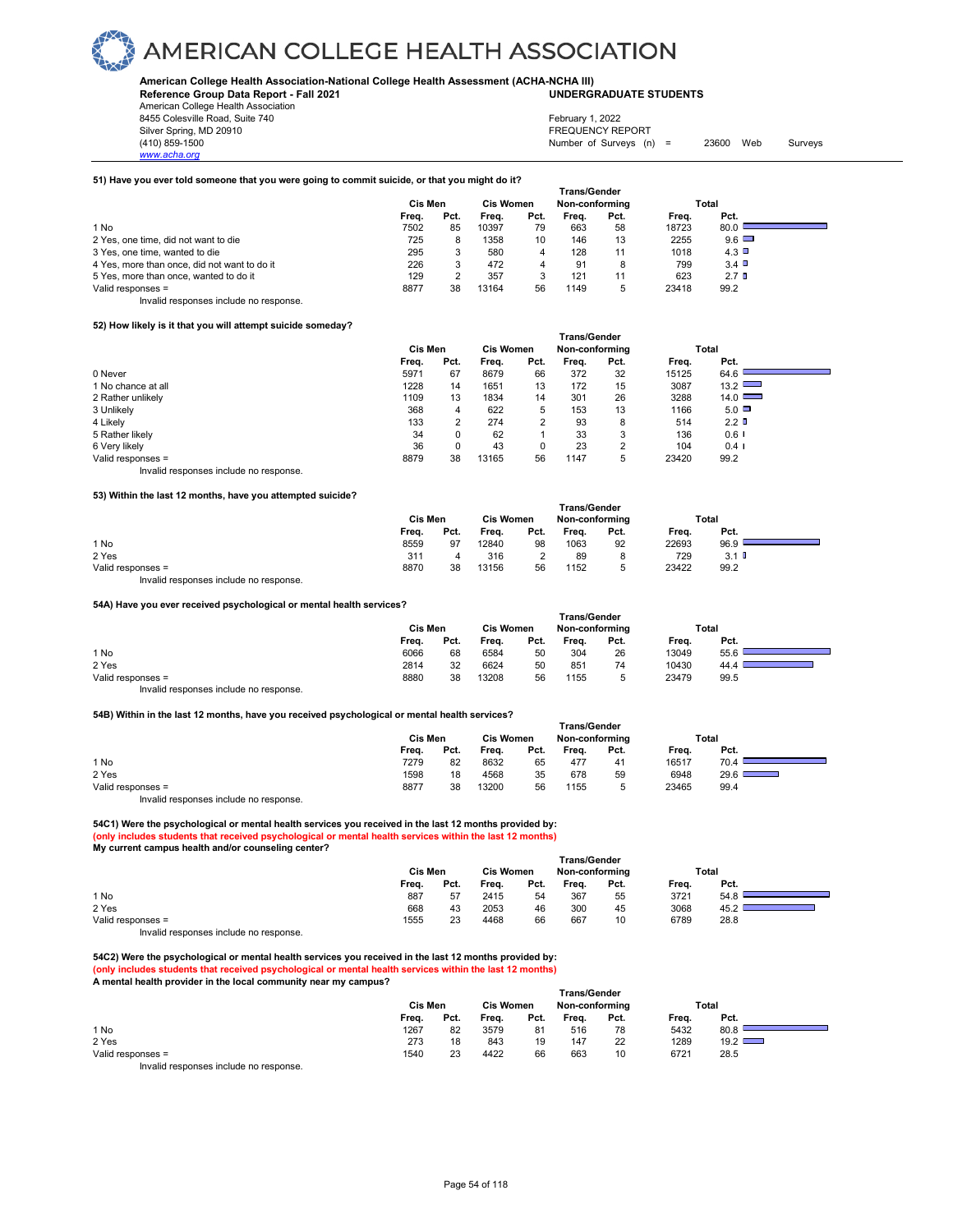#### **American College Health Association-National College Health Assessment (ACHA-NCHA III) UNDERGRADUATE STUDENTS**

**Reference Group Data Report - Fall 2021** American College Health Association

8455 Colesville Road, Suite 740 Silver Spring, MD 20910<br>
1990 - The Spring, MD 20910<br>
1990 - The Survey Structure of Surveys (notation of Surveys (notation of Surveys (notation of Surveys (notati

*www.acha.org*

February 1, 2022

Number of Surveys  $(n) = 23600$  Web Surveys

### **51) Have you ever told someone that you were going to commit suicide, or that you might do it?**

|                                              | Trans/Gender |      |                  |      |                |      |       |                  |  |  |  |  |
|----------------------------------------------|--------------|------|------------------|------|----------------|------|-------|------------------|--|--|--|--|
|                                              | Cis Men      |      | <b>Cis Women</b> |      | Non-conforming |      | Total |                  |  |  |  |  |
|                                              | Frea.        | Pct. | Frea.            | Pct. | Frea.          | Pct. | Frea. | Pct.             |  |  |  |  |
| 1 No                                         | 7502         | 85   | 10397            | 79   | 663            | 58   | 18723 | 80.0             |  |  |  |  |
| 2 Yes, one time, did not want to die         | 725          | 8    | 1358             | 10   | 146            | 13   | 2255  | 9.6              |  |  |  |  |
| 3 Yes, one time, wanted to die               | 295          |      | 580              | 4    | 128            | 11   | 1018  | 4.3              |  |  |  |  |
| 4 Yes, more than once, did not want to do it | 226          |      | 472              | 4    | 91             | 8    | 799   | 3.4              |  |  |  |  |
| 5 Yes, more than once, wanted to do it       | 129          |      | 357              |      | 121            | 11   | 623   | 2.7 <sup>0</sup> |  |  |  |  |
| Valid responses =                            | 8877         | 38   | 13164            | 56   | 1149           | 5    | 23418 | 99.2             |  |  |  |  |

Invalid responses include no response.

#### **52) How likely is it that you will attempt suicide someday?**

|                    | Trans/Gender |         |       |                  |       |                |       |                      |  |
|--------------------|--------------|---------|-------|------------------|-------|----------------|-------|----------------------|--|
|                    |              | Cis Men |       | <b>Cis Women</b> |       | Non-conforming |       | Total                |  |
|                    | Freq.        | Pct.    | Freq. | Pct.             | Freq. | Pct.           | Freq. | Pct.                 |  |
| 0 Never            | 5971         | 67      | 8679  | 66               | 372   | 32             | 15125 | 64.6                 |  |
| 1 No chance at all | 1228         | 14      | 1651  | 13               | 172   | 15             | 3087  | 13.2                 |  |
| 2 Rather unlikely  | 1109         | 13      | 1834  | 14               | 301   | 26             | 3288  | $14.0$ $\Box$        |  |
| 3 Unlikely         | 368          | 4       | 622   | 5                | 153   | 13             | 1166  | $5.0\Box$            |  |
| 4 Likely           | 133          |         | 274   |                  | 93    | 8              | 514   | 2.2 <sup>T</sup>     |  |
| 5 Rather likely    | 34           | 0       | 62    |                  | 33    | 3              | 136   | $0.6$ I              |  |
| 6 Very likely      | 36           |         | 43    |                  | 23    | っ              | 104   | $0.4$ $\blacksquare$ |  |
| Valid responses =  | 8879         | 38      | 13165 | 56               | 1147  | 5              | 23420 | 99.2                 |  |
|                    |              |         |       |                  |       |                |       |                      |  |

Invalid responses include no response.

#### **53) Within the last 12 months, have you attempted suicide?**

| Cis Men |      | <b>Cis Women</b> |      | Non-conforming |      | Total               |         |  |
|---------|------|------------------|------|----------------|------|---------------------|---------|--|
| Freq.   | Pct. | Freq.            | Pct. | Freq.          | Pct. | Freq.               | Pct.    |  |
| 8559    | 97   | 12840            | 98   | 1063           | 92   | 22693               | 96.9    |  |
| 311     | д    | 316              |      | 89             | 8    | 729                 | $3.1$ D |  |
| 8870    | 38   | 13156            | 56   | 1152           |      | 23422               | 99.2    |  |
|         |      |                  |      |                |      | <b>Trans/Gender</b> |         |  |

Invalid responses include no response.

#### **54A) Have you ever received psychological or mental health services?**

|                                        | <b>Trans/Gender</b> |      |                  |      |                |      |       |      |  |  |  |  |
|----------------------------------------|---------------------|------|------------------|------|----------------|------|-------|------|--|--|--|--|
|                                        | Cis Men             |      | <b>Cis Women</b> |      | Non-conformina |      | Total |      |  |  |  |  |
|                                        | Freq.               | Pct. | Freq.            | Pct. | Frea.          | Pct. | Freq. | Pct. |  |  |  |  |
| 1 No                                   | 6066                | 68   | 6584             | 50   | 304            | 26   | 13049 | 55.6 |  |  |  |  |
| 2 Yes                                  | 2814                | 32   | 6624             | 50   | 851            | 74   | 10430 | 44.4 |  |  |  |  |
| Valid responses =                      | 8880                | 38   | 13208            | 56   | 1155           |      | 23479 | 99.5 |  |  |  |  |
| Invalid responses include no response. |                     |      |                  |      |                |      |       |      |  |  |  |  |

#### **54B) Within in the last 12 months, have you received psychological or mental health services?**

|                   | Trans/Gender |      |                  |      |                |        |       |       |  |  |  |  |
|-------------------|--------------|------|------------------|------|----------------|--------|-------|-------|--|--|--|--|
|                   | Cis Men      |      | <b>Cis Women</b> |      | Non-conforming |        |       | Total |  |  |  |  |
|                   | Freq.        | Pct. | Frea.            | Pct. | Frea.          | Pct.   | Frea. | Pct.  |  |  |  |  |
| 1 No              | 7279         | 82   | 8632             | 65   | 477            | 41     | 16517 | 70.4  |  |  |  |  |
| 2 Yes             | 1598         | 18   | 4568             | 35   | 678            | 59     | 6948  | 29.6  |  |  |  |  |
| Valid responses = | 8877         | 38   | 13200            | 56   | 1155           | ∽<br>ັ | 23465 | 99.4  |  |  |  |  |

Invalid responses include no response.

**54C1) Were the psychological or mental health services you received in the last 12 months provided by: (only includes students that received psychological or mental health services within the last 12 months) My current campus health and/or counseling center?** 

| . .               |       | Cis Men |       | <b>Cis Women</b> |       | <b>Trans/Gender</b><br>Non-conforming |       | Total |  |
|-------------------|-------|---------|-------|------------------|-------|---------------------------------------|-------|-------|--|
|                   | Freq. | Pct.    | Freq. | Pct.             | Freq. | Pct.                                  | Freq. | Pct.  |  |
| 1 No              | 887   | 57      | 2415  | 54               | 367   | 55                                    | 3721  | 54.8  |  |
| 2 Yes             | 668   | 43      | 2053  | 46               | 300   | 45                                    | 3068  | 45.2  |  |
| Valid responses = | 1555  | 23      | 4468  | 66               | 667   | 10                                    | 6789  | 28.8  |  |
| .                 |       |         |       |                  |       |                                       |       |       |  |

Invalid responses include no response.

**54C2) Were the psychological or mental health services you received in the last 12 months provided by: (only includes students that received psychological or mental health services within the last 12 months) A mental health provider in the local community near my campus?** 

|                   | <b>Trans/Gender</b> |      |                  |      |                |      |       |       |  |  |  |
|-------------------|---------------------|------|------------------|------|----------------|------|-------|-------|--|--|--|
|                   | Cis Men             |      | <b>Cis Women</b> |      | Non-conforming |      |       | Total |  |  |  |
|                   | Freq.               | Pct. | Freq.            | Pct. | Freq.          | Pct. | Freq. | Pct.  |  |  |  |
| 1 No              | 1267                | 82   | 3579             | 81   | 516            | 78   | 5432  | 80.8  |  |  |  |
| 2 Yes             | 273                 | 18   | 843              | 19   | 147            | 22   | 1289  | 19.2  |  |  |  |
| Valid responses = | 1540                | 23   | 4422             | 66   | 663            | 10   | 6721  | 28.5  |  |  |  |
|                   |                     |      |                  |      |                |      |       |       |  |  |  |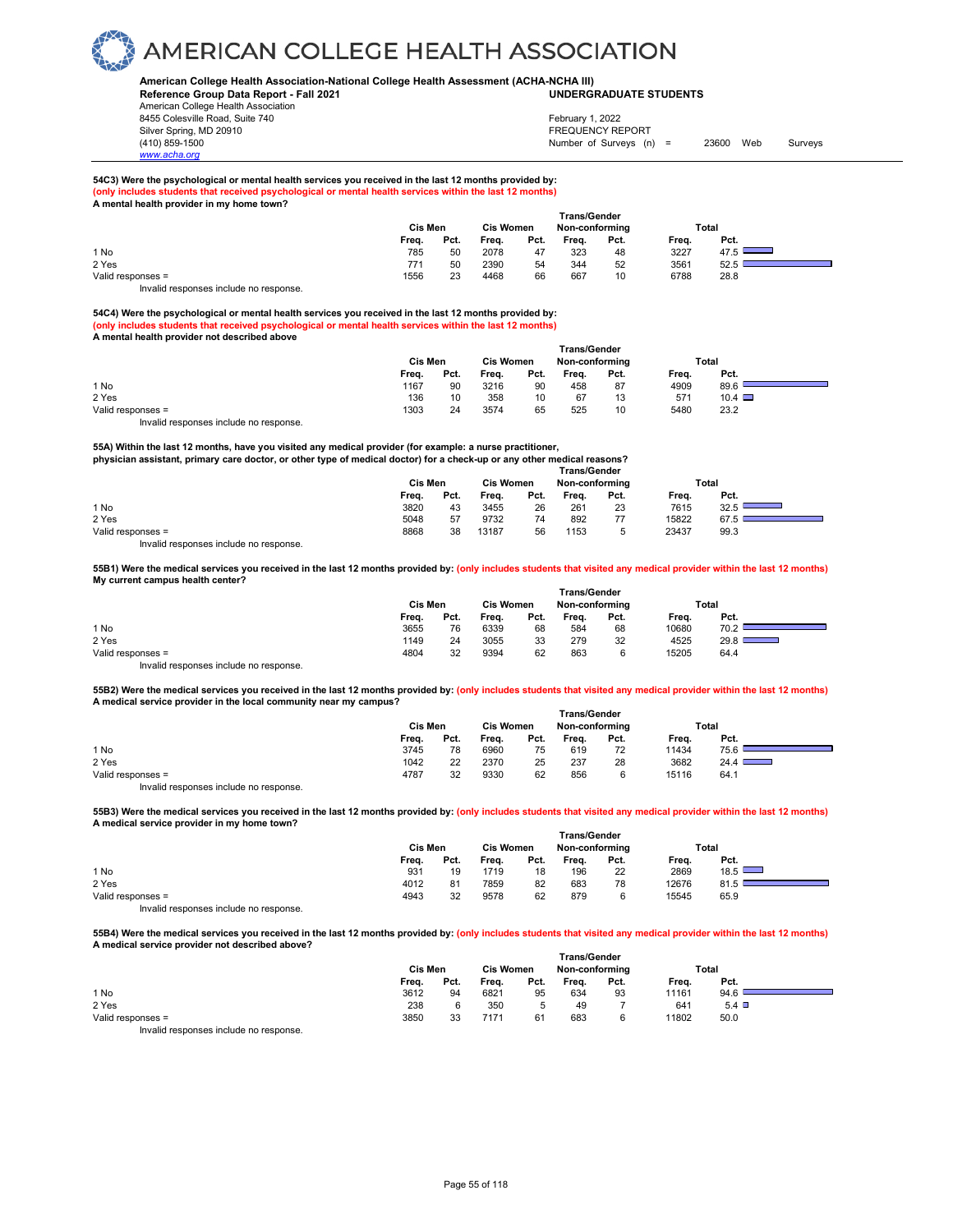#### **American College Health Association-National College Health Assessment (ACHA-NCHA III) UNDERGRADUATE STUDENTS**

**Reference Group Data Report - Fall 2021** American College Health Association 8455 Colesville Road, Suite 740 Silver Spring, MD 20910<br>
1990 - The Spring, MD 20910<br>
1990 - The Survey Structure of Surveys (notation of Surveys (notation of Surveys (notation of Surveys (notati

*www.acha.org*

### Number of Surveys (n) = 23600 Web Surveys February 1, 2022

**54C3) Were the psychological or mental health services you received in the last 12 months provided by: (only include that received psychological or mental health services within the last 12 months) A mental health provider in my home town?** 

|                                                                        | <b>Trans/Gender</b> |      |                  |      |                |      |       |       |  |  |  |  |
|------------------------------------------------------------------------|---------------------|------|------------------|------|----------------|------|-------|-------|--|--|--|--|
|                                                                        | Cis Men             |      | <b>Cis Women</b> |      | Non-conforming |      |       | Total |  |  |  |  |
|                                                                        | Freq.               | Pct. | Freq.            | Pct. | Freq.          | Pct. | Frea. | Pct.  |  |  |  |  |
| 1 No                                                                   | 785                 | 50   | 2078             | 47   | 323            | 48   | 3227  | 47.5  |  |  |  |  |
| 2 Yes                                                                  | 771                 | 50   | 2390             | 54   | 344            | 52   | 3561  | 52.5  |  |  |  |  |
| Valid responses =                                                      | 1556                | 23   | 4468             | 66   | 667            | 10   | 6788  | 28.8  |  |  |  |  |
| The control to a process of the control of the process of the process. |                     |      |                  |      |                |      |       |       |  |  |  |  |

Invalid responses include no response.

**54C4) Were the psychological or mental health services you received in the last 12 months provided by: (only includes students that received psychological or mental health services within the last 12 months) A mental health provider not described above** 

|                                        | <b>Trans/Gender</b> |      |                  |      |                |      |       |               |  |  |  |  |
|----------------------------------------|---------------------|------|------------------|------|----------------|------|-------|---------------|--|--|--|--|
|                                        | Cis Men             |      | <b>Cis Women</b> |      | Non-conforming |      | Total |               |  |  |  |  |
|                                        | Freq.               | Pct. | Freq.            | Pct. | Frea.          | Pct. | Freq. | Pct.          |  |  |  |  |
| 1 No                                   | 1167                | 90   | 3216             | 90   | 458            | 87   | 4909  | 89.6          |  |  |  |  |
| 2 Yes                                  | 136                 | 10   | 358              | 10   | 67             | 13   | 571   | $10.4$ $\Box$ |  |  |  |  |
| Valid responses =                      | 1303                | 24   | 3574             | 65   | 525            | 10   | 5480  | 23.2          |  |  |  |  |
| Invalid responses include no response. |                     |      |                  |      |                |      |       |               |  |  |  |  |

**55A) Within the last 12 months, have you visited any medical provider (for example: a nurse practitioner, physician assistant, primary care doctor, or other type of medical doctor) for a check-up or any other medical reasons? Trans/Gender**

|       |      | <b>Cis Women</b> |      | Non-conforming |      |       | Total |  |  |  |
|-------|------|------------------|------|----------------|------|-------|-------|--|--|--|
| Frea. | Pct. | Freq.            | Pct. | Frea.          | Pct. | Frea. | Pct.  |  |  |  |
| 3820  | 43   | 3455             | 26   | 261            | 23   | 7615  | 32.5  |  |  |  |
| 5048  | 57   | 9732             | 74   | 892            | 77   | 15822 | 67.5  |  |  |  |
| 8868  | 38   | 13187            | 56   | 1153           | 5    | 23437 | 99.3  |  |  |  |
|       |      | Cis Men          |      |                |      | .     |       |  |  |  |

Invalid responses include no response.

**55B1) Were the medical services you received in the last 12 months provided by: (only includes students that visited any medical provider within the last 12 months) My current campus health center?** 

|                                        | Trans/Gender |      |                  |      |                |      |       |                                                                                                                                 |  |  |  |  |
|----------------------------------------|--------------|------|------------------|------|----------------|------|-------|---------------------------------------------------------------------------------------------------------------------------------|--|--|--|--|
|                                        | Cis Men      |      | <b>Cis Women</b> |      | Non-conforming |      |       | Total                                                                                                                           |  |  |  |  |
|                                        | Freq.        | Pct. | Freq.            | Pct. | Frea.          | Pct. | Freq. | Pct.                                                                                                                            |  |  |  |  |
| 1 No                                   | 3655         | 76   | 6339             | 68   | 584            | 68   | 10680 | 70.2                                                                                                                            |  |  |  |  |
| 2 Yes                                  | 1149         | 24   | 3055             | 33   | 279            | 32   | 4525  | 29.8<br>$\mathcal{L}(\mathcal{L})$ and $\mathcal{L}(\mathcal{L})$ and $\mathcal{L}(\mathcal{L})$ and $\mathcal{L}(\mathcal{L})$ |  |  |  |  |
| Valid responses =                      | 4804         | 32   | 9394             | 62   | 863            |      | 15205 | 64.4                                                                                                                            |  |  |  |  |
| Invalid responses include no response. |              |      |                  |      |                |      |       |                                                                                                                                 |  |  |  |  |

**55B2) Were the medical services you received in the last 12 months provided by: (only includes students that visited any medical provider within the last 12 months) A medical service provider in the local community near my campus?** 

|                                       | <b>Trans/Gender</b> |      |                  |      |                |      |       |       |  |  |
|---------------------------------------|---------------------|------|------------------|------|----------------|------|-------|-------|--|--|
|                                       | Cis Men             |      | <b>Cis Women</b> |      | Non-conforming |      |       | Total |  |  |
|                                       | Freq.               | Pct. | Freq.            | Pct. | Freq.          | Pct. | Freq. | Pct.  |  |  |
| 1 No                                  | 3745                | 78   | 6960             | 75   | 619            | 72   | 11434 | 75.6  |  |  |
| 2 Yes                                 | 1042                | 22   | 2370             | 25   | 237            | 28   | 3682  | 24.4  |  |  |
| Valid responses =                     | 4787                | 32   | 9330             | 62   | 856            |      | 15116 | 64.1  |  |  |
| Invalid responses include no response |                     |      |                  |      |                |      |       |       |  |  |

**55B3) Were the medical services you received in the last 12 months provided by: (only includes students that visited any medical provider within the last 12 months) A medical service provider in my home town?** 

|                                                                        | <b>Trans/Gender</b> |      |                  |      |                |      |       |      |  |  |
|------------------------------------------------------------------------|---------------------|------|------------------|------|----------------|------|-------|------|--|--|
|                                                                        | Cis Men             |      | <b>Cis Women</b> |      | Non-conforming |      | Total |      |  |  |
|                                                                        | Freq.               | Pct. | Freq.            | Pct. | Frea.          | Pct. | Frea. | Pct. |  |  |
| 1 No                                                                   | 931                 | 19   | 1719             | 18   | 196            | 22   | 2869  | 18.5 |  |  |
| 2 Yes                                                                  | 4012                | 81   | 7859             | 82   | 683            | 78   | 12676 | 81.5 |  |  |
| Valid responses =                                                      | 4943                | 32   | 9578             | 62   | 879            |      | 15545 | 65.9 |  |  |
| The control to a process of the control of the process of the process. |                     |      |                  |      |                |      |       |      |  |  |

Invalid responses include no response.

**55B4) Were the medical services you received in the last 12 months provided by: (only includes students that visited any medical provider within the last 12 months) A medical service provider not described above?** 

|                                       | <b>Trans/Gender</b> |      |                  |      |                |      |       |              |  |  |
|---------------------------------------|---------------------|------|------------------|------|----------------|------|-------|--------------|--|--|
|                                       | Cis Men             |      | <b>Cis Women</b> |      | Non-conforming |      | Total |              |  |  |
|                                       | Freq.               | Pct. | Freq.            | Pct. | Freq.          | Pct. | Frea. | Pct.         |  |  |
| 1 No                                  | 3612                | 94   | 6821             | 95   | 634            | 93   | 11161 | 94.6         |  |  |
| 2 Yes                                 | 238                 |      | 350              |      | 49             |      | 641   | $5.4$ $\Box$ |  |  |
| Valid responses =                     | 3850                | 33   | 7171             | 61   | 683            | 6    | 11802 | 50.0         |  |  |
| lauglid responses include no response |                     |      |                  |      |                |      |       |              |  |  |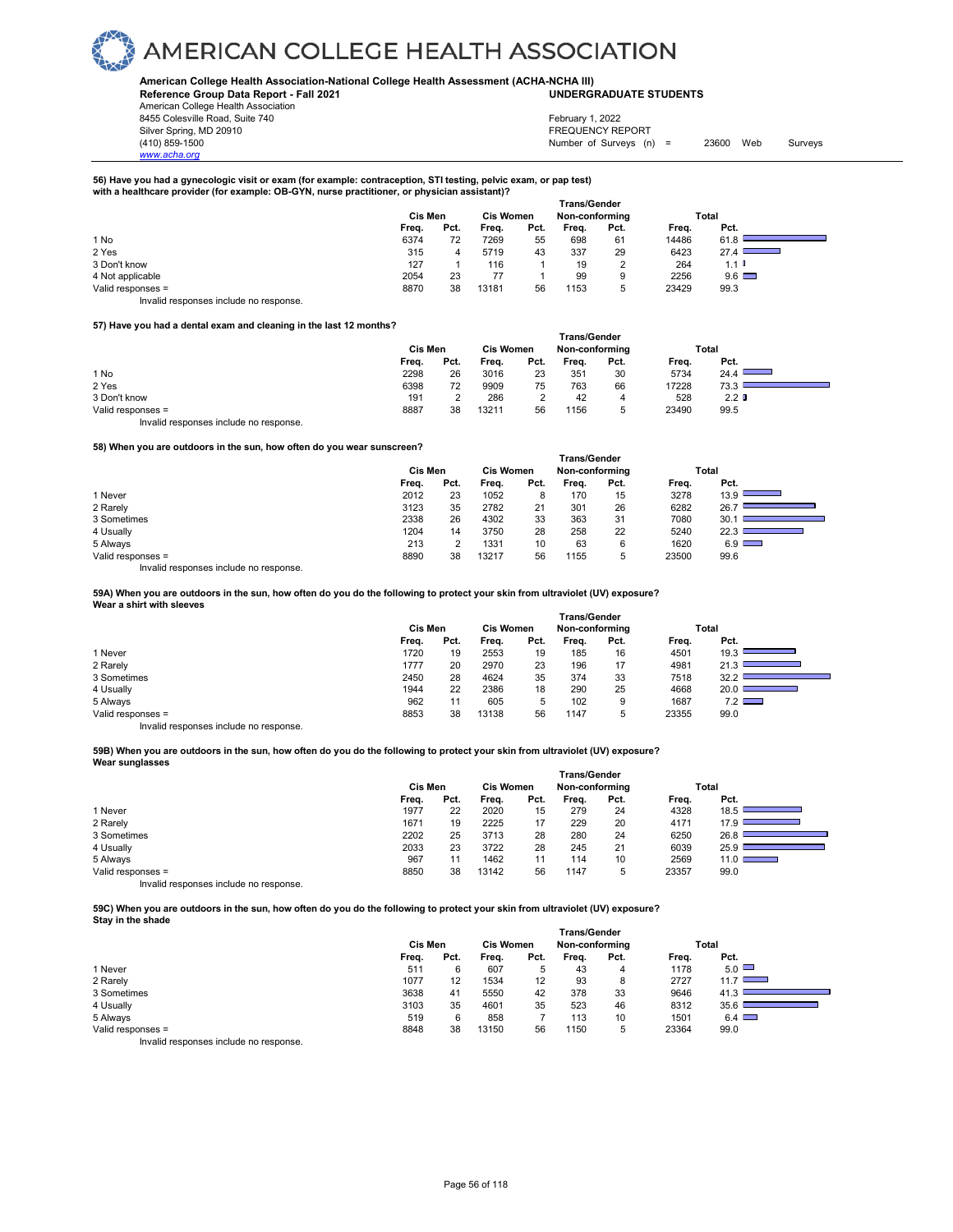#### **American College Health Association-National College Health Assessment (ACHA-NCHA III) UNDERGRADUATE STUDENTS**

**Reference Group Data Report - Fall 2021** American College Health Association 8455 Colesville Road, Suite 740

Silver Spring, MD 20910<br>
1990 - The Survey States (AU) 2009<br>
Silver Spring, MD 20910<br>
FREQUENCY REPORT (AU) 2009 - Mumber of Surveys (n) Number of Surveys  $(n) = 23600$  Web Surveys February 1, 2022

#### **56) Have you had a gynecologic visit or exam (for example: contraception, STI testing, pelvic exam, or pap test) with a healthcare provider (for example: OB-GYN, nurse practitioner, or physician assistant)?**

|                   |         |      |                  |      | <b>Trans/Gender</b> |      |       |                              |
|-------------------|---------|------|------------------|------|---------------------|------|-------|------------------------------|
|                   | Cis Men |      | <b>Cis Women</b> |      | Non-conforming      |      |       | Total                        |
|                   | Freq.   | Pct. | Freq.            | Pct. | Freq.               | Pct. | Freq. | Pct.                         |
| 1 No              | 6374    | 72   | 7269             | 55   | 698                 | 61   | 14486 | 61.8                         |
| 2 Yes             | 315     |      | 5719             | 43   | 337                 | 29   | 6423  | 27.4<br><b>Service State</b> |
| 3 Don't know      | 127     |      | 116              |      | 19                  |      | 264   | $1.1$ $\blacksquare$         |
| 4 Not applicable  | 2054    | 23   |                  |      | 99                  | 9    | 2256  | $9.6$ $\Box$                 |
| Valid responses = | 8870    | 38   | 13181            | 56   | 1153                | ∽    | 23429 | 99.3                         |

Invalid responses include no response.

*www.acha.org*

#### **57) Have you had a dental exam and cleaning in the last 12 months?**

|                                        | <b>Trans/Gender</b> |      |                  |          |                |      |       |                                                                                                 |  |  |  |
|----------------------------------------|---------------------|------|------------------|----------|----------------|------|-------|-------------------------------------------------------------------------------------------------|--|--|--|
|                                        | Cis Men             |      | <b>Cis Women</b> |          | Non-conformina |      | Total |                                                                                                 |  |  |  |
|                                        | Freq.               | Pct. | Freq.            | Pct.     | Frea.          | Pct. | Freq. | Pct.                                                                                            |  |  |  |
| 1 No                                   | 2298                | 26   | 3016             | 23       | 351            | 30   | 5734  | 24.4<br>$\mathcal{L}^{\text{max}}_{\text{max}}$ , where $\mathcal{L}^{\text{max}}_{\text{max}}$ |  |  |  |
| 2 Yes                                  | 6398                | 72   | 9909             | 75       | 763            | 66   | 17228 | 73.3                                                                                            |  |  |  |
| 3 Don't know                           | 191                 |      | 286              | <u>.</u> | 42             |      | 528   | 2.2 <sub>0</sub>                                                                                |  |  |  |
| Valid responses =                      | 8887                | 38   | 13211            | 56       | 1156           |      | 23490 | 99.5                                                                                            |  |  |  |
| Invalid responses include no response. |                     |      |                  |          |                |      |       |                                                                                                 |  |  |  |

#### **58) When you are outdoors in the sun, how often do you wear sunscreen?**

| <b>30) THISH YOU GID OULDOOLS IN LITE SUIT, HOW ORIGH UO YOU WELL SURSCI BENI</b> |                     |      |                  |      |                |      |       |              |  |  |  |  |
|-----------------------------------------------------------------------------------|---------------------|------|------------------|------|----------------|------|-------|--------------|--|--|--|--|
|                                                                                   | <b>Trans/Gender</b> |      |                  |      |                |      |       |              |  |  |  |  |
|                                                                                   | Cis Men             |      | <b>Cis Women</b> |      | Non-conforming |      |       | Total        |  |  |  |  |
|                                                                                   | Freq.               | Pct. | Frea.            | Pct. | Frea.          | Pct. | Freq. | Pct.         |  |  |  |  |
| 1 Never                                                                           | 2012                | 23   | 1052             | 8    | 170            | 15   | 3278  | 13.9         |  |  |  |  |
| 2 Rarely                                                                          | 3123                | 35   | 2782             | 21   | 301            | 26   | 6282  | 26.7         |  |  |  |  |
| 3 Sometimes                                                                       | 2338                | 26   | 4302             | 33   | 363            | 31   | 7080  | 30.1         |  |  |  |  |
| 4 Usually                                                                         | 1204                | 14   | 3750             | 28   | 258            | 22   | 5240  | 22.3         |  |  |  |  |
| 5 Always                                                                          | 213                 |      | 1331             | 10   | 63             | 6    | 1620  | $6.9$ $\Box$ |  |  |  |  |
| Valid responses =                                                                 | 8890                | 38   | 13217            | 56   | 1155           | 5    | 23500 | 99.6         |  |  |  |  |
|                                                                                   |                     |      |                  |      |                |      |       |              |  |  |  |  |

Invalid responses include no response.

**59A) When you are outdoors in the sun, how often do you do the following to protect your skin from ultraviolet (UV) exposure? Wear a shirt with sleeves** 

|                                       | <b>Trans/Gender</b> |      |                  |      |                |      |       |       |  |  |  |
|---------------------------------------|---------------------|------|------------------|------|----------------|------|-------|-------|--|--|--|
|                                       | Cis Men             |      | <b>Cis Women</b> |      | Non-conforming |      |       | Total |  |  |  |
|                                       | Freq.               | Pct. | Freq.            | Pct. | Freq.          | Pct. | Freq. | Pct.  |  |  |  |
| 1 Never                               | 1720                | 19   | 2553             | 19   | 185            | 16   | 4501  | 19.3  |  |  |  |
| 2 Rarely                              | 1777                | 20   | 2970             | 23   | 196            | 17   | 4981  | 21.3  |  |  |  |
| 3 Sometimes                           | 2450                | 28   | 4624             | 35   | 374            | 33   | 7518  | 32.2  |  |  |  |
| 4 Usually                             | 1944                | 22   | 2386             | 18   | 290            | 25   | 4668  | 20.0  |  |  |  |
| 5 Always                              | 962                 | 11   | 605              | ь    | 102            | 9    | 1687  | 7.2   |  |  |  |
| Valid responses =                     | 8853                | 38   | 13138            | 56   | 1147           | ь    | 23355 | 99.0  |  |  |  |
| levalid recessors include no recessor |                     |      |                  |      |                |      |       |       |  |  |  |

Invalid responses include no response.

#### **59B) When you are outdoors in the sun, how often do you do the following to protect your skin from ultraviolet (UV) exposure? Wear sunglasses**

|                                        | <b>Trans/Gender</b> |      |                  |      |                |      |       |        |  |  |
|----------------------------------------|---------------------|------|------------------|------|----------------|------|-------|--------|--|--|
|                                        | Cis Men             |      | <b>Cis Women</b> |      | Non-conforming |      |       | Total  |  |  |
|                                        | Frea.               | Pct. | Frea.            | Pct. | Frea.          | Pct. | Frea. | Pct.   |  |  |
| 1 Never                                | 1977                | 22   | 2020             | 15   | 279            | 24   | 4328  | 18.5   |  |  |
| 2 Rarely                               | 1671                | 19   | 2225             | 17   | 229            | 20   | 4171  | 17.9   |  |  |
| 3 Sometimes                            | 2202                | 25   | 3713             | 28   | 280            | 24   | 6250  | 26.8   |  |  |
| 4 Usually                              | 2033                | 23   | 3722             | 28   | 245            | 21   | 6039  | ا 25.9 |  |  |
| 5 Always                               | 967                 | 11   | 1462             | 11   | 114            | 10   | 2569  | 11.0   |  |  |
| Valid responses =                      | 8850                | 38   | 13142            | 56   | 1147           | 5    | 23357 | 99.0   |  |  |
| Invalid responses include no response. |                     |      |                  |      |                |      |       |        |  |  |

**59C) When you are outdoors in the sun, how often do you do the following to protect your skin from ultraviolet (UV) exposure? Stay in the shade** 

|                                        | <b>Trans/Gender</b> |      |                  |      |                |      |       |              |  |  |  |
|----------------------------------------|---------------------|------|------------------|------|----------------|------|-------|--------------|--|--|--|
|                                        | Cis Men             |      | <b>Cis Women</b> |      | Non-conforming |      |       | Total        |  |  |  |
|                                        | Freq.               | Pct. | Freq.            | Pct. | Freq.          | Pct. | Freq. | Pct.         |  |  |  |
| 1 Never                                | 511                 | 6    | 607              | 5    | 43             | 4    | 1178  | $5.0$ $\Box$ |  |  |  |
| 2 Rarely                               | 1077                | 12   | 1534             | 12   | 93             | 8    | 2727  | 11.7         |  |  |  |
| 3 Sometimes                            | 3638                | 41   | 5550             | 42   | 378            | 33   | 9646  | 41.3         |  |  |  |
| 4 Usually                              | 3103                | 35   | 4601             | 35   | 523            | 46   | 8312  | 35.6         |  |  |  |
| 5 Always                               | 519                 | 6    | 858              |      | 113            | 10   | 1501  | $6.4$ $\Box$ |  |  |  |
| Valid responses =                      | 8848                | 38   | 13150            | 56   | 1150           | 5    | 23364 | 99.0         |  |  |  |
| Invalid responses include no response. |                     |      |                  |      |                |      |       |              |  |  |  |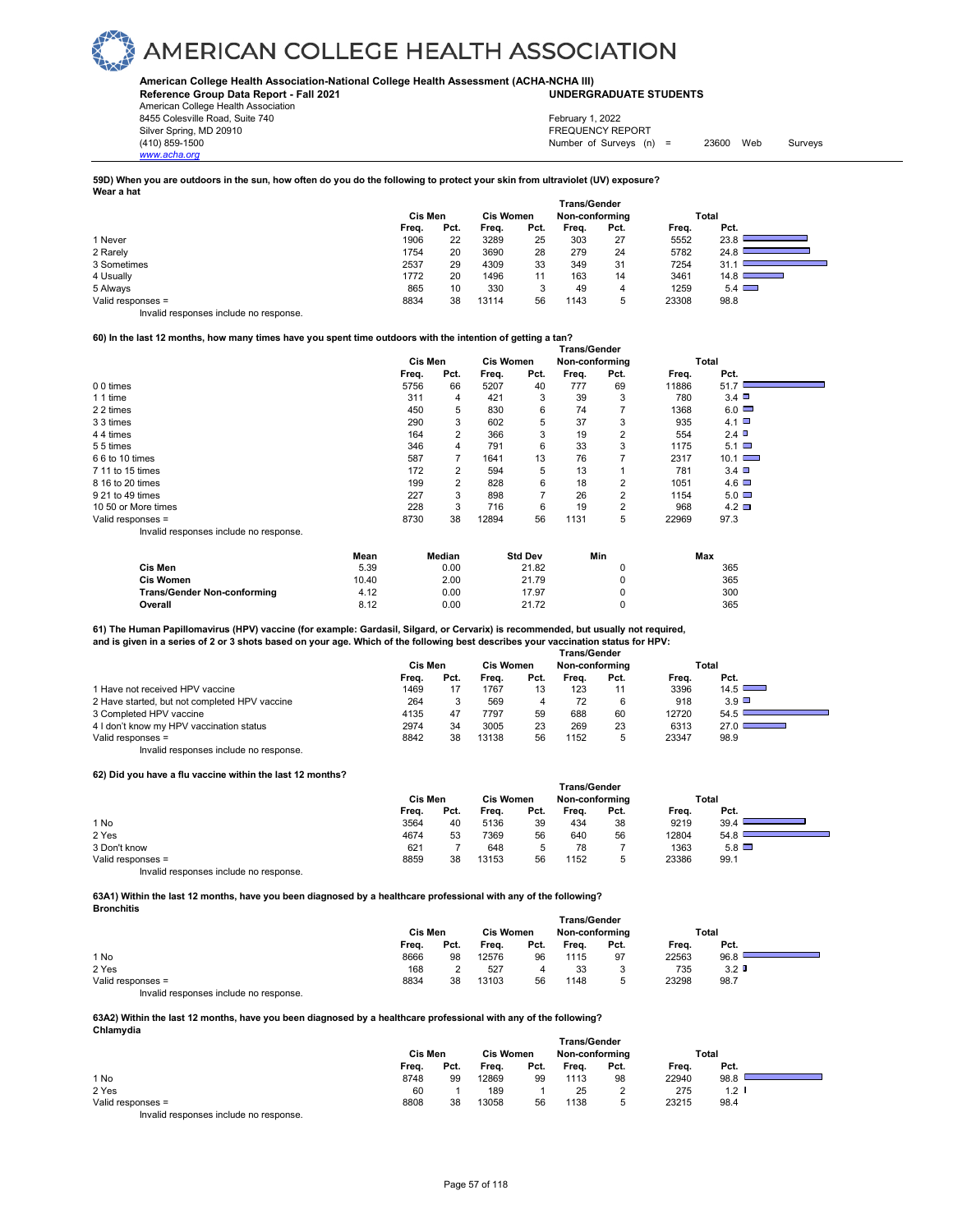**American College Health Association-National College Health Assessment (ACHA-NCHA III) UNDERGRADUATE STUDENTS**

**Reference Group Data Report - Fall 2021** American College Health Association 8455 Colesville Road, Suite 740 Silver Spring, MD 20910<br>
1990 - The Spring, MD 20910<br>
1990 - The Survey Structure of Surveys (n)

*www.acha.org*

Number of Surveys (n) = 23600 Web Surveys February 1, 2022

#### **59D) When you are outdoors in the sun, how often do you do the following to protect your skin from ultraviolet (UV) exposure? Wear a hat**

|                   | <b>Trans/Gender</b> |      |                  |      |                |      |       |                                                                                                                                                                                                                                                                                                                                                                                                                                                                             |  |  |
|-------------------|---------------------|------|------------------|------|----------------|------|-------|-----------------------------------------------------------------------------------------------------------------------------------------------------------------------------------------------------------------------------------------------------------------------------------------------------------------------------------------------------------------------------------------------------------------------------------------------------------------------------|--|--|
|                   | Cis Men             |      | <b>Cis Women</b> |      | Non-conforming |      |       | Total                                                                                                                                                                                                                                                                                                                                                                                                                                                                       |  |  |
|                   | Freq.               | Pct. | Frea.            | Pct. | Freq.          | Pct. | Freq. | Pct.                                                                                                                                                                                                                                                                                                                                                                                                                                                                        |  |  |
| 1 Never           | 1906                | 22   | 3289             | 25   | 303            | 27   | 5552  | 23.8                                                                                                                                                                                                                                                                                                                                                                                                                                                                        |  |  |
| 2 Rarely          | 1754                | 20   | 3690             | 28   | 279            | 24   | 5782  | 24.8                                                                                                                                                                                                                                                                                                                                                                                                                                                                        |  |  |
| 3 Sometimes       | 2537                | 29   | 4309             | 33   | 349            | 31   | 7254  | 31.7                                                                                                                                                                                                                                                                                                                                                                                                                                                                        |  |  |
| 4 Usually         | 1772                | 20   | 1496             | 11   | 163            | 14   | 3461  | 14.8 <sup>1</sup><br>$\label{eq:2.1} \frac{1}{\sqrt{2}}\left(\frac{1}{\sqrt{2}}\right)^{2} \left(\frac{1}{\sqrt{2}}\right)^{2} \left(\frac{1}{\sqrt{2}}\right)^{2} \left(\frac{1}{\sqrt{2}}\right)^{2} \left(\frac{1}{\sqrt{2}}\right)^{2} \left(\frac{1}{\sqrt{2}}\right)^{2} \left(\frac{1}{\sqrt{2}}\right)^{2} \left(\frac{1}{\sqrt{2}}\right)^{2} \left(\frac{1}{\sqrt{2}}\right)^{2} \left(\frac{1}{\sqrt{2}}\right)^{2} \left(\frac{1}{\sqrt{2}}\right)^{2} \left(\$ |  |  |
| 5 Always          | 865                 | 10   | 330              | 3    | 49             | 4    | 1259  | $5.4 \Box$                                                                                                                                                                                                                                                                                                                                                                                                                                                                  |  |  |
| Valid responses = | 8834                | 38   | 13114            | 56   | 1143           | 5    | 23308 | 98.8                                                                                                                                                                                                                                                                                                                                                                                                                                                                        |  |  |

Invalid responses include no response.

#### **60) In the last 12 months, how many times have you spent time outdoors with the intention of getting a tan?**

|                                        | <b>Trans/Gender</b> |      |                  |      |                |                |       |               |  |  |
|----------------------------------------|---------------------|------|------------------|------|----------------|----------------|-------|---------------|--|--|
|                                        | <b>Cis Men</b>      |      | <b>Cis Women</b> |      | Non-conforming |                |       | Total         |  |  |
|                                        | Freq.               | Pct. | Freq.            | Pct. | Freq.          | Pct.           | Freq. | Pct.          |  |  |
| 0 0 times                              | 5756                | 66   | 5207             | 40   | 777            | 69             | 11886 | 51.7          |  |  |
| 1 1 time                               | 311                 | 4    | 421              | 3    | 39             | 3              | 780   | 3.4           |  |  |
| 2 2 times                              | 450                 | 5    | 830              | 6    | 74             | 7              | 1368  | $6.0$ $\Box$  |  |  |
| 3 3 times                              | 290                 | 3    | 602              | 5    | 37             | 3              | 935   | 4.1           |  |  |
| 44 times                               | 164                 | 2    | 366              | 3    | 19             | 2              | 554   | 2.4           |  |  |
| 55 times                               | 346                 | 4    | 791              | 6    | 33             | 3              | 1175  | $5.1$ $\Box$  |  |  |
| 6 6 to 10 times                        | 587                 |      | 1641             | 13   | 76             |                | 2317  | $10.1$ $\Box$ |  |  |
| 7 11 to 15 times                       | 172                 | 2    | 594              | 5    | 13             |                | 781   | $3.4$ $\Box$  |  |  |
| 8 16 to 20 times                       | 199                 |      | 828              | 6    | 18             | 2              | 1051  | $4.6\Box$     |  |  |
| 9 21 to 49 times                       | 227                 | 3    | 898              |      | 26             | 2              | 1154  | $5.0\Box$     |  |  |
| 10 50 or More times                    | 228                 | 3    | 716              | 6    | 19             | $\overline{2}$ | 968   | $4.2\Box$     |  |  |
| Valid responses =                      | 8730                | 38   | 12894            | 56   | 1131           | 5              | 22969 | 97.3          |  |  |
| Invalid responses include no response. |                     |      |                  |      |                |                |       |               |  |  |

|                                    | Mean  | Median | <b>Std Dev</b> | Min | Max |
|------------------------------------|-------|--------|----------------|-----|-----|
| Cis Men                            | 5.39  | 0.00   | 21.82          |     | 365 |
| <b>Cis Women</b>                   | 10.40 | 2.00   | 21.79          |     | 365 |
| <b>Trans/Gender Non-conforming</b> | 4.12  | 0.00   | 17.97          |     | 300 |
| Overall                            | 8.12  | 0.00   | 21.72          |     | 365 |

#### **61) The Human Papillomavirus (HPV) vaccine (for example: Gardasil, Silgard, or Cervarix) is recommended, but usually not required, and is given in a series of 2 or 3 shots based on your age. Which of the following best describes your vaccination status for HPV:**

|                                               | Trans/Gender |      |                  |      |                |      |       |                                                 |  |  |
|-----------------------------------------------|--------------|------|------------------|------|----------------|------|-------|-------------------------------------------------|--|--|
|                                               | Cis Men      |      | <b>Cis Women</b> |      | Non-conforming |      |       | Total                                           |  |  |
|                                               | Frea.        | Pct. | Frea.            | Pct. | Frea.          | Pct. | Frea. | Pct.                                            |  |  |
| 1 Have not received HPV vaccine               | 1469         |      | 1767             | 13   | 123            | 11   | 3396  | 14.5                                            |  |  |
| 2 Have started, but not completed HPV vaccine | 264          |      | 569              |      | 72             | 6    | 918   | $3.9$ $\Box$                                    |  |  |
| 3 Completed HPV vaccine                       | 4135         | 47   | 7797             | 59   | 688            | 60   | 12720 | 54.5                                            |  |  |
| 4 I don't know my HPV vaccination status      | 2974         | 34   | 3005             | 23   | 269            | 23   | 6313  | 27.0 $\Box$<br><b>Service Contract Contract</b> |  |  |
| Valid responses =                             | 8842         | 38   | 13138            | 56   | 1152           | 5    | 23347 | 98.9                                            |  |  |
| Invalid responses include no response.        |              |      |                  |      |                |      |       |                                                 |  |  |

#### **62) Did you have a flu vaccine within the last 12 months?**

|                                        | <b>Trans/Gender</b> |      |       |                  |       |                |       |              |  |
|----------------------------------------|---------------------|------|-------|------------------|-------|----------------|-------|--------------|--|
|                                        | Cis Men             |      |       | <b>Cis Women</b> |       | Non-conforming | Total |              |  |
|                                        | Freq.               | Pct. | Freq. | Pct.             | Frea. | Pct.           | Freq. | Pct.         |  |
| 1 No                                   | 3564                | 40   | 5136  | 39               | 434   | 38             | 9219  | 39.4         |  |
| 2 Yes                                  | 4674                | 53   | 7369  | 56               | 640   | 56             | 12804 | 54.8         |  |
| 3 Don't know                           | 621                 |      | 648   | 5                | 78    |                | 1363  | $5.8$ $\Box$ |  |
| Valid responses =                      | 8859                | 38   | 13153 | 56               | 1152  | Ð              | 23386 | 99.7         |  |
| Invalid responses include no response. |                     |      |       |                  |       |                |       |              |  |

**63A1) Within the last 12 months, have you been diagnosed by a healthcare professional with any of the following?**

|                   | Cis Men |      |       | <b>Cis Women</b> | <b>Trans/Gender</b><br>Non-conforming |      |       | Total            |  |
|-------------------|---------|------|-------|------------------|---------------------------------------|------|-------|------------------|--|
|                   | Freq.   | Pct. | Freq. | Pct.             | Freq.                                 | Pct. | Freq. | Pct.             |  |
| 1 No              | 8666    | 98   | 12576 | 96               | 1115                                  | 97   | 22563 | 96.8             |  |
| 2 Yes             | 168     |      | 527   | 4                | 33                                    | л.   | 735   | 3.2 <sub>0</sub> |  |
| Valid responses = | 8834    | 38   | 13103 | 56               | 1148                                  | л.   | 23298 | 98.7             |  |

Invalid responses include no response.

**Bronchitis**

#### **63A2) Within the last 12 months, have you been diagnosed by a healthcare professional with any of the following? Chlamydia**

|                   | Cis Men | <b>Trans/Gender</b><br><b>Cis Women</b><br>Non-conforming |       |      |       |      | Total |         |  |
|-------------------|---------|-----------------------------------------------------------|-------|------|-------|------|-------|---------|--|
|                   | Freq.   | Pct.                                                      | Freq. | Pct. | Freq. | Pct. | Freq. | Pct.    |  |
| 1 No              | 8748    | 99                                                        | 12869 | 99   | 1113  | 98   | 22940 | 98.8    |  |
| 2 Yes             | 60      |                                                           | 189   |      | 25    | っ    | 275   | $1.2$ I |  |
| Valid responses = | 8808    | 38                                                        | 13058 | 56   | 1138  | b    | 23215 | 98.4    |  |
|                   |         |                                                           |       |      |       |      |       |         |  |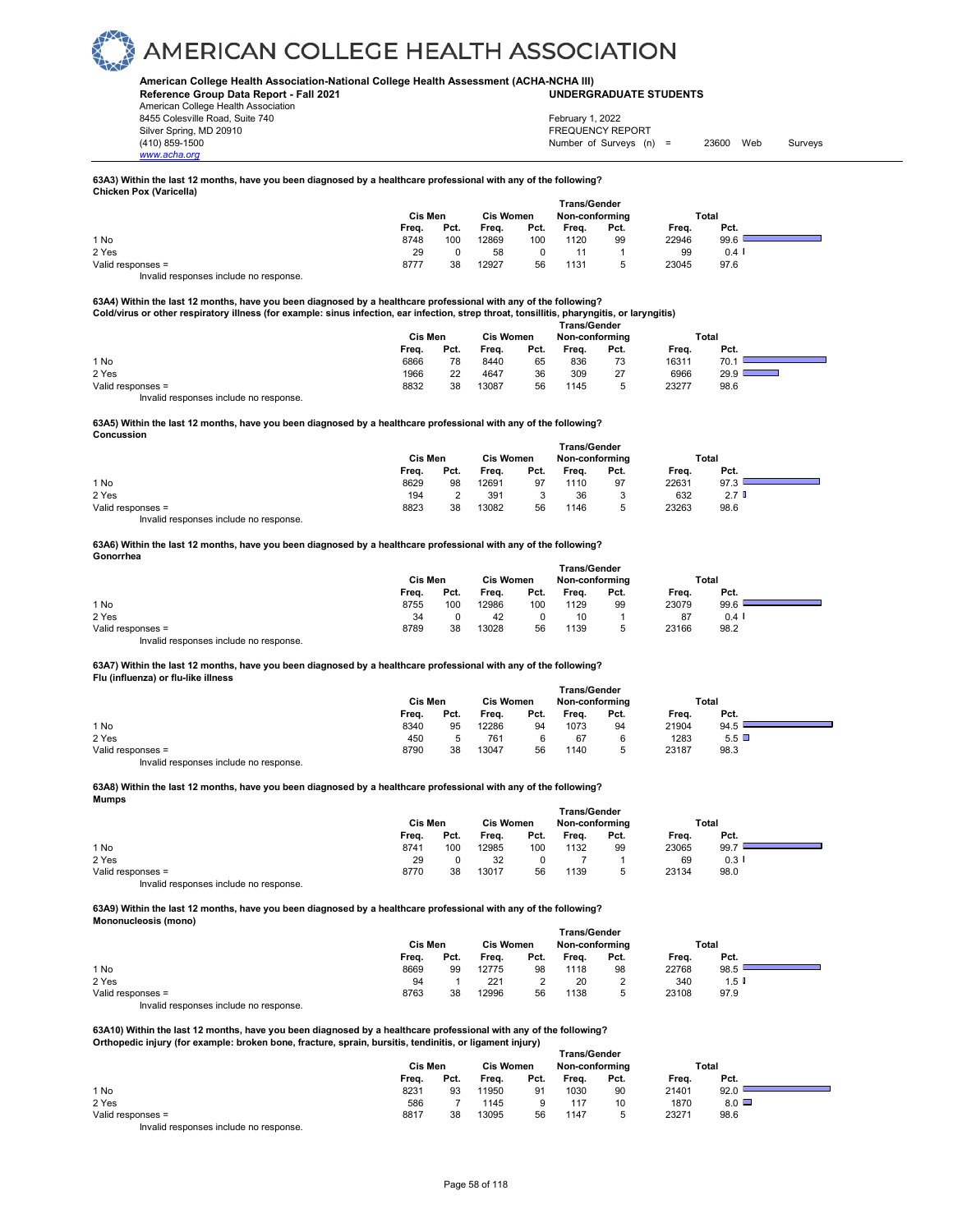#### **American College Health Association-National College Health Assessment (ACHA-NCHA III) UNDERGRADUATE STUDENTS**

**Reference Group Data Report - Fall 2021** American College Health Association 8455 Colesville Road, Suite 740 Silver Spring, MD 20910<br>
1990 - The Spring, MD 20910<br>
1990 - The Survey Structure of Surveys (n)

*www.acha.org*

Number of Surveys (n) = 23600 Web Surveys February 1, 2022

#### **63A3) Within the last 12 months, have you been diagnosed by a healthcare professional with any of the following? Chicken Pox (Varicella)**

|                                        | Cis Men | <b>Cis Women</b> |       | <b>Trans/Gender</b><br>Non-conforming |       |      | Total |          |  |
|----------------------------------------|---------|------------------|-------|---------------------------------------|-------|------|-------|----------|--|
|                                        | Frea.   | Pct.             | Frea. | Pct.                                  | Freq. | Pct. | Freq. | Pct.     |  |
| 1 No                                   | 8748    | 100              | 12869 | 100                                   | 1120  | 99   | 22946 | 99.6     |  |
| 2 Yes                                  | 29      |                  | 58    |                                       |       |      | 99    | $0.4 \;$ |  |
| Valid responses =                      | 8777    | 38               | 12927 | 56                                    | 1131  |      | 23045 | 97.6     |  |
| Invalid responses include no response. |         |                  |       |                                       |       |      |       |          |  |

63A4) Within the last 12 months, have you been diagnosed by a healthcare professional with any of the following?<br>Cold/virus or other respiratory illness (for example: sinus infection, ear infection, strep throat, tonsillit

|                   | Trans/Gender |      |                  |      |                |      |       |       |  |  |
|-------------------|--------------|------|------------------|------|----------------|------|-------|-------|--|--|
|                   | Cis Men      |      | <b>Cis Women</b> |      | Non-conforming |      |       | Total |  |  |
|                   | Freq.        | Pct. | Freq.            | Pct. | Freq.          | Pct. | Freq. | Pct.  |  |  |
| 1 No              | 6866         | 78   | 8440             | 65   | 836            | 73   | 16311 | 70.   |  |  |
| 2 Yes             | 1966         | 22   | 4647             | 36   | 309            | 27   | 6966  | 29.9  |  |  |
| Valid responses = | 8832         | 38   | 13087            | 56   | 1145           |      | 23277 | 98.6  |  |  |

Invalid responses include no response.

#### **63A5) Within the last 12 months, have you been diagnosed by a healthcare professional with any of the following? Concussion**

|                                       | <b>Trans/Gender</b> |      |                  |        |                |      |       |                  |  |
|---------------------------------------|---------------------|------|------------------|--------|----------------|------|-------|------------------|--|
|                                       | Cis Men             |      | <b>Cis Women</b> |        | Non-conforming |      | Total |                  |  |
|                                       | Freq.               | Pct. | Freq.            | Pct.   | Freq.          | Pct. | Freq. | Pct.             |  |
| 1 No                                  | 8629                | 98   | 12691            | 97     | 1110           | 97   | 22631 | 97.3             |  |
| 2 Yes                                 | 194                 |      | 391              | ົ<br>u | 36             | J    | 632   | 2.7 <sup>h</sup> |  |
| Valid responses =                     | 8823                | 38   | 13082            | 56     | 1146           | υ    | 23263 | 98.6             |  |
| Involid reconoces include no reconoce |                     |      |                  |        |                |      |       |                  |  |

id responses include no response.

#### **63A6) Within the last 12 months, have you been diagnosed by a healthcare professional with any of the following? Gonorrhea**

|                                        | <b>Trans/Gender</b> |      |                  |      |                |      |       |         |  |  |
|----------------------------------------|---------------------|------|------------------|------|----------------|------|-------|---------|--|--|
|                                        | Cis Men             |      | <b>Cis Women</b> |      | Non-conforming |      | Total |         |  |  |
|                                        | Freq.               | Pct. | Frea.            | Pct. | Freq.          | Pct. | Freq. | Pct.    |  |  |
| 1 No                                   | 8755                | 100  | 12986            | 100  | 1129           | 99   | 23079 | 99.6    |  |  |
| 2 Yes                                  | 34                  |      | 42               |      | 10             |      | 87    | $0.4$ I |  |  |
| Valid responses =                      | 8789                | 38   | 13028            | 56   | 1139           |      | 23166 | 98.2    |  |  |
| Invalid responses include no response. |                     |      |                  |      |                |      |       |         |  |  |

#### **63A7) Within the last 12 months, have you been diagnosed by a healthcare professional with any of the following? Flu (influenza) or flu-like illness**

|                   | Cis Men |      |       | <b>Cis Women</b> | <b>Trans/Gender</b><br>Non-conforming |        |       | Total |  |
|-------------------|---------|------|-------|------------------|---------------------------------------|--------|-------|-------|--|
|                   | Freq.   | Pct. | Freq. | Pct.             | Freq.                                 | Pct.   | Freq. | Pct.  |  |
| 1 No              | 8340    | 95   | 12286 | 94               | 1073                                  | 94     | 21904 | 94.5  |  |
| 2 Yes             | 450     |      | 761   |                  | 67                                    |        | 1283  | 5.5   |  |
| Valid responses = | 8790    | 38   | 13047 | 56               | 1140                                  | ∽<br>υ | 23187 | 98.3  |  |

Invalid responses include no response.

#### **63A8) Within the last 12 months, have you been diagnosed by a healthcare professional with any of the following? Mumps**

|                   |       | Cis Men |       | <b>Cis Women</b> |       | Non-conformina |       | Total                |  |
|-------------------|-------|---------|-------|------------------|-------|----------------|-------|----------------------|--|
|                   | Freq. | Pct.    | Freq. | Pct.             | Freq. | Pct.           | Freq. | Pct.                 |  |
| 1 No              | 8741  | 100     | 12985 | 100              | 1132  | 99             | 23065 | 99.7                 |  |
| 2 Yes             | 29    |         | 32    |                  |       |                | 69    | $0.3$ $\blacksquare$ |  |
| Valid responses = | 8770  | 38      | 13017 | 56               | 1139  | 5              | 23134 | 98.0                 |  |
| .                 |       |         |       |                  |       |                |       |                      |  |

Invalid responses include no response.

**63A9) Within the last 12 months, have you been diagnosed by a healthcare professional with any of the following? Mononucleosis (mono)** 

|                                        | <b>Trans/Gender</b> |      |                  |      |                |      |       |                      |  |
|----------------------------------------|---------------------|------|------------------|------|----------------|------|-------|----------------------|--|
|                                        | Cis Men             |      | <b>Cis Women</b> |      | Non-conforming |      | Total |                      |  |
|                                        | Freq.               | Pct. | Freq.            | Pct. | Freq.          | Pct. | Freq. | Pct.                 |  |
| 1 No                                   | 8669                | 99   | 12775            | 98   | 1118           | 98   | 22768 | 98.5                 |  |
| 2 Yes                                  | 94                  |      | 221              | າ    | 20             |      | 340   | $1.5$ $\blacksquare$ |  |
| Valid responses =                      | 8763                | 38   | 12996            | 56   | 1138           |      | 23108 | 97.9                 |  |
| Invalid responses include no response. |                     |      |                  |      |                |      |       |                      |  |

**63A10) Within the last 12 months, have you been diagnosed by a healthcare professional with any of the following? Orthopedic injury (for example: broken bone, fracture, sprain, bursitis, tendinitis, or ligament injury)** 

|                   | <b>Trans/Gender</b> |         |       |                  |       |                |       |              |  |
|-------------------|---------------------|---------|-------|------------------|-------|----------------|-------|--------------|--|
|                   |                     | Cis Men |       | <b>Cis Women</b> |       | Non-conforming |       | Total        |  |
|                   | Freq.               | Pct.    | Freq. | Pct.             | Freq. | Pct.           | Freq. | Pct.         |  |
| 1 No              | 8231                | 93      | 11950 | 91               | 1030  | 90             | 21401 | 92.0         |  |
| 2 Yes             | 586                 |         | 1145  |                  | 117   | 10             | 1870  | $8.0$ $\Box$ |  |
| Valid responses = | 8817                | 38      | 13095 | 56               | 1147  | ∽              | 23271 | 98.6         |  |
| .<br>.            |                     |         |       |                  |       |                |       |              |  |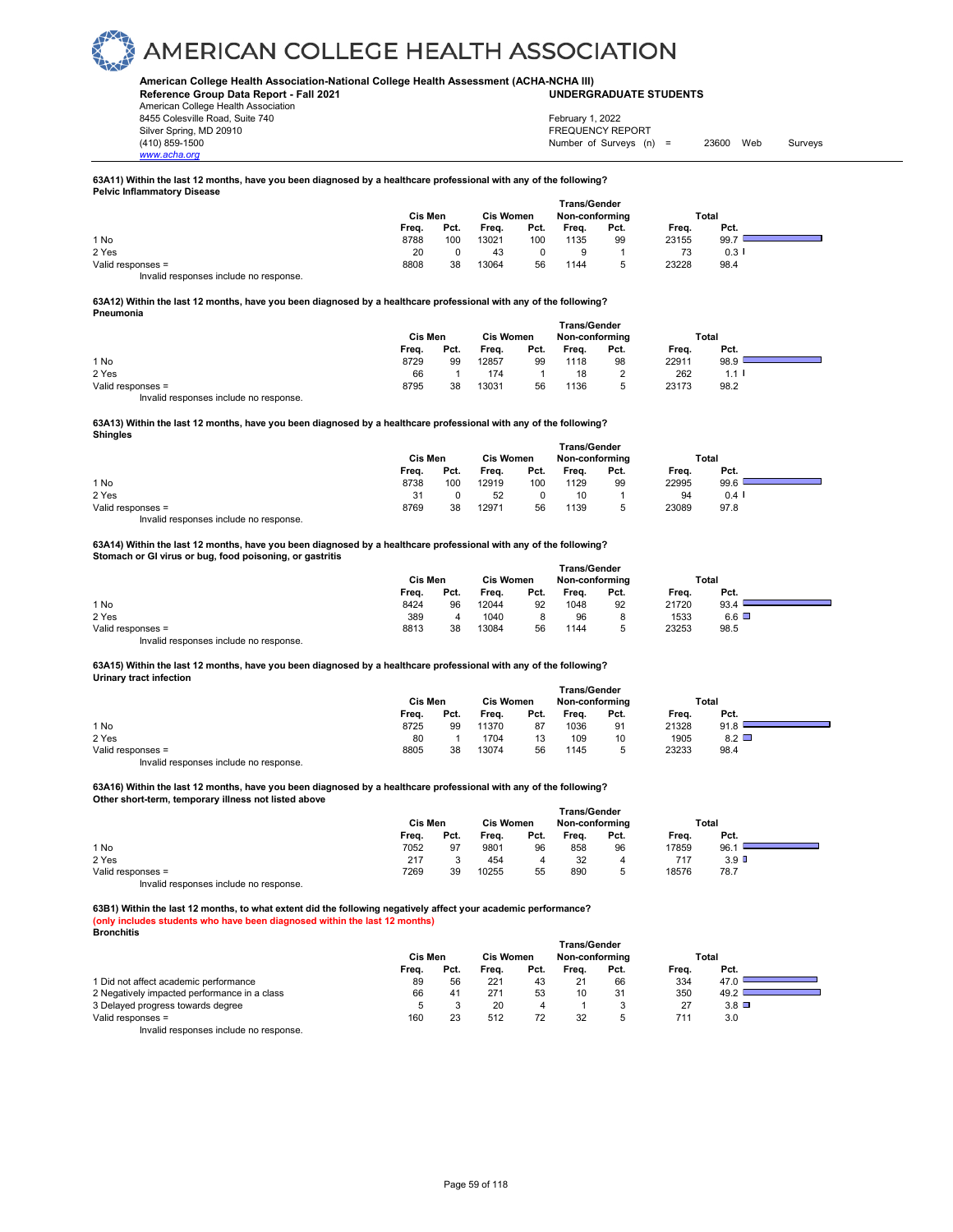#### **American College Health Association-National College Health Assessment (ACHA-NCHA III) UNDERGRADUATE STUDENTS**

**Reference Group Data Report - Fall 2021** American College Health Association 8455 Colesville Road, Suite 740 Silver Spring, MD 20910<br>
1990 - The Spring, MD 20910<br>
1990 - The Survey Structure of Surveys (n)

*www.acha.org*

Number of Surveys (n) = 23600 Web Surveys February 1, 2022

#### **63A11) Within the last 12 months, have you been diagnosed by a healthcare professional with any of the following? Pelvic Inflammatory Disease**

|                                        | <b>Trans/Gender</b> |      |                  |      |                |      |       |      |  |
|----------------------------------------|---------------------|------|------------------|------|----------------|------|-------|------|--|
|                                        | Cis Men             |      | <b>Cis Women</b> |      | Non-conforming |      | Total |      |  |
|                                        | Freq.               | Pct. | Freq.            | Pct. | Freq.          | Pct. | Freq. | Pct. |  |
| 1 No                                   | 8788                | 100  | 13021            | 100  | 1135           | 99   | 23155 | 99.7 |  |
| 2 Yes                                  | 20                  |      | 43               |      |                |      |       | 0.3  |  |
| Valid responses =                      | 8808                | 38   | 13064            | 56   | 1144           |      | 23228 | 98.4 |  |
| Invalid responses include no response. |                     |      |                  |      |                |      |       |      |  |

#### **63A12) Within the last 12 months, have you been diagnosed by a healthcare professional with any of the following? Pneumonia**

|                   | Cis Men |      | Cis Women |      | <b>Trans/Gender</b><br>Non-conforming |      | Total |                      |  |
|-------------------|---------|------|-----------|------|---------------------------------------|------|-------|----------------------|--|
|                   | Frea.   | Pct. | Freq.     | Pct. | Freq.                                 | Pct. | Freq. | Pct.                 |  |
| 1 No              | 8729    | 99   | 12857     | 99   | 1118                                  | 98   | 22911 | 98.9                 |  |
| 2 Yes             | 66      |      | 174       |      | 18                                    |      | 262   | $1.1$ $\blacksquare$ |  |
| Valid responses = | 8795    | 38   | 13031     | 56   | 1136                                  | 5    | 23173 | 98.2                 |  |

Invalid responses include no response.

**63A13) Within the last 12 months, have you been diagnosed by a healthcare professional with any of the following? Shingles**

|                   |         |      |                  | <b>Trans/Gender</b> |                |      |       |      |  |
|-------------------|---------|------|------------------|---------------------|----------------|------|-------|------|--|
|                   | Cis Men |      | <b>Cis Women</b> |                     | Non-conforming |      | Total |      |  |
|                   | Freq.   | Pct. | Freq.            | Pct.                | Freq.          | Pct. | Freq. | Pct. |  |
| 1 No              | 8738    | 100  | 12919            | 100                 | 1129           | 99   | 22995 | 99.6 |  |
| 2 Yes             | 31      |      | 52               |                     | 10             |      | 94    | 0.4  |  |
| Valid responses = | 8769    | 38   | 12971            | 56                  | 1139           | 5    | 23089 | 97.8 |  |
|                   |         |      |                  |                     |                |      |       |      |  |

Invalid responses include no response.

#### **63A14) Within the last 12 months, have you been diagnosed by a healthcare professional with any of the following? Stomach or GI virus or bug, food poisoning, or gastritis**

|                                        | <b>Trans/Gender</b> |      |                  |      |                |      |       |              |  |  |  |
|----------------------------------------|---------------------|------|------------------|------|----------------|------|-------|--------------|--|--|--|
|                                        | Cis Men             |      | <b>Cis Women</b> |      | Non-conforming |      | Total |              |  |  |  |
|                                        | Freq.               | Pct. | Freq.            | Pct. | Frea.          | Pct. | Frea. | Pct.         |  |  |  |
| 1 No                                   | 8424                | 96   | 12044            | 92   | 1048           | 92   | 21720 | 93.4         |  |  |  |
| 2 Yes                                  | 389                 |      | 1040             |      | 96             |      | 1533  | $6.6$ $\Box$ |  |  |  |
| Valid responses =                      | 8813                | 38   | 13084            | 56   | 1144           |      | 23253 | 98.5         |  |  |  |
| Invalid responses include no response. |                     |      |                  |      |                |      |       |              |  |  |  |

#### **63A15) Within the last 12 months, have you been diagnosed by a healthcare professional with any of the following? Urinary tract infection**

|                   | Cis Men |      | <b>Cis Women</b> |      | Non-conforming |      | Total |                 |  |
|-------------------|---------|------|------------------|------|----------------|------|-------|-----------------|--|
|                   | Frea.   | Pct. | Frea.            | Pct. | Frea.          | Pct. | Frea. | Pct.            |  |
| 1 No              | 8725    | 99   | 11370            | 87   | 1036           | 91   | 21328 | 91.8            |  |
| 2 Yes             | 80      |      | 1704             | 13   | 109            | 10   | 1905  | $8.2$ $\square$ |  |
| Valid responses = | 8805    | 38   | 13074            | 56   | 1145           |      | 23233 | 98.4            |  |
|                   |         |      |                  |      |                |      |       |                 |  |

Invalid responses include no response.

#### **63A16) Within the last 12 months, have you been diagnosed by a healthcare professional with any of the following? Other short-term, temporary illness not listed above**

|                   | <b>Trans/Gender</b> |         |       |                  |       |                |       |                  |  |
|-------------------|---------------------|---------|-------|------------------|-------|----------------|-------|------------------|--|
|                   |                     | Cis Men |       | <b>Cis Women</b> |       | Non-conforming | Total |                  |  |
|                   | Freq.               | Pct.    | Freq. | Pct.             | Freq. | Pct.           | Freq. | Pct.             |  |
| 1 No              | 7052                | 97      | 9801  | 96               | 858   | 96             | 17859 | 96.1             |  |
| 2 Yes             | 217                 |         | 454   | 4                | 32    | 4              | 717   | 3.9 <sup>D</sup> |  |
| Valid responses = | 7269                | 39      | 10255 | 55               | 890   |                | 18576 | 78.7             |  |
| .                 |                     |         |       |                  |       |                |       |                  |  |

Invalid responses include no response.

**63B1) Within the last 12 months, to what extent did the following negatively affect your academic performance? (only includes students who have been diagnosed within the last 12 months) Bronchitis** 

|                                              | <b>Cis Men</b> |      | <b>Cis Women</b> |      | Trans/Gender<br>Non-conforming |      | Total |              |  |
|----------------------------------------------|----------------|------|------------------|------|--------------------------------|------|-------|--------------|--|
|                                              | Freq.          | Pct. | Frea.            | Pct. | Frea.                          | Pct. | Frea. | Pct.         |  |
| 1 Did not affect academic performance        | 89             | 56   | 221              | 43   | 21                             | 66   | 334   | 47.0         |  |
| 2 Negatively impacted performance in a class | 66             | 41   | 271              | 53   | 10                             | 31   | 350   | 49.2         |  |
| 3 Delayed progress towards degree            |                |      | 20               | 4    |                                |      |       | $3.8$ $\Box$ |  |
| Valid responses =                            | 160            | 23   | 512              | 72   | 32                             |      | 711   | 3.0          |  |
|                                              |                |      |                  |      |                                |      |       |              |  |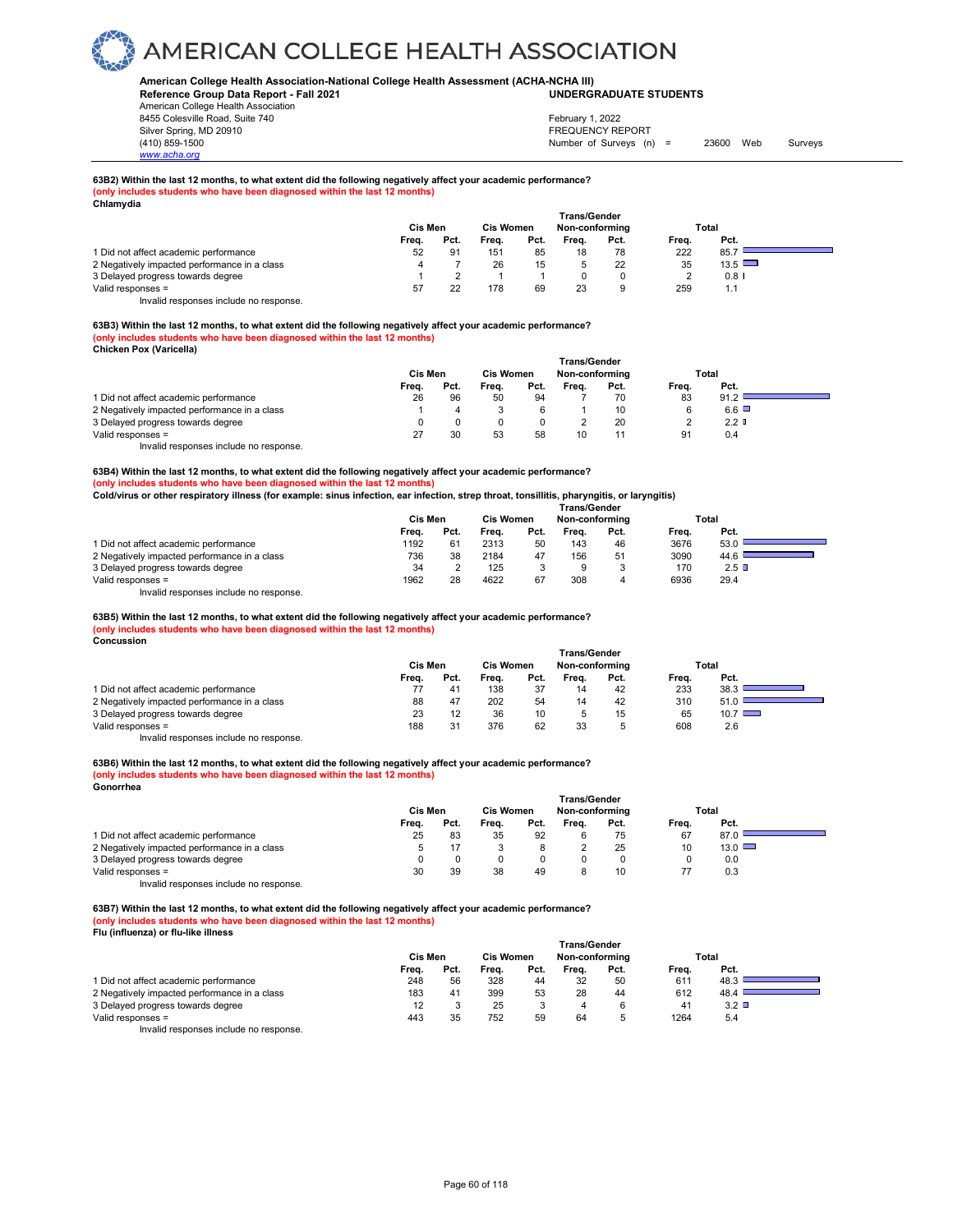#### **American College Health Association-National College Health Assessment (ACHA-NCHA III) UNDERGRADUATE STUDENTS**

**Reference Group Data Report - Fall 2021** American College Health Association 8455 Colesville Road, Suite 740 Silver Spring, MD 20910<br>
1990 - The Spring, MD 20910<br>
1990 - The Survey Structure of Surveys (n)

*www.acha.org*

### Number of Surveys (n) = 23600 Web Surveys February 1, 2022

### **63B2) Within the last 12 months, to what extent did the following negatively affect your academic performance? (only includes students who have been diagnosed within the last 12 months) Chlamydia**

| "                                            |         |      |                  |      |                     |      |       |               |
|----------------------------------------------|---------|------|------------------|------|---------------------|------|-------|---------------|
|                                              |         |      |                  |      | <b>Trans/Gender</b> |      |       |               |
|                                              | Cis Men |      | <b>Cis Women</b> |      | Non-conforming      |      |       | Total         |
|                                              | Freq.   | Pct. | Frea.            | Pct. | Frea.               | Pct. | Frea. | Pct.          |
| 1 Did not affect academic performance        | 52      | 91   | 151              | 85   | 18                  | 78   | 222   | 85.7          |
| 2 Negatively impacted performance in a class |         |      | 26               | 15   |                     | 22   | 35    | $13.5$ $\Box$ |
| 3 Delayed progress towards degree            |         |      |                  |      |                     |      |       | $0.8$ I       |
| Valid responses =                            | 57      | 22   | 178              | 69   | 23                  |      | 259   | 1.1           |

Invalid responses include no response.

#### **63B3) Within the last 12 months, to what extent did the following negatively affect your academic performance? (only includes students who have been diagnosed within the last 12 months) Chicken Pox (Varicella)**

|                                              |         |      |                  |      | Trans/Gender   |      |       |                  |  |
|----------------------------------------------|---------|------|------------------|------|----------------|------|-------|------------------|--|
|                                              | Cis Men |      | <b>Cis Women</b> |      | Non-conforming |      | Total |                  |  |
|                                              | Frea.   | Pct. | Freq.            | Pct. | Frea.          | Pct. | Frea. | Pct.             |  |
| 1 Did not affect academic performance        | 26      | 96   | 50               | 94   |                | 70   | 83    | 91.2             |  |
| 2 Negatively impacted performance in a class |         |      |                  |      |                | 10   |       | $6.6$ $\Box$     |  |
| 3 Delayed progress towards degree            |         |      |                  |      |                | 20   |       | 2.2 <sub>0</sub> |  |
| Valid responses =                            |         | 30   | 53               | 58   | 10             |      | 91    | 0.4              |  |
| .<br>.                                       |         |      |                  |      |                |      |       |                  |  |

Invalid responses include no response.

**63B4) Within the last 12 months, to what extent did the following negatively affect your academic performance? (only includes students who have been diagnosed within the last 12 months)**

**Cold/virus or other respiratory illness (for example: sinus infection, ear infection, strep throat, tonsillitis, pharyngitis, or laryngitis)**

|                                              | <b>Trans/Gender</b> |      |                  |      |       |                |       |         |  |
|----------------------------------------------|---------------------|------|------------------|------|-------|----------------|-------|---------|--|
|                                              | Cis Men             |      | <b>Cis Women</b> |      |       | Non-conforming |       | Total   |  |
|                                              | Freq.               | Pct. | Freq.            | Pct. | Frea. | Pct.           | Frea. | Pct.    |  |
| 1 Did not affect academic performance        | 1192                | 61   | 2313             | 50   | 143   | 46             | 3676  | 53.0    |  |
| 2 Negatively impacted performance in a class | 736                 | 38   | 2184             | 47   | 156   | 51             | 3090  | 44.6    |  |
| 3 Delayed progress towards degree            | 34                  |      | 125              |      | 9     |                | 170   | $2.5$ D |  |
| Valid responses =                            | 1962                | 28   | 4622             | 67   | 308   |                | 6936  | 29.4    |  |
|                                              |                     |      |                  |      |       |                |       |         |  |

Invalid responses include no response.

**63B5) Within the last 12 months, to what extent did the following negatively affect your academic performance?** 

#### **(only includes students who have been diagnosed within the last 12 months) Concussion**

|                                              | Trans/Gender |      |                  |      |                |              |       |               |  |  |  |
|----------------------------------------------|--------------|------|------------------|------|----------------|--------------|-------|---------------|--|--|--|
|                                              | Cis Men      |      | <b>Cis Women</b> |      | Non-conformina |              | Total |               |  |  |  |
|                                              | Freq.        | Pct. | Frea.            | Pct. | Frea.          | Pct.         | Frea. | Pct.          |  |  |  |
| 1 Did not affect academic performance        |              | 41   | 138              | 37   | 14             | 42           | 233   | 38.3          |  |  |  |
| 2 Negatively impacted performance in a class | 88           |      | 202              | 54   | 14             | 42           | 310   | 51.0          |  |  |  |
| 3 Delayed progress towards degree            | 23           | 12   | 36               | 10   |                | 15           | 65    | $10.7$ $\Box$ |  |  |  |
| Valid responses =                            | 188          | 31   | 376              | 62   | 33             | <sub>5</sub> | 608   | 2.6           |  |  |  |

Invalid responses include no response.

#### **63B6) Within the last 12 months, to what extent did the following negatively affect your academic performance? (only includes students who have been diagnosed within the last 12 months) Gonorrhea**

|                                              | Cis Men |      | <b>Cis Women</b> |      | Non-conforming |      | Total |               |  |
|----------------------------------------------|---------|------|------------------|------|----------------|------|-------|---------------|--|
|                                              | Freq.   | Pct. | Frea.            | Pct. | Frea.          | Pct. | Frea. | Pct.          |  |
| 1 Did not affect academic performance        | 25      | 83   | 35               | 92   |                | 75   | 67    | 87.0          |  |
| 2 Negatively impacted performance in a class |         |      |                  |      |                | 25   | 10    | $13.0$ $\Box$ |  |
| 3 Delayed progress towards degree            |         |      |                  |      |                |      |       | 0.0           |  |
| Valid responses =                            | 30      | 39   | 38               | 49   |                | 10   |       | 0.3           |  |
|                                              |         |      |                  |      |                |      |       |               |  |

Invalid responses include no response.

**63B7) Within the last 12 months, to what extent did the following negatively affect your academic performance? (only includes students who have been diagnosed within the last 12 months) Flu (influenza) or flu-like illness** 

|                                              | <b>Trans/Gender</b> |      |                                    |      |       |      |       |              |  |
|----------------------------------------------|---------------------|------|------------------------------------|------|-------|------|-------|--------------|--|
|                                              | <b>Cis Men</b>      |      | <b>Cis Women</b><br>Non-conforming |      | Total |      |       |              |  |
|                                              | Freq.               | Pct. | Frea.                              | Pct. | Frea. | Pct. | Freq. | Pct.         |  |
| 1 Did not affect academic performance        | 248                 | 56   | 328                                | 44   | 32    | 50   | 611   | 48.3         |  |
| 2 Negatively impacted performance in a class | 183                 | 41   | 399                                | 53   | 28    | 44   | 612   | 48.4         |  |
| 3 Delayed progress towards degree            |                     |      | 25                                 | J    | 4     | 6    | 41    | $3.2$ $\Box$ |  |
| Valid responses =                            | 443                 | 35   | 752                                | 59   | 64    | v    | 1264  | 5.4          |  |
| Involid recononces include no recononce      |                     |      |                                    |      |       |      |       |              |  |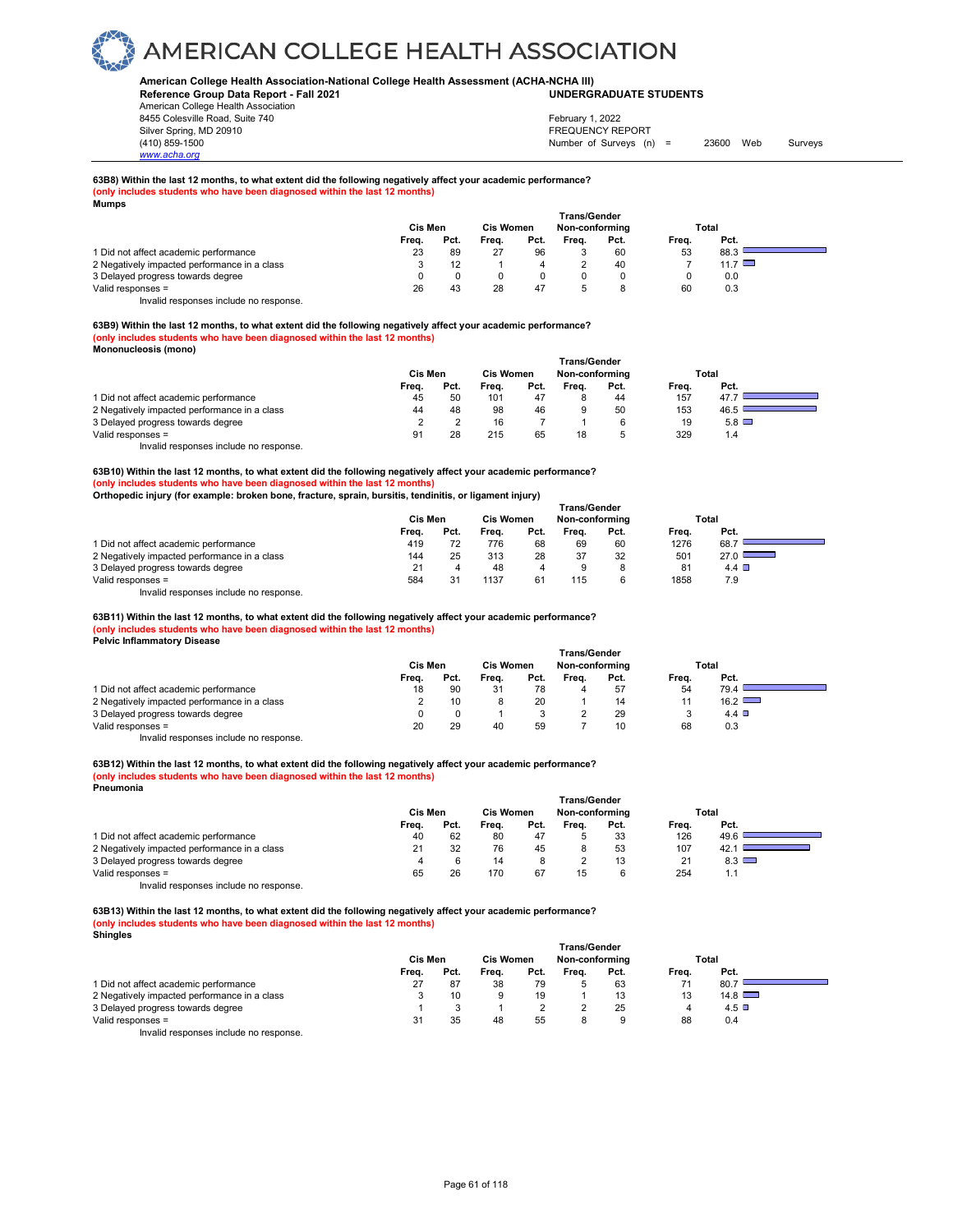#### **American College Health Association-National College Health Assessment (ACHA-NCHA III) UNDERGRADUATE STUDENTS**

**Reference Group Data Report - Fall 2021** American College Health Association 8455 Colesville Road, Suite 740 Silver Spring, MD 20910<br>
1990 - The Spring, MD 20910<br>
1990 - The Survey Structure of Surveys (n)

# *www.acha.org*

### Number of Surveys (n) = 23600 Web Surveys February 1, 2022

### **63B8) Within the last 12 months, to what extent did the following negatively affect your academic performance? (only includes students who have been diagnosed within the last 12 months) Mumps**

| mumpo                                        |         |      |                  |      |              |                |       |             |  |
|----------------------------------------------|---------|------|------------------|------|--------------|----------------|-------|-------------|--|
|                                              | Cis Men |      |                  |      | Trans/Gender |                |       |             |  |
|                                              |         |      | <b>Cis Women</b> |      |              | Non-conformina |       | Total       |  |
|                                              | Freq.   | Pct. | Freq.            | Pct. | Frea.        | Pct.           | Frea. | Pct.        |  |
| 1 Did not affect academic performance        | 23      | 89   | 27               | 96   |              | 60             | 53    | 88.3        |  |
| 2 Negatively impacted performance in a class |         |      |                  |      |              | 40             |       | 11.7 $\Box$ |  |
| 3 Delayed progress towards degree            |         |      |                  |      |              |                |       | 0.0         |  |
| Valid responses =                            | 26      | 43   | 28               | 47   |              |                | 60    | 0.3         |  |

Invalid responses include no response.

#### **63B9) Within the last 12 months, to what extent did the following negatively affect your academic performance? (only includes students who have been diagnosed within the last 12 months) Mononucleosis (mono)**

|                                              | Cis Men |      | <b>Cis Women</b> |      | <b>Trans/Gender</b><br>Non-conforming |      | Total |              |  |
|----------------------------------------------|---------|------|------------------|------|---------------------------------------|------|-------|--------------|--|
|                                              | Frea.   | Pct. | Frea.            | Pct. | Frea.                                 | Pct. | Frea. | Pct.         |  |
| 1 Did not affect academic performance        | 45      | 50   | 101              | 47   |                                       | 44   | 157   | 47.7         |  |
| 2 Negatively impacted performance in a class | 44      | 48   | 98               | 46   |                                       | 50   | 153   | 46.5         |  |
| 3 Delayed progress towards degree            |         |      | 16               |      |                                       |      | 19    | $5.8$ $\Box$ |  |
| Valid responses =                            | 91      | 28   | 215              | 65   | 18                                    |      | 329   | 1.4          |  |

Invalid responses include no response.

**63B10) Within the last 12 months, to what extent did the following negatively affect your academic performance? (only includes students who have been diagnosed within the last 12 months)**

**Orthopedic injury (for example: broken bone, fracture, sprain, bursitis, tendinitis, or ligament injury)** 

|                                              | <b>Trans/Gender</b> |      |                  |      |                |      |       |               |  |  |  |
|----------------------------------------------|---------------------|------|------------------|------|----------------|------|-------|---------------|--|--|--|
|                                              | Cis Men             |      | <b>Cis Women</b> |      | Non-conforming |      | Total |               |  |  |  |
|                                              | Freq.               | Pct. | Frea.            | Pct. | Frea.          | Pct. | Frea. | Pct.          |  |  |  |
| 1 Did not affect academic performance        | 419                 |      | 776              | 68   | 69             | 60   | 1276  | 68.7          |  |  |  |
| 2 Negatively impacted performance in a class | 144                 | 25   | 313              | 28   | 37             | 32   | 501   | $27.0$ $\Box$ |  |  |  |
| 3 Delayed progress towards degree            |                     |      | 48               |      | 9              | 8    | 81    | 4.4 $\Box$    |  |  |  |
| Valid responses =                            | 584                 |      | 1137             | 61   | 115            | 6    | 1858  | 7.9           |  |  |  |

Invalid responses include no response.

**63B11) Within the last 12 months, to what extent did the following negatively affect your academic performance?** 

#### **(only includes students who have been diagnosed within the last 12 months) Pelvic Inflammatory Disease**

|                                              | Trans/Gender |      |                  |      |                |      |       |            |  |  |
|----------------------------------------------|--------------|------|------------------|------|----------------|------|-------|------------|--|--|
|                                              | Cis Men      |      | <b>Cis Women</b> |      | Non-conforming |      | Total |            |  |  |
|                                              | Freq.        | Pct. | Freq.            | Pct. | Frea.          | Pct. | Freq. | Pct.       |  |  |
| 1 Did not affect academic performance        | 18           | 90   | 31               | 78   |                | 57   | 54    | 79.4       |  |  |
| 2 Negatively impacted performance in a class |              | 10   |                  | 20   |                | 14   |       | 16.2       |  |  |
| 3 Delayed progress towards degree            |              |      |                  |      |                | 29   | v     | 4.4 $\Box$ |  |  |
| Valid responses =                            | 20           | 29   | 40               | 59   |                | 10   | 68    | 0.3        |  |  |

Invalid responses include no response.

#### **63B12) Within the last 12 months, to what extent did the following negatively affect your academic performance? (only includes students who have been diagnosed within the last 12 months) Pneumonia**

|                                              | <b>Trans/Gender</b> |      |                  |      |                |      |                |              |  |
|----------------------------------------------|---------------------|------|------------------|------|----------------|------|----------------|--------------|--|
|                                              | <b>Cis Men</b>      |      | <b>Cis Women</b> |      | Non-conforming |      | Total          |              |  |
|                                              | Freq.               | Pct. | Frea.            | Pct. | Frea.          | Pct. | Frea.          | Pct.         |  |
| 1 Did not affect academic performance        | 40                  | 62   | 80               | 47   |                | 33   | 126            | 49.6         |  |
| 2 Negatively impacted performance in a class | 21                  | 32   | 76               | 45   | 8              | 53   | 107            | 42.          |  |
| 3 Delayed progress towards degree            |                     |      | 14               |      |                | 13   | 2 <sup>1</sup> | $8.3$ $\Box$ |  |
| Valid responses =                            | 65                  | 26   | 170              | 67   | 15             | 6    | 254            | 1.1          |  |
| Invalid responses include no response.       |                     |      |                  |      |                |      |                |              |  |

**63B13) Within the last 12 months, to what extent did the following negatively affect your academic performance? (only includes students who have been diagnosed within the last 12 months) Shingles** 

|                                              | <b>Trans/Gender</b> |      |       |                  |       |                |       |               |  |
|----------------------------------------------|---------------------|------|-------|------------------|-------|----------------|-------|---------------|--|
|                                              | Cis Men             |      |       | <b>Cis Women</b> |       | Non-conforming | Total |               |  |
|                                              | Freq.               | Pct. | Freq. | Pct.             | Frea. | Pct.           | Freq. | Pct.          |  |
| 1 Did not affect academic performance        | 27                  | 87   | 38    | 79               |       | 63             | 71    | 80.7          |  |
| 2 Negatively impacted performance in a class |                     | 10   | 9     | 19               |       | 13             | 13    | $14.8$ $\Box$ |  |
| 3 Delayed progress towards degree            |                     |      |       |                  |       | 25             | 4     | $4.5$ D       |  |
| Valid responses =                            | 31                  | 35   | 48    | 55               |       |                | 88    | 0.4           |  |
| Invalid responses include no response.       |                     |      |       |                  |       |                |       |               |  |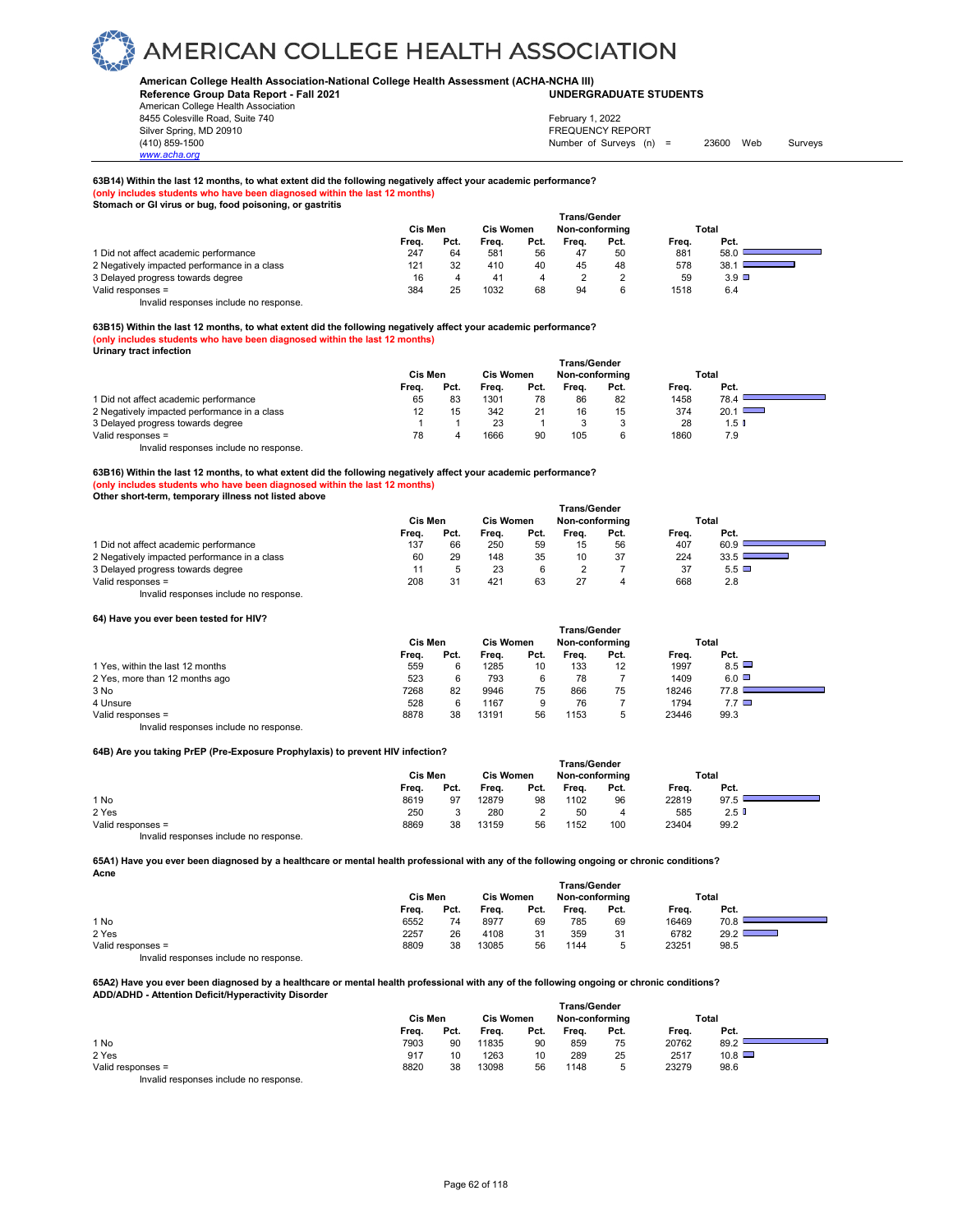**American College Health Association-National College Health Assessment (ACHA-NCHA III) UNDERGRADUATE STUDENTS**

**Reference Group Data Report - Fall 2021** American College Health Association 8455 Colesville Road, Suite 740

#### Silver Spring, MD 20910<br>
1990 - The Spring, MD 20910<br>
1990 - The Survey Structure of Surveys (n) Number of Surveys (n) = 23600 Web Surveys February 1, 2022

**63B14) Within the last 12 months, to what extent did the following negatively affect your academic performance? (only includes students who have been diagnosed within the last 12 months)**

**Stomach or GI virus or bug, food poisoning, or gastritis** 

|                                              | Trans/Gender   |      |                  |      |                |      |       |                 |  |  |
|----------------------------------------------|----------------|------|------------------|------|----------------|------|-------|-----------------|--|--|
|                                              | <b>Cis Men</b> |      | <b>Cis Women</b> |      | Non-conformina |      |       | Total           |  |  |
|                                              | Freq.          | Pct. | Frea.            | Pct. | Frea.          | Pct. | Frea. | Pct.            |  |  |
| 1 Did not affect academic performance        | 247            | 64   | 581              | 56   | 47             | 50   | 881   | 58.0            |  |  |
| 2 Negatively impacted performance in a class | 121            | 32   | 410              | 40   | 45             | 48   | 578   |                 |  |  |
| 3 Delayed progress towards degree            | 16             |      | 41               |      |                |      | 59    | $3.9$ $\square$ |  |  |
| Valid responses =                            | 384            | 25   | 1032             | 68   | 94             | 6    | 1518  | 6.4             |  |  |

Invalid responses include no response.

*www.acha.org*

**63B15) Within the last 12 months, to what extent did the following negatively affect your academic performance? (only includes students who have been diagnosed within the last 12 months) Urinary tract infection** 

|                                              | <b>Trans/Gender</b> |      |       |                  |       |                |       |                  |  |
|----------------------------------------------|---------------------|------|-------|------------------|-------|----------------|-------|------------------|--|
|                                              | Cis Men             |      |       | <b>Cis Women</b> |       | Non-conforming |       | Total            |  |
|                                              | Freq.               | Pct. | Frea. | Pct.             | Frea. | Pct.           | Frea. | Pct.             |  |
| 1 Did not affect academic performance        | 65                  | 83   | 1301  | 78               | 86    | 82             | 1458  | 78.4             |  |
| 2 Negatively impacted performance in a class | 12                  | 15   | 342   | 21               | 16    | 15             | 374   | $20.1$ $\Box$    |  |
| 3 Delayed progress towards degree            |                     |      | 23    |                  |       |                | 28    | 1.5 <sub>0</sub> |  |
| Valid responses =                            | 78                  |      | 1666  | 90               | 105   |                | 1860  | 7.9              |  |
| .                                            |                     |      |       |                  |       |                |       |                  |  |

Invalid responses include no response.

**63B16) Within the last 12 months, to what extent did the following negatively affect your academic performance? (only includes students who have been diagnosed within the last 12 months) Other short-term, temporary illness not listed above** 

|                                              | <b>Trans/Gender</b> |      |                  |      |                |      |       |                                              |  |  |
|----------------------------------------------|---------------------|------|------------------|------|----------------|------|-------|----------------------------------------------|--|--|
|                                              | Cis Men             |      | <b>Cis Women</b> |      | Non-conforming |      | Total |                                              |  |  |
|                                              | Frea.               | Pct. | Frea.            | Pct. | Frea.          | Pct. | Frea. | Pct.                                         |  |  |
| 1 Did not affect academic performance        | 137                 | 66   | 250              | 59   | 15             | 56   | 407   | 60.9                                         |  |  |
| 2 Negatively impacted performance in a class | 60                  | 29   | 148              | 35   | 10             | 37   | 224   | 33.5<br><b>Service Controller Controller</b> |  |  |
| 3 Delayed progress towards degree            |                     |      | 23               |      |                |      | 37    | $5.5\Box$                                    |  |  |
| Valid responses =                            | 208                 | 31   | 421              | 63   | 27             |      | 668   | 2.8                                          |  |  |
| Invalid responses include no response.       |                     |      |                  |      |                |      |       |                                              |  |  |

#### **64) Have you ever been tested for HIV?**

|                                        | <b>Trans/Gender</b> |      |                  |      |                |                   |       |              |  |  |
|----------------------------------------|---------------------|------|------------------|------|----------------|-------------------|-------|--------------|--|--|
|                                        | Cis Men             |      | <b>Cis Women</b> |      | Non-conforming |                   | Total |              |  |  |
|                                        | Freq.               | Pct. | Frea.            | Pct. | Frea.          | Pct.              | Freq. | Pct.         |  |  |
| 1 Yes, within the last 12 months       | 559                 |      | 1285             | 10   | 133            | $12 \overline{ }$ | 1997  | 8.5          |  |  |
| 2 Yes, more than 12 months ago         | 523                 |      | 793              | 6    | 78             |                   | 1409  | $6.0$ $\Box$ |  |  |
| 3 No                                   | 7268                | 82   | 9946             | 75   | 866            | 75                | 18246 | 77.81        |  |  |
| 4 Unsure                               | 528                 |      | 1167             | 9    | 76             |                   | 1794  | $7.7$ $\Box$ |  |  |
| Valid responses =                      | 8878                | 38   | 13191            | 56   | 1153           | 5                 | 23446 | 99.3         |  |  |
| Invalid responses include no response. |                     |      |                  |      |                |                   |       |              |  |  |

#### **64B) Are you taking PrEP (Pre-Exposure Prophylaxis) to prevent HIV infection?**

| <b>04D)</b> Are you taking FILF (FIG-LADOSUIG FIODITYIAAIS) to prevent thy imeguon: |         |                                    |       |      |                     |      |       |         |  |
|-------------------------------------------------------------------------------------|---------|------------------------------------|-------|------|---------------------|------|-------|---------|--|
|                                                                                     |         |                                    |       |      | <b>Trans/Gender</b> |      |       |         |  |
|                                                                                     | Cis Men | <b>Cis Women</b><br>Non-conforming |       |      | Total               |      |       |         |  |
|                                                                                     | Frea.   | Pct.                               | Frea. | Pct. | Frea.               | Pct. | Frea. | Pct.    |  |
| 1 No                                                                                | 8619    | 97                                 | 12879 | 98   | 1102                | 96   | 22819 | 97.5    |  |
| 2 Yes                                                                               | 250     |                                    | 280   |      | 50                  | 4    | 585   | $2.5$ D |  |
| Valid responses =                                                                   | 8869    | 38                                 | 13159 | 56   | 1152                | 100  | 23404 | 99.2    |  |
| Invalid responses include no response.                                              |         |                                    |       |      |                     |      |       |         |  |

**65A1) Have you ever been diagnosed by a healthcare or mental health professional with any of the following ongoing or chronic conditions? Acne** 

|                   |         |      |                  |      |                | <b>Trans/Gender</b> |       |       |
|-------------------|---------|------|------------------|------|----------------|---------------------|-------|-------|
|                   | Cis Men |      | <b>Cis Women</b> |      | Non-conforming |                     |       | Total |
|                   | Frea.   | Pct. | Frea.            | Pct. | Frea.          | Pct.                | Frea. | Pct.  |
| 1 No              | 6552    | 74   | 8977             | 69   | 785            | 69                  | 16469 | 70.8  |
| 2 Yes             | 2257    | 26   | 4108             | 31   | 359            | 31                  | 6782  | 29.2  |
| Valid responses = | 8809    | 38   | 13085            | 56   | 1144           |                     | 23251 | 98.5  |

Invalid responses include no response.

**65A2) Have you ever been diagnosed by a healthcare or mental health professional with any of the following ongoing or chronic conditions? ADD/ADHD - Attention Deficit/Hyperactivity Disorder Trans/Gender**

|                   |         |      |                  |      | 11a113/9511951 |      |       |       |  |
|-------------------|---------|------|------------------|------|----------------|------|-------|-------|--|
|                   | Cis Men |      | <b>Cis Women</b> |      | Non-conforming |      |       | Total |  |
|                   | Frea.   | Pct. | Freq.            | Pct. | Freq.          | Pct. | Frea. | Pct.  |  |
| 1 No              | 7903    | 90   | 11835            | 90   | 859            | 75   | 20762 | 89.2  |  |
| 2 Yes             | 917     | 10   | 1263             | 10   | 289            | 25   | 2517  | 10.8  |  |
| Valid responses = | 8820    | 38   | 13098            | 56   | 1148           | ∽    | 23279 | 98.6  |  |
|                   |         |      |                  |      |                |      |       |       |  |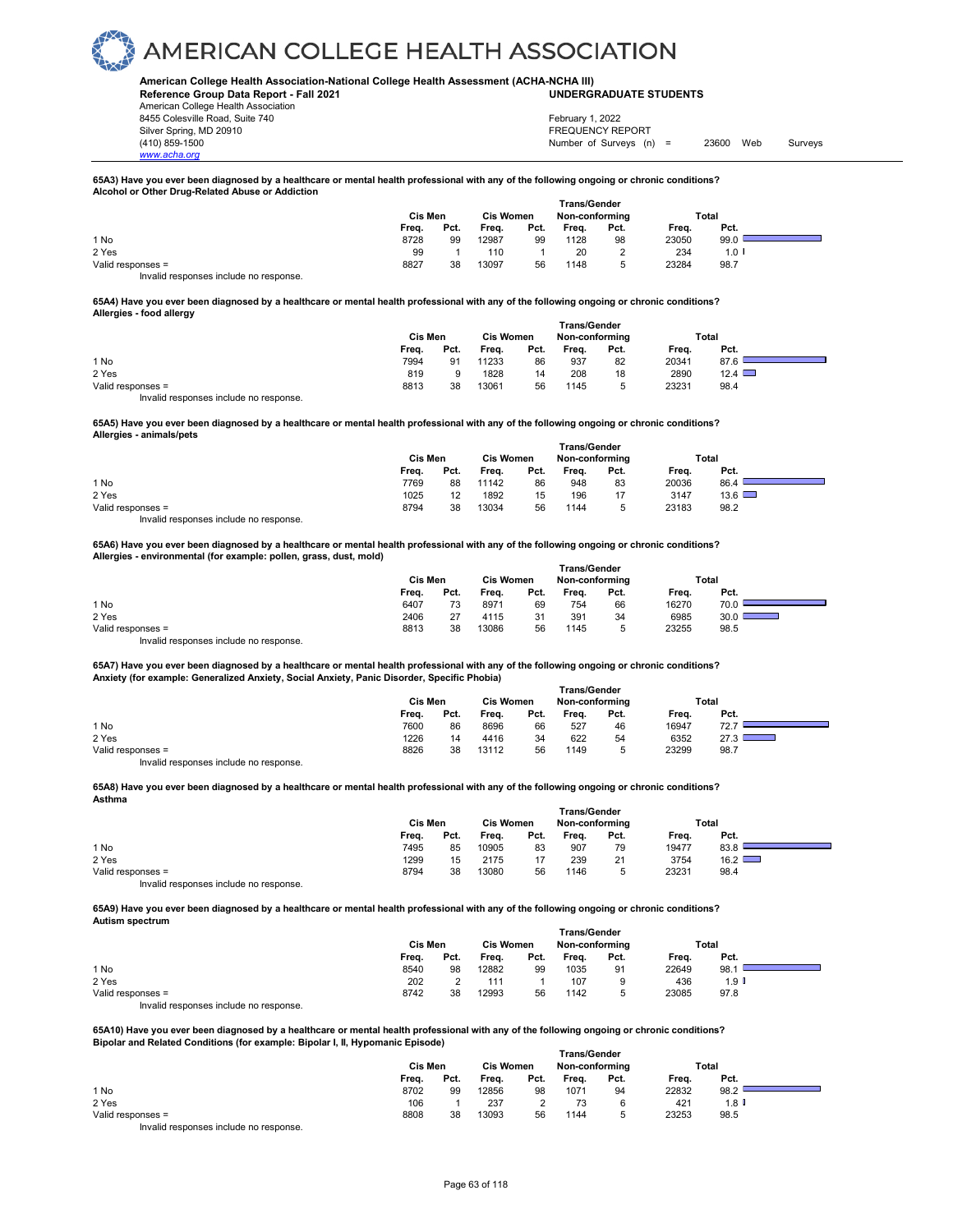#### **American College Health Association-National College Health Assessment (ACHA-NCHA III) UNDERGRADUATE STUDENTS**

**Reference Group Data Report - Fall 2021** American College Health Association 8455 Colesville Road, Suite 740 Silver Spring, MD 20910<br>
1990 - The Spring, MD 20910<br>
1990 - The Survey Structure of Surveys (notation of Surveys (notation of Surveys (notation of Surveys (notati

*www.acha.org*

Number of Surveys (n) = 23600 Web Surveys February 1, 2022

#### **65A3) Have you ever been diagnosed by a healthcare or mental health professional with any of the following ongoing or chronic conditions? Alcohol or Other Drug-Related Abuse or Addiction**

|                                        | Cis Men | <b>Trans/Gender</b><br><b>Cis Women</b><br>Non-conforming |       |      |       |      | Total |       |
|----------------------------------------|---------|-----------------------------------------------------------|-------|------|-------|------|-------|-------|
|                                        | Frea.   | Pct.                                                      | Frea. | Pct. | Freq. | Pct. | Frea. | Pct.  |
| 1 No                                   | 8728    | 99                                                        | 12987 | 99   | 1128  | 98   | 23050 | 99.0  |
| 2 Yes                                  | 99      |                                                           | 110   |      | 20    |      | 234   | 1.0 I |
| Valid responses =                      | 8827    | 38                                                        | 13097 | 56   | 1148  | 5    | 23284 | 98.7  |
| Invalid responses include no response. |         |                                                           |       |      |       |      |       |       |

#### **65A4) Have you ever been diagnosed by a healthcare or mental health professional with any of the following ongoing or chronic conditions? Allergies - food allergy**

|                                        | Cis Men | <b>Cis Women</b> |       | Trans/Gender<br>Non-conforming |       | Total |       |      |  |
|----------------------------------------|---------|------------------|-------|--------------------------------|-------|-------|-------|------|--|
|                                        | Freq.   | Pct.             | Freq. | Pct.                           | Freq. | Pct.  | Freq. | Pct. |  |
| 1 No                                   | 7994    | 91               | 11233 | 86                             | 937   | 82    | 20341 | 87.6 |  |
| 2 Yes                                  | 819     |                  | 1828  | 14                             | 208   | 18    | 2890  | 12.4 |  |
| Valid responses =                      | 8813    | 38               | 13061 | 56                             | 1145  | n     | 23231 | 98.4 |  |
| Invalid responses include no response. |         |                  |       |                                |       |       |       |      |  |

**65A5) Have you ever been diagnosed by a healthcare or mental health professional with any of the following ongoing or chronic conditions? Allergies - animals/pets** 

|                                          |         |                   |                  |      | <b>Trans/Gender</b> |      |       |               |  |
|------------------------------------------|---------|-------------------|------------------|------|---------------------|------|-------|---------------|--|
|                                          | Cis Men |                   | <b>Cis Women</b> |      | Non-conforming      |      |       | Total         |  |
|                                          | Frea.   | Pct.              | Frea.            | Pct. | Frea.               | Pct. | Frea. | Pct.          |  |
| 1 No                                     | 7769    | 88                | 11142            | 86   | 948                 | 83   | 20036 | 86.4          |  |
| 2 Yes                                    | 1025    | $12 \overline{ }$ | 1892             | 15   | 196                 | 17   | 3147  | $13.6$ $\Box$ |  |
| Valid responses =                        | 8794    | 38                | 13034            | 56   | 1144                | ∽    | 23183 | 98.2          |  |
| Involid reapenance include no reapenance |         |                   |                  |      |                     |      |       |               |  |

Invalid responses include no response.

**65A6) Have you ever been diagnosed by a healthcare or mental health professional with any of the following ongoing or chronic conditions? Allergies - environmental (for example: pollen, grass, dust, mold)** 

|                                        |         |      |                  |      | <b>Trans/Gender</b> |      |       |       |  |
|----------------------------------------|---------|------|------------------|------|---------------------|------|-------|-------|--|
|                                        | Cis Men |      | <b>Cis Women</b> |      | Non-conforming      |      |       | Total |  |
|                                        | Freq.   | Pct. | Freq.            | Pct. | Frea.               | Pct. | Frea. | Pct.  |  |
| 1 No                                   | 6407    | 73   | 8971             | 69   | 754                 | 66   | 16270 | 70.0  |  |
| 2 Yes                                  | 2406    | 27   | 4115             | 31   | 391                 | 34   | 6985  | 30.0  |  |
| Valid responses =                      | 8813    | 38   | 13086            | 56   | 1145                | ∽    | 23255 | 98.5  |  |
| Invalid responses include no response. |         |      |                  |      |                     |      |       |       |  |

**65A7) Have you ever been diagnosed by a healthcare or mental health professional with any of the following ongoing or chronic conditions? Anxiety (for example: Generalized Anxiety, Social Anxiety, Panic Disorder, Specific Phobia) Trans/Gender**

|                   | Cis Men |      | <b>Cis Women</b> |      | Non-conforming |      |       | Total |  |
|-------------------|---------|------|------------------|------|----------------|------|-------|-------|--|
|                   | Frea.   | Pct. | Freq.            | Pct. | Frea.          | Pct. | Frea. | Pct.  |  |
| 1 No              | 7600    | 86   | 8696             | 66   | 527            | 46   | 16947 | 72.7  |  |
| 2 Yes             | 1226    | 14   | 4416             | 34   | 622            | 54   | 6352  | 27.3  |  |
| Valid responses = | 8826    | 38   | 13112            | 56   | 1149           | ∽    | 23299 | 98.7  |  |
|                   |         |      |                  |      |                |      |       |       |  |

Invalid responses include no response.

#### **65A8) Have you ever been diagnosed by a healthcare or mental health professional with any of the following ongoing or chronic conditions? Asthma**

|                                         |         |      |                  |      | <b>Trans/Gender</b> |      |       |               |  |
|-----------------------------------------|---------|------|------------------|------|---------------------|------|-------|---------------|--|
|                                         | Cis Men |      | <b>Cis Women</b> |      | Non-conforming      |      |       | Total         |  |
|                                         | Frea.   | Pct. | Freq.            | Pct. | Frea.               | Pct. | Frea. | Pct.          |  |
| 1 No                                    | 7495    | 85   | 10905            | 83   | 907                 | 79   | 19477 | 83.8          |  |
| 2 Yes                                   | 1299    | 15   | 2175             |      | 239                 | 21   | 3754  | $16.2$ $\Box$ |  |
| Valid responses =                       | 8794    | 38   | 13080            | 56   | 1146                | 5.   | 23231 | 98.4          |  |
| Involid recononces include no recononce |         |      |                  |      |                     |      |       |               |  |

id responses include no response.

**65A9) Have you ever been diagnosed by a healthcare or mental health professional with any of the following ongoing or chronic conditions? Autism spectrum** 

|                                        |         |      |                  |      | <b>Trans/Gender</b> |      |       |                  |  |
|----------------------------------------|---------|------|------------------|------|---------------------|------|-------|------------------|--|
|                                        | Cis Men |      | <b>Cis Women</b> |      | Non-conforming      |      |       | Total            |  |
|                                        | Freq.   | Pct. | Freq.            | Pct. | Freq.               | Pct. | Freq. | Pct.             |  |
| 1 No                                   | 8540    | 98   | 12882            | 99   | 1035                | 91   | 22649 | 98.1             |  |
| 2 Yes                                  | 202     |      | 111              |      | 107                 | 9    | 436   | 1.9 <sub>l</sub> |  |
| Valid responses =                      | 8742    | 38   | 12993            | 56   | 1142                |      | 23085 | 97.8             |  |
| Invalid responses include no response. |         |      |                  |      |                     |      |       |                  |  |

**65A10) Have you ever been diagnosed by a healthcare or mental health professional with any of the following ongoing or chronic conditions? Bipolar and Related Conditions (for example: Bipolar I, II, Hypomanic Episode)** 

|                                        | Trans/Gender |      |                  |      |                |      |       |                    |  |  |  |
|----------------------------------------|--------------|------|------------------|------|----------------|------|-------|--------------------|--|--|--|
|                                        | Cis Men      |      | <b>Cis Women</b> |      | Non-conforming |      |       | Total              |  |  |  |
|                                        | Freq.        | Pct. | Freq.            | Pct. | Freq.          | Pct. | Frea. | Pct.               |  |  |  |
| 1 No                                   | 8702         | 99   | 12856            | 98   | 1071           | 94   | 22832 | 98.2               |  |  |  |
| 2 Yes                                  | 106          |      | 237              |      | 73             |      | 421   | 1.8 $\blacksquare$ |  |  |  |
| Valid responses =                      | 8808         | 38   | 13093            | 56   | 1144           |      | 23253 | 98.5               |  |  |  |
| Invalid responses include no response. |              |      |                  |      |                |      |       |                    |  |  |  |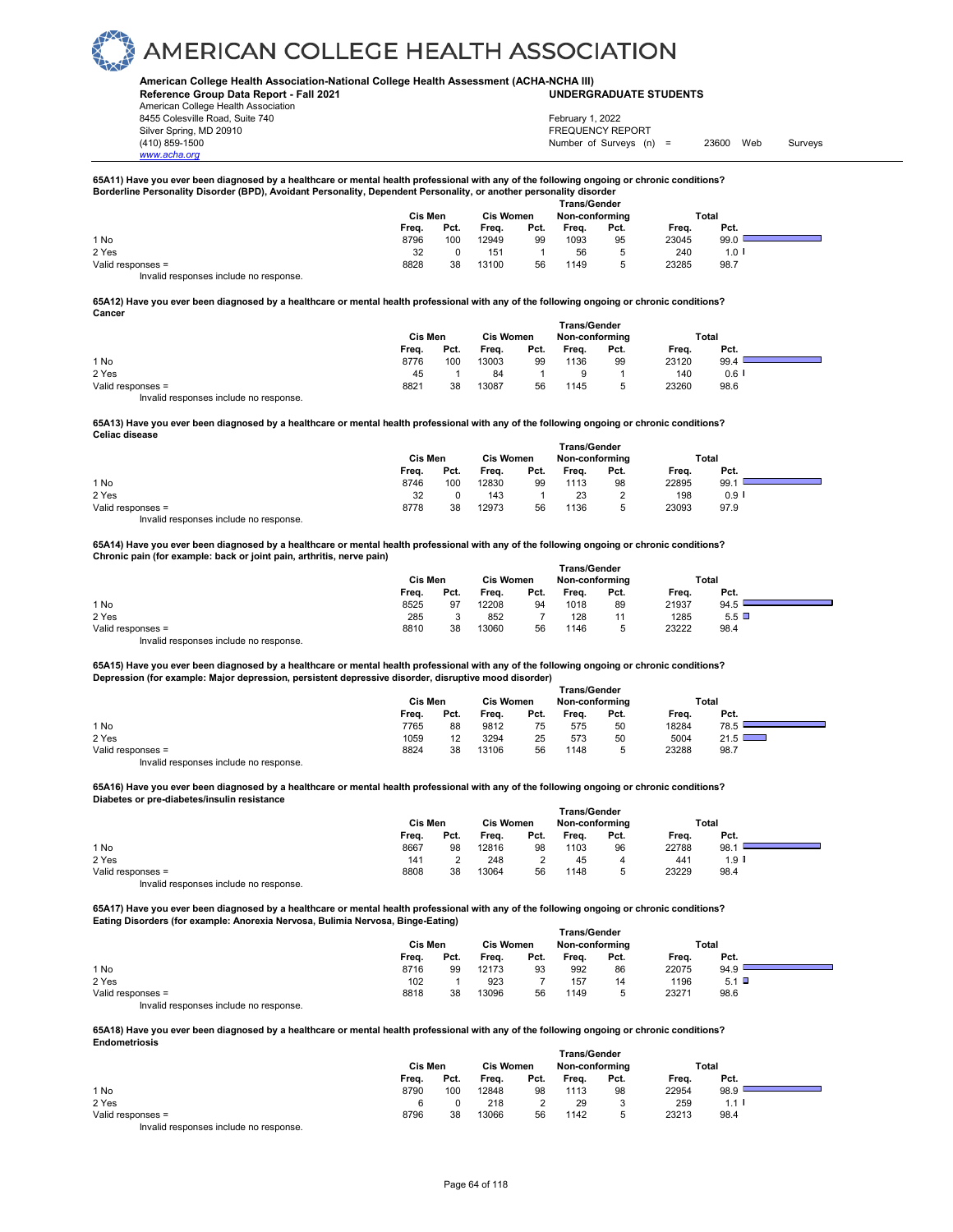#### **American College Health Association-National College Health Assessment (ACHA-NCHA III) UNDERGRADUATE STUDENTS**

**Reference Group Data Report - Fall 2021** American College Health Association 8455 Colesville Road, Suite 740 Silver Spring, MD 20910<br>
1990 - The Spring, MD 20910<br>
1990 - The Survey Structure of Surveys (n)

*www.acha.org*

Number of Surveys (n) = 23600 Web Surveys February 1, 2022

### 65A11) Have you ever been diagnosed by a healthcare or mental health professional with any of the following ongoing or chronic conditions?<br>Borderline Personality Disorder (BPD), Avoidant Personality, Dependent Personality,

|                                        |         |      |                  |      | <b>Trans/Gender</b> |             |       |       |
|----------------------------------------|---------|------|------------------|------|---------------------|-------------|-------|-------|
|                                        | Cis Men |      | <b>Cis Women</b> |      | Non-conforming      |             |       | Total |
|                                        | Freq.   | Pct. | Frea.            | Pct. | Frea.               | Pct.        | Frea. | Pct.  |
| 1 No                                   | 8796    | 100  | 12949            | 99   | 1093                | 95          | 23045 | 99.0  |
| 2 Yes                                  | 32      |      | 151              |      | 56                  | $\mathbf b$ | 240   | 1.0   |
| Valid responses =                      | 8828    | 38   | 13100            | 56   | 1149                | 5           | 23285 | 98.7  |
| Invalid responses include no response. |         |      |                  |      |                     |             |       |       |

#### **65A12) Have you ever been diagnosed by a healthcare or mental health professional with any of the following ongoing or chronic conditions? Cancer**

|                                        | Cis Men |      | <b>Cis Women</b> |      | <b>Trans/Gender</b><br>Non-conforming |      | Total |         |  |
|----------------------------------------|---------|------|------------------|------|---------------------------------------|------|-------|---------|--|
|                                        | Freq.   | Pct. | Frea.            | Pct. | Freq.                                 | Pct. | Freq. | Pct.    |  |
| 1 No                                   | 8776    | 100  | 13003            | 99   | 1136                                  | 99   | 23120 | 99.4    |  |
| 2 Yes                                  | 45      |      | 84               |      |                                       |      | 140   | $0.6$ I |  |
| Valid responses =                      | 8821    | 38   | 13087            | 56   | 1145                                  |      | 23260 | 98.6    |  |
| Invalid responses include no response. |         |      |                  |      |                                       |      |       |         |  |

**65A13) Have you ever been diagnosed by a healthcare or mental health professional with any of the following ongoing or chronic conditions? Celiac disease** 

|                                         |         |      |                  |      |                | <b>Trans/Gender</b> |       |         |  |
|-----------------------------------------|---------|------|------------------|------|----------------|---------------------|-------|---------|--|
|                                         | Cis Men |      | <b>Cis Women</b> |      | Non-conforming |                     | Total |         |  |
|                                         | Freq.   | Pct. | Freq.            | Pct. | Freq.          | Pct.                | Frea. | Pct.    |  |
| 1 No                                    | 8746    | 100  | 12830            | 99   | 1113           | 98                  | 22895 | 99.1    |  |
| 2 Yes                                   | 32      |      | 143              |      | 23             | $\sim$              | 198   | $0.9$ I |  |
| Valid responses =                       | 8778    | 38   | 12973            | 56   | 1136           | b                   | 23093 | 97.9    |  |
| Involid recononces include no recononce |         |      |                  |      |                |                     |       |         |  |

Invalid responses include no response.

**65A14) Have you ever been diagnosed by a healthcare or mental health professional with any of the following ongoing or chronic conditions? Chronic pain (for example: back or joint pain, arthritis, nerve pain)** 

|                                        | Cis Men |      | <b>Cis Women</b> |      | Non-conforming |        | Total |              |  |
|----------------------------------------|---------|------|------------------|------|----------------|--------|-------|--------------|--|
|                                        | Freq.   | Pct. | Freq.            | Pct. | Freq.          | Pct.   | Freq. | Pct.         |  |
| 1 No                                   | 8525    | 97   | 12208            | 94   | 1018           | 89     | 21937 | 94.5         |  |
| 2 Yes                                  | 285     |      | 852              |      | 128            | 11     | 1285  | $5.5$ $\Box$ |  |
| Valid responses =                      | 8810    | 38   | 13060            | 56   | 1146           | ∽<br>υ | 23222 | 98.4         |  |
| Invalid responses include no response. |         |      |                  |      |                |        |       |              |  |

**65A15) Have you ever been diagnosed by a healthcare or mental health professional with any of the following ongoing or chronic conditions? Depression (for example: Major depression, persistent depressive disorder, disruptive mood disorder) Trans/Gender**

|                   |         |      |                  |      | .              |      |       |               |  |
|-------------------|---------|------|------------------|------|----------------|------|-------|---------------|--|
|                   | Cis Men |      | <b>Cis Women</b> |      | Non-conforming |      | Total |               |  |
|                   | Freq.   | Pct. | Freq.            | Pct. | Frea.          | Pct. | Freq. | Pct.          |  |
| 1 No              | 7765    | 88   | 9812             | 75   | 575            | 50   | 18284 | 78.5          |  |
| 2 Yes             | 1059    | 12   | 3294             | 25   | 573            | 50   | 5004  | $21.5$ $\Box$ |  |
| Valid responses = | 8824    | 38   | 13106            | 56   | 1148           |      | 23288 | 98.7          |  |
|                   |         |      |                  |      |                |      |       |               |  |

Invalid responses include no response.

#### **65A16) Have you ever been diagnosed by a healthcare or mental health professional with any of the following ongoing or chronic conditions? Diabetes or pre-diabetes/insulin resistance**

|                   |       |         |       |                  | <b>Trans/Gender</b> |                |       |       |  |
|-------------------|-------|---------|-------|------------------|---------------------|----------------|-------|-------|--|
|                   |       | Cis Men |       | <b>Cis Women</b> |                     | Non-conforming |       | Total |  |
|                   | Freq. | Pct.    | Freq. | Pct.             | Freq.               | Pct.           | Freq. | Pct.  |  |
| 1 No              | 8667  | 98      | 12816 | 98               | 1103                | 96             | 22788 | 98.7  |  |
| 2 Yes             | 141   |         | 248   |                  | 45                  | 4              | 441   | 1.9 I |  |
| Valid responses = | 8808  | 38      | 13064 | 56               | 1148                | 5              | 23229 | 98.4  |  |
| $\cdots$          |       |         |       |                  |                     |                |       |       |  |

Invalid responses include no response.

**65A17) Have you ever been diagnosed by a healthcare or mental health professional with any of the following ongoing or chronic conditions? Eating Disorders (for example: Anorexia Nervosa, Bulimia Nervosa, Binge-Eating)** 

|                                        |         |      |                  |      | <b>Trans/Gender</b> |      |       |         |  |
|----------------------------------------|---------|------|------------------|------|---------------------|------|-------|---------|--|
|                                        | Cis Men |      | <b>Cis Women</b> |      | Non-conforming      |      | Total |         |  |
|                                        | Freq.   | Pct. | Freq.            | Pct. | Freq.               | Pct. | Freq. | Pct.    |  |
| 1 No                                   | 8716    | 99   | 12173            | 93   | 992                 | 86   | 22075 | 94.9    |  |
| 2 Yes                                  | 102     |      | 923              |      | 157                 | 14   | 1196  | $5.1$ D |  |
| Valid responses =                      | 8818    | 38   | 13096            | 56   | 1149                |      | 23271 | 98.6    |  |
| Invalid responses include no response. |         |      |                  |      |                     |      |       |         |  |

**65A18) Have you ever been diagnosed by a healthcare or mental health professional with any of the following ongoing or chronic conditions? Endometriosis** 

|                                        | <b>Trans/Gender</b> |      |                  |      |                |      |       |                      |  |
|----------------------------------------|---------------------|------|------------------|------|----------------|------|-------|----------------------|--|
|                                        | Cis Men             |      | <b>Cis Women</b> |      | Non-conforming |      | Total |                      |  |
|                                        | Freq.               | Pct. | Freq.            | Pct. | Frea.          | Pct. | Frea. | Pct.                 |  |
| 1 No                                   | 8790                | 100  | 12848            | 98   | 1113           | 98   | 22954 | 98.9                 |  |
| 2 Yes                                  |                     |      | 218              |      | 29             |      | 259   | $1.1$ $\blacksquare$ |  |
| Valid responses =                      | 8796                | 38   | 3066             | 56   | 1142           | 5    | 23213 | 98.4                 |  |
| Invalid responses include no response. |                     |      |                  |      |                |      |       |                      |  |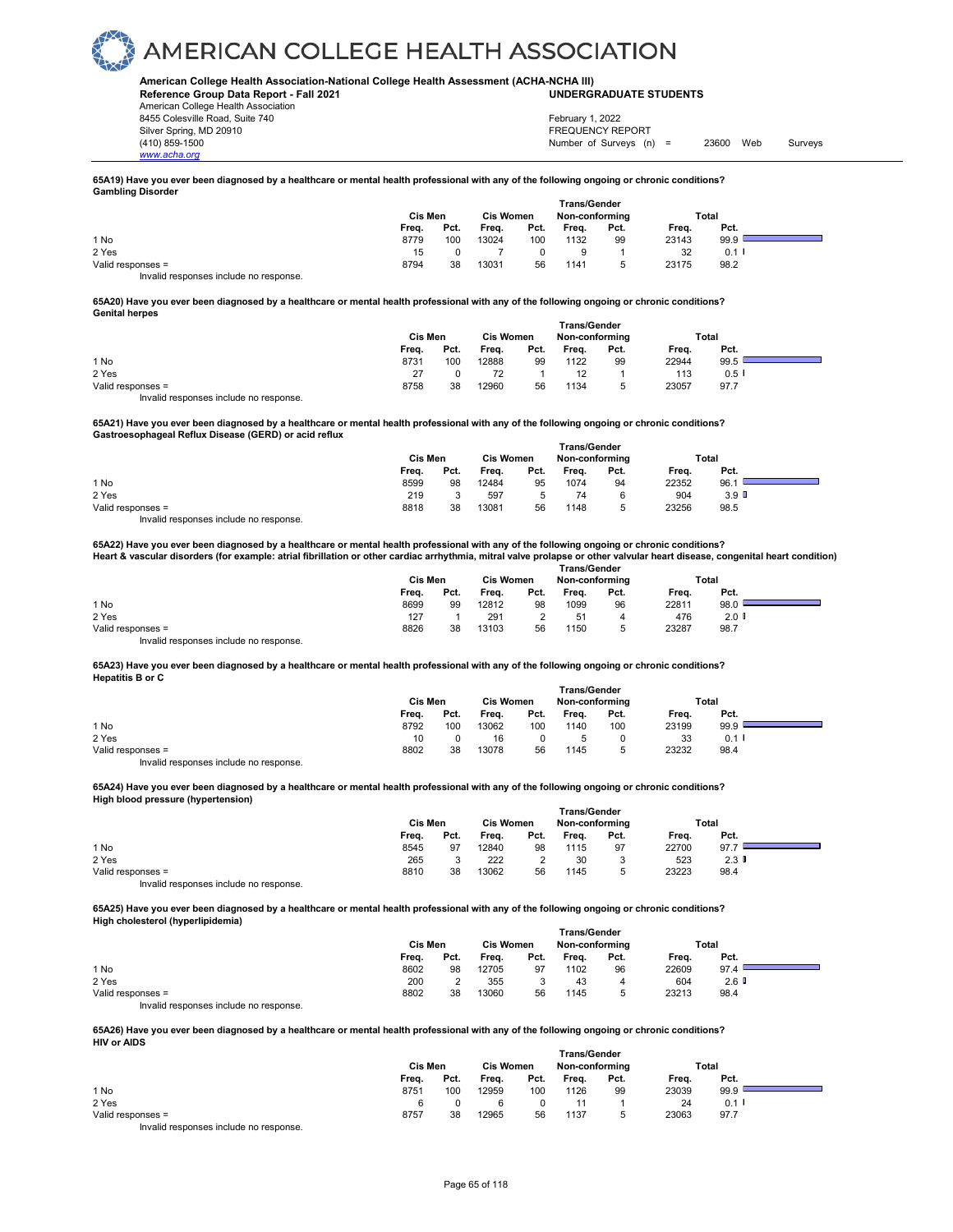#### **American College Health Association-National College Health Assessment (ACHA-NCHA III) UNDERGRADUATE STUDENTS**

**Reference Group Data Report - Fall 2021** American College Health Association 8455 Colesville Road, Suite 740 Silver Spring, MD 20910<br>
1990 - The Spring, MD 20910<br>
1990 - The Survey Structure of Surveys (n)

*www.acha.org*

Number of Surveys (n) = 23600 Web Surveys February 1, 2022

#### **65A19) Have you ever been diagnosed by a healthcare or mental health professional with any of the following ongoing or chronic conditions? Gambling Disorder**

|                                        | Cis Men | <b>Cis Women</b> |       | <b>Trans/Gender</b><br>Non-conforming |       | Total |       |      |  |
|----------------------------------------|---------|------------------|-------|---------------------------------------|-------|-------|-------|------|--|
|                                        | Frea.   | Pct.             | Frea. | Pct.                                  | Frea. | Pct.  | Freq. | Pct. |  |
| 1 No                                   | 8779    | 100              | 13024 | 100                                   | 1132  | 99    | 23143 | 99.9 |  |
| 2 Yes                                  | 15      |                  |       |                                       |       |       | 32    | 0.1  |  |
| Valid responses =                      | 8794    | 38               | 13031 | 56                                    | 1141  |       | 23175 | 98.2 |  |
| Invalid responses include no response. |         |                  |       |                                       |       |       |       |      |  |

#### **65A20) Have you ever been diagnosed by a healthcare or mental health professional with any of the following ongoing or chronic conditions? Genital herpes**

|                   | Cis Men |      |       | <b>Cis Women</b> | <b>Trans/Gender</b><br>Non-conforming |      | Total |         |  |
|-------------------|---------|------|-------|------------------|---------------------------------------|------|-------|---------|--|
|                   | Freq.   | Pct. | Freq. | Pct.             | Freq.                                 | Pct. | Freq. | Pct.    |  |
| 1 No              | 8731    | 100  | 12888 | 99               | 1122                                  | 99   | 22944 | 99.5    |  |
| 2 Yes             | 27      |      |       |                  | 12                                    |      | 113   | $0.5$ I |  |
| Valid responses = | 8758    | 38   | 12960 | 56               | 1134                                  |      | 23057 | 97.7    |  |

Invalid responses include no response.

**65A21) Have you ever been diagnosed by a healthcare or mental health professional with any of the following ongoing or chronic conditions? Gastroesophageal Reflux Disease (GERD) or acid reflux**

|                                       |         |      |                  | <b>Trans/Gender</b> |                |      |       |                  |  |
|---------------------------------------|---------|------|------------------|---------------------|----------------|------|-------|------------------|--|
|                                       | Cis Men |      | <b>Cis Women</b> |                     | Non-conforming |      | Total |                  |  |
|                                       | Freq.   | Pct. | Frea.            | Pct.                | Freq.          | Pct. | Freq. | Pct.             |  |
| 1 No                                  | 8599    | 98   | 12484            | 95                  | 1074           | 94   | 22352 | 96.1             |  |
| 2 Yes                                 | 219     |      | 597              | 5                   | 74             |      | 904   | 3.9 <sup>°</sup> |  |
| Valid responses =                     | 8818    | 38   | 13081            | 56                  | 1148           | b    | 23256 | 98.5             |  |
| Involid recnonces include no recnonse |         |      |                  |                     |                |      |       |                  |  |

d responses include no response

#### **65A22) Have you ever been diagnosed by a healthcare or mental health professional with any of the following ongoing or chronic conditions? Heart & vascular disorders (for example: atrial fibrillation or other cardiac arrhythmia, mitral valve prolapse or other valvular heart disease, congenital heart condition)**

|                                        | Cis Men |      | <b>Cis Women</b> |      | Non-conforming |      | Total |         |  |
|----------------------------------------|---------|------|------------------|------|----------------|------|-------|---------|--|
|                                        | Freq.   | Pct. | Frea.            | Pct. | Frea.          | Pct. | Freq. | Pct.    |  |
| 1 No                                   | 8699    | 99   | 12812            | 98   | 1099           | 96   | 22811 | 98.0    |  |
| 2 Yes                                  | 127     |      | 291              |      | 51             | 4    | 476   | $2.0$ D |  |
| Valid responses =                      | 8826    | 38   | 13103            | 56   | 1150           | b.   | 23287 | 98.7    |  |
| Invalid responses include no response. |         |      |                  |      |                |      |       |         |  |

#### **65A23) Have you ever been diagnosed by a healthcare or mental health professional with any of the following ongoing or chronic conditions? Hepatitis B or C Trans/Gender**

|                                        | ı rans/Gender |      |                  |      |                |      |       |      |  |  |
|----------------------------------------|---------------|------|------------------|------|----------------|------|-------|------|--|--|
|                                        | Cis Men       |      | <b>Cis Women</b> |      | Non-conforming |      | Total |      |  |  |
|                                        | Freq.         | Pct. | Freq.            | Pct. | Freq.          | Pct. | Freq. | Pct. |  |  |
| 1 No                                   | 8792          | 100  | 13062            | 100  | 1140           | 100  | 23199 | 99.9 |  |  |
| 2 Yes                                  | 10            |      | 16               |      |                |      | 33    | 0.1  |  |  |
| Valid responses =                      | 8802          | 38   | 13078            | 56   | 1145           | 5    | 23232 | 98.4 |  |  |
| Invalid responses include no response. |               |      |                  |      |                |      |       |      |  |  |

#### **65A24) Have you ever been diagnosed by a healthcare or mental health professional with any of the following ongoing or chronic conditions? High blood pressure (hypertension)**

|                                        |         |      |           |      |                | <b>Trans/Gender</b> |       |      |  |
|----------------------------------------|---------|------|-----------|------|----------------|---------------------|-------|------|--|
|                                        | Cis Men |      | Cis Women |      | Non-conforming |                     | Total |      |  |
|                                        | Freq.   | Pct. | Frea.     | Pct. | Freq.          | Pct.                | Freq. | Pct. |  |
| 1 No                                   | 8545    | 97   | 12840     | 98   | 1115           | 97                  | 22700 | 97.7 |  |
| 2 Yes                                  | 265     |      | 222       |      | 30             | 3                   | 523   | 2.3  |  |
| Valid responses =                      | 8810    | 38   | 13062     | 56   | 1145           | J                   | 23223 | 98.4 |  |
| Invalid responses include no response. |         |      |           |      |                |                     |       |      |  |

**65A25) Have you ever been diagnosed by a healthcare or mental health professional with any of the following ongoing or chronic conditions? High cholesterol (hyperlipidemia) Trans/Gender**

|                                        |         |      |                  |      | ı rans/Gender  |      |       |         |  |
|----------------------------------------|---------|------|------------------|------|----------------|------|-------|---------|--|
|                                        | Cis Men |      | <b>Cis Women</b> |      | Non-conforming |      | Total |         |  |
|                                        | Freq.   | Pct. | Freq.            | Pct. | Freq.          | Pct. | Freq. | Pct.    |  |
| 1 No                                   | 8602    | 98   | 12705            | 97   | 1102           | 96   | 22609 | 97.4    |  |
| 2 Yes                                  | 200     |      | 355              |      | 43             | 4    | 604   | $2.6$ D |  |
| Valid responses =                      | 8802    | 38   | 13060            | 56   | 1145           |      | 23213 | 98.4    |  |
| Invalid responses include no response. |         |      |                  |      |                |      |       |         |  |

**65A26) Have you ever been diagnosed by a healthcare or mental health professional with any of the following ongoing or chronic conditions? HIV or AIDS** 

|                                        | <b>Trans/Gender</b> |      |                  |      |                |      |       |                  |  |
|----------------------------------------|---------------------|------|------------------|------|----------------|------|-------|------------------|--|
|                                        | Cis Men             |      | <b>Cis Women</b> |      | Non-conforming |      | Total |                  |  |
|                                        | Freq.               | Pct. | Freq.            | Pct. | Frea.          | Pct. | Frea. | Pct.             |  |
| 1 No                                   | 8751                | 100  | 12959            | 100  | 1126           | 99   | 23039 | 99.9             |  |
| 2 Yes                                  |                     |      |                  |      |                |      | 24    | 0.1 <sup>1</sup> |  |
| Valid responses =                      | 8757                | 38   | 12965            | 56   | 1137           |      | 23063 | 97.7             |  |
| Invalid responses include no response. |                     |      |                  |      |                |      |       |                  |  |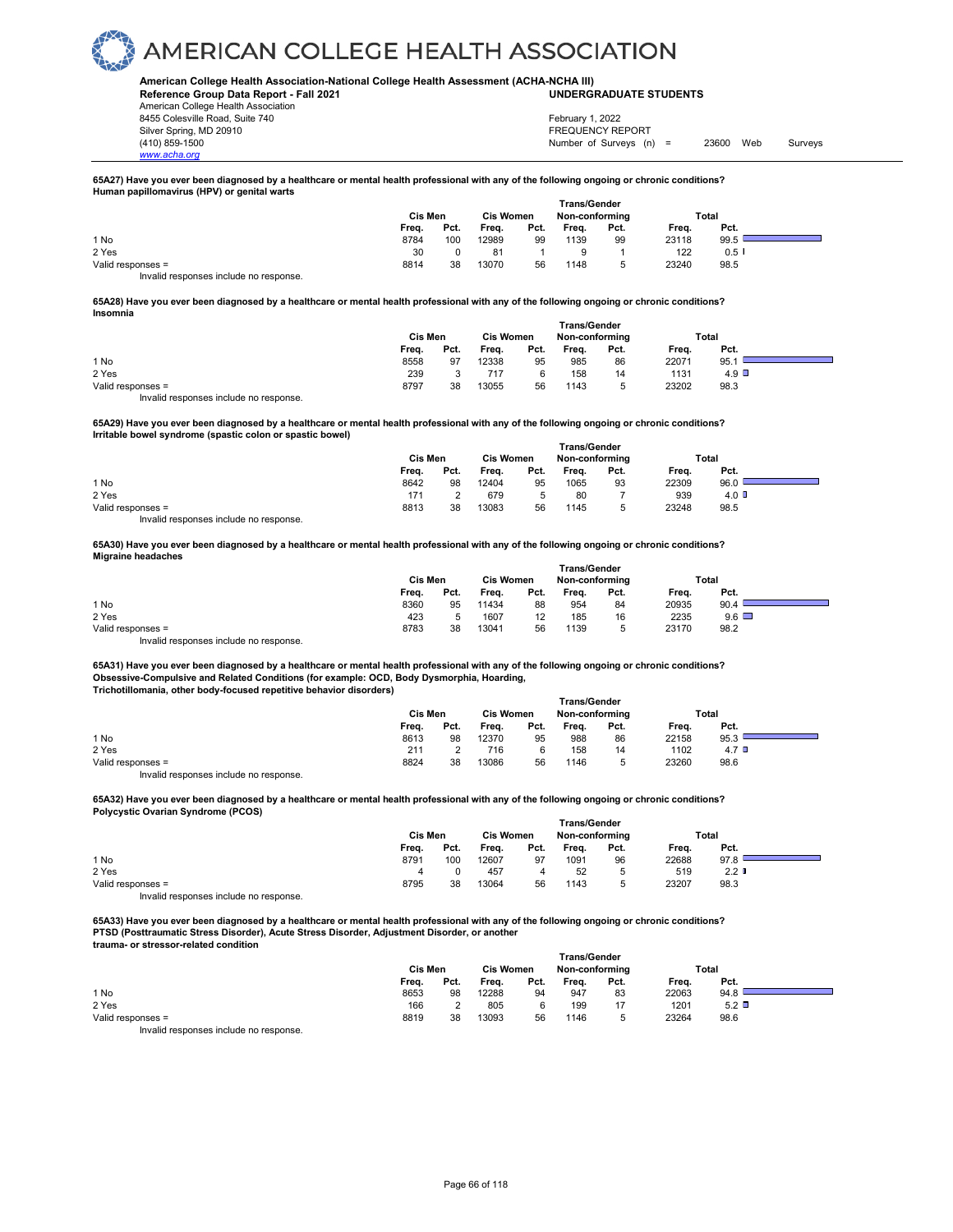#### **American College Health Association-National College Health Assessment (ACHA-NCHA III) UNDERGRADUATE STUDENTS**

**Reference Group Data Report - Fall 2021** American College Health Association 8455 Colesville Road, Suite 740 Silver Spring, MD 20910<br>
1990 - The Spring, MD 20910<br>
1990 - The Survey Structure of Surveys (n)

*www.acha.org*

Number of Surveys (n) = 23600 Web Surveys February 1, 2022

#### **65A27) Have you ever been diagnosed by a healthcare or mental health professional with any of the following ongoing or chronic conditions? Human papillomavirus (HPV) or genital warts**

|                                        | <b>Trans/Gender</b> |      |                  |      |                |      |       |      |  |
|----------------------------------------|---------------------|------|------------------|------|----------------|------|-------|------|--|
|                                        | Cis Men             |      | <b>Cis Women</b> |      | Non-conforming |      | Total |      |  |
|                                        | Frea.               | Pct. | Frea.            | Pct. | Frea.          | Pct. | Freq. | Pct. |  |
| 1 No                                   | 8784                | 100  | 12989            | 99   | 1139           | 99   | 23118 | 99.5 |  |
| 2 Yes                                  | 30                  |      | 81               |      |                |      | 122   | 0.51 |  |
| Valid responses =                      | 8814                | 38   | 13070            | 56   | 1148           | 5    | 23240 | 98.5 |  |
| Invalid responses include no response. |                     |      |                  |      |                |      |       |      |  |

#### **65A28) Have you ever been diagnosed by a healthcare or mental health professional with any of the following ongoing or chronic conditions? Insomnia**

|                   | Cis Men |      | <b>Cis Women</b> |      | <b>Trans/Gender</b><br>Non-conformina |      |       | Total |
|-------------------|---------|------|------------------|------|---------------------------------------|------|-------|-------|
|                   | Frea.   | Pct. | Freq.            | Pct. | Freq.                                 | Pct. | Frea. | Pct.  |
| 1 No              | 8558    | 97   | 12338            | 95   | 985                                   | 86   | 22071 | 95.   |
| 2 Yes             | 239     |      | 717              | 6    | 158                                   | 14   | 1131  | 4.9   |
| Valid responses = | 8797    | 38   | 13055            | 56   | 1143                                  | 5    | 23202 | 98.3  |

Invalid responses include no response.

**65A29) Have you ever been diagnosed by a healthcare or mental health professional with any of the following ongoing or chronic conditions? Irritable bowel syndrome (spastic colon or spastic bowel)** 

|                                       | Cis Men |      | <b>Cis Women</b> |      | Non-conformina |      | Total |                         |  |
|---------------------------------------|---------|------|------------------|------|----------------|------|-------|-------------------------|--|
|                                       | Freq.   | Pct. | Freq.            | Pct. | Freq.          | Pct. | Freq. | Pct.                    |  |
| 1 No                                  | 8642    | 98   | 12404            | 95   | 1065           | 93   | 22309 | 96.0                    |  |
| 2 Yes                                 | 171     |      | 679              | 5    | 80             |      | 939   | $4.0\text{ }^{\degree}$ |  |
| Valid responses =                     | 8813    | 38   | 13083            | 56   | 1145           |      | 23248 | 98.5                    |  |
| Invalid reconnege include no reconneg |         |      |                  |      |                |      |       |                         |  |

d responses include no response.

**65A30) Have you ever been diagnosed by a healthcare or mental health professional with any of the following ongoing or chronic conditions? Migraine headaches** 

|                                        | <b>Trans/Gender</b> |      |                  |      |                |      |       |              |  |  |
|----------------------------------------|---------------------|------|------------------|------|----------------|------|-------|--------------|--|--|
|                                        | Cis Men             |      | <b>Cis Women</b> |      | Non-conforming |      | Total |              |  |  |
|                                        | Freq.               | Pct. | Freq.            | Pct. | Frea.          | Pct. | Frea. | Pct.         |  |  |
| 1 No                                   | 8360                | 95   | 11434            | 88   | 954            | 84   | 20935 | 90.4         |  |  |
| 2 Yes                                  | 423                 |      | 1607             | 12   | 185            | 16   | 2235  | $9.6$ $\Box$ |  |  |
| Valid responses =                      | 8783                | 38   | 13041            | 56   | 1139           | 5    | 23170 | 98.2         |  |  |
| Invalid responses include no response. |                     |      |                  |      |                |      |       |              |  |  |

**65A31) Have you ever been diagnosed by a healthcare or mental health professional with any of the following ongoing or chronic conditions? Obsessive-Compulsive and Related Conditions (for example: OCD, Body Dysmorphia, Hoarding, Trichotillomania, other body-focused repetitive behavior disorders) Trans/Gender**

|                                        |         |      |       | ı ı alıs/veliyel |       |                |       |                  |  |
|----------------------------------------|---------|------|-------|------------------|-------|----------------|-------|------------------|--|
|                                        | Cis Men |      |       | <b>Cis Women</b> |       | Non-conforming | Total |                  |  |
|                                        | Freq.   | Pct. | Frea. | Pct.             | Freq. | Pct.           | Frea. | Pct.             |  |
| 1 No                                   | 8613    | 98   | 12370 | 95               | 988   | 86             | 22158 | 95.3             |  |
| 2 Yes                                  | 211     |      | 716   | 6                | 158   | 14             | 1102  | 4.7 <sup>°</sup> |  |
| Valid responses =                      | 8824    | 38   | 13086 | 56               | 1146  |                | 23260 | 98.6             |  |
| Invalid responses include no response. |         |      |       |                  |       |                |       |                  |  |

**65A32) Have you ever been diagnosed by a healthcare or mental health professional with any of the following ongoing or chronic conditions? Polycystic Ovarian Syndrome (PCOS)** 

|                                        | <b>Trans/Gender</b> |      |                  |      |       |                |       |                  |  |
|----------------------------------------|---------------------|------|------------------|------|-------|----------------|-------|------------------|--|
|                                        | Cis Men             |      | <b>Cis Women</b> |      |       | Non-conforming |       | Total            |  |
|                                        | Freq.               | Pct. | Frea.            | Pct. | Freq. | Pct.           | Freq. | Pct.             |  |
| 1 No                                   | 8791                | 100  | 12607            | 97   | 1091  | 96             | 22688 | 97.8             |  |
| 2 Yes                                  | 4                   |      | 457              | 4    | 52    | ь              | 519   | 2.2 <sub>0</sub> |  |
| Valid responses =                      | 8795                | 38   | 13064            | 56   | 1143  |                | 23207 | 98.3             |  |
| Invalid responses include no response. |                     |      |                  |      |       |                |       |                  |  |

**65A33) Have you ever been diagnosed by a healthcare or mental health professional with any of the following ongoing or chronic conditions? PTSD (Posttraumatic Stress Disorder), Acute Stress Disorder, Adjustment Disorder, or another trauma- or stressor-related condition** 

|                                          | <b>Trans/Gender</b> |      |                  |      |                |      |       |      |  |  |
|------------------------------------------|---------------------|------|------------------|------|----------------|------|-------|------|--|--|
|                                          | Cis Men             |      | <b>Cis Women</b> |      | Non-conforming |      | Total |      |  |  |
|                                          | Freq.               | Pct. | Freq.            | Pct. | Freq.          | Pct. | Freq. | Pct. |  |  |
| 1 No                                     | 8653                | 98   | 12288            | 94   | 947            | 83   | 22063 | 94.8 |  |  |
| 2 Yes                                    | 166                 |      | 805              |      | 199            |      | 1201  | 5.2  |  |  |
| Valid responses =                        | 8819                | 38   | 13093            | 56   | 1146           |      | 23264 | 98.6 |  |  |
| Introlle reconomers include no reconomer |                     |      |                  |      |                |      |       |      |  |  |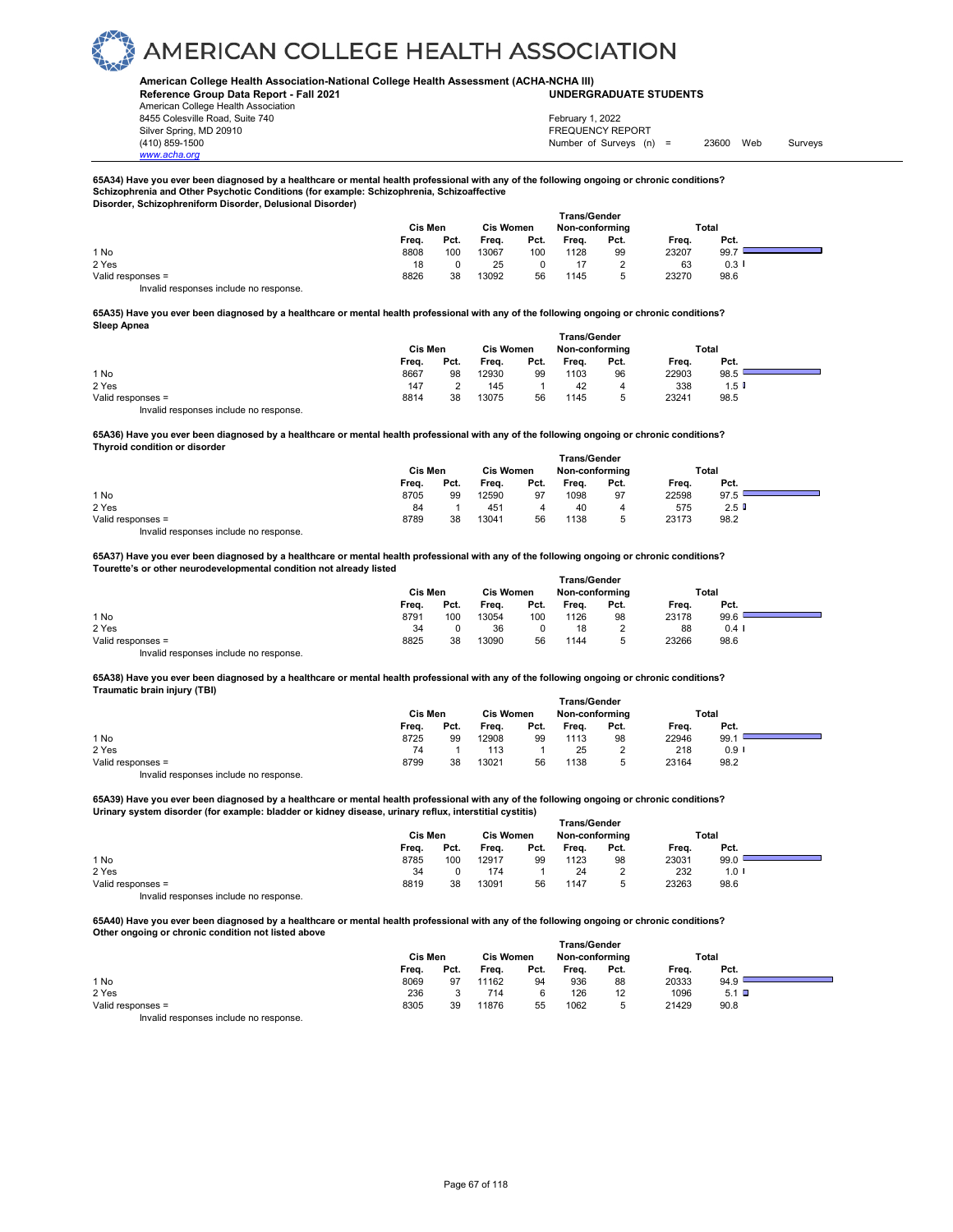#### **American College Health Association-National College Health Assessment (ACHA-NCHA III) UNDERGRADUATE STUDENTS**

**Reference Group Data Report - Fall 2021** American College Health Association 8455 Colesville Road, Suite 740 Silver Spring, MD 20910<br>
1990 - The Spring, MD 20910<br>
1990 - The Survey Structure of Surveys (n)

*www.acha.org*

Number of Surveys (n) = 23600 Web Surveys February 1, 2022

٠

#### **65A34) Have you ever been diagnosed by a healthcare or mental health professional with any of the following ongoing or chronic conditions? Schizophrenia and Other Psychotic Conditions (for example: Schizophrenia, Schizoaffective Disorder, Schizophreniform Disorder, Delusional Disorder)**

|                                       |         |      |                  |               | Trans/Gender   |      |       |         |  |
|---------------------------------------|---------|------|------------------|---------------|----------------|------|-------|---------|--|
|                                       | Cis Men |      | <b>Cis Women</b> |               | Non-conforming |      | Total |         |  |
|                                       | Freq.   | Pct. | Freq.            | Pct.          | Freq.          | Pct. | Freq. | Pct.    |  |
| 1 No                                  | 8808    | 100  | 13067            | 100           | 1128           | 99   | 23207 | 99.7    |  |
| 2 Yes                                 | 18      |      | 25               | $\Omega$<br>u | 17             |      | 63    | $0.3$ I |  |
| Valid responses =                     | 8826    | 38   | 13092            | 56            | 1145           |      | 23270 | 98.6    |  |
| Invalid responses include no response |         |      |                  |               |                |      |       |         |  |

**65A35) Have you ever been diagnosed by a healthcare or mental health professional with any of the following ongoing or chronic conditions? Sleep Apnea** 

|                                        |                |      |                  | <b>Trans/Gender</b> |                |      |       |      |  |
|----------------------------------------|----------------|------|------------------|---------------------|----------------|------|-------|------|--|
|                                        | <b>Cis Men</b> |      | <b>Cis Women</b> |                     | Non-conforming |      | Total |      |  |
|                                        | Freq.          | Pct. | Frea.            | Pct.                | Freq.          | Pct. | Freq. | Pct. |  |
| 1 No                                   | 8667           | 98   | 12930            | 99                  | 1103           | 96   | 22903 | 98.5 |  |
| 2 Yes                                  | 147            |      | 145              |                     | 42             | 4    | 338   | 1.5  |  |
| Valid responses =                      | 8814           | 38   | 13075            | 56                  | 1145           |      | 23241 | 98.5 |  |
| Invalid responses include no response. |                |      |                  |                     |                |      |       |      |  |

**65A36) Have you ever been diagnosed by a healthcare or mental health professional with any of the following ongoing or chronic conditions? Thyroid condition or disorder** 

|                                         | Cis Men | <b>Cis Women</b> |       | <b>Trans/Gender</b><br>Non-conformina |       | Total |       |      |  |
|-----------------------------------------|---------|------------------|-------|---------------------------------------|-------|-------|-------|------|--|
|                                         | Freq.   | Pct.             | Freq. | Pct.                                  | Freq. | Pct.  | Freq. | Pct. |  |
| 1 No                                    | 8705    | 99               | 12590 | 97                                    | 1098  | 97    | 22598 | 97.5 |  |
| 2 Yes                                   | 84      |                  | 451   |                                       | 40    |       | 575   | 2.5  |  |
| Valid responses =                       | 8789    | 38               | 13041 | 56                                    | 1138  |       | 23173 | 98.2 |  |
| Involid recononces include no recononce |         |                  |       |                                       |       |       |       |      |  |

Invalid responses include no response.

#### **65A37) Have you ever been diagnosed by a healthcare or mental health professional with any of the following ongoing or chronic conditions? Tourette's or other neurodevelopmental condition not already listed**

|                   |         |      |       |                                    | <b>Trans/Gender</b> |      |       |          |  |
|-------------------|---------|------|-------|------------------------------------|---------------------|------|-------|----------|--|
|                   | Cis Men |      |       | <b>Cis Women</b><br>Non-conforming |                     |      |       | Total    |  |
|                   | Freq.   | Pct. | Frea. | Pct.                               | Frea.               | Pct. | Frea. | Pct.     |  |
| 1 No              | 8791    | 100  | 13054 | 100                                | 1126                | 98   | 23178 | 99.6     |  |
| 2 Yes             | 34      |      | 36    |                                    | 18                  |      | 88    | $0.4 \;$ |  |
| Valid responses = | 8825    | 38   | 13090 | 56                                 | 1144                | 5.   | 23266 | 98.6     |  |

Invalid responses include no response.

**65A38) Have you ever been diagnosed by a healthcare or mental health professional with any of the following ongoing or chronic conditions? Traumatic brain injury (TBI)** 

|                   |         |      |                  |      | <b>Trans/Gender</b> |      |       |                      |  |
|-------------------|---------|------|------------------|------|---------------------|------|-------|----------------------|--|
|                   | Cis Men |      | <b>Cis Women</b> |      | Non-conformina      |      | Total |                      |  |
|                   | Freq.   | Pct. | Freq.            | Pct. | Freq.               | Pct. | Freq. | Pct.                 |  |
| 1 No              | 8725    | 99   | 12908            | 99   | 1113                | 98   | 22946 | 99.1                 |  |
| 2 Yes             | 74      |      | 113              |      | 25                  | っ    | 218   | $0.9$ $\blacksquare$ |  |
| Valid responses = | 8799    | 38   | 13021            | 56   | 1138                | 5    | 23164 | 98.2                 |  |
|                   |         |      |                  |      |                     |      |       |                      |  |

Invalid responses include no response.

**65A39) Have you ever been diagnosed by a healthcare or mental health professional with any of the following ongoing or chronic conditions? Urinary system disorder (for example: bladder or kidney disease, urinary reflux, interstitial cystitis)** 

|                                        | <b>Trans/Gender</b> |      |                  |      |                |      |       |      |  |
|----------------------------------------|---------------------|------|------------------|------|----------------|------|-------|------|--|
|                                        | Cis Men             |      | <b>Cis Women</b> |      | Non-conforming |      | Total |      |  |
|                                        | Freq.               | Pct. | Freq.            | Pct. | Freq.          | Pct. | Freq. | Pct. |  |
| 1 No                                   | 8785                | 100  | 12917            | 99   | 1123           | 98   | 23031 | 99.0 |  |
| 2 Yes                                  | 34                  |      | 174              |      | 24             |      | 232   | 1.0  |  |
| Valid responses =                      | 8819                | 38   | 13091            | 56   | 1147           |      | 23263 | 98.6 |  |
| Invalid responses include no response. |                     |      |                  |      |                |      |       |      |  |

**65A40) Have you ever been diagnosed by a healthcare or mental health professional with any of the following ongoing or chronic conditions? Other ongoing or chronic condition not listed above** 

|                                        | <b>Trans/Gender</b> |      |                  |      |                |      |       |         |  |  |
|----------------------------------------|---------------------|------|------------------|------|----------------|------|-------|---------|--|--|
|                                        | Cis Men             |      | <b>Cis Women</b> |      | Non-conforming |      | Total |         |  |  |
|                                        | Freq.               | Pct. | Freq.            | Pct. | Freq.          | Pct. | Freq. | Pct.    |  |  |
| 1 No                                   | 8069                | 97   | 11162            | 94   | 936            | 88   | 20333 | 94.9    |  |  |
| 2 Yes                                  | 236                 |      | 714              |      | 126            | 12   | 1096  | $5.1$ D |  |  |
| Valid responses =                      | 8305                | 39   | 11876            | 55   | 1062           |      | 21429 | 90.8    |  |  |
| Invalid responses include no response. |                     |      |                  |      |                |      |       |         |  |  |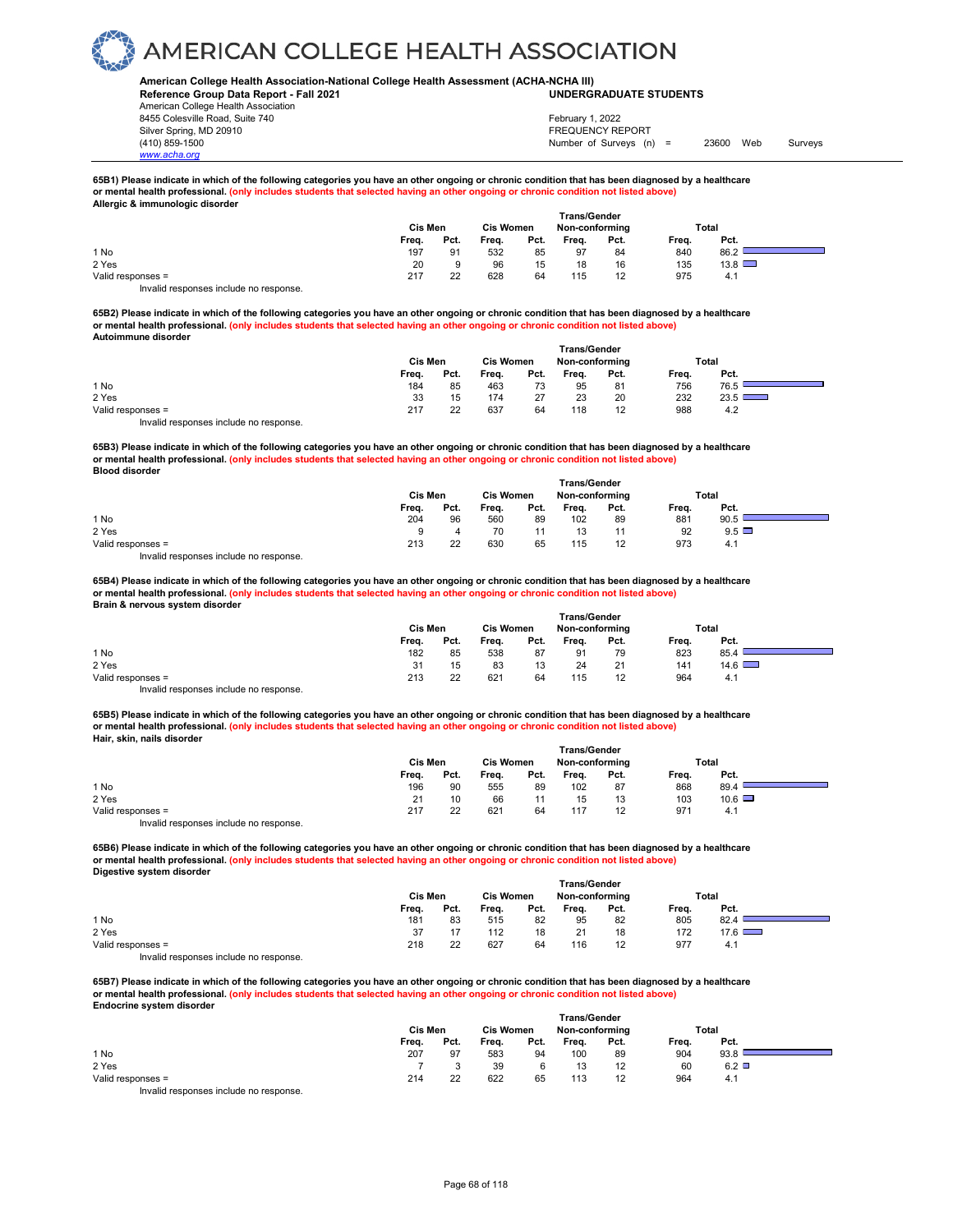#### **American College Health Association-National College Health Assessment (ACHA-NCHA III) UNDERGRADUATE STUDENTS**

**Reference Group Data Report - Fall 2021** American College Health Association 8455 Colesville Road, Suite 740 Silver Spring, MD 20910<br>
1990 - The Spring, MD 20910<br>
1990 - The Survey Structure of Surveys (notation of Surveys (notation of Surveys (notation of Surveys (notati

*www.acha.org*

### Number of Surveys (n) = 23600 Web Surveys February 1, 2022

#### **65B1) Please indicate in which of the following categories you have an other ongoing or chronic condition that has been diagnosed by a healthcare or mental health professional. (only includes students that selected having an other ongoing or chronic condition not listed above) Allergic & immun**

|                                                                                                                                                                                                                                   |       |         |       |                  | <b>Trans/Gender</b> |      |       |               |
|-----------------------------------------------------------------------------------------------------------------------------------------------------------------------------------------------------------------------------------|-------|---------|-------|------------------|---------------------|------|-------|---------------|
|                                                                                                                                                                                                                                   |       | Cis Men |       | <b>Cis Women</b> | Non-conforming      |      |       | Total         |
|                                                                                                                                                                                                                                   | Freq. | Pct.    | Freq. | Pct.             | Freq.               | Pct. | Frea. | Pct.          |
| 1 No                                                                                                                                                                                                                              | 197   | 91      | 532   | 85               | 97                  | 84   | 840   | 86.2          |
| 2 Yes                                                                                                                                                                                                                             | 20    | 9       | 96    | 15               | 18                  | 16   | 135   | $13.8$ $\Box$ |
| Valid responses =                                                                                                                                                                                                                 | 217   | 22      | 628   | 64               | 115                 | 12   | 975   | 4.1           |
| $\mathbf{r}$ , and the contract of the contract of the contract of the contract of the contract of the contract of the contract of the contract of the contract of the contract of the contract of the contract of the contract o |       |         |       |                  |                     |      |       |               |

Invalid responses include no response.

**65B2) Please indicate in which of the following categories you have an other ongoing or chronic condition that has been diagnosed by a healthcare or mental health professional. (only includes students that selected having an other ongoing or chronic condition not listed above) Autoimmune disorder** 

|                                        |         |      |                  | Trans/Gender |                |      |       |      |  |
|----------------------------------------|---------|------|------------------|--------------|----------------|------|-------|------|--|
|                                        | Cis Men |      | <b>Cis Women</b> |              | Non-conforming |      | Total |      |  |
|                                        | Freq.   | Pct. | Freq.            | Pct.         | Freq.          | Pct. | Freq. | Pct. |  |
| 1 No                                   | 184     | 85   | 463              | 73           | 95             | 81   | 756   | 76.5 |  |
| 2 Yes                                  | 33      | 15   | 174              | 27           | 23             | 20   | 232   | 23.5 |  |
| Valid responses =                      | 217     | 22   | 637              | 64           | 118            | 12   | 988   | 4.2  |  |
| Invalid responses include no response. |         |      |                  |              |                |      |       |      |  |

**65B3) Please indicate in which of the following categories you have an other ongoing or chronic condition that has been diagnosed by a healthcare or mental health professional. (only includes students that selected having an other ongoing or chronic condition not listed above) Blood disorder Trans/Gender**

|                   |         |      |                  |      |                | ı rans/Gender |       |              |  |
|-------------------|---------|------|------------------|------|----------------|---------------|-------|--------------|--|
|                   | Cis Men |      | <b>Cis Women</b> |      | Non-conforming |               | Total |              |  |
|                   | Freq.   | Pct. | Freq.            | Pct. | Frea.          | Pct.          | Freq. | Pct.         |  |
| 1 No              | 204     | 96   | 560              | 89   | 102            | 89            | 881   | 90.5         |  |
| 2 Yes             | a       |      | 70               |      | 13             |               | 92    | $9.5$ $\Box$ |  |
| Valid responses = | 213     | 22   | 630              | 65   | 115            | 12            | 973   | 4.1          |  |
| .<br>.            |         |      |                  |      |                |               |       |              |  |

Invalid responses include no response.

**65B4) Please indicate in which of the following categories you have an other ongoing or chronic condition that has been diagnosed by a healthcare or mental health professional. (only includes students that selected having an other ongoing or chronic condition not listed above) Brain & nervous system disorder** 

|                                        | <b>Cis Men</b> |      | <b>Cis Women</b> |      | Non-conforming |      |       | Total         |  |
|----------------------------------------|----------------|------|------------------|------|----------------|------|-------|---------------|--|
|                                        | Freq.          | Pct. | Freq.            | Pct. | Freq.          | Pct. | Frea. | Pct.          |  |
| 1 No                                   | 182            | 85   | 538              | 87   | 91             | 79   | 823   | 85.4          |  |
| 2 Yes                                  | 31             | 15   | 83               | 13   | 24             | 21   | 141   | $14.6$ $\Box$ |  |
| Valid responses =                      | 213            | 22   | 621              | 64   | 115            | 12   | 964   | 4.1           |  |
| Invalid responses include no response. |                |      |                  |      |                |      |       |               |  |

**65B5) Please indicate in which of the following categories you have an other ongoing or chronic condition that has been diagnosed by a healthcare or mental health professional. (only includes students that selected having an other ongoing or chronic condition not listed above) Hair, skin, nails disorder** 

|                                        | <b>Trans/Gender</b> |      |                  |      |                |      |       |               |  |  |
|----------------------------------------|---------------------|------|------------------|------|----------------|------|-------|---------------|--|--|
|                                        | Cis Men             |      | <b>Cis Women</b> |      | Non-conforming |      | Total |               |  |  |
|                                        | Freq.               | Pct. | Freq.            | Pct. | Freq.          | Pct. | Freq. | Pct.          |  |  |
| 1 No                                   | 196                 | 90   | 555              | 89   | 102            | 87   | 868   | 89.4          |  |  |
| 2 Yes                                  | 21                  | 10   | 66               |      | 15             | 13   | 103   | $10.6$ $\Box$ |  |  |
| Valid responses =                      | 217                 | 22   | 621              | 64   | 117            | 12   | 971   | 4.1           |  |  |
| Invalid responses include no response. |                     |      |                  |      |                |      |       |               |  |  |

**65B6) Please indicate in which of the following categories you have an other ongoing or chronic condition that has been diagnosed by a healthcare or mental health professional. (only includes students that selected having an other ongoing or chronic condition not listed above) Digestive system disorder** 

|                                        | Cis Men |      | <b>Cis Women</b> |      | Non-conformina |      |       | Total         |  |
|----------------------------------------|---------|------|------------------|------|----------------|------|-------|---------------|--|
|                                        | Freq.   | Pct. | Freq.            | Pct. | Frea.          | Pct. | Freq. | Pct.          |  |
| 1 No                                   | 181     | 83   | 515              | 82   | 95             | 82   | 805   | 82.4          |  |
| 2 Yes                                  | 37      |      | 112              | 18   | 21             | 18   | 172   | $17.6$ $\Box$ |  |
| Valid responses =                      | 218     | 22   | 627              | 64   | 116            | 12   | 977   | 4.1           |  |
| Invalid responses include no response. |         |      |                  |      |                |      |       |               |  |

**65B7) Please indicate in which of the following categories you have an other ongoing or chronic condition that has been diagnosed by a healthcare or mental health professional. (only includes students that selected having an other ongoing or chronic condition not listed above) Endocrine system disorder Trans/Gender**

|                                         |         |      |                  | ⊺rans/Gender |                |      |       |      |  |
|-----------------------------------------|---------|------|------------------|--------------|----------------|------|-------|------|--|
|                                         | Cis Men |      | <b>Cis Women</b> |              | Non-conforming |      | Total |      |  |
|                                         | Frea.   | Pct. | Freq.            | Pct.         | Freq.          | Pct. | Freq. | Pct. |  |
| 1 No                                    | 207     | 97   | 583              | 94           | 100            | 89   | 904   | 93.8 |  |
| 2 Yes                                   |         |      | 39               |              |                | 12   | 60    | 6.2  |  |
| Valid responses =                       | 214     | 22   | 622              | 65           | 113            |      | 964   | 4.1  |  |
| Involid recononces include no recononce |         |      |                  |              |                |      |       |      |  |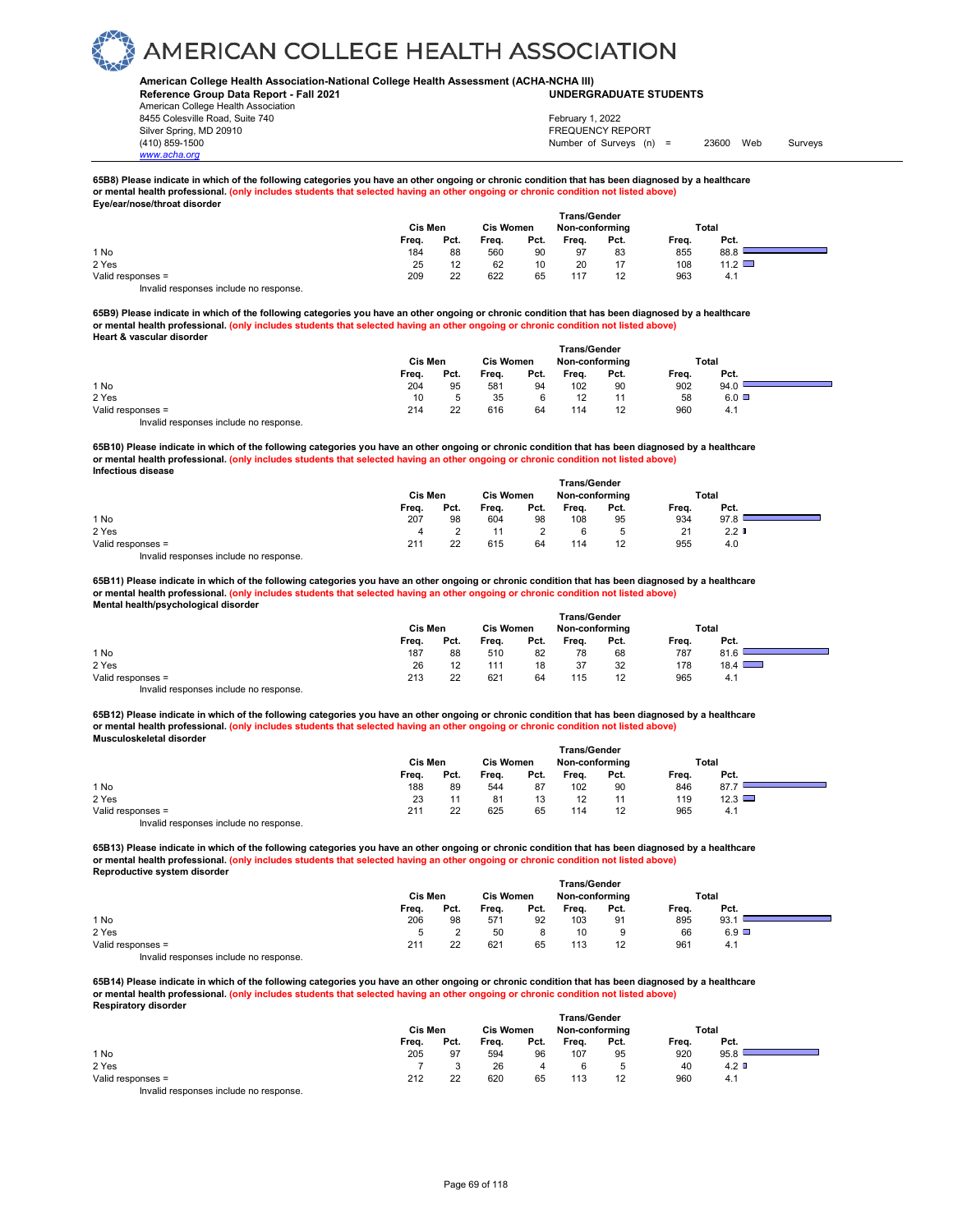#### **American College Health Association-National College Health Assessment (ACHA-NCHA III) UNDERGRADUATE STUDENTS**

**Reference Group Data Report - Fall 2021** American College Health Association 8455 Colesville Road, Suite 740 Silver Spring, MD 20910<br>
1990 - The Spring, MD 20910<br>
1990 - The Survey Structure of Surveys (notation of Surveys (notation of Surveys (notation of Surveys (notati

*www.acha.org*

Number of Surveys (n) = 23600 Web Surveys February 1, 2022

#### **65B8) Please indicate in which of the following categories you have an other ongoing or chronic condition that has been diagnosed by a healthcare or mental health professional. (only includes students that selected having an other ongoing or chronic condition not listed above) Eye/ear/nose/throat disorder**

| $-$ , 0, 0 an 11,000, the 0 at 0.001 apr |       |                             |       |      |                     |      |       |               |  |
|------------------------------------------|-------|-----------------------------|-------|------|---------------------|------|-------|---------------|--|
|                                          |       |                             |       |      | <b>Trans/Gender</b> |      |       |               |  |
|                                          |       | Cis Men<br><b>Cis Women</b> |       |      | Non-conforming      |      |       | <b>Total</b>  |  |
|                                          | Freq. | Pct.                        | Freq. | Pct. | Freq.               | Pct. | Freq. | Pct.          |  |
| 1 No                                     | 184   | 88                          | 560   | 90   | 97                  | 83   | 855   | 88.8          |  |
| 2 Yes                                    | 25    |                             | 62    | 10   | 20                  | 17   | 108   | $11.2$ $\Box$ |  |
| Valid responses =                        | 209   | 22                          | 622   | 65   | 117                 | 12   | 963   | 4.1           |  |
| Invalid responses include no response    |       |                             |       |      |                     |      |       |               |  |

**65B9) Please indicate in which of the following categories you have an other ongoing or chronic condition that has been diagnosed by a healthcare or mental health professional. (only includes students that selected having an other ongoing or chronic condition not listed above) Heart & vascular disorder** 

|                                        | <b>Trans/Gender</b> |      |                  |      |                |      |       |              |  |  |
|----------------------------------------|---------------------|------|------------------|------|----------------|------|-------|--------------|--|--|
|                                        | Cis Men             |      | <b>Cis Women</b> |      | Non-conforming |      | Total |              |  |  |
|                                        | Freq.               | Pct. | Freq.            | Pct. | Freq.          | Pct. | Frea. | Pct.         |  |  |
| 1 No                                   | 204                 | 95   | 581              | 94   | 102            | 90   | 902   | 94.0         |  |  |
| 2 Yes                                  | 10                  |      | 35               |      |                | 11   | 58    | $6.0$ $\Box$ |  |  |
| Valid responses =                      | 214                 | 22   | 616              | 64   | 114            | 12   | 960   | 4.1          |  |  |
| Invalid responses include no response. |                     |      |                  |      |                |      |       |              |  |  |

**65B10) Please indicate in which of the following categories you have an other ongoing or chronic condition that has been diagnosed by a healthcare or mental health professional. (only includes students that selected having an other ongoing or chronic condition not listed above) Infectious disease Trans/Gender**

|                   | ı rans/Gender |         |       |                  |       |                |       |                  |  |  |
|-------------------|---------------|---------|-------|------------------|-------|----------------|-------|------------------|--|--|
|                   |               | Cis Men |       | <b>Cis Women</b> |       | Non-conforming | Total |                  |  |  |
|                   | Freq.         | Pct.    | Freq. | Pct.             | Freq. | Pct.           | Freq. | Pct.             |  |  |
| 1 No              | 207           | 98      | 604   | 98               | 108   | 95             | 934   | 97.8             |  |  |
| 2 Yes             | 4             |         |       |                  | 6     |                | 21    | 2.2 <sub>0</sub> |  |  |
| Valid responses = | 211           | 22      | 615   | 64               | 114   | 12             | 955   | 4.0              |  |  |
| $\cdots$          |               |         |       |                  |       |                |       |                  |  |  |

Invalid responses include no response.

**65B11) Please indicate in which of the following categories you have an other ongoing or chronic condition that has been diagnosed by a healthcare or mental health professional. (only includes students that selected having an other ongoing or chronic condition not listed above) Mental health/psychological disorder** 

|                                        |         |      |                  |      | <b>Trans/Gender</b> |      |       |               |  |
|----------------------------------------|---------|------|------------------|------|---------------------|------|-------|---------------|--|
|                                        | Cis Men |      | <b>Cis Women</b> |      | Non-conforming      |      |       | Total         |  |
|                                        | Freq.   | Pct. | Freq.            | Pct. | Frea.               | Pct. | Freq. | Pct.          |  |
| 1 No                                   | 187     | 88   | 510              | 82   | 78                  | 68   | 787   | 81.6          |  |
| 2 Yes                                  | 26      | 12   | 111              | 18   | 37                  | 32   | 178   | $18.4$ $\Box$ |  |
| Valid responses =                      | 213     | 22   | 621              | 64   | 115                 | 12   | 965   | 4.1           |  |
| Invalid responses include no response. |         |      |                  |      |                     |      |       |               |  |

**65B12) Please indicate in which of the following categories you have an other ongoing or chronic condition that has been diagnosed by a healthcare or mental health professional. (only includes students that selected having an other ongoing or chronic condition not listed above) Musculoskeletal disorder** 

|                                        | <b>Trans/Gender</b> |      |       |                  |       |                |       |      |  |  |  |
|----------------------------------------|---------------------|------|-------|------------------|-------|----------------|-------|------|--|--|--|
|                                        | Cis Men             |      |       | <b>Cis Women</b> |       | Non-conforming | Total |      |  |  |  |
|                                        | Freq.               | Pct. | Freq. | Pct.             | Frea. | Pct.           | Freq. | Pct. |  |  |  |
| 1 No                                   | 188                 | 89   | 544   | 87               | 102   | 90             | 846   | 87.7 |  |  |  |
| 2 Yes                                  | 23                  |      | 81    | 13               | 12    |                | 119   | 12.3 |  |  |  |
| Valid responses =                      | 21                  | 22   | 625   | 65               | 114   | 12             | 965   | 4.1  |  |  |  |
| Invalid responses include no response. |                     |      |       |                  |       |                |       |      |  |  |  |

**65B13) Please indicate in which of the following categories you have an other ongoing or chronic condition that has been diagnosed by a healthcare or mental health professional. (only includes students that selected having an other ongoing or chronic condition not listed above) Reproductive system disorder** 

|                                        | <b>Trans/Gender</b> |      |                  |      |                |      |       |              |  |  |
|----------------------------------------|---------------------|------|------------------|------|----------------|------|-------|--------------|--|--|
|                                        | Cis Men             |      | <b>Cis Women</b> |      | Non-conforming |      | Total |              |  |  |
|                                        | Freq.               | Pct. | Freq.            | Pct. | Frea.          | Pct. | Freq. | Pct.         |  |  |
| 1 No                                   | 206                 | 98   | 571              | 92   | 103            | 91   | 895   | 93.          |  |  |
| 2 Yes                                  |                     |      | 50               |      | 10             | 9    | 66    | $6.9$ $\Box$ |  |  |
| Valid responses =                      | 211                 | 22   | 621              | 65   | 113            | 12   | 961   | 4.1          |  |  |
| Invalid responses include no response. |                     |      |                  |      |                |      |       |              |  |  |

**65B14) Please indicate in which of the following categories you have an other ongoing or chronic condition that has been diagnosed by a healthcare or mental health professional. (only includes students that selected having an other ongoing or chronic condition not listed above) Respiratory disorder** 

|                                       | <b>Trans/Gender</b> |      |                  |      |                |      |       |               |  |
|---------------------------------------|---------------------|------|------------------|------|----------------|------|-------|---------------|--|
|                                       | Cis Men             |      | <b>Cis Women</b> |      | Non-conforming |      | Total |               |  |
|                                       | Freq.               | Pct. | Freq.            | Pct. | Freq.          | Pct. | Freq. | Pct.          |  |
| 1 No                                  | 205                 | 97   | 594              | 96   | 107            | 95   | 920   | 95.8          |  |
| 2 Yes                                 |                     |      | 26               |      | 6              |      | 40    | $4.2 \square$ |  |
| Valid responses =                     | 212                 | 22   | 620              | 65   | 113            | 12   | 960   | 4.1           |  |
| lauglid responses include no response |                     |      |                  |      |                |      |       |               |  |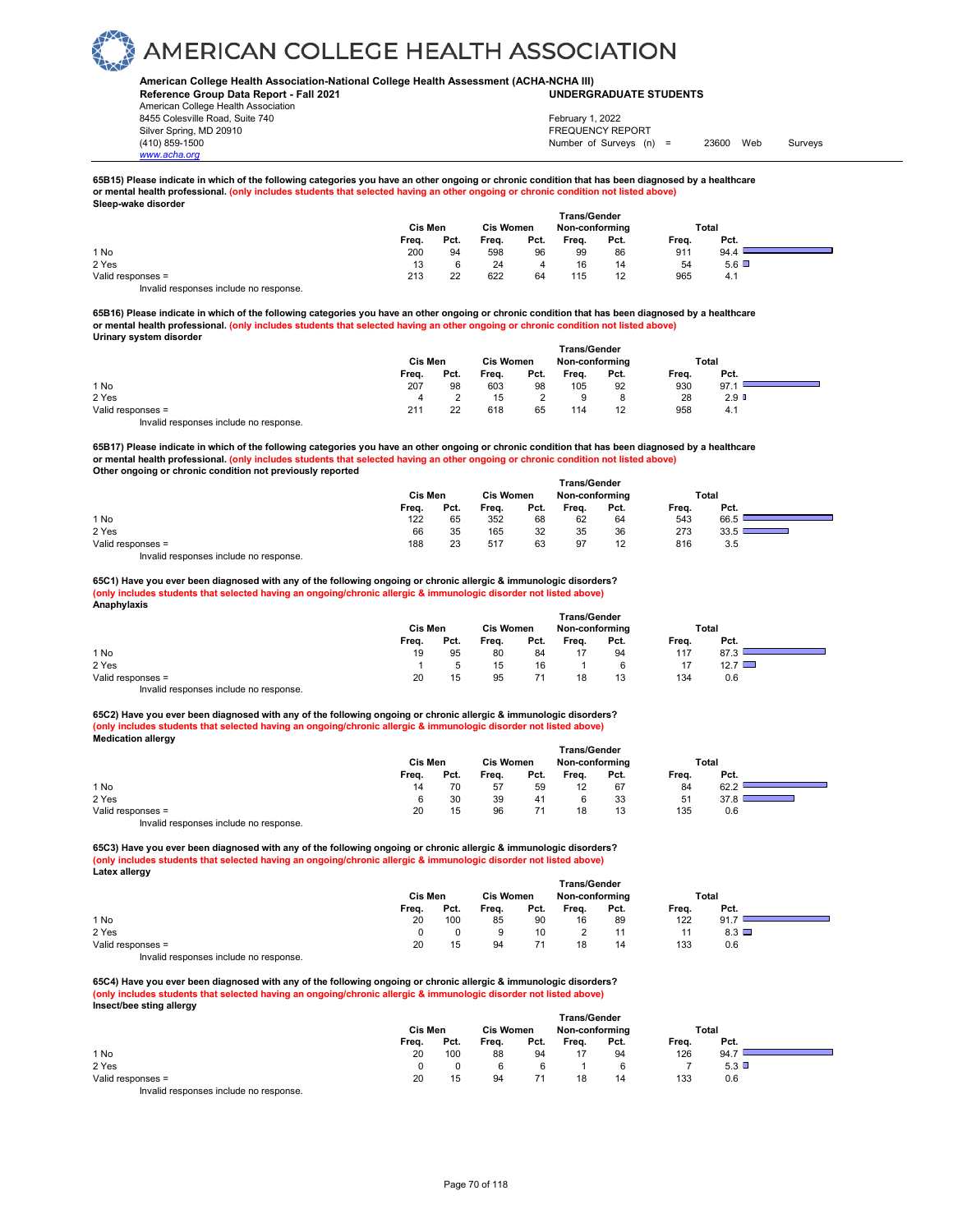#### **American College Health Association-National College Health Assessment (ACHA-NCHA III) UNDERGRADUATE STUDENTS**

**Reference Group Data Report - Fall 2021** American College Health Association 8455 Colesville Road, Suite 740 Silver Spring, MD 20910<br>
1990 - The Spring, MD 20910<br>
1990 - The Survey Structure of Surveys (notation of Surveys (notation of Surveys (notation of Surveys (notati

*www.acha.org*

Number of Surveys (n) = 23600 Web Surveys February 1, 2022

#### **65B15) Please indicate in which of the following categories you have an other ongoing or chronic condition that has been diagnosed by a healthcare or mental health professional. (only includes students that selected having an other ongoing or chronic condition not listed above) Sleep-wake disorder**

|                   |       | Cis Men |       |      | <b>Trans/Gender</b><br><b>Cis Women</b><br>Non-conforming |      |       | Total        |  |
|-------------------|-------|---------|-------|------|-----------------------------------------------------------|------|-------|--------------|--|
|                   | Freq. | Pct.    | Freq. | Pct. | Freq.                                                     | Pct. | Freq. | Pct.         |  |
| 1 No              | 200   | 94      | 598   | 96   | 99                                                        | 86   | 911   | 94.4         |  |
| 2 Yes             | 13    | 6       | 24    | 4    | 16                                                        | 14   | 54    | $5.6$ $\Box$ |  |
| Valid responses = | 213   | 22      | 622   | 64   | 115                                                       | 12   | 965   | 4.1          |  |
| .                 |       |         |       |      |                                                           |      |       |              |  |

Invalid responses include no response.

**65B16) Please indicate in which of the following categories you have an other ongoing or chronic condition that has been diagnosed by a healthcare or mental health professional. (only includes students that selected having an other ongoing or chronic condition not listed above) Urinary system disorder** 

|                                        | <b>Trans/Gender</b> |      |       |                  |       |                |       |                  |  |
|----------------------------------------|---------------------|------|-------|------------------|-------|----------------|-------|------------------|--|
|                                        | Cis Men             |      |       | <b>Cis Women</b> |       | Non-conforming | Total |                  |  |
|                                        | Freq.               | Pct. | Freq. | Pct.             | Freq. | Pct.           | Freq. | Pct.             |  |
| 1 No                                   | 207                 | 98   | 603   | 98               | 105   | 92             | 930   | 97.              |  |
| 2 Yes                                  |                     |      | 15    |                  | 9     |                | 28    | 2.9 <sup>°</sup> |  |
| Valid responses =                      | 211                 | 22   | 618   | 65               | 114   | 12             | 958   | 4.1              |  |
| Invalid responses include no response. |                     |      |       |                  |       |                |       |                  |  |

**65B17) Please indicate in which of the following categories you have an other ongoing or chronic condition that has been diagnosed by a healthcare or mental health professional. (only includes students that selected having an other ongoing or chronic condition not listed above) Other ongoing or chronic condition not previously reported Trans/Gender**

|                   |       | Cis Men |       | <b>Cis Women</b> |       | Non-conforming | Total |      |  |
|-------------------|-------|---------|-------|------------------|-------|----------------|-------|------|--|
|                   | Freq. | Pct.    | Freq. | Pct.             | Freq. | Pct.           | Freq. | Pct. |  |
| 1 No              | 122   | 65      | 352   | 68               | 62    | 64             | 543   | 66.5 |  |
| 2 Yes             | 66    | 35      | 165   | 32               | 35    | 36             | 273   | 33.5 |  |
| Valid responses = | 188   | 23      | 517   | 63               | 97    | 12             | 816   | 3.5  |  |
| .                 |       |         |       |                  |       |                |       |      |  |

Invalid responses include no response.

#### **65C1) Have you ever been diagnosed with any of the following ongoing or chronic allergic & immunologic disorders? (only includes students that selected having an ongoing/chronic allergic & immunologic disorder not listed above) Anaphylaxis**

| . .                                    | Cis Men | <b>Cis Women</b> |       | <b>Trans/Gender</b><br>Non-conforming |       |      | <b>Total</b> |                |  |
|----------------------------------------|---------|------------------|-------|---------------------------------------|-------|------|--------------|----------------|--|
|                                        | Freq.   | Pct.             | Freq. | Pct.                                  | Frea. | Pct. | Frea.        | Pct.           |  |
| 1 No                                   | 19      | 95               | 80    | 84                                    |       | 94   | 117          | 87.3           |  |
| 2 Yes                                  |         |                  | 15    | 16                                    |       |      |              | $12.7 \square$ |  |
| Valid responses =                      | 20      | 15               | 95    |                                       | 18    | 13   | 134          | 0.6            |  |
| Invalid responses include no response. |         |                  |       |                                       |       |      |              |                |  |

**65C2) Have you ever been diagnosed with any of the following ongoing or chronic allergic & immunologic disorders? (only includes students that selected having an ongoing/chronic allergic & immunologic disorder not listed above) Medication allergy** 

| --                |         |                  |       |                |       |       |       |      |
|-------------------|---------|------------------|-------|----------------|-------|-------|-------|------|
|                   | Cis Men | <b>Cis Women</b> |       | Non-conforming |       | Total |       |      |
|                   | Frea.   | Pct.             | Frea. | Pct.           | Frea. | Pct.  | Frea. | Pct. |
| 1 No              | 14      | 70               | 57    | 59             | 12    | 67    | 84    | 62.2 |
| 2 Yes             | 6       | 30               | 39    | 41             |       | 33    | 51    | 37.8 |
| Valid responses = | 20      | 15               | 96    |                | 18    | 13    | 135   | 0.6  |
|                   |         |                  |       |                |       |       |       |      |

Invalid responses include no response.

**65C3) Have you ever been diagnosed with any of the following ongoing or chronic allergic & immunologic disorders? (only includes students that selected having an ongoing/chronic allergic & immunologic disorder not listed above) Latex allergy** 

|                                       | <b>Trans/Gender</b> |                  |       |                |       |       |       |      |  |  |  |
|---------------------------------------|---------------------|------------------|-------|----------------|-------|-------|-------|------|--|--|--|
|                                       | Cis Men             | <b>Cis Women</b> |       | Non-conforming |       | Total |       |      |  |  |  |
|                                       | Frea.               | Pct.             | Frea. | Pct.           | Frea. | Pct.  | Frea. | Pct. |  |  |  |
| 1 No                                  | 20                  | 100              | 85    | 90             | 16    | 89    | 122   | 91.7 |  |  |  |
| 2 Yes                                 |                     |                  |       | 10             |       |       |       | 8.3  |  |  |  |
| Valid responses =                     | 20                  | 15               | 94    |                | 18    | 14    | 133   | 0.6  |  |  |  |
| Involid responses include no response |                     |                  |       |                |       |       |       |      |  |  |  |

Invalid responses include no response.

**65C4) Have you ever been diagnosed with any of the following ongoing or chronic allergic & immunologic disorders? (only includes students that selected having an ongoing/chronic allergic & immunologic disorder not listed above) Insect/bee sting allergy** 

|                   | <b>Trans/Gender</b> |      |                  |      |                |      |       |      |  |
|-------------------|---------------------|------|------------------|------|----------------|------|-------|------|--|
|                   | Cis Men             |      | <b>Cis Women</b> |      | Non-conforming |      | Total |      |  |
|                   | Freq.               | Pct. | Freq.            | Pct. | Freq.          | Pct. | Freq. | Pct. |  |
| 1 No              | 20                  | 100  | 88               | 94   |                | 94   | 126   | 94.7 |  |
| 2 Yes             |                     |      |                  |      |                |      |       | 5.3  |  |
| Valid responses = | 20                  | 15   | 94               |      | 18             | 14   | 133   | 0.6  |  |
|                   |                     |      |                  |      |                |      |       |      |  |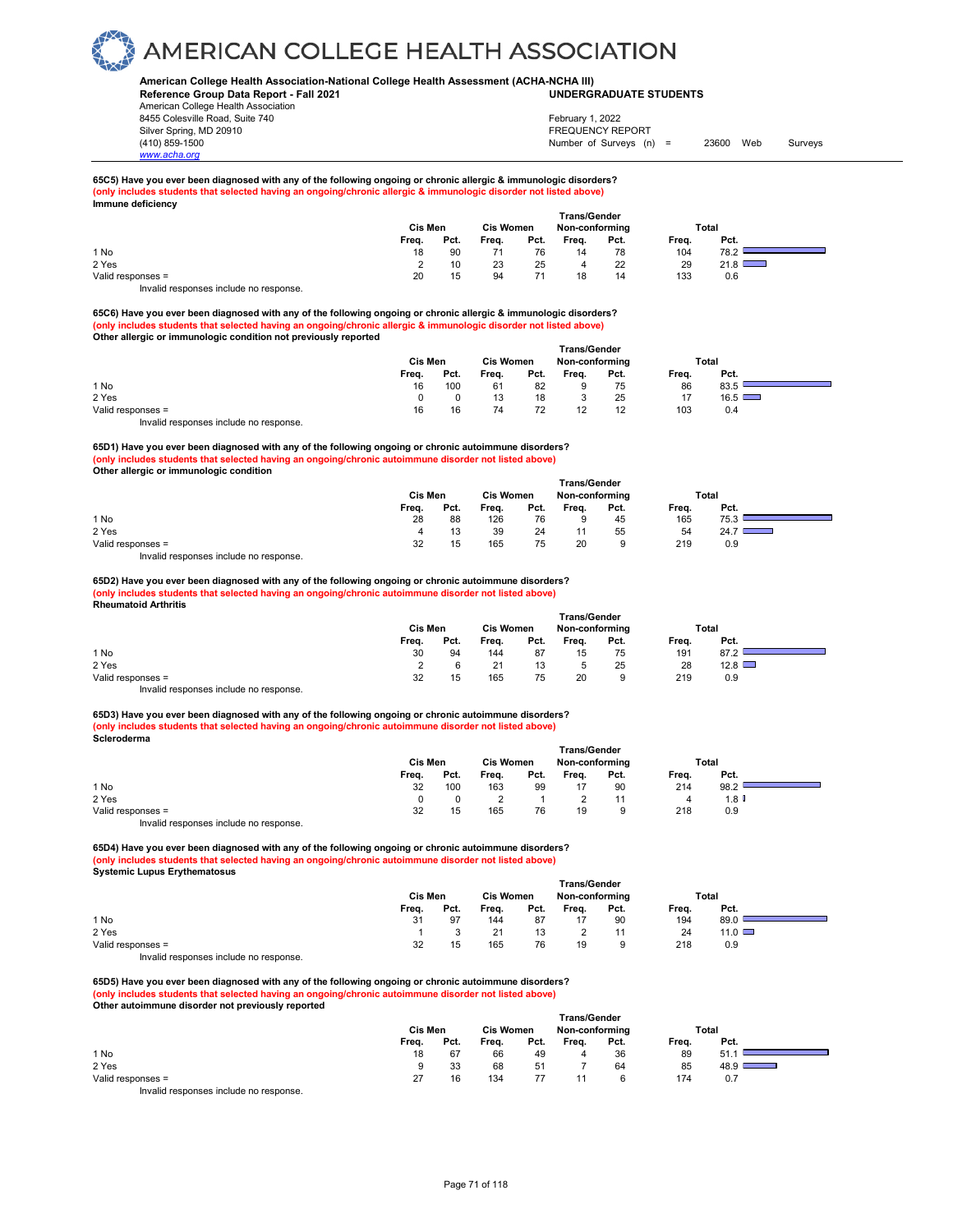### **American College Health Association-National College Health Assessment (ACHA-NCHA III) UNDERGRADUATE STUDENTS**

**Reference Group Data Report - Fall 2021** American College Health Association 8455 Colesville Road, Suite 740

Silver Spring, MD 20910<br>
1990 - The Spring, MD 20910<br>
1990 - The Survey Structure of Surveys (notation of Surveys (notation of Surveys (notation of Surveys (notati Number of Surveys (n) = 23600 Web Surveys February 1, 2022

۰

۰

## **65C5) Have you ever been diagnosed with any of the following ongoing or chronic allergic & immunologic disorders? (only includes students that selected having an ongoing/chronic allergic & immunologic disorder not listed above) Immune deficiency**

|                   | Cis Men<br><b>Cis Women</b> |      |       |      |       | <b>Trans/Gender</b><br>Non-conforming |       | Total |  |
|-------------------|-----------------------------|------|-------|------|-------|---------------------------------------|-------|-------|--|
|                   | Freq.                       | Pct. | Freq. | Pct. | Freq. | Pct.                                  | Freq. | Pct.  |  |
| 1 No              | 18                          | 90   |       | 76   | 14    | 78                                    | 104   | 78.2  |  |
| 2 Yes             |                             | 10   | 23    | 25   | 4     | 22                                    | 29    | 21.8  |  |
| Valid responses = | 20                          | 15   | 94    |      | 18    | 14                                    | 133   | 0.6   |  |

Invalid responses include no response.

*www.acha.org*

**65C6) Have you ever been diagnosed with any of the following ongoing or chronic allergic & immunologic disorders? (only includes students that selected having an ongoing/chronic allergic & immunologic disorder not listed above) Other allergic or immunologic condition not previously reported** 

|                                       | <b>Trans/Gender</b> |                  |       |                |       |       |       |      |  |  |  |  |
|---------------------------------------|---------------------|------------------|-------|----------------|-------|-------|-------|------|--|--|--|--|
|                                       | Cis Men             | <b>Cis Women</b> |       | Non-conforming |       | Total |       |      |  |  |  |  |
|                                       | Frea.               | Pct.             | Frea. | Pct.           | Frea. | Pct.  | Frea. | Pct. |  |  |  |  |
| 1 No                                  | 16                  | 100              | 61    | 82             |       | 75    | 86    | 83.5 |  |  |  |  |
| 2 Yes                                 |                     |                  | 13    | 18             |       | 25    |       | 16.5 |  |  |  |  |
| Valid responses =                     | 16                  | 16               | 74    | 72             |       | 12    | 103   | 0.4  |  |  |  |  |
| lauglid reepenees inslude ne reepenee |                     |                  |       |                |       |       |       |      |  |  |  |  |

Invalid responses include no response.

**65D1) Have you ever been diagnosed with any of the following ongoing or chronic autoimmune disorders? (only includes students that selected having an ongoing/chronic autoimmune disorder not listed above) Other allergic or immunologic condition**

|                   | <b>Trans/Gender</b> |         |       |                  |       |                |       |       |  |  |  |
|-------------------|---------------------|---------|-------|------------------|-------|----------------|-------|-------|--|--|--|
|                   |                     | Cis Men |       | <b>Cis Women</b> |       | Non-conforming |       | Total |  |  |  |
|                   | Frea.               | Pct.    | Freq. | Pct.             | Freq. | Pct.           | Freq. | Pct.  |  |  |  |
| 1 No              | 28                  | 88      | 126   | 76               |       | 45             | 165   | 75.3  |  |  |  |
| 2 Yes             |                     | 13      | 39    | 24               |       | 55             | 54    | 24.7  |  |  |  |
| Valid responses = | 32                  | 15      | 165   | 75               | 20    | 9              | 219   | 0.9   |  |  |  |
|                   |                     |         |       |                  |       |                |       |       |  |  |  |

Invalid responses include no response.

#### **65D2) Have you ever been diagnosed with any of the following ongoing or chronic autoimmune disorders? (only includes students that selected having an ongoing/chronic autoimmune disorder not listed above) Rheumatoid Arthritis**

|                                        | Cis Men<br><b>Cis Women</b> |      |       |      | <b>Trans/Gender</b><br>Non-conforming |      |       | Total         |  |
|----------------------------------------|-----------------------------|------|-------|------|---------------------------------------|------|-------|---------------|--|
|                                        | Freq.                       | Pct. | Freq. | Pct. | Frea.                                 | Pct. | Freq. | Pct.          |  |
| 1 No                                   | 30                          | 94   | 144   | 87   | 15                                    | 75   | 191   | 87.2          |  |
| 2 Yes                                  |                             |      | 21    | 13   |                                       | 25   | 28    | $12.8$ $\Box$ |  |
| Valid responses =                      | 32                          | 15   | 165   | 75   | 20                                    | 9    | 219   | 0.9           |  |
| Invalid responses include no response. |                             |      |       |      |                                       |      |       |               |  |

**65D3) Have you ever been diagnosed with any of the following ongoing or chronic autoimmune disorders? (only includes students that selected having an ongoing/chronic autoimmune disorder not listed above) Scleroderma** 

|                                           | Cis Men | <b>Trans/Gender</b><br><b>Cis Women</b><br>Non-conforming |       |      |       | Total |       |      |  |
|-------------------------------------------|---------|-----------------------------------------------------------|-------|------|-------|-------|-------|------|--|
|                                           | Freq.   | Pct.                                                      | Freq. | Pct. | Freq. | Pct.  | Freq. | Pct. |  |
| 1 No                                      | 32      | 100                                                       | 163   | 99   | 17    | 90    | 214   | 98.2 |  |
| 2 Yes                                     |         |                                                           |       |      |       | 11    |       | 1.8  |  |
| Valid responses =                         | 32      | 15                                                        | 165   | 76   | 19    | 9     | 218   | 0.9  |  |
| Initelial reconomers include no reconomer |         |                                                           |       |      |       |       |       |      |  |

Invalid responses include no response.

**65D4) Have you ever been diagnosed with any of the following ongoing or chronic autoimmune disorders? (only includes students that selected having an ongoing/chronic autoimmune disorder not listed above) Systemic Lupus Erythematosus** 

|                                        | <b>Trans/Gender</b> |      |                  |      |                |      |       |               |  |  |  |
|----------------------------------------|---------------------|------|------------------|------|----------------|------|-------|---------------|--|--|--|
|                                        | <b>Cis Men</b>      |      | <b>Cis Women</b> |      | Non-conforming |      |       | Total         |  |  |  |
|                                        | Freq.               | Pct. | Freq.            | Pct. | Frea.          | Pct. | Freq. | Pct.          |  |  |  |
| 1 No                                   | 31                  | 97   | 144              | 87   |                | 90   | 194   | 89.0          |  |  |  |
| 2 Yes                                  |                     |      |                  | 13   |                |      | 24    | $11.0$ $\Box$ |  |  |  |
| Valid responses =                      | 32                  | 15   | 165              | 76   | 19             |      | 218   | 0.9           |  |  |  |
| Invalid responses include no response. |                     |      |                  |      |                |      |       |               |  |  |  |

**65D5) Have you ever been diagnosed with any of the following ongoing or chronic autoimmune disorders? (only includes students that selected having an ongoing/chronic autoimmune disorder not listed above) Other autoimmune disorder not previously reported** 

|                   | <b>Trans/Gender</b> |      |                  |      |                |      |       |        |  |  |  |
|-------------------|---------------------|------|------------------|------|----------------|------|-------|--------|--|--|--|
|                   | Cis Men             |      | <b>Cis Women</b> |      | Non-conforming |      |       | Total  |  |  |  |
|                   | Freq.               | Pct. | Freq.            | Pct. | Freq.          | Pct. | Freq. | Pct.   |  |  |  |
| 1 No              | 18                  | 67   | 66               | 49   |                | 36   | 89    | -51.   |  |  |  |
| 2 Yes             |                     | 33   | 68               | 51   |                | 64   | 85    | 48.9 I |  |  |  |
| Valid responses = | 27                  | 16   | 134              |      |                |      | 174   | 0.7    |  |  |  |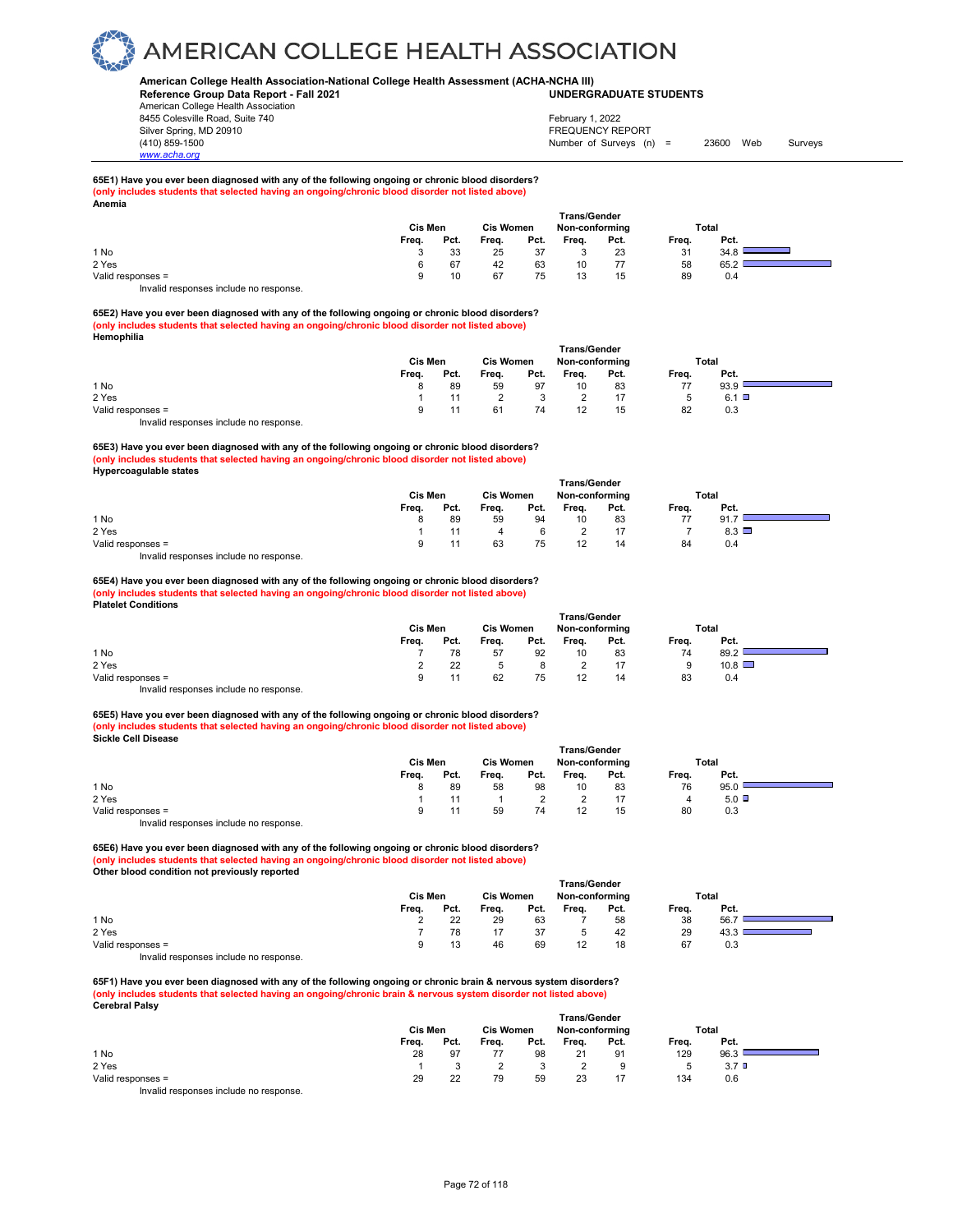### **American College Health Association-National College Health Assessment (ACHA-NCHA III) UNDERGRADUATE STUDENTS**

**Reference Group Data Report - Fall 2021** American College Health Association 8455 Colesville Road, Suite 740 Silver Spring, MD 20910<br>
1990 - The Spring, MD 20910<br>
1990 - The Survey Structure of Surveys (notation of Surveys (notation of Surveys (notation of Surveys (notati

Number of Surveys (n) = 23600 Web Surveys February 1, 2022

#### **65E1) Have you ever been diagnosed with any of the following ongoing or chronic blood disorders? (only includes students that selected having an ongoing/chronic blood disorder not listed above) Anemia**

| Pct.<br>Freq. |                                             |
|---------------|---------------------------------------------|
| 31<br>34.8    |                                             |
| 58<br>65.2    |                                             |
| 89<br>0.4     |                                             |
|               | Non-conforming<br>Total<br>Pct.<br>23<br>15 |

Invalid responses include no response.

*www.acha.org*

**65E2) Have you ever been diagnosed with any of the following ongoing or chronic blood disorders? (only includes students that selected having an ongoing/chronic blood disorder not listed above) Hemophilia**

|                                           | Trans/Gender |      |                  |      |                |      |       |              |  |  |  |
|-------------------------------------------|--------------|------|------------------|------|----------------|------|-------|--------------|--|--|--|
|                                           | Cis Men      |      | <b>Cis Women</b> |      | Non-conforming |      | Total |              |  |  |  |
|                                           | Freq.        | Pct. | Freq.            | Pct. | Freq.          | Pct. | Freq. | Pct.         |  |  |  |
| 1 No                                      |              | 89   | 59               | 97   | 10             | 83   | 77    | 93.9         |  |  |  |
| 2 Yes                                     |              |      |                  |      |                |      |       | $6.1$ $\Box$ |  |  |  |
| Valid responses =                         |              |      | 61               | 74   | 12             | 15   | 82    | 0.3          |  |  |  |
| Initelial reconomece include no reconomec |              |      |                  |      |                |      |       |              |  |  |  |

Invalid responses include no response.

**65E3) Have you ever been diagnosed with any of the following ongoing or chronic blood disorders? (only includes students that selected having an ongoing/chronic blood disorder not listed above) Hypercoagulable states** 

|                   | <b>Trans/Gender</b> |         |       |                  |       |                |       |              |  |  |  |
|-------------------|---------------------|---------|-------|------------------|-------|----------------|-------|--------------|--|--|--|
|                   |                     | Cis Men |       | <b>Cis Women</b> |       | Non-conforming |       | Total        |  |  |  |
|                   | Freq.               | Pct.    | Freq. | Pct.             | Freq. | Pct.           | Freq. | Pct.         |  |  |  |
| 1 No              |                     | 89      | 59    | 94               | 10    | 83             | 77    | 91.7         |  |  |  |
| 2 Yes             |                     |         |       |                  |       | 17             |       | $8.3$ $\Box$ |  |  |  |
| Valid responses = |                     |         | 63    | 75               | 12    | 14             | 84    | 0.4          |  |  |  |
| $\cdots$<br>. .   |                     |         |       |                  |       |                |       |              |  |  |  |

Invalid responses include no response.

**65E4) Have you ever been diagnosed with any of the following ongoing or chronic blood disorders? (only includes students that selected having an ongoing/chronic blood disorder not listed above) Platelet Conditions** 

|                                        | Cis Men | <b>Cis Women</b> |       | Trans/Gender<br>Non-conforming |       | Total |       |               |  |
|----------------------------------------|---------|------------------|-------|--------------------------------|-------|-------|-------|---------------|--|
|                                        | Freq.   | Pct.             | Freq. | Pct.                           | Freq. | Pct.  | Freq. | Pct.          |  |
| 1 No                                   |         | 78               | 57    | 92                             | 10    | 83    | 74    | 89.2          |  |
| 2 Yes                                  |         | 22               |       |                                |       | 17    | 9     | $10.8$ $\Box$ |  |
| Valid responses =                      |         |                  | 62    | 75                             |       | 14    | 83    | 0.4           |  |
| Invalid responses include no response. |         |                  |       |                                |       |       |       |               |  |

**65E5) Have you ever been diagnosed with any of the following ongoing or chronic blood disorders? (only includes students that selected having an ongoing/chronic blood disorder not listed above) Sickle Cell Disease** 

|                                                                           | <b>Trans/Gender</b> |      |                  |      |                |      |              |      |  |  |  |
|---------------------------------------------------------------------------|---------------------|------|------------------|------|----------------|------|--------------|------|--|--|--|
|                                                                           | Cis Men             |      | <b>Cis Women</b> |      | Non-conforming |      | <b>Total</b> |      |  |  |  |
|                                                                           | Freq.               | Pct. | Freq.            | Pct. | Freq.          | Pct. | Freq.        | Pct. |  |  |  |
| 1 No                                                                      |                     | 89   | 58               | 98   | 10             | 83   | 76           | 95.0 |  |  |  |
| 2 Yes                                                                     |                     |      |                  |      |                |      | 4            | 5.0  |  |  |  |
| Valid responses =                                                         | a                   |      | 59               | 74   | 12             | 15   | 80           | 0.3  |  |  |  |
| the control theory is a structure that the collection of the state of the |                     |      |                  |      |                |      |              |      |  |  |  |

Invalid responses include no response.

**65E6) Have you ever been diagnosed with any of the following ongoing or chronic blood disorders? (only includes students that selected having an ongoing/chronic blood disorder not listed above) Other blood condition not previously reported** 

|                   | <b>Trans/Gender</b> |      |                  |      |                |      |              |      |  |  |
|-------------------|---------------------|------|------------------|------|----------------|------|--------------|------|--|--|
|                   | Cis Men             |      | <b>Cis Women</b> |      | Non-conforming |      | <b>Total</b> |      |  |  |
|                   | Freq.               | Pct. | Freq.            | Pct. | Frea.          | Pct. | Freq.        | Pct. |  |  |
| 1 No              | <u>.</u>            | 22   | 29               | 63   |                | 58   | 38           | 56.7 |  |  |
| 2 Yes             |                     | 78   |                  | 37   |                | 42   | 29           | 43.3 |  |  |
| Valid responses = | 9                   | 13   | 46               | 69   | 12             | 18   | 67           | 0.3  |  |  |
|                   |                     |      |                  |      |                |      |              |      |  |  |

Invalid responses include no response.

**65F1) Have you ever been diagnosed with any of the following ongoing or chronic brain & nervous system disorders? (only includes students that selected having an ongoing/chronic brain & nervous system disorder not listed above) Cerebral Palsy** 

|                                        |         |      |                  |      | <b>Trans/Gender</b> |      |       |                  |  |
|----------------------------------------|---------|------|------------------|------|---------------------|------|-------|------------------|--|
|                                        | Cis Men |      | <b>Cis Women</b> |      | Non-conforming      |      | Total |                  |  |
|                                        | Freq.   | Pct. | Freq.            | Pct. | Freq.               | Pct. | Freq. | Pct.             |  |
| 1 No                                   | 28      | 97   |                  | 98   | 21                  | 91   | 129   | 96.3             |  |
| 2 Yes                                  |         |      |                  |      |                     |      |       | 3.7 <sup>°</sup> |  |
| Valid responses =                      | 29      | 22   | 79               | 59   | 23                  | 17   | 134   | 0.6              |  |
| Invalid responses include no response. |         |      |                  |      |                     |      |       |                  |  |

Page 72 of 118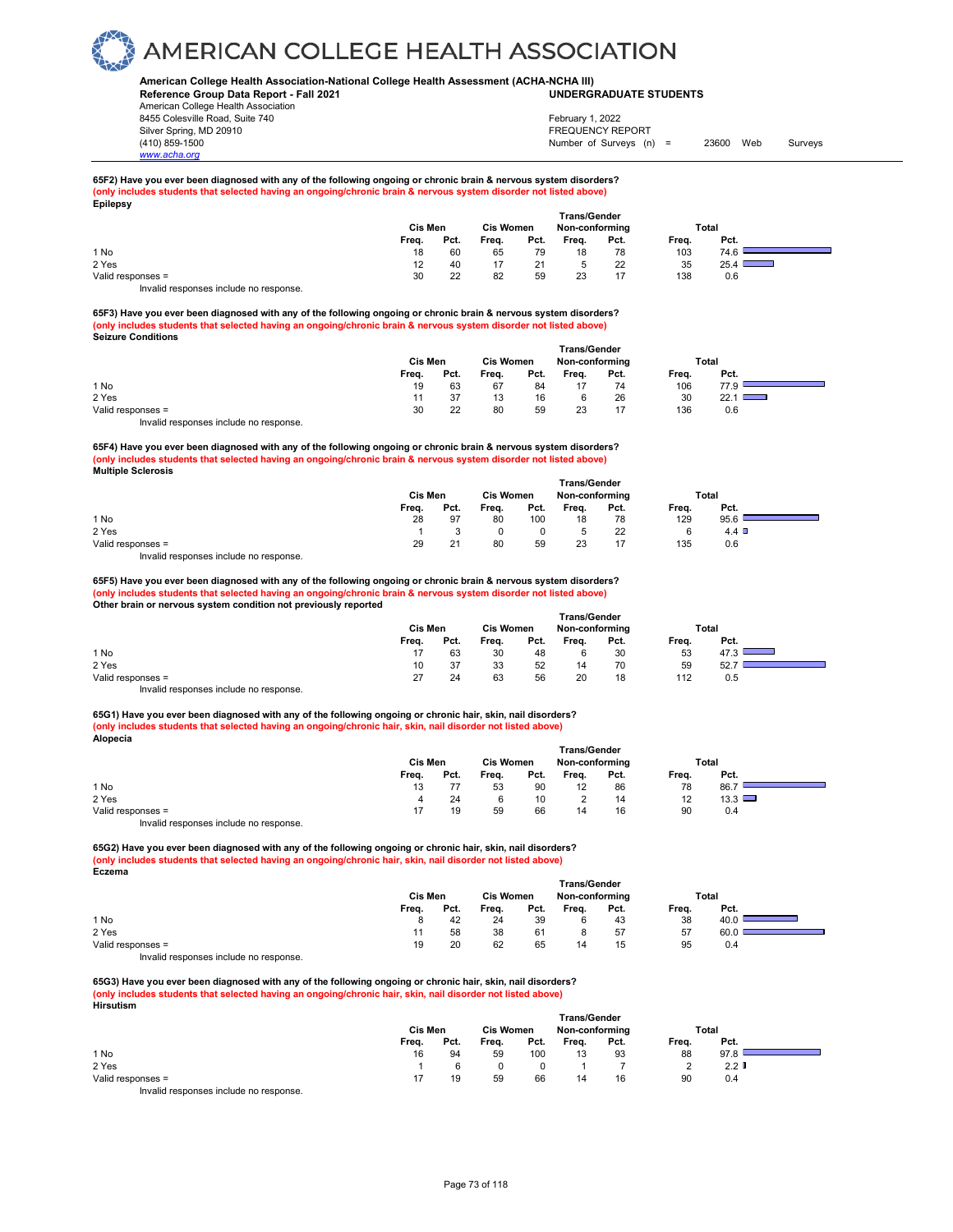### **American College Health Association-National College Health Assessment (ACHA-NCHA III) UNDERGRADUATE STUDENTS**

**Reference Group Data Report - Fall 2021** American College Health Association

8455 Colesville Road, Suite 740 Silver Spring, MD 20910<br>
1990 - 1990 - 1991 - 1991 - 1992 - 1993 - 1994 - 1995 - 1998 - 1999 - 1999 - 1999 - 1999 - 1999 - 1999 - 199<br>
1990 - 1999 - 1999 - 1999 - 1999 - 1999 - 1999 - 1999 - 1999 - 1999 - 1999 - 1999 - 199

*www.acha.org*

Number of Surveys (n) = 23600 Web Surveys February 1, 2022

#### **65F2) Have you ever been diagnosed with any of the following ongoing or chronic brain & nervous system disorders? (only includes students that selected having an ongoing/chronic brain & nervous system disorder not listed above) Epilepsy**

|                   | Cis Men | <b>Trans/Gender</b><br><b>Cis Women</b><br>Non-conforming |       |      |       |      | Total |                                      |  |
|-------------------|---------|-----------------------------------------------------------|-------|------|-------|------|-------|--------------------------------------|--|
|                   | Freq.   | Pct.                                                      | Freq. | Pct. | Frea. | Pct. | Freq. | Pct.                                 |  |
| 1 No              | 18      | 60                                                        | 65    | 79   | 18    | 78   | 103   | 74.6                                 |  |
| 2 Yes             | 12      | 40                                                        |       | 21   |       | 22   | 35    | $25.4$ I<br><b>Contract Contract</b> |  |
| Valid responses = | 30      | 22                                                        | 82    | 59   | 23    | 17   | 138   | 0.6                                  |  |
|                   |         |                                                           |       |      |       |      |       |                                      |  |

Invalid responses include no response.

**65F3) Have you ever been diagnosed with any of the following ongoing or chronic brain & nervous system disorders? (only includes students that selected having an ongoing/chronic brain & nervous system disorder not listed above) Seizure Conditions** 

|                                        | Trans/Gender |                  |       |                |       |      |       |      |  |  |  |
|----------------------------------------|--------------|------------------|-------|----------------|-------|------|-------|------|--|--|--|
|                                        | Cis Men      | <b>Cis Women</b> |       | Non-conforming |       |      | Total |      |  |  |  |
|                                        | Frea.        | Pct.             | Frea. | Pct.           | Frea. | Pct. | Frea. | Pct. |  |  |  |
| 1 No                                   | 19           | 63               | 67    | 84             |       | 74   | 106   | 77.9 |  |  |  |
| 2 Yes                                  | 11           | 37               | 13    | 16             |       | 26   | 30    | 22.1 |  |  |  |
| Valid responses =                      | 30           | 22               | 80    | 59             | 23    |      | 136   | 0.6  |  |  |  |
| Invalid responses include no response. |              |                  |       |                |       |      |       |      |  |  |  |

**65F4) Have you ever been diagnosed with any of the following ongoing or chronic brain & nervous system disorders? (only includes students that selected having an ongoing/chronic brain & nervous system disorder not listed above) Multiple Sclerosis** 

|                   | <b>Trans/Gender</b> |                  |       |                |       |       |       |      |  |  |  |  |
|-------------------|---------------------|------------------|-------|----------------|-------|-------|-------|------|--|--|--|--|
|                   | Cis Men             | <b>Cis Women</b> |       | Non-conforming |       | Total |       |      |  |  |  |  |
|                   | Frea.               | Pct.             | Frea. | Pct.           | Frea. | Pct.  | Frea. | Pct. |  |  |  |  |
| 1 No              | 28                  | 97               | 80    | 100            | 18    | 78    | 129   | 95.6 |  |  |  |  |
| 2 Yes             |                     |                  |       |                |       | 22    | 6     | 4.4  |  |  |  |  |
| Valid responses = | 29                  | 21               | 80    | 59             | 23    |       | 135   | 0.6  |  |  |  |  |

Invalid responses include no response.

**65F5) Have you ever been diagnosed with any of the following ongoing or chronic brain & nervous system disorders? (only includes students that selected having an ongoing/chronic brain & nervous system disorder not listed above) Other brain or nervous system condition not previously reported** 

|                                        |       | <b>Trans/Gender</b> |       |                  |       |                |       |       |  |  |  |  |
|----------------------------------------|-------|---------------------|-------|------------------|-------|----------------|-------|-------|--|--|--|--|
|                                        |       | Cis Men             |       | <b>Cis Women</b> |       | Non-conforming |       | Total |  |  |  |  |
|                                        | Frea. | Pct.                | Frea. | Pct.             | Frea. | Pct.           | Frea. | Pct.  |  |  |  |  |
| 1 No                                   |       | 63                  | 30    | 48               |       | 30             | 53    | 47.3  |  |  |  |  |
| 2 Yes                                  | 10    | 37                  | 33    | 52               | 14    | 70             | 59    | 52.7  |  |  |  |  |
| Valid responses =                      | 27    | 24                  | 63    | 56               | 20    | 18             | 112   | 0.5   |  |  |  |  |
| Invalid responses include no response. |       |                     |       |                  |       |                |       |       |  |  |  |  |

**65G1) Have you ever been diagnosed with any of the following ongoing or chronic hair, skin, nail disorders? (only includes students that selected having an ongoing/chronic hair, skin, nail disorder not listed above) Alopecia**

|                                       | Trans/Gender |                  |       |                |       |       |                   |      |  |  |  |
|---------------------------------------|--------------|------------------|-------|----------------|-------|-------|-------------------|------|--|--|--|
|                                       | Cis Men      | <b>Cis Women</b> |       | Non-conforming |       | Total |                   |      |  |  |  |
|                                       | Frea.        | Pct.             | Frea. | Pct.           | Frea. | Pct.  | Frea.             | Pct. |  |  |  |
| 1 No                                  | 13           |                  | 53    | 90             |       | 86    | 78                | 86.7 |  |  |  |
| 2 Yes                                 | 4            | 24               |       | 10             |       | 14    | $12 \overline{ }$ | 13.3 |  |  |  |
| Valid responses =                     |              | 19               | 59    | 66             | 14    | 16    | 90                | 0.4  |  |  |  |
| Involid recnonces include no recnonce |              |                  |       |                |       |       |                   |      |  |  |  |

Invalid responses include no response.

**65G2) Have you ever been diagnosed with any of the following ongoing or chronic hair, skin, nail disorders? (only includes students that selected having an ongoing/chronic hair, skin, nail disorder not listed above) Eczema**

|                                                                   | <b>Trans/Gender</b> |                  |       |                |       |       |       |      |  |  |  |
|-------------------------------------------------------------------|---------------------|------------------|-------|----------------|-------|-------|-------|------|--|--|--|
|                                                                   | Cis Men             | <b>Cis Women</b> |       | Non-conforming |       | Total |       |      |  |  |  |
|                                                                   | Frea.               | Pct.             | Frea. | Pct.           | Freq. | Pct.  | Frea. | Pct. |  |  |  |
| 1 No                                                              |                     | 42               | 24    | 39             |       | 43    | 38    | 40.0 |  |  |  |
| 2 Yes                                                             |                     | 58               | 38    | 61             |       | 57    | 57    | 60.0 |  |  |  |
| Valid responses =                                                 | 19                  | 20               | 62    | 65             | 14    | 15    | 95    | 0.4  |  |  |  |
| has said all the area are a considerable that are a considered as |                     |                  |       |                |       |       |       |      |  |  |  |

Invalid responses include no response.

**65G3) Have you ever been diagnosed with any of the following ongoing or chronic hair, skin, nail disorders? (only includes students that selected having an ongoing/chronic hair, skin, nail disorder not listed above) Hirsutism**

| .                                                                      |       |         |       |                  | <b>Trans/Gender</b> |                |       |                  |  |
|------------------------------------------------------------------------|-------|---------|-------|------------------|---------------------|----------------|-------|------------------|--|
|                                                                        |       | Cis Men |       | <b>Cis Women</b> |                     | Non-conforming |       | Total            |  |
|                                                                        | Freq. | Pct.    | Freq. | Pct.             | Freq.               | Pct.           | Freq. | Pct.             |  |
| 1 No                                                                   | 16    | 94      | 59    | 100              | 13                  | 93             | 88    | 97.8             |  |
| 2 Yes                                                                  |       |         |       |                  |                     |                |       | 2.2 <sup>T</sup> |  |
| Valid responses =                                                      | 17    | 19      | 59    | 66               | 14                  | 16             | 90    | 0.4              |  |
| The control to a process of the control of the process of the process. |       |         |       |                  |                     |                |       |                  |  |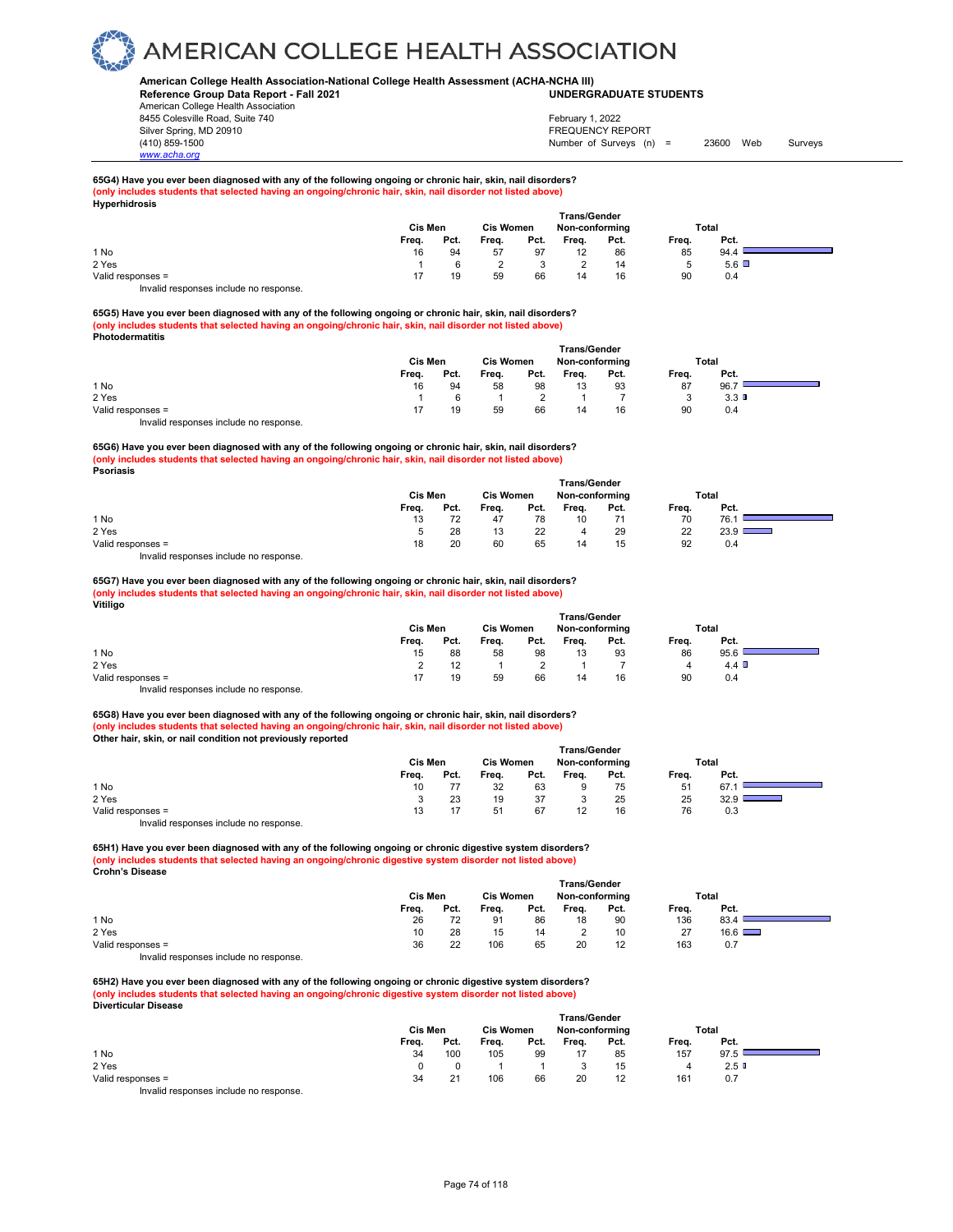### **American College Health Association-National College Health Assessment (ACHA-NCHA III) UNDERGRADUATE STUDENTS**

**Reference Group Data Report - Fall 2021** American College Health Association 8455 Colesville Road, Suite 740 Silver Spring, MD 20910<br>
1990 - The Spring, MD 20910<br>
1990 - The Survey Structure of Surveys (notation of Surveys (notation of Surveys (notation of Surveys (notati

## Number of Surveys (n) = 23600 Web Surveys February 1, 2022

#### **65G4) Have you ever been diagnosed with any of the following ongoing or chronic hair, skin, nail disorders? (only includes students that selected having an ongoing/chronic hair, skin, nail disorder not listed above) Hyperhidrosis**

| - -               |       | Cis Men |       | <b>Cis Women</b> |       | <b>Trans/Gender</b><br>Non-conforming |        | Total        |  |
|-------------------|-------|---------|-------|------------------|-------|---------------------------------------|--------|--------------|--|
|                   | Freq. | Pct.    | Freq. | Pct.             | Freq. | Pct.                                  | Freq.  | Pct.         |  |
| 1 No              | 16    | 94      | 57    | 97               | 12    | 86                                    | 85     | 94.4         |  |
| 2 Yes             |       |         |       |                  |       | 14                                    | 5<br>ັ | $5.6$ $\Box$ |  |
| Valid responses = |       | 19      | 59    | 66               | 14    | 16                                    | 90     | 0.4          |  |
| .<br>.            |       |         |       |                  |       |                                       |        |              |  |

Invalid responses include no response.

*www.acha.org*

**65G5) Have you ever been diagnosed with any of the following ongoing or chronic hair, skin, nail disorders? (only includes students that selected having an ongoing/chronic hair, skin, nail disorder not listed above) Photodermatitis**

|                                       | <b>Trans/Gender</b> |                  |       |                |       |       |       |      |  |  |  |
|---------------------------------------|---------------------|------------------|-------|----------------|-------|-------|-------|------|--|--|--|
|                                       | <b>Cis Men</b>      | <b>Cis Women</b> |       | Non-conforming |       | Total |       |      |  |  |  |
|                                       | Frea.               | Pct.             | Frea. | Pct.           | Freq. | Pct.  | Frea. | Pct. |  |  |  |
| 1 No                                  | 16                  | 94               | 58    | 98             | 13    | 93    | 87    | 96.7 |  |  |  |
| 2 Yes                                 |                     |                  |       |                |       |       |       | 3.3  |  |  |  |
| Valid responses =                     |                     | 19               | 59    | 66             | 14    | 16    | 90    | 0.4  |  |  |  |
| Involid reconnege include no reconneg |                     |                  |       |                |       |       |       |      |  |  |  |

id responses include no response.

**65G6) Have you ever been diagnosed with any of the following ongoing or chronic hair, skin, nail disorders? (only includes students that selected having an ongoing/chronic hair, skin, nail disorder not listed above) Psoriasis**

|                   | <b>Trans/Gender</b> |      |                  |      |                |      |       |               |  |
|-------------------|---------------------|------|------------------|------|----------------|------|-------|---------------|--|
|                   | Cis Men             |      | <b>Cis Women</b> |      | Non-conforming |      |       | <b>Total</b>  |  |
|                   | Freq.               | Pct. | Freq.            | Pct. | Freq.          | Pct. | Freq. | Pct.          |  |
| 1 No              | 13                  | 72   | 47               | 78   | 10             | 71   | 70    | 76.1          |  |
| 2 Yes             |                     | 28   | 13               | 22   | 4              | 29   | 22    | $23.9$ $\Box$ |  |
| Valid responses = | 18                  | 20   | 60               | 65   | 14             | 15   | 92    | 0.4           |  |
|                   |                     |      |                  |      |                |      |       |               |  |

Invalid responses include no response.

#### **65G7) Have you ever been diagnosed with any of the following ongoing or chronic hair, skin, nail disorders? (only includes students that selected having an ongoing/chronic hair, skin, nail disorder not listed above) Vitiligo**

|                                        | Cis Men | <b>Cis Women</b> |       |      | <b>Trans/Gender</b><br>Non-conforming |      | Total |      |  |
|----------------------------------------|---------|------------------|-------|------|---------------------------------------|------|-------|------|--|
|                                        | Frea.   | Pct.             | Freq. | Pct. | Frea.                                 | Pct. | Frea. | Pct. |  |
| 1 No                                   | 15      | 88               | 58    | 98   | 13                                    | 93   | 86    | 95.6 |  |
| 2 Yes                                  |         |                  |       |      |                                       |      | 4     | 4.4  |  |
| Valid responses =                      |         | 19               | 59    | 66   | 14                                    | 16   | 90    | 0.4  |  |
| Invalid responses include no response. |         |                  |       |      |                                       |      |       |      |  |

**65G8) Have you ever been diagnosed with any of the following ongoing or chronic hair, skin, nail disorders? (only includes students that selected having an ongoing/chronic hair, skin, nail disorder not listed above) Other hair, skin, or nail condition not previously reported** 

|                                          |         |      |                  |      | <b>Trans/Gender</b> |      |       |      |  |
|------------------------------------------|---------|------|------------------|------|---------------------|------|-------|------|--|
|                                          | Cis Men |      | <b>Cis Women</b> |      | Non-conforming      |      | Total |      |  |
|                                          | Freq.   | Pct. | Freq.            | Pct. | Freq.               | Pct. | Freq. | Pct. |  |
| 1 No                                     | 10      |      | 32               | 63   |                     | 75   | 51    | 67.  |  |
| 2 Yes                                    |         | 23   | 19               | 37   |                     | 25   | 25    | 32.9 |  |
| Valid responses =                        | 13      |      | 51               | 67   |                     | 16   | 76    | 0.3  |  |
| Introlle reconomers include no reconomer |         |      |                  |      |                     |      |       |      |  |

Invalid responses include no response.

**65H1) Have you ever been diagnosed with any of the following ongoing or chronic digestive system disorders? (only includes students that selected having an ongoing/chronic digestive system disorder not listed above) Crohn's Disease** 

|                                       | <b>Trans/Gender</b> |                  |       |                |       |       |       |      |  |  |  |
|---------------------------------------|---------------------|------------------|-------|----------------|-------|-------|-------|------|--|--|--|
|                                       | <b>Cis Men</b>      | <b>Cis Women</b> |       | Non-conforming |       | Total |       |      |  |  |  |
|                                       | Frea.               | Pct.             | Frea. | Pct.           | Frea. | Pct.  | Frea. | Pct. |  |  |  |
| 1 No                                  | 26                  | 72               | 91    | 86             | 18    | 90    | 136   | 83.4 |  |  |  |
| 2 Yes                                 | 10                  | 28               | 15    | 14             |       | 10    | 27    | 16.6 |  |  |  |
| Valid responses =                     | 36                  | 22               | 106   | 65             | 20    | 12    | 163   | 0.7  |  |  |  |
| Involid responses include no response |                     |                  |       |                |       |       |       |      |  |  |  |

Invalid responses include no response.

**65H2) Have you ever been diagnosed with any of the following ongoing or chronic digestive system disorders? (only includes students that selected having an ongoing/chronic digestive system disorder not listed above) Diverticular Disease** 

|                                                                                                                                                                                                                                   | <b>Trans/Gender</b> |      |                  |      |                |      |       |         |  |  |
|-----------------------------------------------------------------------------------------------------------------------------------------------------------------------------------------------------------------------------------|---------------------|------|------------------|------|----------------|------|-------|---------|--|--|
|                                                                                                                                                                                                                                   | Cis Men             |      | <b>Cis Women</b> |      | Non-conforming |      | Total |         |  |  |
|                                                                                                                                                                                                                                   | Freq.               | Pct. | Freq.            | Pct. | Freq.          | Pct. | Freq. | Pct.    |  |  |
| 1 No                                                                                                                                                                                                                              | 34                  | 100  | 105              | 99   | 17             | 85   | 157   | 97.5    |  |  |
| 2 Yes                                                                                                                                                                                                                             |                     |      |                  |      |                | 15   |       | $2.5$ D |  |  |
| Valid responses =                                                                                                                                                                                                                 | 34                  | 21   | 106              | 66   | 20             | 12   | 161   | 0.7     |  |  |
| $\mathbf{r}$ , and the contract of the contract of the contract of the contract of the contract of the contract of the contract of the contract of the contract of the contract of the contract of the contract of the contract o |                     |      |                  |      |                |      |       |         |  |  |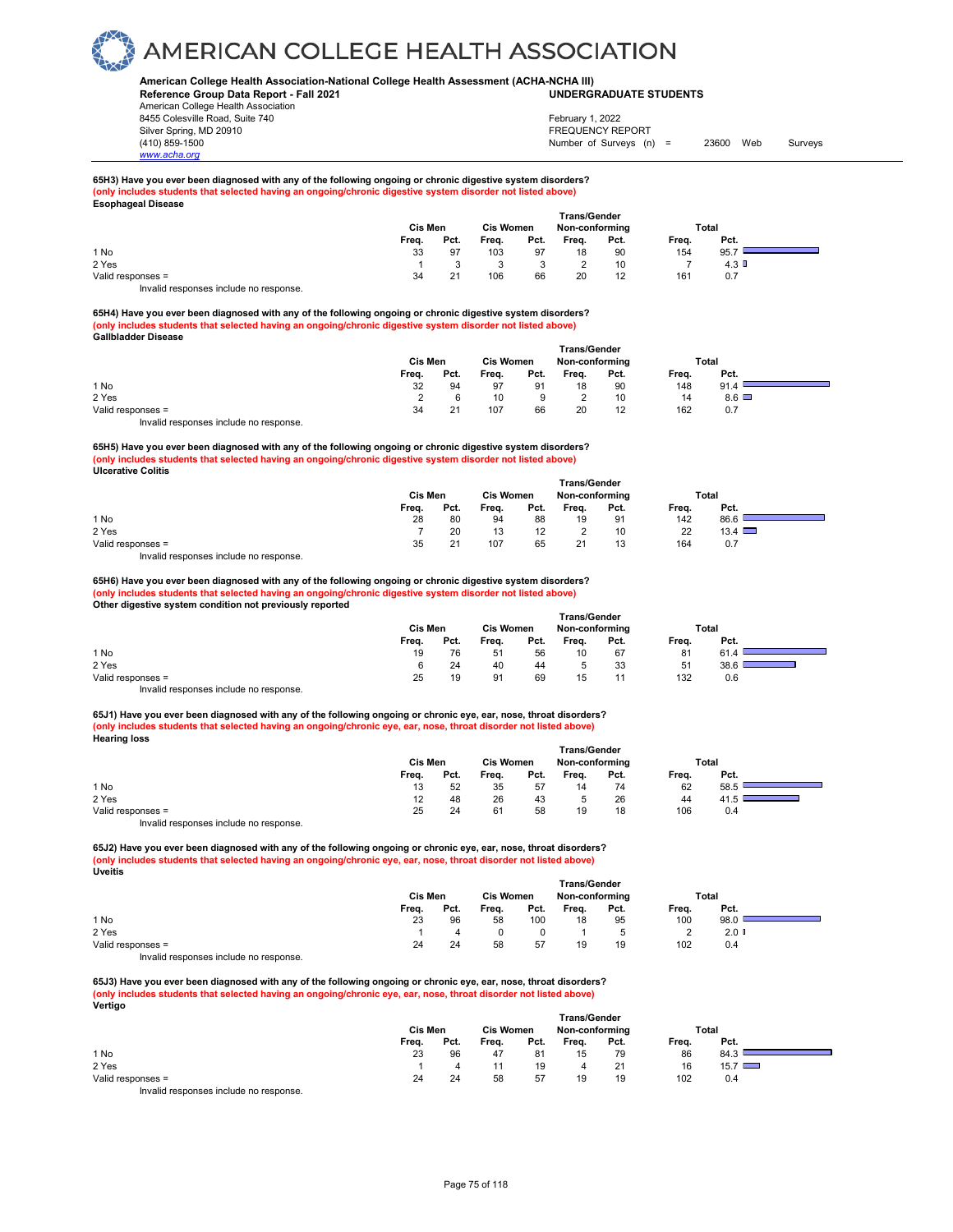### **American College Health Association-National College Health Assessment (ACHA-NCHA III) UNDERGRADUATE STUDENTS**

**Reference Group Data Report - Fall 2021** American College Health Association 8455 Colesville Road, Suite 740 Silver Spring, MD 20910<br>
1990 - The Spring, MD 20910<br>
1990 - The Survey Structure of Surveys (notation of Surveys (notation of Surveys (notation of Surveys (notati

*www.acha.org*

## Number of Surveys (n) = 23600 Web Surveys February 1, 2022

#### **65H3) Have you ever been diagnosed with any of the following ongoing or chronic digestive system disorders? (only includes students that selected having an ongoing/chronic digestive system disorder not listed above) Esophageal Disease**

|                   |       | Cis Men |       | <b>Cis Women</b> | <b>Trans/Gender</b><br>Non-conforming |      |       | Total   |  |
|-------------------|-------|---------|-------|------------------|---------------------------------------|------|-------|---------|--|
|                   | Freq. | Pct.    | Freq. | Pct.             | Freq.                                 | Pct. | Freq. | Pct.    |  |
| 1 No              | 33    | 97      | 103   | 97               | 18                                    | 90   | 154   | 95.7    |  |
| 2 Yes             |       |         |       |                  |                                       | 10   |       | $4.3$ D |  |
| Valid responses = | 34    | 21      | 106   | 66               | 20                                    | 12   | 161   | 0.7     |  |
| $\cdots$          |       |         |       |                  |                                       |      |       |         |  |

Invalid responses include no response.

**65H4) Have you ever been diagnosed with any of the following ongoing or chronic digestive system disorders? (only includes students that selected having an ongoing/chronic digestive system disorder not listed above) Gallbladder Disease** 

|                                        | <b>Trans/Gender</b> |                  |       |                |       |      |       |      |  |  |  |
|----------------------------------------|---------------------|------------------|-------|----------------|-------|------|-------|------|--|--|--|
|                                        | <b>Cis Men</b>      | <b>Cis Women</b> |       | Non-conforming |       |      | Total |      |  |  |  |
|                                        | Frea.               | Pct.             | Frea. | Pct.           | Frea. | Pct. | Frea. | Pct. |  |  |  |
| 1 No                                   | 32                  | 94               | 97    | 91             | 18    | 90   | 148   | 91.4 |  |  |  |
| 2 Yes                                  |                     |                  | 10    | 9              |       | 10   | 14    | 8.6  |  |  |  |
| Valid responses =                      | 34                  | 21               | 107   | 66             | 20    | 12   | 162   | 0.7  |  |  |  |
| Invalid responses include no response. |                     |                  |       |                |       |      |       |      |  |  |  |

**65H5) Have you ever been diagnosed with any of the following ongoing or chronic digestive system disorders? (only includes students that selected having an ongoing/chronic digestive system disorder not listed above) Ulcerative Colitis** 

|                   | <b>Trans/Gender</b> |         |       |                  |                |      |       |               |  |  |  |
|-------------------|---------------------|---------|-------|------------------|----------------|------|-------|---------------|--|--|--|
|                   |                     | Cis Men |       | <b>Cis Women</b> | Non-conforming |      |       | Total         |  |  |  |
|                   | Frea.               | Pct.    | Frea. | Pct.             | Frea.          | Pct. | Freq. | Pct.          |  |  |  |
| 1 No              | 28                  | 80      | 94    | 88               | 19             | 91   | 142   | 86.6          |  |  |  |
| 2 Yes             |                     | 20      | 13    | 12               |                | 10   | 22    | $13.4$ $\Box$ |  |  |  |
| Valid responses = | 35                  | 21      | 107   | 65               | 21             |      | 164   | 0.7           |  |  |  |
|                   |                     |         |       |                  |                |      |       |               |  |  |  |

Invalid responses include no response.

**65H6) Have you ever been diagnosed with any of the following ongoing or chronic digestive system disorders? (only includes students that selected having an ongoing/chronic digestive system disorder not listed above) Other digestive system condition not previously reported** 

|                   |       | Cis Men<br><b>Cis Women</b> |       |      |       | <b>Trans/Gender</b><br>Non-conforming | Total |      |  |
|-------------------|-------|-----------------------------|-------|------|-------|---------------------------------------|-------|------|--|
|                   | Frea. | Pct.                        | Frea. | Pct. | Frea. | Pct.                                  | Frea. | Pct. |  |
| 1 No              | 19    | 76                          | 51    | 56   | 10    | 67                                    | 81    | 61.4 |  |
| 2 Yes             | 6     | 24                          | 40    | 44   |       | 33                                    | 51    | 38.6 |  |
| Valid responses = | 25    | 19                          | 91    | 69   | 15    | 11                                    | 132   | 0.6  |  |
| .<br>.            |       |                             |       |      |       |                                       |       |      |  |

Invalid responses include no response.

**65J1) Have you ever been diagnosed with any of the following ongoing or chronic eye, ear, nose, throat disorders? (only includes students that selected having an ongoing/chronic eye, ear, nose, throat disorder not listed above) Hearing loss** 

|                                       | <b>Trans/Gender</b> |                  |       |                |       |       |       |      |  |  |  |
|---------------------------------------|---------------------|------------------|-------|----------------|-------|-------|-------|------|--|--|--|
|                                       | Cis Men             | <b>Cis Women</b> |       | Non-conforming |       | Total |       |      |  |  |  |
|                                       | Frea.               | Pct.             | Frea. | Pct.           | Frea. | Pct.  | Frea. | Pct. |  |  |  |
| 1 No                                  | 13                  | 52               | 35    | 57             | 14    | 74    | 62    | 58.5 |  |  |  |
| 2 Yes                                 | 12                  | 48               | 26    | 43             |       | 26    | 44    | 41.5 |  |  |  |
| Valid responses =                     | 25                  | 24               | 61    | 58             | 19    | 18    | 106   | 0.4  |  |  |  |
| lauglid reeneneen inelude ne reenenee |                     |                  |       |                |       |       |       |      |  |  |  |

Invalid responses include no response.

**65J2) Have you ever been diagnosed with any of the following ongoing or chronic eye, ear, nose, throat disorders? (only includes students that selected having an ongoing/chronic eye, ear, nose, throat disorder not listed above) Uveitis** 

|                                                                    | <b>Trans/Gender</b> |                  |       |                |       |       |       |      |  |  |  |
|--------------------------------------------------------------------|---------------------|------------------|-------|----------------|-------|-------|-------|------|--|--|--|
|                                                                    | Cis Men             | <b>Cis Women</b> |       | Non-conforming |       | Total |       |      |  |  |  |
|                                                                    | Frea.               | Pct.             | Frea. | Pct.           | Frea. | Pct.  | Frea. | Pct. |  |  |  |
| 1 No                                                               | 23                  | 96               | 58    | 100            | 18    | 95    | 100   | 98.0 |  |  |  |
| 2 Yes                                                              |                     |                  |       |                |       | 5     |       | 2.0  |  |  |  |
| Valid responses =                                                  | 24                  | 24               | 58    | 57             | 19    | 19    | 102   | 0.4  |  |  |  |
| the control we are a related the attended to a large a strategies. |                     |                  |       |                |       |       |       |      |  |  |  |

Invalid responses include no response.

**65J3) Have you ever been diagnosed with any of the following ongoing or chronic eye, ear, nose, throat disorders? (only includes students that selected having an ongoing/chronic eye, ear, nose, throat disorder not listed above) Vertigo**

|                   | <b>Trans/Gender</b> |         |       |                  |       |                |       |               |  |  |  |
|-------------------|---------------------|---------|-------|------------------|-------|----------------|-------|---------------|--|--|--|
|                   |                     | Cis Men |       | <b>Cis Women</b> |       | Non-conforming |       | Total         |  |  |  |
|                   | Freq.               | Pct.    | Freq. | Pct.             | Freq. | Pct.           | Freq. | Pct.          |  |  |  |
| 1 No              | 23                  | 96      | 47    | 81               | 15    | 79             | 86    | 84.3          |  |  |  |
| 2 Yes             |                     |         |       | 19               | 4     | 21             | 16    | $15.7$ $\Box$ |  |  |  |
| Valid responses = | 24                  | 24      | 58    | 57               | 19    | 19             | 102   | 0.4           |  |  |  |
| .<br>$\sim$       |                     |         |       |                  |       |                |       |               |  |  |  |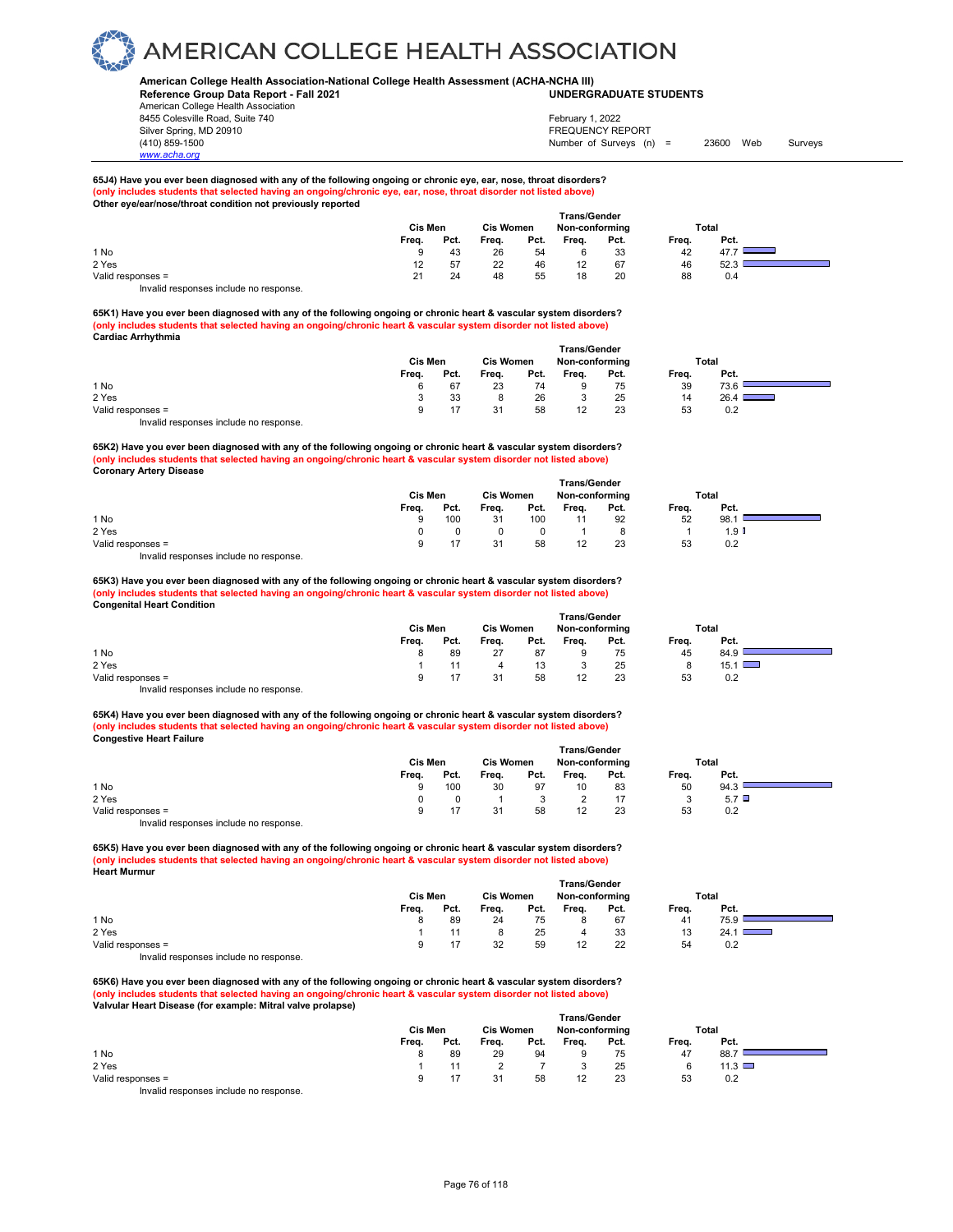### **American College Health Association-National College Health Assessment (ACHA-NCHA III) UNDERGRADUATE STUDENTS**

**Reference Group Data Report - Fall 2021** American College Health Association 8455 Colesville Road, Suite 740 Silver Spring, MD 20910<br>
1990 - The Spring, MD 20910<br>
1990 - The Survey Structure of Surveys (notation of Surveys (notation of Surveys (notation of Surveys (notati

*www.acha.org*

Number of Surveys (n) = 23600 Web Surveys February 1, 2022

÷,

## **65J4) Have you ever been diagnosed with any of the following ongoing or chronic eye, ear, nose, throat disorders? (only includes students that selected having an ongoing/chronic eye, ear, nose, throat disorder not listed above) Other eye/ear/nose/throat condition not previously reported**

|                   |                  | <b>Trans/Gender</b> |       |                  |                   |                |       |      |  |  |  |  |
|-------------------|------------------|---------------------|-------|------------------|-------------------|----------------|-------|------|--|--|--|--|
|                   |                  | Cis Men             |       | <b>Cis Women</b> |                   | Non-conforming | Total |      |  |  |  |  |
|                   | Freq.            | Pct.                | Freq. | Pct.             | Freq.             | Pct.           | Frea. | Pct. |  |  |  |  |
| 1 No              | 9                | 43                  | 26    | 54               |                   | 33             | 42    | 47.7 |  |  |  |  |
| 2 Yes             | 12 <sup>12</sup> | 57                  | 22    | 46               | $12 \overline{ }$ | 67             | 46    | 52.3 |  |  |  |  |
| Valid responses = | 21               | 24                  | 48    | 55               | 18                | 20             | 88    | 0.4  |  |  |  |  |
|                   |                  |                     |       |                  |                   |                |       |      |  |  |  |  |

Invalid responses include no response.

**65K1) Have you ever been diagnosed with any of the following ongoing or chronic heart & vascular system disorders? (only includes students that selected having an ongoing/chronic heart & vascular system disorder not listed above) Cardiac Arrhythmia** 

|                                        | <b>Trans/Gender</b> |      |                  |      |                |      |       |      |  |  |  |
|----------------------------------------|---------------------|------|------------------|------|----------------|------|-------|------|--|--|--|
|                                        | Cis Men             |      | <b>Cis Women</b> |      | Non-conforming |      | Total |      |  |  |  |
|                                        | Frea.               | Pct. | Frea.            | Pct. | Frea.          | Pct. | Frea. | Pct. |  |  |  |
| 1 No                                   | 6                   | 67   | 23               | 74   |                | 75   | 39    | 73.6 |  |  |  |
| 2 Yes                                  |                     | 33   |                  | 26   |                | 25   | 14    | 26.4 |  |  |  |
| Valid responses =                      | 9                   | 17   | 31               | 58   |                | 23   | 53    | 0.2  |  |  |  |
| Invalid responses include no response. |                     |      |                  |      |                |      |       |      |  |  |  |

**65K2) Have you ever been diagnosed with any of the following ongoing or chronic heart & vascular system disorders? (only includes students that selected having an ongoing/chronic heart & vascular system disorder not listed above) Coronary Artery Disease** 

|                   |       | <b>Trans/Gender</b> |       |      |                |      |       |      |  |  |  |  |
|-------------------|-------|---------------------|-------|------|----------------|------|-------|------|--|--|--|--|
|                   |       | Cis Men             |       |      | Non-conforming |      | Total |      |  |  |  |  |
|                   | Frea. | Pct.                | Frea. | Pct. | Frea.          | Pct. | Frea. | Pct. |  |  |  |  |
| 1 No              | Q     | 100                 | 31    | 100  |                | 92   | 52    | 98.1 |  |  |  |  |
| 2 Yes             |       |                     |       |      |                | 8    |       | 1.9  |  |  |  |  |
| Valid responses = |       |                     | 31    | 58   |                | 23   | 53    | 0.2  |  |  |  |  |

Invalid responses include no response.

**65K3) Have you ever been diagnosed with any of the following ongoing or chronic heart & vascular system disorders? (only includes students that selected having an ongoing/chronic heart & vascular system disorder not listed above) Congenital Heart Condition** 

|                   | Cis Men |      |       | <b>Cis Women</b> | Total |      |       |      |
|-------------------|---------|------|-------|------------------|-------|------|-------|------|
|                   | Frea.   | Pct. | Frea. | Pct.             | Frea. | Pct. | Frea. | Pct. |
| 1 No              | 8       | 89   | 27    | 87               |       | 75   | 45    | 84.9 |
| 2 Yes             |         |      | 4     | 13               |       | 25   |       | 15.1 |
| Valid responses = | a       |      | 31    | 58               | 12    | 23   | 53    | 0.2  |

Invalid responses include no response.

**65K4) Have you ever been diagnosed with any of the following ongoing or chronic heart & vascular system disorders? (only includes students that selected having an ongoing/chronic heart & vascular system disorder not listed above) Congestive Heart Failure** 

|                                                                   | <b>Trans/Gender</b> |      |                  |      |                |      |       |      |  |  |  |
|-------------------------------------------------------------------|---------------------|------|------------------|------|----------------|------|-------|------|--|--|--|
|                                                                   | Cis Men             |      | <b>Cis Women</b> |      | Non-conforming |      | Total |      |  |  |  |
|                                                                   | Frea.               | Pct. | Frea.            | Pct. | Freq.          | Pct. | Frea. | Pct. |  |  |  |
| 1 No                                                              | 9                   | 100  | 30               | 97   | 10             | 83   | 50    | 94.3 |  |  |  |
| 2 Yes                                                             |                     |      |                  |      |                |      |       | 5.7  |  |  |  |
| Valid responses =                                                 |                     | 17   | 31               | 58   |                | 23   | 53    | 0.2  |  |  |  |
| the control we are a service the attended to a large a service of |                     |      |                  |      |                |      |       |      |  |  |  |

Invalid responses include no response.

**65K5) Have you ever been diagnosed with any of the following ongoing or chronic heart & vascular system disorders? (only includes students that selected having an ongoing/chronic heart & vascular system disorder not listed above) Heart Murmur** 

|                                        | <b>Trans/Gender</b> |      |                  |      |                |      |       |      |  |  |  |
|----------------------------------------|---------------------|------|------------------|------|----------------|------|-------|------|--|--|--|
|                                        | Cis Men             |      | <b>Cis Women</b> |      | Non-conforming |      | Total |      |  |  |  |
|                                        | Frea.               | Pct. | Frea.            | Pct. | Frea.          | Pct. | Frea. | Pct. |  |  |  |
| 1 No                                   |                     | 89   | 24               | 75   |                | 67   | 41    | 75.9 |  |  |  |
| 2 Yes                                  |                     | 11   |                  | 25   |                | 33   | 13    | 24.1 |  |  |  |
| Valid responses =                      |                     |      | 32               | 59   |                | 22   | 54    | 0.2  |  |  |  |
| Invalid responses include no response. |                     |      |                  |      |                |      |       |      |  |  |  |

**65K6) Have you ever been diagnosed with any of the following ongoing or chronic heart & vascular system disorders? (only includes students that selected having an ongoing/chronic heart & vascular system disorder not listed above) Valvular Heart Disease (for example: Mitral valve prolapse)** 

|                                           |       |         |       |                  | <b>Trans/Gender</b> |                |       |             |  |
|-------------------------------------------|-------|---------|-------|------------------|---------------------|----------------|-------|-------------|--|
|                                           |       | Cis Men |       | <b>Cis Women</b> |                     | Non-conforming |       | Total       |  |
|                                           | Freq. | Pct.    | Freq. | Pct.             | Freq.               | Pct.           | Freq. | Pct.        |  |
| 1 No                                      |       | 89      | 29    | 94               |                     | 75             | 47    | 88.7        |  |
| 2 Yes                                     |       |         |       |                  |                     | 25             |       | 11.3 $\Box$ |  |
| Valid responses =                         |       |         | 31    | 58               | 12                  | 23             | 53    | 0.2         |  |
| Initedial reconomers include no reconomer |       |         |       |                  |                     |                |       |             |  |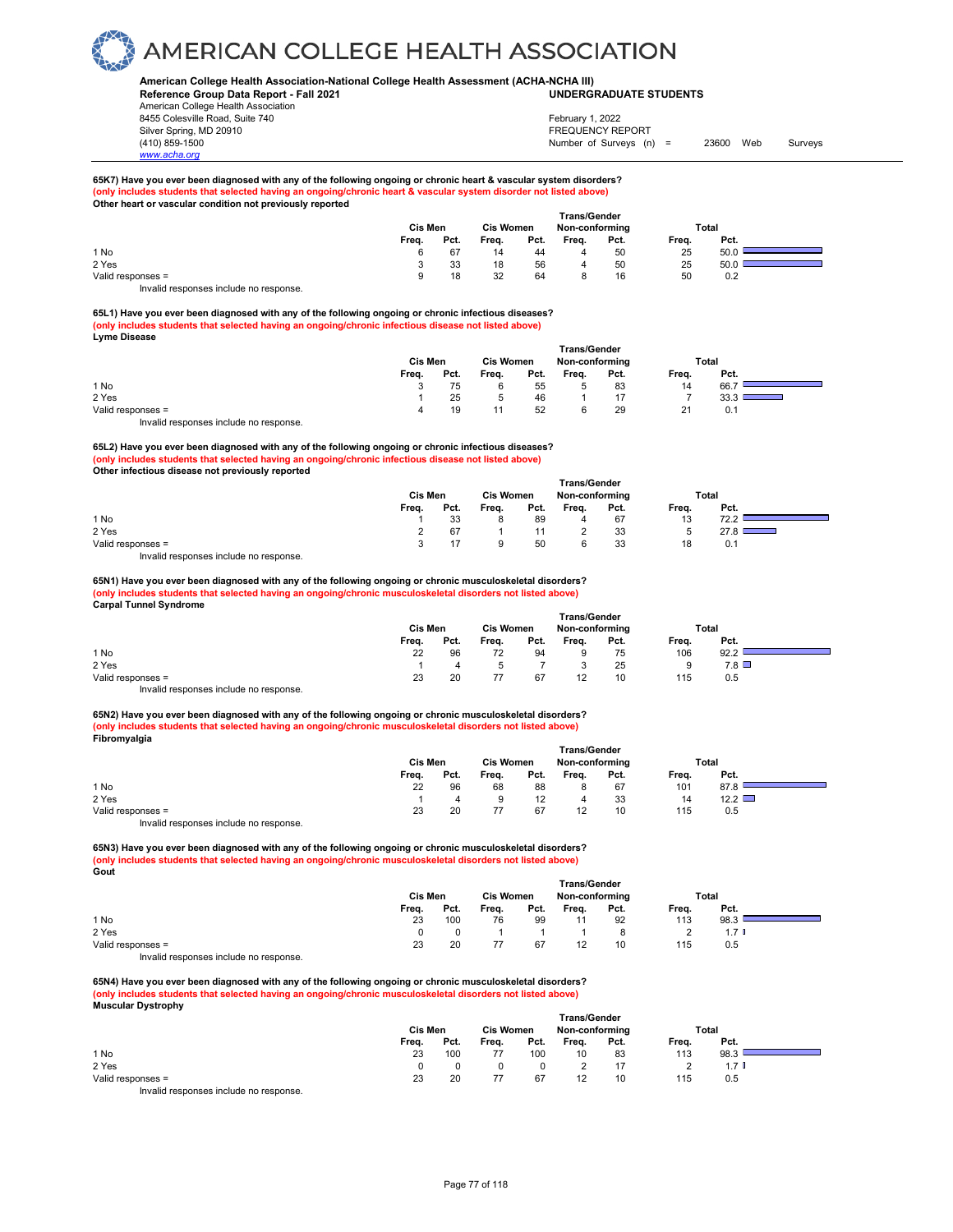### **American College Health Association-National College Health Assessment (ACHA-NCHA III) UNDERGRADUATE STUDENTS**

**Reference Group Data Report - Fall 2021** American College Health Association 8455 Colesville Road, Suite 740 Silver Spring, MD 20910<br>
1990 - The Spring, MD 20910<br>
1990 - The Survey Structure of Surveys (notation of Surveys (notation of Surveys (notation of Surveys (notati

*www.acha.org*

## Number of Surveys (n) = 23600 Web Surveys February 1, 2022

a.

**65K7) Have you ever been diagnosed with any of the following ongoing or chronic heart & vascular system disorders? (only includes students that selected having an ongoing/chronic heart & vascular system disorder not listed above) Other heart or vascular condition not previously reported** 

|                   | <b>Cis Women</b><br>Cis Men |      |       |      | <b>Trans/Gender</b><br>Non-conforming |      |       | Total |  |  |
|-------------------|-----------------------------|------|-------|------|---------------------------------------|------|-------|-------|--|--|
|                   | Freq.                       | Pct. | Freq. | Pct. | Freq.                                 | Pct. | Freq. | Pct.  |  |  |
| 1 No              | 6                           | 67   | 14    | 44   |                                       | 50   | 25    | 50.0  |  |  |
| 2 Yes             |                             | 33   | 18    | 56   |                                       | 50   | 25    | 50.0  |  |  |
| Valid responses = | 9                           | 18   | 32    | 64   |                                       | 16   | 50    | 0.2   |  |  |

Invalid responses include no response.

**65L1) Have you ever been diagnosed with any of the following ongoing or chronic infectious diseases? (only includes students that selected having an ongoing/chronic infectious disease not listed above) Lyme Disease** 

|                                       |         |                  |       |      | <b>Trans/Gender</b> |      |       |      |  |
|---------------------------------------|---------|------------------|-------|------|---------------------|------|-------|------|--|
|                                       | Cis Men | <b>Cis Women</b> |       |      | Non-conforming      |      | Total |      |  |
|                                       | Frea.   | Pct.             | Frea. | Pct. | Freq.               | Pct. | Frea. | Pct. |  |
| 1 No                                  |         | 75               |       | 55   |                     | 83   | 14    | 66.7 |  |
| 2 Yes                                 |         | 25               |       | 46   |                     |      |       | 33.3 |  |
| Valid responses =                     | 4       | 19               |       | 52   |                     | 29   | 21    | 0.1  |  |
| Involid recnonces include no recnonce |         |                  |       |      |                     |      |       |      |  |

Invalid responses include no response.

**65L2) Have you ever been diagnosed with any of the following ongoing or chronic infectious diseases? (only includes students that selected having an ongoing/chronic infectious disease not listed above) Other infectious disease not previously reported** 

|                                                                                                                                                                                                                                   |       |         |       |                  | <b>Trans/Gender</b> |                |       |              |  |
|-----------------------------------------------------------------------------------------------------------------------------------------------------------------------------------------------------------------------------------|-------|---------|-------|------------------|---------------------|----------------|-------|--------------|--|
|                                                                                                                                                                                                                                   |       | Cis Men |       | <b>Cis Women</b> |                     | Non-conforming |       | <b>Total</b> |  |
|                                                                                                                                                                                                                                   | Freq. | Pct.    | Freq. | Pct.             | Freq.               | Pct.           | Freq. | Pct.         |  |
| 1 No                                                                                                                                                                                                                              |       | 33      | 8     | 89               | 4                   | 67             | 13    | 72.2         |  |
| 2 Yes                                                                                                                                                                                                                             |       | 67      |       |                  |                     | 33             |       | 27.8         |  |
| Valid responses =                                                                                                                                                                                                                 |       |         | a     | 50               |                     | 33             | 18    | 0.1          |  |
| $\mathbf{r}$ , and the contract of the contract of the contract of the contract of the contract of the contract of the contract of the contract of the contract of the contract of the contract of the contract of the contract o |       |         |       |                  |                     |                |       |              |  |

Invalid responses include no response.

**65N1) Have you ever been diagnosed with any of the following ongoing or chronic musculoskeletal disorders? (only includes students that selected having an ongoing/chronic musculoskeletal disorders not listed above) Carpal Tunnel Syndrome** 

|                                        | <b>Trans/Gender</b> |      |                  |      |                |      |       |      |  |  |
|----------------------------------------|---------------------|------|------------------|------|----------------|------|-------|------|--|--|
|                                        | Cis Men             |      | <b>Cis Women</b> |      | Non-conforming |      | Total |      |  |  |
|                                        | Freq.               | Pct. | Freq.            | Pct. | Frea.          | Pct. | Freq. | Pct. |  |  |
| 1 No                                   | 22                  | 96   | 72               | 94   | 9              | 75   | 106   | 92.2 |  |  |
| 2 Yes                                  |                     |      |                  |      |                | 25   |       | 7.8  |  |  |
| Valid responses =                      | 23                  | 20   |                  | 67   | 12             | 10   | 115   | 0.5  |  |  |
| Invalid responses include no response. |                     |      |                  |      |                |      |       |      |  |  |

**65N2) Have you ever been diagnosed with any of the following ongoing or chronic musculoskeletal disorders? (only includes students that selected having an ongoing/chronic musculoskeletal disorders not listed above) Fibromyalgia**

|                                        | <b>Trans/Gender</b> |      |                  |                   |                |      |       |      |  |  |
|----------------------------------------|---------------------|------|------------------|-------------------|----------------|------|-------|------|--|--|
|                                        | <b>Cis Men</b>      |      | <b>Cis Women</b> |                   | Non-conforming |      | Total |      |  |  |
|                                        | Frea.               | Pct. | Freq.            | Pct.              | Frea.          | Pct. | Frea. | Pct. |  |  |
| 1 No                                   | 22                  | 96   | 68               | 88                |                | 67   | 101   | 87.8 |  |  |
| 2 Yes                                  |                     |      |                  | $12 \overline{ }$ | 4              | 33   | 14    | 12.2 |  |  |
| Valid responses =                      | 23                  | 20   |                  | 67                | 12             | 10   | 115   | 0.5  |  |  |
| laughid sooponoog inglude na sooponoog |                     |      |                  |                   |                |      |       |      |  |  |

Invalid responses include no response.

**65N3) Have you ever been diagnosed with any of the following ongoing or chronic musculoskeletal disorders? (only includes students that selected having an ongoing/chronic musculoskeletal disorders not listed above) Gout**

|                                       | <b>Trans/Gender</b> |                  |       |                |       |       |       |      |  |  |  |
|---------------------------------------|---------------------|------------------|-------|----------------|-------|-------|-------|------|--|--|--|
|                                       | Cis Men             | <b>Cis Women</b> |       | Non-conforming |       | Total |       |      |  |  |  |
|                                       | Frea.               | Pct.             | Frea. | Pct.           | Freq. | Pct.  | Frea. | Pct. |  |  |  |
| 1 No                                  | 23                  | 100              | 76    | 99             |       | 92    | 113   | 98.3 |  |  |  |
| 2 Yes                                 |                     |                  |       |                |       |       |       | 1.7  |  |  |  |
| Valid responses =                     | 23                  | 20               | 77    | 67             | 12    | 10    | 115   | 0.5  |  |  |  |
| lauglid reepenees inslude ne reepenee |                     |                  |       |                |       |       |       |      |  |  |  |

Invalid responses include no response.

**65N4) Have you ever been diagnosed with any of the following ongoing or chronic musculoskeletal disorders? (only includes students that selected having an ongoing/chronic musculoskeletal disorders not listed above) Muscular Dystrophy** 

|                   |       | <b>Trans/Gender</b> |       |                  |       |                |       |       |  |
|-------------------|-------|---------------------|-------|------------------|-------|----------------|-------|-------|--|
|                   |       | Cis Men             |       | <b>Cis Women</b> |       | Non-conforming | Total |       |  |
|                   | Freq. | Pct.                | Freq. | Pct.             | Freq. | Pct.           | Freq. | Pct.  |  |
| 1 No              | 23    | 100                 |       | 100              | 10    | 83             | 113   | 98.3  |  |
| 2 Yes             |       |                     |       |                  |       |                |       | 1.7 U |  |
| Valid responses = | 23    | 20                  | 77    | 67               | 12    | 10             | 115   | 0.5   |  |
| .<br>.            |       |                     |       |                  |       |                |       |       |  |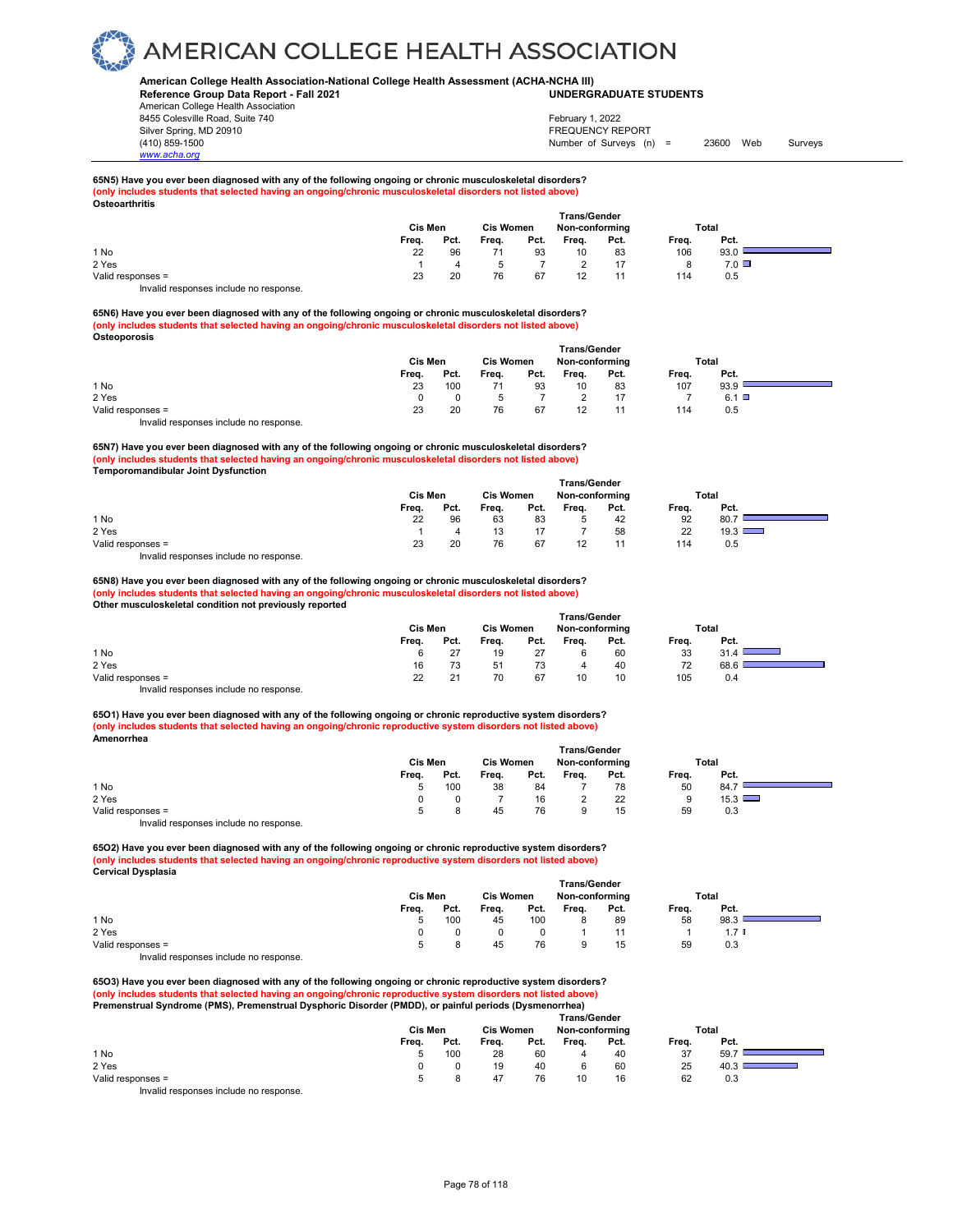### **American College Health Association-National College Health Assessment (ACHA-NCHA III) UNDERGRADUATE STUDENTS**

**Reference Group Data Report - Fall 2021** American College Health Association 8455 Colesville Road, Suite 740 Silver Spring, MD 20910<br>
1990 - 1990 - 1991 - 1991 - 1992 - 1993 - 1994 - 1995 - 1998 - 1999 - 1999 - 1999 - 1999 - 1999 - 1999 - 199<br>
1990 - 1999 - 1999 - 1999 - 1999 - 1999 - 1999 - 1999 - 1999 - 1999 - 1999 - 1999 - 199

*www.acha.org*

## Number of Surveys (n) = 23600 Web Surveys February 1, 2022

#### **65N5) Have you ever been diagnosed with any of the following ongoing or chronic musculoskeletal disorders? (only includes students that selected having an ongoing/chronic musculoskeletal disorders not listed above) Osteoarthritis**

| --------------    |       | Cis Men |       | <b>Cis Women</b> |       | <b>Trans/Gender</b><br>Non-conforming |       | Total     |  |
|-------------------|-------|---------|-------|------------------|-------|---------------------------------------|-------|-----------|--|
|                   | Freq. | Pct.    | Freq. | Pct.             | Freq. | Pct.                                  | Freq. | Pct.      |  |
| 1 No              | 22    | 96      |       | 93               | 10    | 83                                    | 106   | 93.0      |  |
| 2 Yes             |       |         |       |                  |       |                                       |       | $7.0\Box$ |  |
| Valid responses = | 23    | 20      | 76    | 67               | 12    | 11                                    | 114   | 0.5       |  |
| .<br>.            |       |         |       |                  |       |                                       |       |           |  |

Invalid responses include no response.

**65N6) Have you ever been diagnosed with any of the following ongoing or chronic musculoskeletal disorders? (only includes students that selected having an ongoing/chronic musculoskeletal disorders not listed above) Osteoporosis**

|                                        | <b>Trans/Gender</b> |      |                  |      |                |      |       |      |  |  |  |
|----------------------------------------|---------------------|------|------------------|------|----------------|------|-------|------|--|--|--|
|                                        | Cis Men             |      | <b>Cis Women</b> |      | Non-conforming |      | Total |      |  |  |  |
|                                        | Frea.               | Pct. | Frea.            | Pct. | Frea.          | Pct. | Frea. | Pct. |  |  |  |
| 1 No                                   | 23                  | 100  |                  | 93   | 10             | 83   | 107   | 93.9 |  |  |  |
| 2 Yes                                  |                     |      |                  |      |                |      |       | 6.1  |  |  |  |
| Valid responses =                      | 23                  | 20   | 76               | 67   | 12             |      | 114   | 0.5  |  |  |  |
| Invalid responses include no response. |                     |      |                  |      |                |      |       |      |  |  |  |

**65N7) Have you ever been diagnosed with any of the following ongoing or chronic musculoskeletal disorders? (only includes students that selected having an ongoing/chronic musculoskeletal disorders not listed above) Temporomandibular Joint Dysfunction** 

|                   |         |      |                  |      | <b>Trans/Gender</b> |      |       |               |
|-------------------|---------|------|------------------|------|---------------------|------|-------|---------------|
|                   | Cis Men |      | <b>Cis Women</b> |      | Non-conforming      |      | Total |               |
|                   | Frea.   | Pct. | Frea.            | Pct. | Frea.               | Pct. | Frea. | Pct.          |
| 1 No              | 22      | 96   | 63               | 83   | 5                   | 42   | 92    | 80.7          |
| 2 Yes             |         | Δ    |                  |      |                     | 58   | 22    | $19.3$ $\Box$ |
| Valid responses = | 23      | 20   | 76               | 67   | 12                  |      | 114   | 0.5           |

Invalid responses include no response.

**65N8) Have you ever been diagnosed with any of the following ongoing or chronic musculoskeletal disorders? (only includes students that selected having an ongoing/chronic musculoskeletal disorders not listed above) Other musculoskeletal condition not previously reported** 

|                                        | Trans/Gender |      |                  |      |                |      |       |      |  |  |  |
|----------------------------------------|--------------|------|------------------|------|----------------|------|-------|------|--|--|--|
|                                        | Cis Men      |      | <b>Cis Women</b> |      | Non-conforming |      | Total |      |  |  |  |
|                                        | Frea.        | Pct. | Frea.            | Pct. | Frea.          | Pct. | Frea. | Pct. |  |  |  |
| 1 No                                   | 6            | 27   | 19               | 27   |                | 60   | 33    | 31.4 |  |  |  |
| 2 Yes                                  | 16           | 73   | 51               | 73   | 4              | 40   | 72    | 68.6 |  |  |  |
| Valid responses =                      | 22           | 21   | 70               | 67   | 10             | 10   | 105   | 0.4  |  |  |  |
| Invalid responses include no response. |              |      |                  |      |                |      |       |      |  |  |  |

**65O1) Have you ever been diagnosed with any of the following ongoing or chronic reproductive system disorders? (only includes students that selected having an ongoing/chronic reproductive system disorders not listed above) Amenorrhea** 

|                                                                                            | <b>Trans/Gender</b> |      |           |      |                |      |       |      |  |  |  |
|--------------------------------------------------------------------------------------------|---------------------|------|-----------|------|----------------|------|-------|------|--|--|--|
|                                                                                            | Cis Men             |      | Cis Women |      | Non-conforming |      | Total |      |  |  |  |
|                                                                                            | Frea.               | Pct. | Frea.     | Pct. | Frea.          | Pct. | Frea. | Pct. |  |  |  |
| 1 No                                                                                       | 5                   | 100  | 38        | 84   |                | 78   | 50    | 84.7 |  |  |  |
| 2 Yes                                                                                      |                     |      |           | 16   |                | 22   |       | 15.3 |  |  |  |
| Valid responses =                                                                          | Б.                  |      | 45        | 76   |                | 15   | 59    | 0.3  |  |  |  |
| the control and decomposition of the attended to a constant of the second second services. |                     |      |           |      |                |      |       |      |  |  |  |

Invalid responses include no response.

**65O2) Have you ever been diagnosed with any of the following ongoing or chronic reproductive system disorders? (only includes students that selected having an ongoing/chronic reproductive system disorders not listed above) Cervical Dysplasia** 

|                                        | Trans/Gender |      |                  |      |                |      |       |      |  |  |  |
|----------------------------------------|--------------|------|------------------|------|----------------|------|-------|------|--|--|--|
|                                        | Cis Men      |      | <b>Cis Women</b> |      | Non-conforming |      | Total |      |  |  |  |
|                                        | Frea.        | Pct. | Frea.            | Pct. | Frea.          | Pct. | Frea. | Pct. |  |  |  |
| 1 No                                   | 5            | 100  | 45               | 100  |                | 89   | 58    | 98.3 |  |  |  |
| 2 Yes                                  |              |      |                  |      |                |      |       |      |  |  |  |
| Valid responses =                      | 5            |      | 45               | 76   |                | 15   | 59    | 0.3  |  |  |  |
| Invalid responses include no response. |              |      |                  |      |                |      |       |      |  |  |  |

**65O3) Have you ever been diagnosed with any of the following ongoing or chronic reproductive system disorders? (only includes students that selected having an ongoing/chronic reproductive system disorders not listed above)**

**Premenstrual Syndrome (PMS), Premenstrual Dysphoric Disorder (PMDD), or painful periods (Dysmenorrhea)** 

|                   | <b>Trans/Gender</b> |                  |       |                |       |       |       |      |  |  |  |
|-------------------|---------------------|------------------|-------|----------------|-------|-------|-------|------|--|--|--|
|                   | Cis Men             | <b>Cis Women</b> |       | Non-conforming |       | Total |       |      |  |  |  |
|                   | Frea.               | Pct.             | Frea. | Pct.           | Frea. | Pct.  | Frea. | Pct. |  |  |  |
| 1 No              | 5.                  | 100              | 28    | 60             |       | 40    | 37    | 59.7 |  |  |  |
| 2 Yes             | <sup>n</sup>        |                  | 19    | 40             |       | 60    | 25    | 40.3 |  |  |  |
| Valid responses = | 5.                  |                  | 47    | 76             | 10    | 16    | 62    | 0.3  |  |  |  |
|                   |                     |                  |       |                |       |       |       |      |  |  |  |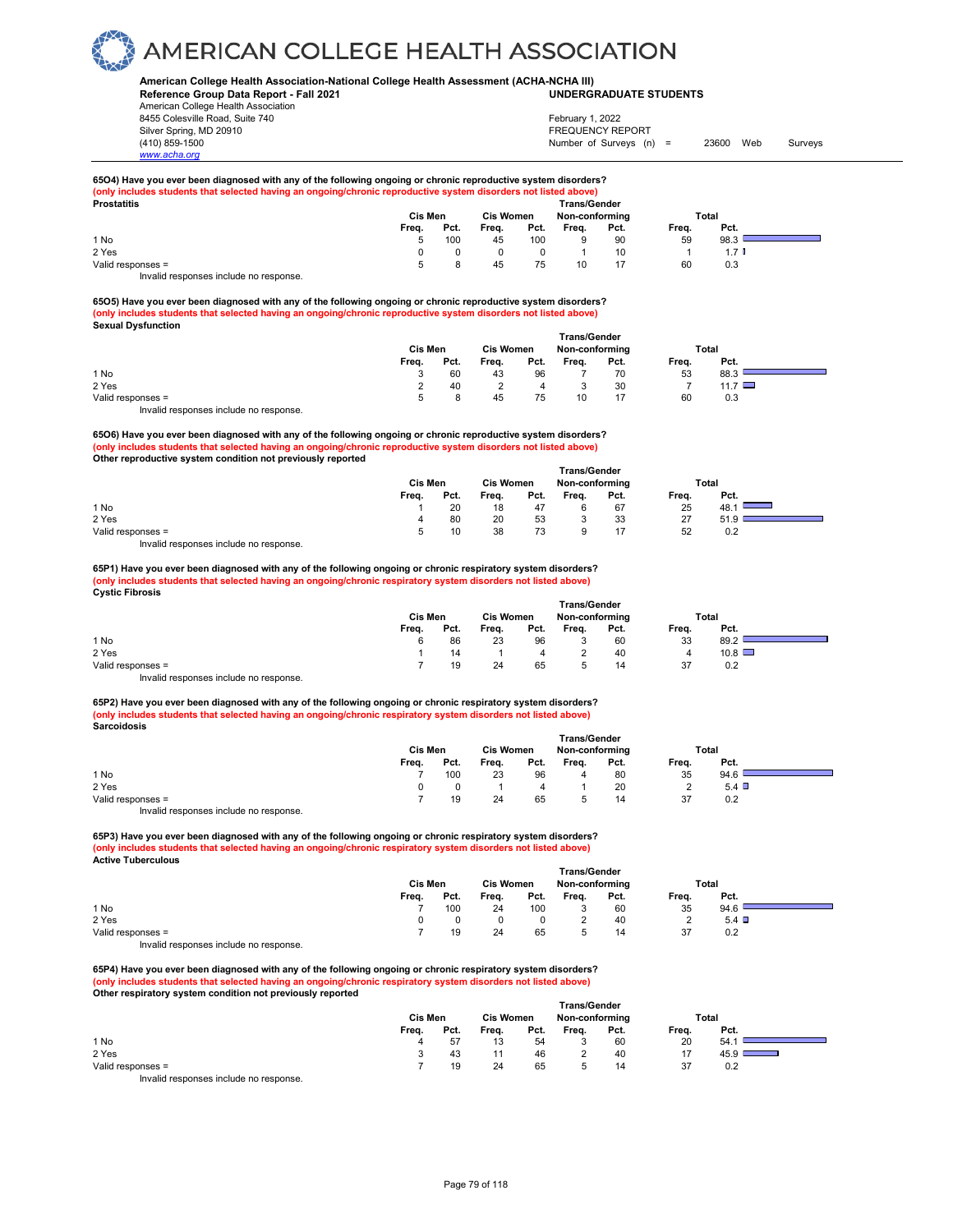### **American College Health Association-National College Health Assessment (ACHA-NCHA III) UNDERGRADUATE STUDENTS**

**Reference Group Data Report - Fall 2021** American College Health Association 8455 Colesville Road, Suite 740 Silver Spring, MD 20910<br>
1990 - The Spring, MD 20910<br>
1990 - The Survey Structure of Surveys (notation of Surveys (notation of Surveys (notation of Surveys (notati

*www.acha.org*

## Number of Surveys (n) = 23600 Web Surveys February 1, 2022

**65O4) Have you ever been diagnosed with any of the following ongoing or chronic reproductive system disorders? (only includes students that selected having an ongoing/chronic reproductive system disorders not listed above) Prostatitis Trans/Gender**

| Prostatitis                            |         |      |                  |      | Trans/Gender   |      |       |      |  |  |
|----------------------------------------|---------|------|------------------|------|----------------|------|-------|------|--|--|
|                                        | Cis Men |      | <b>Cis Women</b> |      | Non-conforming |      | Total |      |  |  |
|                                        | Frea.   | Pct. | Frea.            | Pct. | Frea.          | Pct. | Frea. | Pct. |  |  |
| 1 No                                   |         | 100  | 45               | 100  |                | 90   | 59    | 98.3 |  |  |
| 2 Yes                                  |         |      |                  |      |                | 10   |       |      |  |  |
| Valid responses =                      |         |      | 45               | 75   | 10             |      | 60    | 0.3  |  |  |
| Invalid responses include no response. |         |      |                  |      |                |      |       |      |  |  |

**65O5) Have you ever been diagnosed with any of the following ongoing or chronic reproductive system disorders? (only includes students that selected having an ongoing/chronic reproductive system disorders not listed above) Sexual Dysfunction** 

|                   |         |      |                  |      | <b>Trans/Gender</b> |      |       |             |  |
|-------------------|---------|------|------------------|------|---------------------|------|-------|-------------|--|
|                   | Cis Men |      | <b>Cis Women</b> |      | Non-conforming      |      | Total |             |  |
|                   | Frea.   | Pct. | Frea.            | Pct. | Frea.               | Pct. | Freq. | Pct.        |  |
| 1 No              |         | 60   | 43               | 96   |                     | 70   | 53    | 88.3        |  |
| 2 Yes             |         | 40   |                  | 4    |                     | 30   |       | 11.7 $\Box$ |  |
| Valid responses = | 5       | 8    | 45               | 75   | 10                  |      | 60    | 0.3         |  |
|                   |         |      |                  |      |                     |      |       |             |  |

Invalid responses include no response.

**65O6) Have you ever been diagnosed with any of the following ongoing or chronic reproductive system disorders? (only includes students that selected having an ongoing/chronic reproductive system disorders not listed above) Other reproductive system condition not previously reported** 

|                   |              |      |                  |      | <b>Trans/Gender</b> |      |       |      |  |  |
|-------------------|--------------|------|------------------|------|---------------------|------|-------|------|--|--|
|                   | Cis Men      |      | <b>Cis Women</b> |      | Non-conforming      |      | Total |      |  |  |
|                   | Frea.        | Pct. | Freq.            | Pct. | Frea.               | Pct. | Freq. | Pct. |  |  |
| 1 No              |              | 20   | 18               | 47   |                     | 67   | 25    | 48.1 |  |  |
| 2 Yes             | 4            | 80   | 20               | 53   |                     | 33   | 27    | 51.9 |  |  |
| Valid responses = | $\mathbf{b}$ | 10   | 38               | 73   |                     | 17   | 52    | 0.2  |  |  |

Invalid responses include no response.

**65P1) Have you ever been diagnosed with any of the following ongoing or chronic respiratory system disorders? (only includes students that selected having an ongoing/chronic respiratory system disorders not listed above) Cystic Fibrosis** 

|                   |       | <b>Trans/Gender</b> |       |                  |       |                |       |       |  |  |  |
|-------------------|-------|---------------------|-------|------------------|-------|----------------|-------|-------|--|--|--|
|                   |       | Cis Men             |       | <b>Cis Women</b> |       | Non-conforming |       | Total |  |  |  |
|                   | Frea. | Pct.                | Frea. | Pct.             | Frea. | Pct.           | Frea. | Pct.  |  |  |  |
| 1 No              | 6     | 86                  | 23    | 96               |       | 60             | 33    | 89.2  |  |  |  |
| 2 Yes             |       | 14                  |       | 4                |       | 40             |       | 10.8  |  |  |  |
| Valid responses = |       | 19                  | 24    | 65               |       | 14             | 37    | 0.2   |  |  |  |

Invalid responses include no response.

**65P2) Have you ever been diagnosed with any of the following ongoing or chronic respiratory system disorders? (only includes students that selected having an ongoing/chronic respiratory system disorders not listed above) Sarcoidosis** 

|                   |       | <b>Trans/Gender</b><br><b>Cis Women</b> |       |      |                |      |       |      |  |  |  |  |
|-------------------|-------|-----------------------------------------|-------|------|----------------|------|-------|------|--|--|--|--|
|                   |       | Cis Men                                 |       |      | Non-conforming |      | Total |      |  |  |  |  |
|                   | Frea. | Pct.                                    | Frea. | Pct. | Frea.          | Pct. | Frea. | Pct. |  |  |  |  |
| 1 No              |       | 100                                     | 23    | 96   |                | 80   | 35    | 94.6 |  |  |  |  |
| 2 Yes             | 0     |                                         |       | 4    |                | 20   |       | 5.4  |  |  |  |  |
| Valid responses = |       | 19                                      | 24    | 65   |                | 14   | 37    | 0.2  |  |  |  |  |
|                   |       |                                         |       |      |                |      |       |      |  |  |  |  |

Invalid responses include no response.

**65P3) Have you ever been diagnosed with any of the following ongoing or chronic respiratory system disorders? (only includes students that selected having an ongoing/chronic respiratory system disorders not listed above) Active Tuberculous** 

|                   | <b>Trans/Gender</b> |                  |       |                |       |       |       |      |  |  |  |
|-------------------|---------------------|------------------|-------|----------------|-------|-------|-------|------|--|--|--|
|                   | Cis Men             | <b>Cis Women</b> |       | Non-conforming |       | Total |       |      |  |  |  |
|                   | Frea.               | Pct.             | Frea. | Pct.           | Frea. | Pct.  | Frea. | Pct. |  |  |  |
| 1 No              |                     | 100              | 24    | 100            |       | 60    | 35    | 94.6 |  |  |  |
| 2 Yes             |                     |                  |       |                |       | 40    |       | 5.4  |  |  |  |
| Valid responses = |                     | 19               | 24    | 65             |       | 14    | 37    | 0.2  |  |  |  |

Invalid responses include no response.

**65P4) Have you ever been diagnosed with any of the following ongoing or chronic respiratory system disorders? (only includes students that selected having an ongoing/chronic respiratory system disorders not listed above) Other respiratory system condition not previously reported** 

|                   | Cis Men |      |       | <b>Trans/Gender</b><br><b>Cis Women</b><br>Non-conforming |       |      |       | Total |
|-------------------|---------|------|-------|-----------------------------------------------------------|-------|------|-------|-------|
|                   | Freq.   | Pct. | Freq. | Pct.                                                      | Freq. | Pct. | Freq. | Pct.  |
| 1 No              | 4       | 57   | 13    | 54                                                        |       | 60   | 20    | 54.7  |
| 2 Yes             |         | 43   |       | 46                                                        |       | 40   |       | 45.9  |
| Valid responses = |         | 19   | 24    | 65                                                        |       | 14   | 37    | 0.2   |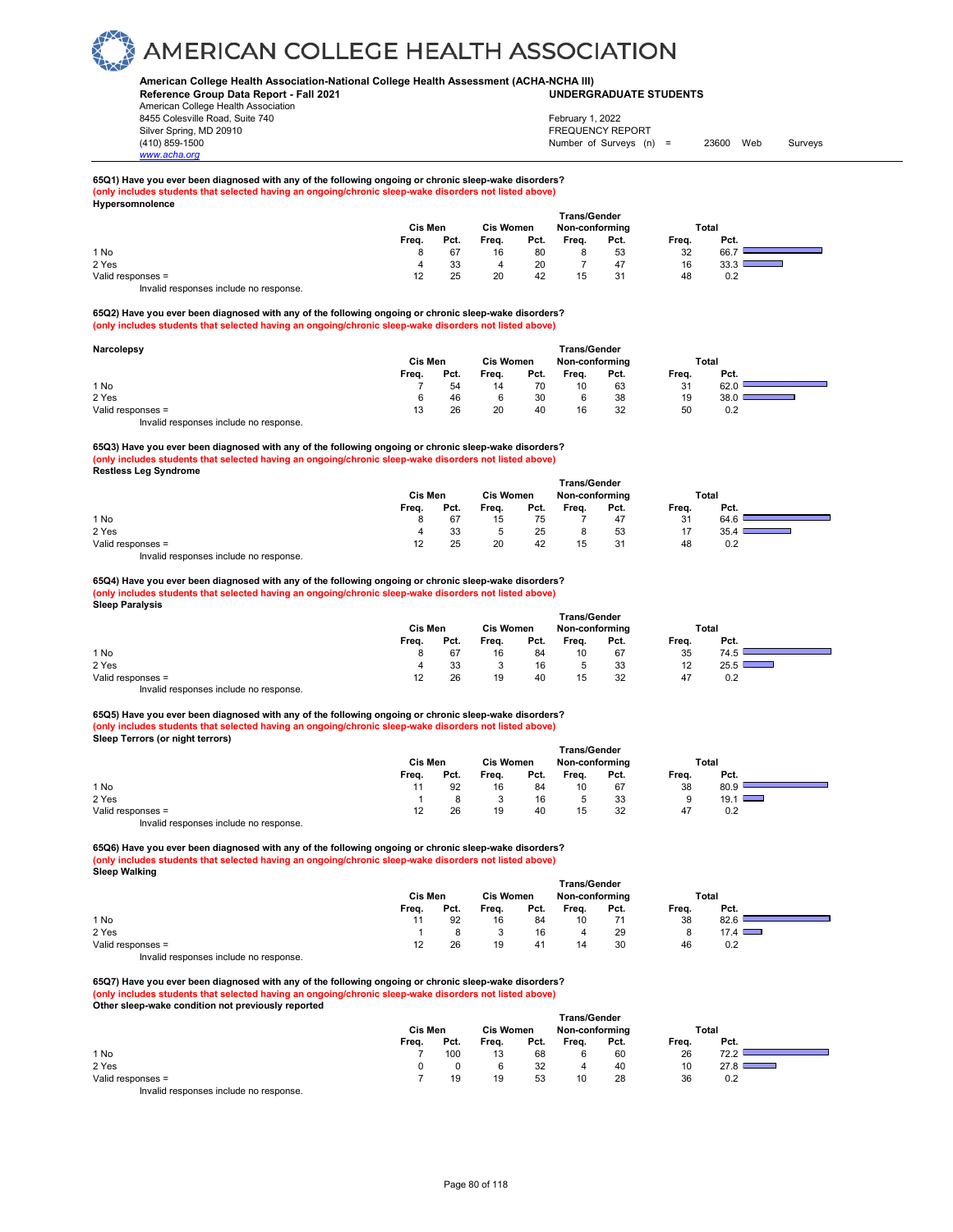### **American College Health Association-National College Health Assessment (ACHA-NCHA III) UNDERGRADUATE STUDENTS**

**Reference Group Data Report - Fall 2021** American College Health Association 8455 Colesville Road, Suite 740 Silver Spring, MD 20910<br>
1990 - The Spring, MD 20910<br>
1990 - The Survey Structure of Surveys (notation of Surveys (notation of Surveys (notation of Surveys (notati

## Number of Surveys (n) = 23600 Web Surveys February 1, 2022

╼

÷,

## **65Q1) Have you ever been diagnosed with any of the following ongoing or chronic sleep-wake disorders? (only includes students that selected having an ongoing/chronic sleep-wake disorders not listed above) Hypersomnolence**

|                   |       |         |       |                  | <b>Trans/Gender</b> |                |              |      |  |
|-------------------|-------|---------|-------|------------------|---------------------|----------------|--------------|------|--|
|                   |       | Cis Men |       | <b>Cis Women</b> |                     | Non-conforming | <b>Total</b> |      |  |
|                   | Freq. | Pct.    | Freq. | Pct.             | Freq.               | Pct.           | Freq.        | Pct. |  |
| 1 No              |       | 67      | 16    | 80               | 8                   | 53             | 32           | 66.7 |  |
| 2 Yes             | 4     | 33      | 4     | 20               |                     | 47             | 16           | 33.3 |  |
| Valid responses = | 12    | 25      | 20    | 42               | 15                  | 31             | 48           | 0.2  |  |
| .<br>.            |       |         |       |                  |                     |                |              |      |  |

Invalid responses include no response.

*www.acha.org*

#### **65Q2) Have you ever been diagnosed with any of the following ongoing or chronic sleep-wake disorders? (only includes students that selected having an ongoing/chronic sleep-wake disorders not listed above)**

| Narcolepsy                             | <b>Trans/Gender</b><br>Cis Men<br><b>Cis Women</b><br>Non-conforming |      |       |      |       |      |       | Total |  |
|----------------------------------------|----------------------------------------------------------------------|------|-------|------|-------|------|-------|-------|--|
|                                        | Frea.                                                                | Pct. | Frea. | Pct. | Frea. | Pct. | Frea. | Pct.  |  |
| 1 No                                   |                                                                      | 54   | 14    | 70   | 10    | 63   | 31    | 62.0  |  |
| 2 Yes                                  | 6                                                                    | 46   | 6     | 30   |       | 38   | 19    | 38.0  |  |
| Valid responses =                      | 13                                                                   | 26   | 20    | 40   | 16    | 32   | 50    | 0.2   |  |
| Invalid responses include no response. |                                                                      |      |       |      |       |      |       |       |  |

### **65Q3) Have you ever been diagnosed with any of the following ongoing or chronic sleep-wake disorders? (only includes students that selected having an ongoing/chronic sleep-wake disorders not listed above) Restless Leg Syndrome**

|                   | <b>Trans/Gender</b> |         |       |                  |       |                |       |      |  |  |  |
|-------------------|---------------------|---------|-------|------------------|-------|----------------|-------|------|--|--|--|
|                   |                     | Cis Men |       | <b>Cis Women</b> |       | Non-conforming | Total |      |  |  |  |
|                   | Freq.               | Pct.    | Freq. | Pct.             | Frea. | Pct.           | Freq. | Pct. |  |  |  |
| 1 No              |                     | 67      | 15    | 75               |       | 47             | 31    | 64.6 |  |  |  |
| 2 Yes             |                     | 33      |       | 25               |       | 53             | 17    | 35.4 |  |  |  |
| Valid responses = | 12                  | 25      | 20    | 42               |       | 31             | 48    | 0.2  |  |  |  |
| .<br>.            |                     |         |       |                  |       |                |       |      |  |  |  |

Invalid responses include no response.

#### **65Q4) Have you ever been diagnosed with any of the following ongoing or chronic sleep-wake disorders? (only includes students that selected having an ongoing/chronic sleep-wake disorders not listed above) Sleep Paralysis**

| .                                      | Cis Men |      | <b>Cis Women</b> |      | <b>Trans/Gender</b><br>Non-conforming |      | <b>Total</b> |                                                                                                                               |  |
|----------------------------------------|---------|------|------------------|------|---------------------------------------|------|--------------|-------------------------------------------------------------------------------------------------------------------------------|--|
|                                        | Freq.   | Pct. | Freq.            | Pct. | Freq.                                 | Pct. | Freq.        | Pct.                                                                                                                          |  |
| 1 No                                   | 8       | 67   | 16               | 84   | 10                                    | 67   | 35           | 74.5                                                                                                                          |  |
| 2 Yes                                  | 4       | 33   |                  | 16   |                                       | 33   | 12           | 25.5<br><b>Contract Contract Contract Contract Contract Contract Contract Contract Contract Contract Contract Contract Co</b> |  |
| Valid responses =                      | 12      | 26   | 19               | 40   | 15                                    | 32   | 47           | 0.2                                                                                                                           |  |
| Invalid responses include no response. |         |      |                  |      |                                       |      |              |                                                                                                                               |  |

## **65Q5) Have you ever been diagnosed with any of the following ongoing or chronic sleep-wake disorders? (only includes students that selected having an ongoing/chronic sleep-wake disorders not listed above) Sleep Terrors (or night terrors)**

|                                                                                                                                                                                                                                   | Cis Men |      | <b>Cis Women</b> |      | Non-conforming |      |       | Total |  |
|-----------------------------------------------------------------------------------------------------------------------------------------------------------------------------------------------------------------------------------|---------|------|------------------|------|----------------|------|-------|-------|--|
|                                                                                                                                                                                                                                   | Frea.   | Pct. | Freq.            | Pct. | Freq.          | Pct. | Frea. | Pct.  |  |
| 1 No                                                                                                                                                                                                                              |         | 92   | 16               | 84   | 10             | 67   | 38    | 80.9  |  |
| 2 Yes                                                                                                                                                                                                                             |         |      |                  | 16   |                | 33   | 9     | 19.1  |  |
| Valid responses =                                                                                                                                                                                                                 | 12      | 26   | 19               | 40   | 15             | 32   | 47    | 0.2   |  |
| $\mathbf{r}$ , and the contract of the contract of the contract of the contract of the contract of the contract of the contract of the contract of the contract of the contract of the contract of the contract of the contract o |         |      |                  |      |                |      |       |       |  |

Invalid responses include no response.

**65Q6) Have you ever been diagnosed with any of the following ongoing or chronic sleep-wake disorders? (only includes students that selected having an ongoing/chronic sleep-wake disorders not listed above) Sleep Walking** 

|                                        | Trans/Gender |                  |       |                |       |       |       |      |  |  |  |
|----------------------------------------|--------------|------------------|-------|----------------|-------|-------|-------|------|--|--|--|
|                                        | Cis Men      | <b>Cis Women</b> |       | Non-conforming |       | Total |       |      |  |  |  |
|                                        | Frea.        | Pct.             | Frea. | Pct.           | Frea. | Pct.  | Frea. | Pct. |  |  |  |
| 1 No                                   |              | 92               | 16    | 84             | 10    |       | 38    | 82.6 |  |  |  |
| 2 Yes                                  |              |                  |       | 16             |       | 29    |       | 17.4 |  |  |  |
| Valid responses =                      | 12           | 26               | 19    | 41             | 14    | 30    | 46    | 0.2  |  |  |  |
| Invalid responses include no response. |              |                  |       |                |       |       |       |      |  |  |  |

### **65Q7) Have you ever been diagnosed with any of the following ongoing or chronic sleep-wake disorders? (only includes students that selected having an ongoing/chronic sleep-wake disorders not listed above) Other sleep-wake condition not previously reported**

|                                        | <b>Trans/Gender</b> |      |                  |      |                |      |       |      |  |  |  |
|----------------------------------------|---------------------|------|------------------|------|----------------|------|-------|------|--|--|--|
|                                        | Cis Men             |      | <b>Cis Women</b> |      | Non-conforming |      | Total |      |  |  |  |
|                                        | Freq.               | Pct. | Freq.            | Pct. | Frea.          | Pct. | Freq. | Pct. |  |  |  |
| 1 No                                   |                     | 100  | 13               | 68   |                | 60   | 26    | 72.2 |  |  |  |
| 2 Yes                                  |                     |      |                  | 32   | Δ              | 40   | 10    | 27.8 |  |  |  |
| Valid responses =                      |                     | 19   | 19               | 53   | 10             | 28   | 36    | 0.2  |  |  |  |
| Invalid responses include no response. |                     |      |                  |      |                |      |       |      |  |  |  |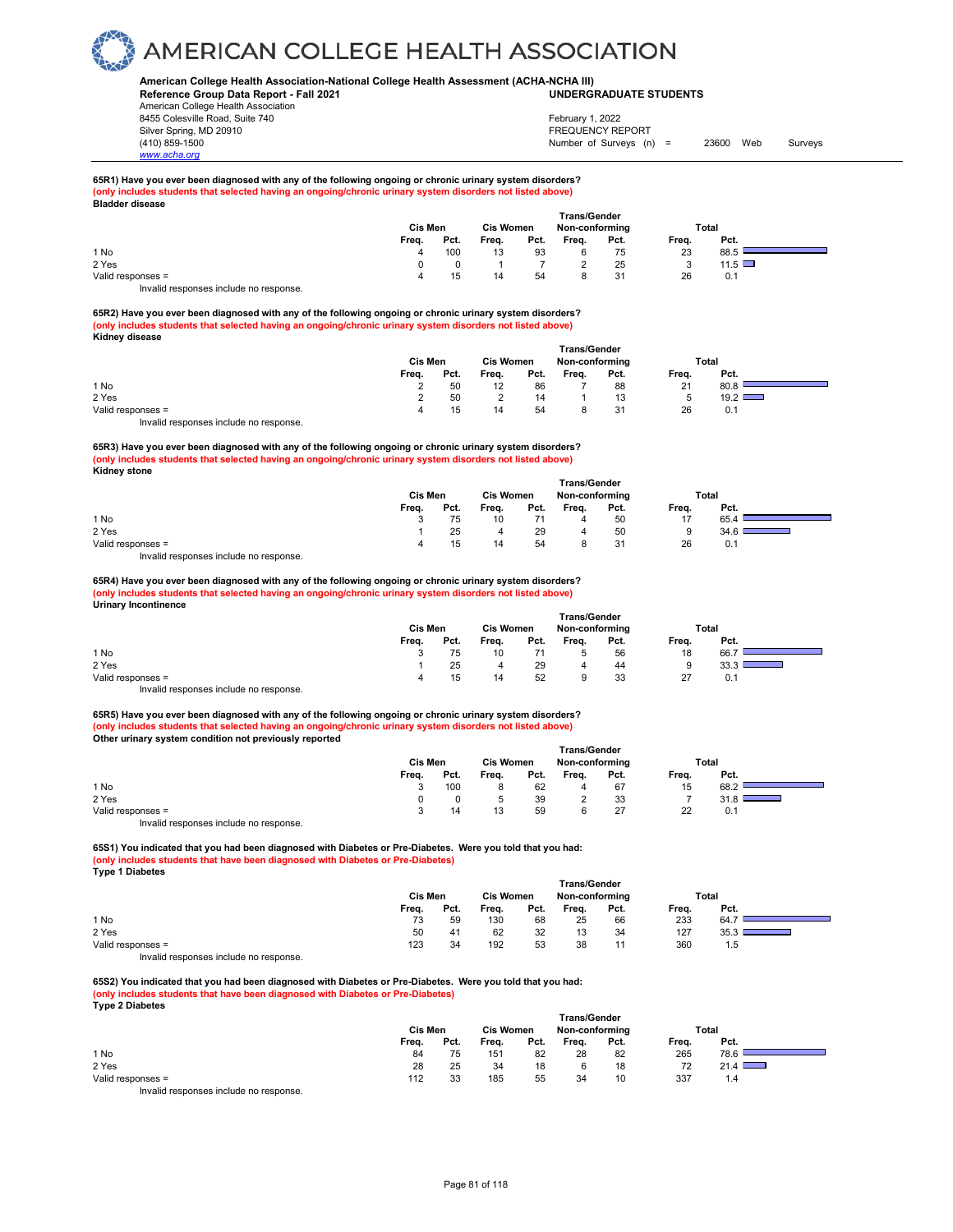### **American College Health Association-National College Health Assessment (ACHA-NCHA III) UNDERGRADUATE STUDENTS**

**Reference Group Data Report - Fall 2021** American College Health Association 8455 Colesville Road, Suite 740 Silver Spring, MD 20910<br>
1990 - The Spring, MD 20910<br>
1990 - The Survey Structure of Surveys (notation of Surveys (notation of Surveys (notation of Surveys (notati

*www.acha.org*

## Number of Surveys (n) = 23600 Web Surveys February 1, 2022

**Service** 

┑

#### **65R1) Have you ever been diagnosed with any of the following ongoing or chronic urinary system disorders? (only includes students that selected having an ongoing/chronic urinary system disorders not listed above) Bladder disease**

| .<br>.            |       | Cis Men |       |      | <b>Trans/Gender</b><br>Non-conforming |      |       | Total         |
|-------------------|-------|---------|-------|------|---------------------------------------|------|-------|---------------|
|                   | Freq. | Pct.    | Freq. | Pct. | Freq.                                 | Pct. | Freq. | Pct.          |
| 1 No              |       | 100     | 13    | 93   |                                       | 75   | 23    | 88.5          |
| 2 Yes             |       |         |       |      |                                       | 25   | ◡     | $11.5$ $\Box$ |
| Valid responses = |       | 15      | 14    | 54   |                                       | 31   | 26    | 0.1           |
|                   |       |         |       |      |                                       |      |       |               |

Invalid responses include no response.

**65R2) Have you ever been diagnosed with any of the following ongoing or chronic urinary system disorders? (only includes students that selected having an ongoing/chronic urinary system disorders not listed above) Kidney disease** 

|                                        | Trans/Gender |                  |       |                |       |       |       |      |  |  |  |
|----------------------------------------|--------------|------------------|-------|----------------|-------|-------|-------|------|--|--|--|
|                                        | Cis Men      | <b>Cis Women</b> |       | Non-conforming |       | Total |       |      |  |  |  |
|                                        | Frea.        | Pct.             | Frea. | Pct.           | Frea. | Pct.  | Frea. | Pct. |  |  |  |
| 1 No                                   |              | 50               |       | 86             |       | 88    | 21    | 80.8 |  |  |  |
| 2 Yes                                  |              | 50               |       | 14             |       | 13    |       | 19.2 |  |  |  |
| Valid responses =                      | Δ            | 15               | 14    | 54             |       | 31    | 26    | 0.1  |  |  |  |
| Invalid responses include no response. |              |                  |       |                |       |       |       |      |  |  |  |

**65R3) Have you ever been diagnosed with any of the following ongoing or chronic urinary system disorders? (only includes students that selected having an ongoing/chronic urinary system disorders not listed above) Kidney stone**

|                   |       |         |       |      | <b>Trans/Gender</b> |      |       |      |  |
|-------------------|-------|---------|-------|------|---------------------|------|-------|------|--|
|                   |       | Cis Men |       |      | Non-conforming      |      | Total |      |  |
|                   | Freq. | Pct.    | Freq. | Pct. | Freq.               | Pct. | Freq. | Pct. |  |
| 1 No              |       | 75      | 10    |      | 4                   | 50   | 17    | 65.4 |  |
| 2 Yes             |       | 25      | 4     | 29   | 4                   | 50   | 9     | 34.6 |  |
| Valid responses = |       | 15      | 14    | 54   |                     | 31   | 26    | 0.1  |  |
| .<br>.            |       |         |       |      |                     |      |       |      |  |

Invalid responses include no response.

#### **65R4) Have you ever been diagnosed with any of the following ongoing or chronic urinary system disorders? (only includes students that selected having an ongoing/chronic urinary system disorders not listed above) Urinary Incontinence**

| .                 | <b>Trans/Gender</b><br><b>Cis Women</b><br>Cis Men<br>Total<br>Non-conforming |      |       |      |       |      |       |      |  |  |  |  |
|-------------------|-------------------------------------------------------------------------------|------|-------|------|-------|------|-------|------|--|--|--|--|
|                   | Frea.                                                                         | Pct. | Frea. | Pct. | Frea. | Pct. | Frea. | Pct. |  |  |  |  |
| 1 No              |                                                                               | 75   | 10    |      |       | 56   | 18    | 66.7 |  |  |  |  |
| 2 Yes             |                                                                               | 25   |       | 29   | 4     | 44   | 9     | 33.3 |  |  |  |  |
| Valid responses = |                                                                               | 15   | 14    | 52   | 9     | 33   | 27    | 0.1  |  |  |  |  |
| .                 |                                                                               |      |       |      |       |      |       |      |  |  |  |  |

Invalid responses include no response. **65R5) Have you ever been diagnosed with any of the following ongoing or chronic urinary system disorders? (only includes students that selected having an ongoing/chronic urinary system disorders not listed above)**

| Other urinary system condition not previously reported |       |         |       |      |                     |      |       |       |  |
|--------------------------------------------------------|-------|---------|-------|------|---------------------|------|-------|-------|--|
|                                                        |       |         |       |      | <b>Trans/Gender</b> |      |       |       |  |
|                                                        |       | Cis Men |       |      | Non-conformina      |      |       | Total |  |
|                                                        | Frea. | Pct.    | Frea. | Pct. | Frea.               | Pct. | Frea. | Pct.  |  |
| 1 No                                                   |       | 100     |       | 62   | 4                   | 67   | 15    | 68.2  |  |
| 2 Yes                                                  |       |         | 5     | 39   | 2                   | 33   |       |       |  |
| Valid responses =                                      |       | 14      | 13    | 59   | 6                   | 27   | 22    | 0.1   |  |
|                                                        |       |         |       |      |                     |      |       |       |  |

Invalid responses include no response.

**65S1) You indicated that you had been diagnosed with Diabetes or Pre-Diabetes. Were you told that you had: (only includes students that have been diagnosed with Diabetes or Pre-Diabetes) Type 1 Diabetes** 

| - -                                     | Cis Men |      | <b>Cis Women</b> |      | <b>Trans/Gender</b><br>Non-conforming |      | <b>Total</b> |      |  |
|-----------------------------------------|---------|------|------------------|------|---------------------------------------|------|--------------|------|--|
|                                         | Frea.   | Pct. | Frea.            | Pct. | Freq.                                 | Pct. | Freq.        | Pct. |  |
| 1 No                                    | 73      | 59   | 130              | 68   | 25                                    | 66   | 233          | 64.7 |  |
| 2 Yes                                   | 50      | 41   | 62               | 32   | 13                                    | 34   | 127          | 35.3 |  |
| Valid responses =                       | 123     | 34   | 192              | 53   | 38                                    |      | 360          | 1.5  |  |
| Involid recononces include no recononce |         |      |                  |      |                                       |      |              |      |  |

Invalid responses include no response.

**65S2) You indicated that you had been diagnosed with Diabetes or Pre-Diabetes. Were you told that you had: (only includes students that have been diagnosed with Diabetes or Pre-Diabetes) Type 2 Diabetes** 

|                                        |                |      |                  |      | <b>Trans/Gender</b> |      |       |                               |  |
|----------------------------------------|----------------|------|------------------|------|---------------------|------|-------|-------------------------------|--|
|                                        | <b>Cis Men</b> |      | <b>Cis Women</b> |      | Non-conforming      |      | Total |                               |  |
|                                        | Freq.          | Pct. | Freq.            | Pct. | Freq.               | Pct. | Freq. | Pct.                          |  |
| 1 No                                   | 84             | 75   | 151              | 82   | 28                  | 82   | 265   | 78.6                          |  |
| 2 Yes                                  | 28             | 25   | 34               | 18   |                     | 18   | 72    | 21.4                          |  |
| Valid responses =                      | 112            | 33   | 185              | 55   | 34                  | 10   | 337   | $\mathsf{I} \cdot \mathsf{A}$ |  |
| Invalid responses include no response. |                |      |                  |      |                     |      |       |                               |  |

Page 81 of 118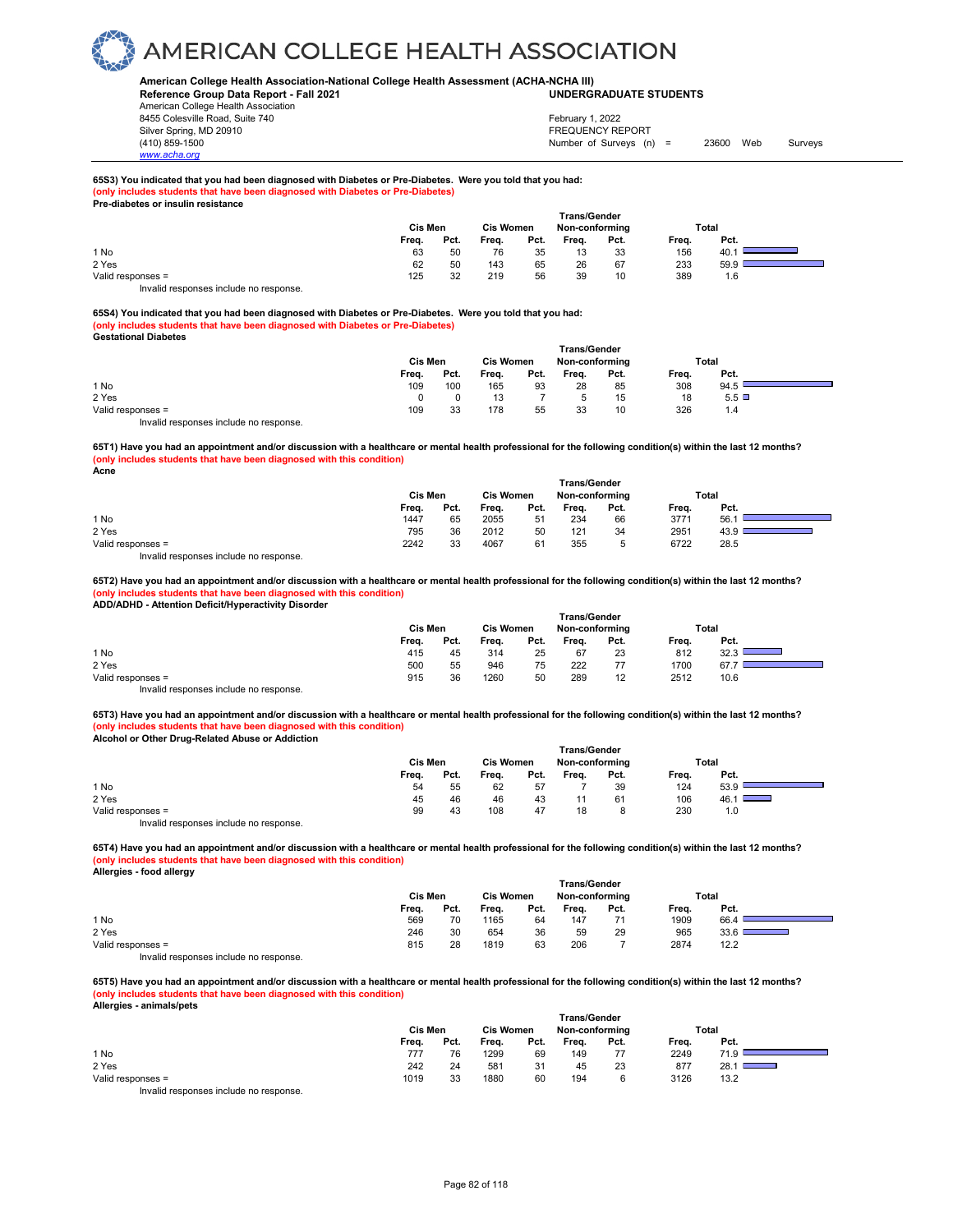### **American College Health Association-National College Health Assessment (ACHA-NCHA III) UNDERGRADUATE STUDENTS**

**Reference Group Data Report - Fall 2021** American College Health Association 8455 Colesville Road, Suite 740 Silver Spring, MD 20910<br>
1990 - The Spring, MD 20910<br>
1990 - The Survey Structure of Surveys (notation of Surveys (notation of Surveys (notation of Surveys (notati

Number of Surveys (n) = 23600 Web Surveys February 1, 2022

#### **65S3) You indicated that you had been diagnosed with Diabetes or Pre-Diabetes. Were you told that you had: (only includes students that have been diagnosed with Diabetes or Pre-Diabetes) Pre-diabetes or insulin resistance**

|                             | Cis Men |      | <b>Trans/Gender</b><br><b>Cis Women</b><br>Non-conforming |      |       |      | <b>Total</b> |       |  |
|-----------------------------|---------|------|-----------------------------------------------------------|------|-------|------|--------------|-------|--|
|                             | Freq.   | Pct. | Freq.                                                     | Pct. | Freq. | Pct. | Freq.        | Pct.  |  |
| 1 No                        | 63      | 50   | 76                                                        | 35   | 13    | 33   | 156          | 40. . |  |
| 2 Yes                       | 62      | 50   | 143                                                       | 65   | 26    | 67   | 233          | 59.9  |  |
| Valid responses =<br>.<br>. | 125     | 32   | 219                                                       | 56   | 39    | 10   | 389          | 1.6   |  |

Invalid responses include no response.

*www.acha.org*

**65S4) You indicated that you had been diagnosed with Diabetes or Pre-Diabetes. Were you told that you had: (only includes students that have been diagnosed with Diabetes or Pre-Diabetes) Gestational Diabetes** 

|                                        |         |                  |       |                | <b>Trans/Gender</b> |       |       |      |  |
|----------------------------------------|---------|------------------|-------|----------------|---------------------|-------|-------|------|--|
|                                        | Cis Men | <b>Cis Women</b> |       | Non-conforming |                     | Total |       |      |  |
|                                        | Freq.   | Pct.             | Freq. | Pct.           | Freq.               | Pct.  | Freq. | Pct. |  |
| 1 No                                   | 109     | 100              | 165   | 93             | 28                  | 85    | 308   | 94.5 |  |
| 2 Yes                                  |         |                  | 13    |                |                     | 15    | 18    | 5.5  |  |
| Valid responses =                      | 109     | 33               | 178   | 55             | 33                  | 10    | 326   | 1.4  |  |
| Invalid responses include no response. |         |                  |       |                |                     |       |       |      |  |

**65T1) Have you had an appointment and/or discussion with a healthcare or mental health professional for the following condition(s) within the last 12 months? (only includes students that have been diagnosed with this condition)**

**Acne** 

|                                        | Cis Men | <b>Cis Women</b> |       | <b>Trans/Gender</b><br>Non-conforming |       |      | Total |      |
|----------------------------------------|---------|------------------|-------|---------------------------------------|-------|------|-------|------|
|                                        | Freq.   | Pct.             | Freq. | Pct.                                  | Freq. | Pct. | Freq. | Pct. |
| 1 No                                   | 1447    | 65               | 2055  | 51                                    | 234   | 66   | 3771  | 56.  |
| 2 Yes                                  | 795     | 36               | 2012  | 50                                    | 121   | 34   | 2951  | 43.9 |
| Valid responses =                      | 2242    | 33               | 4067  | 61                                    | 355   | 5    | 6722  | 28.5 |
| Invalid responses include no response. |         |                  |       |                                       |       |      |       |      |

**65T2) Have you had an appointment and/or discussion with a healthcare or mental health professional for the following condition(s) within the last 12 months? (only includes students that have been diagnosed with this condition) ADD/ADHD - Attention Deficit/Hyperactivity Disorder** 

| .                                      | <b>Trans/Gender</b><br><b>Cis Women</b><br>Total |      |       |      |       |                |       |      |  |  |  |  |  |
|----------------------------------------|--------------------------------------------------|------|-------|------|-------|----------------|-------|------|--|--|--|--|--|
|                                        | Cis Men                                          |      |       |      |       | Non-conforming |       |      |  |  |  |  |  |
|                                        | Freq.                                            | Pct. | Frea. | Pct. | Freq. | Pct.           | Freq. | Pct. |  |  |  |  |  |
| 1 No                                   | 415                                              | 45   | 314   | 25   | 67    | 23             | 812   | 32.3 |  |  |  |  |  |
| 2 Yes                                  | 500                                              | 55   | 946   | 75   | 222   | 77             | 1700  | 67.7 |  |  |  |  |  |
| Valid responses =                      | 915                                              | 36   | 1260  | 50   | 289   | 12             | 2512  | 10.6 |  |  |  |  |  |
| Invalid responses include no response. |                                                  |      |       |      |       |                |       |      |  |  |  |  |  |

**65T3) Have you had an appointment and/or discussion with a healthcare or mental health professional for the following condition(s) within the last 12 months? (only includes students that have been diagnosed with this condition) Alcohol or Other Drug-Related Abuse or Addiction** 

|                                        | <b>Trans/Gender</b> |                  |       |                |       |       |       |                                     |  |  |  |  |
|----------------------------------------|---------------------|------------------|-------|----------------|-------|-------|-------|-------------------------------------|--|--|--|--|
|                                        | Cis Men             | <b>Cis Women</b> |       | Non-conforming |       | Total |       |                                     |  |  |  |  |
|                                        | Freq.               | Pct.             | Freq. | Pct.           | Freq. | Pct.  | Freq. | Pct.                                |  |  |  |  |
| 1 No                                   | 54                  | 55               | 62    | 57             |       | 39    | 124   | 53.9                                |  |  |  |  |
| 2 Yes                                  | 45                  | 46               | 46    | 43             |       | 61    | 106   | 46.1<br>$\sim$ $\sim$ $\sim$ $\sim$ |  |  |  |  |
| Valid responses =                      | 99                  | 43               | 108   | 47             | 18    | 8     | 230   | 1.0                                 |  |  |  |  |
| Invalid responses include no response. |                     |                  |       |                |       |       |       |                                     |  |  |  |  |

**65T4) Have you had an appointment and/or discussion with a healthcare or mental health professional for the following condition(s) within the last 12 months? (only includes students that have been diagnosed with this condition) Allergies - food allergy** 

|                                        | <b>Cis Women</b><br>Cis Men |      |       |      | <b>Trans/Gender</b><br>Non-conforming |      |       | Total |
|----------------------------------------|-----------------------------|------|-------|------|---------------------------------------|------|-------|-------|
|                                        | Freq.                       | Pct. | Freq. | Pct. | Freq.                                 | Pct. | Freq. | Pct.  |
| 1 No                                   | 569                         | 70   | 1165  | 64   | 147                                   |      | 1909  | 66.4  |
| 2 Yes                                  | 246                         | 30   | 654   | 36   | 59                                    | 29   | 965   | 33.6  |
| Valid responses =                      | 815                         | 28   | 1819  | 63   | 206                                   |      | 2874  | 12.2  |
| Invalid responses include no response. |                             |      |       |      |                                       |      |       |       |

**65T5) Have you had an appointment and/or discussion with a healthcare or mental health professional for the following condition(s) within the last 12 months? (only includes students that have been diagnosed with this condition) Allergies - animals/pets** 

| Allergies - allinials/pets             |         |      |                  |      |                     |      |       |              |
|----------------------------------------|---------|------|------------------|------|---------------------|------|-------|--------------|
|                                        |         |      |                  |      | <b>Trans/Gender</b> |      |       |              |
|                                        | Cis Men |      | <b>Cis Women</b> |      | Non-conforming      |      |       | Total        |
|                                        | Freq.   | Pct. | Freq.            | Pct. | Frea.               | Pct. | Freq. | Pct.         |
| 1 No                                   | 777     | 76   | 1299             | 69   | 149                 | 77   | 2249  | 71.9         |
| 2 Yes                                  | 242     | 24   | 581              | 31   | 45                  | 23   | 877   | 28.11<br>--- |
| Valid responses =                      | 1019    | 33   | 1880             | 60   | 194                 | 6    | 3126  | 13.2         |
| Invalid responses include no response. |         |      |                  |      |                     |      |       |              |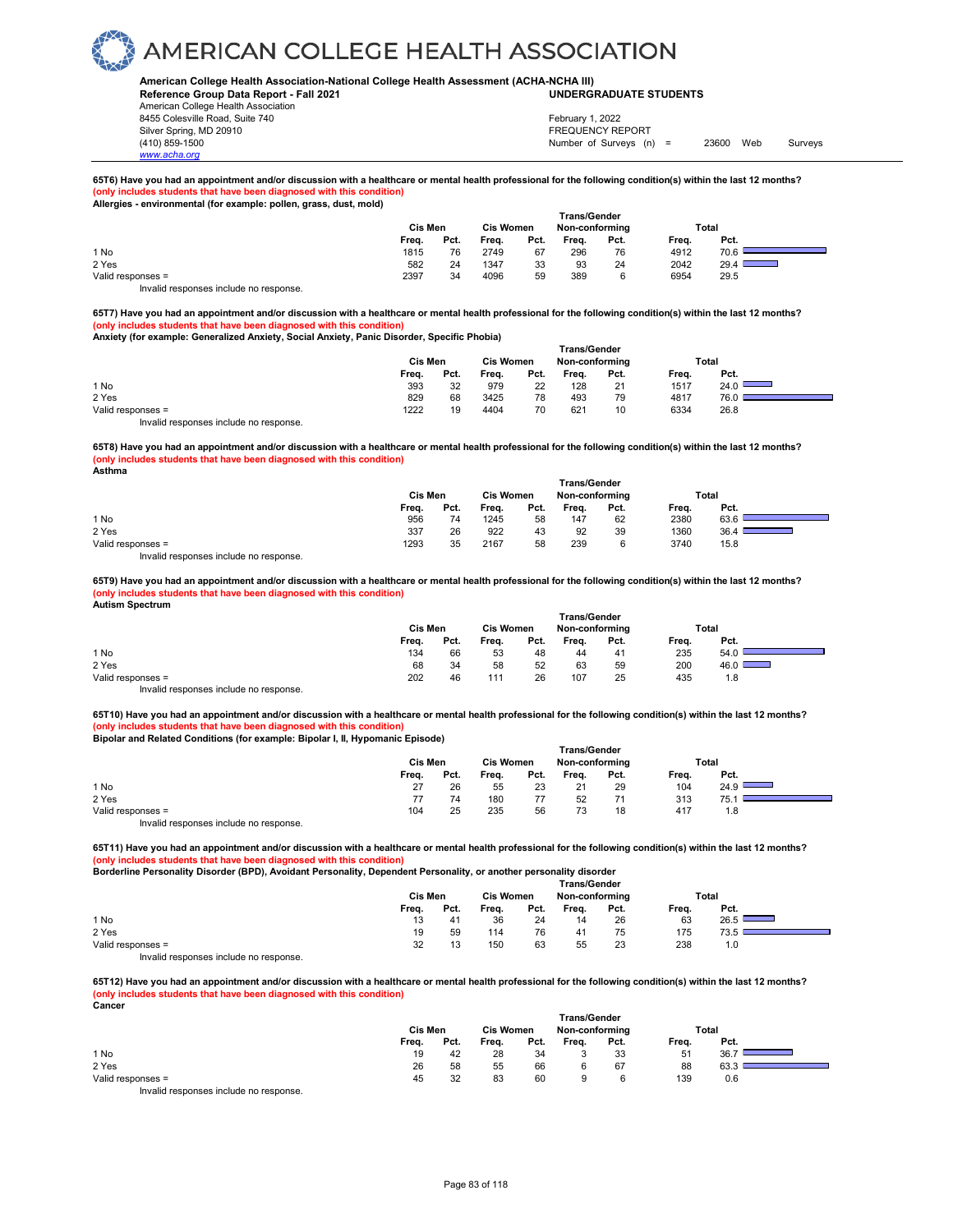### **American College Health Association-National College Health Assessment (ACHA-NCHA III) UNDERGRADUATE STUDENTS**

**Reference Group Data Report - Fall 2021** American College Health Association 8455 Colesville Road, Suite 740 Silver Spring, MD 20910<br>
1990 - 1990 - 1991 - 1991 - 1992 - 1993 - 1994 - 1995 - 1998 - 1999 - 1999 - 1999 - 1999 - 1999 - 1999 - 199<br>
1990 - 1999 - 1999 - 1999 - 1999 - 1999 - 1999 - 1999 - 1999 - 1999 - 1999 - 1999 - 199

Number of Surveys (n) = 23600 Web Surveys February 1, 2022

### **65T6) Have you had an appointment and/or discussion with a healthcare or mental health professional for the following condition(s) within the last 12 months?** (only includes students that have been diagnosed with this **Allergies - environmental (for example: pollen, grass, dust, mold)**

|                                                                        | Cis Men |      | <b>Cis Women</b> |      | <b>Trans/Gender</b><br>Non-conforming |      |       | Total |
|------------------------------------------------------------------------|---------|------|------------------|------|---------------------------------------|------|-------|-------|
|                                                                        | Freq.   | Pct. | Freq.            | Pct. | Frea.                                 | Pct. | Freq. | Pct.  |
| 1 No                                                                   | 1815    | 76   | 2749             | 67   | 296                                   | 76   | 4912  | 70.6  |
| 2 Yes                                                                  | 582     | 24   | 1347             | 33   | 93                                    | 24   | 2042  | 29.4  |
| Valid responses =                                                      | 2397    | 34   | 4096             | 59   | 389                                   | 6    | 6954  | 29.5  |
| The control to a process of the control of the process of the process. |         |      |                  |      |                                       |      |       |       |

Invalid responses include no response.

**65T7) Have you had an appointment and/or discussion with a healthcare or mental health professional for the following condition(s) within the last 12 months? (only includes students that have been diagnosed with this condition) Anxiety (for example: Generalized Anxiety, Social Anxiety, Panic Disorder, Specific Phobia)** 

## **Trans/Gender Cis Men Cis Women Non-conforming Total Freq. Pct. Freq. Pct. Freq. Pct. Freq. Pct.** 1 No 393 32 979 22 128 21 1517 24.0 2 Yes 829 68 3425 78 493 79 4817 76.0

Valid responses = 1222 19 4404 70 621 10 6334 26.8 Invalid responses include no response.

*www.acha.org*

**65T8) Have you had an appointment and/or discussion with a healthcare or mental health professional for the following condition(s) within the last 12 months? (only includes students that have been diagnosed with this condition)**

**Asthma** 

|                                         | Cis Men |      | <b>Cis Women</b> |      | Non-conforming |      |       | <b>Total</b> |
|-----------------------------------------|---------|------|------------------|------|----------------|------|-------|--------------|
|                                         | Frea.   | Pct. | Freq.            | Pct. | Freq.          | Pct. | Frea. | Pct.         |
| 1 No                                    | 956     | 74   | 1245             | 58   | 147            | 62   | 2380  | 63.6         |
| 2 Yes                                   | 337     | 26   | 922              | 43   | 92             | 39   | 1360  | 36.4         |
| Valid responses =                       | 1293    | 35   | 2167             | 58   | 239            | 6    | 3740  | 15.8         |
| Involid recononces include no recononce |         |      |                  |      |                |      |       |              |

Invalid responses include no response.

**65T9) Have you had an appointment and/or discussion with a healthcare or mental health professional for the following condition(s) within the last 12 months? (only includes students that have been diagnosed with this condition) Autism Spectrum** 

|                                        | Cis Men |      | <b>Cis Women</b> |      | <b>Trans/Gender</b><br>Non-conforming |      |       | Total       |
|----------------------------------------|---------|------|------------------|------|---------------------------------------|------|-------|-------------|
|                                        | Freq.   | Pct. | Freq.            | Pct. | Frea.                                 | Pct. | Frea. | Pct.        |
| 1 No                                   | 134     | 66   | 53               | 48   | 44                                    | 41   | 235   | 54.0        |
| 2 Yes                                  | 68      | 34   | 58               | 52   | 63                                    | 59   | 200   | 46.0 $\Box$ |
| Valid responses =                      | 202     | 46   | 111              | 26   | 107                                   | 25   | 435   | 1.8         |
| Invalid responses include no response. |         |      |                  |      |                                       |      |       |             |

**65T10) Have you had an appointment and/or discussion with a healthcare or mental health professional for the following condition(s) within the last 12 months? (only includes students that have been diagnosed with this condition)**

**Bipolar and Related Conditions (for example: Bipolar I, II, Hypomanic Episode)**

|                                       | <b>Trans/Gender</b> |      |                  |      |                |      |       |      |  |  |  |
|---------------------------------------|---------------------|------|------------------|------|----------------|------|-------|------|--|--|--|
|                                       | Cis Men             |      | <b>Cis Women</b> |      | Non-conforming |      | Total |      |  |  |  |
|                                       | Freq.               | Pct. | Freq.            | Pct. | Freq.          | Pct. | Freq. | Pct. |  |  |  |
| 1 No                                  | 27                  | 26   | 55               | 23   | 21             | 29   | 104   | 24.9 |  |  |  |
| 2 Yes                                 |                     | 74   | 180              | 77   | 52             | 71   | 313   | 75.1 |  |  |  |
| Valid responses =                     | 104                 | 25   | 235              | 56   | 73             | 18   | 417   | 1.8  |  |  |  |
| Invalid reconnege include no reconneg |                     |      |                  |      |                |      |       |      |  |  |  |

Invalid responses include no response.

**65T11) Have you had an appointment and/or discussion with a healthcare or mental health professional for the following condition(s) within the last 12 months? (only includes students that have been diagnosed with this condition)**

**Borderline Personality Disorder (BPD), Avoidant Personality, Dependent Personality, or another personality disorder** 

|                   | <b>Trans/Gender</b> |         |       |                  |       |                |       |       |  |  |
|-------------------|---------------------|---------|-------|------------------|-------|----------------|-------|-------|--|--|
|                   |                     | Cis Men |       | <b>Cis Women</b> |       | Non-conforming |       | Total |  |  |
|                   | Freq.               | Pct.    | Freq. | Pct.             | Freq. | Pct.           | Freq. | Pct.  |  |  |
| 1 No              | 13                  | 41      | 36    | 24               | 14    | 26             | 63    | 26.5  |  |  |
| 2 Yes             | 19                  | 59      | 114   | 76               | 41    | 75             | 175   | 73.5  |  |  |
| Valid responses = | 32                  | 13      | 150   | 63               | 55    | 23             | 238   | 1.0   |  |  |
| .                 |                     |         |       |                  |       |                |       |       |  |  |

Invalid responses include no response.

**65T12) Have you had an appointment and/or discussion with a healthcare or mental health professional for the following condition(s) within the last 12 months? (only includes students that have been diagnosed with this condition) Cancer** 

|                   | <b>Trans/Gender</b> |         |       |                  |       |                |       |       |  |  |  |
|-------------------|---------------------|---------|-------|------------------|-------|----------------|-------|-------|--|--|--|
|                   |                     | Cis Men |       | <b>Cis Women</b> |       | Non-conforming |       | Total |  |  |  |
|                   | Freq.               | Pct.    | Freq. | Pct.             | Freq. | Pct.           | Freq. | Pct.  |  |  |  |
| 1 No              | 19                  | 42      | 28    | 34               |       | 33             | 51    | 36.7  |  |  |  |
| 2 Yes             | 26                  | 58      | 55    | 66               |       | 67             | 88    | 63.3  |  |  |  |
| Valid responses = | 45                  | 32      | 83    | 60               |       | 6              | 139   | 0.6   |  |  |  |
| .<br>.            |                     |         |       |                  |       |                |       |       |  |  |  |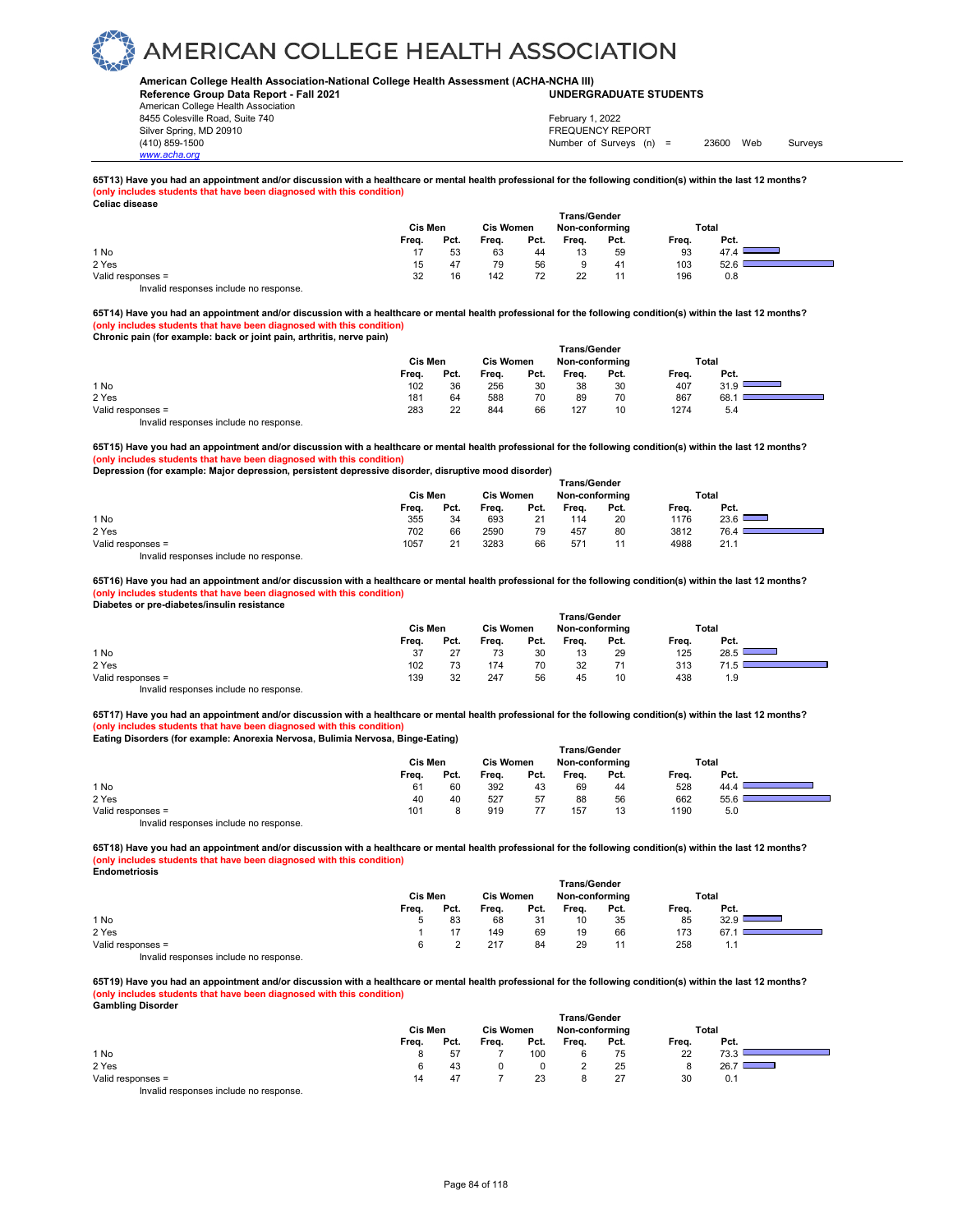### **American College Health Association-National College Health Assessment (ACHA-NCHA III) UNDERGRADUATE STUDENTS**

**Reference Group Data Report - Fall 2021** American College Health Association 8455 Colesville Road, Suite 740

Silver Spring, MD 20910<br>
1990 - The Spring, MD 20910<br>
1990 - The Survey Structure of Surveys (notation of Surveys (notation of Surveys (notation of Surveys (notati *www.acha.org*

Number of Surveys (n) = 23600 Web Surveys February 1, 2022

## **65T13) Have you had an appointment and/or discussion with a healthcare or mental health professional for the following condition(s) within the last 12 months? (only includes students that have been diagnosed with this condition) Celiac disease**

| -------------                         | Cis Men | <b>Trans/Gender</b><br><b>Cis Women</b><br>Non-conforming |       |      |       |      | Total |      |
|---------------------------------------|---------|-----------------------------------------------------------|-------|------|-------|------|-------|------|
|                                       | Freq.   | Pct.                                                      | Freq. | Pct. | Freq. | Pct. | Freq. | Pct. |
| 1 No                                  |         | 53                                                        | 63    | 44   | 13    | 59   | 93    | 47.4 |
| 2 Yes                                 | 15      | 47                                                        | 79    | 56   |       | -41  | 103   | 52.6 |
| Valid responses =                     | 32      | 16                                                        | 142   | 72   | 22    |      | 196   | 0.8  |
| Invalid responses include no response |         |                                                           |       |      |       |      |       |      |

**65T14) Have you had an appointment and/or discussion with a healthcare or mental health professional for the following condition(s) within the last 12 months? (only includes students that have been diagnosed with this condition) Chronic pain (for example: back or joint pain, arthritis, nerve pain)** 

|                                        | <b>Trans/Gender</b> |      |                  |      |                |      |       |      |  |  |
|----------------------------------------|---------------------|------|------------------|------|----------------|------|-------|------|--|--|
|                                        | Cis Men             |      | <b>Cis Women</b> |      | Non-conforming |      | Total |      |  |  |
|                                        | Freq.               | Pct. | Freq.            | Pct. | Freq.          | Pct. | Freq. | Pct. |  |  |
| 1 No                                   | 102                 | 36   | 256              | 30   | 38             | 30   | 407   | 31.9 |  |  |
| 2 Yes                                  | 181                 | 64   | 588              | 70   | 89             | 70   | 867   | 68.  |  |  |
| Valid responses =                      | 283                 | 22   | 844              | 66   | 127            | 10   | 1274  | 5.4  |  |  |
| Invalid responses include no response. |                     |      |                  |      |                |      |       |      |  |  |

**65T15) Have you had an appointment and/or discussion with a healthcare or mental health professional for the following condition(s) within the last 12 months? (only includes students that have been diagnosed with this condition)**

**Depression (for example: Major depression, persistent depressive disorder, disruptive mood disorder)** 

|                   | Cis Men |      | <b>Cis Women</b> |      | Non-conforming  |      |       | Total |  |
|-------------------|---------|------|------------------|------|-----------------|------|-------|-------|--|
|                   | Freq.   | Pct. | Frea.            | Pct. | Frea.           | Pct. | Frea. | Pct.  |  |
| 1 No              | 355     | 34   | 693              | 21   | 114             | 20   | 1176  | 23.6  |  |
| 2 Yes             | 702     | 66   | 2590             | 79   | 457             | 80   | 3812  | 76.4  |  |
| Valid responses = | 1057    | 21   | 3283             | 66   | 57 <sup>4</sup> | 11   | 4988  | 21.1  |  |
| .<br>.            |         |      |                  |      |                 |      |       |       |  |

Invalid responses include no response.

**65T16) Have you had an appointment and/or discussion with a healthcare or mental health professional for the following condition(s) within the last 12 months? (only includes students that have been diagnosed with this condition) Diabetes or pre-diabetes/insulin resistance** 

|                                        | <b>Trans/Gender</b> |      |                  |      |                |      |       |             |  |  |  |  |
|----------------------------------------|---------------------|------|------------------|------|----------------|------|-------|-------------|--|--|--|--|
|                                        | Cis Men             |      | <b>Cis Women</b> |      | Non-conforming |      | Total |             |  |  |  |  |
|                                        | Freq.               | Pct. | Freq.            | Pct. | Frea.          | Pct. | Freq. | Pct.        |  |  |  |  |
| 1 No                                   | 37                  | 27   | 73               | 30   | 13             | 29   | 125   | 28.5        |  |  |  |  |
| 2 Yes                                  | 102                 | 73   | 174              | 70   | 32             | 71   | 313   | <b>71 h</b> |  |  |  |  |
| Valid responses =                      | 139                 | 32   | 247              | 56   | 45             | 10   | 438   | 1.9         |  |  |  |  |
| Invalid responses include no response. |                     |      |                  |      |                |      |       |             |  |  |  |  |

**65T17) Have you had an appointment and/or discussion with a healthcare or mental health professional for the following condition(s) within the last 12 months? (only includes students that have been diagnosed with this condition)**

**Eating Disorders (for example: Anorexia Nervosa, Bulimia Nervosa, Binge-Eating)** 

|                                       | <b>Trans/Gender</b> |      |                  |      |                |      |       |      |  |  |  |  |
|---------------------------------------|---------------------|------|------------------|------|----------------|------|-------|------|--|--|--|--|
|                                       | Cis Men             |      | <b>Cis Women</b> |      | Non-conforming |      | Total |      |  |  |  |  |
|                                       | Freq.               | Pct. | Freq.            | Pct. | Freq.          | Pct. | Freq. | Pct. |  |  |  |  |
| 1 No                                  | 61                  | 60   | 392              | 43   | 69             | 44   | 528   | 44.4 |  |  |  |  |
| 2 Yes                                 | 40                  | 40   | 527              | 57   | 88             | 56   | 662   | 55.6 |  |  |  |  |
| Valid responses =                     | 101                 |      | 919              |      | 157            | 13   | 1190  | 5.0  |  |  |  |  |
| Invalid reconnege include no reconneg |                     |      |                  |      |                |      |       |      |  |  |  |  |

Invalid responses include no response.

**65T18) Have you had an appointment and/or discussion with a healthcare or mental health professional for the following condition(s) within the last 12 months? (only includes students that have been diagnosed with this condition) Endometriosis**

|                                           | <b>Trans/Gender</b> |      |                  |      |                |      |       |      |  |
|-------------------------------------------|---------------------|------|------------------|------|----------------|------|-------|------|--|
|                                           | Cis Men             |      | <b>Cis Women</b> |      | Non-conforming |      | Total |      |  |
|                                           | Freq.               | Pct. | Freq.            | Pct. | Freq.          | Pct. | Freq. | Pct. |  |
| 1 No                                      |                     | 83   | 68               | 31   | 10             | 35   | 85    | 32.9 |  |
| 2 Yes                                     |                     |      | 149              | 69   | 19             | 66   | 173   | 67.  |  |
| Valid responses =                         |                     |      | 217              | 84   | 29             |      | 258   | ı. ı |  |
| Initelial reconomers include no reconomer |                     |      |                  |      |                |      |       |      |  |

Invalid responses include no response.

**65T19) Have you had an appointment and/or discussion with a healthcare or mental health professional for the following condition(s) within the last 12 months? (only includes students that have been diagnosed with this condition) Gambling Disorder** 

|                                                                                                                                                                                                                                   |         |      |                  |      | <b>Trans/Gender</b> |      |       |                                  |  |
|-----------------------------------------------------------------------------------------------------------------------------------------------------------------------------------------------------------------------------------|---------|------|------------------|------|---------------------|------|-------|----------------------------------|--|
|                                                                                                                                                                                                                                   | Cis Men |      | <b>Cis Women</b> |      | Non-conforming      |      |       | Total                            |  |
|                                                                                                                                                                                                                                   | Freq.   | Pct. | Freq.            | Pct. | Freq.               | Pct. | Freq. | Pct.                             |  |
| 1 No                                                                                                                                                                                                                              |         | 57   |                  | 100  |                     | 75   | 22    | 73.3                             |  |
| 2 Yes                                                                                                                                                                                                                             |         | 43   |                  |      |                     | 25   | ۰     | 26.7<br><b>Contract Contract</b> |  |
| Valid responses =                                                                                                                                                                                                                 | 14      | 47   |                  | 23   |                     | 27   | 30    | 0.1                              |  |
| $\mathbf{r}$ , and the contract of the contract of the contract of the contract of the contract of the contract of the contract of the contract of the contract of the contract of the contract of the contract of the contract o |         |      |                  |      |                     |      |       |                                  |  |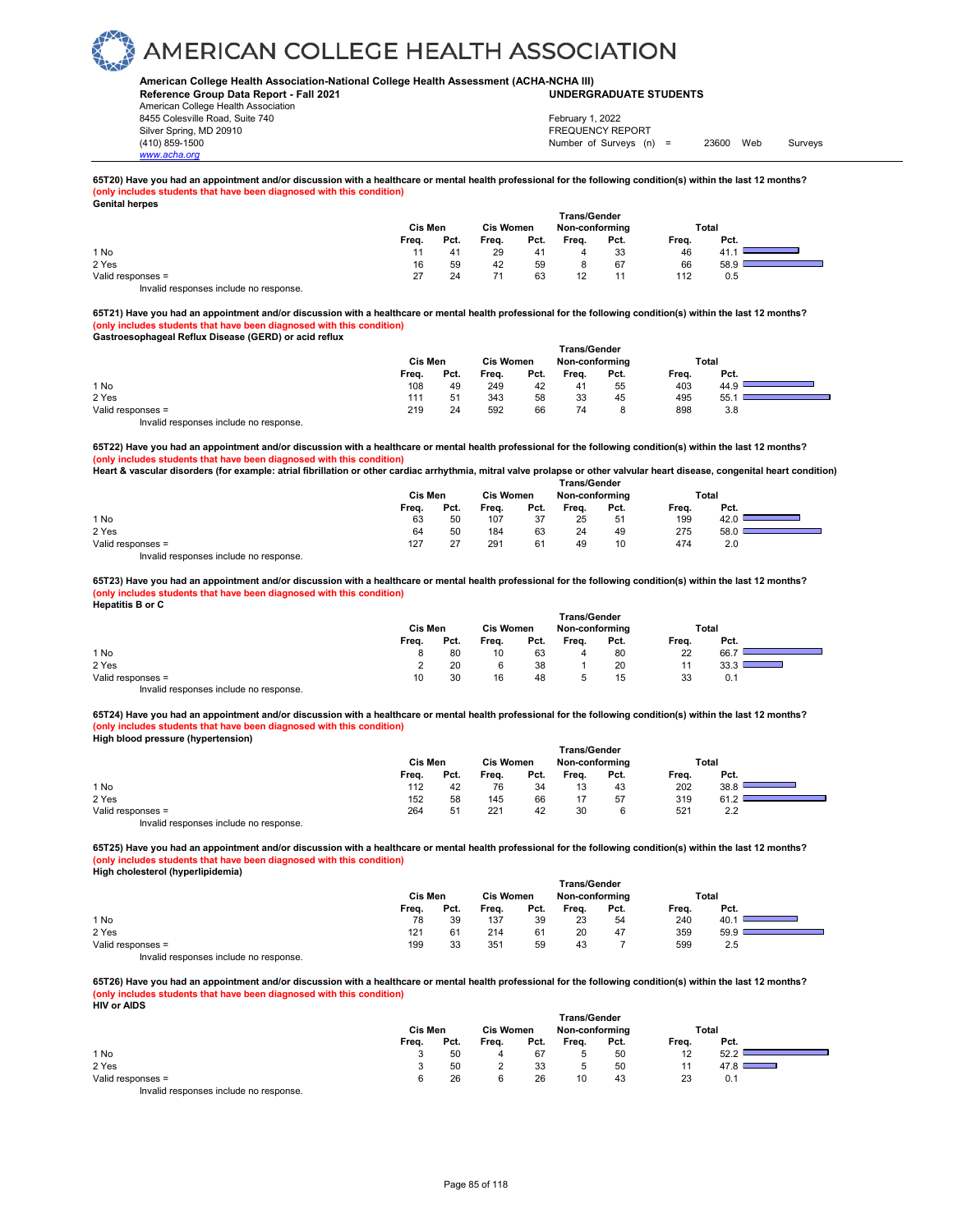### **American College Health Association-National College Health Assessment (ACHA-NCHA III) UNDERGRADUATE STUDENTS**

**Reference Group Data Report - Fall 2021** American College Health Association 8455 Colesville Road, Suite 740

Silver Spring, MD 20910<br>
1990 - The Spring, MD 20910<br>
1990 - The Survey Structure of Surveys (notation of Surveys (notation of Surveys (notation of Surveys (notati Number of Surveys (n) = 23600 Web Surveys February 1, 2022

## **65T20) Have you had an appointment and/or discussion with a healthcare or mental health professional for the following condition(s) within the last 12 months? (only includes students that have been diagnosed with this condition) Genital herpes**

| <b>OUTRAL TRIPPO</b>                  |         |      |                                    |      |                     |      |       |      |  |
|---------------------------------------|---------|------|------------------------------------|------|---------------------|------|-------|------|--|
|                                       |         |      |                                    |      | <b>Trans/Gender</b> |      |       |      |  |
|                                       | Cis Men |      | <b>Cis Women</b><br>Non-conforming |      |                     |      | Total |      |  |
|                                       | Freq.   | Pct. | Freq.                              | Pct. | Frea.               | Pct. | Freq. | Pct. |  |
| 1 No                                  |         | 41   | 29                                 | 41   | 4                   | 33   | 46    |      |  |
| 2 Yes                                 | 16      | 59   | 42                                 | 59   | 8                   | 67   | 66    | 58.9 |  |
| Valid responses =                     | 27      | 24   | 71                                 | 63   | 12                  |      | 112   | 0.5  |  |
| Invalid responses include no response |         |      |                                    |      |                     |      |       |      |  |

**65T21) Have you had an appointment and/or discussion with a healthcare or mental health professional for the following condition(s) within the last 12 months? (only includes students that have been diagnosed with this condition) Gastroesophageal Reflux Disease (GERD) or acid reflux** 

|                                        |         |      |                  |      | <b>Trans/Gender</b> |      |       |       |  |
|----------------------------------------|---------|------|------------------|------|---------------------|------|-------|-------|--|
|                                        | Cis Men |      | <b>Cis Women</b> |      | Non-conforming      |      |       | Total |  |
|                                        | Freq.   | Pct. | Freq.            | Pct. | Frea.               | Pct. | Freq. | Pct.  |  |
| 1 No                                   | 108     | 49   | 249              | 42   | 41                  | 55   | 403   | 44.9  |  |
| 2 Yes                                  | 111     | 51   | 343              | 58   | 33                  | 45   | 495   | 55.   |  |
| Valid responses =                      | 219     | 24   | 592              | 66   | 74                  | 8    | 898   | 3.8   |  |
| Invalid responses include no response. |         |      |                  |      |                     |      |       |       |  |

**65T22) Have you had an appointment and/or discussion with a healthcare or mental health professional for the following condition(s) within the last 12 months? (only includes students that have been diagnosed with this condition)**

**Heart & vascular disorders (for example: atrial fibrillation or other cardiac arrhythmia, mitral valve prolapse or other valvular heart disease, congenital heart condition) Trans/Gender**

|                   | Cis Men |      | <b>Cis Women</b> |      | Non-conforming |      | Total |      |  |
|-------------------|---------|------|------------------|------|----------------|------|-------|------|--|
|                   | Freq.   | Pct. | Freq.            | Pct. | Freq.          | Pct. | Freq. | Pct. |  |
| 1 No              | 63      | 50   | 107              | 37   | 25             | 51   | 199   | 42.0 |  |
| 2 Yes             | 64      | 50   | 184              | 63   | 24             | 49   | 275   | 58.0 |  |
| Valid responses = | 127     | 27   | 291              | 61   | 49             | 10   | 474   | 2.0  |  |
| .<br>.            |         |      |                  |      |                |      |       |      |  |

Invalid responses include no response.

*www.acha.org*

**65T23) Have you had an appointment and/or discussion with a healthcare or mental health professional for the following condition(s) within the last 12 months? (only includes students that have been diagnosed with this condition) Hepatitis B or C** 

|                                        | <b>Trans/Gender</b> |      |                  |      |                |      |       |       |  |  |  |
|----------------------------------------|---------------------|------|------------------|------|----------------|------|-------|-------|--|--|--|
|                                        | Cis Men             |      | <b>Cis Women</b> |      | Non-conforming |      |       | Total |  |  |  |
|                                        | Freq.               | Pct. | Frea.            | Pct. | Freq.          | Pct. | Freq. | Pct.  |  |  |  |
| 1 No                                   | 8                   | 80   | 10               | 63   | 4              | 80   | 22    | 66.7  |  |  |  |
| 2 Yes                                  |                     | 20   |                  | 38   |                | 20   |       |       |  |  |  |
| Valid responses =                      | 10                  | 30   | 16               | 48   |                | 15   | 33    | 0.1   |  |  |  |
| Invalid responses include no response. |                     |      |                  |      |                |      |       |       |  |  |  |

**65T24) Have you had an appointment and/or discussion with a healthcare or mental health professional for the following condition(s) within the last 12 months? (only includes students that have been diagnosed with this condition) High blood pressure (hypertension)** 

|                                        |         |      |                  |      | <b>Trans/Gender</b> |      |       |       |  |
|----------------------------------------|---------|------|------------------|------|---------------------|------|-------|-------|--|
|                                        | Cis Men |      | <b>Cis Women</b> |      | Non-conforming      |      |       | Total |  |
|                                        | Freq.   | Pct. | Freq.            | Pct. | Frea.               | Pct. | Freq. | Pct.  |  |
| 1 No                                   | 112     | 42   | 76               | 34   | 13                  | 43   | 202   | 38.8  |  |
| 2 Yes                                  | 152     | 58   | 145              | 66   | 17                  | 57   | 319   | 61.2  |  |
| Valid responses =                      | 264     | 51   | 221              | 42   | 30                  |      | 521   | 2.2   |  |
| Invalid responses include no response. |         |      |                  |      |                     |      |       |       |  |

**65T25) Have you had an appointment and/or discussion with a healthcare or mental health professional for the following condition(s) within the last 12 months? (only includes students that have been diagnosed with this condition) High cholesterol (hyperlipidemia)** 

|                                                                        | Cis Men |      | <b>Cis Women</b> |      | <b>Trans/Gender</b><br>Non-conforming |      |       | Total |  |
|------------------------------------------------------------------------|---------|------|------------------|------|---------------------------------------|------|-------|-------|--|
|                                                                        | Freq.   | Pct. | Freq.            | Pct. | Frea.                                 | Pct. | Freq. | Pct.  |  |
| 1 No                                                                   | 78      | 39   | 137              | 39   | 23                                    | 54   | 240   | 40.   |  |
| 2 Yes                                                                  | 121     | 61   | 214              | 61   | 20                                    | 47   | 359   | 59.9  |  |
| Valid responses =                                                      | 199     | 33   | 351              | 59   | 43                                    |      | 599   | 2.5   |  |
| The control to a process of the control of the process of the process. |         |      |                  |      |                                       |      |       |       |  |

Invalid responses include no response.

**65T26) Have you had an appointment and/or discussion with a healthcare or mental health professional for the following condition(s) within the last 12 months? (only includes students that have been diagnosed with this condition) HIV or AIDS** 

| טשרת וטיוו                                                             |         |      |                  |      |                     |      |       |       |
|------------------------------------------------------------------------|---------|------|------------------|------|---------------------|------|-------|-------|
|                                                                        |         |      |                  |      | <b>Trans/Gender</b> |      |       |       |
|                                                                        | Cis Men |      | <b>Cis Women</b> |      | Non-conforming      |      |       | Total |
|                                                                        | Freq.   | Pct. | Freq.            | Pct. | Frea.               | Pct. | Freq. | Pct.  |
| 1 No                                                                   |         | 50   |                  | 67   |                     | 50   | 12    | 52.2  |
| 2 Yes                                                                  |         | 50   |                  | 33   |                     | 50   | 11    | 47.8  |
| Valid responses =                                                      |         | 26   |                  | 26   | 10                  | 43   | 23    | 0.1   |
| The control to a process of the control of the process of the process. |         |      |                  |      |                     |      |       |       |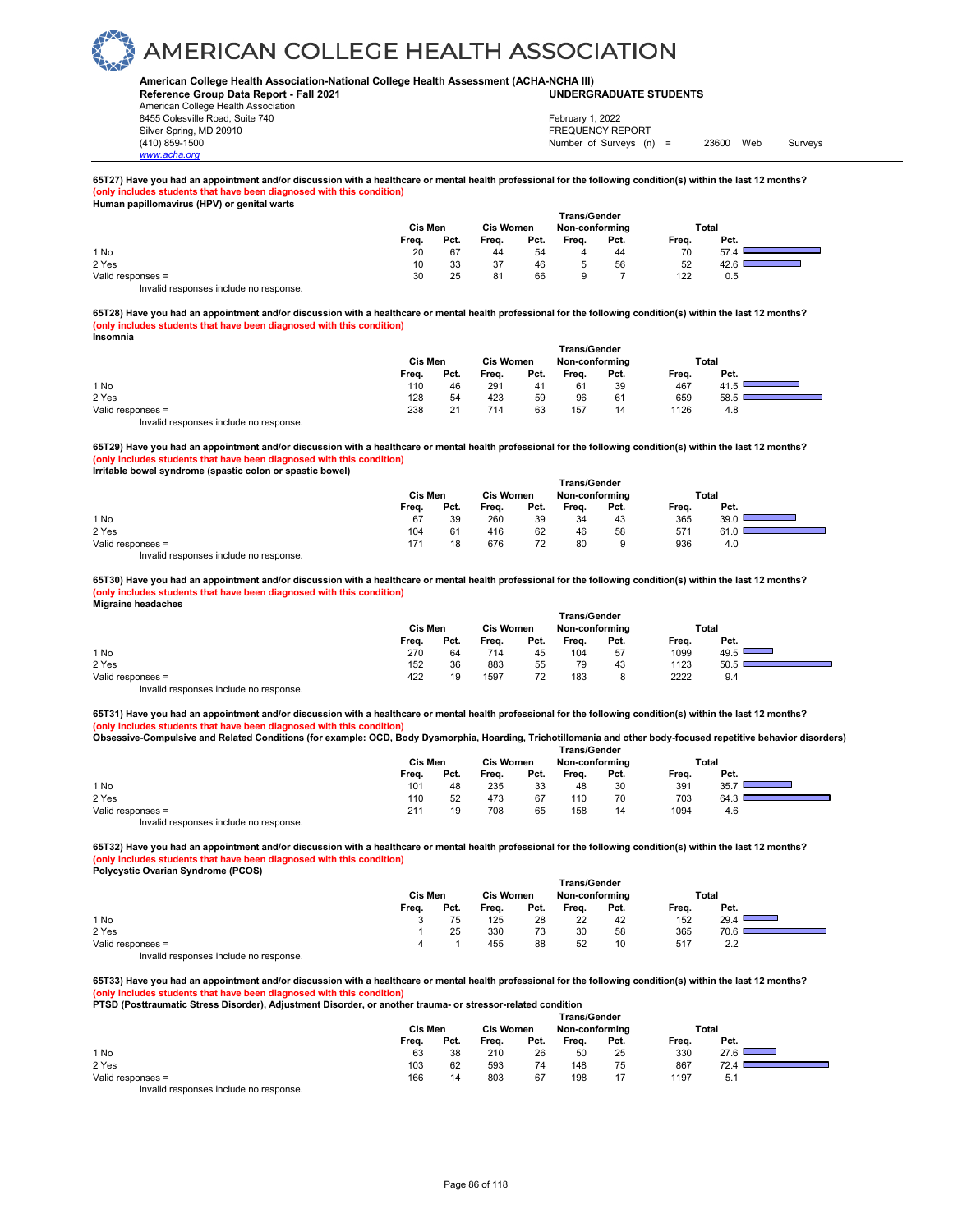### **American College Health Association-National College Health Assessment (ACHA-NCHA III) UNDERGRADUATE STUDENTS**

**Reference Group Data Report - Fall 2021** American College Health Association 8455 Colesville Road, Suite 740 Silver Spring, MD 20910<br>
1990 - The Spring, MD 20910<br>
1990 - The Survey Structure of Surveys (notation of Surveys (notation of Surveys (notation of Surveys (notati

*www.acha.org*

Number of Surveys (n) = 23600 Web Surveys February 1, 2022

## **65T27) Have you had an appointment and/or discussion with a healthcare or mental health professional for the following condition(s) within the last 12 months? (only includes students that have been diagnosed with this condition) Human papillomavirus (HPV) or genital warts**

|                                                                        |         |      |                  |      | <b>Trans/Gender</b> |      |       |       |
|------------------------------------------------------------------------|---------|------|------------------|------|---------------------|------|-------|-------|
|                                                                        | Cis Men |      | <b>Cis Women</b> |      | Non-conforming      |      |       | Total |
|                                                                        | Freq.   | Pct. | Freq.            | Pct. | Freq.               | Pct. | Freq. | Pct.  |
| 1 No                                                                   | 20      | 67   | 44               | 54   | 4                   | 44   | 70    | 57.4  |
| 2 Yes                                                                  | 10      | 33   | 37               | 46   |                     | 56   | 52    | 42.6  |
| Valid responses =                                                      | 30      | 25   | 81               | 66   |                     |      | 122   | 0.5   |
| The control to a process of the control of the process of the process. |         |      |                  |      |                     |      |       |       |

Invalid responses include no response.

**65T28) Have you had an appointment and/or discussion with a healthcare or mental health professional for the following condition(s) within the last 12 months? (only includes students that have been diagnosed with this condition) Insomnia** 

|                                        |         |      |                  |      | <b>Trans/Gender</b> |      |       |       |  |
|----------------------------------------|---------|------|------------------|------|---------------------|------|-------|-------|--|
|                                        | Cis Men |      | <b>Cis Women</b> |      | Non-conforming      |      |       | Total |  |
|                                        | Freq.   | Pct. | Freq.            | Pct. | Freq.               | Pct. | Freq. | Pct.  |  |
| 1 No                                   | 110     | 46   | 291              | 41   | 61                  | 39   | 467   |       |  |
| 2 Yes                                  | 128     | 54   | 423              | 59   | 96                  | 61   | 659   | 58.5  |  |
| Valid responses =                      | 238     | 21   | 714              | 63   | 157                 | 14   | 1126  | 4.8   |  |
| Invalid responses include no response. |         |      |                  |      |                     |      |       |       |  |

**65T29) Have you had an appointment and/or discussion with a healthcare or mental health professional for the following condition(s) within the last 12 months? (only includes students that have been diagnosed with this condition)**

**Irritable bowel syndrome (spastic colon or spastic bowel)** 

|                                       |         |      |                  |      | <b>Trans/Gender</b> |      |       |       |  |
|---------------------------------------|---------|------|------------------|------|---------------------|------|-------|-------|--|
|                                       | Cis Men |      | <b>Cis Women</b> |      | Non-conforming      |      |       | Total |  |
|                                       | Frea.   | Pct. | Freq.            | Pct. | Frea.               | Pct. | Frea. | Pct.  |  |
| 1 No                                  | 67      | 39   | 260              | 39   | 34                  | 43   | 365   | 39.0  |  |
| 2 Yes                                 | 104     | 61   | 416              | 62   | 46                  | 58   | 571   | 61.0  |  |
| Valid responses =                     | 171     | 18   | 676              | 72   | 80                  |      | 936   | 4.0   |  |
| Invalid responses include no response |         |      |                  |      |                     |      |       |       |  |

**65T30) Have you had an appointment and/or discussion with a healthcare or mental health professional for the following condition(s) within the last 12 months? (only includes students that have been diagnosed with this condition) Migraine headaches** 

| . .                                    | Cis Men |      | <b>Cis Women</b> |      | <b>Trans/Gender</b><br>Non-conforming |      |       | Total |
|----------------------------------------|---------|------|------------------|------|---------------------------------------|------|-------|-------|
|                                        | Freq.   | Pct. | Freq.            | Pct. | Freq.                                 | Pct. | Frea. | Pct.  |
| 1 No                                   | 270     | 64   | 714              | 45   | 104                                   | 57   | 1099  | 49.5  |
| 2 Yes                                  | 152     | 36   | 883              | 55   | 79                                    | 43   | 1123  | 50.5  |
| Valid responses =                      | 422     | 19   | 1597             | 72   | 183                                   | 8    | 2222  | 9.4   |
| Invalid responses include no response. |         |      |                  |      |                                       |      |       |       |

**65T31) Have you had an appointment and/or discussion with a healthcare or mental health professional for the following condition(s) within the last 12 months? (only includes students that have been diagnosed with this condition)**

**Obsessive-Compulsive and Related Conditions (for example: OCD, Body Dysmorphia, Hoarding, Trichotillomania and other body-focused repetitive behavior disorders) Trans/Gender**

|                                        |         |      |                  |      | .              |      |       |       |  |
|----------------------------------------|---------|------|------------------|------|----------------|------|-------|-------|--|
|                                        | Cis Men |      | <b>Cis Women</b> |      | Non-conforming |      |       | Total |  |
|                                        | Freq.   | Pct. | Freq.            | Pct. | Frea.          | Pct. | Frea. | Pct.  |  |
| 1 No                                   | 101     | 48   | 235              | 33   | 48             | 30   | 391   | 35.7  |  |
| 2 Yes                                  | 110     | 52   | 473              | 67   | 110            | 70   | 703   | 64.3  |  |
| Valid responses =                      | 211     | 19   | 708              | 65   | 158            | 14   | 1094  | 4.6   |  |
| Invalid responses include no response. |         |      |                  |      |                |      |       |       |  |

**65T32) Have you had an appointment and/or discussion with a healthcare or mental health professional for the following condition(s) within the last 12 months? (only includes students that have been diagnosed with this condition)**

**Polycystic Ovarian Syndrome (PCOS)** 

|                                                                                   |         |      |                  |      | <b>Trans/Gender</b> |      |       |       |  |
|-----------------------------------------------------------------------------------|---------|------|------------------|------|---------------------|------|-------|-------|--|
|                                                                                   | Cis Men |      | <b>Cis Women</b> |      | Non-conformina      |      |       | Total |  |
|                                                                                   | Freq.   | Pct. | Freq.            | Pct. | Freq.               | Pct. | Freq. | Pct.  |  |
| 1 No                                                                              |         | 75   | 125              | 28   | 22                  | 42   | 152   | 29.4  |  |
| 2 Yes                                                                             |         | 25   | 330              | 73   | 30                  | 58   | 365   | 70.6  |  |
| Valid responses =                                                                 |         |      | 455              | 88   | 52                  | 10   | 517   | 2.2   |  |
| The control to a state of the state of the state of the state of the state of the |         |      |                  |      |                     |      |       |       |  |

Invalid responses include no response.

65T33) Have you had an appointment and/or discussion with a healthcare or mental health professional for the following condition(s) within the last 12 months?<br>(only includes students that have been diagnosed with this cond **(** students that have been diagnosed with this condition)

**PTSD (Posttraumatic Stress Disorder), Adjustment Disorder, or another trauma- or stressor-related condition** 

|                                         |       |         |       |                  | <b>Trans/Gender</b> |                |       |       |
|-----------------------------------------|-------|---------|-------|------------------|---------------------|----------------|-------|-------|
|                                         |       | Cis Men |       | <b>Cis Women</b> |                     | Non-conforming |       | Total |
|                                         | Freq. | Pct.    | Freq. | Pct.             | Freq.               | Pct.           | Frea. | Pct.  |
| 1 No                                    | 63    | 38      | 210   | 26               | 50                  | 25             | 330   | 27.6  |
| 2 Yes                                   | 103   | 62      | 593   | 74               | 148                 | 75             | 867   | 72.4  |
| Valid responses =                       | 166   | 14      | 803   | 67               | 198                 | 17             | 1197  | 5.1   |
| Involid recononces include no recononce |       |         |       |                  |                     |                |       |       |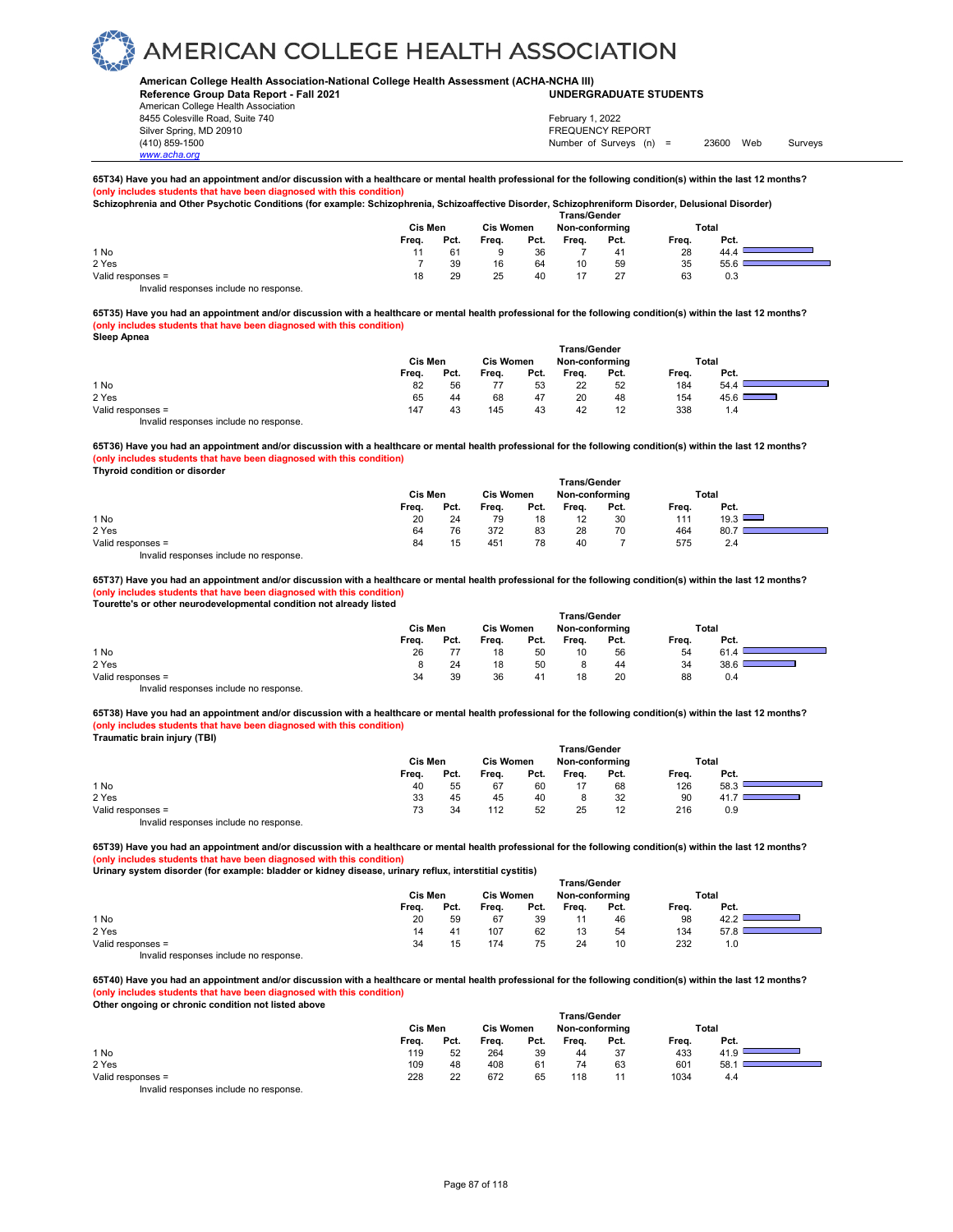### **American College Health Association-National College Health Assessment (ACHA-NCHA III) UNDERGRADUATE STUDENTS**

**Reference Group Data Report - Fall 2021** American College Health Association 8455 Colesville Road, Suite 740 Silver Spring, MD 20910<br>
1990 - The Spring, MD 20910<br>
1990 - The Survey Structure of Surveys (notation of Surveys (notation of Surveys (notation of Surveys (notati

Number of Surveys (n) = 23600 Web Surveys February 1, 2022

#### **65T34) Have you had an appointment and/or discussion with a healthcare or mental health professional for the following condition(s) within the last 12 months? s students that have been diagnosed with this condition Schizophrenia and Other Psychotic Conditions (for example: Schizophrenia, Schizoaffective Disorder, Schizophreniform Disorder, Delusional Disorder)**

|                   | Cis Men |      | <b>Trans/Gender</b><br><b>Cis Women</b><br>Non-conforming |      |       |      |       | Total |  |
|-------------------|---------|------|-----------------------------------------------------------|------|-------|------|-------|-------|--|
|                   | Freq.   | Pct. | Freq.                                                     | Pct. | Freq. | Pct. | Freq. | Pct.  |  |
| 1 No              |         | 61   |                                                           | 36   |       | 41   | 28    | 44.4  |  |
| 2 Yes             |         | 39   | 16                                                        | 64   | 10    | 59   | 35    | 55.6  |  |
| Valid responses = | 18      | 29   | 25                                                        | 40   |       | - 27 | 63    | 0.3   |  |

Invalid responses include no response.

*www.acha.org*

**65T35) Have you had an appointment and/or discussion with a healthcare or mental health professional for the following condition(s) within the last 12 months? (only includes students that have been diagnosed with this condition) Sleep Apnea** 

| ___                                    | Cis Men |      | <b>Cis Women</b> |      | <b>Trans/Gender</b><br>Non-conforming |      |       | Total                                  |
|----------------------------------------|---------|------|------------------|------|---------------------------------------|------|-------|----------------------------------------|
|                                        | Freq.   | Pct. | Freq.            | Pct. | Frea.                                 | Pct. | Freq. | Pct.                                   |
| 1 No                                   | 82      | 56   |                  | 53   | 22                                    | 52   | 184   | 54.4                                   |
| 2 Yes                                  | 65      | 44   | 68               | 47   | 20                                    | 48   | 154   | 45.6 L<br><u>and the second second</u> |
| Valid responses =                      | 147     | 43   | 145              | 43   | 42                                    | 12   | 338   | 1.4                                    |
| Invalid responses include no response. |         |      |                  |      |                                       |      |       |                                        |

**65T36) Have you had an appointment and/or discussion with a healthcare or mental health professional for the following condition(s) within the last 12 months? (only includes students that have been diagnosed with this condition)**

**Thyroid condition or disorder** 

|                                        |         |      |                  |      | <b>Trans/Gender</b> |      |       |       |  |
|----------------------------------------|---------|------|------------------|------|---------------------|------|-------|-------|--|
|                                        | Cis Men |      | <b>Cis Women</b> |      | Non-conforming      |      |       | Total |  |
|                                        | Freq.   | Pct. | Freq.            | Pct. | Freq.               | Pct. | Freq. | Pct.  |  |
| 1 No                                   | 20      | 24   | 79               | 18   | 12                  | 30   | 111   | 19.3  |  |
| 2 Yes                                  | 64      | 76   | 372              | 83   | 28                  | 70   | 464   | 80.7  |  |
| Valid responses =                      | 84      | 15   | 451              | 78   | 40                  |      | 575   | 2.4   |  |
| Invalid responses include no response. |         |      |                  |      |                     |      |       |       |  |

**65T37) Have you had an appointment and/or discussion with a healthcare or mental health professional for the following condition(s) within the last 12 months? (only includes students that have been diagnosed with this condition) Tourette's or other neurodevelopmental condition not already listed** 

|                                        |         |      |                  |      | <b>Trans/Gender</b> |      |       |       |
|----------------------------------------|---------|------|------------------|------|---------------------|------|-------|-------|
|                                        | Cis Men |      | <b>Cis Women</b> |      | Non-conforming      |      |       | Total |
|                                        | Freq.   | Pct. | Freq.            | Pct. | Frea.               | Pct. | Frea. | Pct.  |
| 1 No                                   | 26      |      | 18               | 50   | 10                  | 56   | 54    | 61.   |
| 2 Yes                                  |         | 24   | 18               | 50   |                     | 44   | 34    | 38.6  |
| Valid responses =                      | 34      | 39   | 36               | 41   | 18                  | 20   | 88    | 0.4   |
| Invalid responses include no response. |         |      |                  |      |                     |      |       |       |

**65T38) Have you had an appointment and/or discussion with a healthcare or mental health professional for the following condition(s) within the last 12 months? (only includes students that have been diagnosed with this condition) Traumatic brain injury (TBI)**

|                                        |         |      |                  |      | <b>Trans/Gender</b> |      |       |       |  |
|----------------------------------------|---------|------|------------------|------|---------------------|------|-------|-------|--|
|                                        | Cis Men |      | <b>Cis Women</b> |      | Non-conforming      |      |       | Total |  |
|                                        | Frea.   | Pct. | Frea.            | Pct. | Frea.               | Pct. | Freq. | Pct.  |  |
| 1 No                                   | 40      | 55   | 67               | 60   | 17                  | 68   | 126   | 58.3  |  |
| 2 Yes                                  | 33      | 45   | 45               | 40   |                     | 32   | 90    | 41    |  |
| Valid responses =                      | 73      | 34   | 112              | 52   | 25                  | 12   | 216   | 0.9   |  |
| Invalid responses include no response. |         |      |                  |      |                     |      |       |       |  |

**65T39) Have you had an appointment and/or discussion with a healthcare or mental health professional for the following condition(s) within the last 12 months? (only includes students that have been diagnosed with this condition)**

**Urinary system disorder (for example: bladder or kidney disease, urinary reflux, interstitial cystitis)** 

|                                        |                |      |           |      | <b>Trans/Gender</b> |      |       |       |  |
|----------------------------------------|----------------|------|-----------|------|---------------------|------|-------|-------|--|
|                                        | <b>Cis Men</b> |      | Cis Women |      | Non-conforming      |      |       | Total |  |
|                                        | Freq.          | Pct. | Frea.     | Pct. | Freq.               | Pct. | Freq. | Pct.  |  |
| 1 No                                   | 20             | 59   | 67        | 39   | 11                  | 46   | 98    | 42.2  |  |
| 2 Yes                                  | 14             | 41   | 107       | 62   | 13                  | 54   | 134   | 57.8  |  |
| Valid responses =                      | 34             | 15   | 174       | 75   | 24                  | 10   | 232   | 1.0   |  |
| Invalid responses include no response. |                |      |           |      |                     |      |       |       |  |

**65T40) Have you had an appointment and/or discussion with a healthcare or mental health professional for the following condition(s) within the last 12 months?**

**(only includes students that have been diagnosed with this condition) Other ongoing or chronic condition not listed above** 

| <u>saler sligsling or sill sills solidition hot hoteld above</u> | Cis Men | <b>Trans/Gender</b><br><b>Cis Women</b><br>Non-conforming |       |      |       | Total |       |      |  |
|------------------------------------------------------------------|---------|-----------------------------------------------------------|-------|------|-------|-------|-------|------|--|
|                                                                  | Freq.   | Pct.                                                      | Freq. | Pct. | Freq. | Pct.  | Freq. | Pct. |  |
| 1 No                                                             | 119     | 52                                                        | 264   | 39   | 44    | 37    | 433   |      |  |
| 2 Yes                                                            | 109     | 48                                                        | 408   | 61   | 74    | 63    | 601   | 58.1 |  |
| Valid responses =                                                | 228     | 22                                                        | 672   | 65   | 118   | 11    | 1034  | 4.4  |  |
| Involid reapenesse include no reapeness                          |         |                                                           |       |      |       |       |       |      |  |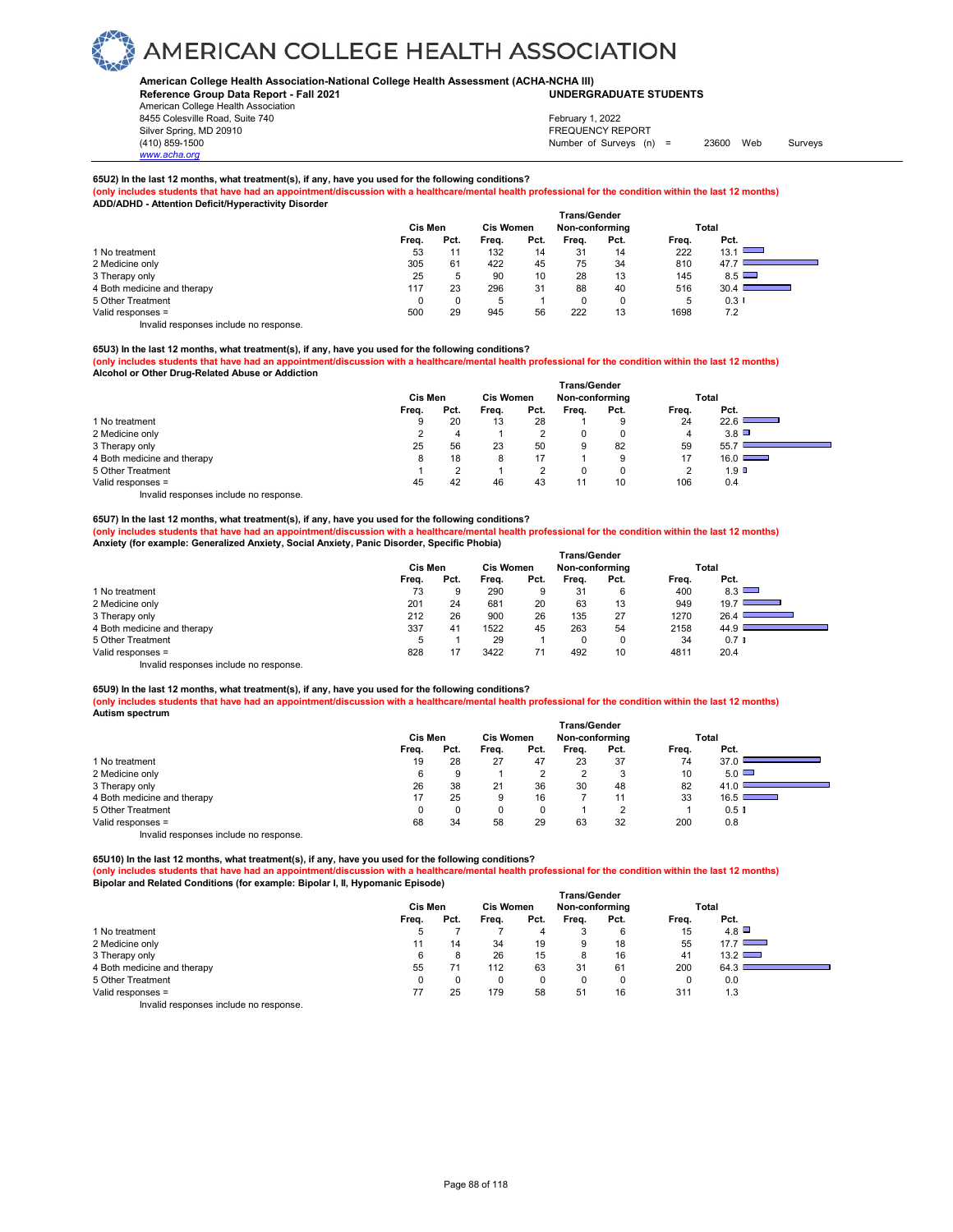## **American College Health Association-National College Health Assessment (ACHA-NCHA III) UNDERGRADUATE STUDENTS**

**Reference Group Data Report - Fall 2021** American College Health Association 8455 Colesville Road, Suite 740

*www.acha.org*

## Silver Spring, MD 20910<br>
1990 - The Spring, MD 20910<br>
1990 - The Survey Structure of Surveys (n) February 1, 2022

Number of Surveys (n) = 23600 Web Surveys

## **65U2) In the last 12 months, what treatment(s), if any, have you used for the following conditions?**

(only includes students that have had an appointment/discussion with a healthcare/mental health professional for the condition within the last 12 months)<br>ADD/ADHD - Attention Deficit/Hyperactivity Disorder

|       |      |         |      |                  |      |                                       | Total    |
|-------|------|---------|------|------------------|------|---------------------------------------|----------|
| Freq. | Pct. | Freq.   | Pct. | Frea.            | Pct. | Freq.                                 | Pct.     |
| 53    |      | 132     | 14   | 31               | 14   | 222                                   | 13.1     |
| 305   | 61   | 422     | 45   | 75               | 34   | 810                                   | 47.7     |
| 25    | 5    | 90      | 10   | 28               | 13   | 145                                   | 8.5      |
| 117   | 23   | 296     | 31   | 88               | 40   | 516                                   | 30.4     |
| 0     |      | 5       |      |                  |      | $\mathbf{b}$                          | $0.3 \;$ |
| 500   | 29   | 945     | 56   | 222              | 13   | 1698                                  | 7.2      |
|       |      | Cis Men |      | <b>Cis Women</b> |      | <b>Trans/Gender</b><br>Non-conforming |          |

Invalid responses include no response.

## **65U3) In the last 12 months, what treatment(s), if any, have you used for the following conditions?**

**(only includes students that have had an appointment/discussion with a healthcare/mental health professional for the condition within the last 12 months) Alcohol or Other Drug-Related Abuse or Addiction**  *<u>Transfering</u>* 

|                                        |         |                  |       |                | ı rans/Gender |          |       |                  |
|----------------------------------------|---------|------------------|-------|----------------|---------------|----------|-------|------------------|
|                                        | Cis Men | <b>Cis Women</b> |       | Non-conforming |               |          | Total |                  |
|                                        | Freq.   | Pct.             | Frea. | Pct.           | Frea.         | Pct.     | Frea. | Pct.             |
| 1 No treatment                         | g       | 20               | 13    | 28             |               | 9        | 24    | 22.6             |
| 2 Medicine only                        |         | 4                |       |                | 0             | 0        | 4     | $3.8\Box$        |
| 3 Therapy only                         | 25      | 56               | 23    | 50             | 9             | 82       | 59    | 55.7             |
| 4 Both medicine and therapy            | 8       | 18               | 8     |                |               | 9        | 17    | $16.0$ $\Box$    |
| 5 Other Treatment                      |         | ົ                |       |                | C             | $\Omega$ | ◠     | 1.9 <sup>°</sup> |
| Valid responses =                      | 45      | 42               | 46    | 43             |               | 10       | 106   | 0.4              |
| Invalid responses include no response. |         |                  |       |                |               |          |       |                  |

## **65U7) In the last 12 months, what treatment(s), if any, have you used for the following conditions?**

**(only includes students that have had an appointment/discussion with a healthcare/mental health professional for the condition within the last 12 months) Anxiety (for example: Generalized Anxiety, Social Anxiety, Panic Disorder, Specific Phobia)** 

|                                        | <b>Trans/Gender</b> |      |                  |      |                |      |       |                      |  |  |
|----------------------------------------|---------------------|------|------------------|------|----------------|------|-------|----------------------|--|--|
|                                        | Cis Men             |      | <b>Cis Women</b> |      | Non-conforming |      |       | Total                |  |  |
|                                        | Frea.               | Pct. | Frea.            | Pct. | Frea.          | Pct. | Frea. | Pct.                 |  |  |
| 1 No treatment                         | 73                  | 9    | 290              | 9    | 31             | 6    | 400   | 8.3                  |  |  |
| 2 Medicine only                        | 201                 | 24   | 681              | 20   | 63             | 13   | 949   | 19.7                 |  |  |
| 3 Therapy only                         | 212                 | 26   | 900              | 26   | 135            | 27   | 1270  | 26.4                 |  |  |
| 4 Both medicine and therapy            | 337                 | 41   | 1522             | 45   | 263            | 54   | 2158  | 44.9                 |  |  |
| 5 Other Treatment                      | 5                   |      | 29               |      | 0              | 0    | 34    | $0.7$ $\blacksquare$ |  |  |
| Valid responses =                      | 828                 | 17   | 3422             |      | 492            | 10   | 4811  | 20.4                 |  |  |
| Invalid responses include no response. |                     |      |                  |      |                |      |       |                      |  |  |

## **65U9) In the last 12 months, what treatment(s), if any, have you used for the following conditions?**

**(only includes students that have had an appointment/discussion with a healthcare/mental health professional for the condition within the last 12 months) Autism spectrum** 

|                                        |         |      |                  |      | Trans/Gender   |      |       |                                                                                                                               |
|----------------------------------------|---------|------|------------------|------|----------------|------|-------|-------------------------------------------------------------------------------------------------------------------------------|
|                                        | Cis Men |      | <b>Cis Women</b> |      | Non-conforming |      |       | Total                                                                                                                         |
|                                        | Freq.   | Pct. | Frea.            | Pct. | Frea.          | Pct. | Freq. | Pct.                                                                                                                          |
| 1 No treatment                         | 19      | 28   | 27               | 47   | 23             | 37   | 74    | 37.0                                                                                                                          |
| 2 Medicine only                        | 6       | 9    |                  |      | ◠              | 3    | 10    | $5.0$ $\Box$                                                                                                                  |
| 3 Therapy only                         | 26      | 38   | 21               | 36   | 30             | 48   | 82    | 41.0                                                                                                                          |
| 4 Both medicine and therapy            | 17      | 25   | 9                | 16   |                | 11   | 33    | 16.5<br><b>Contract Contract Contract Contract Contract Contract Contract Contract Contract Contract Contract Contract Co</b> |
| 5 Other Treatment                      |         |      |                  |      |                | ◠    |       | $0.5$ $\blacksquare$                                                                                                          |
| Valid responses =                      | 68      | 34   | 58               | 29   | 63             | 32   | 200   | 0.8                                                                                                                           |
| Invalid responses include no response. |         |      |                  |      |                |      |       |                                                                                                                               |

**65U10) In the last 12 months, what treatment(s), if any, have you used for the following conditions?**

**(only includes students that have had an appointment/discussion with a healthcare/mental health professional for the condition within the last 12 months) Bipolar and Related Conditions (for example: Bipolar I, II, Hypomanic Episode)** 

|                                           | <b>Trans/Gender</b> |      |                  |      |                |          |       |               |  |  |
|-------------------------------------------|---------------------|------|------------------|------|----------------|----------|-------|---------------|--|--|
|                                           | Cis Men             |      | <b>Cis Women</b> |      | Non-conforming |          | Total |               |  |  |
|                                           | Freq.               | Pct. | Freq.            | Pct. | Freq.          | Pct.     | Freq. | Pct.          |  |  |
| 1 No treatment                            |                     |      |                  |      |                | 6        | 15    | 4.8           |  |  |
| 2 Medicine only                           |                     | 14   | 34               | 19   | 9              | 18       | 55    | 17.7          |  |  |
| 3 Therapy only                            | 6                   |      | 26               | 15   | 8              | 16       | 41    | $13.2$ $\Box$ |  |  |
| 4 Both medicine and therapy               | 55                  |      | 112              | 63   | 31             | 61       | 200   | 64.3          |  |  |
| 5 Other Treatment                         |                     |      | 0                |      |                | $\Omega$ | 0     | 0.0           |  |  |
| Valid responses =                         | 77                  | 25   | 179              | 58   | 51             | 16       | 311   | 1.3           |  |  |
| Initelial reconomers include no reconomer |                     |      |                  |      |                |          |       |               |  |  |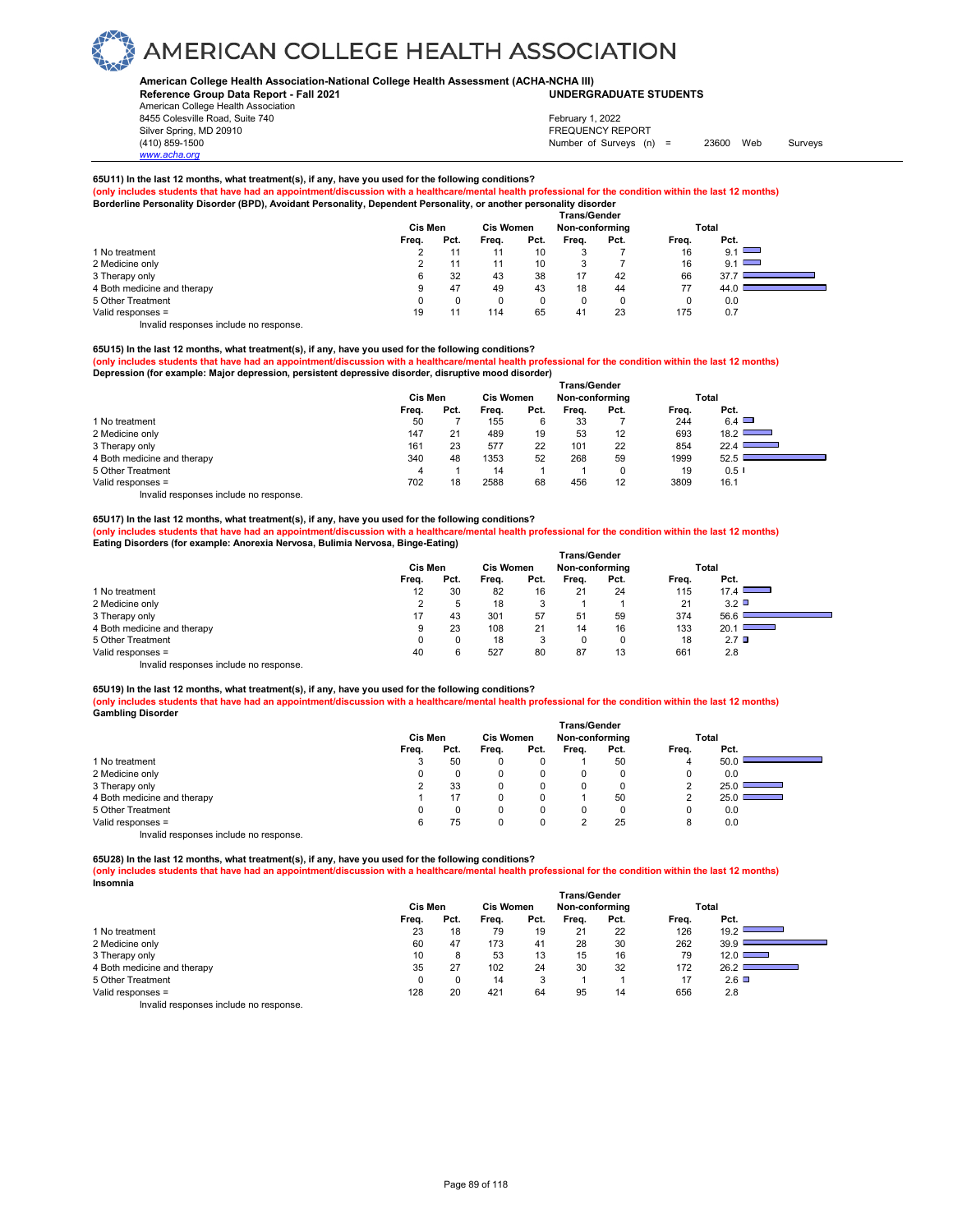## **American College Health Association-National College Health Assessment (ACHA-NCHA III) UNDERGRADUATE STUDENTS**

**Reference Group Data Report - Fall 2021** American College Health Association 8455 Colesville Road, Suite 740

## Silver Spring, MD 20910<br>
1990 - The Spring, MD 20910<br>
1990 - The Survey Structure of Surveys (notation of Surveys (notation of Surveys (notation of Surveys (notati Number of Surveys (n) = 23600 Web Surveys February 1, 2022

## **65U11) In the last 12 months, what treatment(s), if any, have you used for the following conditions?**

(only includes students that have had an appointment/discussion with a healthcare/mental health professional for the condition within the last 12 months)<br>Borderline Personality Disorder (BPD), Avoidant Personality, Depende

| vrderline Personality Disorder (BPD), Avoidant Personality, Dependent Personality, or another personality disorder |  |
|--------------------------------------------------------------------------------------------------------------------|--|
|--------------------------------------------------------------------------------------------------------------------|--|

|                             |         |      |                  |      | <b>Trans/Gender</b> |      |       |            |
|-----------------------------|---------|------|------------------|------|---------------------|------|-------|------------|
|                             | Cis Men |      | <b>Cis Women</b> |      | Non-conforming      |      |       | Total      |
|                             | Freq.   | Pct. | Freq.            | Pct. | Freq.               | Pct. | Freq. | Pct.       |
| 1 No treatment              | ے       |      |                  | 10   |                     |      | 16    | 9.1 $\Box$ |
| 2 Medicine only             |         |      | 11               | 10   |                     |      | 16    | 9.1 $\Box$ |
| 3 Therapy only              |         | 32   | 43               | 38   | 17                  | 42   | 66    | 37.7       |
| 4 Both medicine and therapy |         | 47   | 49               | 43   | 18                  | 44   | 77    | 44.0       |
| 5 Other Treatment           |         |      |                  | u    |                     | 0    | 0     | 0.0        |
| Valid responses =           | 19      |      | 114              | 65   | 41                  | 23   | 175   | 0.7        |

Invalid responses include no response.

*www.acha.org*

## **65U15) In the last 12 months, what treatment(s), if any, have you used for the following conditions?**

**(only includes students that have had an appointment/discussion with a healthcare/mental health professional for the condition within the last 12 months) Depression (for example: Major depression, persistent depressive disorder, disruptive mood disorder)** 

|                                        | <b>Trans/Gender</b> |      |                  |      |                |      |       |                                      |  |  |
|----------------------------------------|---------------------|------|------------------|------|----------------|------|-------|--------------------------------------|--|--|
|                                        | Cis Men             |      | <b>Cis Women</b> |      | Non-conforming |      | Total |                                      |  |  |
|                                        | Freq.               | Pct. | Frea.            | Pct. | Frea.          | Pct. | Frea. | Pct.                                 |  |  |
| 1 No treatment                         | 50                  |      | 155              | 6    | 33             |      | 244   | $6.4$ $\Box$                         |  |  |
| 2 Medicine only                        | 147                 | 21   | 489              | 19   | 53             | 12   | 693   | $18.2$ L<br>$\overline{\phantom{a}}$ |  |  |
| 3 Therapy only                         | 161                 | 23   | 577              | 22   | 101            | 22   | 854   | 22.4                                 |  |  |
| 4 Both medicine and therapy            | 340                 | 48   | 1353             | 52   | 268            | 59   | 1999  | 52.5                                 |  |  |
| 5 Other Treatment                      |                     |      | 14               |      |                |      | 19    | $0.5$ I                              |  |  |
| Valid responses =                      | 702                 | 18   | 2588             | 68   | 456            | 12   | 3809  | 16.1                                 |  |  |
| Invalid responses include no response. |                     |      |                  |      |                |      |       |                                      |  |  |

## **65U17) In the last 12 months, what treatment(s), if any, have you used for the following conditions?**

**(only includes students that have had an appointment/discussion with a healthcare/mental health professional for the condition within the last 12 months) Eating Disorders (for example: Anorexia Nervosa, Bulimia Nervosa, Binge-Eating)** 

|                                        | <b>Trans/Gender</b> |      |                  |      |                |      |       |                                                                                                 |  |  |
|----------------------------------------|---------------------|------|------------------|------|----------------|------|-------|-------------------------------------------------------------------------------------------------|--|--|
|                                        | Cis Men             |      | <b>Cis Women</b> |      | Non-conforming |      |       | Total                                                                                           |  |  |
|                                        | Freq.               | Pct. | Frea.            | Pct. | Frea.          | Pct. | Frea. | Pct.                                                                                            |  |  |
| 1 No treatment                         | 12                  | 30   | 82               | 16   | 21             | 24   | 115   | 17.4                                                                                            |  |  |
| 2 Medicine only                        |                     | 5    | 18               | 3    |                |      | 21    | $3.2$ $\Box$                                                                                    |  |  |
| 3 Therapy only                         | 17                  | 43   | 301              | 57   | 51             | 59   | 374   | 56.6                                                                                            |  |  |
| 4 Both medicine and therapy            | 9                   | 23   | 108              | 21   | 14             | 16   | 133   | 20.1<br>$\mathcal{L}^{\text{max}}_{\text{max}}$ , where $\mathcal{L}^{\text{max}}_{\text{max}}$ |  |  |
| 5 Other Treatment                      | 0                   | 0    | 18               | 3    |                | 0    | 18    | 2.7 <sup>°</sup>                                                                                |  |  |
| Valid responses =                      | 40                  | 6    | 527              | 80   | 87             | 13   | 661   | 2.8                                                                                             |  |  |
| Invalid responses include no response. |                     |      |                  |      |                |      |       |                                                                                                 |  |  |

**65U19) In the last 12 months, what treatment(s), if any, have you used for the following conditions? (only includes students that have had an appointment/discussion with a healthcare/mental health professional for the condition within the last 12 months) Gambling Disorder** 

|                                        |         |      |                  |      | <b>Trans/Gender</b> |          |       |       |
|----------------------------------------|---------|------|------------------|------|---------------------|----------|-------|-------|
|                                        | Cis Men |      | <b>Cis Women</b> |      | Non-conforming      |          |       | Total |
|                                        | Freq.   | Pct. | Freq.            | Pct. | Frea.               | Pct.     | Freq. | Pct.  |
| 1 No treatment                         | 3       | 50   |                  |      |                     | 50       |       | 50.0  |
| 2 Medicine only                        | 0       |      |                  |      | 0                   | 0        |       | 0.0   |
| 3 Therapy only                         |         | 33   |                  |      | 0                   | $\Omega$ |       | 25.0  |
| 4 Both medicine and therapy            |         | 17   |                  |      |                     | 50       |       | 25.0  |
| 5 Other Treatment                      | 0       |      |                  | 0    | 0                   | 0        |       | 0.0   |
| Valid responses =                      | 6       | 75   |                  | 0    |                     | 25       | 8     | 0.0   |
| Invalid responses include no response. |         |      |                  |      |                     |          |       |       |

**65U28) In the last 12 months, what treatment(s), if any, have you used for the following conditions?**

**(only includes students that have had an appointment/discussion with a healthcare/mental health professional for the condition within the last 12 months) Insomnia** 

|                                       | <b>Trans/Gender</b> |      |                  |         |       |                |       |               |  |  |
|---------------------------------------|---------------------|------|------------------|---------|-------|----------------|-------|---------------|--|--|
|                                       | Cis Men             |      | <b>Cis Women</b> |         |       | Non-conforming |       | Total         |  |  |
|                                       | Freq.               | Pct. | Frea.            | Pct.    | Frea. | Pct.           | Freq. | Pct.          |  |  |
| 1 No treatment                        | 23                  | 18   | 79               | 19      | 21    | 22             | 126   | 19.2          |  |  |
| 2 Medicine only                       | 60                  | 47   | 173              | 41      | 28    | 30             | 262   | 39.9          |  |  |
| 3 Therapy only                        | 10                  | 8    | 53               | 13      | 15    | 16             | 79    | $12.0$ $\Box$ |  |  |
| 4 Both medicine and therapy           | 35                  | 27   | 102              | 24      | 30    | 32             | 172   | 26.2          |  |  |
| 5 Other Treatment                     | 0                   |      | 14               | s.<br>o |       |                | 17    | $2.6\Box$     |  |  |
| Valid responses =                     | 128                 | 20   | 421              | 64      | 95    | 14             | 656   | 2.8           |  |  |
| levalid recessors include no recessor |                     |      |                  |         |       |                |       |               |  |  |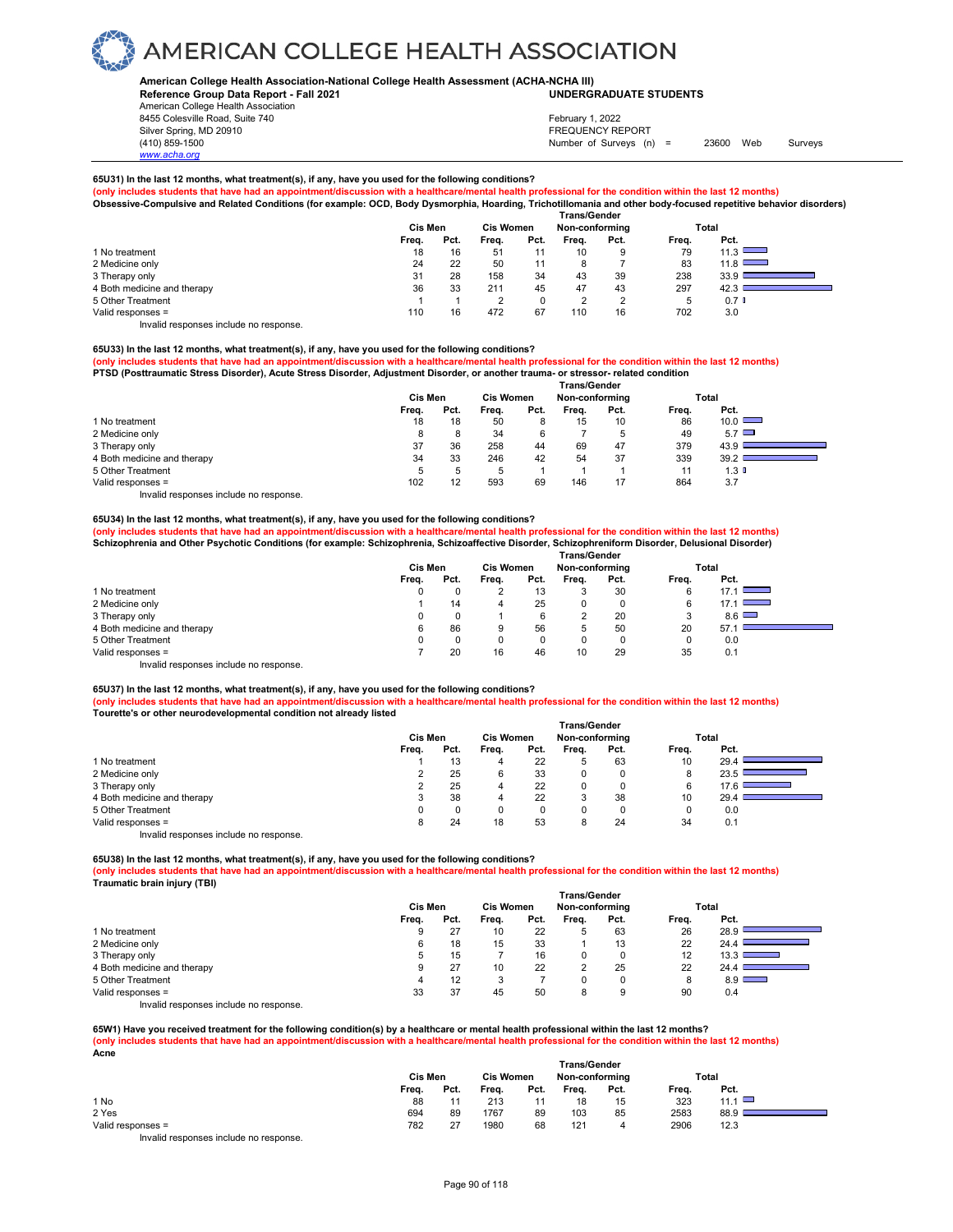### **American College Health Association-National College Health Assessment (ACHA-NCHA III) UNDERGRADUATE STUDENTS**

**Reference Group Data Report - Fall 2021** American College Health Association 8455 Colesville Road, Suite 740

## Silver Spring, MD 20910<br>
1990 - The Spring, MD 20910<br>
1990 - The Survey Structure of Surveys (notation of Surveys (notation of Surveys (notation of Surveys (notati Number of Surveys (n) = 23600 Web Surveys February 1, 2022

## **65U31) In the last 12 months, what treatment(s), if any, have you used for the following conditions?**

**(only includes students that have had an appointment/discussion with a healthcare/mental health professional for the condition within the last 12 months) Obsessive-Compulsive and Related Conditions (for example: OCD, Body Dysmorphia, Hoarding, Trichotillomania and other body-focused repetitive behavior disorders)** 

|                             |       | Cis Men |       | Trans/Gender<br><b>Cis Women</b><br>Non-conforming |       |      |             | Total                                     |
|-----------------------------|-------|---------|-------|----------------------------------------------------|-------|------|-------------|-------------------------------------------|
|                             | Freq. | Pct.    | Freq. | Pct.                                               | Freq. | Pct. | Freq.       | Pct.                                      |
| 1 No treatment              | 18    | 16      | 51    | 11                                                 | 10    | 9    | 79          | 11.3<br>_                                 |
| 2 Medicine only             | 24    | 22      | 50    | 11                                                 |       |      | 83          | 11.8<br><b>Contract Contract Contract</b> |
| 3 Therapy only              | 31    | 28      | 158   | 34                                                 | 43    | 39   | 238         | 33.9                                      |
| 4 Both medicine and therapy | 36    | 33      | 211   | 45                                                 | 47    | 43   | 297         | 42.3                                      |
| 5 Other Treatment           |       |         |       | u                                                  | C     | ◠    | $\mathbf b$ | 0.7 <sub>0</sub>                          |
| Valid responses =           | 110   | 16      | 472   | 67                                                 | 110   | 16   | 702         | 3.0                                       |
|                             |       |         |       |                                                    |       |      |             |                                           |

Invalid responses include no response.

*www.acha.org*

## **65U33) In the last 12 months, what treatment(s), if any, have you used for the following conditions?**

**(only includes students that have had an appointment/discussion with a healthcare/mental health professional for the condition within the last 12 months) PTSD (Posttraumatic Stress Disorder), Acute Stress Disorder, Adjustment Disorder, or another trauma- or stressor- related condition** 

|                                        | <b>Trans/Gender</b> |              |                  |      |                |      |       |              |  |  |
|----------------------------------------|---------------------|--------------|------------------|------|----------------|------|-------|--------------|--|--|
|                                        | Cis Men             |              | <b>Cis Women</b> |      | Non-conforming |      |       | Total        |  |  |
|                                        | Frea.               | Pct.         | Frea.            | Pct. | Frea.          | Pct. | Frea. | Pct.         |  |  |
| 1 No treatment                         | 18                  | 18           | 50               | 8    | 15             | 10   | 86    | 10.0         |  |  |
| 2 Medicine only                        | 8                   | 8            | 34               | 6    |                | 5    | 49    | $5.7$ $\Box$ |  |  |
| 3 Therapy only                         | 37                  | 36           | 258              | 44   | 69             | 47   | 379   | 43.9         |  |  |
| 4 Both medicine and therapy            | 34                  | 33           | 246              | 42   | 54             | 37   | 339   | 39.2         |  |  |
| 5 Other Treatment                      | 5                   | $\mathbf{b}$ | b                |      |                |      | 11    | 1.3 O        |  |  |
| Valid responses =                      | 102                 | 12           | 593              | 69   | 146            | 17   | 864   | 3.7          |  |  |
| Invalid responses include no response. |                     |              |                  |      |                |      |       |              |  |  |

## **65U34) In the last 12 months, what treatment(s), if any, have you used for the following conditions? (only includes students that have had an appointment/discussion with a healthcare/mental health professional for the condition within the last 12 months)** Schizophrenia and Other Psychotic Conditions (for example: Schizophrenia, Schizoaffective Disorder, Schizophreniform Disorder, Delusional Disorder)

|                                        | <b>Trans/Gender</b> |          |                  |      |                |      |       |                                                                                                 |  |  |
|----------------------------------------|---------------------|----------|------------------|------|----------------|------|-------|-------------------------------------------------------------------------------------------------|--|--|
|                                        | Cis Men             |          | <b>Cis Women</b> |      | Non-conforming |      | Total |                                                                                                 |  |  |
|                                        | Freq.               | Pct.     | Freq.            | Pct. | Freq.          | Pct. | Freq. | Pct.                                                                                            |  |  |
| 1 No treatment                         |                     | $\Omega$ |                  | 13   |                | 30   |       | 17.1                                                                                            |  |  |
| 2 Medicine only                        |                     | 14       | 4                | 25   |                | 0    | 6     | 17.1<br>$\mathcal{L}^{\text{max}}_{\text{max}}$ , where $\mathcal{L}^{\text{max}}_{\text{max}}$ |  |  |
| 3 Therapy only                         |                     | 0        |                  | 6    |                | 20   | 3     | $8.6$ $\Box$                                                                                    |  |  |
| 4 Both medicine and therapy            | 6                   | 86       | 9                | 56   |                | 50   | 20    | 57.                                                                                             |  |  |
| 5 Other Treatment                      |                     | 0        | 0                |      |                | 0    |       | 0.0                                                                                             |  |  |
| Valid responses =                      |                     | 20       | 16               | 46   | 10             | 29   | 35    | 0.1                                                                                             |  |  |
| Invalid responses include no response. |                     |          |                  |      |                |      |       |                                                                                                 |  |  |

## **65U37) In the last 12 months, what treatment(s), if any, have you used for the following conditions?**

**(only includes students that have had an appointment/discussion with a healthcare/mental health professional for the condition within the last 12 months) Tourette's or other neurodevelopmental condition not already listed** 

|                                        |       |                |       | <b>Trans/Gender</b> |       |                |       |                           |  |
|----------------------------------------|-------|----------------|-------|---------------------|-------|----------------|-------|---------------------------|--|
|                                        |       | <b>Cis Men</b> |       | <b>Cis Women</b>    |       | Non-conforming |       | Total                     |  |
|                                        | Freq. | Pct.           | Freq. | Pct.                | Frea. | Pct.           | Freq. | Pct.                      |  |
| 1 No treatment                         |       | 13             | 4     | 22                  | 5     | 63             | 10    | 29.4                      |  |
| 2 Medicine only                        |       | 25             | 6     | 33                  | 0     |                | 8     | 23.5                      |  |
| 3 Therapy only                         |       | 25             | 4     | 22                  | 0     |                | 6     | <u> Barbara (Barbara)</u> |  |
| 4 Both medicine and therapy            |       | 38             | 4     | 22                  | 3     | 38             | 10    | 29.4                      |  |
| 5 Other Treatment                      |       |                |       | 0                   | 0     |                |       | 0.0                       |  |
| Valid responses =                      |       | 24             | 18    | 53                  | 8     | 24             | 34    | 0.1                       |  |
| Invalid responses include no response. |       |                |       |                     |       |                |       |                           |  |

**65U38) In the last 12 months, what treatment(s), if any, have you used for the following conditions?**

**(only includes students that have had an appointment/discussion with a healthcare/mental health professional for the condition within the last 12 months) Traumatic brain injury (TBI)** 

|                                        |         |      |                  |      | <b>Trans/Gender</b> |      |       |              |  |
|----------------------------------------|---------|------|------------------|------|---------------------|------|-------|--------------|--|
|                                        | Cis Men |      | <b>Cis Women</b> |      | Non-conforming      |      |       | Total        |  |
|                                        | Freq.   | Pct. | Frea.            | Pct. | Freq.               | Pct. | Freq. | Pct.         |  |
| 1 No treatment                         | 9       | 27   | 10               | 22   | 5                   | 63   | 26    | 28.9         |  |
| 2 Medicine only                        | 6       | 18   | 15               | 33   |                     | 13   | 22    | 24.4         |  |
| 3 Therapy only                         | 5       | 15   |                  | 16   | 0                   | 0    | 12    | 13.3         |  |
| 4 Both medicine and therapy            | 9       | 27   | 10               | 22   | 2                   | 25   | 22    | 24.4         |  |
| 5 Other Treatment                      | 4       | 12   | 3                |      |                     | 0    |       | $8.9$ $\Box$ |  |
| Valid responses =                      | 33      | 37   | 45               | 50   | 8                   | 9    | 90    | 0.4          |  |
| Invalid responses include no response. |         |      |                  |      |                     |      |       |              |  |

**65W1) Have you received treatment for the following condition(s) by a healthcare or mental health professional within the last 12 months? (only includes students that have had an appointment/discussion with a healthcare/mental health professional for the condition within the last 12 months) Acne** 

|                                                                        |         |      |                  |      | <b>Trans/Gender</b> |      |       |             |  |
|------------------------------------------------------------------------|---------|------|------------------|------|---------------------|------|-------|-------------|--|
|                                                                        | Cis Men |      | <b>Cis Women</b> |      | Non-conforming      |      | Total |             |  |
|                                                                        | Freq.   | Pct. | Freq.            | Pct. | Frea.               | Pct. | Freq. | Pct.        |  |
| 1 No                                                                   | 88      |      | 213              | 11   | 18                  | 15   | 323   | 11.1 $\Box$ |  |
| 2 Yes                                                                  | 694     | 89   | 1767             | 89   | 103                 | 85   | 2583  | 88.9        |  |
| Valid responses =                                                      | 782     | 27   | 1980             | 68   | 121                 | 4    | 2906  | 12.3        |  |
| The control to a process of the control of the process of the process. |         |      |                  |      |                     |      |       |             |  |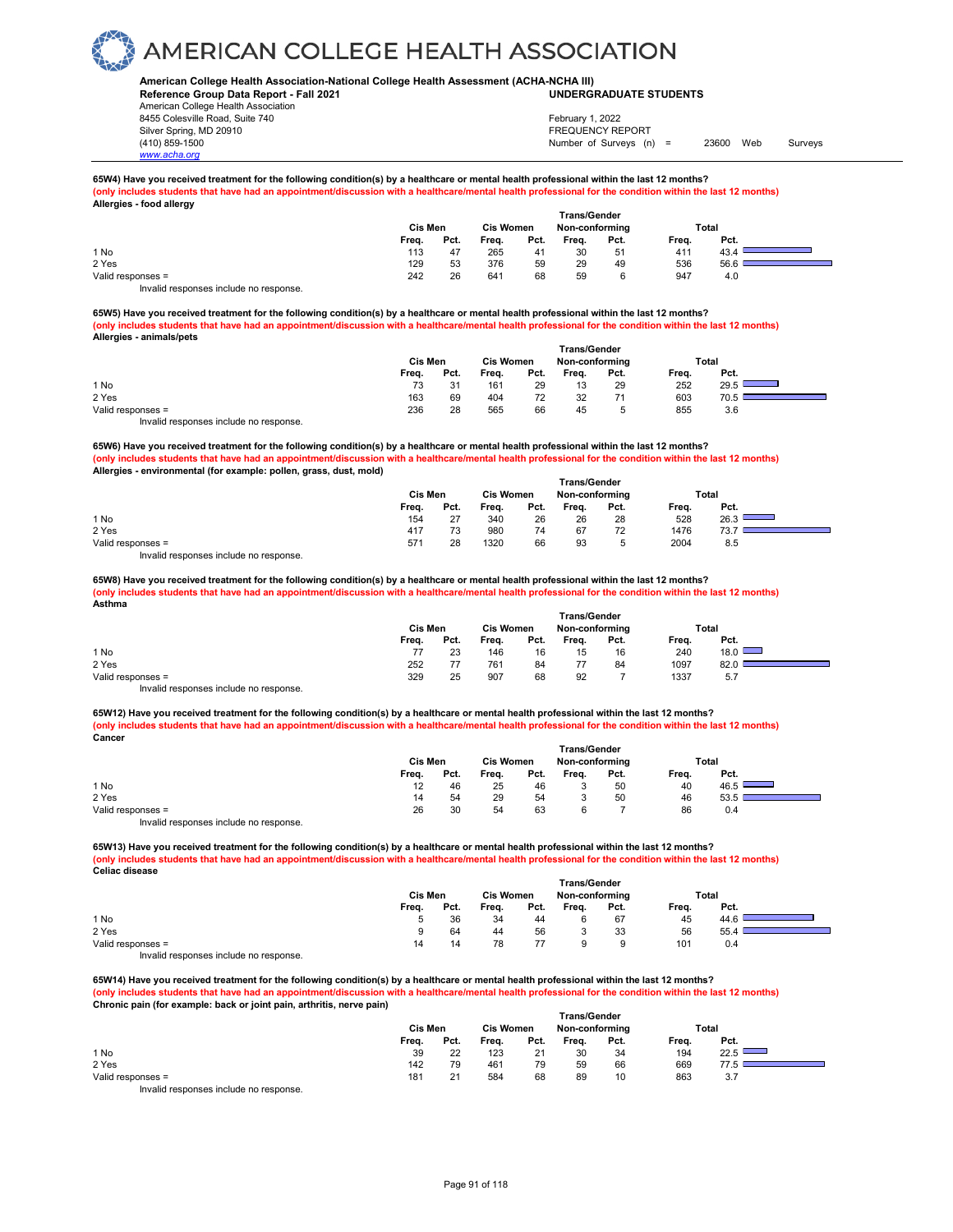### **American College Health Association-National College Health Assessment (ACHA-NCHA III) UNDERGRADUATE STUDENTS**

**Reference Group Data Report - Fall 2021** American College Health Association 8455 Colesville Road, Suite 740 Silver Spring, MD 20910<br>
1990 - The Spring, MD 20910<br>
1990 - The Survey Structure of Surveys (notation of Surveys (notation of Surveys (notation of Surveys (notati

*www.acha.org*

## Number of Surveys (n) = 23600 Web Surveys February 1, 2022

#### **65W4) Have you received treatment for the following condition(s) by a healthcare or mental health professional within the last 12 months?** (only includes students that have had an appointment/discussion with a healthcare/mental health professional for the condition within the last 12 months) **Allergies - food allergy**

|                                        |       | Cis Men |       | <b>Cis Women</b> |       | <b>Trans/Gender</b><br>Non-conforming |       | Total |  |
|----------------------------------------|-------|---------|-------|------------------|-------|---------------------------------------|-------|-------|--|
|                                        | Freq. | Pct.    | Freq. | Pct.             | Freq. | Pct.                                  | Frea. | Pct.  |  |
| 1 No                                   | 113   | 47      | 265   | 41               | 30    | 51                                    | 411   | 43.4  |  |
| 2 Yes                                  | 129   | 53      | 376   | 59               | 29    | 49                                    | 536   | 56.6  |  |
| Valid responses =                      | 242   | 26      | 641   | 68               | 59    |                                       | 947   | 4.0   |  |
| Invalid responses include no response. |       |         |       |                  |       |                                       |       |       |  |

**65W5) Have you received treatment for the following condition(s) by a healthcare or mental health professional within the last 12 months? (only includes students that have had an appointment/discussion with a healthcare/mental health professional for the condition within the last 12 months) Allergies - animals/pets** 

|                                        |         |      |                  |      | <b>Trans/Gender</b> |      |       |                                                                                                                                 |  |
|----------------------------------------|---------|------|------------------|------|---------------------|------|-------|---------------------------------------------------------------------------------------------------------------------------------|--|
|                                        | Cis Men |      | <b>Cis Women</b> |      | Non-conforming      |      | Total |                                                                                                                                 |  |
|                                        | Freq.   | Pct. | Freq.            | Pct. | Frea.               | Pct. | Freq. | Pct.                                                                                                                            |  |
| 1 No                                   | 73      | 31   | 161              | 29   | 13                  | 29   | 252   | 29.5<br>$\mathcal{L}(\mathcal{L})$ and $\mathcal{L}(\mathcal{L})$ and $\mathcal{L}(\mathcal{L})$ and $\mathcal{L}(\mathcal{L})$ |  |
| 2 Yes                                  | 163     | 69   | 404              | 72   | 32                  |      | 603   | 70.5                                                                                                                            |  |
| Valid responses =                      | 236     | 28   | 565              | 66   | 45                  | 5    | 855   | 3.6                                                                                                                             |  |
| Invalid responses include no response. |         |      |                  |      |                     |      |       |                                                                                                                                 |  |

**65W6) Have you received treatment for the following condition(s) by a healthcare or mental health professional within the last 12 months? (only includes students that have had an appointment/discussion with a healthcare/mental health professional for the condition within the last 12 months) Allergies - environmental (for example: pollen, grass, dust, mold) Trans/Gender**

|                                        |         |      |                  |      | ı rans/Gender  |              |       |      |  |  |  |  |  |  |
|----------------------------------------|---------|------|------------------|------|----------------|--------------|-------|------|--|--|--|--|--|--|
|                                        | Cis Men |      | <b>Cis Women</b> |      | Non-conforming |              | Total |      |  |  |  |  |  |  |
|                                        | Freq.   | Pct. | Freq.            | Pct. | Freq.          | Pct.         | Freq. | Pct. |  |  |  |  |  |  |
| 1 No                                   | 154     | 27   | 340              | 26   | 26             | 28           | 528   | 26.3 |  |  |  |  |  |  |
| 2 Yes                                  | 417     |      | 980              | 74   | 67             | 72           | 1476  | 73.  |  |  |  |  |  |  |
| Valid responses =                      | 571     | 28   | 1320             | 66   | 93             | <sub>5</sub> | 2004  | 8.5  |  |  |  |  |  |  |
| Invalid responses include no response. |         |      |                  |      |                |              |       |      |  |  |  |  |  |  |

**65W8) Have you received treatment for the following condition(s) by a healthcare or mental health professional within the last 12 months?**

**(only includes students that have had an appointment/discussion with a healthcare/mental health professional for the condition within the last 12 months) Asthma**

|                                        |         |      |                  |      | <b>Trans/Gender</b> |      |       |               |  |
|----------------------------------------|---------|------|------------------|------|---------------------|------|-------|---------------|--|
|                                        | Cis Men |      | <b>Cis Women</b> |      | Non-conforming      |      | Total |               |  |
|                                        | Freq.   | Pct. | Freq.            | Pct. | Freq.               | Pct. | Freq. | Pct.          |  |
| 1 No                                   |         | 23   | 146              | 16   | 15                  | 16   | 240   | $18.0$ $\Box$ |  |
| 2 Yes                                  | 252     |      | 761              | 84   |                     | 84   | 1097  | 82.0          |  |
| Valid responses =                      | 329     | 25   | 907              | 68   | 92                  |      | 1337  | 5.7           |  |
| Invalid responses include no response. |         |      |                  |      |                     |      |       |               |  |

65W12) Have you received treatment for the following condition(s) by a healthcare or mental health professional within the last 12 months? **(only includes students that have had an appointment/discussion with a healthcare/mental health professional for the condition within the last 12 months) Cancer**

|                                                                           | Cis Men |      | <b>Cis Women</b> |      | Non-conforming |      | Total |      |  |
|---------------------------------------------------------------------------|---------|------|------------------|------|----------------|------|-------|------|--|
|                                                                           | Freq.   | Pct. | Freq.            | Pct. | Freq.          | Pct. | Freq. | Pct. |  |
| 1 No                                                                      | 12      | 46   | 25               | 46   | ັ              | 50   | 40    | 46.5 |  |
| 2 Yes                                                                     | 14      | 54   | 29               | 54   |                | 50   | 46    | 53.5 |  |
| Valid responses =                                                         | 26      | 30   | 54               | 63   |                |      | 86    | 0.4  |  |
| the control theory is a structure that the collection of the state of the |         |      |                  |      |                |      |       |      |  |

Invalid responses include no response.

**65W13) Have you received treatment for the following condition(s) by a healthcare or mental health professional within the last 12 months?** (only includes students that have had an appointment/discussion with a healthcare/mental health professional for the condition within the last 12 months) **Celiac disease** 

|                                       |       |         |       |                  | <b>Trans/Gender</b> |                |       |       |  |
|---------------------------------------|-------|---------|-------|------------------|---------------------|----------------|-------|-------|--|
|                                       |       | Cis Men |       | <b>Cis Women</b> |                     | Non-conforming |       | Total |  |
|                                       | Freq. | Pct.    | Freq. | Pct.             | Freq.               | Pct.           | Freq. | Pct.  |  |
| 1 No                                  |       | 36      | 34    | 44               |                     | 67             | 45    | 44.6  |  |
| 2 Yes                                 |       | 64      | 44    | 56               |                     | 33             | 56    | 55.4  |  |
| Valid responses =                     | 14    | 14      | 78    | 77               |                     |                | 101   | 0.4   |  |
| laughid seepenees include ne seepenee |       |         |       |                  |                     |                |       |       |  |

Invalid responses include no response.

**65W14) Have you received treatment for the following condition(s) by a healthcare or mental health professional within the last 12 months? (only includes students that have had an appointment/discussion with a healthcare/mental health professional for the condition within the last 12 months) Chronic pain (for example: back or joint pain, arthritis, nerve pain) Trans/Gender**

|                                         |         |      |                  | <b>Hans</b> Ochuci |                |      |       |                                                                                                                               |  |
|-----------------------------------------|---------|------|------------------|--------------------|----------------|------|-------|-------------------------------------------------------------------------------------------------------------------------------|--|
|                                         | Cis Men |      | <b>Cis Women</b> |                    | Non-conforming |      |       | Total                                                                                                                         |  |
|                                         | Freq.   | Pct. | Freq.            | Pct.               | Freq.          | Pct. | Freq. | Pct.                                                                                                                          |  |
| 1 No                                    | 39      | 22   | 123              | 21                 | 30             | 34   | 194   | 22.5<br><b>Contract Contract Contract Contract Contract Contract Contract Contract Contract Contract Contract Contract Co</b> |  |
| 2 Yes                                   | 142     | 79   | 461              | 79                 | 59             | 66   | 669   |                                                                                                                               |  |
| Valid responses =                       | 181     | 21   | 584              | 68                 | 89             | 10   | 863   | 3.7                                                                                                                           |  |
| Involid recononces include no recononce |         |      |                  |                    |                |      |       |                                                                                                                               |  |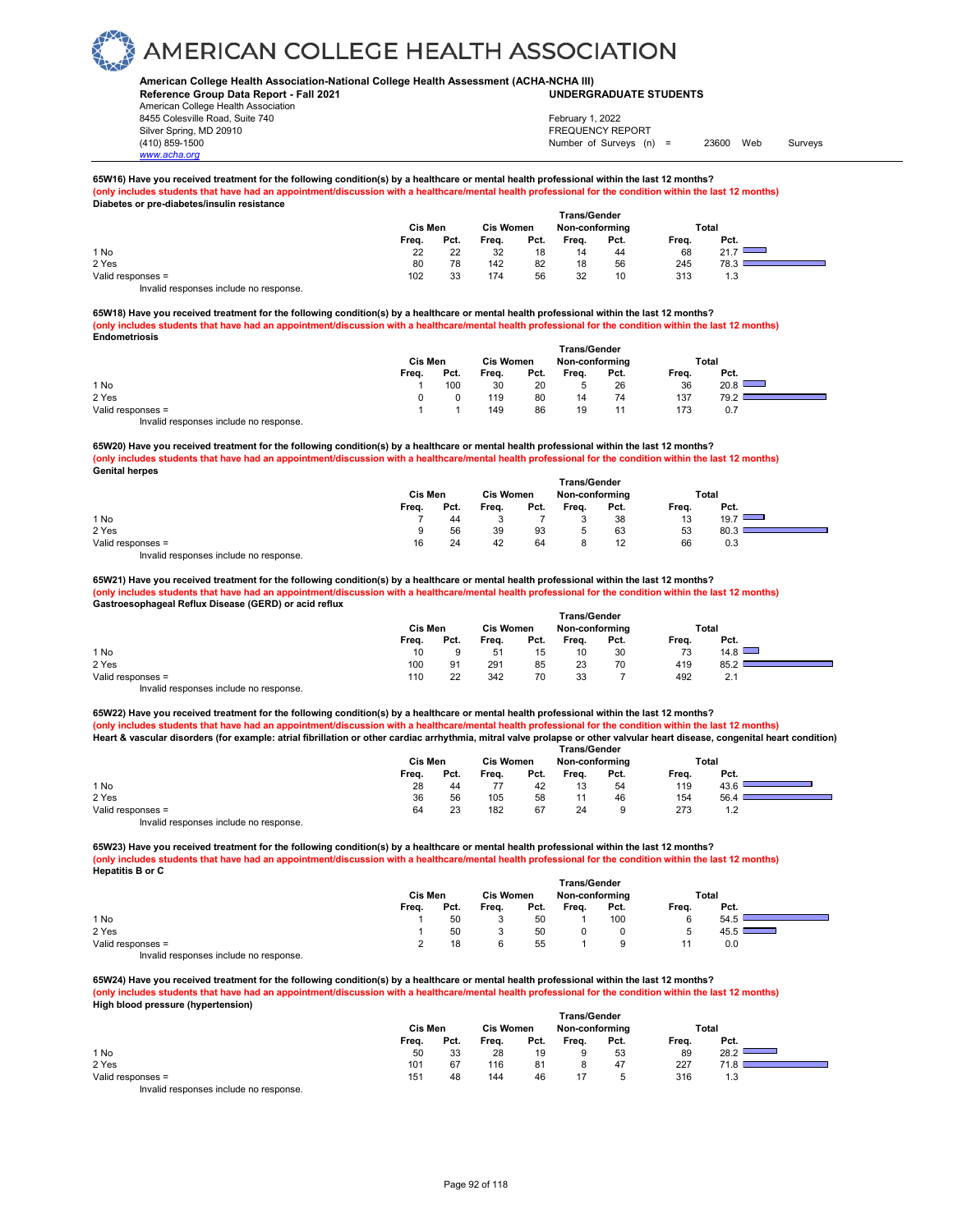### **American College Health Association-National College Health Assessment (ACHA-NCHA III) UNDERGRADUATE STUDENTS**

**Reference Group Data Report - Fall 2021** American College Health Association 8455 Colesville Road, Suite 740 Silver Spring, MD 20910<br>
1990 - The Spring, MD 20910<br>
1990 - The Survey Structure of Surveys (notation of Surveys (notation of Surveys (notation of Surveys (notati

*www.acha.org*

## Number of Surveys (n) = 23600 Web Surveys February 1, 2022

#### **65W16) Have you received treatment for the following condition(s) by a healthcare or mental health professional within the last 12 months? (only includes students that have had an appointment/discussion with a healthcare/mental health professional for the condition within the last 12 months) Diabetes or pre-diabetes/insulin resistance**

|                                        | Cis Men |      | <b>Cis Women</b> |      | <b>Trans/Gender</b><br>Non-conforming |      | Total |      |  |
|----------------------------------------|---------|------|------------------|------|---------------------------------------|------|-------|------|--|
|                                        | Freq.   | Pct. | Frea.            | Pct. | Frea.                                 | Pct. | Frea. | Pct. |  |
| 1 No                                   | 22      | 22   | 32               | 18   | 14                                    | 44   | 68    | 21.7 |  |
| 2 Yes                                  | 80      | 78   | 142              | 82   | 18                                    | 56   | 245   | 78.3 |  |
| Valid responses =                      | 102     | 33   | 174              | 56   | 32                                    | 10   | 313   | 1.3  |  |
| Invalid responses include no response. |         |      |                  |      |                                       |      |       |      |  |

**65W18) Have you received treatment for the following condition(s) by a healthcare or mental health professional within the last 12 months? (only includes students that have had an appointment/discussion with a healthcare/mental health professional for the condition within the last 12 months) Endometriosis**

|                                           |         | <b>Trans/Gender</b> |                  |      |                |      |       |      |  |
|-------------------------------------------|---------|---------------------|------------------|------|----------------|------|-------|------|--|
|                                           | Cis Men |                     | <b>Cis Women</b> |      | Non-conforming |      | Total |      |  |
|                                           | Frea.   | Pct.                | Freq.            | Pct. | Freq.          | Pct. | Freq. | Pct. |  |
| 1 No                                      |         | 100                 | 30               | 20   |                | 26   | 36    | 20.8 |  |
| 2 Yes                                     |         |                     | 119              | 80   | 14             | 74   | 137   | 79.2 |  |
| Valid responses =                         |         |                     | 149              | 86   | 19             | 11   | 173   | 0.7  |  |
| Initelial reconomers include no reconomer |         |                     |                  |      |                |      |       |      |  |

Invalid responses include no response.

**65W20) Have you received treatment for the following condition(s) by a healthcare or mental health professional within the last 12 months? (only includes students that have had an appointment/discussion with a healthcare/mental health professional for the condition within the last 12 months) Genital herpes Trans/Gender**

|                                        |         |      |                  |      | ı rans/Gender  |      |       |      |  |
|----------------------------------------|---------|------|------------------|------|----------------|------|-------|------|--|
|                                        | Cis Men |      | <b>Cis Women</b> |      | Non-conforming |      | Total |      |  |
|                                        | Freq.   | Pct. | Freq.            | Pct. | Frea.          | Pct. | Freq. | Pct. |  |
| 1 No                                   |         | 44   |                  |      |                | 38   | 13    | 19.7 |  |
| 2 Yes                                  |         | 56   | 39               | 93   |                | 63   | 53    | 80.3 |  |
| Valid responses =                      | 16      | 24   | 42               | 64   |                |      | 66    | 0.3  |  |
| Invalid responses include no response. |         |      |                  |      |                |      |       |      |  |

**65W21) Have you received treatment for the following condition(s) by a healthcare or mental health professional within the last 12 months? (only includes students that have had an appointment/discussion with a healthcare/mental health professional for the condition within the last 12 months) Gastroesophageal Reflux Disease (GERD) or acid reflux** 

|                                        | <b>Trans/Gender</b> |      |                  |      |                |      |       |      |  |
|----------------------------------------|---------------------|------|------------------|------|----------------|------|-------|------|--|
|                                        | Cis Men             |      | <b>Cis Women</b> |      | Non-conforming |      | Total |      |  |
|                                        | Freq.               | Pct. | Freq.            | Pct. | Freq.          | Pct. | Freq. | Pct. |  |
| 1 No                                   | 10                  |      | 51               | 15   | 10             | 30   | 73    | 14.8 |  |
| 2 Yes                                  | 100                 | 91   | 291              | 85   | 23             | 70   | 419   | 85.2 |  |
| Valid responses =                      | 110                 | 22   | 342              | 70   | 33             |      | 492   | 2.1  |  |
| Invalid responses include no response. |                     |      |                  |      |                |      |       |      |  |

65W22) Have you received treatment for the following condition(s) by a healthcare or mental health professional within the last 12 months? **(only includes students that have had an appointment/discussion with a healthcare/mental health professional for the condition within the last 12 months) Heart & vascular disorders (for example: atrial fibrillation or other cardiac arrhythmia, mitral valve prolapse or other valvular heart disease, congenital heart condition)** 

|                                        | <b>Trans/Gender</b> |      |                  |      |                |      |       |      |  |
|----------------------------------------|---------------------|------|------------------|------|----------------|------|-------|------|--|
|                                        | Cis Men             |      | <b>Cis Women</b> |      | Non-conforming |      | Total |      |  |
|                                        | Frea.               | Pct. | Freq.            | Pct. | Frea.          | Pct. | Frea. | Pct. |  |
| 1 No                                   | 28                  | 44   |                  | 42   | 13             | 54   | 119   | 43.6 |  |
| 2 Yes                                  | 36                  | 56   | 105              | 58   |                | 46   | 154   | 56.4 |  |
| Valid responses =                      | 64                  | 23   | 182              | 67   | 24             | 9    | 273   | 1.2  |  |
| Invalid responses include no response. |                     |      |                  |      |                |      |       |      |  |

**65W23) Have you received treatment for the following condition(s) by a healthcare or mental health professional within the last 12 months?** (only includes students that have had an appointment/discussion with a healthcare/mental health professional for the condition within the last 12 months) **Hepatitis B or C** 

|                                        | <b>Trans/Gender</b> |      |                  |      |                |      |       |       |
|----------------------------------------|---------------------|------|------------------|------|----------------|------|-------|-------|
|                                        | Cis Men             |      | <b>Cis Women</b> |      | Non-conforming |      |       | Total |
|                                        | Freq.               | Pct. | Freq.            | Pct. | Frea.          | Pct. | Freq. | Pct.  |
| 1 No                                   |                     | 50   |                  | 50   |                | 100  | 6     | 54.5  |
| 2 Yes                                  |                     | 50   |                  | 50   |                |      | 5     | 45.5  |
| Valid responses =                      |                     | 18   |                  | 55   |                | 9    |       | 0.0   |
| Invalid responses include no response. |                     |      |                  |      |                |      |       |       |

**65W24) Have you received treatment for the following condition(s) by a healthcare or mental health professional within the last 12 months? (only includes students that have had an appointment/discussion with a healthcare/mental health professional for the condition within the last 12 months) High blood pressure (hypertension) Trans/Gender**

|                                       |         |      |                  |      | ı rans/Gender  |      |       |             |  |
|---------------------------------------|---------|------|------------------|------|----------------|------|-------|-------------|--|
|                                       | Cis Men |      | <b>Cis Women</b> |      | Non-conforming |      | Total |             |  |
|                                       | Frea.   | Pct. | Freq.            | Pct. | Frea.          | Pct. | Freq. | Pct.        |  |
| 1 No                                  | 50      | 33   | 28               | 19   |                | 53   | 89    | 28.2        |  |
| 2 Yes                                 | 101     | 67   | 116              | 81   |                | 47   | 227   | <b>71.8</b> |  |
| Valid responses =                     | 151     | 48   | 144              | 46   |                |      | 316   | 1.3         |  |
| lauglid responses include no response |         |      |                  |      |                |      |       |             |  |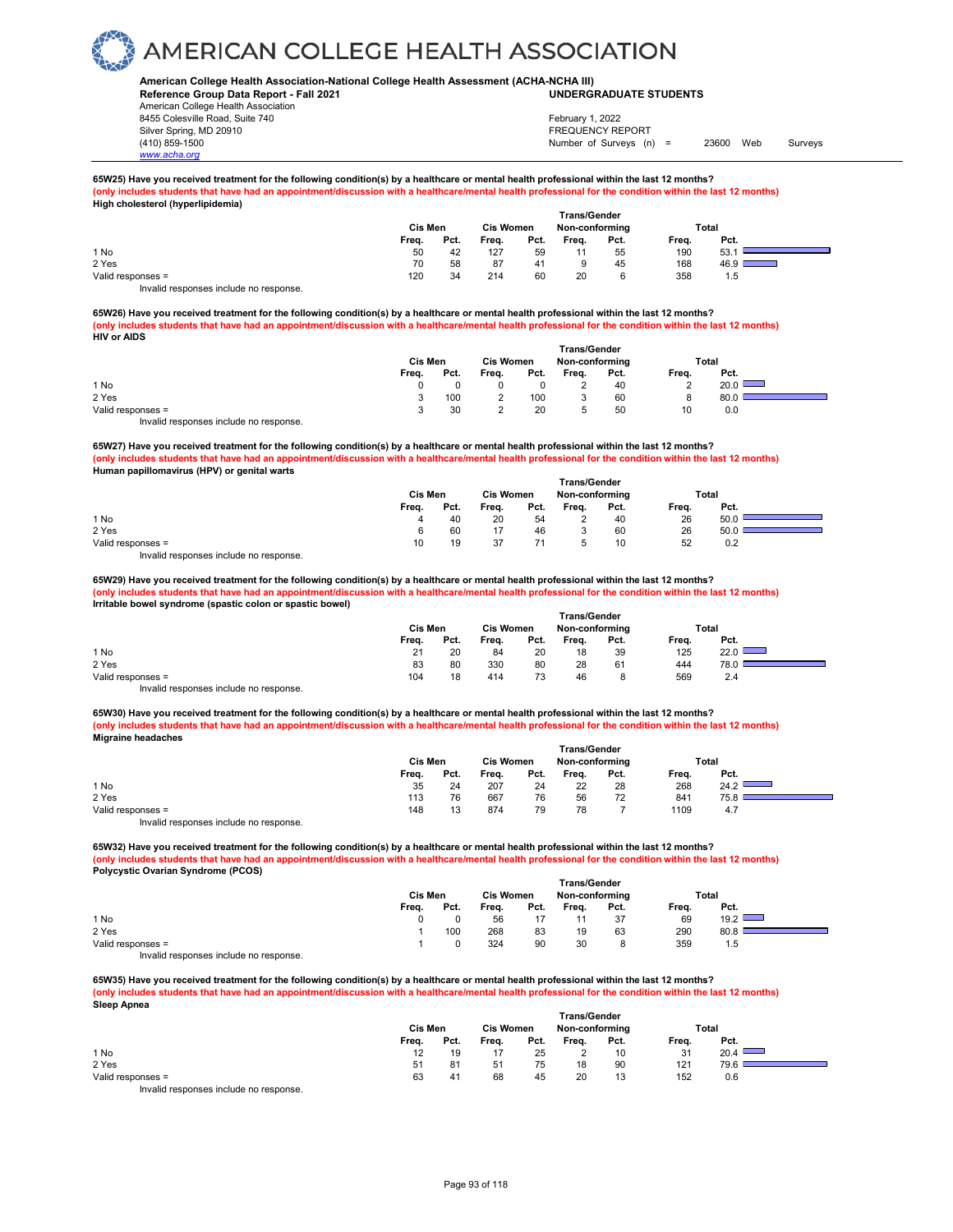### **American College Health Association-National College Health Assessment (ACHA-NCHA III) UNDERGRADUATE STUDENTS**

**Reference Group Data Report - Fall 2021** American College Health Association 8455 Colesville Road, Suite 740 Silver Spring, MD 20910<br>
1990 - The Spring, MD 20910<br>
1990 - The Survey Structure of Surveys (notation of Surveys (notation of Surveys (notation of Surveys (notati

*www.acha.org*

## Number of Surveys (n) = 23600 Web Surveys February 1, 2022

#### **65W25) Have you received treatment for the following condition(s) by a healthcare or mental health professional within the last 12 months?** (only includes students that have had an appointment/discussion with a healthcare/mental health professional for the condition within the last 12 months) **High cholesterol (hyperlipidemia)**

|                                        | Cis Men |      | <b>Cis Women</b> |      | <b>Trans/Gender</b><br>Non-conforming |      |       | Total                                                                                                                        |
|----------------------------------------|---------|------|------------------|------|---------------------------------------|------|-------|------------------------------------------------------------------------------------------------------------------------------|
|                                        | Freq.   | Pct. | Freq.            | Pct. | Freq.                                 | Pct. | Freq. | Pct.                                                                                                                         |
| 1 No                                   | 50      | 42   | 127              | 59   |                                       | 55   | 190   | 53.                                                                                                                          |
| 2 Yes                                  | 70      | 58   | 87               | 41   |                                       | 45   | 168   | 46.9<br><b>STATE OF STATE OF STATE OF STATE OF STATE OF STATE OF STATE OF STATE OF STATE OF STATE OF STATE OF STATE OF S</b> |
| Valid responses =                      | 120     | 34   | 214              | 60   | 20                                    |      | 358   | 1.5                                                                                                                          |
| Invalid responses include no response. |         |      |                  |      |                                       |      |       |                                                                                                                              |

**65W26) Have you received treatment for the following condition(s) by a healthcare or mental health professional within the last 12 months? (only includes students that have had an appointment/discussion with a healthcare/mental health professional for the condition within the last 12 months) HIV or AIDS** 

|                                        |         |      |                  |      |                | <b>Trans/Gender</b> |       |      |  |
|----------------------------------------|---------|------|------------------|------|----------------|---------------------|-------|------|--|
|                                        | Cis Men |      | <b>Cis Women</b> |      | Non-conforming |                     | Total |      |  |
|                                        | Freq.   | Pct. | Freq.            | Pct. | Frea.          | Pct.                | Freq. | Pct. |  |
| 1 No                                   |         |      |                  |      |                | 40                  | ∼     | 20.0 |  |
| 2 Yes                                  |         | 100  |                  | 100  |                | 60                  | o     | 80.0 |  |
| Valid responses =                      |         | 30   |                  | 20   |                | 50                  | 10    | 0.0  |  |
| Invalid responses include no response. |         |      |                  |      |                |                     |       |      |  |

**65W27) Have you received treatment for the following condition(s) by a healthcare or mental health professional within the last 12 months? (only includes students that have had an appointment/discussion with a healthcare/mental health professional for the condition within the last 12 months) Human papillomavirus (HPV) or genital warts Trans/Gender**

|                                        |         |      |                  | ı rans/Gender |                |      |       |      |  |
|----------------------------------------|---------|------|------------------|---------------|----------------|------|-------|------|--|
|                                        | Cis Men |      | <b>Cis Women</b> |               | Non-conforming |      | Total |      |  |
|                                        | Freq.   | Pct. | Freq.            | Pct.          | Freq.          | Pct. | Freq. | Pct. |  |
| 1 No                                   | 4       | 40   | 20               | 54            | <u>.</u>       | 40   | 26    | 50.0 |  |
| 2 Yes                                  | 6       | 60   |                  | 46            |                | 60   | 26    | 50.0 |  |
| Valid responses =                      | 10      | 19   | 37               |               |                | 10   | 52    | 0.2  |  |
| Invalid responses include no response. |         |      |                  |               |                |      |       |      |  |

**65W29) Have you received treatment for the following condition(s) by a healthcare or mental health professional within the last 12 months? (only includes students that have had an appointment/discussion with a healthcare/mental health professional for the condition within the last 12 months) Irritable bowel syndrome (spastic colon or spastic bowel)** 

|                                        | Trans/Gender |      |                  |      |                |      |       |      |  |
|----------------------------------------|--------------|------|------------------|------|----------------|------|-------|------|--|
|                                        | Cis Men      |      | <b>Cis Women</b> |      | Non-conforming |      | Total |      |  |
|                                        | Freq.        | Pct. | Freq.            | Pct. | Frea.          | Pct. | Freq. | Pct. |  |
| 1 No                                   | 21           | 20   | 84               | 20   | 18             | 39   | 125   | 22.0 |  |
| 2 Yes                                  | 83           | 80   | 330              | 80   | 28             | 61   | 444   | 78.0 |  |
| Valid responses =                      | 104          | 18   | 414              | 73   | 46             |      | 569   | 2.4  |  |
| Invalid responses include no response. |              |      |                  |      |                |      |       |      |  |

65W30) Have you received treatment for the following condition(s) by a healthcare or mental health professional within the last 12 months? **(only includes students that have had an appointment/discussion with a healthcare/mental health professional for the condition within the last 12 months) Migraine headaches** 

|                                        | <b>Trans/Gender</b> |      |                  |      |                |      |       |      |  |
|----------------------------------------|---------------------|------|------------------|------|----------------|------|-------|------|--|
|                                        | <b>Cis Men</b>      |      | <b>Cis Women</b> |      | Non-conforming |      | Total |      |  |
|                                        | Freq.               | Pct. | Freq.            | Pct. | Freq.          | Pct. | Freq. | Pct. |  |
| 1 No                                   | 35                  | 24   | 207              | 24   | 22             | 28   | 268   | 24.2 |  |
| 2 Yes                                  | 113                 | 76   | 667              | 76   | 56             | 72   | 841   | 75.8 |  |
| Valid responses =                      | 148                 | 13   | 874              | 79   | 78             |      | 1109  | 4.7  |  |
| Invalid responses include no response. |                     |      |                  |      |                |      |       |      |  |

**65W32) Have you received treatment for the following condition(s) by a healthcare or mental health professional within the last 12 months?** (only includes students that have had an appointment/discussion with a healthcare/mental health professional for the condition within the last 12 months) **Polycystic Ovarian Syndrome (PCOS)**

|                                        | <b>Trans/Gender</b> |      |                  |      |                |      |       |      |  |
|----------------------------------------|---------------------|------|------------------|------|----------------|------|-------|------|--|
|                                        | Cis Men             |      | <b>Cis Women</b> |      | Non-conforming |      | Total |      |  |
|                                        | Freq.               | Pct. | Freq.            | Pct. | Frea.          | Pct. | Freq. | Pct. |  |
| 1 No                                   |                     |      | 56               |      |                | 37   | 69    | 19.2 |  |
| 2 Yes                                  |                     | 100  | 268              | 83   | 19             | 63   | 290   | 80.8 |  |
| Valid responses =                      |                     |      | 324              | 90   | 30             |      | 359   | 1.5  |  |
| Invalid responses include no response. |                     |      |                  |      |                |      |       |      |  |

**65W35) Have you received treatment for the following condition(s) by a healthcare or mental health professional within the last 12 months? (only includes students that have had an appointment/discussion with a healthcare/mental health professional for the condition within the last 12 months) Sleep Apnea Trans/Gender**

|                                       |                |      |                  | ı rans/Gender |                |      |       |      |  |
|---------------------------------------|----------------|------|------------------|---------------|----------------|------|-------|------|--|
|                                       | <b>Cis Men</b> |      | <b>Cis Women</b> |               | Non-conforming |      | Total |      |  |
|                                       | Frea.          | Pct. | Freq.            | Pct.          | Freq.          | Pct. | Freq. | Pct. |  |
| 1 No                                  | 12             | 19   |                  | 25            |                | 10   | 31    | 20.4 |  |
| 2 Yes                                 | 51             | 81   | 51               | 75            | 18             | 90   | 121   | 79.6 |  |
| Valid responses =                     | 63             | 41   | 68               | 45            | 20             | 13   | 152   | 0.6  |  |
| Involid recnonces include no recnonse |                |      |                  |               |                |      |       |      |  |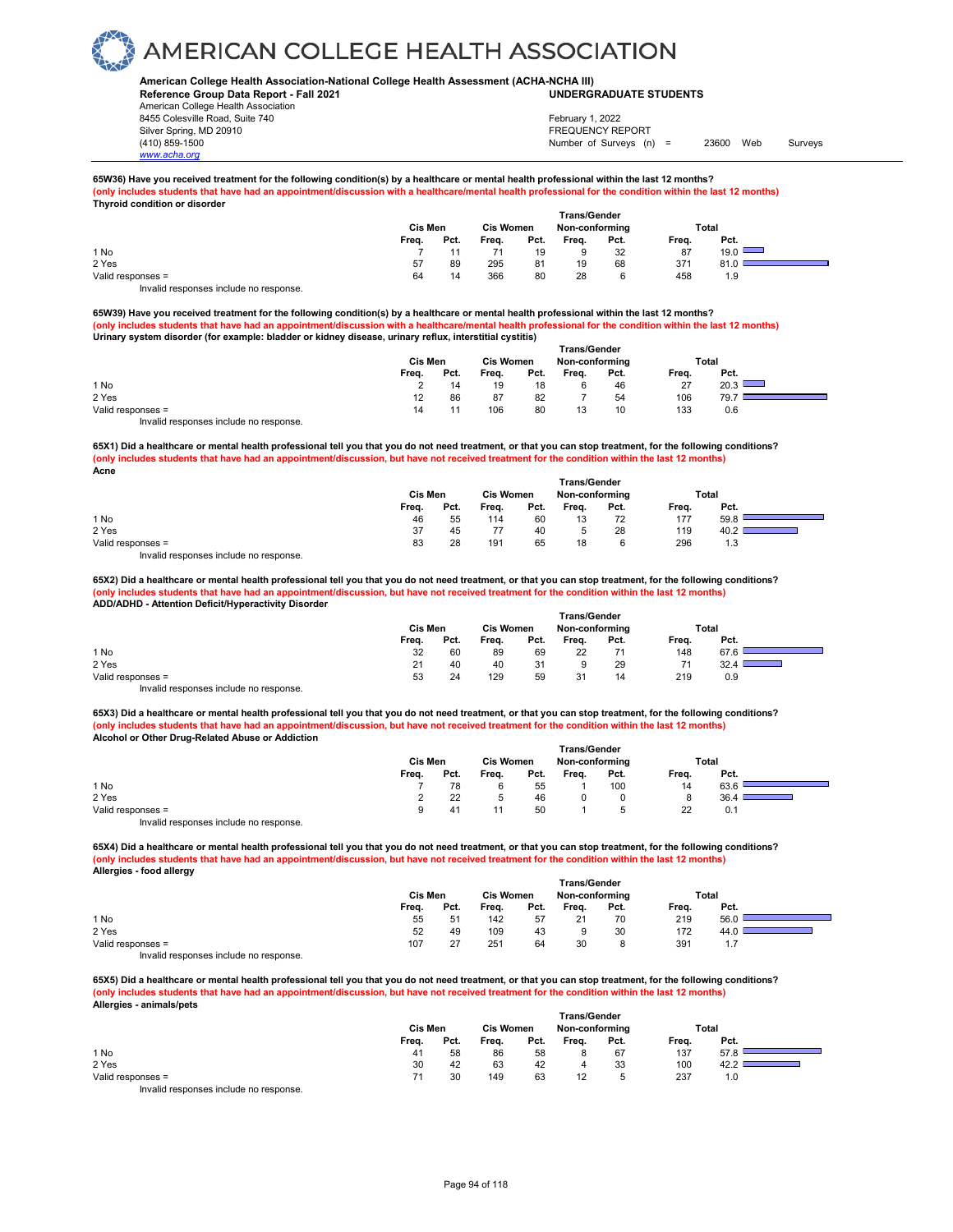### **American College Health Association-National College Health Assessment (ACHA-NCHA III) UNDERGRADUATE STUDENTS**

**Reference Group Data Report - Fall 2021** American College Health Association 8455 Colesville Road, Suite 740 Silver Spring, MD 20910<br>
1990 - The Spring, MD 20910<br>
1990 - The Survey Structure of Surveys (notation of Surveys (notation of Surveys (notation of Surveys (notati

*www.acha.org*

## Number of Surveys (n) = 23600 Web Surveys February 1, 2022

#### **65W36) Have you received treatment for the following condition(s) by a healthcare or mental health professional within the last 12 months?** (only includes students that have had an appointment/discussion with a healthcare/mental health professional for the condition within the last 12 months) **Thyroid condition or disorder**

|                                                                                                                                                                                                                                   | Cis Men |      | <b>Cis Women</b> |      | <b>Trans/Gender</b><br>Non-conforming |      | Total |      |  |
|-----------------------------------------------------------------------------------------------------------------------------------------------------------------------------------------------------------------------------------|---------|------|------------------|------|---------------------------------------|------|-------|------|--|
|                                                                                                                                                                                                                                   | Freq.   | Pct. | Freq.            | Pct. | Freq.                                 | Pct. | Freq. | Pct. |  |
| 1 No                                                                                                                                                                                                                              |         |      |                  | 19   |                                       | 32   | 87    | 19.0 |  |
| 2 Yes                                                                                                                                                                                                                             | 57      | 89   | 295              | 81   | 19                                    | 68   | 371   | 81.0 |  |
| Valid responses =                                                                                                                                                                                                                 | 64      | 14   | 366              | 80   | 28                                    | 6    | 458   | 1.9  |  |
| $\mathbf{r}$ , and the contract of the contract of the contract of the contract of the contract of the contract of the contract of the contract of the contract of the contract of the contract of the contract of the contract o |         |      |                  |      |                                       |      |       |      |  |

Invalid responses include no response.

**65W39) Have you received treatment for the following condition(s) by a healthcare or mental health professional within the last 12 months? (only includes students that have had an appointment/discussion with a healthcare/mental health professional for the condition within the last 12 months) Urinary system disorder (for example: bladder or kidney disease, urinary reflux, interstitial cystitis)** 

|                                                                                                                                                                                                                                   |         |      |       |                  | <b>Trans/Gender</b> |                |       |       |  |
|-----------------------------------------------------------------------------------------------------------------------------------------------------------------------------------------------------------------------------------|---------|------|-------|------------------|---------------------|----------------|-------|-------|--|
|                                                                                                                                                                                                                                   | Cis Men |      |       | <b>Cis Women</b> |                     | Non-conforming |       | Total |  |
|                                                                                                                                                                                                                                   | Freq.   | Pct. | Freq. | Pct.             | Freq.               | Pct.           | Freq. | Pct.  |  |
| 1 No                                                                                                                                                                                                                              |         | 14   | 19    | 18               |                     | 46             | 27    | 20.3  |  |
| 2 Yes                                                                                                                                                                                                                             | 12      | 86   | 87    | 82               |                     | 54             | 106   | 79.7  |  |
| Valid responses =                                                                                                                                                                                                                 | 14      |      | 106   | 80               | 12<br>ں ا           | 10             | 133   | 0.6   |  |
| $\mathbf{r}$ , and the contract of the contract of the contract of the contract of the contract of the contract of the contract of the contract of the contract of the contract of the contract of the contract of the contract o |         |      |       |                  |                     |                |       |       |  |

Invalid responses include no response.

**65X1) Did a healthcare or mental health professional tell you that you do not need treatment, or that you can stop treatment, for the following conditions? (only includes students that have had an appointment/discussion, but have not received treatment for the condition within the last 12 months) Acne**

|                                        |         |      |                  |      | <b>Trans/Gender</b> |      |       |      |  |
|----------------------------------------|---------|------|------------------|------|---------------------|------|-------|------|--|
|                                        | Cis Men |      | <b>Cis Women</b> |      | Non-conforming      |      | Total |      |  |
|                                        | Freq.   | Pct. | Freq.            | Pct. | Freq.               | Pct. | Freq. | Pct. |  |
| 1 No                                   | 46      | 55   | 114              | 60   | 13                  | 72   | 177   | 59.8 |  |
| 2 Yes                                  | 37      | 45   | 77               | 40   |                     | 28   | 119   | ے.40 |  |
| Valid responses =                      | 83      | 28   | 191              | 65   | 18                  |      | 296   | 1.3  |  |
| Invalid responses include no response. |         |      |                  |      |                     |      |       |      |  |

**65X2) Did a healthcare or mental health professional tell you that you do not need treatment, or that you can stop treatment, for the following conditions? (only includes students that have had an appointment/discussion, but have not received treatment for the condition within the last 12 months) ADD/ADHD - Attention Deficit/Hyperactivity Disorder** 

|                                        |         |      |                  |      | <b>Trans/Gender</b> |      |       |       |  |
|----------------------------------------|---------|------|------------------|------|---------------------|------|-------|-------|--|
|                                        | Cis Men |      | <b>Cis Women</b> |      | Non-conforming      |      |       | Total |  |
|                                        | Freq.   | Pct. | Freq.            | Pct. | Frea.               | Pct. | Freq. | Pct.  |  |
| 1 No                                   | 32      | 60   | 89               | 69   | 22                  |      | 148   | 67.6  |  |
| 2 Yes                                  | 21      | 40   | 40               | 31   |                     | 29   |       | 32.4  |  |
| Valid responses =                      | 53      | 24   | 129              | 59   | 31                  | 14   | 219   | 0.9   |  |
| Invalid responses include no response. |         |      |                  |      |                     |      |       |       |  |

**65X3) Did a healthcare or mental health professional tell you that you do not need treatment, or that you can stop treatment, for the following conditions? (only includes students that have had an appointment/discussion, but have not received treatment for the condition within the last 12 months) Alcohol or Other Drug-Related Abuse or Addiction** 

|                                                                                                                                                                                                                                   | <b>Trans/Gender</b> |                  |       |                |       |      |       |      |  |  |  |
|-----------------------------------------------------------------------------------------------------------------------------------------------------------------------------------------------------------------------------------|---------------------|------------------|-------|----------------|-------|------|-------|------|--|--|--|
|                                                                                                                                                                                                                                   | Cis Men             | <b>Cis Women</b> |       | Non-conforming |       |      | Total |      |  |  |  |
|                                                                                                                                                                                                                                   | Freq.               | Pct.             | Freq. | Pct.           | Freq. | Pct. | Freq. | Pct. |  |  |  |
| 1 No                                                                                                                                                                                                                              |                     | 78               |       | 55             |       | 100  | 14    | 63.6 |  |  |  |
| 2 Yes                                                                                                                                                                                                                             |                     | 22               |       | 46             |       |      | 8     | 36.4 |  |  |  |
| Valid responses =                                                                                                                                                                                                                 | a                   | 41               |       | 50             |       |      | 22    | 0.1  |  |  |  |
| $\mathbf{r}$ , and the contract of the contract of the contract of the contract of the contract of the contract of the contract of the contract of the contract of the contract of the contract of the contract of the contract o |                     |                  |       |                |       |      |       |      |  |  |  |

Invalid responses include no response.

**65X4) Did a healthcare or mental health professional tell you that you do not need treatment, or that you can stop treatment, for the following conditions? (only includes students that have had an appointment/discussion, but have not received treatment for the condition within the last 12 months) Allergies - food allergy** 

|                                                                |         |      |                  |      | <b>Trans/Gender</b> |      |       |       |  |
|----------------------------------------------------------------|---------|------|------------------|------|---------------------|------|-------|-------|--|
|                                                                | Cis Men |      | <b>Cis Women</b> |      | Non-conforming      |      |       | Total |  |
|                                                                | Freq.   | Pct. | Freq.            | Pct. | Freq.               | Pct. | Freq. | Pct.  |  |
| 1 No                                                           | 55      | 51   | 142              | 57   | 21                  | 70   | 219   | 56.0  |  |
| 2 Yes                                                          | 52      | 49   | 109              | 43   |                     | 30   | 172   | 44.0  |  |
| Valid responses =                                              | 107     | 27   | 251              | 64   | 30                  |      | 391   | 1.7   |  |
| the control are a series and the attention and are a series of |         |      |                  |      |                     |      |       |       |  |

Invalid responses include no response.

**65X5) Did a healthcare or mental health professional tell you that you do not need treatment, or that you can stop treatment, for the following conditions? (only includes students that have had an appointment/discussion, but have not received treatment for the condition within the last 12 months) Allergies - animals/pets** 

|                                                           | Cis Men |      |       | <b>Cis Women</b> |       | Non-conforming | Total |      |  |
|-----------------------------------------------------------|---------|------|-------|------------------|-------|----------------|-------|------|--|
|                                                           | Freq.   | Pct. | Freq. | Pct.             | Freq. | Pct.           | Freq. | Pct. |  |
| 1 No                                                      | 41      | 58   | 86    | 58               |       | 67             | 137   | 57.8 |  |
| 2 Yes                                                     | 30      | 42   | 63    | 42               | 4     | 33             | 100   | ے:42 |  |
| Valid responses =                                         | 71      | 30   | 149   | 63               | 12    |                | 237   | 1.0  |  |
| the control are one one of the children of the control of |         |      |       |                  |       |                |       |      |  |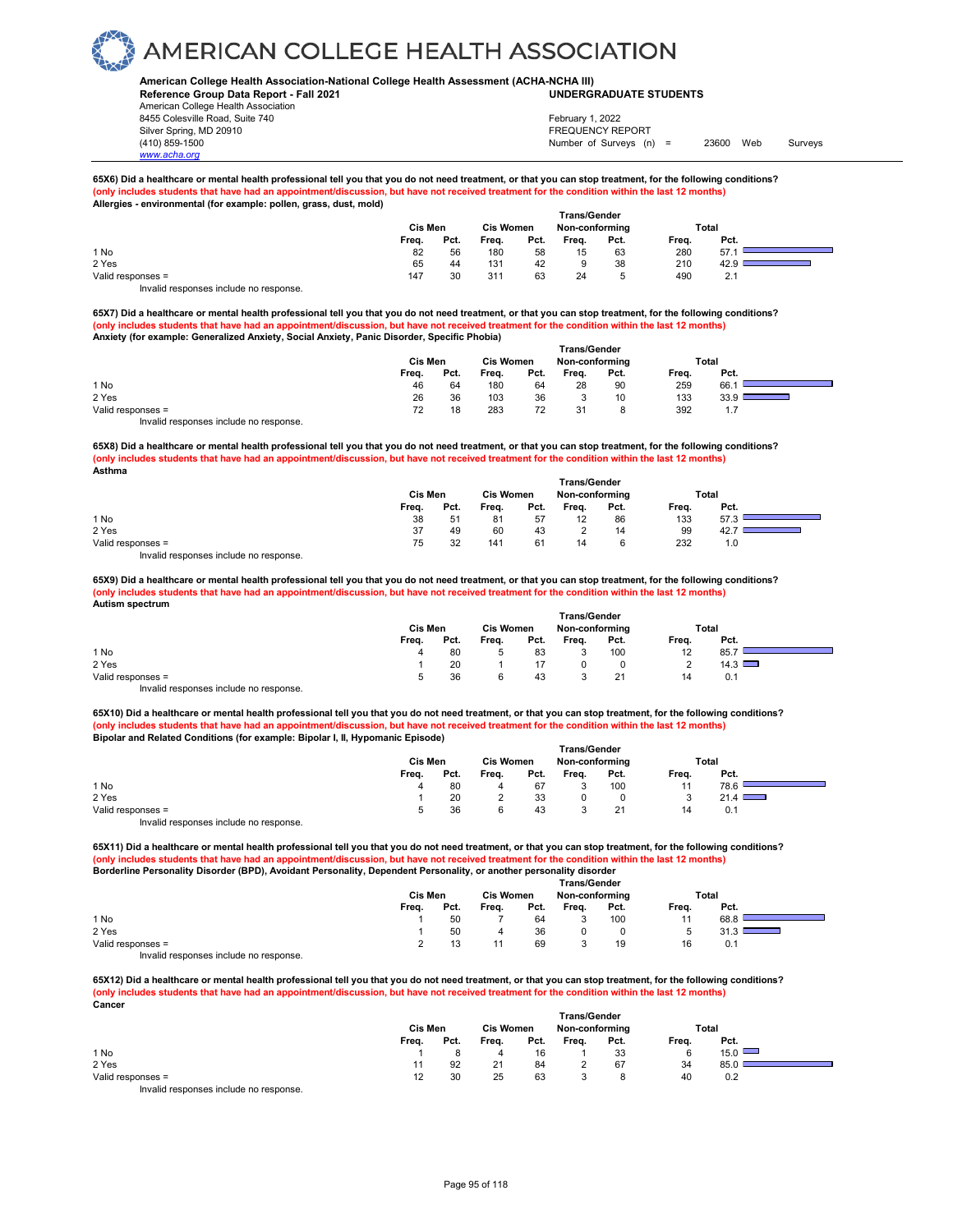### **American College Health Association-National College Health Assessment (ACHA-NCHA III) UNDERGRADUATE STUDENTS**

**Reference Group Data Report - Fall 2021** American College Health Association 8455 Colesville Road, Suite 740 Silver Spring, MD 20910<br>
1990 - The Spring, MD 20910<br>
1990 - The Survey Structure of Surveys (notation of Surveys (notation of Surveys (notation of Surveys (notati

## Number of Surveys (n) = 23600 Web Surveys February 1, 2022

#### 65X6) Did a healthcare or mental health professional tell you that you do not need treatment, or that you can stop treatment, for the following conditions?<br>(only includes students that have had an appointment/discussion, b  $o$ intment/discussion, but have not received treatment for the condition within the last 12 months) **Allergies - environmental (for example: pollen, grass, dust, mold)**

|                   |         |      |                  | <b>Trans/Gender</b> |                |      |       |      |  |
|-------------------|---------|------|------------------|---------------------|----------------|------|-------|------|--|
|                   | Cis Men |      | <b>Cis Women</b> |                     | Non-conforming |      | Total |      |  |
|                   | Freq.   | Pct. | Freq.            | Pct.                | Freq.          | Pct. | Freq. | Pct. |  |
| 1 No              | 82      | 56   | 180              | 58                  | 15             | 63   | 280   | 57.  |  |
| 2 Yes             | 65      | 44   | 131              | 42                  |                | 38   | 210   | 42.9 |  |
| Valid responses = | 147     | 30   | 311              | 63                  | 24             |      | 490   | 2.1  |  |
| $\cdots$          |         |      |                  |                     |                |      |       |      |  |

Invalid responses include no response.

*www.acha.org*

**65X7) Did a healthcare or mental health professional tell you that you do not need treatment, or that you can stop treatment, for the following conditions? (only includes students that have had an appointment/discussion, but have not received treatment for the condition within the last 12 months) Anxiety (for example: Generalized Anxiety, Social Anxiety, Panic Disorder, Specific Phobia)** 

|                                                                                                                                                                                                                                   | <b>Cis Men</b> |      | <b>Cis Women</b> |      | Non-conforming |      |       | Total |  |
|-----------------------------------------------------------------------------------------------------------------------------------------------------------------------------------------------------------------------------------|----------------|------|------------------|------|----------------|------|-------|-------|--|
|                                                                                                                                                                                                                                   | Freq.          | Pct. | Freq.            | Pct. | Freq.          | Pct. | Freq. | Pct.  |  |
| 1 No                                                                                                                                                                                                                              | 46             | 64   | 180              | 64   | 28             | 90   | 259   | 66.   |  |
| 2 Yes                                                                                                                                                                                                                             | 26             | 36   | 103              | 36   |                | 10   | 133   | 33.9  |  |
| Valid responses =                                                                                                                                                                                                                 | 72             | 18   | 283              | 72   | 31             | 8    | 392   | 1.7   |  |
| $\mathbf{r}$ , and the contract of the contract of the contract of the contract of the contract of the contract of the contract of the contract of the contract of the contract of the contract of the contract of the contract o |                |      |                  |      |                |      |       |       |  |

Invalid responses include no response.

**65X8) Did a healthcare or mental health professional tell you that you do not need treatment, or that you can stop treatment, for the following conditions? (only includes students that have had an appointment/discussion, but have not received treatment for the condition within the last 12 months) Asthma** 

|                                        | Cis Men |      | <b>Cis Women</b> |      | Non-conforming |      | Total |      |  |
|----------------------------------------|---------|------|------------------|------|----------------|------|-------|------|--|
|                                        | Freq.   | Pct. | Freq.            | Pct. | Frea.          | Pct. | Freq. | Pct. |  |
| 1 No                                   | 38      | 51   | 81               | 57   | 12             | 86   | 133   | 57.3 |  |
| 2 Yes                                  | 37      | 49   | 60               | 43   |                | 14   | 99    | 42.  |  |
| Valid responses =                      | 75      | 32   | 141              | 61   | 14             | 6    | 232   | 1.0  |  |
| Invalid responses include no response. |         |      |                  |      |                |      |       |      |  |

**65X9) Did a healthcare or mental health professional tell you that you do not need treatment, or that you can stop treatment, for the following conditions? (only includes students that have had an appointment/discussion, but have not received treatment for the condition within the last 12 months) Autism spectrum** 

|                                        | Cis Men |      | <b>Cis Women</b> |      | Non-conforming |      |          | Total         |  |
|----------------------------------------|---------|------|------------------|------|----------------|------|----------|---------------|--|
|                                        | Freq.   | Pct. | Freq.            | Pct. | Freq.          | Pct. | Freq.    | Pct.          |  |
| 1 No                                   |         | 80   |                  | 83   |                | 100  | 12       | 85.7          |  |
| 2 Yes                                  |         | 20   |                  |      |                |      | <u>.</u> | $14.3$ $\Box$ |  |
| Valid responses =                      |         | 36   |                  | 43   |                |      | 14       | 0.1           |  |
| Invalid responses include no response. |         |      |                  |      |                |      |          |               |  |

**65X10) Did a healthcare or mental health professional tell you that you do not need treatment, or that you can stop treatment, for the following conditions? (only includes students that have had an appointment/discussion, but have not received treatment for the condition within the last 12 months) Bipolar and Related Conditions (for example: Bipolar I, II, Hypomanic Episode)** 

|                                        |         |      |                  |      | <b>Trans/Gender</b> |      |       |      |  |
|----------------------------------------|---------|------|------------------|------|---------------------|------|-------|------|--|
|                                        | Cis Men |      | <b>Cis Women</b> |      | Non-conforming      |      | Total |      |  |
|                                        | Freq.   | Pct. | Freq.            | Pct. | Freq.               | Pct. | Freq. | Pct. |  |
| 1 No                                   |         | 80   | 4                | 67   |                     | 100  | 44    | 78.6 |  |
| 2 Yes                                  |         | 20   |                  | 33   |                     |      |       | 21.4 |  |
| Valid responses =                      |         | 36   |                  | 43   |                     | 21   | 14    | 0.1  |  |
| Invalid responses include no response. |         |      |                  |      |                     |      |       |      |  |

**65X11) Did a healthcare or mental health professional tell you that you do not need treatment, or that you can stop treatment, for the following conditions?** (only includes students that have had an appointment/discussion, but have not received treatment for the condition within the last 12 months)<br>Borderline Personality Disorder (BPD), Avoidant Personality, Dependent Personali

| BUIDED IN PERSONALLY DISORDER (BPD), AVOIDANT PESONALLY, DEPENDENT PESONALLY, OF ANOTHER DETSONALLY UISONER |              |                                    |       |      |       |      |       |      |  |  |  |  |
|-------------------------------------------------------------------------------------------------------------|--------------|------------------------------------|-------|------|-------|------|-------|------|--|--|--|--|
|                                                                                                             | Trans/Gender |                                    |       |      |       |      |       |      |  |  |  |  |
|                                                                                                             | Cis Men      | <b>Cis Women</b><br>Non-conforming |       |      |       |      | Total |      |  |  |  |  |
|                                                                                                             | Frea.        | Pct.                               | Freq. | Pct. | Frea. | Pct. | Frea. | Pct. |  |  |  |  |
| 1 No                                                                                                        |              | 50                                 |       | 64   |       | 100  | 11    | 68.8 |  |  |  |  |
| 2 Yes                                                                                                       |              | 50                                 |       | 36   |       |      |       |      |  |  |  |  |
| Valid responses =                                                                                           |              |                                    |       | 69   |       | 19   | 16    | 0.1  |  |  |  |  |
| Invalid responses include no response.                                                                      |              |                                    |       |      |       |      |       |      |  |  |  |  |

**65X12) Did a healthcare or mental health professional tell you that you do not need treatment, or that you can stop treatment, for the following conditions? (only includes students that have had an appointment/discussion, but have not received treatment for the condition within the last 12 months) Cancer**

|                                           | Cis Men |      | <b>Cis Women</b> |      | Non-conforming |      | Total |      |  |
|-------------------------------------------|---------|------|------------------|------|----------------|------|-------|------|--|
|                                           | Freq.   | Pct. | Freq.            | Pct. | Freq.          | Pct. | Freq. | Pct. |  |
| 1 No                                      |         |      |                  | 16   |                | 33   | 6     | 15.0 |  |
| 2 Yes                                     |         | 92   |                  | 84   |                | 67   | 34    | 85.0 |  |
| Valid responses =                         | 12      | 30   | 25               | 63   |                |      | 40    | 0.2  |  |
| Initelial reconomece include no reconomec |         |      |                  |      |                |      |       |      |  |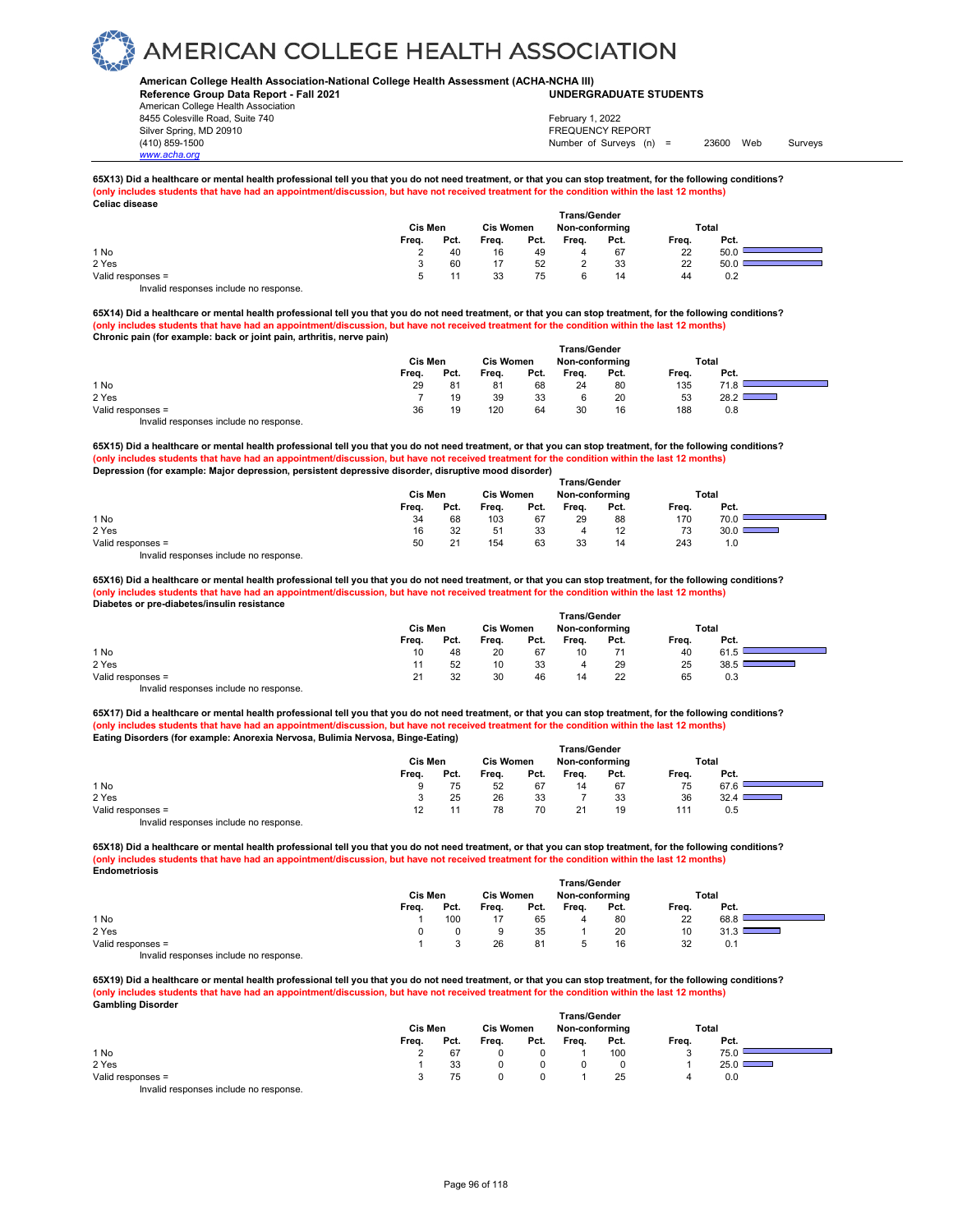### **American College Health Association-National College Health Assessment (ACHA-NCHA III) UNDERGRADUATE STUDENTS**

**Reference Group Data Report - Fall 2021** American College Health Association 8455 Colesville Road, Suite 740 Silver Spring, MD 20910<br>
1990 - The Spring, MD 20910<br>
1990 - The Survey Structure of Surveys (notation of Surveys (notation of Surveys (notation of Surveys (notati

*www.acha.org*

Number of Surveys (n) = 23600 Web Surveys February 1, 2022

**65X13) Did a healthcare or mental health professional tell you that you do not need treatment, or that you can stop treatment, for the following conditions? (only includes students that have had an appointment/discussion, but have not received treatment for the condition within the last 12 months) Celiac disease** 

|                   | Cis Men |      | <b>Cis Women</b> |      | <b>Trans/Gender</b><br>Non-conforming |      | <b>Total</b> |      |  |
|-------------------|---------|------|------------------|------|---------------------------------------|------|--------------|------|--|
|                   | Freq.   | Pct. | Freq.            | Pct. | Frea.                                 | Pct. | Freq.        | Pct. |  |
| 1 No              |         | 40   | 16               | 49   | 4                                     | 67   | 22           | 50.0 |  |
| 2 Yes             |         | 60   | 17               | 52   |                                       | 33   | 22           | 50.0 |  |
| Valid responses = |         |      | 33               | 75   | 6                                     | 14   | 44           | 0.2  |  |
|                   |         |      |                  |      |                                       |      |              |      |  |

Invalid responses include no response.

**65X14) Did a healthcare or mental health professional tell you that you do not need treatment, or that you can stop treatment, for the following conditions? (only includes students that have had an appointment/discussion, but have not received treatment for the condition within the last 12 months) Chronic pain (for example: back or joint pain, arthritis, nerve pain)** 

|                   | <b>Trans/Gender</b> |      |                  |      |                |      |       |              |  |  |
|-------------------|---------------------|------|------------------|------|----------------|------|-------|--------------|--|--|
|                   | Cis Men             |      | <b>Cis Women</b> |      | Non-conforming |      |       | <b>Total</b> |  |  |
|                   | Freq.               | Pct. | Freq.            | Pct. | Freq.          | Pct. | Freq. | Pct.         |  |  |
| 1 No              | 29                  | 81   | 81               | 68   | 24             | 80   | 135   | 71.8         |  |  |
| 2 Yes             |                     | 19   | 39               | 33   |                | 20   | 53    | 28.2         |  |  |
| Valid responses = | 36                  | 19   | 120              | 64   | 30             | 16   | 188   | 0.8          |  |  |
|                   |                     |      |                  |      |                |      |       |              |  |  |

Invalid responses include no response.

**65X15) Did a healthcare or mental health professional tell you that you do not need treatment, or that you can stop treatment, for the following conditions? (only includes students that have had an appointment/discussion, but have not received treatment for the condition within the last 12 months) Depression (for example: Major depression, persistent depressive disorder, disruptive mood disorder)** 

|                                        | <b>Trans/Gender</b> |      |                  |      |                |      |       |                        |  |  |  |
|----------------------------------------|---------------------|------|------------------|------|----------------|------|-------|------------------------|--|--|--|
|                                        | Cis Men             |      | <b>Cis Women</b> |      | Non-conforming |      |       | Total                  |  |  |  |
|                                        | Freq.               | Pct. | Freq.            | Pct. | Freq.          | Pct. | Freq. | Pct.                   |  |  |  |
| 1 No                                   | 34                  | 68   | 103              | 67   | 29             | 88   | 170   | 70.0                   |  |  |  |
| 2 Yes                                  | 16                  | 32   | 51               | 33   |                | 12   | 73    | 30.01<br>$\sim$ $\sim$ |  |  |  |
| Valid responses =                      | 50                  | 21   | 154              | 63   | 33             | 14   | 243   | 1.0                    |  |  |  |
| Invalid responses include no response. |                     |      |                  |      |                |      |       |                        |  |  |  |

**65X16) Did a healthcare or mental health professional tell you that you do not need treatment, or that you can stop treatment, for the following conditions? (only includes students that have had an appointment/discussion, but have not received treatment for the condition within the last 12 months) Diabetes or pre-diabetes/insulin resistance** 

|                                        | <b>Trans/Gender</b> |      |                  |      |                |      |       |      |  |  |  |
|----------------------------------------|---------------------|------|------------------|------|----------------|------|-------|------|--|--|--|
|                                        | Cis Men             |      | <b>Cis Women</b> |      | Non-conforming |      | Total |      |  |  |  |
|                                        | Freq.               | Pct. | Freq.            | Pct. | Freq.          | Pct. | Freq. | Pct. |  |  |  |
| 1 No                                   | 10                  | 48   | 20               | 67   | 10             |      | 40    | 61.5 |  |  |  |
| 2 Yes                                  |                     | 52   | 10               | 33   | 4              | 29   | 25    | 38.5 |  |  |  |
| Valid responses =                      |                     | 32   | 30               | 46   | 14             | 22   | 65    | 0.3  |  |  |  |
| Invalid responses include no response. |                     |      |                  |      |                |      |       |      |  |  |  |

**65X17) Did a healthcare or mental health professional tell you that you do not need treatment, or that you can stop treatment, for the following conditions? (only includes students that have had an appointment/discussion, but have not received treatment for the condition within the last 12 months) Eating Disorders (for example: Anorexia Nervosa, Bulimia Nervosa, Binge-Eating)**

|                                                                        | <b>Trans/Gender</b> |                                    |       |      |       |      |       |      |  |  |  |  |
|------------------------------------------------------------------------|---------------------|------------------------------------|-------|------|-------|------|-------|------|--|--|--|--|
|                                                                        | Cis Men             | <b>Cis Women</b><br>Non-conforming |       |      |       |      | Total |      |  |  |  |  |
|                                                                        | Freq.               | Pct.                               | Freq. | Pct. | Freq. | Pct. | Freq. | Pct. |  |  |  |  |
| 1 No                                                                   | 9                   | 75                                 | 52    | 67   | 14    | 67   | 75    | 67.6 |  |  |  |  |
| 2 Yes                                                                  |                     | 25                                 | 26    | 33   |       | 33   | 36    | 32.4 |  |  |  |  |
| Valid responses =                                                      | 12 <sub>1</sub>     |                                    | 78    | 70   | 21    | 19   | 111   | 0.5  |  |  |  |  |
| The control to a process of the control of the process of the process. |                     |                                    |       |      |       |      |       |      |  |  |  |  |

Invalid responses include no response.

**65X18) Did a healthcare or mental health professional tell you that you do not need treatment, or that you can stop treatment, for the following conditions? (only includes students that have had an appointment/discussion, but have not received treatment for the condition within the last 12 months) Endometriosis**

|                                       |         |      |                  |      | <b>Trans/Gender</b> |      |       |                                                                                                                |  |
|---------------------------------------|---------|------|------------------|------|---------------------|------|-------|----------------------------------------------------------------------------------------------------------------|--|
|                                       | Cis Men |      | <b>Cis Women</b> |      | Non-conforming      |      |       | Total                                                                                                          |  |
|                                       | Freq.   | Pct. | Freq.            | Pct. | Freq.               | Pct. | Freq. | Pct.                                                                                                           |  |
| 1 No                                  |         | 100  |                  | 65   | 4                   | -80  | 22    | 68.8                                                                                                           |  |
| 2 Yes                                 |         |      |                  | 35   |                     | 20   | 10    | and the state of the state of the state of the state of the state of the state of the state of the state of th |  |
| Valid responses =                     |         |      | 26               | 81   |                     | 16   | 32    | 0.1                                                                                                            |  |
| lauchid soonanaaa inaluda na soonanaa |         |      |                  |      |                     |      |       |                                                                                                                |  |

Invalid responses include no response.

**65X19) Did a healthcare or mental health professional tell you that you do not need treatment, or that you can stop treatment, for the following conditions? (only includes students that have had an appointment/discussion, but have not received treatment for the condition within the last 12 months) Gambling Disorder Trans/Gender**

|                                       | ı rans/Gender |      |                  |      |                |      |       |       |  |
|---------------------------------------|---------------|------|------------------|------|----------------|------|-------|-------|--|
|                                       | Cis Men       |      | <b>Cis Women</b> |      | Non-conforming |      |       | Total |  |
|                                       | Freq.         | Pct. | Freq.            | Pct. | Freq.          | Pct. | Freq. | Pct.  |  |
| 1 No                                  |               | 67   |                  |      |                | 100  | v     | 75.0  |  |
| 2 Yes                                 |               | 33   |                  |      |                |      |       | 25.0  |  |
| Valid responses =                     |               | 75   |                  |      |                | 25   |       | 0.0   |  |
| Involid reconcess include no reconces |               |      |                  |      |                |      |       |       |  |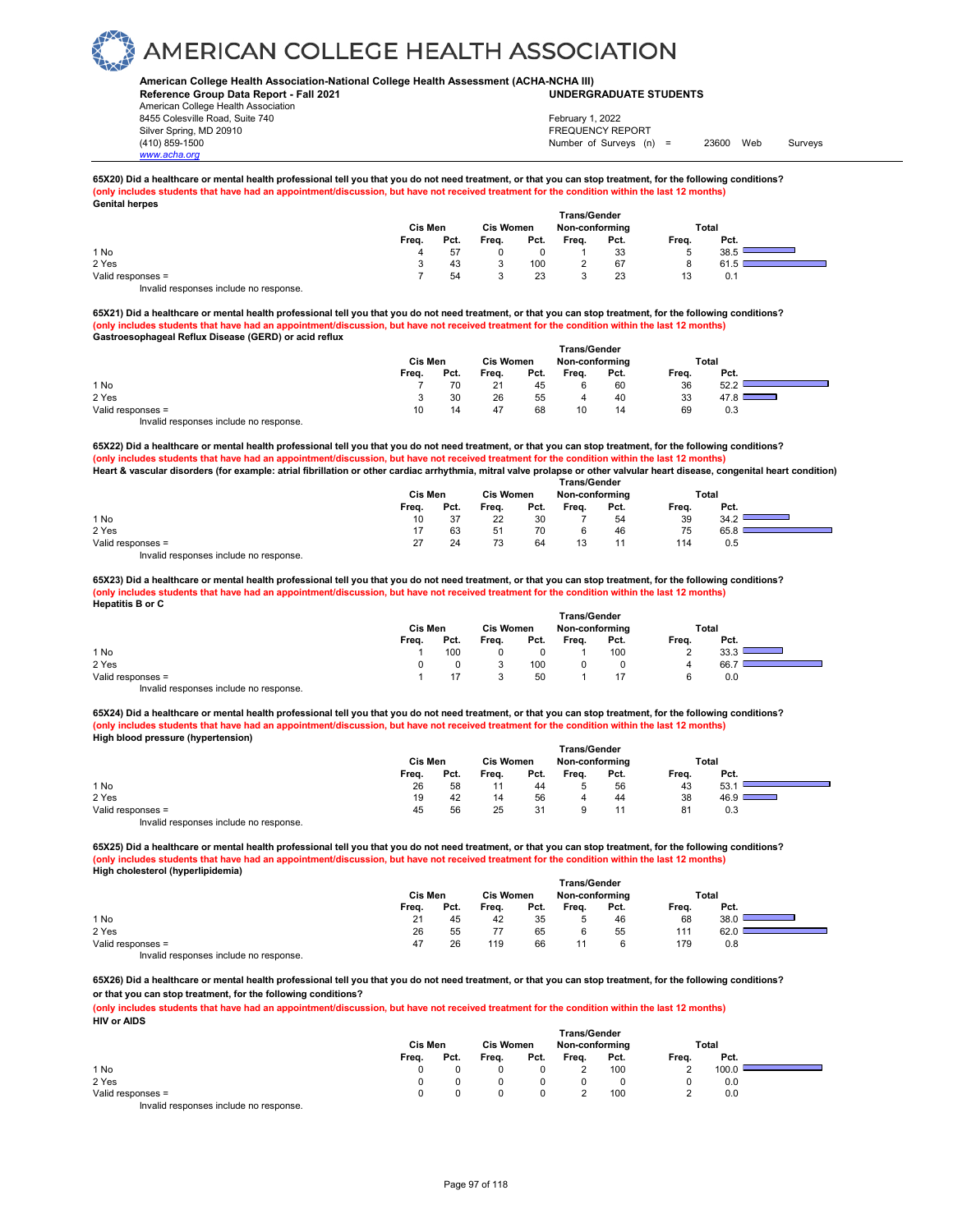### **American College Health Association-National College Health Assessment (ACHA-NCHA III) UNDERGRADUATE STUDENTS**

**Reference Group Data Report - Fall 2021** American College Health Association 8455 Colesville Road, Suite 740 Silver Spring, MD 20910<br>
1990 - The Spring, MD 20910<br>
1990 - The Survey Structure of Surveys (notation of Surveys (notation of Surveys (notation of Surveys (notati *www.acha.org*

Number of Surveys (n) = 23600 Web Surveys February 1, 2022

#### **65X20) Did a healthcare or mental health professional tell you that you do not need treatment, or that you can stop treatment, for the following conditions? (only includes students that have had an appointment/discussion, but have not received treatment for the condition within the last 12 months) Genital herpes**

| --------------    | Cis Men |      | <b>Cis Women</b> |      | <b>Trans/Gender</b><br>Non-conforming |      | Total |      |  |
|-------------------|---------|------|------------------|------|---------------------------------------|------|-------|------|--|
|                   | Freq.   | Pct. | Freq.            | Pct. | Freq.                                 | Pct. | Freq. | Pct. |  |
| 1 No              |         | 57   |                  |      |                                       | 33   | э     | 38.5 |  |
| 2 Yes             |         | 43   | J                | 100  |                                       | 67   |       | 61.5 |  |
| Valid responses = |         | 54   | ◠                | 23   |                                       | 23   | 13    | 0.1  |  |
| .<br>. .          |         |      |                  |      |                                       |      |       |      |  |

Invalid responses include no response.

**65X21) Did a healthcare or mental health professional tell you that you do not need treatment, or that you can stop treatment, for the following conditions? (only includes students that have had an appointment/discussion, but have not received treatment for the condition within the last 12 months) Gastroesophageal Reflux Disease (GERD) or acid reflux** 

|                                                                        | <b>Trans/Gender</b> |      |                  |      |                |      |       |              |  |  |  |
|------------------------------------------------------------------------|---------------------|------|------------------|------|----------------|------|-------|--------------|--|--|--|
|                                                                        | Cis Men             |      | <b>Cis Women</b> |      | Non-conforming |      |       | <b>Total</b> |  |  |  |
|                                                                        | Freq.               | Pct. | Freq.            | Pct. | Freq.          | Pct. | Freq. | Pct.         |  |  |  |
| 1 No                                                                   |                     | 70   | 21               | 45   |                | 60   | 36    | 52.2         |  |  |  |
| 2 Yes                                                                  |                     | 30   | 26               | 55   | 4              | 40   | 33    | 47.8         |  |  |  |
| Valid responses =                                                      | 10                  | 14   | 47               | 68   | 10             | 14   | 69    | 0.3          |  |  |  |
| The control to a process of the control of the process of the process. |                     |      |                  |      |                |      |       |              |  |  |  |

Invalid responses include no response.

**65X22) Did a healthcare or mental health professional tell you that you do not need treatment, or that you can stop treatment, for the following conditions?** (ppointment/discussion, but have not received treatment for the condition within the last 12 months **Heart & vascular disorders (for example: atrial fibrillation or other cardiac arrhythmia, mitral valve prolapse or other valvular heart disease, congenital heart condition) Trans/Gender**

|                                        | .       |      |                  |      |                |      |       |      |  |  |  |
|----------------------------------------|---------|------|------------------|------|----------------|------|-------|------|--|--|--|
|                                        | Cis Men |      | <b>Cis Women</b> |      | Non-conforming |      | Total |      |  |  |  |
|                                        | Frea.   | Pct. | Frea.            | Pct. | Frea.          | Pct. | Frea. | Pct. |  |  |  |
| 1 No                                   | 10      | -37  | 22               | 30   |                | 54   | 39    | 34.2 |  |  |  |
| 2 Yes                                  |         | 63   | 51               | 70   |                | 46   | 75    | 65.8 |  |  |  |
| Valid responses =                      | 27      | 24   |                  | 64   |                |      | 114   | 0.5  |  |  |  |
| Invalid responses include no response. |         |      |                  |      |                |      |       |      |  |  |  |

**65X23) Did a healthcare or mental health professional tell you that you do not need treatment, or that you can stop treatment, for the following conditions? (only includes students that have had an appointment/discussion, but have not received treatment for the condition within the last 12 months) Hepatitis B or C** 

|                                        | <b>Trans/Gender</b> |      |                  |      |                |      |       |      |  |  |  |
|----------------------------------------|---------------------|------|------------------|------|----------------|------|-------|------|--|--|--|
|                                        | Cis Men             |      | <b>Cis Women</b> |      | Non-conforming |      | Total |      |  |  |  |
|                                        | Freq.               | Pct. | Freq.            | Pct. | Freq.          | Pct. | Freq. | Pct. |  |  |  |
| 1 No                                   |                     | 100  |                  |      |                | 100  |       | 33.3 |  |  |  |
| 2 Yes                                  |                     |      |                  | 100  |                |      |       | 66.  |  |  |  |
| Valid responses =                      |                     |      |                  | 50   |                |      |       | 0.0  |  |  |  |
| Invalid responses include no response. |                     |      |                  |      |                |      |       |      |  |  |  |

**65X24) Did a healthcare or mental health professional tell you that you do not need treatment, or that you can stop treatment, for the following conditions? (only includes students that have had an appointment/discussion, but have not received treatment for the condition within the last 12 months) High blood pressure (hypertension)** 

|                                        | <b>Trans/Gender</b> |      |                  |      |                |      |       |       |  |  |  |
|----------------------------------------|---------------------|------|------------------|------|----------------|------|-------|-------|--|--|--|
|                                        | Cis Men             |      | <b>Cis Women</b> |      | Non-conforming |      |       | Total |  |  |  |
|                                        | Freq.               | Pct. | Freq.            | Pct. | Freq.          | Pct. | Freq. | Pct.  |  |  |  |
| 1 No                                   | 26                  | 58   |                  | 44   |                | 56   | 43    | 53.   |  |  |  |
| 2 Yes                                  | 19                  | 42   | 14               | 56   |                | 44   | 38    | 46.9  |  |  |  |
| Valid responses =                      | 45                  | 56   | 25               | 31   |                |      | 81    | 0.3   |  |  |  |
| Invalid responses include no response. |                     |      |                  |      |                |      |       |       |  |  |  |

**65X25) Did a healthcare or mental health professional tell you that you do not need treatment, or that you can stop treatment, for the following conditions? (only includes students that have had an appointment/discussion, but have not received treatment for the condition within the last 12 months) High cholesterol (hyperlipidemia)** 

|                                                                      | Cis Men |      |       | <b>Trans/Gender</b><br><b>Cis Women</b><br>Non-conforming |       |      |       | Total |  |  |
|----------------------------------------------------------------------|---------|------|-------|-----------------------------------------------------------|-------|------|-------|-------|--|--|
|                                                                      | Freq.   | Pct. | Freq. | Pct.                                                      | Freq. | Pct. | Freq. | Pct.  |  |  |
| 1 No                                                                 | 21      | 45   | 42    | 35                                                        |       | 46   | 68    | 38.0  |  |  |
| 2 Yes                                                                | 26      | 55   |       | 65                                                        |       | 55   | 111   | 62.0  |  |  |
| Valid responses =                                                    | 47      | 26   | 119   | 66                                                        |       |      | 179   | 0.8   |  |  |
| The control and a series are a face fund a large series and a series |         |      |       |                                                           |       |      |       |       |  |  |

Invalid responses include no response.

**65X26) Did a healthcare or mental health professional tell you that you do not need treatment, or that you can stop treatment, for the following conditions? or that you can stop treatment, for the following conditions?**

**(only includes students that have had an appointment/discussion, but have not received treatment for the condition within the last 12 months) HIV or AIDS** 

|                                        | Cis Men<br><b>Cis Women</b> |      |       | <b>Trans/Gender</b><br>Non-conforming |       |      | Total |       |  |
|----------------------------------------|-----------------------------|------|-------|---------------------------------------|-------|------|-------|-------|--|
|                                        | Freq.                       | Pct. | Freq. | Pct.                                  | Freq. | Pct. | Freq. | Pct.  |  |
| 1 No                                   |                             |      |       |                                       |       | 100  |       | 100.0 |  |
| 2 Yes                                  | 0                           |      |       |                                       |       |      |       | 0.0   |  |
| Valid responses =                      | <sup>n</sup>                |      |       |                                       |       | 100  |       | 0.0   |  |
| Invalid responses include no response. |                             |      |       |                                       |       |      |       |       |  |

Page 97 of 118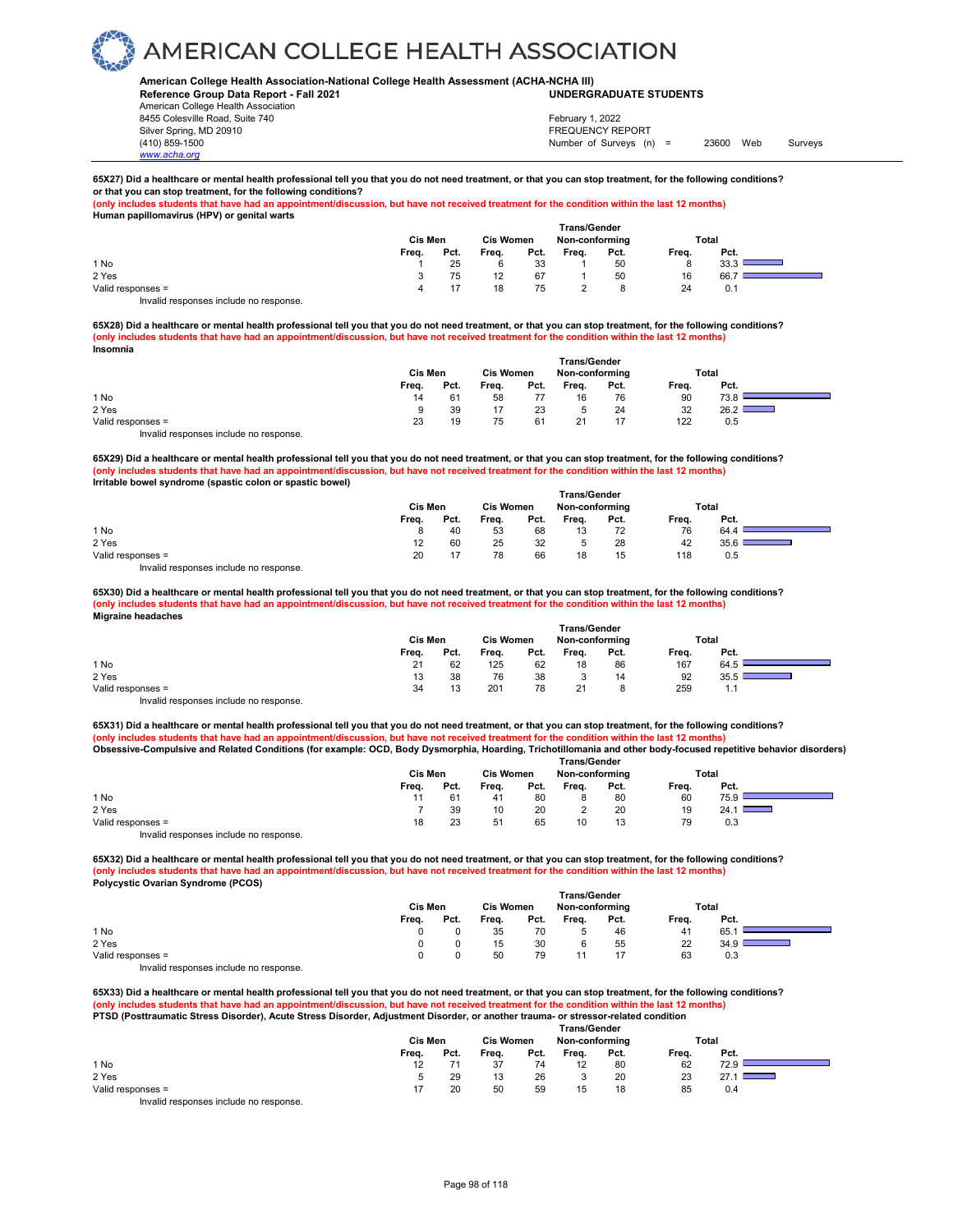### **American College Health Association-National College Health Assessment (ACHA-NCHA III) UNDERGRADUATE STUDENTS**

**Reference Group Data Report - Fall 2021** American College Health Association 8455 Colesville Road, Suite 740 Silver Spring, MD 20910 FREQUENCY REPORT

*www.acha.org*

Number of Surveys (n) = 23600 Web Surveys February 1, 2022

### **65X27) Did a healthcare or mental health professional tell you that you do not need treatment, or that you can stop treatment, for the following conditions? or that you can stop treatment, for the following conditions?**

**(only includes students that have had an appointment/discussion, but have not received treatment for the condition within the last 12 months) Human papillomavirus (HPV) or genital warts** 

|                                        | <b>Trans/Gender</b> |      |                  |      |                |      |       |            |  |  |  |
|----------------------------------------|---------------------|------|------------------|------|----------------|------|-------|------------|--|--|--|
|                                        | Cis Men             |      | <b>Cis Women</b> |      | Non-conforming |      | Total |            |  |  |  |
|                                        | Freq.               | Pct. | Freq.            | Pct. | Freq.          | Pct. | Freq. | Pct.       |  |  |  |
| 1 No                                   |                     | 25   |                  | 33   |                | 50   |       | <b>333</b> |  |  |  |
| 2 Yes                                  |                     | 75   | 12               | 67   |                | 50   | 16    | 66.7       |  |  |  |
| Valid responses =                      |                     | 17   | 18               | 75   |                |      | 24    | 0.1        |  |  |  |
| Invalid responses include no response. |                     |      |                  |      |                |      |       |            |  |  |  |

**65X28) Did a healthcare or mental health professional tell you that you do not need treatment, or that you can stop treatment, for the following conditions? (only includes students that have had an appointment/discussion, but have not received treatment for the condition within the last 12 months) Insomnia** 

|                                        | <b>Trans/Gender</b> |      |                  |      |                |      |       |       |  |  |  |  |
|----------------------------------------|---------------------|------|------------------|------|----------------|------|-------|-------|--|--|--|--|
|                                        | Cis Men             |      | <b>Cis Women</b> |      | Non-conforming |      |       | Total |  |  |  |  |
|                                        | Freq.               | Pct. | Freq.            | Pct. | Freq.          | Pct. | Freq. | Pct.  |  |  |  |  |
| 1 No                                   | 14                  | 61   | 58               | 77   | 16             | 76   | 90    | 73.8  |  |  |  |  |
| 2 Yes                                  |                     | 39   | 17               | 23   |                | 24   | 32    | 26.2  |  |  |  |  |
| Valid responses =                      | 23                  | 19   | 75               | 61   | 21             | 17   | 122   | 0.5   |  |  |  |  |
| Invalid responses include no response. |                     |      |                  |      |                |      |       |       |  |  |  |  |

**65X29) Did a healthcare or mental health professional tell you that you do not need treatment, or that you can stop treatment, for the following conditions? (only includes students that have had an appointment/discussion, but have not received treatment for the condition within the last 12 months) Irritable bowel syndrome (spastic colon or spastic bowel)**

|                   | <b>Trans/Gender</b> |                |       |                  |         |                |       |       |  |  |  |
|-------------------|---------------------|----------------|-------|------------------|---------|----------------|-------|-------|--|--|--|
|                   |                     | Cis Men        |       | <b>Cis Women</b> |         | Non-conforming |       | Total |  |  |  |
|                   | Freq.               | Pct.           | Freq. | Pct.             | Freq.   | Pct.           | Freq. | Pct.  |  |  |  |
| 1 No              |                     | 40             | 53    | 68               | 13      | 72             | 76    | 64.4  |  |  |  |
| 2 Yes             |                     | 60             | 25    | 32               | $\cdot$ | 28             | 42    | 35.6  |  |  |  |
| Valid responses = | 20                  | $\overline{a}$ | 78    | 66               | 18      | 15             | 118   | 0.5   |  |  |  |
| .                 |                     |                |       |                  |         |                |       |       |  |  |  |

Invalid responses include no response.

**65X30) Did a healthcare or mental health professional tell you that you do not need treatment, or that you can stop treatment, for the following conditions? (only includes students that have had an appointment/discussion, but have not received treatment for the condition within the last 12 months) Migraine headaches** 

|                                        | <b>Trans/Gender</b> |      |                  |      |                |      |       |       |  |  |  |  |
|----------------------------------------|---------------------|------|------------------|------|----------------|------|-------|-------|--|--|--|--|
|                                        | Cis Men             |      | <b>Cis Women</b> |      | Non-conforming |      |       | Total |  |  |  |  |
|                                        | Freq.               | Pct. | Freq.            | Pct. | Freq.          | Pct. | Freq. | Pct.  |  |  |  |  |
| 1 No                                   | 21                  | 62   | 125              | 62   | 18             | 86   | 167   | 64.5  |  |  |  |  |
| 2 Yes                                  | 13                  | 38   | 76               | 38   |                | 14   | 92    | 35.5  |  |  |  |  |
| Valid responses =                      | 34                  | 13   | 201              | 78   | 21             |      | 259   | 1.1   |  |  |  |  |
| Invalid responses include no response. |                     |      |                  |      |                |      |       |       |  |  |  |  |

**65X31) Did a healthcare or mental health professional tell you that you do not need treatment, or that you can stop treatment, for the following conditions? (only includes students that have had an appointment/discussion, but have not received treatment for the condition within the last 12 months)**

**Obsessive-Compulsive and Related Conditions (for example: OCD, Body Dysmorphia, Hoarding, Trichotillomania and other body-focused repetitive behavior disorders)** 

|                                        | <b>Trans/Gender</b> |      |                  |      |                |      |       |       |  |  |  |
|----------------------------------------|---------------------|------|------------------|------|----------------|------|-------|-------|--|--|--|
|                                        | <b>Cis Men</b>      |      | <b>Cis Women</b> |      | Non-conforming |      |       | Total |  |  |  |
|                                        | Freq.               | Pct. | Freq.            | Pct. | Freq.          | Pct. | Freq. | Pct.  |  |  |  |
| 1 No                                   |                     | 61   | -41              | 80   |                | 80   | 60    | 75.9  |  |  |  |
| 2 Yes                                  |                     | 39   | 10               | 20   |                | 20   | 19    | 24.1  |  |  |  |
| Valid responses =                      | 18                  | 23   | 51               | 65   | 10             | 13   | 79    | 0.3   |  |  |  |
| Invalid responses include no response. |                     |      |                  |      |                |      |       |       |  |  |  |

**65X32) Did a healthcare or mental health professional tell you that you do not need treatment, or that you can stop treatment, for the following conditions? (only includes students that have had an appointment/discussion, but have not received treatment for the condition within the last 12 months) Polycystic Ovarian Syndrome (PCOS) Trans/Gender**

|                   | ,,,,,,,,,,,,,,,,, |         |       |                  |       |                |       |       |  |  |  |  |
|-------------------|-------------------|---------|-------|------------------|-------|----------------|-------|-------|--|--|--|--|
|                   |                   | Cis Men |       | <b>Cis Women</b> |       | Non-conforming |       | Total |  |  |  |  |
|                   | Freq.             | Pct.    | Freq. | Pct.             | Freq. | Pct.           | Freq. | Pct.  |  |  |  |  |
| 1 No              |                   |         | 35    | 70               |       | 46             | 41    | 65.   |  |  |  |  |
| 2 Yes             |                   |         | 15    | 30               |       | 55             | 22    | 34.9  |  |  |  |  |
| Valid responses = |                   |         | 50    | 79               | 11    | 47             | 63    | 0.3   |  |  |  |  |
| .<br>.            |                   |         |       |                  |       |                |       |       |  |  |  |  |

Invalid responses include no response.

**65X33) Did a healthcare or mental health professional tell you that you do not need treatment, or that you can stop treatment, for the following conditions? (only includes students that have had an appointment/discussion, but have not received treatment for the condition within the last 12 months) PTSD (Posttraumatic Stress Disorder), Acute Stress Disorder, Adjustment Disorder, or another trauma- or stressor-related condition** 

|                                        | <b>Trans/Gender</b> |      |                  |      |                |      |       |      |                          |  |  |
|----------------------------------------|---------------------|------|------------------|------|----------------|------|-------|------|--------------------------|--|--|
|                                        | Cis Men             |      | <b>Cis Women</b> |      | Non-conforming |      | Total |      |                          |  |  |
|                                        | Freq.               | Pct. | Freq.            | Pct. | Freq.          | Pct. | Freq. | Pct. |                          |  |  |
| 1 No                                   | 12                  |      | 37               | 74   | 12             | 80   | 62    | 72.9 |                          |  |  |
| 2 Yes                                  |                     | 29   | 13               | 26   |                | 20   | 23    | 27.1 | $\sim 10^{11}$ m $^{-1}$ |  |  |
| Valid responses =                      |                     | 20   | 50               | 59   | 15             | 18   | 85    | 0.4  |                          |  |  |
| Invalid responses include no response. |                     |      |                  |      |                |      |       |      |                          |  |  |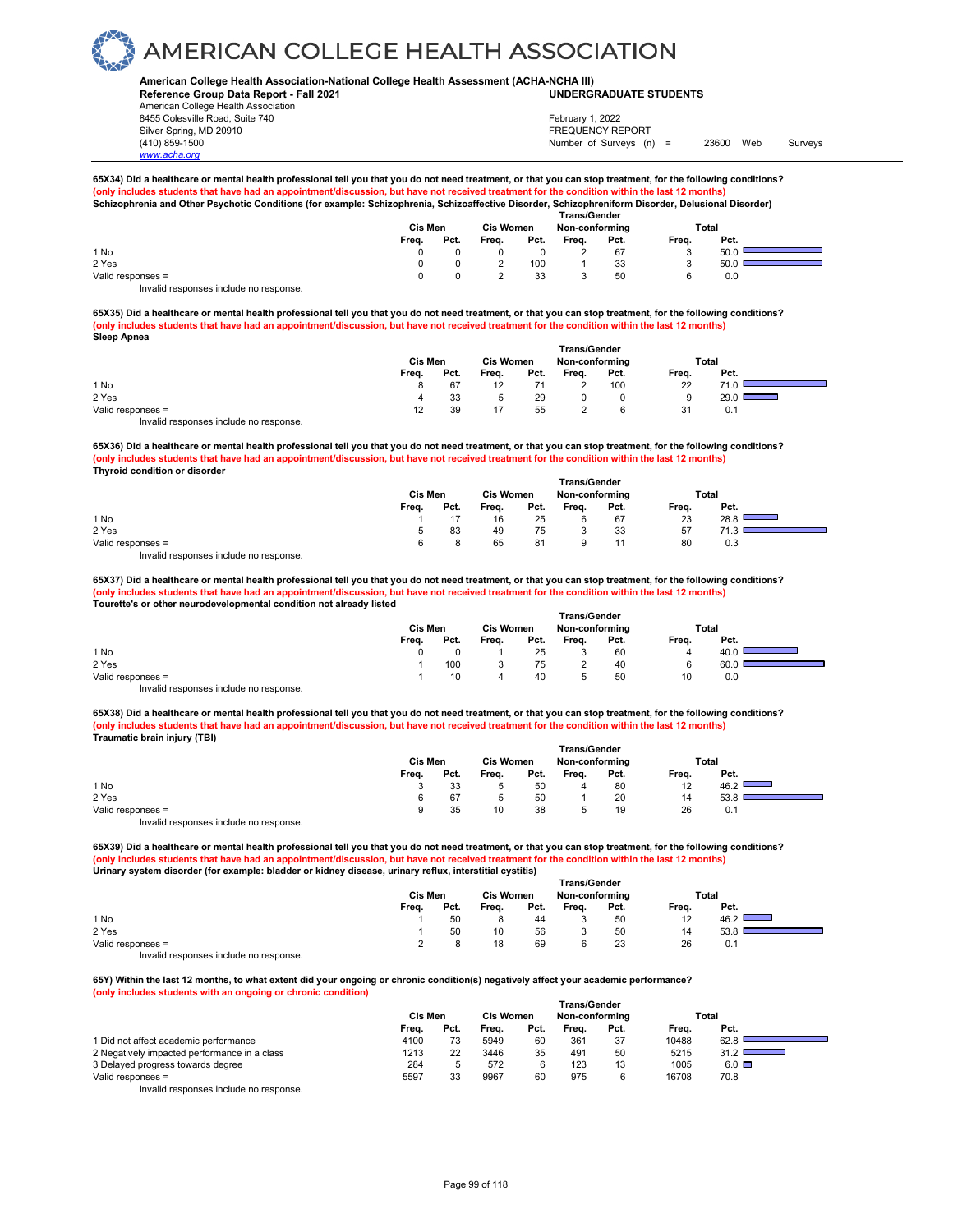### **American College Health Association-National College Health Assessment (ACHA-NCHA III) UNDERGRADUATE STUDENTS**

**Reference Group Data Report - Fall 2021** American College Health Association 8455 Colesville Road, Suite 740 Silver Spring, MD 20910<br>
1990 - The Spring, MD 20910<br>
1990 - The Survey Structure of Surveys (notation of Surveys (notation of Surveys (notation of Surveys (notati *www.acha.org*

Number of Surveys (n) = 23600 Web Surveys February 1, 2022

## **65X34) Did a healthcare or mental health professional tell you that you do not need treatment, or that you can stop treatment, for the following conditions?** (only includes students that have had an appointment/discussion, but have not received treatment for the condition within the last 12 months)<br>Schizophrenia and Other Psychotic Conditions (for example: Schizophrenia, Schizo

|                                       | Cis Men<br><b>Cis Women</b> |      |       |      | <b>Trans/Gender</b><br>Non-conforming |      | Total |      |  |
|---------------------------------------|-----------------------------|------|-------|------|---------------------------------------|------|-------|------|--|
|                                       | Freq.                       | Pct. | Freq. | Pct. | Freq.                                 | Pct. | Freq. | Pct. |  |
| 1 No                                  |                             |      |       |      | ı                                     | 67   |       | 50.0 |  |
| 2 Yes                                 |                             |      |       | 100  |                                       | 33   |       | 50.0 |  |
| Valid responses =                     |                             |      |       | 33   |                                       | 50   |       | 0.0  |  |
| lauglid reenenees inslude ne reenenee |                             |      |       |      |                                       |      |       |      |  |

Invalid responses include no response.

**65X35) Did a healthcare or mental health professional tell you that you do not need treatment, or that you can stop treatment, for the following conditions? (only includes students that have had an appointment/discussion, but have not received treatment for the condition within the last 12 months) Sleep Apnea** 

|                                        | Trans/Gender |      |                  |      |                |      |       |       |  |  |  |  |
|----------------------------------------|--------------|------|------------------|------|----------------|------|-------|-------|--|--|--|--|
|                                        | Cis Men      |      | <b>Cis Women</b> |      | Non-conforming |      |       | Total |  |  |  |  |
|                                        | Freq.        | Pct. | Freq.            | Pct. | Frea.          | Pct. | Freq. | Pct.  |  |  |  |  |
| 1 No                                   |              | 67   | 12               |      |                | 100  | 22    | 71.0  |  |  |  |  |
| 2 Yes                                  |              | 33   |                  | 29   |                |      | 9     | 29.0  |  |  |  |  |
| Valid responses =                      | 12           | 39   |                  | 55   |                |      | 31    | 0.1   |  |  |  |  |
| Invalid responses include no response. |              |      |                  |      |                |      |       |       |  |  |  |  |

**65X36) Did a healthcare or mental health professional tell you that you do not need treatment, or that you can stop treatment, for the following conditions? (only includes students that have had an appointment/discussion, but have not received treatment for the condition within the last 12 months) Thyroid condition or disorder** 

|                                        | <b>Trans/Gender</b> |      |                  |      |                |      |       |             |  |  |  |  |
|----------------------------------------|---------------------|------|------------------|------|----------------|------|-------|-------------|--|--|--|--|
|                                        | Cis Men             |      | <b>Cis Women</b> |      | Non-conforming |      |       | Total       |  |  |  |  |
|                                        | Freq.               | Pct. | Freq.            | Pct. | Freq.          | Pct. | Freq. | Pct.        |  |  |  |  |
| 1 No                                   |                     |      | 16               | 25   |                | 67   | 23    | 28.8        |  |  |  |  |
| 2 Yes                                  |                     | 83   | 49               | 75   |                | 33   | 57    | <b>74 W</b> |  |  |  |  |
| Valid responses =                      | ี                   |      | 65               | 81   |                |      | 80    | 0.3         |  |  |  |  |
| Invalid responses include no response. |                     |      |                  |      |                |      |       |             |  |  |  |  |

**65X37) Did a healthcare or mental health professional tell you that you do not need treatment, or that you can stop treatment, for the following conditions? (only includes students that have had an appointment/discussion, but have not received treatment for the condition within the last 12 months) Tourette's or other neurodevelopmental condition not already listed** 

|                                        | Trans/Gender |      |                  |      |                |      |       |      |  |  |  |
|----------------------------------------|--------------|------|------------------|------|----------------|------|-------|------|--|--|--|
|                                        | Cis Men      |      | <b>Cis Women</b> |      | Non-conforming |      | Total |      |  |  |  |
|                                        | Freq.        | Pct. | Freq.            | Pct. | Frea.          | Pct. | Freq. | Pct. |  |  |  |
| 1 No                                   |              |      |                  | 25   |                | 60   | 4     | 40.U |  |  |  |
| 2 Yes                                  |              | 100  |                  | 75   |                | 40   |       | 60.0 |  |  |  |
| Valid responses =                      |              | 10   |                  | 40   | 5              | 50   | 10    | 0.0  |  |  |  |
| Invalid responses include no response. |              |      |                  |      |                |      |       |      |  |  |  |

**65X38) Did a healthcare or mental health professional tell you that you do not need treatment, or that you can stop treatment, for the following conditions? (only includes students that have had an appointment/discussion, but have not received treatment for the condition within the last 12 months) Traumatic brain injury (TBI)** 

|                   | <b>Trans/Gender</b> |      |                  |      |                |      |       |       |  |  |  |  |
|-------------------|---------------------|------|------------------|------|----------------|------|-------|-------|--|--|--|--|
|                   | Cis Men             |      | <b>Cis Women</b> |      | Non-conforming |      |       | Total |  |  |  |  |
|                   | Freq.               | Pct. | Freq.            | Pct. | Freq.          | Pct. | Freq. | Pct.  |  |  |  |  |
| 1 No              |                     | 33   |                  | 50   | 4              | 80   | 12    | 46.2  |  |  |  |  |
| 2 Yes             |                     | 67   |                  | 50   |                | 20   | 14    | 53.8  |  |  |  |  |
| Valid responses = |                     | 35   | 10               | 38   |                | 19   | 26    | 0.1   |  |  |  |  |
|                   |                     |      |                  |      |                |      |       |       |  |  |  |  |

Invalid responses include no response.

**65X39) Did a healthcare or mental health professional tell you that you do not need treatment, or that you can stop treatment, for the following conditions? (only includes students that have had an appointment/discussion, but have not received treatment for the condition within the last 12 months) Urinary system disorder (for example: bladder or kidney disease, urinary reflux, interstitial cystitis)** 

|                   |       | Cis Men |       | <b>Cis Women</b> |       | Non-conforming |       | Total |  |
|-------------------|-------|---------|-------|------------------|-------|----------------|-------|-------|--|
|                   | Freq. | Pct.    | Freq. | Pct.             | Freq. | Pct.           | Freq. | Pct.  |  |
| 1 No              |       | 50      |       | 44               | J.    | 50             | 12    | 46.2  |  |
| 2 Yes             |       | 50      | 10    | 56               |       | 50             | 14    | 53.8  |  |
| Valid responses = |       |         | 18    | 69               | Р.    | 23             | 26    | 0.1   |  |
| .                 |       |         |       |                  |       |                |       |       |  |

Invalid responses include no response.

**65Y) Within the last 12 months, to what extent did your ongoing or chronic condition(s) negatively affect your academic performance? (only includes students with an ongoing or chronic condition)**

|                                              | <b>Trans/Gender</b> |      |                  |      |                |      |       |              |  |  |
|----------------------------------------------|---------------------|------|------------------|------|----------------|------|-------|--------------|--|--|
|                                              | Cis Men             |      | <b>Cis Women</b> |      | Non-conforming |      |       | Total        |  |  |
|                                              | Frea.               | Pct. | Frea.            | Pct. | Frea.          | Pct. | Frea. | Pct.         |  |  |
| 1 Did not affect academic performance        | 4100                | 73   | 5949             | 60   | 361            | 37   | 10488 | 62.8         |  |  |
| 2 Negatively impacted performance in a class | 1213                | 22   | 3446             | 35   | 491            | 50   | 5215  | 31.2         |  |  |
| 3 Delayed progress towards degree            | 284                 |      | 572              |      | 123            | 13   | 1005  | $6.0$ $\Box$ |  |  |
| Valid responses =                            | 5597                | 33   | 9967             | 60   | 975            | 6    | 16708 | 70.8         |  |  |
| Involid reconnege include no reconneg        |                     |      |                  |      |                |      |       |              |  |  |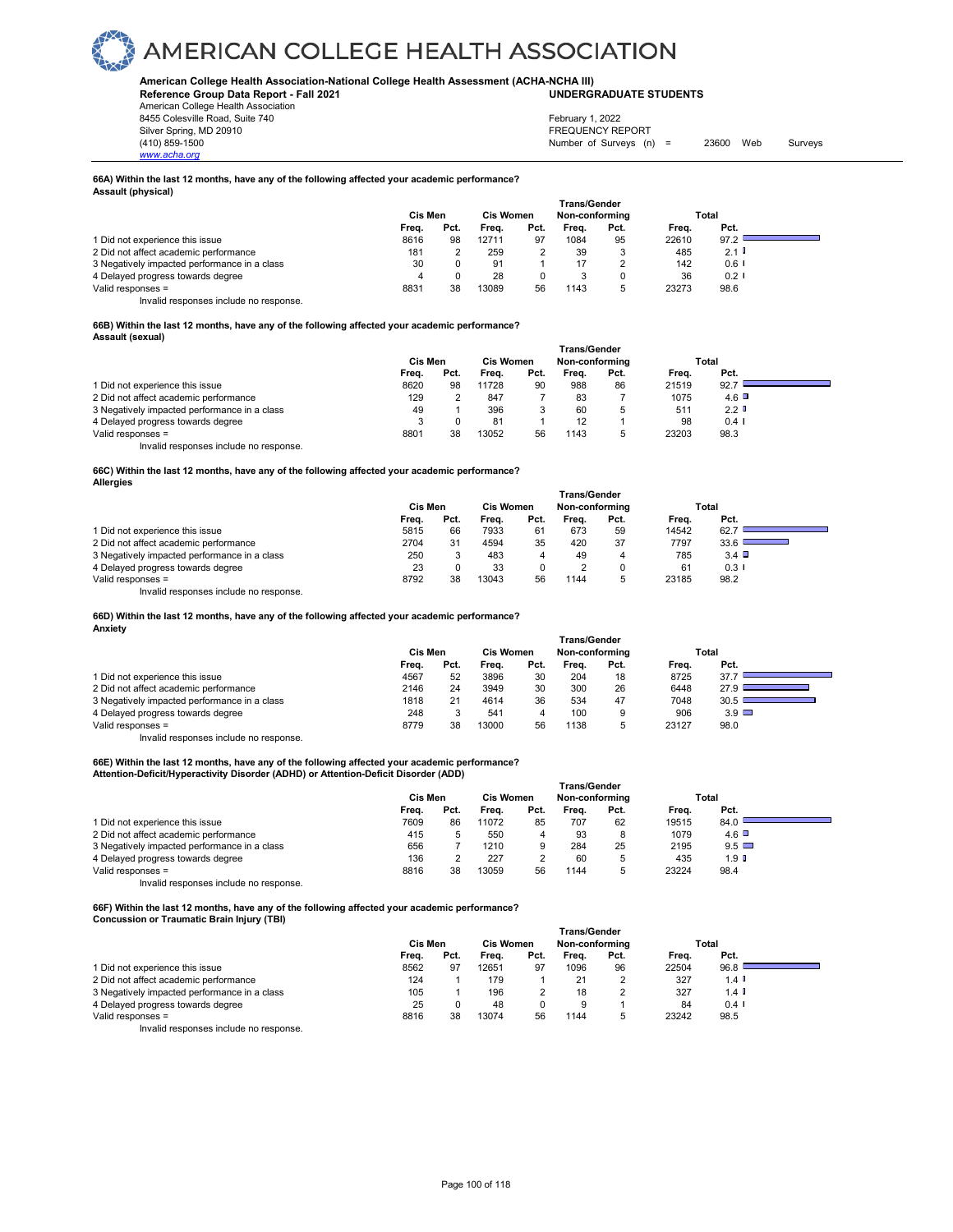## **American College Health Association-National College Health Assessment (ACHA-NCHA III) UNDERGRADUATE STUDENTS**

**Reference Group Data Report - Fall 2021** American College Health Association 8455 Colesville Road, Suite 740

Silver Spring, MD 20910<br>
1990 - The Spring, MD 20910<br>
1990 - The Survey Structure of Surveys (notation of Surveys (notation of Surveys (notation of Surveys (notati Number of Surveys (n) = 23600 Web Surveys February 1, 2022

**66A) Within the last 12 months, have any of the following affected your academic performance? Assault (physical)** 

|                                              | <b>Trans/Gender</b> |      |                  |      |                |      |       |                      |  |  |  |  |
|----------------------------------------------|---------------------|------|------------------|------|----------------|------|-------|----------------------|--|--|--|--|
|                                              | Cis Men             |      | <b>Cis Women</b> |      | Non-conforming |      | Total |                      |  |  |  |  |
|                                              | Frea.               | Pct. | Frea.            | Pct. | Freq.          | Pct. | Frea. | Pct.                 |  |  |  |  |
| 1 Did not experience this issue              | 8616                | 98   | 12711            | 97   | 1084           | 95   | 22610 | 97.2                 |  |  |  |  |
| 2 Did not affect academic performance        | 181                 |      | 259              |      | 39             |      | 485   | 2.1                  |  |  |  |  |
| 3 Negatively impacted performance in a class | 30                  |      | 91               |      | 17             |      | 142   | $0.6$ $\blacksquare$ |  |  |  |  |
| 4 Delayed progress towards degree            | 4                   |      | 28               | 0    |                |      | 36    | 0.21                 |  |  |  |  |
| Valid responses =                            | 8831                | 38   | 13089            | 56   | 1143           | h    | 23273 | 98.6                 |  |  |  |  |

Invalid responses include no response.

*www.acha.org*

### **66B) Within the last 12 months, have any of the following affected your academic performance? Assault (sexual)**

|                                              | <b>Trans/Gender</b> |      |                  |      |                |      |       |                  |  |  |  |  |
|----------------------------------------------|---------------------|------|------------------|------|----------------|------|-------|------------------|--|--|--|--|
|                                              | Cis Men             |      | <b>Cis Women</b> |      | Non-conforming |      | Total |                  |  |  |  |  |
|                                              | Frea.               | Pct. | Frea.            | Pct. | Frea.          | Pct. | Frea. | Pct.             |  |  |  |  |
| 1 Did not experience this issue              | 8620                | 98   | 11728            | 90   | 988            | 86   | 21519 | 92.7             |  |  |  |  |
| 2 Did not affect academic performance        | 129                 |      | 847              |      | 83             |      | 1075  | 4.6              |  |  |  |  |
| 3 Negatively impacted performance in a class | 49                  |      | 396              |      | 60             | 5    | 511   | 2.2 <sub>0</sub> |  |  |  |  |
| 4 Delayed progress towards degree            |                     |      | 81               |      | 12             |      | 98    | $0.4 \;1$        |  |  |  |  |
| Valid responses =                            | 8801                | 38   | 13052            | 56   | 1143           |      | 23203 | 98.3             |  |  |  |  |
| Invalid responses include no response.       |                     |      |                  |      |                |      |       |                  |  |  |  |  |

**66C) Within the last 12 months, have any of the following affected your academic performance? Allergies**

|                                              | <b>Trans/Gender</b> |      |                  |      |                |      |       |              |  |  |  |  |
|----------------------------------------------|---------------------|------|------------------|------|----------------|------|-------|--------------|--|--|--|--|
|                                              | Cis Men             |      | <b>Cis Women</b> |      | Non-conforming |      |       | Total        |  |  |  |  |
|                                              | Freq.               | Pct. | Frea.            | Pct. | Frea.          | Pct. | Frea. | Pct.         |  |  |  |  |
| 1 Did not experience this issue              | 5815                | 66   | 7933             | 61   | 673            | 59   | 14542 | 62.7         |  |  |  |  |
| 2 Did not affect academic performance        | 2704                | 31   | 4594             | 35   | 420            | 37   | 7797  | 33.6         |  |  |  |  |
| 3 Negatively impacted performance in a class | 250                 |      | 483              | 4    | 49             | 4    | 785   | $3.4$ $\Box$ |  |  |  |  |
| 4 Delayed progress towards degree            | 23                  |      | 33               |      |                |      | 61    | 0.3          |  |  |  |  |
| Valid responses $=$                          | 8792                | 38   | 13043            | 56   | 1144           |      | 23185 | 98.2         |  |  |  |  |

Invalid responses include no response.

**66D) Within the last 12 months, have any of the following affected your academic performance? Anxiety**

|                                              | Cis Men |      | <b>Cis Women</b> |      | Trans/Gender<br>Non-conforming |      |       | Total        |  |
|----------------------------------------------|---------|------|------------------|------|--------------------------------|------|-------|--------------|--|
|                                              | Freq.   | Pct. | Freq.            | Pct. | Frea.                          | Pct. | Freq. | Pct.         |  |
| 1 Did not experience this issue              | 4567    | 52   | 3896             | 30   | 204                            | 18   | 8725  | 37.7         |  |
| 2 Did not affect academic performance        | 2146    | 24   | 3949             | 30   | 300                            | 26   | 6448  | 27.9         |  |
| 3 Negatively impacted performance in a class | 1818    | 21   | 4614             | 36   | 534                            | 47   | 7048  | 30.5         |  |
| 4 Delayed progress towards degree            | 248     |      | 541              | 4    | 100                            | 9    | 906   | $3.9$ $\Box$ |  |
| Valid responses =                            | 8779    | 38   | 13000            | 56   | 1138                           | 5    | 23127 | 98.0         |  |
| .                                            |         |      |                  |      |                                |      |       |              |  |

Invalid responses include no response.

## **66E) Within the last 12 months, have any of the following affected your academic performance? Attention-Deficit/Hyperactivity Disorder (ADHD) or Attention-Deficit Disorder (ADD)**

|                                              | <b>Trans/Gender</b> |      |                  |      |                |      |       |                  |  |  |  |
|----------------------------------------------|---------------------|------|------------------|------|----------------|------|-------|------------------|--|--|--|
|                                              | Cis Men             |      | <b>Cis Women</b> |      | Non-conforming |      | Total |                  |  |  |  |
|                                              | Frea.               | Pct. | Freq.            | Pct. | Frea.          | Pct. | Frea. | Pct.             |  |  |  |
| 1 Did not experience this issue              | 7609                | 86   | 11072            | 85   | 707            | 62   | 19515 | 84.0             |  |  |  |
| 2 Did not affect academic performance        | 415                 |      | 550              |      | 93             | 8    | 1079  | $4.6$ $\Box$     |  |  |  |
| 3 Negatively impacted performance in a class | 656                 |      | 1210             | 9    | 284            | 25   | 2195  | $9.5$ $\Box$     |  |  |  |
| 4 Delayed progress towards degree            | 136                 |      | 227              |      | 60             | 5    | 435   | 1.9 <sup>°</sup> |  |  |  |
| Valid responses =                            | 8816                | 38   | 13059            | 56   | 1144           | 5    | 23224 | 98.4             |  |  |  |
| Invalid responses include no response.       |                     |      |                  |      |                |      |       |                  |  |  |  |

**66F) Within the last 12 months, have any of the following affected your academic performance? Concussion or Traumatic Brain Injury (TBI)** 

|                                              | <b>Trans/Gender</b> |      |                             |      |       |      |       |                      |  |  |  |
|----------------------------------------------|---------------------|------|-----------------------------|------|-------|------|-------|----------------------|--|--|--|
|                                              | Cis Men             |      | Cis Women<br>Non-conforming |      |       |      |       | Total                |  |  |  |
|                                              | Freq.               | Pct. | Frea.                       | Pct. | Freq. | Pct. | Freq. | Pct.                 |  |  |  |
| 1 Did not experience this issue              | 8562                | 97   | 12651                       | 97   | 1096  | 96   | 22504 | 96.8                 |  |  |  |
| 2 Did not affect academic performance        | 124                 |      | 179                         |      | 21    | 2    | 327   | $1.4$ $\blacksquare$ |  |  |  |
| 3 Negatively impacted performance in a class | 105                 |      | 196                         |      | 18    | 2    | 327   | $1.4$ I              |  |  |  |
| 4 Delayed progress towards degree            | 25                  |      | 48                          | 0    | 9     |      | 84    | $0.4$ I              |  |  |  |
| Valid responses =                            | 8816                | 38   | 13074                       | 56   | 1144  | b    | 23242 | 98.5                 |  |  |  |
| .<br>.                                       |                     |      |                             |      |       |      |       |                      |  |  |  |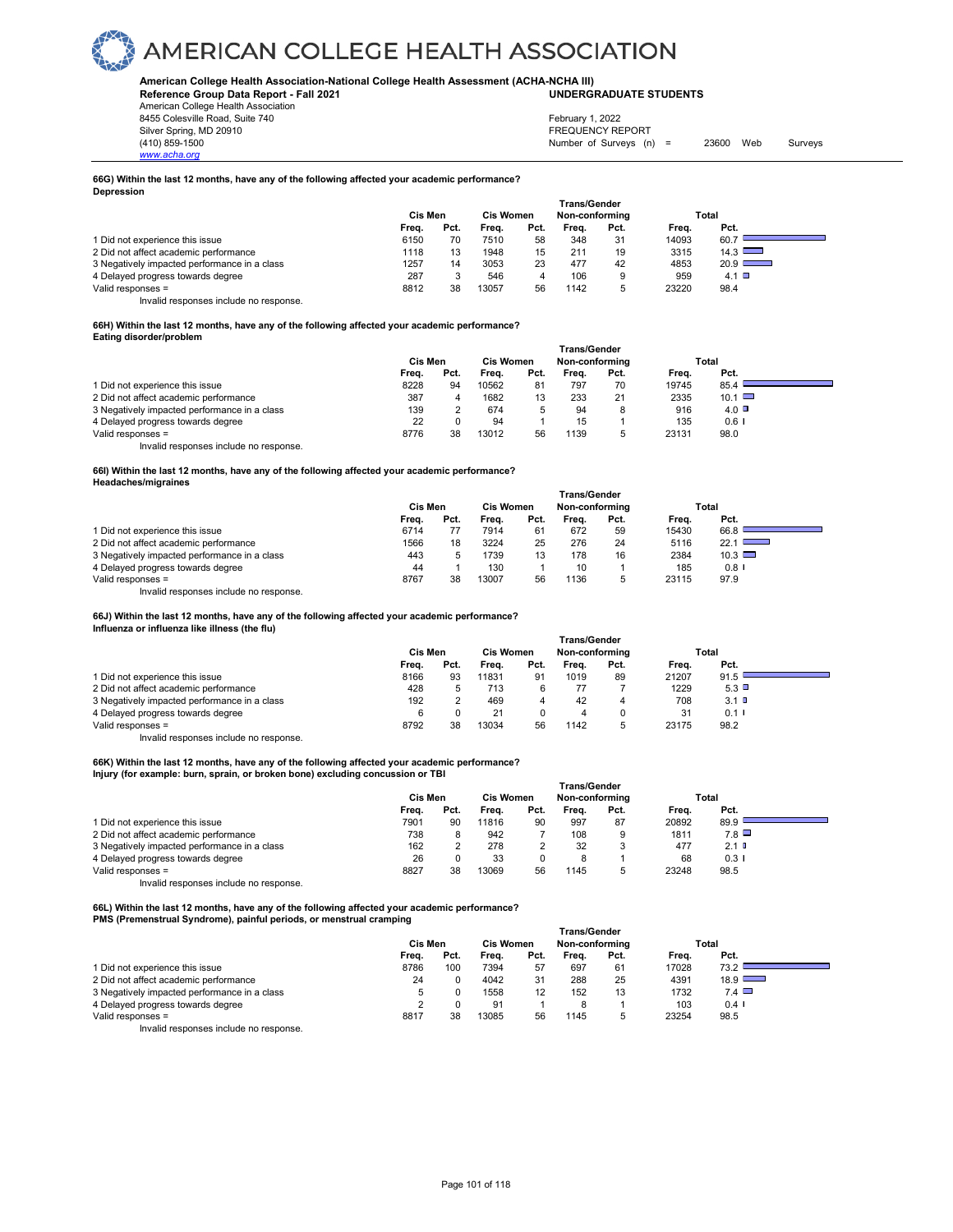## **American College Health Association-National College Health Assessment (ACHA-NCHA III) UNDERGRADUATE STUDENTS**

**Reference Group Data Report - Fall 2021** American College Health Association 8455 Colesville Road, Suite 740 Silver Spring, MD 20910<br>
1990 - The Spring, MD 20910<br>
1990 - The Survey Structure of Surveys (notation of Surveys (notation of Surveys (notation of Surveys (notati

Number of Surveys (n) = 23600 Web Surveys February 1, 2022

**66G) Within the last 12 months, have any of the following affected your academic performance? Depression** 

|                                              | <b>Trans/Gender</b> |      |           |      |                |      |       |               |  |  |  |
|----------------------------------------------|---------------------|------|-----------|------|----------------|------|-------|---------------|--|--|--|
|                                              | Cis Men             |      | Cis Women |      | Non-conforming |      |       | Total         |  |  |  |
|                                              | Freq.               | Pct. | Frea.     | Pct. | Frea.          | Pct. | Frea. | Pct.          |  |  |  |
| 1 Did not experience this issue              | 6150                | 70   | 7510      | 58   | 348            | 31   | 14093 | 60.7          |  |  |  |
| 2 Did not affect academic performance        | 1118                | 13   | 1948      | 15   | 211            | 19   | 3315  | 14.3          |  |  |  |
| 3 Negatively impacted performance in a class | 1257                | 14   | 3053      | 23   | 477            | 42   | 4853  | $20.9$ $\Box$ |  |  |  |
| 4 Delayed progress towards degree            | 287                 |      | 546       | 4    | 106            | 9    | 959   | 4.1 $\Box$    |  |  |  |
| Valid responses =                            | 8812                | 38   | 13057     | 56   | 1142           | 5    | 23220 | 98.4          |  |  |  |

Invalid responses include no response.

*www.acha.org*

### **66H) Within the last 12 months, have any of the following affected your academic performance? Eating disorder/problem**

|                                              | Trans/Gender |      |                  |      |                |      |       |               |  |  |  |  |
|----------------------------------------------|--------------|------|------------------|------|----------------|------|-------|---------------|--|--|--|--|
|                                              | Cis Men      |      | <b>Cis Women</b> |      | Non-conforming |      | Total |               |  |  |  |  |
|                                              | Frea.        | Pct. | Frea.            | Pct. | Frea.          | Pct. | Frea. | Pct.          |  |  |  |  |
| 1 Did not experience this issue              | 8228         | 94   | 10562            | 81   | 797            | 70   | 19745 | 85.4          |  |  |  |  |
| 2 Did not affect academic performance        | 387          | 4    | 1682             | 13   | 233            | 21   | 2335  | $10.1$ $\Box$ |  |  |  |  |
| 3 Negatively impacted performance in a class | 139          |      | 674              |      | 94             | 8    | 916   | $4.0\Box$     |  |  |  |  |
| 4 Delayed progress towards degree            | 22           |      | 94               |      | 15             |      | 135   | $0.6$ I       |  |  |  |  |
| Valid responses =                            | 8776         | 38   | 13012            | 56   | 1139           | 5    | 23131 | 98.0          |  |  |  |  |
| Invalid responses include no response.       |              |      |                  |      |                |      |       |               |  |  |  |  |

#### **66I) Within the last 12 months, have any of the following affected your academic performance? Headaches/migraines**

|                                              | Cis Men<br><b>Cis Women</b> |      |       |      | Trans/Gender<br>Non-conforming |      |       | Total              |
|----------------------------------------------|-----------------------------|------|-------|------|--------------------------------|------|-------|--------------------|
|                                              | Freq.                       | Pct. | Frea. | Pct. | Frea.                          | Pct. | Frea. | Pct.               |
| 1 Did not experience this issue              | 6714                        |      | 7914  | 61   | 672                            | 59   | 15430 | 66.8               |
| 2 Did not affect academic performance        | 1566                        | 18   | 3224  | 25   | 276                            | 24   | 5116  | $22.1$ L<br>$\sim$ |
| 3 Negatively impacted performance in a class | 443                         |      | 1739  | 13   | 178                            | 16   | 2384  | $10.3$ $\Box$      |
| 4 Delayed progress towards degree            | 44                          |      | 130   |      | 10                             |      | 185   | $0.8$ I            |
| Valid responses =                            | 8767                        | 38   | 13007 | 56   | 1136                           |      | 23115 | 97.9               |

Invalid responses include no response.

**66J) Within the last 12 months, have any of the following affected your academic performance?** 

## **Influenza or influenza like illness (the flu)**

|                                              | <b>Trans/Gender</b> |      |                  |      |                |      |       |      |  |  |  |  |
|----------------------------------------------|---------------------|------|------------------|------|----------------|------|-------|------|--|--|--|--|
|                                              | Cis Men             |      | <b>Cis Women</b> |      | Non-conforming |      | Total |      |  |  |  |  |
|                                              | Frea.               | Pct. | Frea.            | Pct. | Frea.          | Pct. | Frea. | Pct. |  |  |  |  |
| 1 Did not experience this issue              | 8166                | 93   | 11831            | 91   | 1019           | 89   | 21207 | 91.5 |  |  |  |  |
| 2 Did not affect academic performance        | 428                 |      | 713              |      |                |      | 1229  | 5.3  |  |  |  |  |
| 3 Negatively impacted performance in a class | 192                 |      | 469              |      | 42             |      | 708   | 3.1  |  |  |  |  |
| 4 Delayed progress towards degree            |                     |      | 21               |      |                |      | 31    | 0.11 |  |  |  |  |
| Valid responses =                            | 8792                | 38   | 13034            | 56   | 1142           | b    | 23175 | 98.2 |  |  |  |  |
|                                              |                     |      |                  |      |                |      |       |      |  |  |  |  |

Invalid responses include no response.

## **66K) Within the last 12 months, have any of the following affected your academic performance? Injury (for example: burn, sprain, or broken bone) excluding concussion or TBI**

|                                              | Trans/Gender |      |                  |      |                |      |       |            |  |  |  |
|----------------------------------------------|--------------|------|------------------|------|----------------|------|-------|------------|--|--|--|
|                                              | Cis Men      |      | <b>Cis Women</b> |      | Non-conforming |      | Total |            |  |  |  |
|                                              | Frea.        | Pct. | Frea.            | Pct. | Frea.          | Pct. | Frea. | Pct.       |  |  |  |
| 1 Did not experience this issue              | 7901         | 90   | 11816            | 90   | 997            | 87   | 20892 | 89.9       |  |  |  |
| 2 Did not affect academic performance        | 738          |      | 942              |      | 108            | 9    | 1811  | 7.8        |  |  |  |
| 3 Negatively impacted performance in a class | 162          |      | 278              |      | 32             | 3    | 477   | $2.1$ D    |  |  |  |
| 4 Delayed progress towards degree            | 26           |      | 33               |      | 8              |      | 68    | $0.3 \cup$ |  |  |  |
| Valid responses =                            | 8827         | 38   | 13069            | 56   | 1145           | 5    | 23248 | 98.5       |  |  |  |
| Invalid responses include no response.       |              |      |                  |      |                |      |       |            |  |  |  |

**66L) Within the last 12 months, have any of the following affected your academic performance? PMS (Premenstrual Syndrome), painful periods, or menstrual cramping** 

|                                              | <b>Trans/Gender</b> |      |                  |      |                |      |       |                      |  |  |  |  |
|----------------------------------------------|---------------------|------|------------------|------|----------------|------|-------|----------------------|--|--|--|--|
|                                              | Cis Men             |      | <b>Cis Women</b> |      | Non-conforming |      | Total |                      |  |  |  |  |
|                                              | Frea.               | Pct. | Freq.            | Pct. | Frea.          | Pct. | Frea. | Pct.                 |  |  |  |  |
| 1 Did not experience this issue              | 8786                | 100  | 7394             | 57   | 697            | 61   | 17028 | 73.2                 |  |  |  |  |
| 2 Did not affect academic performance        | 24                  |      | 4042             | 31   | 288            | 25   | 4391  | $18.9$ $\Box$        |  |  |  |  |
| 3 Negatively impacted performance in a class |                     |      | 1558             | 12   | 152            | 13   | 1732  | $7.4$ $\Box$         |  |  |  |  |
| 4 Delayed progress towards degree            |                     |      | 91               |      |                |      | 103   | $0.4$ $\blacksquare$ |  |  |  |  |
| Valid responses =                            | 8817                | 38   | 13085            | 56   | 1145           | 5    | 23254 | 98.5                 |  |  |  |  |
| .                                            |                     |      |                  |      |                |      |       |                      |  |  |  |  |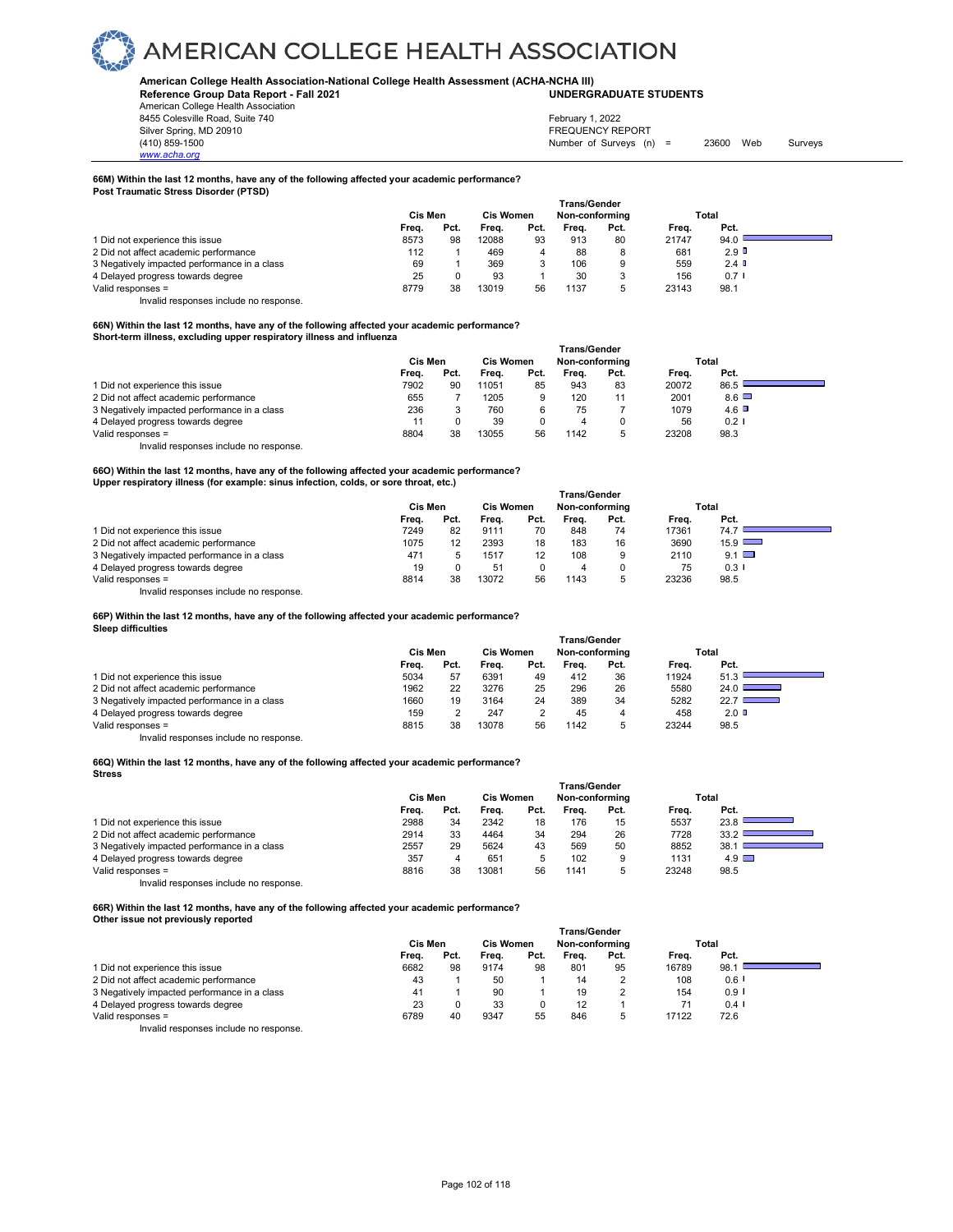## **American College Health Association-National College Health Assessment (ACHA-NCHA III) UNDERGRADUATE STUDENTS**

**Reference Group Data Report - Fall 2021** American College Health Association 8455 Colesville Road, Suite 740

Silver Spring, MD 20910<br>
1990 - The Spring, MD 20910<br>
1990 - The Survey Structure of Surveys (notation of Surveys (notation of Surveys (notation of Surveys (notati Number of Surveys (n) = 23600 Web Surveys February 1, 2022

## *www.acha.org*

## **66M) Within the last 12 months, have any of the following affected your academic performance?**

**Post Traumatic Stress Disorder (PTSD)** 

|                                              | <b>Trans/Gender</b> |      |                  |      |                |      |       |         |  |  |  |  |
|----------------------------------------------|---------------------|------|------------------|------|----------------|------|-------|---------|--|--|--|--|
|                                              | Cis Men             |      | <b>Cis Women</b> |      | Non-conforming |      |       | Total   |  |  |  |  |
|                                              | Freq.               | Pct. | Freq.            | Pct. | Frea.          | Pct. | Frea. | Pct.    |  |  |  |  |
| 1 Did not experience this issue              | 8573                | 98   | 12088            | 93   | 913            | 80   | 21747 | 94.0    |  |  |  |  |
| 2 Did not affect academic performance        | 112                 |      | 469              | 4    | 88             | 8    | 681   | $2.9$ D |  |  |  |  |
| 3 Negatively impacted performance in a class | 69                  |      | 369              |      | 106            | 9    | 559   | 2.4     |  |  |  |  |
| 4 Delayed progress towards degree            | 25                  |      | 93               |      | 30             |      | 156   | $0.7$ I |  |  |  |  |
| Valid responses $=$                          | 8779                | 38   | 13019            | 56   | 1137           |      | 23143 | 98.1    |  |  |  |  |

Invalid responses include no response.

### **66N) Within the last 12 months, have any of the following affected your academic performance? Short-term illness, excluding upper respiratory illness and influenza**

|                                              | <b>Trans/Gender</b> |      |                  |      |                |      |       |              |  |  |  |
|----------------------------------------------|---------------------|------|------------------|------|----------------|------|-------|--------------|--|--|--|
|                                              | Cis Men             |      | <b>Cis Women</b> |      | Non-conforming |      | Total |              |  |  |  |
|                                              | Frea.               | Pct. | Frea.            | Pct. | Frea.          | Pct. | Frea. | Pct.         |  |  |  |
| 1 Did not experience this issue              | 7902                | 90   | 11051            | 85   | 943            | 83   | 20072 | 86.5         |  |  |  |
| 2 Did not affect academic performance        | 655                 |      | 1205             | 9    | 120            | 11   | 2001  | $8.6$ $\Box$ |  |  |  |
| 3 Negatively impacted performance in a class | 236                 |      | 760              | 6    | 75             |      | 1079  | $4.6$ $\Box$ |  |  |  |
| 4 Delayed progress towards degree            |                     |      | 39               | 0    | 4              | 0    | 56    | $0.2$ I      |  |  |  |
| Valid responses =                            | 8804                | 38   | 13055            | 56   | 1142           | 5    | 23208 | 98.3         |  |  |  |
| Invalid responses include no response.       |                     |      |                  |      |                |      |       |              |  |  |  |

### **66O) Within the last 12 months, have any of the following affected your academic performance? Upper respiratory illness (for example: sinus infection, colds, or sore throat, etc.)**

|                                              | <b>Trans/Gender</b> |      |                  |      |                |      |       |                      |  |  |  |  |
|----------------------------------------------|---------------------|------|------------------|------|----------------|------|-------|----------------------|--|--|--|--|
|                                              | Cis Men             |      | <b>Cis Women</b> |      | Non-conformina |      |       | Total                |  |  |  |  |
|                                              | Freq.               | Pct. | Freq.            | Pct. | Frea.          | Pct. | Frea. | Pct.                 |  |  |  |  |
| 1 Did not experience this issue              | 7249                | 82   | 9111             | 70   | 848            | 74   | 17361 | 74.7                 |  |  |  |  |
| 2 Did not affect academic performance        | 1075                | 12   | 2393             | 18   | 183            | 16   | 3690  | $15.9$ $\Box$        |  |  |  |  |
| 3 Negatively impacted performance in a class | 471                 |      | 1517             | 12   | 108            |      | 2110  | $9.1$ $\Box$         |  |  |  |  |
| 4 Delayed progress towards degree            | 19                  |      | 51               |      |                |      | 75    | $0.3$ $\blacksquare$ |  |  |  |  |
| Valid responses =                            | 8814                | 38   | 13072            | 56   | 1143           |      | 23236 | 98.5                 |  |  |  |  |

Invalid responses include no response.

**66P) Within the last 12 months, have any of the following affected your academic performance?** 

## **Sleep difficulties**

|                                              | <b>Trans/Gender</b> |      |                  |      |                |      |       |                                           |  |  |  |  |
|----------------------------------------------|---------------------|------|------------------|------|----------------|------|-------|-------------------------------------------|--|--|--|--|
|                                              | Cis Men             |      | <b>Cis Women</b> |      | Non-conforming |      |       | Total                                     |  |  |  |  |
|                                              | Frea.               | Pct. | Frea.            | Pct. | Frea.          | Pct. | Frea. | Pct.                                      |  |  |  |  |
| 1 Did not experience this issue              | 5034                | 57   | 6391             | 49   | 412            | 36   | 11924 | 51.3                                      |  |  |  |  |
| 2 Did not affect academic performance        | 1962                | 22   | 3276             | 25   | 296            | 26   | 5580  | 24.0                                      |  |  |  |  |
| 3 Negatively impacted performance in a class | 1660                | 19   | 3164             | 24   | 389            | 34   | 5282  | 22.7<br><b>Contract Contract Contract</b> |  |  |  |  |
| 4 Delayed progress towards degree            | 159                 |      | 247              | っ    | 45             | 4    | 458   | $2.0$ D                                   |  |  |  |  |
| Valid responses =                            | 8815                | 38   | 13078            | 56   | 1142           | 5    | 23244 | 98.5                                      |  |  |  |  |
| Invalid responses include no response.       |                     |      |                  |      |                |      |       |                                           |  |  |  |  |

**66Q) Within the last 12 months, have any of the following affected your academic performance? Stress** 

|                                              | <b>Trans/Gender</b> |      |                  |      |                |      |       |              |  |  |  |
|----------------------------------------------|---------------------|------|------------------|------|----------------|------|-------|--------------|--|--|--|
|                                              | Cis Men             |      | <b>Cis Women</b> |      | Non-conforming |      |       | Total        |  |  |  |
|                                              | Freq.               | Pct. | Frea.            | Pct. | Frea.          | Pct. | Frea. | Pct.         |  |  |  |
| 1 Did not experience this issue              | 2988                | 34   | 2342             | 18   | 176            | 15   | 5537  | 23.8         |  |  |  |
| 2 Did not affect academic performance        | 2914                | 33   | 4464             | 34   | 294            | 26   | 7728  | 33.2         |  |  |  |
| 3 Negatively impacted performance in a class | 2557                | 29   | 5624             | 43   | 569            | 50   | 8852  | 38.1         |  |  |  |
| 4 Delayed progress towards degree            | 357                 |      | 651              |      | 102            | 9    | 1131  | $4.9$ $\Box$ |  |  |  |
| Valid responses =                            | 8816                | 38   | 13081            | 56   | 1141           | 5    | 23248 | 98.5         |  |  |  |
| Invalid responses include no response.       |                     |      |                  |      |                |      |       |              |  |  |  |

**66R) Within the last 12 months, have any of the following affected your academic performance? Other issue not previously reported** 

|                                              | <b>Trans/Gender</b> |      |                             |      |       |      |       |                      |  |  |  |
|----------------------------------------------|---------------------|------|-----------------------------|------|-------|------|-------|----------------------|--|--|--|
|                                              | Cis Men             |      | Cis Women<br>Non-conforming |      |       |      |       | Total                |  |  |  |
|                                              | Freq.               | Pct. | Frea.                       | Pct. | Frea. | Pct. | Freq. | Pct.                 |  |  |  |
| 1 Did not experience this issue              | 6682                | 98   | 9174                        | 98   | 801   | 95   | 16789 | 98.1                 |  |  |  |
| 2 Did not affect academic performance        | 43                  |      | 50                          |      | 14    | ے    | 108   | $0.6$ $\blacksquare$ |  |  |  |
| 3 Negatively impacted performance in a class | 41                  |      | 90                          |      | 19    | ∠    | 154   | $0.9$ $\blacksquare$ |  |  |  |
| 4 Delayed progress towards degree            | 23                  |      | 33                          | 0    | 12    |      |       | $0.4$ I              |  |  |  |
| Valid responses =                            | 6789                | 40   | 9347                        | 55   | 846   | 5    | 17122 | 72.6                 |  |  |  |
| .<br>.                                       |                     |      |                             |      |       |      |       |                      |  |  |  |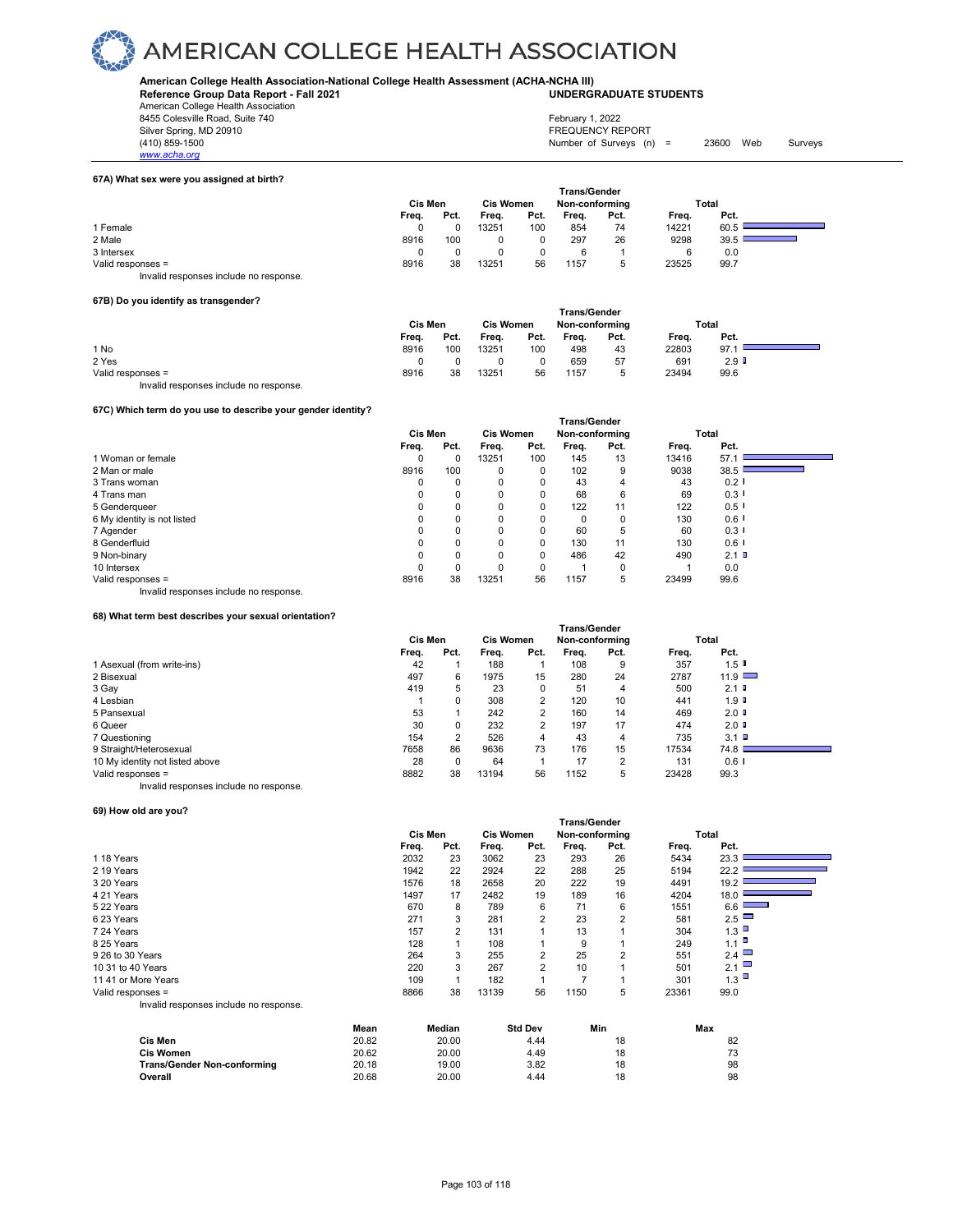**American College Health Association-National College Health Assessment (ACHA-NCHA III) UNDERGRADUATE STUDENTS**

**Reference Group Data Report - Fall 2021** American College Health Association

8455 Colesville Road, Suite 740<br>Silver Spring, MD 20910

- 
- *www.acha.org*

(410) 859-1500 Number of Surveys (n) = 23600 Web Surveys

## **67A) What sex were you assigned at birth?**

| 67A) what sex were you assigned at birth? |         |      |                  |      |                     |                |       |       |  |
|-------------------------------------------|---------|------|------------------|------|---------------------|----------------|-------|-------|--|
|                                           |         |      |                  |      | <b>Trans/Gender</b> |                |       |       |  |
|                                           | Cis Men |      | <b>Cis Women</b> |      |                     | Non-conforming |       | Total |  |
|                                           | Frea.   | Pct. | Freq.            | Pct. | Frea.               | Pct.           | Frea. | Pct.  |  |
| 1 Female                                  |         |      | 3251             | 100  | 854                 | 74             | 14221 | 60.5  |  |
| 2 Male                                    | 8916    | 100  | 0                |      | 297                 | 26             | 9298  | 39.5  |  |
| 3 Intersex                                |         |      |                  | 0    | 6                   |                | 6     | 0.0   |  |
| Valid responses =                         | 8916    | 38   | 13251            | 56   | 1157                |                | 23525 | 99.7  |  |
| Invalid responses include no response.    |         |      |                  |      |                     |                |       |       |  |

## **67B) Do you identify as transgender?**

|                                        |         |      |                  |      | <b>Trans/Gender</b> |      |       |                  |  |
|----------------------------------------|---------|------|------------------|------|---------------------|------|-------|------------------|--|
|                                        | Cis Men |      | <b>Cis Women</b> |      | Non-conforming      |      | Total |                  |  |
|                                        | Freq.   | Pct. | Freq.            | Pct. | Freq.               | Pct. | Freq. | Pct.             |  |
| 1 No                                   | 8916    | 100  | 13251            | 100  | 498                 | 43   | 22803 | 97.1             |  |
| 2 Yes                                  |         |      |                  |      | 659                 | 57   | 691   | 2.9 <sup>°</sup> |  |
| Valid responses =                      | 8916    | 38   | 13251            | 56   | 1157                |      | 23494 | 99.6             |  |
| Invalid responses include no response. |         |      |                  |      |                     |      |       |                  |  |

## **67C) Which term do you use to describe your gender identity?**

| orc) which term do you use to describe your genuer identity: |         |      |                  |      |                |          |       |                      |  |
|--------------------------------------------------------------|---------|------|------------------|------|----------------|----------|-------|----------------------|--|
|                                                              |         |      |                  |      |                |          |       |                      |  |
|                                                              | Cis Men |      | <b>Cis Women</b> |      | Non-conforming |          | Total |                      |  |
|                                                              | Freq.   | Pct. | Freq.            | Pct. | Freq.          | Pct.     | Freq. | Pct.                 |  |
| 1 Woman or female                                            | 0       | 0    | 13251            | 100  | 145            | 13       | 13416 | 57.1                 |  |
| 2 Man or male                                                | 8916    | 100  | $\Omega$         | 0    | 102            | 9        | 9038  | 38.5                 |  |
| 3 Trans woman                                                | 0       | 0    | 0                | 0    | 43             | 4        | 43    | $0.2$ I              |  |
| 4 Trans man                                                  | 0       | 0    | $\Omega$         | 0    | 68             | 6        | 69    | $0.3$ $\blacksquare$ |  |
| 5 Genderqueer                                                |         |      |                  | 0    | 122            | 11       | 122   | 0.5                  |  |
| 6 My identity is not listed                                  |         |      |                  | 0    | 0              | $\Omega$ | 130   | $0.6$ $\blacksquare$ |  |
| 7 Agender                                                    | 0       | 0    |                  | 0    | 60             | 5        | 60    | $0.3$ I              |  |
| 8 Genderfluid                                                |         | 0    |                  | 0    | 130            | 11       | 130   | $0.6$ I              |  |
| 9 Non-binary                                                 | 0       | 0    | $\Omega$         | 0    | 486            | 42       | 490   | $2.1$ D              |  |
| 10 Intersex                                                  | 0       | 0    |                  | 0    |                | 0        |       | 0.0                  |  |
| Valid responses =                                            | 8916    | 38   | 13251            | 56   | 1157           | 5        | 23499 | 99.6                 |  |

Invalid responses include no response.

## **68) What term best describes your sexual orientation?**

|                                        | Trans/Gender |          |                  |      |                |      |       |                  |  |
|----------------------------------------|--------------|----------|------------------|------|----------------|------|-------|------------------|--|
|                                        | Cis Men      |          | <b>Cis Women</b> |      | Non-conforming |      | Total |                  |  |
|                                        | Freq.        | Pct.     | Freq.            | Pct. | Freq.          | Pct. | Freq. | Pct.             |  |
| 1 Asexual (from write-ins)             | 42           |          | 188              |      | 108            | 9    | 357   | $1.5$ D          |  |
| 2 Bisexual                             | 497          | 6        | 1975             | 15   | 280            | 24   | 2787  | $11.9$ $\Box$    |  |
| 3 Gay                                  | 419          | 5        | 23               | 0    | 51             | 4    | 500   | $2.1$ D          |  |
| 4 Lesbian                              |              | 0        | 308              | 2    | 120            | 10   | 441   | 1.9 <sup>T</sup> |  |
| 5 Pansexual                            | 53           |          | 242              | 2    | 160            | 14   | 469   | $2.0$ D          |  |
| 6 Queer                                | 30           | 0        | 232              | 2    | 197            | 17   | 474   | $2.0$ D          |  |
| 7 Questioning                          | 154          | 2        | 526              | 4    | 43             | 4    | 735   | $3.1$ D          |  |
| 9 Straight/Heterosexual                | 7658         | 86       | 9636             | 73   | 176            | 15   | 17534 | 74.8             |  |
| 10 My identity not listed above        | 28           | $\Omega$ | 64               |      | 17             | 2    | 131   | $0.6$ I          |  |
| Valid responses =                      | 8882         | 38       | 13194            | 56   | 1152           | 5    | 23428 | 99.3             |  |
| Invalid responses include no response. |              |          |                  |      |                |      |       |                  |  |

## **69) How old are you?**

|                                        |                |      |                  |                | ı rans/Gender  |      |       |                      |  |
|----------------------------------------|----------------|------|------------------|----------------|----------------|------|-------|----------------------|--|
|                                        | <b>Cis Men</b> |      | <b>Cis Women</b> |                | Non-conforming |      |       | Total                |  |
|                                        | Freq.          | Pct. | Freq.            | Pct.           | Freq.          | Pct. | Freq. | Pct.                 |  |
| 118 Years                              | 2032           | 23   | 3062             | 23             | 293            | 26   | 5434  | 23.3                 |  |
| 2 19 Years                             | 1942           | 22   | 2924             | 22             | 288            | 25   | 5194  | 22.2                 |  |
| 3 20 Years                             | 1576           | 18   | 2658             | 20             | 222            | 19   | 4491  | 19.2                 |  |
| 4 21 Years                             | 1497           | 17   | 2482             | 19             | 189            | 16   | 4204  | 18.0                 |  |
| 522 Years                              | 670            | 8    | 789              | 6              | 71             | 6    | 1551  | $6.6$ $\qquad$       |  |
| 623 Years                              | 271            | 3    | 281              | $\overline{2}$ | 23             | 2    | 581   | 2.5                  |  |
| 7 24 Years                             | 157            | 2    | 131              |                | 13             |      | 304   | 1.3                  |  |
| 8 25 Years                             | 128            |      | 108              |                | 9              |      | 249   | $1.1$ $\blacksquare$ |  |
| 9 26 to 30 Years                       | 264            | 3    | 255              | $\overline{2}$ | 25             | 2    | 551   | 2.4 $\Box$           |  |
| 10 31 to 40 Years                      | 220            | 3    | 267              | $\overline{2}$ | 10             |      | 501   | 2.1                  |  |
| 11 41 or More Years                    | 109            |      | 182              |                |                |      | 301   | 1.3                  |  |
| Valid responses =                      | 8866           | 38   | 13139            | 56             | 1150           | 5    | 23361 | 99.0                 |  |
| Invalid responses include no response. |                |      |                  |                |                |      |       |                      |  |

 **Trans/Gender**

|                             | Mean  | Median | <b>Std Dev</b> | Min | Max |
|-----------------------------|-------|--------|----------------|-----|-----|
| Cis Men                     | 20.82 | 20.00  | 4.44           | 18  | 82  |
| <b>Cis Women</b>            | 20.62 | 20.00  | 4.49           | 18  | 73  |
| Trans/Gender Non-conforming | 20.18 | 19.00  | 3.82           | 18  | 98  |
| Overall                     | 20.68 | 20.00  | 4.44           | 18  | 98  |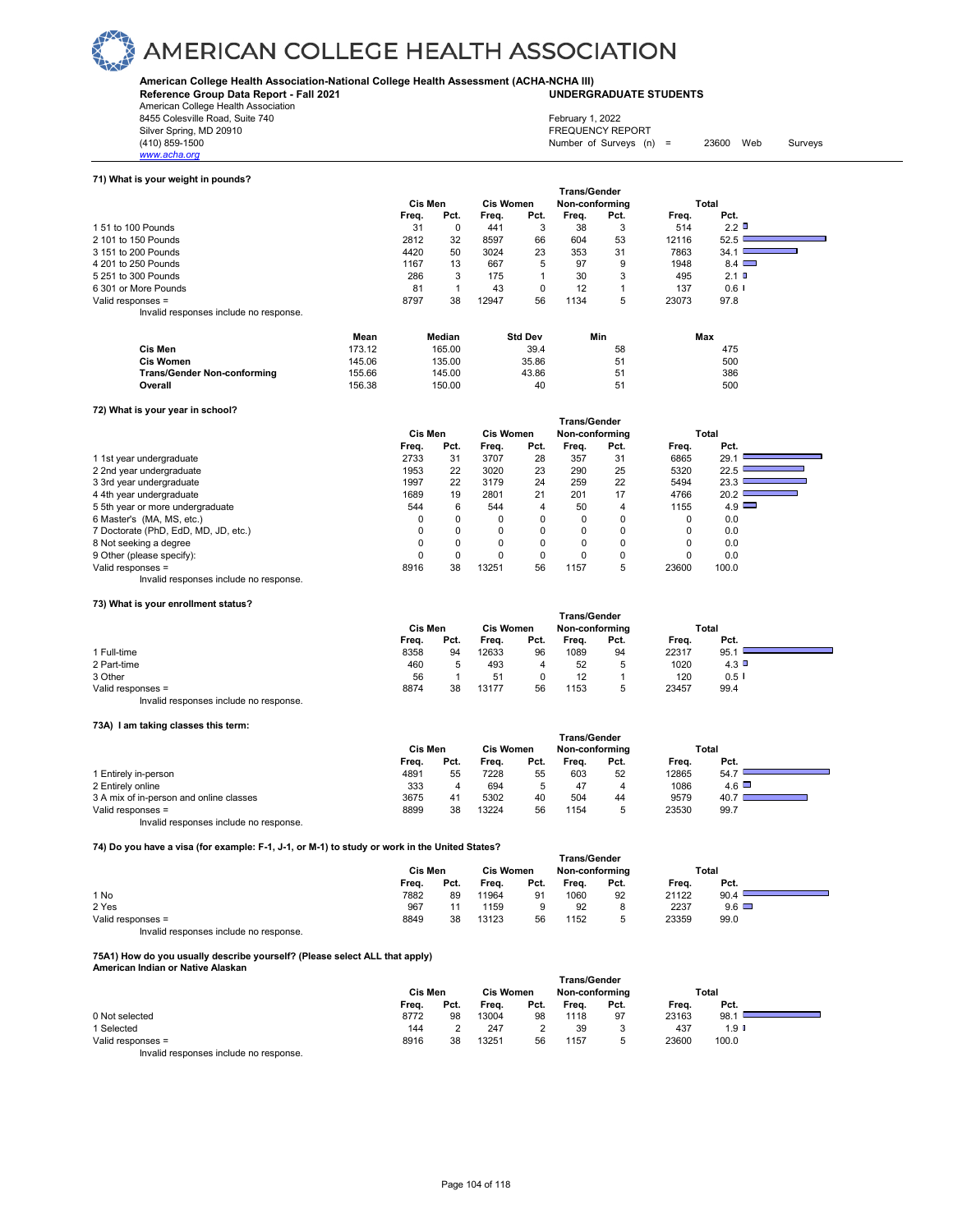**American College Health Association-National College Health Assessment (ACHA-NCHA III) UNDERGRADUATE STUDENTS**

**Reference Group Data Report - Fall 2021**

American College Health Association 8455 Colesville Road, Suite 740<br>Silver Spring, MD 20910 Silver Spring, MD 20910 FREQUENCY REPORT

| Silver Spring, MD 20 |
|----------------------|
| (410) 859-1500       |
| www.acha.org         |

| February 1, 2022          |       |     |         |
|---------------------------|-------|-----|---------|
| <b>FREQUENCY REPORT</b>   |       |     |         |
| Number of Surveys $(n)$ = | 23600 | Web | Surveys |

**71) What is your weight in pounds?** 

|                                        |        |         |        |                  |                | <b>Trans/Gender</b> |      |       |              |  |
|----------------------------------------|--------|---------|--------|------------------|----------------|---------------------|------|-------|--------------|--|
|                                        |        | Cis Men |        | <b>Cis Women</b> |                | Non-conforming      |      |       | Total        |  |
|                                        |        | Freq.   | Pct.   | Freq.            | Pct.           | Freq.               | Pct. | Freq. | Pct.         |  |
| 1 51 to 100 Pounds                     |        | 31      | 0      | 441              | 3              | 38                  |      | 514   | 2.2          |  |
| 2 101 to 150 Pounds                    |        | 2812    | 32     | 8597             | 66             | 604                 | 53   | 12116 | 52.5         |  |
| 3 151 to 200 Pounds                    |        | 4420    | 50     | 3024             | 23             | 353                 | 31   | 7863  | 34.1         |  |
| 4 201 to 250 Pounds                    |        | 1167    | 13     | 667              | 5              | 97                  | 9    | 1948  | $8.4$ $\Box$ |  |
| 5 251 to 300 Pounds                    |        | 286     | 3      | 175              |                | 30                  | 3    | 495   | 2.1          |  |
| 6 301 or More Pounds                   |        | 81      |        | 43               | $\Omega$       | 12                  |      | 137   | $0.6$ I      |  |
| Valid responses =                      |        | 8797    | 38     | 12947            | 56             | 1134                | 5    | 23073 | 97.8         |  |
| Invalid responses include no response. |        |         |        |                  |                |                     |      |       |              |  |
|                                        | Mean   |         | Median |                  | <b>Std Dev</b> |                     | Min  |       | Max          |  |
| Cis Men                                | 173.12 |         | 165.00 |                  | 39.4           |                     | 58   |       | 475          |  |
| <b>Cis Women</b>                       | 145.06 |         | 135.00 |                  | 35.86          |                     | 51   |       | 500          |  |

| Cis Men                     | 173.12 | 165.00 | 39.4  | 58 | 475 |
|-----------------------------|--------|--------|-------|----|-----|
| Cis Women                   | 145.06 | 135.00 | 35.86 |    | 500 |
| Trans/Gender Non-conforming | 155.66 | 145.00 | 43.86 |    | 386 |
| Overall                     | 156.38 | 150.00 | 40    |    | 500 |

## **72) What is your year in school?**

|                                      |         |          |          |                                    | Trans/Gender |          |          |                                           |  |
|--------------------------------------|---------|----------|----------|------------------------------------|--------------|----------|----------|-------------------------------------------|--|
|                                      | Cis Men |          |          | <b>Cis Women</b><br>Non-conforming |              |          | Total    |                                           |  |
|                                      | Freq.   | Pct.     | Frea.    | Pct.                               | Freq.        | Pct.     | Freq.    | Pct.                                      |  |
| 1 1st year undergraduate             | 2733    | 31       | 3707     | 28                                 | 357          | 31       | 6865     | 29.1                                      |  |
| 2 2nd year undergraduate             | 1953    | 22       | 3020     | 23                                 | 290          | 25       | 5320     | 22.5                                      |  |
| 3 3rd year undergraduate             | 1997    | 22       | 3179     | 24                                 | 259          | 22       | 5494     | 23.3                                      |  |
| 4 4th year undergraduate             | 1689    | 19       | 2801     | 21                                 | 201          | 17       | 4766     | 20.2<br>the control of the control of the |  |
| 5 5th year or more undergraduate     | 544     | 6        | 544      | 4                                  | 50           | 4        | 1155     | $4.9$ $\Box$                              |  |
| 6 Master's (MA, MS, etc.)            |         | $\Omega$ | $\Omega$ | 0                                  | 0            | $\Omega$ | $\Omega$ | 0.0                                       |  |
| 7 Doctorate (PhD, EdD, MD, JD, etc.) |         | 0        | 0        | $\Omega$                           | 0            | 0        | 0        | 0.0                                       |  |
| 8 Not seeking a degree               |         | 0        | 0        | $\Omega$                           | $\Omega$     | 0        | $\Omega$ | 0.0                                       |  |
| 9 Other (please specify):            |         | 0        | 0        | 0                                  | 0            | 0        |          | 0.0                                       |  |
| Valid responses =                    | 8916    | 38       | 13251    | 56                                 | 1157         | 5        | 23600    | 100.0                                     |  |

## Invalid responses include no response.

## **73) What is your enrollment status?**

|                                        |         |      |                  |      | <b>Trans/Gender</b> |      |       |         |  |
|----------------------------------------|---------|------|------------------|------|---------------------|------|-------|---------|--|
|                                        | Cis Men |      | <b>Cis Women</b> |      | Non-conforming      |      | Total |         |  |
|                                        | Freq.   | Pct. | Freq.            | Pct. | Frea.               | Pct. | Freq. | Pct.    |  |
| 1 Full-time                            | 8358    | 94   | 12633            | 96   | 1089                | 94   | 22317 | 95.1    |  |
| 2 Part-time                            | 460     |      | 493              | 4    | 52                  | ь    | 1020  | $4.3$ D |  |
| 3 Other                                | 56      |      | 51               |      | 12                  |      | 120   | $0.5$ I |  |
| Valid responses =                      | 8874    | 38   | 13177            | 56   | 1153                | 5    | 23457 | 99.4    |  |
| Invalid responses include no response. |         |      |                  |      |                     |      |       |         |  |

## **73A) I am taking classes this term:**

| $197$ Talli taning classes this term.   |         |      |                  |      |                     |      |       |              |  |
|-----------------------------------------|---------|------|------------------|------|---------------------|------|-------|--------------|--|
|                                         |         |      |                  |      | <b>Trans/Gender</b> |      |       |              |  |
|                                         | Cis Men |      | <b>Cis Women</b> |      | Non-conforming      |      |       | Total        |  |
|                                         | Frea.   | Pct. | Frea.            | Pct. | Frea.               | Pct. | Frea. | Pct.         |  |
| 1 Entirely in-person                    | 4891    | 55   | 7228             | 55   | 603                 | 52   | 12865 | 54.7         |  |
| 2 Entirely online                       | 333     |      | 694              |      | 47                  | 4    | 1086  | $4.6$ $\Box$ |  |
| 3 A mix of in-person and online classes | 3675    | 41   | 5302             | 40   | 504                 | 44   | 9579  | 40.7         |  |
| Valid responses =                       | 8899    | 38   | 13224            | 56   | 1154                | 5    | 23530 | 99.7         |  |
| Invalid responses include no response.  |         |      |                  |      |                     |      |       |              |  |

**74) Do you have a visa (for example: F-1, J-1, or M-1) to study or work in the United States?**

| $(4)$ DO you have a visa (for example. F $(3 - 1)$ or M $(1)$ to study or work in the Officed States $($ |                                                             |         |       |      |       |      |       |              |  |  |
|----------------------------------------------------------------------------------------------------------|-------------------------------------------------------------|---------|-------|------|-------|------|-------|--------------|--|--|
|                                                                                                          | Trans/Gender<br><b>Cis Women</b><br>Non-conforming<br>Total |         |       |      |       |      |       |              |  |  |
|                                                                                                          |                                                             | Cis Men |       |      |       |      |       |              |  |  |
|                                                                                                          | Frea.                                                       | Pct.    | Freq. | Pct. | Freq. | Pct. | Freq. | Pct.         |  |  |
| 1 No                                                                                                     | 7882                                                        | 89      | 11964 | 91   | 1060  | 92   | 21122 | 90.4         |  |  |
| 2 Yes                                                                                                    | 967                                                         | 11      | 1159  |      | 92    |      | 2237  | $9.6$ $\Box$ |  |  |
| Valid responses =                                                                                        | 8849                                                        | 38      | 13123 | 56   | 1152  |      | 23359 | 99.0         |  |  |
|                                                                                                          |                                                             |         |       |      |       |      |       |              |  |  |

Invalid responses include no response.

## **75A1) How do you usually describe yourself? (Please select ALL that apply) American Indian or Native Alaskan**

|                                        | <b>Trans/Gender</b> |      |                  |        |                |      |       |                  |  |  |
|----------------------------------------|---------------------|------|------------------|--------|----------------|------|-------|------------------|--|--|
|                                        | Cis Men             |      | <b>Cis Women</b> |        | Non-conforming |      | Total |                  |  |  |
|                                        | Freq.               | Pct. | Freq.            | Pct.   | Freq.          | Pct. | Freq. | Pct.             |  |  |
| 0 Not selected                         | 8772                | 98   | 13004            | 98     | 1118           | 97   | 23163 | 98.1             |  |  |
| Selected                               | 144                 |      | 247              | $\sim$ | 39             |      | 437   | 1.9 <sup>1</sup> |  |  |
| Valid responses =                      | 8916                | 38   | 13251            | 56     | 1157           |      | 23600 | 100.0            |  |  |
| Invalid responses include no response. |                     |      |                  |        |                |      |       |                  |  |  |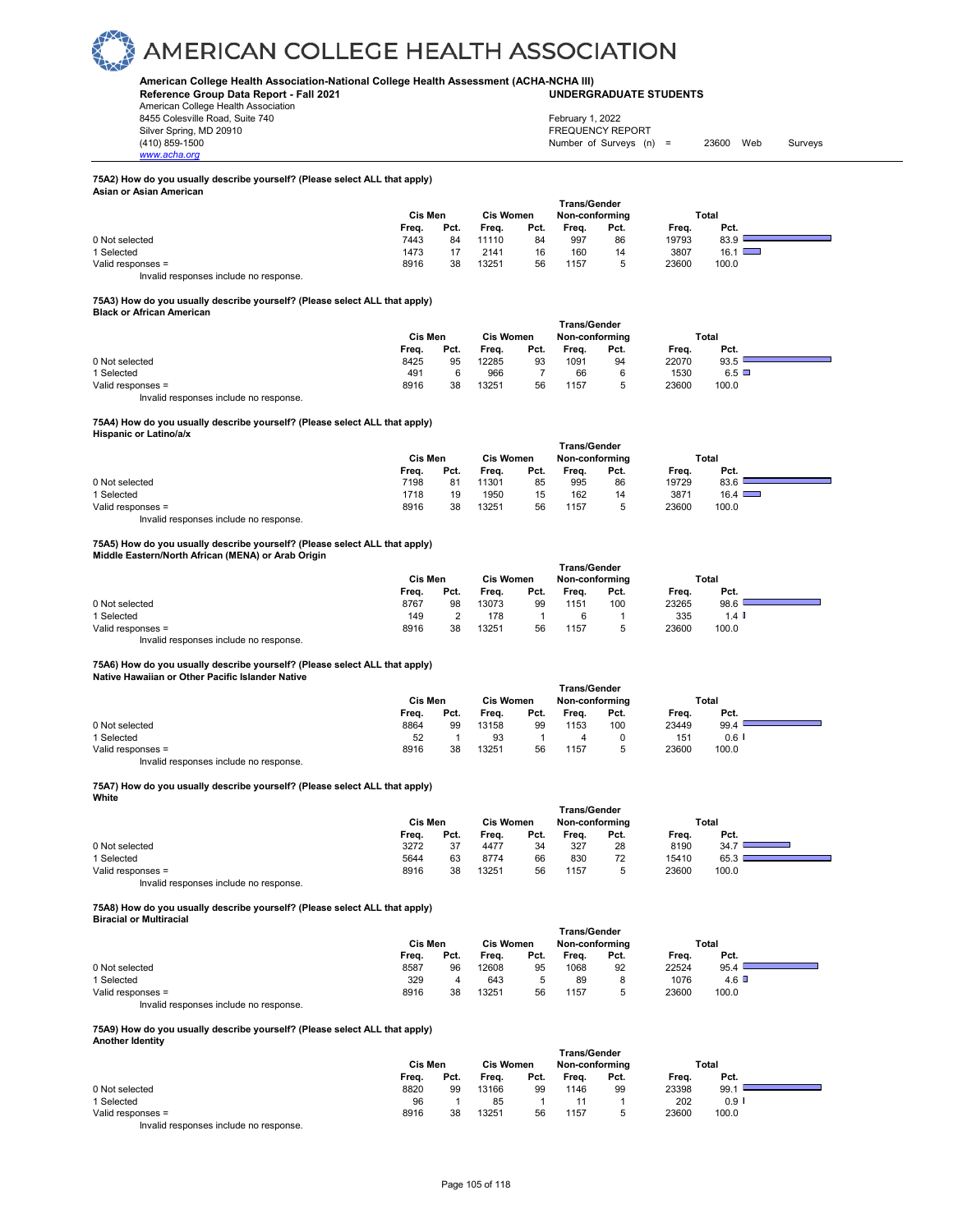

## **American College Health Association-National College Health Assessment (ACHA-NCHA III) UNDERGRADUATE STUDENTS**

**Reference Group Data Report - Fall 2021** American College Health Association 8455 Colesville Road, Suite 740 Silver Spring, MD 20910<br>(410) 859-1500

| February 1, 2022          |       |     |         |
|---------------------------|-------|-----|---------|
| <b>FREQUENCY REPORT</b>   |       |     |         |
| Number of Surveys $(n)$ = | 23600 | Web | Surveys |

#### **75A2) How do you usually describe yourself? (Please select ALL that apply) Asian or Asian American**

|                   | <b>Cis Men</b><br><b>Cis Women</b> |      |       |      |       | <b>Trans/Gender</b><br>Total<br>Non-conforming |       |               |  |
|-------------------|------------------------------------|------|-------|------|-------|------------------------------------------------|-------|---------------|--|
|                   | Freq.                              | Pct. | Freq. | Pct. | Frea. | Pct.                                           | Freq. | Pct.          |  |
| 0 Not selected    | 7443                               | 84   | 11110 | 84   | 997   | 86                                             | 19793 | 83.9          |  |
| 1 Selected        | 1473                               | 17   | 2141  | 16   | 160   | 14                                             | 3807  | $16.1$ $\Box$ |  |
| Valid responses = | 8916                               | 38   | 13251 | 56   | 1157  | ∽<br>                                          | 23600 | 100.0         |  |

Invalid responses include no response.

## **75A3) How do you usually describe yourself? (Please select ALL that apply)**

|  |  | <b>Black or African American</b> |  |
|--|--|----------------------------------|--|
|--|--|----------------------------------|--|

*www.acha.org*

|                   | <b>Trans/Gender</b> |         |       |                  |                |      |       |              |  |  |
|-------------------|---------------------|---------|-------|------------------|----------------|------|-------|--------------|--|--|
|                   |                     | Cis Men |       | <b>Cis Women</b> | Non-conforming |      | Total |              |  |  |
|                   | Freq.               | Pct.    | Freq. | Pct.             | Freq.          | Pct. | Frea. | Pct.         |  |  |
| 0 Not selected    | 8425                | 95      | 12285 | 93               | 1091           | 94   | 22070 | 93.5         |  |  |
| 1 Selected        | 491                 |         | 966   |                  | 66             |      | 1530  | $6.5$ $\Box$ |  |  |
| Valid responses = | 8916                | 38      | 13251 | 56               | 1157           | ∽    | 23600 | 100.0        |  |  |
|                   |                     |         |       |                  |                |      |       |              |  |  |

Invalid responses include no response.

### **75A4) How do you usually describe yourself? (Please select ALL that apply) Hispanic or Latino/a/x**

|                                       | ⊺rans/Gender |      |                  |      |                |      |       |               |  |  |
|---------------------------------------|--------------|------|------------------|------|----------------|------|-------|---------------|--|--|
|                                       | Cis Men      |      | <b>Cis Women</b> |      | Non-conforming |      |       | Total         |  |  |
|                                       | Frea.        | Pct. | Freq.            | Pct. | Frea.          | Pct. | Frea. | Pct.          |  |  |
| 0 Not selected                        | 7198         | 81   | 11301            | 85   | 995            | 86   | 19729 | 83.6          |  |  |
| Selected                              | 1718         | 19   | 1950             | 15   | 162            | 14   | 3871  | $16.4$ $\Box$ |  |  |
| Valid responses =                     | 8916         | 38   | 13251            | 56   | 1157           | ∽    | 23600 | 100.0         |  |  |
| lauglid reeneneen inelude ne reenenee |              |      |                  |      |                |      |       |               |  |  |

 **Trans/Gender**

Invalid responses include no response.

## **75A5) How do you usually describe yourself? (Please select ALL that apply) Middle Eastern/North African (MENA) or Arab Origin**

|                   | Trans/Gender |      |                  |      |                |      |       |         |  |  |
|-------------------|--------------|------|------------------|------|----------------|------|-------|---------|--|--|
|                   | Cis Men      |      | <b>Cis Women</b> |      | Non-conforming |      | Total |         |  |  |
|                   | Freq.        | Pct. | Frea.            | Pct. | Freq.          | Pct. | Freq. | Pct.    |  |  |
| 0 Not selected    | 8767         | 98   | 13073            | 99   | 1151           | 100  | 23265 | 98.6    |  |  |
| 1 Selected        | 149          |      | 178              |      |                |      | 335   | $1.4$ I |  |  |
| Valid responses = | 8916         | 38   | 13251            | 56   | 1157           | 5    | 23600 | 100.0   |  |  |

Invalid responses include no response.

## **75A6) How do you usually describe yourself? (Please select ALL that apply)**

**Native Hawaiian or Other Pacific Islander Native** 

| Native Hawallah of Other Pacific Islander Native |         |                                    |       |      |              |             |       |         |  |
|--------------------------------------------------|---------|------------------------------------|-------|------|--------------|-------------|-------|---------|--|
|                                                  |         |                                    |       |      | Trans/Gender |             |       |         |  |
|                                                  | Cis Men | <b>Cis Women</b><br>Non-conforming |       |      | Total        |             |       |         |  |
|                                                  | Freq.   | Pct.                               | Freq. | Pct. | Frea.        | Pct.        | Freq. | Pct.    |  |
| 0 Not selected                                   | 8864    | 99                                 | 13158 | 99   | 1153         | 100         | 23449 | 99.4    |  |
| 1 Selected                                       | 52      |                                    | 93    |      |              |             | 151   | $0.6$ I |  |
| Valid responses =                                | 8916    | 38                                 | 13251 | 56   | 1157         | $\mathbf b$ | 23600 | 100.0   |  |
|                                                  |         |                                    |       |      |              |             |       |         |  |

Invalid responses include no response.

### **75A7) How do you usually describe yourself? (Please select ALL that apply) White**

|                   | Cis Men |      |       | <b>Cis Women</b> | <b>Trans/Gender</b><br>Non-conforming |      | Total |       |  |
|-------------------|---------|------|-------|------------------|---------------------------------------|------|-------|-------|--|
|                   | Freq.   | Pct. | Freq. | Pct.             | Frea.                                 | Pct. | Freq. | Pct.  |  |
| 0 Not selected    | 3272    | 37   | 4477  | 34               | 327                                   | 28   | 8190  | 34.7  |  |
| 1 Selected        | 5644    | 63   | 8774  | 66               | 830                                   | 72   | 15410 | 65.3  |  |
| Valid responses = | 8916    | 38   | 13251 | 56               | 1157                                  | b    | 23600 | 100.0 |  |

Invalid responses include no response.

**75A8) How do you usually describe yourself? (Please select ALL that apply) Biracial or Multiracial** 

|                                        | <b>Trans/Gender</b> |      |       |           |       |                |       |       |  |
|----------------------------------------|---------------------|------|-------|-----------|-------|----------------|-------|-------|--|
|                                        | Cis Men             |      |       | Cis Women |       | Non-conforming | Total |       |  |
|                                        | Freq.               | Pct. | Frea. | Pct.      | Frea. | Pct.           | Frea. | Pct.  |  |
| 0 Not selected                         | 8587                | 96   | 12608 | 95        | 1068  | 92             | 22524 | 95.4  |  |
| Selected                               | 329                 |      | 643   |           | 89    |                | 1076  | 4.6   |  |
| Valid responses =                      | 8916                | 38   | 13251 | 56        | 1157  |                | 23600 | 100.0 |  |
| Invalid responses include no response. |                     |      |       |           |       |                |       |       |  |

## **75A9) How do you usually describe yourself? (Please select ALL that apply)**

| <b>Another Identity</b> |  |
|-------------------------|--|

| <b>Allother Religio</b> |                     |         |       |                  |       |                |       |       |  |  |  |  |  |
|-------------------------|---------------------|---------|-------|------------------|-------|----------------|-------|-------|--|--|--|--|--|
|                         | <b>Trans/Gender</b> |         |       |                  |       |                |       |       |  |  |  |  |  |
|                         |                     | Cis Men |       | <b>Cis Women</b> |       | Non-conforming | Total |       |  |  |  |  |  |
|                         | Freq.               | Pct.    | Freq. | Pct.             | Frea. | Pct.           | Freq. | Pct.  |  |  |  |  |  |
| 0 Not selected          | 8820                | 99      | 13166 | 99               | 1146  | 99             | 23398 | 99.7  |  |  |  |  |  |
| 1 Selected              | 96                  |         | 85    |                  |       |                | 202   | 0.9   |  |  |  |  |  |
| Valid responses =       | 8916                | 38      | 13251 | 56               | 1157  |                | 23600 | 100.0 |  |  |  |  |  |
|                         |                     |         |       |                  |       |                |       |       |  |  |  |  |  |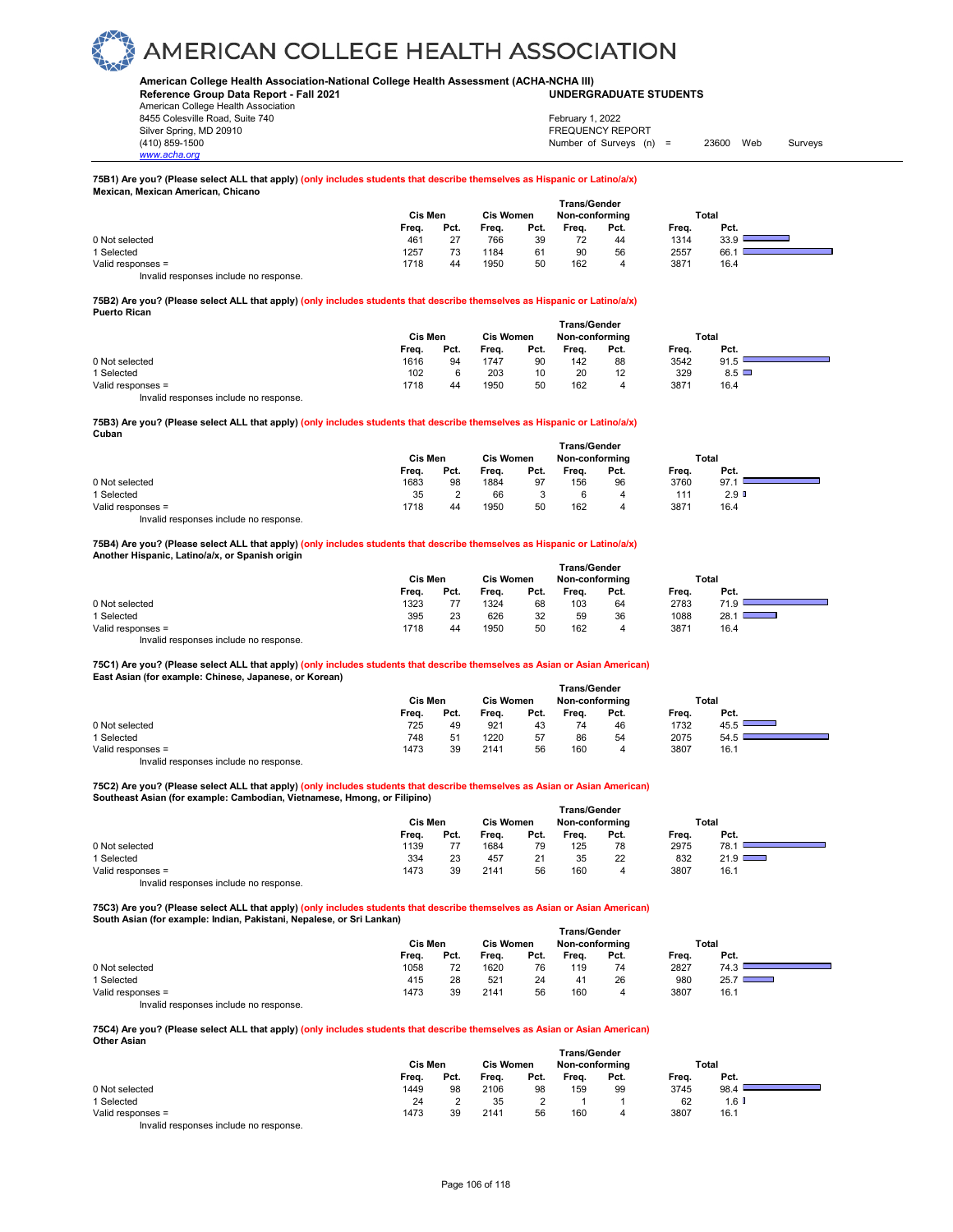**American College Health Association-National College Health Assessment (ACHA-NCHA III) UNDERGRADUATE STUDENTS**

**Reference Group Data Report - Fall 2021** American College Health Association 8455 Colesville Road, Suite 740 Silver Spring, MD 20910<br>
1990 - The Spring, MD 20910<br>
1990 - The Survey Structure of Surveys (notation of Surveys (notation of Surveys (notation of Surveys (notati

February 1, 2022

Number of Surveys (n) = 23600 Web Surveys

### **75B1) Are you? (Please select ALL that apply) (only includes students that describe themselves as Hispanic or Latino/a/x) Mexican, Mexican American, Chicano**

|                   | <b>Cis Men</b> |      | <b>Cis Women</b> |      | <b>Trans/Gender</b><br>Non-conforming |      |       | Total |
|-------------------|----------------|------|------------------|------|---------------------------------------|------|-------|-------|
|                   | Freq.          | Pct. | Freq.            | Pct. | Freq.                                 | Pct. | Freq. | Pct.  |
| 0 Not selected    | 461            | 27   | 766              | 39   | 72                                    | 44   | 1314  | 33.9  |
| 1 Selected        | 1257           | 73   | 1184             | 61   | 90                                    | 56   | 2557  | 66.   |
| Valid responses = | 1718           | 44   | 1950             | 50   | 162                                   | 4    | 3871  | 16.4  |

Invalid responses include no response.

*www.acha.org*

### **75B2) Are you? (Please select ALL that apply) (only includes students that describe themselves as Hispanic or Latino/a/x) Puerto Rican**

|                   | Cis Men<br><b>Cis Women</b> |      |       |      | <b>Trans/Gender</b><br>Non-conforming |      | Total |              |  |
|-------------------|-----------------------------|------|-------|------|---------------------------------------|------|-------|--------------|--|
|                   | Freq.                       | Pct. | Freq. | Pct. | Frea.                                 | Pct. | Freq. | Pct.         |  |
| 0 Not selected    | 1616                        | 94   | 1747  | 90   | 142                                   | 88   | 3542  | 91.5         |  |
| 1 Selected        | 102                         |      | 203   | 10   | 20                                    | 12   | 329   | $8.5$ $\Box$ |  |
| Valid responses = | 1718                        | 44   | 1950  | 50   | 162                                   |      | 3871  | 16.4         |  |

Invalid responses include no response.

## **75B3) Are you? (Please select ALL that apply) (only includes students that describe themselves as Hispanic or Latino/a/x) Cuban**

|                   | Trans/Gender |         |       |                  |       |                |       |                  |  |  |  |
|-------------------|--------------|---------|-------|------------------|-------|----------------|-------|------------------|--|--|--|
|                   |              | Cis Men |       | <b>Cis Women</b> |       | Non-conforming | Total |                  |  |  |  |
|                   | Freq.        | Pct.    | Freq. | Pct.             | Freq. | Pct.           | Freq. | Pct.             |  |  |  |
| 0 Not selected    | 1683         | 98      | 1884  | 97               | 156   | 96             | 3760  | 97.1             |  |  |  |
| Selected          | 35           |         | 66    |                  |       | 4              | 111   | 2.9 <sup>°</sup> |  |  |  |
| Valid responses = | 1718         | 44      | 1950  | 50               | 162   | 4              | 3871  | 16.4             |  |  |  |
| .<br>.            |              |         |       |                  |       |                |       |                  |  |  |  |

Invalid responses include no response.

### **75B4) Are you? (Please select ALL that apply) (only includes students that describe themselves as Hispanic or Latino/a/x) Another Hispanic, Latino/a/x, or Spanish origin**

|                                        |         |      |                  |      | <b>Trans/Gender</b> |      |       |       |
|----------------------------------------|---------|------|------------------|------|---------------------|------|-------|-------|
|                                        | Cis Men |      | <b>Cis Women</b> |      | Non-conformina      |      |       | Total |
|                                        | Frea.   | Pct. | Freq.            | Pct. | Frea.               | Pct. | Frea. | Pct.  |
| 0 Not selected                         | 1323    |      | 1324             | 68   | 103                 | 64   | 2783  | 710   |
| 1 Selected                             | 395     | 23   | 626              | 32   | 59                  | 36   | 1088  | 28.1  |
| Valid responses =                      | 1718    | 44   | 1950             | 50   | 162                 | 4    | 3871  | 16.4  |
| Invalid responses include no response. |         |      |                  |      |                     |      |       |       |

## **75C1) Are you? (Please select ALL that apply) (only includes students that describe themselves as Asian or Asian American) East Asian (for example: Chinese, Japanese, or Korean)**

|                   | Cis Men |      | <b>Cis Women</b> |      |       | Non-conforming |       | Total |  |
|-------------------|---------|------|------------------|------|-------|----------------|-------|-------|--|
|                   | Freq.   | Pct. | Freq.            | Pct. | Frea. | Pct.           | Freq. | Pct.  |  |
| 0 Not selected    | 725     | 49   | 921              | 43   |       | 46             | 1732  | 45.5  |  |
| 1 Selected        | 748     | 51   | 1220             | 57   | 86    | 54             | 2075  | 54.5  |  |
| Valid responses = | 1473    | 39   | 2141             | 56   | 160   |                | 3807  | 16.1  |  |

Invalid responses include no response.

## **75C2) Are you? (Please select ALL that apply) (only includes students that describe themselves as Asian or Asian American) Southeast Asian (for example: Cambodian, Vietnamese, Hmong, or Filipino)**

|                   | <b>Trans/Gender</b> |      |                  |      |                |      |       |       |  |  |  |
|-------------------|---------------------|------|------------------|------|----------------|------|-------|-------|--|--|--|
|                   | Cis Men             |      | <b>Cis Women</b> |      | Non-conforming |      |       | Total |  |  |  |
|                   | Freq.               | Pct. | Freq.            | Pct. | Frea.          | Pct. | Freq. | Pct.  |  |  |  |
| 0 Not selected    | 1139                |      | 1684             | 79   | 125            | 78   | 2975  | 78.7  |  |  |  |
| 1 Selected        | 334                 | 23   | 457              | 21   | 35             | 22   | 832   | 21.9  |  |  |  |
| Valid responses = | 1473                | 39   | 2141             | 56   | 160            |      | 3807  | 16.1  |  |  |  |

Invalid responses include no response.

**75C3) Are you? (Please select ALL that apply) (only includes students that describe themselves as Asian or Asian American) South Asian (for example: Indian, Pakistani, Nepalese, or Sri Lankan) 1** Transfer

|                                        | Trans/Gender |      |                  |      |                |      |       |                           |  |  |
|----------------------------------------|--------------|------|------------------|------|----------------|------|-------|---------------------------|--|--|
|                                        | Cis Men      |      | <b>Cis Women</b> |      | Non-conforming |      |       | Total                     |  |  |
|                                        | Freq.        | Pct. | Freq.            | Pct. | Frea.          | Pct. | Frea. | Pct.                      |  |  |
| 0 Not selected                         | 1058         | 72   | 1620             | 76   | 119            | 74   | 2827  | 74.3                      |  |  |
| 1 Selected                             | 415          | 28   | 521              | 24   | 41             | 26   | 980   | 25.7<br><b>STATISTICS</b> |  |  |
| Valid responses =                      | 1473         | 39   | 2141             | 56   | 160            | 4    | 3807  | 16.1                      |  |  |
| Invalid responses include no response. |              |      |                  |      |                |      |       |                           |  |  |

#### **75C4) Are you? (Please select ALL that apply) (only includes students that describe themselves as Asian or Asian American) Other Asian**

|                                                                           |         |      |                  |      | Trans/Gender   |      |       |       |  |
|---------------------------------------------------------------------------|---------|------|------------------|------|----------------|------|-------|-------|--|
|                                                                           | Cis Men |      | <b>Cis Women</b> |      | Non-conforming |      | Total |       |  |
|                                                                           | Freq.   | Pct. | Freq.            | Pct. | Frea.          | Pct. | Frea. | Pct.  |  |
| 0 Not selected                                                            | 1449    | 98   | 2106             | 98   | 159            | 99   | 3745  | 98.4  |  |
| 1 Selected                                                                | 24      |      | 35               |      |                |      | 62    | 1.6 I |  |
| Valid responses =                                                         | 1473    | 39   | 2141             | 56   | 160            |      | 3807  | 16.1  |  |
| the control theory is a strategy than the distribution of the strategy of |         |      |                  |      |                |      |       |       |  |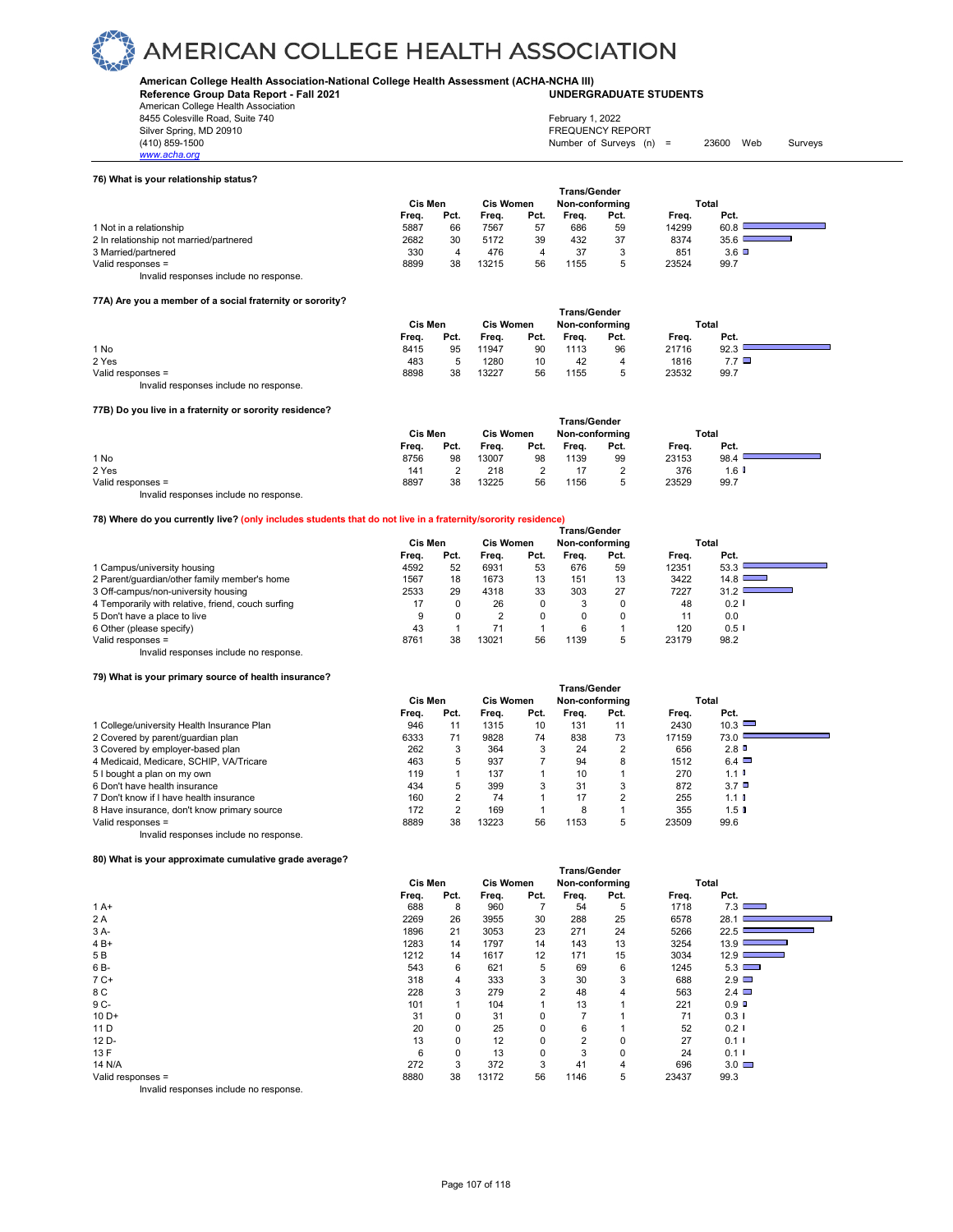**American College Health Association-National College Health Assessment (ACHA-NCHA III) UNDERGRADUATE STUDENTS**

**Reference Group Data Report - Fall 2021** American College Health Association

8455 Colesville Road, Suite 740

*www.acha.org*

#### **76) What is your relationship status?**

|                                         |         |      |                  |      | <b>Trans/Gender</b> |      |       |                 |
|-----------------------------------------|---------|------|------------------|------|---------------------|------|-------|-----------------|
|                                         | Cis Men |      | <b>Cis Women</b> |      | Non-conforming      |      |       | Total           |
|                                         | Freq.   | Pct. | Freq.            | Pct. | Frea.               | Pct. | Frea. | Pct.            |
| 1 Not in a relationship                 | 5887    | 66   | 7567             | 57   | 686                 | 59   | 14299 | 60.8            |
| 2 In relationship not married/partnered | 2682    | 30   | 5172             | 39   | 432                 | 37   | 8374  | 35.6            |
| 3 Married/partnered                     | 330     | 4    | 476              |      | 37                  |      | 851   | $3.6$ $\square$ |
| Valid responses =                       | 8899    | 38   | 13215            | 56   | 1155                |      | 23524 | 99.7            |
| Invalid responses include no response.  |         |      |                  |      |                     |      |       |                 |

#### **77A) Are you a member of a social fraternity or sorority?**

|                                        |         | <b>Trans/Gender</b> |                  |      |                |      |       |              |  |  |  |
|----------------------------------------|---------|---------------------|------------------|------|----------------|------|-------|--------------|--|--|--|
|                                        | Cis Men |                     | <b>Cis Women</b> |      | Non-conforming |      |       | Total        |  |  |  |
|                                        | Freq.   | Pct.                | Freq.            | Pct. | Freq.          | Pct. | Freq. | Pct.         |  |  |  |
| 1 No                                   | 8415    | 95                  | 11947            | 90   | 1113           | 96   | 21716 | 92.3         |  |  |  |
| 2 Yes                                  | 483     |                     | 1280             | 10   | 42             | 4    | 1816  | $7.7$ $\Box$ |  |  |  |
| Valid responses =                      | 8898    | 38                  | 13227            | 56   | 1155           | 5    | 23532 | 99.7         |  |  |  |
| Invalid responses include no response. |         |                     |                  |      |                |      |       |              |  |  |  |

#### **77B) Do you live in a fraternity or sorority residence?**

| <b>THE YOU TIVE ITTE THEIGHTILY OF SOLOTILY TESTUEITCE :</b> |                     |      |                  |      |       |                |       |         |  |  |  |  |
|--------------------------------------------------------------|---------------------|------|------------------|------|-------|----------------|-------|---------|--|--|--|--|
|                                                              | <b>Trans/Gender</b> |      |                  |      |       |                |       |         |  |  |  |  |
|                                                              | Cis Men             |      | <b>Cis Women</b> |      |       | Non-conforming |       | Total   |  |  |  |  |
|                                                              | Frea.               | Pct. | Frea.            | Pct. | Frea. | Pct.           | Frea. | Pct.    |  |  |  |  |
| 1 No                                                         | 8756                | 98   | 13007            | 98   | 1139  | 99             | 23153 | 98.4    |  |  |  |  |
| 2 Yes                                                        | 141                 |      | 218              |      | 17    |                | 376   | $1.6$ D |  |  |  |  |
| Valid responses =                                            | 8897                | 38   | 13225            | 56   | 1156  | b              | 23529 | 99.7    |  |  |  |  |
| Invalid responses include no response.                       |                     |      |                  |      |       |                |       |         |  |  |  |  |

#### **78) Where do you currently live? (only includes students that do not live in a fraternity/sorority residence)**

|                                                    | Trans/Gender |      |                  |      |                |      |       |                                                                                                                              |  |  |
|----------------------------------------------------|--------------|------|------------------|------|----------------|------|-------|------------------------------------------------------------------------------------------------------------------------------|--|--|
|                                                    | Cis Men      |      | <b>Cis Women</b> |      | Non-conforming |      |       | Total                                                                                                                        |  |  |
|                                                    | Freq.        | Pct. | Frea.            | Pct. | Frea.          | Pct. | Frea. | Pct.                                                                                                                         |  |  |
| 1 Campus/university housing                        | 4592         | 52   | 6931             | 53   | 676            | 59   | 12351 | 53.3                                                                                                                         |  |  |
| 2 Parent/quardian/other family member's home       | 1567         | 18   | 1673             | 13   | 151            | 13   | 3422  | 14.8                                                                                                                         |  |  |
| 3 Off-campus/non-university housing                | 2533         | 29   | 4318             | 33   | 303            | 27   | 7227  | 31.2<br><b>STATE OF STATE OF STATE OF STATE OF STATE OF STATE OF STATE OF STATE OF STATE OF STATE OF STATE OF STATE OF S</b> |  |  |
| 4 Temporarily with relative, friend, couch surfing | 17           |      | 26               | 0    | 3              |      | 48    | $0.2$ I                                                                                                                      |  |  |
| 5 Don't have a place to live                       |              |      | ◠                | 0    |                |      | 11    | 0.0                                                                                                                          |  |  |
| 6 Other (please specify)                           | 43           |      |                  |      | 6              |      | 120   | $0.5$ I                                                                                                                      |  |  |
| Valid responses =                                  | 8761         | 38   | 13021            | 56   | 1139           | 5    | 23179 | 98.2                                                                                                                         |  |  |
| Invalid responses include no response.             |              |      |                  |      |                |      |       |                                                                                                                              |  |  |

#### **79) What is your primary source of health insurance?**

|                                             | <b>Trans/Gender</b> |      |                  |      |                |                |       |                      |  |  |
|---------------------------------------------|---------------------|------|------------------|------|----------------|----------------|-------|----------------------|--|--|
|                                             | Cis Men             |      | <b>Cis Women</b> |      | Non-conformina |                |       | Total                |  |  |
|                                             | Freq.               | Pct. | Freq.            | Pct. | Frea.          | Pct.           | Freq. | Pct.                 |  |  |
| 1 College/university Health Insurance Plan  | 946                 | 11   | 1315             | 10   | 131            | 11             | 2430  | 10.3                 |  |  |
| 2 Covered by parent/guardian plan           | 6333                | 71   | 9828             | 74   | 838            | 73             | 17159 | 73.0                 |  |  |
| 3 Covered by employer-based plan            | 262                 | 3    | 364              | 3    | 24             | $\overline{2}$ | 656   | 2.8                  |  |  |
| 4 Medicaid, Medicare, SCHIP, VA/Tricare     | 463                 | 5    | 937              |      | 94             | 8              | 1512  | $6.4$ $\Box$         |  |  |
| 5 I bought a plan on my own                 | 119                 |      | 137              |      | 10             |                | 270   | $1.1$ $\blacksquare$ |  |  |
| 6 Don't have health insurance               | 434                 | 5    | 399              | 3    | 31             | 3              | 872   | 3.7 <sup>0</sup>     |  |  |
| 7 Don't know if I have health insurance     | 160                 | っ    | 74               |      | 17             | $\overline{2}$ | 255   | $1.1$ $\blacksquare$ |  |  |
| 8 Have insurance, don't know primary source | 172                 | っ    | 169              |      | 8              |                | 355   | 1.5 <sup>0</sup>     |  |  |
| Valid responses =                           | 8889                | 38   | 13223            | 56   | 1153           | 5              | 23509 | 99.6                 |  |  |
| Invalid responses include no response.      |                     |      |                  |      |                |                |       |                      |  |  |

#### **80) What is your approximate cumulative grade average?**

| ou what is your approximate cumulative grade average: |                |          |                  |                   |                     |             |       |                                        |
|-------------------------------------------------------|----------------|----------|------------------|-------------------|---------------------|-------------|-------|----------------------------------------|
|                                                       |                |          |                  |                   | <b>Trans/Gender</b> |             |       |                                        |
|                                                       | <b>Cis Men</b> |          | <b>Cis Women</b> |                   | Non-conforming      |             |       | Total                                  |
|                                                       | Freq.          | Pct.     | Freq.            | Pct.              | Freq.               | Pct.        | Freq. | Pct.                                   |
| $1A+$                                                 | 688            | 8        | 960              |                   | 54                  | 5           | 1718  | 7.3<br><b>Contract Contract Street</b> |
| 2 A                                                   | 2269           | 26       | 3955             | 30                | 288                 | 25          | 6578  | 28.1                                   |
| 3 A-                                                  | 1896           | 21       | 3053             | 23                | 271                 | 24          | 5266  | 22.5                                   |
| $4B+$                                                 | 1283           | 14       | 1797             | 14                | 143                 | 13          | 3254  | $13.9$ $\qquad \qquad$                 |
| 5 B                                                   | 1212           | 14       | 1617             | $12 \overline{ }$ | 171                 | 15          | 3034  | 12.9                                   |
| 6 B-                                                  | 543            | 6        | 621              | 5                 | 69                  | 6           | 1245  | 5.3                                    |
| $7C+$                                                 | 318            | 4        | 333              | 3                 | 30                  | 3           | 688   | $2.9$ $\Box$                           |
| 8 C                                                   | 228            | 3        | 279              | $\overline{2}$    | 48                  | 4           | 563   | $2.4$ $\Box$                           |
| 9 C-                                                  | 101            |          | 104              |                   | 13                  |             | 221   | $0.9$ D                                |
| $10D+$                                                | 31             | 0        | 31               | 0                 | $\overline{ }$      |             | 71    | $0.3 \;$                               |
| 11 D                                                  | 20             | 0        | 25               | 0                 | 6                   |             | 52    | 0.2                                    |
| 12 D-                                                 | 13             | $\Omega$ | 12               | $\Omega$          | $\overline{2}$      | 0           | 27    | 0.11                                   |
| 13 F                                                  | 6              | 0        | 13               | $\Omega$          | 3                   | $\mathbf 0$ | 24    | 0.11                                   |
| 14 N/A                                                | 272            | 3        | 372              | 3                 | 41                  | 4           | 696   | $3.0$ $\Box$                           |
| Valid responses =                                     | 8880           | 38       | 13172            | 56                | 1146                | 5           | 23437 | 99.3                                   |
|                                                       |                |          |                  |                   |                     |             |       |                                        |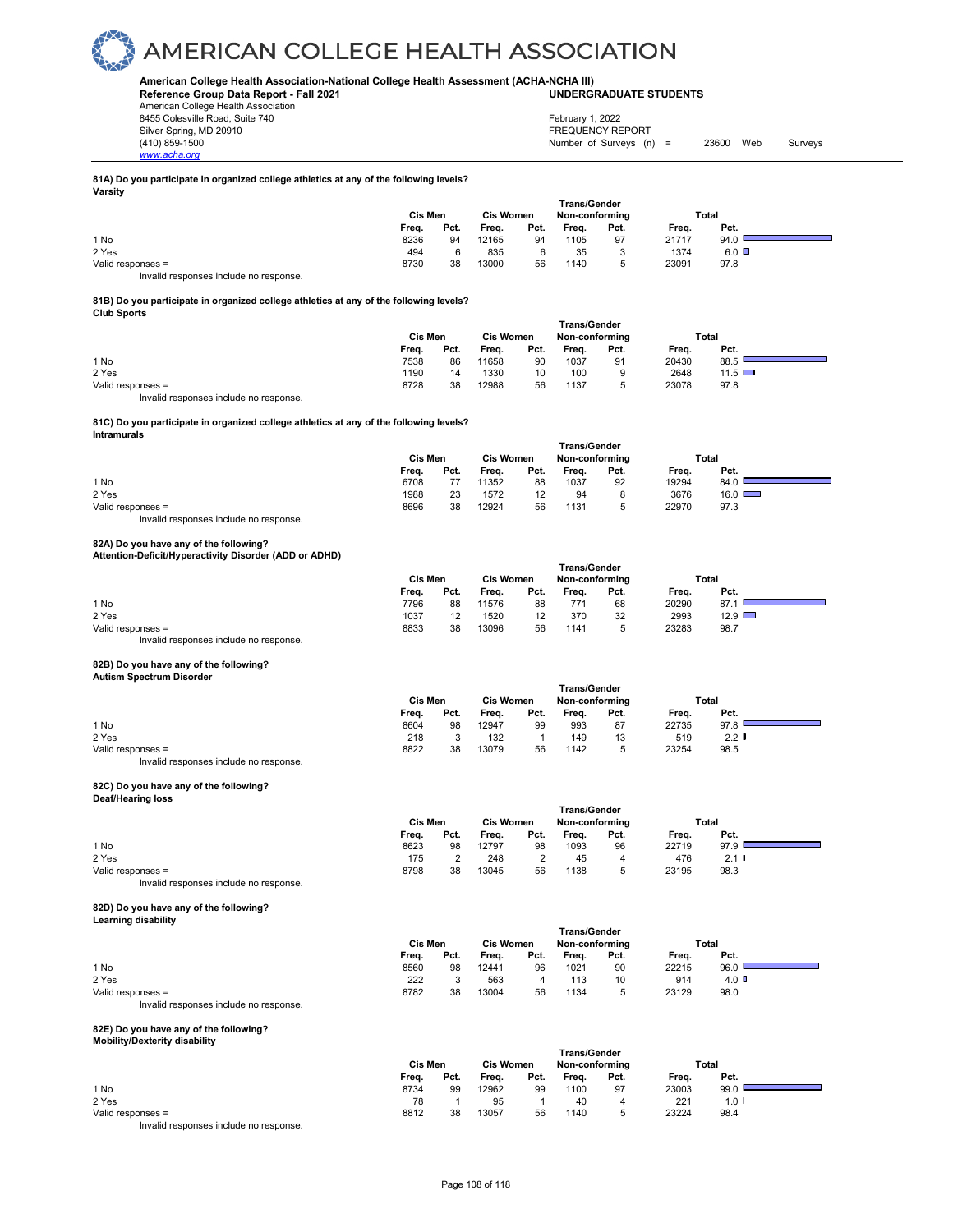#### **American College Health Association-National College Health Assessment (ACHA-NCHA III) UNDERGRADUATE STUDENTS**

**Reference Group Data Report - Fall 2021** American College Health Association 8455 Colesville Road, Suite 740 Silver Spring, MD 20910<br>
1990 - The Survey States (1990) - States (1990) - States (1990) - States (1990) - States (1990) - States (19<br>
1990 - Survey States (1990) - States (1990) - States (1990) - States (1990) - States (1

Number of Surveys  $(n)$  = 23600 Web Surveys February 1, 2022

#### **81A) Do you participate in organized college athletics at any of the following levels? Varsity**

|                   |       | Cis Men |       | <b>Cis Women</b> |       | Non-conforming |       | Total        |  |
|-------------------|-------|---------|-------|------------------|-------|----------------|-------|--------------|--|
|                   | Freq. | Pct.    | Freq. | Pct.             | Freq. | Pct.           | Frea. | Pct.         |  |
| 1 No              | 8236  | 94      | 12165 | 94               | 1105  | 97             | 21717 | 94.0         |  |
| 2 Yes             | 494   | 6       | 835   |                  | 35    |                | 1374  | $6.0$ $\Box$ |  |
| Valid responses = | 8730  | 38      | 13000 | 56               | 1140  |                | 23091 | 97.8         |  |
| .<br>.            |       |         |       |                  |       |                |       |              |  |

Invalid responses include no response.

*www.acha.org*

#### **81B) Do you participate in organized college athletics at any of the following levels? Club Sports**

|                   | <b>Trans/Gender</b> |      |                  |      |                |      |       |             |  |  |  |  |
|-------------------|---------------------|------|------------------|------|----------------|------|-------|-------------|--|--|--|--|
|                   | Cis Men             |      | <b>Cis Women</b> |      | Non-conforming |      |       | Total       |  |  |  |  |
|                   | Freq.               | Pct. | Freq.            | Pct. | Frea.          | Pct. | Freq. | Pct.        |  |  |  |  |
| 1 No              | 7538                | 86   | 11658            | 90   | 1037           | 91   | 20430 | 88.5        |  |  |  |  |
| 2 Yes             | 1190                | 14   | 1330             | 10   | 100            |      | 2648  | 11.5 $\Box$ |  |  |  |  |
| Valid responses = | 8728                | 38   | 12988            | 56   | 1137           |      | 23078 | 97.8        |  |  |  |  |

Invalid responses include no response.

#### **81C) Do you participate in organized college athletics at any of the following levels? Intramurals**

|                                        | Cis Men | <b>Trans/Gender</b><br><b>Cis Women</b><br>Non-conforming |       |                   |       |      | Total |               |
|----------------------------------------|---------|-----------------------------------------------------------|-------|-------------------|-------|------|-------|---------------|
|                                        | Freq.   | Pct.                                                      | Freq. | Pct.              | Freq. | Pct. | Freq. | Pct.          |
| 1 No                                   | 6708    |                                                           | 11352 | 88                | 1037  | 92   | 19294 | 84.0          |
| 2 Yes                                  | 1988    | 23                                                        | 1572  | $12 \overline{ }$ | 94    | 8    | 3676  | $16.0$ $\Box$ |
| Valid responses =                      | 8696    | 38                                                        | 12924 | 56                | 1131  | b    | 22970 | 97.3          |
| Invalid responses include no response. |         |                                                           |       |                   |       |      |       |               |

**82A) Do you have any of the following? Attention-Deficit/Hyperactivity Disorder (ADD or ADHD)** 

|                                        | Trans/Gender |      |                  |      |                |      |       |               |  |
|----------------------------------------|--------------|------|------------------|------|----------------|------|-------|---------------|--|
|                                        | Cis Men      |      | <b>Cis Women</b> |      | Non-conforming |      | Total |               |  |
|                                        | Freq.        | Pct. | Freq.            | Pct. | Frea.          | Pct. | Freq. | Pct.          |  |
| 1 No                                   | 7796         | 88   | 11576            | 88   | 771            | 68   | 20290 | 87.           |  |
| 2 Yes                                  | 1037         | 12   | 1520             | 12   | 370            | 32   | 2993  | $12.9$ $\Box$ |  |
| Valid responses =                      | 8833         | 38   | 13096            | 56   | 1141           |      | 23283 | 98.7          |  |
| Invalid responses include no response. |              |      |                  |      |                |      |       |               |  |

### **82B) Do you have any of the following?**

### **Autism Spectrum Disorder**

|                                        | <b>Trans/Gender</b> |      |                                    |      |       |      |       |                  |  |  |  |
|----------------------------------------|---------------------|------|------------------------------------|------|-------|------|-------|------------------|--|--|--|
|                                        | Cis Men             |      | <b>Cis Women</b><br>Non-conforming |      |       |      | Total |                  |  |  |  |
|                                        | Freq.               | Pct. | Frea.                              | Pct. | Freq. | Pct. | Freq. | Pct.             |  |  |  |
| 1 No                                   | 8604                | 98   | 12947                              | 99   | 993   | 87   | 22735 | 97.8             |  |  |  |
| 2 Yes                                  | 218                 |      | 132                                |      | 149   | 13   | 519   | 2.2 <sub>0</sub> |  |  |  |
| Valid responses =                      | 8822                | 38   | 13079                              | 56   | 1142  | 5    | 23254 | 98.5             |  |  |  |
| Invalid responses include no response. |                     |      |                                    |      |       |      |       |                  |  |  |  |

### **82C) Do you have any of the following? Deaf/Hearing loss**

| <b>DOWNTOWERING TOOO</b> |         |      |                  |      |                     |                |       |       |  |
|--------------------------|---------|------|------------------|------|---------------------|----------------|-------|-------|--|
|                          |         |      |                  |      | <b>Trans/Gender</b> |                |       |       |  |
|                          | Cis Men |      | <b>Cis Women</b> |      |                     | Non-conforming |       | Total |  |
|                          | Frea.   | Pct. | Frea.            | Pct. | Freq.               | Pct.           | Freq. | Pct.  |  |
| 1 No                     | 8623    | 98   | 12797            | 98   | 1093                | 96             | 22719 | 97.9  |  |
| 2 Yes                    | 175     |      | 248              |      | 45                  | 4              | 476   | 2.1   |  |
| Valid responses =        | 8798    | 38   | 13045            | 56   | 1138                | 5              | 23195 | 98.3  |  |
|                          |         |      |                  |      |                     |                |       |       |  |

Invalid responses include no response.

#### **82D) Do you have any of the following? Learning disability**

|                                        | Cis Men |         | <b>Cis Women</b> |      | Trans/Gender<br>Non-conforming |      | Total |                         |  |
|----------------------------------------|---------|---------|------------------|------|--------------------------------|------|-------|-------------------------|--|
|                                        | Freq.   | Pct.    | Freq.            | Pct. | Freq.                          | Pct. | Freq. | Pct.                    |  |
| 1 No                                   | 8560    | 98      | 12441            | 96   | 1021                           | 90   | 22215 | 96.0                    |  |
| 2 Yes                                  | 222     | $\cdot$ | 563              | 4    | 113                            | 10   | 914   | $4.0\text{ }^{\degree}$ |  |
| Valid responses =                      | 8782    | 38      | 13004            | 56   | 1134                           | 5    | 23129 | 98.0                    |  |
| Invalid responses include no response. |         |         |                  |      |                                |      |       |                         |  |

### **82E) Do you have any of the following? Mobility/Dexterity disability**

|                                        |         |      |           |      | <b>Trans/Gender</b> |      |       |                  |  |
|----------------------------------------|---------|------|-----------|------|---------------------|------|-------|------------------|--|
|                                        | Cis Men |      | Cis Women |      | Non-conforming      |      |       | Total            |  |
|                                        | Freq.   | Pct. | Freq.     | Pct. | Frea.               | Pct. | Freq. | Pct.             |  |
| 1 No                                   | 8734    | 99   | 12962     | 99   | 1100                | 97   | 23003 | 99.0             |  |
| 2 Yes                                  | 78      |      | 95        |      | 40                  |      | 221   | 1.0 <sup>1</sup> |  |
| Valid responses =                      | 8812    | 38   | 13057     | 56   | 1140                | ∽    | 23224 | 98.4             |  |
| Invalid responses include no response. |         |      |           |      |                     |      |       |                  |  |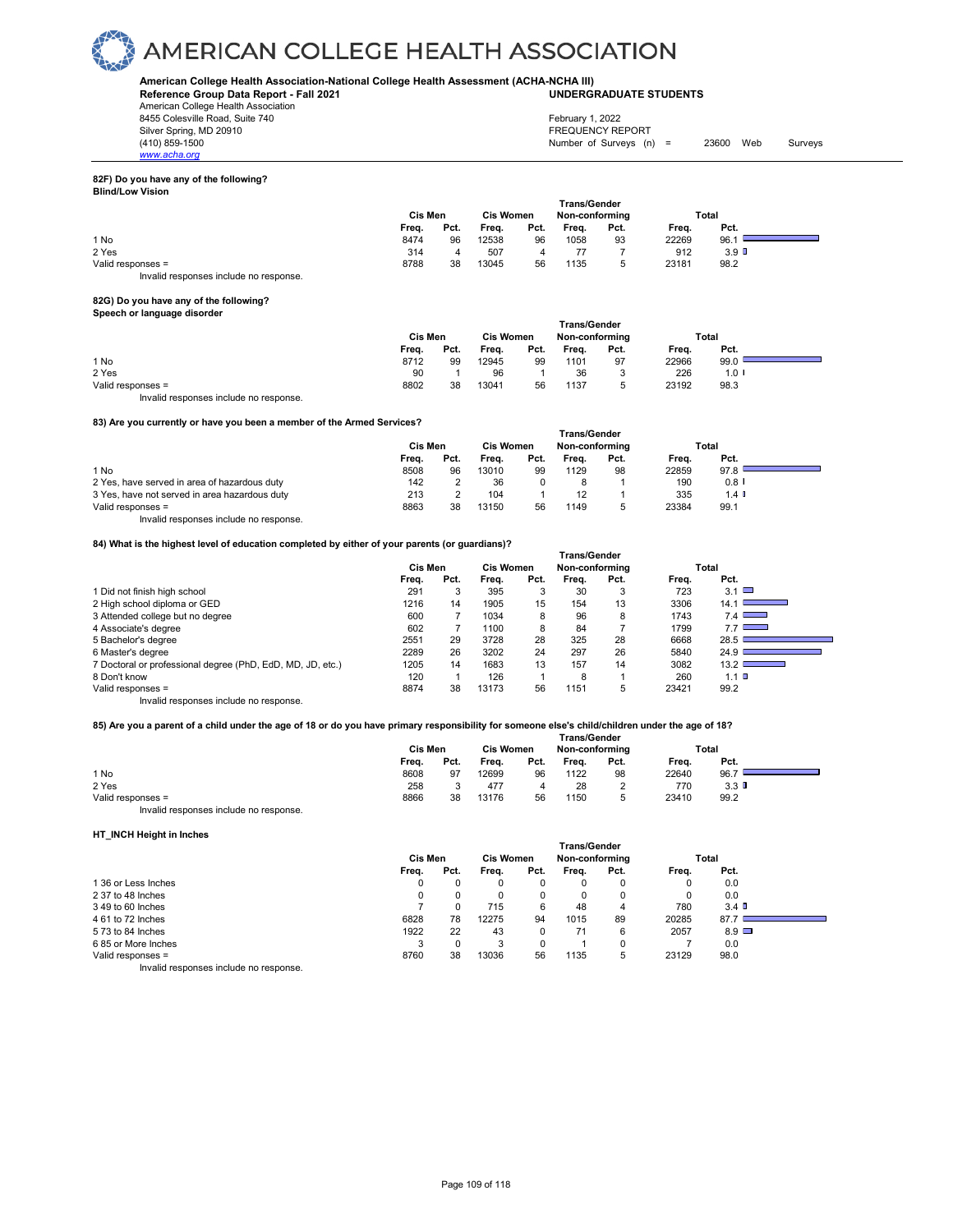#### **American College Health Association-National College Health Assessment (ACHA-NCHA III) UNDERGRADUATE STUDENTS**

**Reference Group Data Report - Fall 2021**

American College Health Association 8455 Colesville Road, Suite 740

*www.acha.org*

Silver Spring, MD 20910<br>
(410) 859-1500<br>
(410) 859-1500 Number of Surveys  $(n)$  = 23600 Web Surveys February 1, 2022

#### **82F) Do you have any of the following? Blind/Low Vision**

| <u>,,,,,,,,,,,,,,,,,,,,</u> |         |      |                  |      |                     |      |       |                  |  |
|-----------------------------|---------|------|------------------|------|---------------------|------|-------|------------------|--|
|                             |         |      |                  |      | <b>Trans/Gender</b> |      |       |                  |  |
|                             | Cis Men |      | <b>Cis Women</b> |      | Non-conforming      |      | Total |                  |  |
|                             | Frea.   | Pct. | Frea.            | Pct. | Freq.               | Pct. | Frea. | Pct.             |  |
| 1 No                        | 8474    | 96   | 12538            | 96   | 1058                | 93   | 22269 | 96.1             |  |
| 2 Yes                       | 314     |      | 507              |      |                     |      | 912   | 3.9 <sup>D</sup> |  |
| Valid responses =           | 8788    | 38   | 13045            | 56   | 1135                |      | 23181 | 98.2             |  |

### Invalid responses include no response.

### **82G) Do you have any of the following? Speech or language disorder**

|                                        | <b>Cis Women</b><br>Cis Men |      |       |      | <b>Trans/Gender</b><br>Non-conforming | Total |       |         |  |
|----------------------------------------|-----------------------------|------|-------|------|---------------------------------------|-------|-------|---------|--|
|                                        | Freq.                       | Pct. | Freq. | Pct. | Freq.                                 | Pct.  | Freq. | Pct.    |  |
| 1 No                                   | 8712                        | 99   | 12945 | 99   | 1101                                  | 97    | 22966 | 99.0    |  |
| 2 Yes                                  | 90                          |      | 96    |      | 36                                    | د     | 226   | $1.0$ I |  |
| Valid responses =                      | 8802                        | 38   | 13041 | 56   | 1137                                  |       | 23192 | 98.3    |  |
| Invalid responses include no response. |                             |      |       |      |                                       |       |       |         |  |

#### **83) Are you currently or have you been a member of the Armed Services?**

|                                               | <b>Trans/Gender</b> |      |                  |      |                |      |       |         |  |  |
|-----------------------------------------------|---------------------|------|------------------|------|----------------|------|-------|---------|--|--|
|                                               | Cis Men             |      | <b>Cis Women</b> |      | Non-conforming |      | Total |         |  |  |
|                                               | Frea.               | Pct. | Frea.            | Pct. | Frea.          | Pct. | Frea. | Pct.    |  |  |
| 1 No                                          | 8508                | 96   | 13010            | 99   | 1129           | 98   | 22859 | 97.8    |  |  |
| 2 Yes, have served in area of hazardous duty  | 142                 |      | 36               |      |                |      | 190   | 0.8     |  |  |
| 3 Yes, have not served in area hazardous duty | 213                 |      | 104              |      |                |      | 335   | $1.4$ I |  |  |
| Valid responses =                             | 8863                | 38   | 13150            | 56   | 1149           |      | 23384 | 99.1    |  |  |

Invalid responses include no response.

#### **84) What is the highest level of education completed by either of your parents (or guardians)?**

| 04) What is the highest level of equivation completed by entirer of your parents (or guardians)? |         |      |                  |      | <b>Trans/Gender</b> |      |       |               |
|--------------------------------------------------------------------------------------------------|---------|------|------------------|------|---------------------|------|-------|---------------|
|                                                                                                  | Cis Men |      | <b>Cis Women</b> |      | Non-conforming      |      |       | Total         |
|                                                                                                  | Freq.   | Pct. | Frea.            | Pct. | Frea.               | Pct. | Freq. | Pct.          |
| 1 Did not finish high school                                                                     | 291     |      | 395              | 3    | 30                  | 3    | 723   | $3.1$ $\Box$  |
| 2 High school diploma or GED                                                                     | 1216    | 14   | 1905             | 15   | 154                 | 13   | 3306  | 14.1          |
| 3 Attended college but no degree                                                                 | 600     |      | 1034             | 8    | 96                  | 8    | 1743  | 7.4           |
| 4 Associate's degree                                                                             | 602     |      | 1100             | 8    | 84                  |      | 1799  | $7.7$ $\Box$  |
| 5 Bachelor's degree                                                                              | 2551    | 29   | 3728             | 28   | 325                 | 28   | 6668  | 28.5          |
| 6 Master's degree                                                                                | 2289    | 26   | 3202             | 24   | 297                 | 26   | 5840  | 24.9          |
| 7 Doctoral or professional degree (PhD, EdD, MD, JD, etc.)                                       | 1205    | 14   | 1683             | 13   | 157                 | 14   | 3082  | $13.2$ $\Box$ |
| 8 Don't know                                                                                     | 120     |      | 126              |      | 8                   |      | 260   | $1.1$ D       |
| Valid responses =                                                                                | 8874    | 38   | 13173            | 56   | 1151                | 5    | 23421 | 99.2          |
| Invalid responses include no response.                                                           |         |      |                  |      |                     |      |       |               |

#### **85) Are you a parent of a child under the age of 18 or do you have primary responsibility for someone else's child/children under the age of 18?**

|                                       |         |      |                  |      | <b>Trans/Gender</b> |      |       |                  |  |
|---------------------------------------|---------|------|------------------|------|---------------------|------|-------|------------------|--|
|                                       | Cis Men |      | <b>Cis Women</b> |      | Non-conforming      |      | Total |                  |  |
|                                       | Freq.   | Pct. | Frea.            | Pct. | Frea.               | Pct. | Frea. | Pct.             |  |
| 1 No                                  | 8608    | 97   | 12699            | 96   | 1122                | 98   | 22640 | 96.7             |  |
| 2 Yes                                 | 258     |      | 477              |      | 28                  |      | 770   | 3.3 <sub>0</sub> |  |
| Valid responses =                     | 8866    | 38   | 13176            | 56   | 1150                |      | 23410 | 99.2             |  |
| Invalid responses include no response |         |      |                  |      |                     |      |       |                  |  |

#### **HT\_INCH Height in Inches**

|                                       | <b>Trans/Gender</b> |      |                  |      |       |                |       |              |  |  |  |  |
|---------------------------------------|---------------------|------|------------------|------|-------|----------------|-------|--------------|--|--|--|--|
|                                       | Cis Men             |      | <b>Cis Women</b> |      |       | Non-conforming |       | Total        |  |  |  |  |
|                                       | Frea.               | Pct. | Freq.            | Pct. | Freq. | Pct.           | Freq. | Pct.         |  |  |  |  |
| 136 or Less Inches                    | 0                   |      |                  | 0    | 0     |                | 0     | 0.0          |  |  |  |  |
| 2 37 to 48 Inches                     | 0                   | 0    |                  | 0    | 0     |                | 0     | 0.0          |  |  |  |  |
| 3 49 to 60 Inches                     |                     |      | 715              | 6    | 48    | 4              | 780   | 3.4          |  |  |  |  |
| 4 61 to 72 Inches                     | 6828                | 78   | 12275            | 94   | 1015  | 89             | 20285 | 87.7         |  |  |  |  |
| 5 73 to 84 Inches                     | 1922                | 22   | 43               | 0    | 71    | 6              | 2057  | $8.9$ $\Box$ |  |  |  |  |
| 685 or More Inches                    |                     |      |                  | 0    |       |                |       | 0.0          |  |  |  |  |
| Valid responses =                     | 8760                | 38   | 13036            | 56   | 1135  | 5              | 23129 | 98.0         |  |  |  |  |
| lauglid seepenees inslude ne seepenee |                     |      |                  |      |       |                |       |              |  |  |  |  |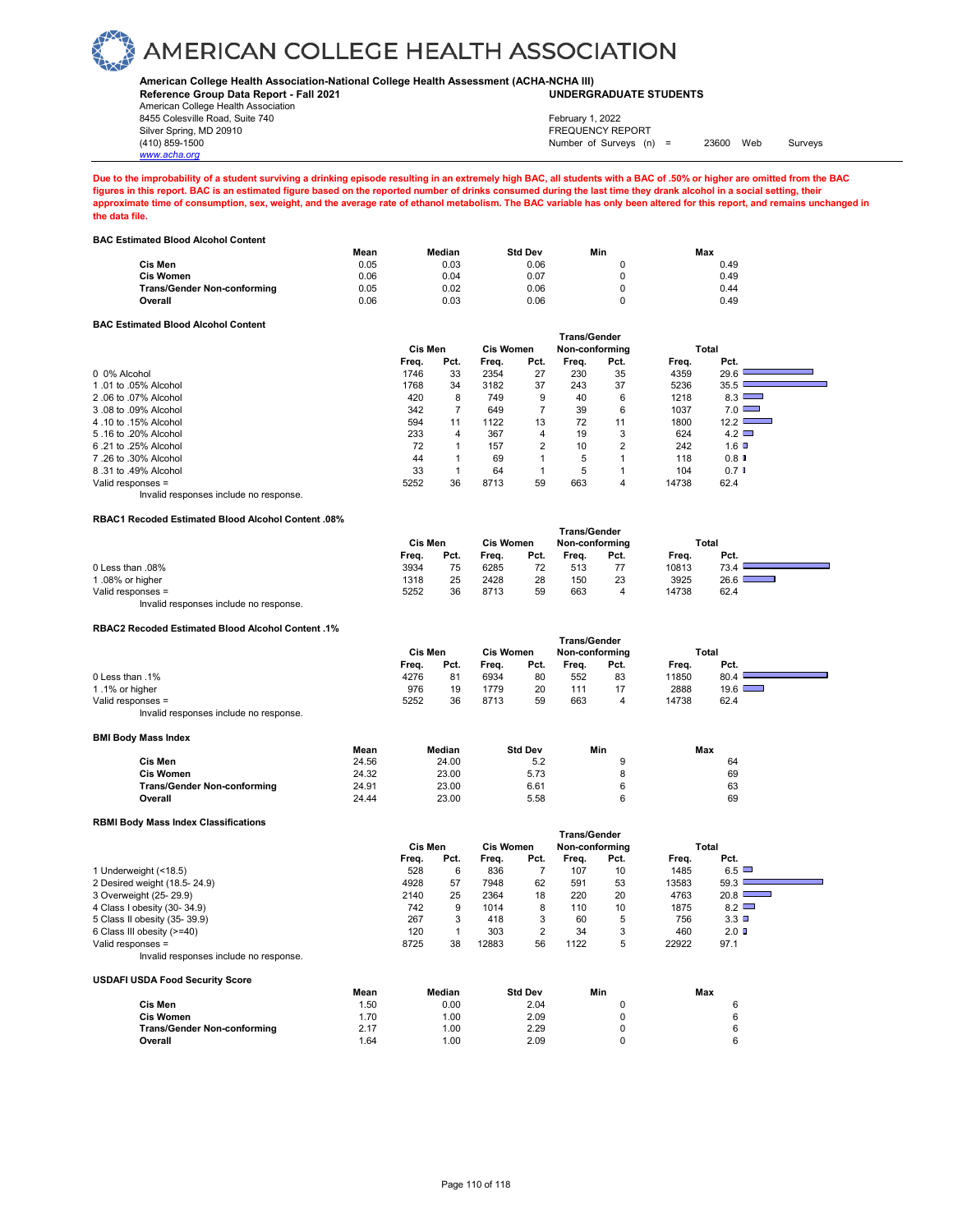#### **American College Health Association-National College Health Assessment (ACHA-NCHA III) UNDERGRADUATE STUDENTS**

**Reference Group Data Report - Fall 2021**

American College Health Association 8455 Colesville Road, Suite 740

*www.acha.org*

#### Silver Spring, MD 20910<br>
1990 - The Spring, MD 20910<br>
1990 - The Survey Structure of Surveys (n) Number of Surveys (n) =  $23600$  Web Surveys February 1, 2022

**Due to the improbability of a student surviving a drinking episode resulting in an extremely high BAC, all students with a BAC of .50% or higher are omitted from the BAC figures in this report. BAC is an estimated figure based on the reported number of drinks consumed during the last time they drank alcohol in a social setting, their approximate time of consumption, sex, weight, and the average rate of ethanol metabolism. The BAC variable has only been altered for this report, and remains unchanged in the data file.** 

**BAC Estimated Blood Alcohol Content**

|                                    | Mean | Median | <b>Std Dev</b> | Min | Max  |
|------------------------------------|------|--------|----------------|-----|------|
| Cis Men                            | 0.05 | 0.03   | 0.06           |     | 0.49 |
| Cis Women                          | 0.06 | 0.04   | 0.07           |     | 0.49 |
| <b>Trans/Gender Non-conforming</b> | 0.05 | 0.02   | 0.06           |     | 0.44 |
| Overall                            | 0.06 | 0.03   | 0.06           |     | 0.49 |
|                                    |      |        |                |     |      |

#### **BAC Estimated Blood Alcohol Content**

|                                        | <b>Trans/Gender</b> |      |                  |      |                |      |       |               |  |  |
|----------------------------------------|---------------------|------|------------------|------|----------------|------|-------|---------------|--|--|
|                                        | <b>Cis Men</b>      |      | <b>Cis Women</b> |      | Non-conforming |      |       | Total         |  |  |
|                                        | Freq.               | Pct. | Frea.            | Pct. | Frea.          | Pct. | Freq. | Pct.          |  |  |
| 0 0% Alcohol                           | 1746                | 33   | 2354             | 27   | 230            | 35   | 4359  | 29.6          |  |  |
| 1.01 to .05% Alcohol                   | 1768                | 34   | 3182             | 37   | 243            | 37   | 5236  | 35.5 l        |  |  |
| 2.06 to .07% Alcohol                   | 420                 | 8    | 749              | 9    | 40             | 6    | 1218  | 8.3           |  |  |
| 3.08 to .09% Alcohol                   | 342                 |      | 649              |      | 39             | 6    | 1037  | $7.0$ $\Box$  |  |  |
| 4.10 to .15% Alcohol                   | 594                 | 11   | 1122             | 13   | 72             | 11   | 1800  | $12.2$ $\Box$ |  |  |
| 5.16 to .20% Alcohol                   | 233                 | 4    | 367              | 4    | 19             | 3    | 624   | $4.2 \square$ |  |  |
| 6.21 to .25% Alcohol                   | 72                  |      | 157              | 2    | 10             | 2    | 242   | $1.6$ D       |  |  |
| 7.26 to .30% Alcohol                   | 44                  |      | 69               |      | 5              |      | 118   | 0.8           |  |  |
| 8.31 to .49% Alcohol                   | 33                  |      | 64               |      | 5              |      | 104   | $0.7$ D       |  |  |
| Valid responses =                      | 5252                | 36   | 8713             | 59   | 663            | 4    | 14738 | 62.4          |  |  |
| Invalid responses include no response. |                     |      |                  |      |                |      |       |               |  |  |

#### **RBAC1 Recoded Estimated Blood Alcohol Content .08%**

|                                        | ı rans/Gender |      |                  |      |                |      |       |       |  |  |
|----------------------------------------|---------------|------|------------------|------|----------------|------|-------|-------|--|--|
|                                        | Cis Men       |      | <b>Cis Women</b> |      | Non-conforming |      |       | Total |  |  |
|                                        | Frea.         | Pct. | Frea.            | Pct. | Frea.          | Pct. | Frea. | Pct.  |  |  |
| 0 Less than .08%                       | 3934          | 75   | 6285             | 72   | 513            |      | 10813 | 73.4  |  |  |
| 1.08% or higher                        | 1318          | 25   | 2428             | 28   | 150            | 23   | 3925  | 26.6  |  |  |
| Valid responses =                      | 5252          | 36   | 8713             | 59   | 663            | 4    | 14738 | 62.4  |  |  |
| Invalid responses include no response. |               |      |                  |      |                |      |       |       |  |  |

 **Trans/Gender**

 **Trans/Gender**

#### **RBAC2 Recoded Estimated Blood Alcohol Content .1%**

|                                        | Cis Men |      | <b>Cis Women</b> |      | Non-conformina |      | Total |               |  |  |  |
|----------------------------------------|---------|------|------------------|------|----------------|------|-------|---------------|--|--|--|
|                                        | Frea.   | Pct. | Freq.            | Pct. | Frea.          | Pct. | Frea. | Pct.          |  |  |  |
| 0 Less than .1%                        | 4276    | 81   | 6934             | 80   | 552            | 83   | 11850 | 80.4          |  |  |  |
| 1.1% or higher                         | 976     | 19   | 1779             | 20   | 111            | 17   | 2888  | $19.6$ $\Box$ |  |  |  |
| Valid responses =                      | 5252    | 36   | 8713             | 59   | 663            | 4    | 14738 | 62.4          |  |  |  |
| Invalid responses include no response. |         |      |                  |      |                |      |       |               |  |  |  |

#### **BMI Body Mass Index**

|                             | Mean  | Median | <b>Std Dev</b> | Min | Max |
|-----------------------------|-------|--------|----------------|-----|-----|
| Cis Men                     | 24.56 | 24.00  | 5.2            |     | 64  |
| <b>Cis Women</b>            | 24.32 | 23.00  | 5.73           |     | 69  |
| Trans/Gender Non-conforming | 24.91 | 23.00  | 6.61           |     | 63  |
| Overall                     | 24.44 | 23.00  | 5.58           |     | 69  |

#### **RBMI Body Mass Index Classifications**

**USDAFI USDA Food Security Score**

|                                        | <b>Trans/Gender</b> |      |                  |      |                |      |       |                 |  |
|----------------------------------------|---------------------|------|------------------|------|----------------|------|-------|-----------------|--|
|                                        | Cis Men             |      | <b>Cis Women</b> |      | Non-conforming |      |       | Total           |  |
|                                        | Freq.               | Pct. | Freq.            | Pct. | Freq.          | Pct. | Freq. | Pct.            |  |
| 1 Underweight (<18.5)                  | 528                 | 6    | 836              |      | 107            | 10   | 1485  | 6.5             |  |
| 2 Desired weight (18.5-24.9)           | 4928                | 57   | 7948             | 62   | 591            | 53   | 13583 | 59.3            |  |
| 3 Overweight (25-29.9)                 | 2140                | 25   | 2364             | 18   | 220            | 20   | 4763  | 20.8            |  |
| 4 Class I obesity (30-34.9)            | 742                 | 9    | 1014             | 8    | 110            | 10   | 1875  | $8.2$ $\Box$    |  |
| 5 Class II obesity (35-39.9)           | 267                 | 3    | 418              | 3    | 60             | 5    | 756   | $3.3$ $\square$ |  |
| 6 Class III obesity (>=40)             | 120                 |      | 303              | 2    | 34             | 3    | 460   | $2.0$ D         |  |
| Valid responses =                      | 8725                | 38   | 12883            | 56   | 1122           | 5    | 22922 | 97.1            |  |
| Invalid responses include no response. |                     |      |                  |      |                |      |       |                 |  |

|                                    | Mean | Median | <b>Std Dev</b> | Min | Max |
|------------------------------------|------|--------|----------------|-----|-----|
| Cis Men                            | . 50 | 0.00   | 2.04           |     | а   |
| Cis Women                          | .70  | 1.00   | 2.09           |     | ĥ   |
| <b>Trans/Gender Non-conforming</b> | 2.17 | 1.00   | 2.29           |     | а   |
| Overall                            | .64  | 1.00   | 2.09           |     | ĥ.  |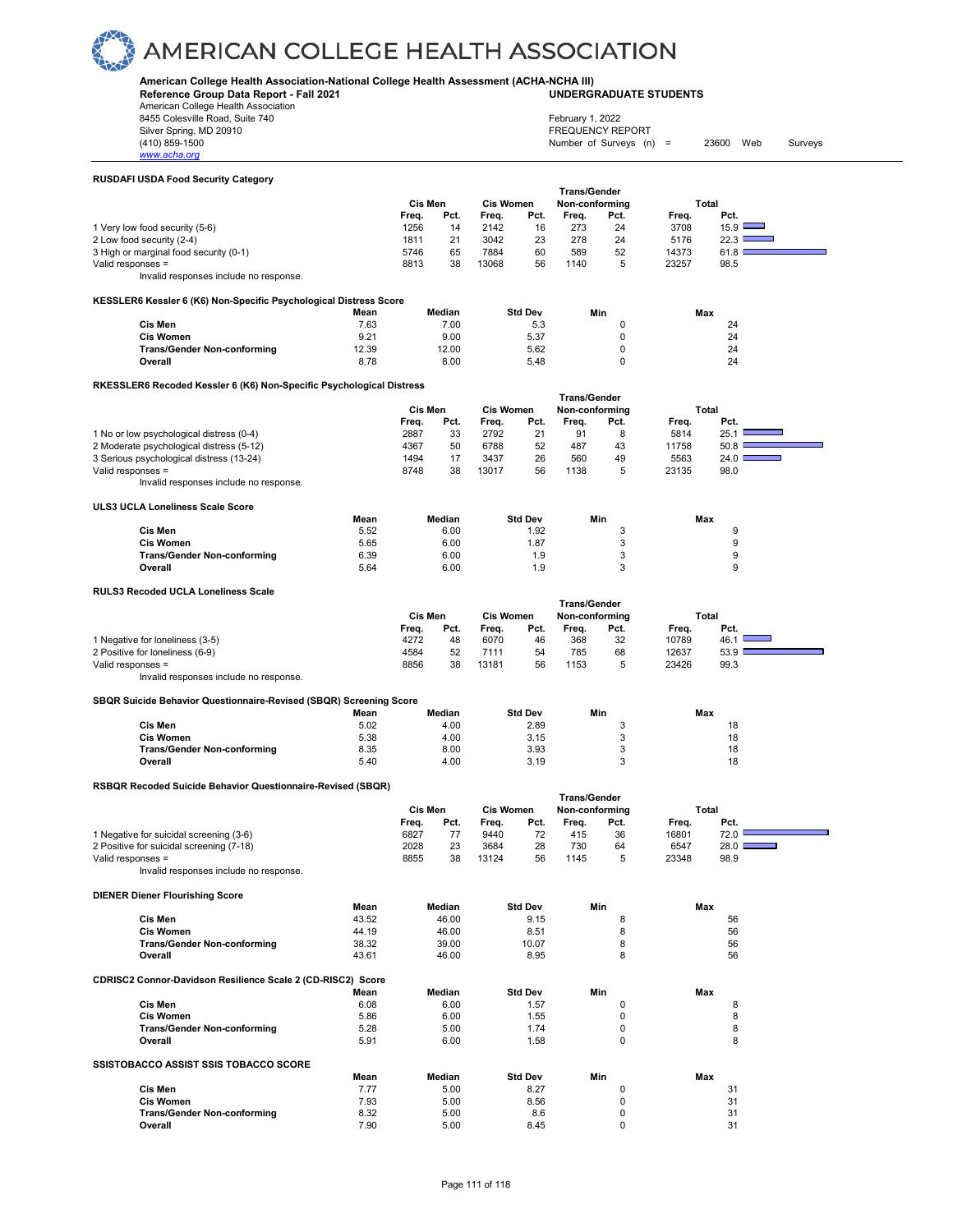#### **American College Health Association-National College Health Assessment (ACHA-NCHA III) UNDERGRADUATE STUDENTS**

**Reference Group Data Report - Fall 2021** American College Health Association

8455 Colesville Road, Suite 740

### February 1, 2022

Silver Spring, MD 20910<br>
(410) 859-1500<br>
Mumber of Surveys (n) Number of Surveys  $(n)$  = 23600 Web Surveys

#### **RUSDAFI USDA Food Security Category**

*www.acha.org*

|                                        | <b>Trans/Gender</b> |      |       |                  |       |                |       |               |  |
|----------------------------------------|---------------------|------|-------|------------------|-------|----------------|-------|---------------|--|
|                                        | Cis Men             |      |       | <b>Cis Women</b> |       | Non-conforming |       | Total         |  |
|                                        | Frea.               | Pct. | Frea. | Pct.             | Frea. | Pct.           | Frea. | Pct.          |  |
| 1 Very low food security (5-6)         | 1256                | 14   | 2142  | 16               | 273   | 24             | 3708  | $15.9$ $\Box$ |  |
| 2 Low food security (2-4)              | 1811                | 21   | 3042  | 23               | 278   | 24             | 5176  | 22.3          |  |
| 3 High or marginal food security (0-1) | 5746                | 65   | 7884  | 60               | 589   | 52             | 14373 | 61.8          |  |
| Valid responses =                      | 8813                | 38   | 13068 | 56               | 1140  | 5              | 23257 | 98.5          |  |
| Invalid responses include no response. |                     |      |       |                  |       |                |       |               |  |

#### **KESSLER6 Kessler 6 (K6) Non-Specific Psychological Distress Score**

|                                    | . .   |        |                |     |     |
|------------------------------------|-------|--------|----------------|-----|-----|
|                                    | Mean  | Median | <b>Std Dev</b> | Min | Max |
| Cis Men                            | 7.63  | 7.00   | 5.3            |     | 24  |
| <b>Cis Women</b>                   | 9.21  | 9.00   | 5.37           |     | 24  |
| <b>Trans/Gender Non-conforming</b> | 12.39 | 12.00  | 5.62           |     | 24  |
| Overall                            | 8.78  | 8.00   | 5.48           |     | 24  |

#### **RKESSLER6 Recoded Kessler 6 (K6) Non-Specific Psychological Distress**

|                                          |       | Cis Men |       | <b>Cis Women</b> | <b>Trans/Gender</b><br>Non-conforming |      |       | Total |
|------------------------------------------|-------|---------|-------|------------------|---------------------------------------|------|-------|-------|
|                                          | Freq. | Pct.    | Frea. | Pct.             | Frea.                                 | Pct. | Freq. | Pct.  |
| 1 No or low psychological distress (0-4) | 2887  | 33      | 2792  | 21               | 91                                    | 8    | 5814  | 25.1  |
| 2 Moderate psychological distress (5-12) | 4367  | 50      | 6788  | 52               | 487                                   | 43   | 11758 | 50.8  |
| 3 Serious psychological distress (13-24) | 1494  |         | 3437  | 26               | 560                                   | 49   | 5563  | 24.0  |
| Valid responses =                        | 8748  | 38      | 13017 | 56               | 1138                                  | 5    | 23135 | 98.0  |
| Invalid responses include no response.   |       |         |       |                  |                                       |      |       |       |

### **ULS3 UCLA Loneliness Scale Score**

|                                    | Mean | Median | <b>Std Dev</b> | Min | Max |
|------------------------------------|------|--------|----------------|-----|-----|
| Cis Men                            | 5.52 | 6.00   | 1.92           |     |     |
| <b>Cis Women</b>                   | 5.65 | 6.00   | 1.87           |     |     |
| <b>Trans/Gender Non-conforming</b> | 6.39 | 6.00   | ۱.9            |     |     |
| Overall                            | 5.64 | 6.00   | 9.،            |     |     |

#### **RULS3 Recoded UCLA Loneliness Scale**

|                                        | Cis Men | <b>Trans/Gender</b><br><b>Cis Women</b><br>Non-conforming |       |      | Total |      |       |      |
|----------------------------------------|---------|-----------------------------------------------------------|-------|------|-------|------|-------|------|
|                                        | Freq.   | Pct.                                                      | Frea. | Pct. | Freq. | Pct. | Frea. | Pct. |
| 1 Negative for loneliness (3-5)        | 4272    | 48                                                        | 6070  | 46   | 368   | 32   | 10789 | 46.  |
| 2 Positive for loneliness (6-9)        | 4584    | 52                                                        | 7111  | 54   | 785   | 68   | 12637 | 53.9 |
| Valid responses $=$                    | 8856    | 38                                                        | 13181 | 56   | 1153  | 5    | 23426 | 99.3 |
| Invalid responses include no response. |         |                                                           |       |      |       |      |       |      |

#### **SBQR Suicide Behavior Questionnaire-Revised (SBQR) Screening Score**

|                                    | Mean | Median | <b>Std Dev</b> | Min | Max |  |  |  |  |  |  |
|------------------------------------|------|--------|----------------|-----|-----|--|--|--|--|--|--|
| Cis Men                            | 5.02 | 4.00   | 2.89           |     | 18  |  |  |  |  |  |  |
| <b>Cis Women</b>                   | 5.38 | 4.00   | 3.15           |     | 18  |  |  |  |  |  |  |
| <b>Trans/Gender Non-conforming</b> | 8.35 | 8.00   | 3.93           |     | 18  |  |  |  |  |  |  |
| Overall                            | 5.40 | 4.00   | 3.19           |     | 18  |  |  |  |  |  |  |
|                                    |      |        |                |     |     |  |  |  |  |  |  |

#### **RSBQR Recoded Suicide Behavior Questionnaire-Revised (SBQR)**

|                                          | ı rans/Gender |      |       |                  |       |                |       |                                    |  |
|------------------------------------------|---------------|------|-------|------------------|-------|----------------|-------|------------------------------------|--|
|                                          | Cis Men       |      |       | <b>Cis Women</b> |       | Non-conforming |       | Total                              |  |
|                                          | Frea.         | Pct. | Frea. | Pct.             | Frea. | Pct.           | Frea. | Pct.                               |  |
| 1 Negative for suicidal screening (3-6)  | 6827          |      | 9440  |                  | 415   | 36             | 16801 | 72.0                               |  |
| 2 Positive for suicidal screening (7-18) | 2028          | 23   | 3684  | 28               | 730   | 64             | 6547  | 28.0 l<br><b>Contract Contract</b> |  |
| Valid responses =                        | 8855          | 38   | 13124 | 56               | 1145  |                | 23348 | 98.9                               |  |
| Invalid responses include no response.   |               |      |       |                  |       |                |       |                                    |  |

 **Trans/Gender**

### **DIENER Diener Flourishing Score**

|                                                             | Mean  | Median | <b>Std Dev</b> | Min          | Max |
|-------------------------------------------------------------|-------|--------|----------------|--------------|-----|
| Cis Men                                                     | 43.52 | 46.00  | 9.15           | 8            | 56  |
| <b>Cis Women</b>                                            | 44.19 | 46.00  | 8.51           | 8            | 56  |
| <b>Trans/Gender Non-conforming</b>                          | 38.32 | 39.00  | 10.07          | 8            | 56  |
| Overall                                                     | 43.61 | 46.00  | 8.95           | 8            | 56  |
| CDRISC2 Connor-Davidson Resilience Scale 2 (CD-RISC2) Score |       |        |                |              |     |
|                                                             | Mean  | Median | <b>Std Dev</b> | Min          | Max |
| Cis Men                                                     | 6.08  | 6.00   | 1.57           | 0            | 8   |
| <b>Cis Women</b>                                            | 5.86  | 6.00   | 1.55           | 0            | 8   |
| <b>Trans/Gender Non-conforming</b>                          | 5.28  | 5.00   | 1.74           | 0            | 8   |
| Overall                                                     | 5.91  | 6.00   | 1.58           | $\Omega$     | 8   |
| <b>SSISTOBACCO ASSIST SSIS TOBACCO SCORE</b>                |       |        |                |              |     |
|                                                             | Mean  | Median | <b>Std Dev</b> | Min          | Max |
| Cis Men                                                     | 7.77  | 5.00   | 8.27           | $\Omega$     | 31  |
| <b>Cis Women</b>                                            | 7.93  | 5.00   | 8.56           | $\Omega$     | 31  |
| <b>Trans/Gender Non-conforming</b>                          | 8.32  | 5.00   | 8.6            | <sup>0</sup> | 31  |
| Overall                                                     | 7.90  | 5.00   | 8.45           | 0            | 31  |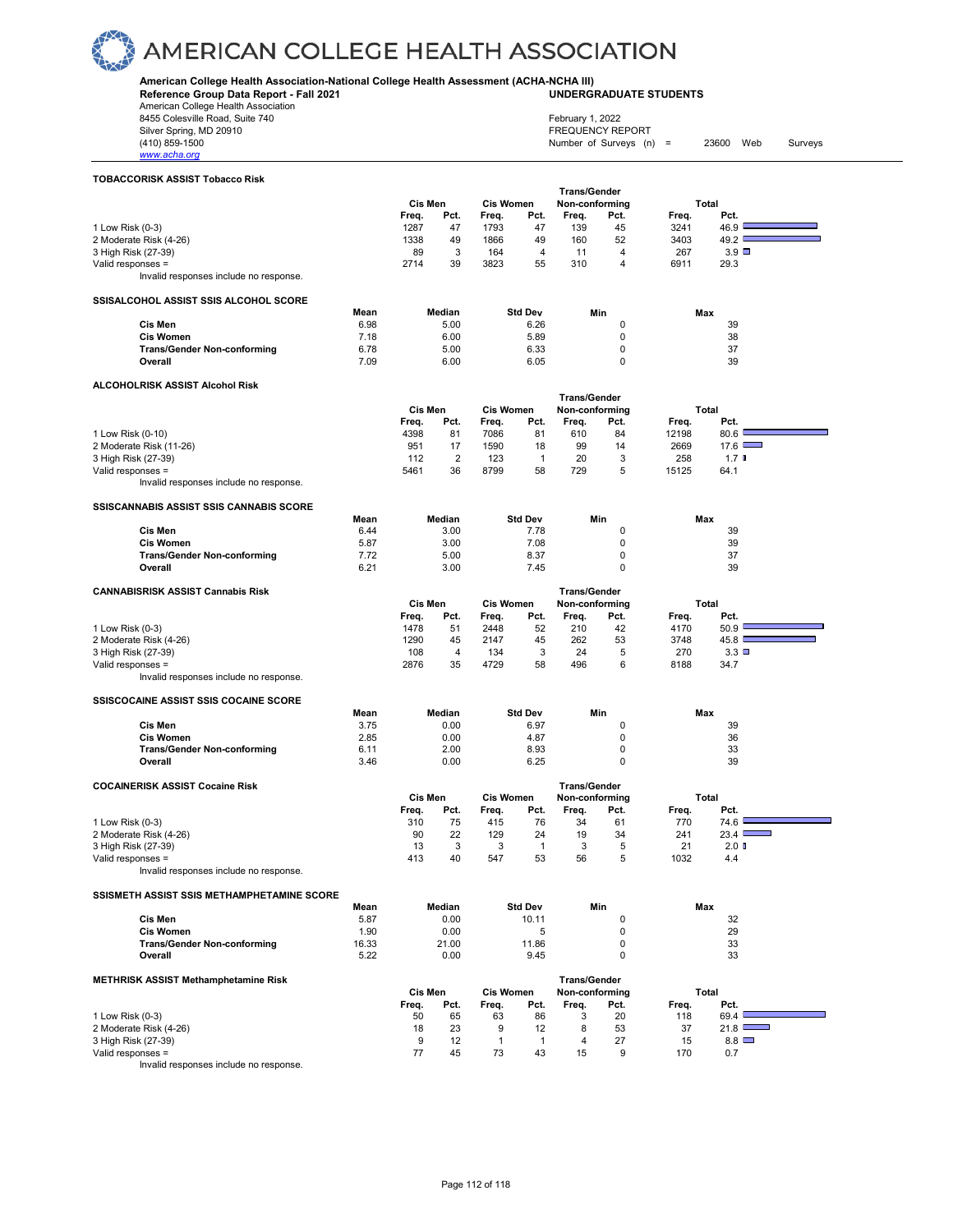**American College Health Association-National College Health Assessment (ACHA-NCHA III)**

**Reference Group Data Report - Fall 2021** American College Health Association

8455 Colesville Road, Suite 740 Silver Spring, MD 20910<br>(410) 859-1500

**UNDERGRADUATE STUDENTS**

Number of Surveys (n) = 23600 Web Surveys

| <u>www.acha.orq</u>                                         |       |                |                |                  |                |                                       |                |            |                        |
|-------------------------------------------------------------|-------|----------------|----------------|------------------|----------------|---------------------------------------|----------------|------------|------------------------|
| <b>TOBACCORISK ASSIST Tobacco Risk</b>                      |       |                |                |                  |                |                                       |                |            |                        |
|                                                             |       |                |                |                  |                | <b>Trans/Gender</b>                   |                |            |                        |
|                                                             |       | Cis Men        |                | <b>Cis Women</b> |                | Non-conforming                        |                |            | Total                  |
|                                                             |       | Freq.          | Pct.           | Freq.            | Pct.           | Freq.                                 | Pct.           | Freq.      | Pct.                   |
| 1 Low Risk (0-3)                                            |       | 1287           | 47             | 1793             | 47             | 139                                   | 45             | 3241       | 46.9                   |
| 2 Moderate Risk (4-26)                                      |       | 1338           | 49             | 1866             | 49             | 160                                   | 52             | 3403       | 49.2 $\square$         |
| 3 High Risk (27-39)                                         |       | 89             | 3              | 164              | $\overline{4}$ | 11                                    | 4              | 267        | $3.9$ $\square$        |
| Valid responses =                                           |       | 2714           | 39             | 3823             | 55             | 310                                   | $\overline{4}$ | 6911       | 29.3                   |
| Invalid responses include no response.                      |       |                |                |                  |                |                                       |                |            |                        |
| SSISALCOHOL ASSIST SSIS ALCOHOL SCORE                       |       |                |                |                  |                |                                       |                |            |                        |
|                                                             | Mean  |                | Median         |                  | <b>Std Dev</b> |                                       | Min            | Max        |                        |
| Cis Men                                                     | 6.98  |                | 5.00           |                  | 6.26           |                                       | $\mathbf 0$    |            | 39                     |
| <b>Cis Women</b>                                            | 7.18  |                | 6.00           |                  | 5.89           |                                       | 0              |            | 38                     |
| <b>Trans/Gender Non-conforming</b>                          | 6.78  |                | 5.00           |                  | 6.33           |                                       | 0              |            | 37                     |
| Overall                                                     | 7.09  |                | 6.00           |                  | 6.05           |                                       | 0              |            | 39                     |
| ALCOHOLRISK ASSIST Alcohol Risk                             |       |                |                |                  |                |                                       |                |            |                        |
|                                                             |       |                |                |                  |                | <b>Trans/Gender</b>                   |                |            |                        |
|                                                             |       | Cis Men        |                | Cis Women        |                | Non-conforming                        |                |            | Total                  |
|                                                             |       | Freq.          | Pct.           | Freq.            | Pct.           | Freq.                                 | Pct.           | Freq.      | Pct.                   |
| 1 Low Risk (0-10)                                           |       | 4398           | 81             | 7086             | 81             | 610                                   | 84             | 12198      | 80.6                   |
| 2 Moderate Risk (11-26)                                     |       | 951            | 17             | 1590             | 18             | 99                                    | 14             | 2669       | 17.6                   |
| 3 High Risk (27-39)                                         |       | 112            | $\overline{2}$ | 123              | $\mathbf{1}$   | 20                                    | 3              | 258        | 1.7 <sub>0</sub>       |
| Valid responses =                                           |       | 5461           | 36             | 8799             | 58             | 729                                   | 5              | 15125      | 64.1                   |
| Invalid responses include no response.                      |       |                |                |                  |                |                                       |                |            |                        |
| SSISCANNABIS ASSIST SSIS CANNABIS SCORE                     |       |                |                |                  |                |                                       |                |            |                        |
|                                                             | Mean  |                | Median         |                  | <b>Std Dev</b> |                                       | Min            | Max        |                        |
| Cis Men                                                     | 6.44  |                | 3.00           |                  | 7.78           |                                       | 0              |            | 39                     |
| <b>Cis Women</b>                                            | 5.87  |                | 3.00           |                  | 7.08           |                                       | 0              |            | 39                     |
| <b>Trans/Gender Non-conforming</b>                          | 7.72  |                | 5.00           |                  | 8.37           |                                       | 0              |            | 37                     |
| Overall                                                     | 6.21  |                | 3.00           |                  | 7.45           |                                       | 0              |            | 39                     |
| <b>CANNABISRISK ASSIST Cannabis Risk</b>                    |       |                |                |                  |                | <b>Trans/Gender</b>                   |                |            |                        |
|                                                             |       | <b>Cis Men</b> |                | <b>Cis Women</b> |                | Non-conforming                        |                |            | Total                  |
|                                                             |       | Freq.          | Pct.           | Freq.            | Pct.           | Freq.                                 | Pct.           | Freq.      | Pct.                   |
| 1 Low Risk (0-3)                                            |       | 1478           | 51             | 2448             | 52             | 210                                   | 42             | 4170       | 50.9                   |
| 2 Moderate Risk (4-26)                                      |       | 1290           | 45             | 2147             | 45             | 262                                   | 53             | 3748       | 45.8                   |
| 3 High Risk (27-39)                                         |       | 108            | 4              | 134              | 3              | 24                                    | 5              | 270        | 3.3                    |
| Valid responses =                                           |       | 2876           | 35             | 4729             | 58             | 496                                   | 6              | 8188       | 34.7                   |
| Invalid responses include no response.                      |       |                |                |                  |                |                                       |                |            |                        |
|                                                             |       |                |                |                  |                |                                       |                |            |                        |
| <b>SSISCOCAINE ASSIST SSIS COCAINE SCORE</b>                | Mean  |                | Median         |                  | <b>Std Dev</b> |                                       | Min            | Max        |                        |
| Cis Men                                                     | 3.75  |                | 0.00           |                  | 6.97           |                                       | 0              |            | 39                     |
| <b>Cis Women</b>                                            | 2.85  |                | 0.00           |                  | 4.87           |                                       | 0              |            | 36                     |
| <b>Trans/Gender Non-conforming</b>                          | 6.11  |                | 2.00           |                  | 8.93           |                                       | $\mathbf 0$    |            | 33                     |
| Overall                                                     | 3.46  |                | 0.00           |                  | 6.25           |                                       | 0              |            | 39                     |
|                                                             |       |                |                |                  |                |                                       |                |            |                        |
| <b>COCAINERISK ASSIST Cocaine Risk</b>                      |       | <b>Cis Men</b> |                | <b>Cis Women</b> |                | <b>Trans/Gender</b><br>Non-conforming |                |            | Total                  |
|                                                             |       |                |                |                  |                |                                       |                |            |                        |
|                                                             |       | Freq.          | Pct.           | Freq.            | Pct.           | Freq.                                 | Pct.           | Freq.      | Pct.                   |
| 1 Low Risk (0-3)                                            |       | 310<br>90      | 75<br>22       | 415<br>129       | 76<br>24       | 34<br>19                              | 61<br>34       | 770<br>241 | 74.6<br>٠              |
| 2 Moderate Risk (4-26)                                      |       | 13             | 3              | 3                | $\mathbf{1}$   | 3                                     | 5              | 21         | 23.4 $\Box$<br>$2.0$ D |
| 3 High Risk (27-39)                                         |       |                |                | 547              |                | 56                                    | 5              |            |                        |
| Valid responses =<br>Invalid responses include no response. |       | 413            | 40             |                  | 53             |                                       |                | 1032       | 4.4                    |
|                                                             |       |                |                |                  |                |                                       |                |            |                        |
| SSISMETH ASSIST SSIS METHAMPHETAMINE SCORE                  |       |                |                |                  |                |                                       |                |            |                        |
|                                                             | Mean  |                | Median         |                  | <b>Std Dev</b> |                                       | Min            | Max        |                        |
| Cis Men                                                     | 5.87  |                | 0.00           |                  | 10.11          |                                       | 0              |            | 32                     |
| <b>Cis Women</b>                                            | 1.90  |                | 0.00           |                  | 5              |                                       | 0<br>$\Omega$  |            | 29                     |
| <b>Trans/Gender Non-conforming</b>                          | 16.33 |                | 21.00          |                  | 11.86          |                                       | $\Omega$       |            | 33                     |
| Overall                                                     | 5.22  |                | 0.00           |                  | 9.45           |                                       |                |            | 33                     |

| <b>METHRISK ASSIST Methamphetamine Risk</b> |                             |      |       |      | <b>Trans/Gender</b> |                |       |              |  |
|---------------------------------------------|-----------------------------|------|-------|------|---------------------|----------------|-------|--------------|--|
|                                             | Cis Men<br><b>Cis Women</b> |      |       |      |                     | Non-conforming | Total |              |  |
|                                             | Freq.                       | Pct. | Frea. | Pct. | Frea.               | Pct.           | Frea. | Pct.         |  |
| 1 Low Risk (0-3)                            | 50                          | 65   | 63    | 86   |                     | 20             | 118   | 69.4         |  |
| 2 Moderate Risk (4-26)                      | 18                          | 23   |       |      |                     | 53             | 37    | 21.8         |  |
| 3 High Risk (27-39)                         |                             | 12   |       |      |                     | 27             | 15    | $8.8$ $\Box$ |  |
| Valid responses =                           |                             | 45   | 73    | 43   | 15                  | 9              | 170   | 0.7          |  |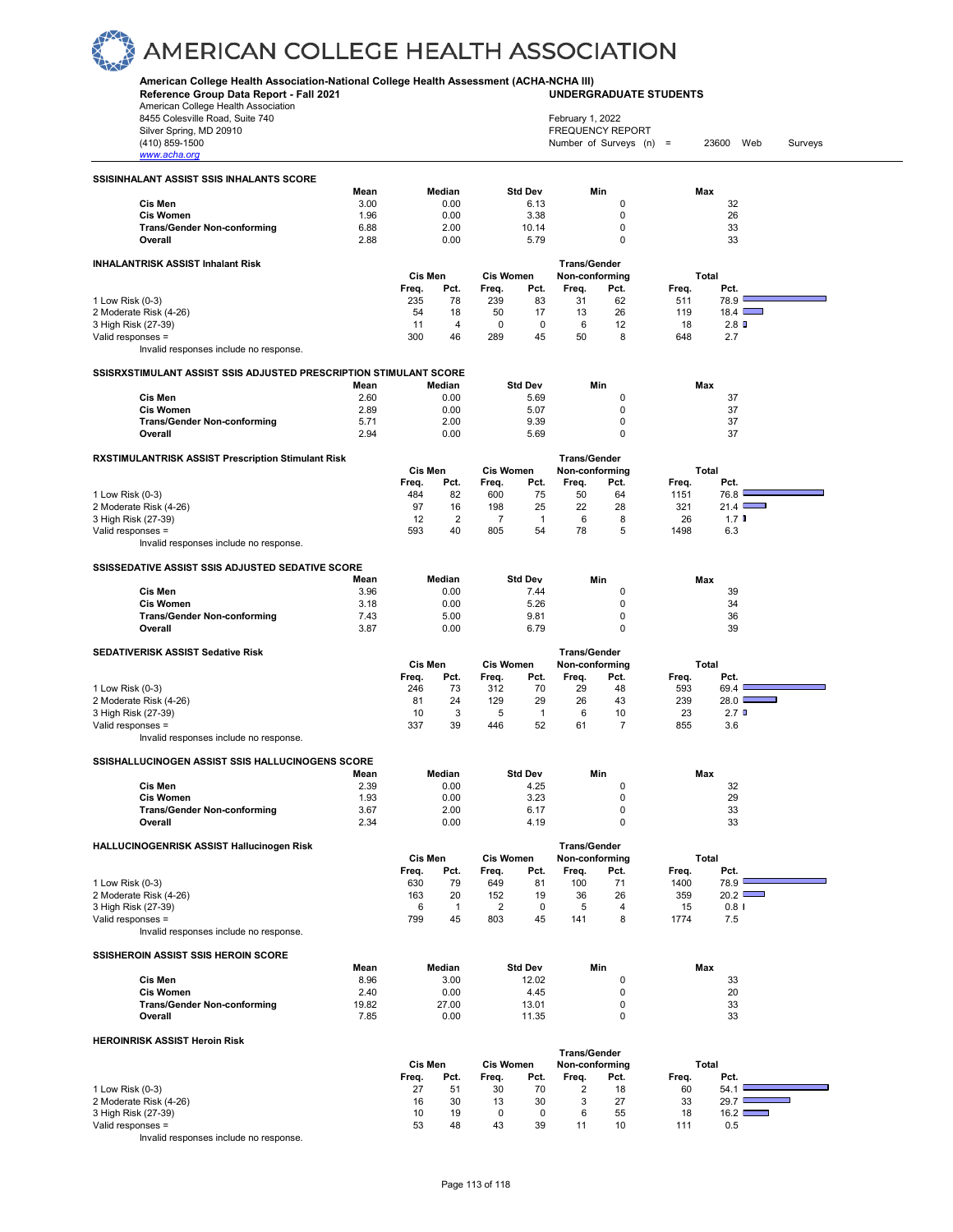**American College Health Association-National College Health Assessment (ACHA-NCHA III)**

**Reference Group Data Report - Fall 2021 UNDERGRADUATE STUDENTS** American College Health Association 8455 Colesville Road, Suite 740 February 1, 2022 Silver Spring, MD 20910<br>
1990 - 1990 - 1991 - 1991 - 1992 - 1993 - 1994 - 1995 - 1998 - 1999 - 1999 - 1999 - 1999 - 1999 - 1999 - 199<br>
1990 - 1999 - 1999 - 1999 - 1999 - 1999 - 1999 - 1999 - 1999 - 1999 - 1999 - 1999 - 199 Number of Surveys (n) = 23600 Web Surveys *www.acha.org* **SSISINHALANT ASSIST SSIS INHALANTS SCORE Mean Median Std Dev Min Max Cis Men** 3.00 0.00 6.13 0 32 **Cis Women** 1.96 0.00 3.38 0 26 **Trans/Gender Non-conforming**  $\begin{array}{cccc} 6.88 & 2.00 & 10.14 & 0 & 33 \\ \textbf{Overall} & 2.88 & 0.00 & 5.79 & 0 & 33 \end{array}$ **Overall** 2.88 0.00 5.79 0 33 **INHALANTRISK ASSIST Inhalant Risk Trans/Gender Cis Men Cis Women Non-conforming Total Freq. Pct. Freq. Pct. Freq. Pct. Freq. Pct.** 1 Low Risk (0-3) 235 78 239 83 31 62 511 78.9 2 Moderate Risk (4-26) 54 18 50 17 13 26 119 18.4 h 3 High Risk (27-39) Valid responses = 300 46 289 45 50 8 648 2.7 Invalid responses include no response. **SSISRXSTIMULANT ASSIST SSIS ADJUSTED PRESCRIPTION STIMULANT SCORE Mean Median Std Dev Min Max Cis Men** 2.60 0.00 5.69 0 37 **Cis Women** 2.89 0.00 5.07 0 37 **Trans/Gender Non-conforming** 5.71 2.00 9.39 0 37 **Overall** 2.94 0.00 5.69 0 37 **RXSTIMULANTRISK ASSIST Prescription Stimulant Risk Cis Men Cis Women** Trans/Gender<br>Cis Women Non-conformin  **Cis Men Cis Women Non-conforming Total Freq. Pct. Freq. Pct. Freq. Pct. Freq. Pct.** 1 Low Risk (0-3) 484 82 600 75 50 64 1151 76.8 2 Moderate Risk (4-26) 97 16 198 25 22 28 321 21.4 3 High Risk (27-39) 12 2 7 1 6 8 26 1.7 Valid responses = 593 40 805 54 78 5 1498 6.3 Invalid responses include no response. **SSISSEDATIVE ASSIST SSIS ADJUSTED SEDATIVE SCORE Mean Median Std Dev Min Max Cis Men** 3.96 0.00 7.44 0 39 **Cis Women** 3.18 0.00 5.26 0 34 **Trans/Gender Non-conforming** 7.43 5.00 9.81 0 36 **Overall** 3.87 0.00 6.79 0 39 SEDATIVERISK ASSIST Sedative Risk **Trans/Gender**<br>Cis Men Cis Women Non-conformin  **Cis Men Cis Women Non-conforming Total Freq. Pct. Freq. Pct. Freq. Pct. Freq. Pct.** 1 Low Risk (0-3) 246 73 312 70 29 48 593 69.4  $\overline{\phantom{0}}$ 2 Moderate Risk (4-26) 81 24 129 29 26 43 239 28.0 3 High Risk (27-39) 2.7 D (23 C) 2.7 D (23 C) 2.7 D (23 C) 2.7 D Valid responses = 337 39 446 52 61 7 855 3.6 Invalid responses include no response. **SSISHALLUCINOGEN ASSIST SSIS HALLUCINOGENS SCORE Mean Median Std Dev Min Max Cis Men** 2.39 0.00 4.25 0 32 **Cis Women** 1.93 0.00 3.23 0 29 **Trans/Gender Non-conforming** 2.67 2.00 6.17 0 33<br> **Overall** 2.34 0.00 4.19 0 33 **Overall** 2.34 0.00 4.19 0 33 **HALLUCINOGENRISK ASSIST Hallucinogen Risk Trans/Gender Cis Men Cis Women Non-conforming Total Freq. Pct. Freq. Pct. Freq. Pct. Freq. Pct.** 1 Low Risk (0-3) 630 79 649 81 100 71 1400 78.9 2 Moderate Risk (4-26) 3 High Risk (27-39) 6 1 2 0 5 4 15 0.8 Valid responses = Invalid responses include no response. **SSISHEROIN ASSIST SSIS HEROIN SCORE Mean Median Std Dev Min Max Cis Men** 8.96 3.00 12.02 0 33 **Cis Women** 2.40 0.00 4.45 0 20 **Trans/Gender Non-conforming 19.82** 27.00 13.01 0 33 **Overall** 7.85 0.00 11.35 0 33 **HEROINRISK ASSIST Heroin Risk Trans/Gender Cis Men Cis Women Non-conforming Total Freq. Pct. Freq. Pct. Freq. Pct. Freq. Pct.** 1 Low Risk (0-3) 27 51 30 70 2 18 60 54.1 2 Moderate Risk (4-26) 16 30 13 30 3 27 33 29.7 h 3 High Risk (27-39)  $\overline{\phantom{0}}$ 

Valid responses = 53 48 43 39 11 10 111 0.5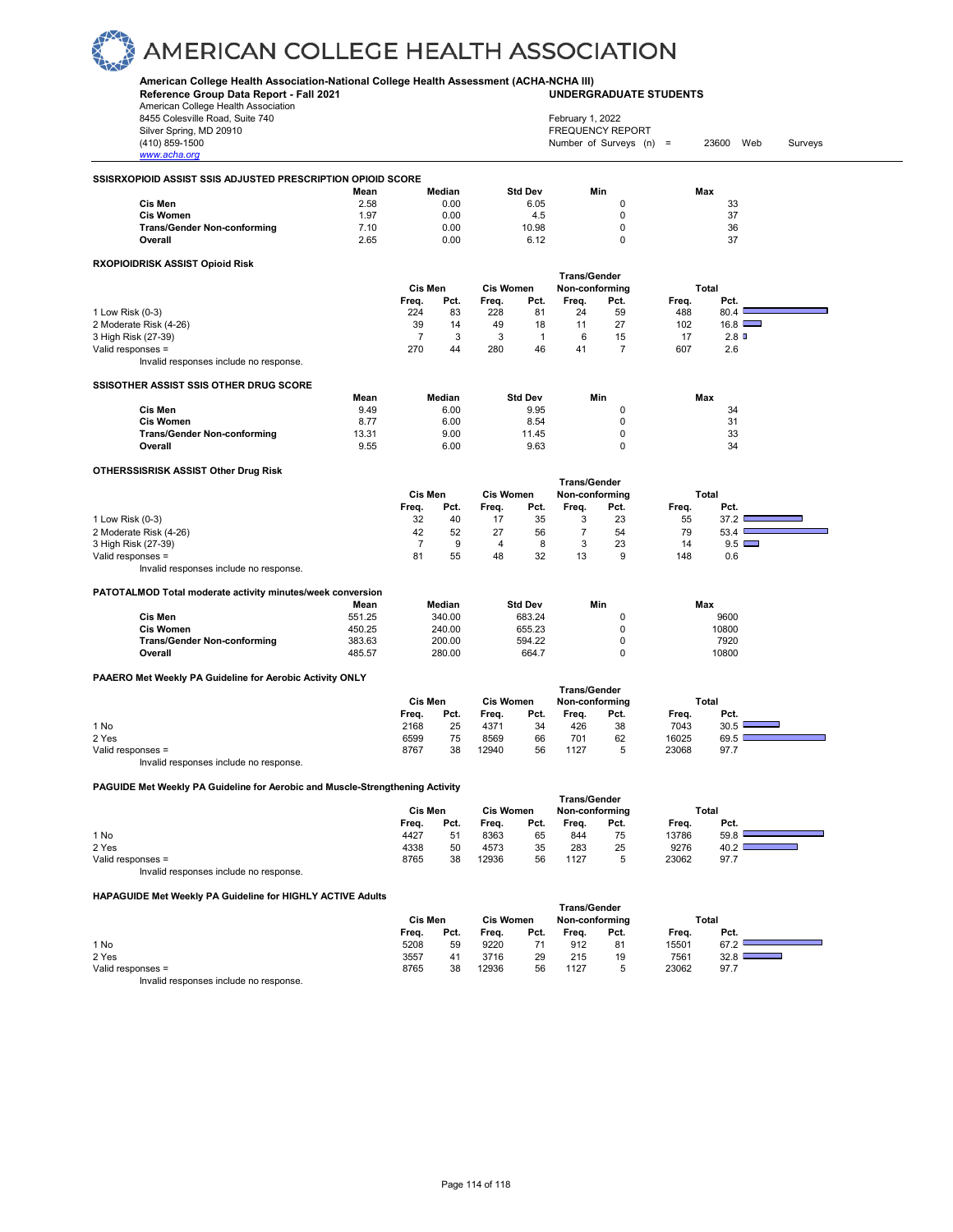#### **American College Health Association-National College Health Assessment (ACHA-NCHA III)**

**Reference Group Data Report - Fall 2021** American College Health Association 8455 Colesville Road, Suite 740

**UNDERGRADUATE STUDENTS**

| American College Health Association                                                  |        |                             |        |                  |                |                     |                         |       |              |         |  |
|--------------------------------------------------------------------------------------|--------|-----------------------------|--------|------------------|----------------|---------------------|-------------------------|-------|--------------|---------|--|
| 8455 Colesville Road, Suite 740                                                      |        |                             |        |                  |                | February 1, 2022    |                         |       |              |         |  |
| Silver Spring, MD 20910                                                              |        |                             |        |                  |                |                     | <b>FREQUENCY REPORT</b> |       |              |         |  |
| (410) 859-1500                                                                       |        |                             |        |                  |                |                     | Number of Surveys (n) = |       | 23600<br>Web | Surveys |  |
| www.acha.org                                                                         |        |                             |        |                  |                |                     |                         |       |              |         |  |
|                                                                                      |        |                             |        |                  |                |                     |                         |       |              |         |  |
| SSISRXOPIOID ASSIST SSIS ADJUSTED PRESCRIPTION OPIOID SCORE                          |        |                             |        |                  |                |                     |                         |       |              |         |  |
|                                                                                      | Mean   |                             | Median |                  | <b>Std Dev</b> | Min                 |                         |       | Max          |         |  |
| Cis Men                                                                              | 2.58   |                             | 0.00   |                  | 6.05           |                     | 0                       |       | 33           |         |  |
| <b>Cis Women</b>                                                                     | 1.97   |                             | 0.00   |                  | 4.5            |                     | 0                       |       | 37           |         |  |
| <b>Trans/Gender Non-conforming</b>                                                   | 7.10   |                             | 0.00   |                  | 10.98          |                     | 0                       |       | 36           |         |  |
| Overall                                                                              | 2.65   |                             | 0.00   |                  | 6.12           |                     | $\mathbf 0$             |       | 37           |         |  |
| RXOPIOIDRISK ASSIST Opioid Risk                                                      |        |                             |        |                  |                |                     |                         |       |              |         |  |
|                                                                                      |        |                             |        |                  |                | <b>Trans/Gender</b> |                         |       |              |         |  |
|                                                                                      |        | Cis Men                     |        | <b>Cis Women</b> |                | Non-conforming      |                         |       | Total        |         |  |
|                                                                                      |        | Freq.                       | Pct.   | Freq.            | Pct.           | Freq.               | Pct.                    | Freq. | Pct.         |         |  |
| 1 Low Risk (0-3)                                                                     |        | 224                         | 83     | 228              | 81             | 24                  | 59                      | 488   | 80.4         |         |  |
| 2 Moderate Risk (4-26)                                                               |        | 39                          | 14     | 49               | 18             | 11                  | 27                      | 102   | 16.8         |         |  |
| 3 High Risk (27-39)                                                                  |        | $\overline{7}$              | 3      | 3                | $\mathbf{1}$   | 6                   | 15                      | 17    | 2.8          |         |  |
| Valid responses =                                                                    |        | 270                         | 44     | 280              | 46             | 41                  | $\overline{7}$          | 607   | 2.6          |         |  |
| Invalid responses include no response.                                               |        |                             |        |                  |                |                     |                         |       |              |         |  |
|                                                                                      |        |                             |        |                  |                |                     |                         |       |              |         |  |
| SSISOTHER ASSIST SSIS OTHER DRUG SCORE                                               |        |                             |        |                  |                |                     |                         |       |              |         |  |
|                                                                                      | Mean   |                             | Median |                  | <b>Std Dev</b> | Min                 |                         |       | Max          |         |  |
| Cis Men                                                                              | 9.49   |                             | 6.00   |                  | 9.95           |                     | 0                       |       | 34           |         |  |
| <b>Cis Women</b>                                                                     | 8.77   |                             | 6.00   |                  | 8.54           |                     | $\mathbf 0$             |       | 31           |         |  |
| <b>Trans/Gender Non-conforming</b>                                                   | 13.31  |                             | 9.00   |                  | 11.45          |                     | $\pmb{0}$               |       | 33           |         |  |
| Overall                                                                              | 9.55   |                             | 6.00   |                  | 9.63           |                     | $\mathbf 0$             |       | 34           |         |  |
| OTHERSSISRISK ASSIST Other Drug Risk                                                 |        |                             |        |                  |                |                     |                         |       |              |         |  |
|                                                                                      |        |                             |        |                  |                | <b>Trans/Gender</b> |                         |       |              |         |  |
|                                                                                      |        | Cis Men<br><b>Cis Women</b> |        |                  |                | Non-conforming      |                         |       | Total        |         |  |
|                                                                                      |        | Freq.                       | Pct.   | Freq.            | Pct.           | Freq.               | Pct.                    | Freq. | Pct.         |         |  |
| 1 Low Risk (0-3)                                                                     |        | 32                          | 40     | 17               | 35             | 3                   | 23                      | 55    | 37.2         |         |  |
|                                                                                      |        | 42                          | 52     | 27               | 56             | $\overline{7}$      | 54                      | 79    | 53.4         |         |  |
| 2 Moderate Risk (4-26)                                                               |        |                             |        |                  |                |                     |                         |       |              |         |  |
| 3 High Risk (27-39)                                                                  |        | $\overline{7}$              | 9      | $\overline{4}$   | 8              | 3                   | 23                      | 14    | 9.5          |         |  |
| Valid responses =                                                                    |        | 81                          | 55     | 48               | 32             | 13                  | 9                       | 148   | 0.6          |         |  |
| Invalid responses include no response.                                               |        |                             |        |                  |                |                     |                         |       |              |         |  |
| PATOTALMOD Total moderate activity minutes/week conversion                           |        |                             |        |                  |                |                     |                         |       |              |         |  |
|                                                                                      | Mean   |                             | Median |                  | <b>Std Dev</b> | Min                 |                         |       | Max          |         |  |
| Cis Men                                                                              | 551.25 |                             | 340.00 |                  | 683.24         |                     | 0                       |       | 9600         |         |  |
| <b>Cis Women</b>                                                                     | 450.25 |                             | 240.00 |                  | 655.23         |                     | $\pmb{0}$               |       | 10800        |         |  |
| <b>Trans/Gender Non-conforming</b>                                                   | 383.63 |                             | 200.00 |                  | 594.22         |                     | 0                       |       | 7920         |         |  |
| Overall                                                                              | 485.57 |                             | 280.00 |                  | 664.7          |                     | 0                       |       | 10800        |         |  |
|                                                                                      |        |                             |        |                  |                |                     |                         |       |              |         |  |
| PAAERO Met Weekly PA Guideline for Aerobic Activity ONLY                             |        |                             |        |                  |                |                     |                         |       |              |         |  |
|                                                                                      |        |                             |        |                  |                | <b>Trans/Gender</b> |                         |       |              |         |  |
|                                                                                      |        | Cis Men                     |        | <b>Cis Women</b> |                | Non-conforming      |                         |       | Total        |         |  |
|                                                                                      |        | Freq.                       | Pct.   | Freq.            | Pct.           | Freq.               | Pct.                    | Freq. | Pct.         |         |  |
| 1 No                                                                                 |        | 2168                        | 25     | 4371             | 34             | 426                 | 38                      | 7043  | 30.5         |         |  |
| 2 Yes                                                                                |        | 6599                        | 75     | 8569             | 66             | 701                 | 62                      | 16025 | 69.5         |         |  |
| Valid responses =                                                                    |        | 8767                        | 38     | 12940            | 56             | 1127                | 5                       | 23068 | 97.7         |         |  |
| Invalid responses include no response.                                               |        |                             |        |                  |                |                     |                         |       |              |         |  |
|                                                                                      |        |                             |        |                  |                |                     |                         |       |              |         |  |
| <b>PAGUIDE Met Weekly PA Guideline for Aerobic and Muscle-Strengthening Activity</b> |        |                             |        |                  |                | <b>Trans/Gender</b> |                         |       |              |         |  |
|                                                                                      |        | Cis Men                     |        | <b>Cis Women</b> |                | Non-conforming      |                         |       | Total        |         |  |
|                                                                                      |        | Freq.                       | Pct.   | Freq.            | Pct.           | Freq.               | Pct.                    | Freq. | Pct.         |         |  |
| 1 No                                                                                 |        | 4427                        | 51     | 8363             | 65             | 844                 | 75                      | 13786 | 59.8         |         |  |
| 2 Yes                                                                                |        | 4338                        | 50     | 4573             | 35             | 283                 | 25                      | 9276  | 40.2         |         |  |
| Valid responses =                                                                    |        |                             |        |                  |                |                     |                         |       |              |         |  |
|                                                                                      |        | 8765                        | 38     | 12936            | 56             | 1127                | 5                       | 23062 | 97.7         |         |  |

**HAPAGUIDE Met Weekly PA Guideline for HIGHLY ACTIVE Adults**

| <b>HAPAGOIDE MEL WEEKLY PA GUIDELITE TOI HIGHLI ACTIVE AQUILS</b>      |         |      |                  |      |                |      |       |       |  |
|------------------------------------------------------------------------|---------|------|------------------|------|----------------|------|-------|-------|--|
|                                                                        |         |      |                  |      | Trans/Gender   |      |       |       |  |
|                                                                        | Cis Men |      | <b>Cis Women</b> |      | Non-conforming |      |       | Total |  |
|                                                                        | Freq.   | Pct. | Frea.            | Pct. | Frea.          | Pct. | Frea. | Pct.  |  |
| 1 No                                                                   | 5208    | 59   | 9220             |      | 912            | 81   | 15501 | 67.2  |  |
| 2 Yes                                                                  | 3557    | 41   | 3716             | 29   | 215            | 19   | 7561  | 32.8  |  |
| Valid responses =                                                      | 8765    | 38   | 12936            | 56   | 1127           | 5    | 23062 | 97.7  |  |
| the control and discussed a control of the control and a series of the |         |      |                  |      |                |      |       |       |  |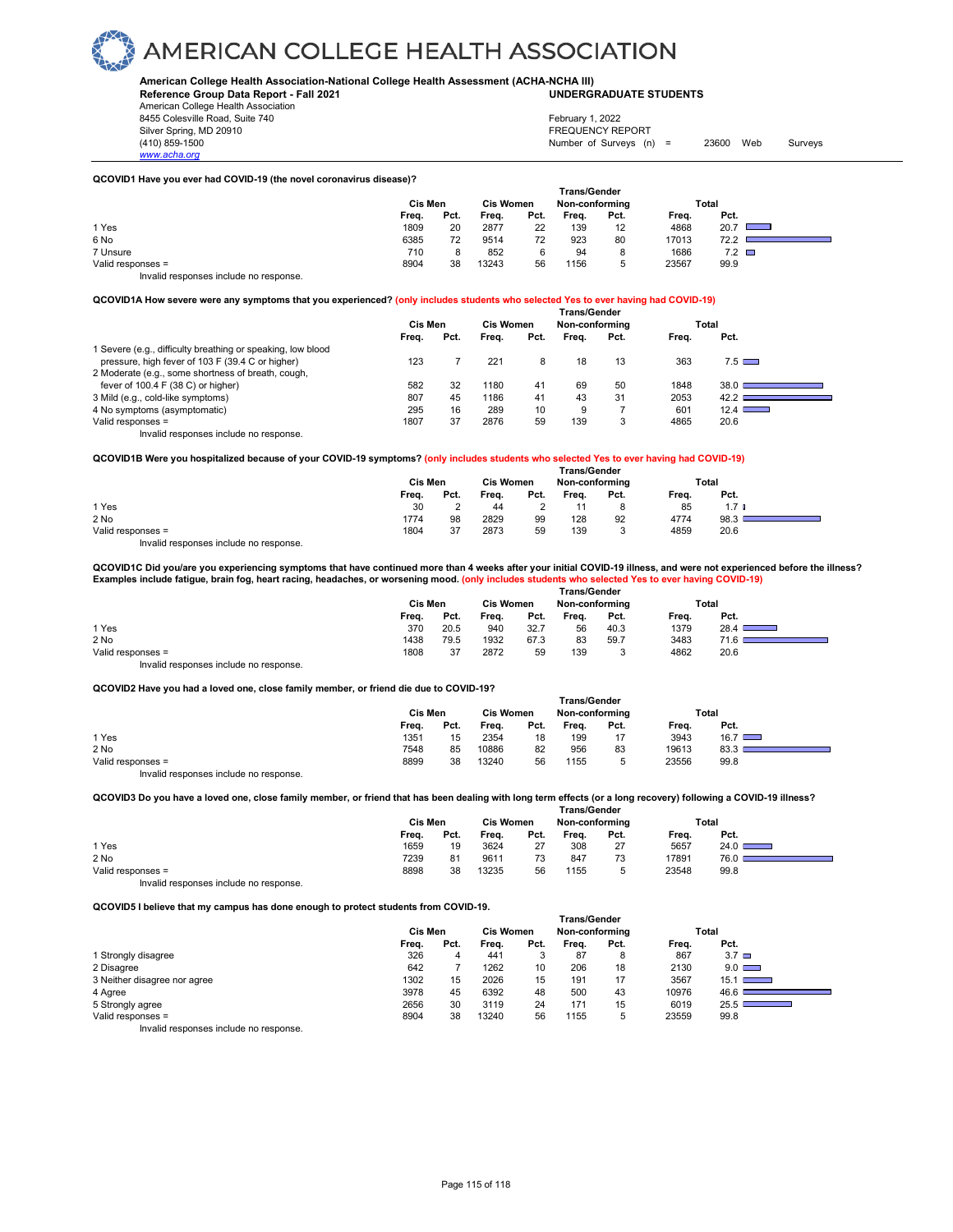**American College Health Association-National College Health Assessment (ACHA-NCHA III) UNDERGRADUATE STUDENTS**

**Reference Group Data Report - Fall 2021** American College Health Association 8455 Colesville Road, Suite 740 Silver Spring, MD 20910<br>
1990 - The Spring, MD 20910<br>
1990 - The Survey Structure of Surveys (n)

*www.acha.org*

# February 1, 2022

Number of Surveys (n) = 23600 Web Surveys

#### **QCOVID1 Have you ever had COVID-19 (the novel coronavirus disease)?**

|                                        | Trans/Gender |      |                  |      |                |      |       |                                                                                                                                                                                                                                              |  |  |
|----------------------------------------|--------------|------|------------------|------|----------------|------|-------|----------------------------------------------------------------------------------------------------------------------------------------------------------------------------------------------------------------------------------------------|--|--|
|                                        | Cis Men      |      | <b>Cis Women</b> |      | Non-conforming |      |       | Total                                                                                                                                                                                                                                        |  |  |
|                                        | Freq.        | Pct. | Freq.            | Pct. | Freq.          | Pct. | Freq. | Pct.                                                                                                                                                                                                                                         |  |  |
| 1 Yes                                  | 1809         | 20   | 2877             | 22   | 139            | 12   | 4868  | 20.7<br><u>and the set of the set of the set of the set of the set of the set of the set of the set of the set of the set of the set of the set of the set of the set of the set of the set of the set of the set of the set of the set </u> |  |  |
| 6 No                                   | 6385         | 72   | 9514             | 72   | 923            | 80   | 17013 | 72.2                                                                                                                                                                                                                                         |  |  |
| 7 Unsure                               | 710          |      | 852              | 6    | 94             | 8    | 1686  | $7.2$ $\Box$                                                                                                                                                                                                                                 |  |  |
| Valid responses =                      | 8904         | 38   | 13243            | 56   | 1156           | 5    | 23567 | 99.9                                                                                                                                                                                                                                         |  |  |
| Invalid responses include no response. |              |      |                  |      |                |      |       |                                                                                                                                                                                                                                              |  |  |

**QCOVID1A How severe were any symptoms that you experienced? (only includes students who selected Yes to ever having had COVID-19)**

|                                                             | <b>Trans/Gender</b> |                                    |       |      |       |      |       |                      |  |  |  |
|-------------------------------------------------------------|---------------------|------------------------------------|-------|------|-------|------|-------|----------------------|--|--|--|
|                                                             | Cis Men             | <b>Cis Women</b><br>Non-conforming |       |      |       |      | Total |                      |  |  |  |
|                                                             | Freq.               | Pct.                               | Freq. | Pct. | Freq. | Pct. | Freq. | Pct.                 |  |  |  |
| 1 Severe (e.g., difficulty breathing or speaking, low blood |                     |                                    |       |      |       |      |       |                      |  |  |  |
| pressure, high fever of 103 F (39.4 C or higher)            | 123                 |                                    | 221   | 8    | 18    | 13   | 363   | $7.5 \ \blacksquare$ |  |  |  |
| 2 Moderate (e.g., some shortness of breath, cough,          |                     |                                    |       |      |       |      |       |                      |  |  |  |
| fever of 100.4 F (38 C) or higher)                          | 582                 | 32                                 | 1180  | 41   | 69    | 50   | 1848  | 38.0                 |  |  |  |
| 3 Mild (e.g., cold-like symptoms)                           | 807                 | 45                                 | 1186  | 41   | 43    | 31   | 2053  | 42.2                 |  |  |  |
| 4 No symptoms (asymptomatic)                                | 295                 | 16                                 | 289   | 10   | 9     |      | 601   | 12.4                 |  |  |  |
| Valid responses =                                           | 1807                | 37                                 | 2876  | 59   | 139   | 3    | 4865  | 20.6                 |  |  |  |
| Invalid responses include no response.                      |                     |                                    |       |      |       |      |       |                      |  |  |  |

**QCOVID1B Were you hospitalized because of your COVID-19 symptoms? (only includes students who selected Yes to ever having had COVID-19)**

|                                        |         |                                    |       |      | <b>Trans/Gender</b> |      |       |                  |  |
|----------------------------------------|---------|------------------------------------|-------|------|---------------------|------|-------|------------------|--|
|                                        | Cis Men | <b>Cis Women</b><br>Non-conforming |       |      | Total               |      |       |                  |  |
|                                        | Freq.   | Pct.                               | Freq. | Pct. | Freq.               | Pct. | Freq. | Pct.             |  |
| 1 Yes                                  | 30      |                                    | 44    |      |                     |      | 85    | 1.7 <sub>l</sub> |  |
| 2 No                                   | 1774    | 98                                 | 2829  | 99   | 128                 | 92   | 4774  | 98.3             |  |
| Valid responses =                      | 1804    | 37                                 | 2873  | 59   | 139                 |      | 4859  | 20.6             |  |
| Invalid responses include no response. |         |                                    |       |      |                     |      |       |                  |  |

**QCOVID1C Did you/are you experiencing symptoms that have continued more than 4 weeks after your initial COVID-19 illness, and were not experienced before the illness? Examples include fatigue, brain fog, heart racing, headaches, or worsening mood. (only includes students who selected Yes to ever having COVID-19)**

|                   |       |         |       |                  | <b>Trans/Gender</b> |                |       |                                          |
|-------------------|-------|---------|-------|------------------|---------------------|----------------|-------|------------------------------------------|
|                   |       | Cis Men |       | <b>Cis Women</b> |                     | Non-conforming |       | Total                                    |
|                   | Freq. | Pct.    | Freq. | Pct.             | Freq.               | Pct.           | Frea. | Pct.                                     |
| 1 Yes             | 370   | 20.5    | 940   | 32.7             | 56                  | 40.3           | 1379  | 28.4 <sub>1</sub><br><u> a shekara t</u> |
| 2 No              | 1438  | 79.5    | 1932  | 67.3             | 83                  | 59.7           | 3483  | า.α                                      |
| Valid responses = | 1808  | 37      | 2872  | 59               | 139                 | ◡              | 4862  | 20.6                                     |
| .                 |       |         |       |                  |                     |                |       |                                          |

Invalid responses include no response.

**QCOVID2 Have you had a loved one, close family member, or friend die due to COVID-19?**

| about the mate you had a lot ou one, close railing inclined; or micha ale due to be the five |         |      |                  |      |                |      |       |               |  |
|----------------------------------------------------------------------------------------------|---------|------|------------------|------|----------------|------|-------|---------------|--|
|                                                                                              |         |      |                  |      | Trans/Gender   |      |       |               |  |
|                                                                                              | Cis Men |      | <b>Cis Women</b> |      | Non-conforming |      |       | Total         |  |
|                                                                                              | Frea.   | Pct. | Frea.            | Pct. | Frea.          | Pct. | Frea. | Pct.          |  |
| 1 Yes                                                                                        | 1351    | 15   | 2354             | 18   | 199            | 17   | 3943  | $16.7$ $\Box$ |  |
| 2 No                                                                                         | 7548    | 85   | 10886            | 82   | 956            | 83   | 19613 | 83.3          |  |
| Valid responses $=$                                                                          | 8899    | 38   | 13240            | 56   | 1155           | 5    | 23556 | 99.8          |  |
| Invalid responses include no response.                                                       |         |      |                  |      |                |      |       |               |  |

**QCOVID3 Do you have a loved one, close family member, or friend that has been dealing with long term effects (or a long recovery) following a COVID-19 illness?**

|                   | <b>Trans/Gender</b> |      |                  |      |                |        |       |      |  |  |  |  |
|-------------------|---------------------|------|------------------|------|----------------|--------|-------|------|--|--|--|--|
|                   | Cis Men             |      | <b>Cis Women</b> |      | Non-conforming |        | Total |      |  |  |  |  |
|                   | Freq.               | Pct. | Freq.            | Pct. | Freq.          | Pct.   | Freq. | Pct. |  |  |  |  |
| 1 Yes             | 1659                | 19   | 3624             | 27   | 308            | 27     | 5657  | 24.0 |  |  |  |  |
| 2 No              | 7239                | 81   | 9611             | 73   | 847            | 73     | 17891 | 76.0 |  |  |  |  |
| Valid responses = | 8898                | 38   | 13235            | 56   | 1155           | ∽<br>v | 23548 | 99.8 |  |  |  |  |

Invalid responses include no response.

**QCOVID5 I believe that my campus has done enough to protect students from COVID-19.**

|                                         |       | Cis Men |       |      | Trans/Gender<br>Non-conforming |      |       | Total                                                                                                                                   |
|-----------------------------------------|-------|---------|-------|------|--------------------------------|------|-------|-----------------------------------------------------------------------------------------------------------------------------------------|
|                                         | Freq. | Pct.    | Freq. | Pct. | Frea.                          | Pct. | Frea. | Pct.                                                                                                                                    |
| 1 Strongly disagree                     | 326   | 4       | 441   | 3    | 87                             | 8    | 867   | $3.7\Box$                                                                                                                               |
| 2 Disagree                              | 642   |         | 1262  | 10   | 206                            | 18   | 2130  | $9.0$ $\Box$                                                                                                                            |
| 3 Neither disagree nor agree            | 1302  | 15      | 2026  | 15   | 191                            | 17   | 3567  | $15.1$ $\Box$                                                                                                                           |
| 4 Agree                                 | 3978  | 45      | 6392  | 48   | 500                            | 43   | 10976 | 46.6                                                                                                                                    |
| 5 Strongly agree                        | 2656  | 30      | 3119  | 24   | 171                            | 15   | 6019  | 25.5<br>$\mathcal{L}^{\text{max}}_{\text{max}}$ and $\mathcal{L}^{\text{max}}_{\text{max}}$ and $\mathcal{L}^{\text{max}}_{\text{max}}$ |
| Valid responses =                       | 8904  | 38      | 13240 | 56   | 1155                           | 5    | 23559 | 99.8                                                                                                                                    |
| Involid recononces include no recononce |       |         |       |      |                                |      |       |                                                                                                                                         |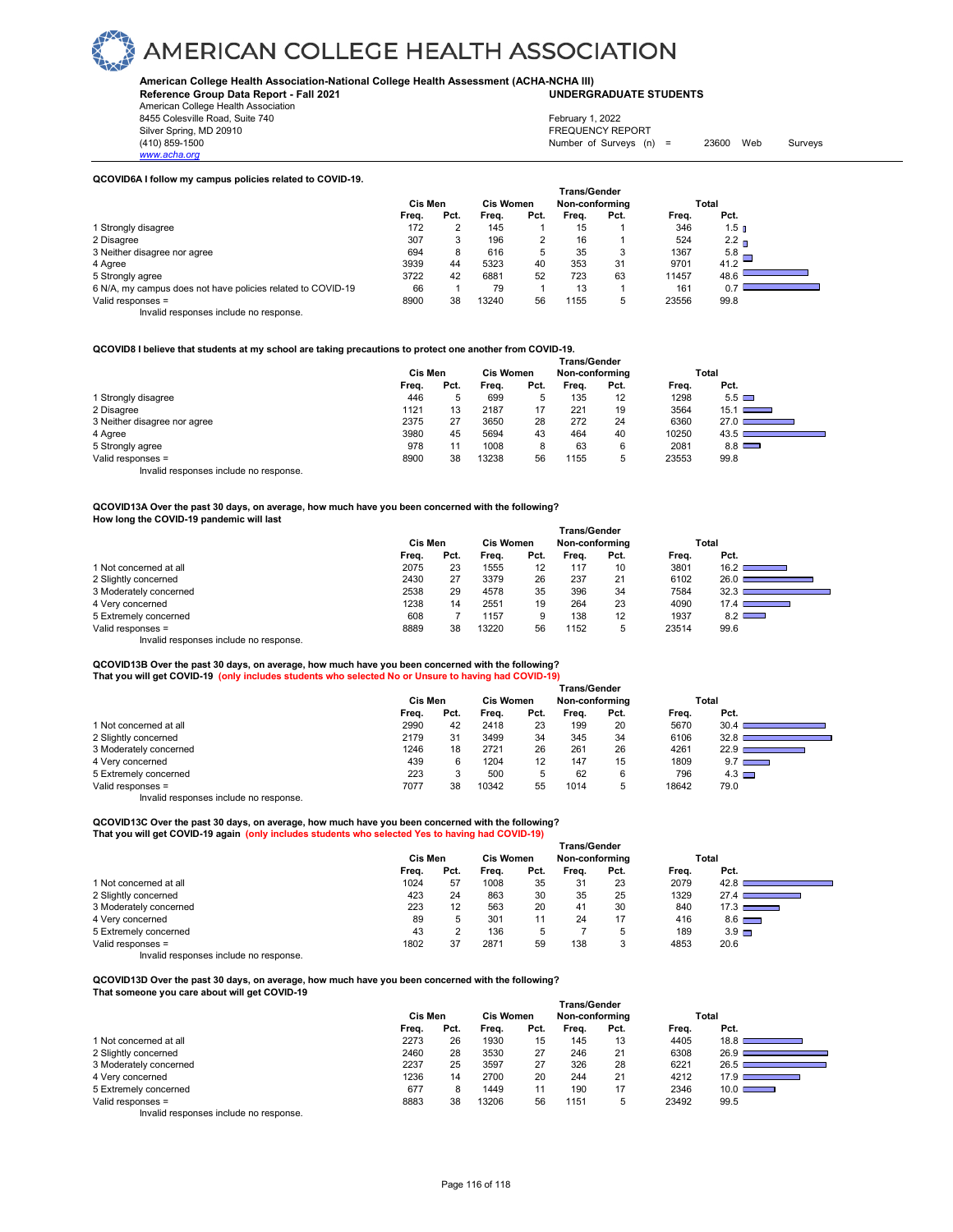#### **American College Health Association-National College Health Assessment (ACHA-NCHA III) UNDERGRADUATE STUDENTS**

**Reference Group Data Report - Fall 2021** American College Health Association

8455 Colesville Road, Suite 740

*www.acha.org*

#### Silver Spring, MD 20910<br>
1990 - The Survey State of Surveys (1990)<br>
Silver Surveys (1990)<br>
Surveys (1990) Number of Surveys (n) =  $23600$  Web Surveys February 1, 2022

٦

#### **QCOVID6A I follow my campus policies related to COVID-19.**

|                                                             | <b>Trans/Gender</b> |      |                  |      |                |      |       |                  |  |  |
|-------------------------------------------------------------|---------------------|------|------------------|------|----------------|------|-------|------------------|--|--|
|                                                             | <b>Cis Men</b>      |      | <b>Cis Women</b> |      | Non-conforming |      | Total |                  |  |  |
|                                                             | Freq.               | Pct. | Frea.            | Pct. | Frea.          | Pct. | Freq. | Pct.             |  |  |
| 1 Strongly disagree                                         | 172                 |      | 145              |      | 15             |      | 346   | 1.5 <sub>n</sub> |  |  |
| 2 Disagree                                                  | 307                 | 3    | 196              |      | 16             |      | 524   | 2.2 <sub>n</sub> |  |  |
| 3 Neither disagree nor agree                                | 694                 | 8    | 616              | 5    | 35             | 3    | 1367  | 5.8              |  |  |
| 4 Agree                                                     | 3939                | 44   | 5323             | 40   | 353            | 31   | 9701  | 41.2             |  |  |
| 5 Strongly agree                                            | 3722                | 42   | 6881             | 52   | 723            | 63   | 11457 | 48.6             |  |  |
| 6 N/A, my campus does not have policies related to COVID-19 | 66                  |      | 79               |      | 13             |      | 161   | 0.7              |  |  |
| Valid responses =                                           | 8900                | 38   | 13240            | 56   | 1155           | 5    | 23556 | 99.8             |  |  |
| $\cdots$ $\cdots$<br>$\cdot$ $\cdot$ $\cdot$                |                     |      |                  |      |                |      |       |                  |  |  |

Invalid responses include no response.

#### **QCOVID8 I believe that students at my school are taking precautions to protect one another from COVID-19.**

|                                        | <b>Trans/Gender</b> |      |       |                  |       |                |       |                        |  |  |  |
|----------------------------------------|---------------------|------|-------|------------------|-------|----------------|-------|------------------------|--|--|--|
|                                        | Cis Men             |      |       | <b>Cis Women</b> |       | Non-conforming |       | Total                  |  |  |  |
|                                        | Freq.               | Pct. | Frea. | Pct.             | Frea. | Pct.           | Freq. | Pct.                   |  |  |  |
| 1 Strongly disagree                    | 446                 | 5    | 699   | 5                | 135   | 12             | 1298  | $5.5 \square$          |  |  |  |
| 2 Disagree                             | 1121                | 13   | 2187  | 17               | 221   | 19             | 3564  | $15.1$ $\qquad \qquad$ |  |  |  |
| 3 Neither disagree nor agree           | 2375                | 27   | 3650  | 28               | 272   | 24             | 6360  | 27.01                  |  |  |  |
| 4 Agree                                | 3980                | 45   | 5694  | 43               | 464   | 40             | 10250 | 43.5                   |  |  |  |
| 5 Strongly agree                       | 978                 | 11   | 1008  | 8                | 63    | 6              | 2081  | $8.8$ $\Box$           |  |  |  |
| Valid responses =                      | 8900                | 38   | 13238 | 56               | 1155  | b.             | 23553 | 99.8                   |  |  |  |
| Invalid responses include no response. |                     |      |       |                  |       |                |       |                        |  |  |  |

#### **QCOVID13A Over the past 30 days, on average, how much have you been concerned with the following? How long the COVID-19 pandemic will last**

|                                        | <b>Trans/Gender</b> |      |                  |      |                |      |       |                                                    |  |  |  |
|----------------------------------------|---------------------|------|------------------|------|----------------|------|-------|----------------------------------------------------|--|--|--|
|                                        | Cis Men             |      | <b>Cis Women</b> |      | Non-conforming |      |       | Total                                              |  |  |  |
|                                        | Frea.               | Pct. | Frea.            | Pct. | Frea.          | Pct. | Frea. | Pct.                                               |  |  |  |
| 1 Not concerned at all                 | 2075                | 23   | 1555             | 12   | 117            | 10   | 3801  | 16.2 <sub>1</sub><br><b>Service State</b>          |  |  |  |
| 2 Slightly concerned                   | 2430                | 27   | 3379             | 26   | 237            | 21   | 6102  | 26.0                                               |  |  |  |
| 3 Moderately concerned                 | 2538                | 29   | 4578             | 35   | 396            | 34   | 7584  | 32.3                                               |  |  |  |
| 4 Very concerned                       | 1238                | 14   | 2551             | 19   | 264            | 23   | 4090  | 17.4<br>a sa kacamatan ing Kabupatèn Kabupatèn Ing |  |  |  |
| 5 Extremely concerned                  | 608                 |      | 1157             | 9    | 138            | 12   | 1937  | $8.2$ $\Box$                                       |  |  |  |
| Valid responses =                      | 8889                | 38   | 13220            | 56   | 1152           | b    | 23514 | 99.6                                               |  |  |  |
| Invalid responses include no response. |                     |      |                  |      |                |      |       |                                                    |  |  |  |

### **QCOVID13B Over the past 30 days, on average, how much have you been concerned with the following?**

| That you will get COVID-19 (only includes students who selected No or Unsure to having had COVID-19) |         |                  |       |                |              |      |       |                   |  |
|------------------------------------------------------------------------------------------------------|---------|------------------|-------|----------------|--------------|------|-------|-------------------|--|
|                                                                                                      |         |                  |       |                | Trans/Gender |      |       |                   |  |
|                                                                                                      | Cis Men | <b>Cis Women</b> |       | Non-conforming |              |      | Total |                   |  |
|                                                                                                      | Frea.   | Pct.             | Frea. | Pct.           | Frea.        | Pct. | Frea. | Pct.              |  |
| 1 Not concerned at all                                                                               | 2990    | 42               | 2418  | 23             | 199          | 20   | 5670  | 30.4 <sub>1</sub> |  |
| 2 Slightly concerned                                                                                 | 2179    | 31               | 3499  | 34             | 345          | 34   | 6106  | 32.8 <sub>h</sub> |  |
| 3 Moderately concerned                                                                               | 1246    | 18               | 2721  | 26             | 261          | 26   | 4261  | 22.9              |  |

4 Very concerned 1990 10 120 120 120 120 147 15 1809 9.7 5 Extremely concerned 1 196 Extremely concerned 196 CHz (196 223 3 500 5 62 6 796 796 5 796 796 796 730 18642 Valid responses = 7077 38 10342 55 1014 5 18642 79.0

Invalid responses include no response.

### **QCOVID13C Over the past 30 days, on average, how much have you been concerned with the following? That you will get COVID-19 again (only includes students who selected Yes to having had COVID-19)**

|                        | <b>Trans/Gender</b> |      |                  |      |                |      |       |                                      |  |  |  |
|------------------------|---------------------|------|------------------|------|----------------|------|-------|--------------------------------------|--|--|--|
|                        | Cis Men             |      | <b>Cis Women</b> |      | Non-conforming |      |       | Total                                |  |  |  |
|                        | Freq.               | Pct. | Freq.            | Pct. | Freq.          | Pct. | Freq. | Pct.                                 |  |  |  |
| 1 Not concerned at all | 1024                | 57   | 1008             | 35   | 31             | 23   | 2079  | 42.8                                 |  |  |  |
| 2 Slightly concerned   | 423                 | 24   | 863              | 30   | 35             | 25   | 1329  | 27.4                                 |  |  |  |
| 3 Moderately concerned | 223                 | 12   | 563              | 20   | 41             | 30   | 840   | 17.3 <sub>1</sub><br>and the company |  |  |  |
| 4 Very concerned       | 89                  |      | 301              |      | 24             | 17   | 416   | $8.6$ $\Box$                         |  |  |  |
| 5 Extremely concerned  | 43                  |      | 136              | 5    |                | 5    | 189   | $3.9$ $\Box$                         |  |  |  |
| Valid responses =      | 1802                | 37   | 2871             | 59   | 138            | 3    | 4853  | 20.6                                 |  |  |  |

Invalid responses include no response.

**QCOVID13D Over the past 30 days, on average, how much have you been concerned with the following? That someone you care about will get COVID-19**

|                                        | Cis Men | <b>Cis Women</b> |       |      | <b>Trans/Gender</b><br>Non-conforming |      | Total |                                                                             |
|----------------------------------------|---------|------------------|-------|------|---------------------------------------|------|-------|-----------------------------------------------------------------------------|
|                                        |         | Pct.             | Frea. | Pct. | Frea.                                 | Pct. | Frea. | Pct.                                                                        |
|                                        | Freq.   |                  |       |      |                                       |      |       |                                                                             |
| 1 Not concerned at all                 | 2273    | 26               | 1930  | 15   | 145                                   | 13   | 4405  | 18.8                                                                        |
| 2 Slightly concerned                   | 2460    | 28               | 3530  | 27   | 246                                   | 21   | 6308  | 26.9                                                                        |
| 3 Moderately concerned                 | 2237    | 25               | 3597  | 27   | 326                                   | 28   | 6221  | 26.5                                                                        |
| 4 Very concerned                       | 1236    | 14               | 2700  | 20   | 244                                   | 21   | 4212  | 17.9 <sub>1</sub><br><b>The Committee of the Committee of the Committee</b> |
| 5 Extremely concerned                  | 677     | 8                | 1449  | 11   | 190                                   | 17   | 2346  | 10.0 <sub>l</sub><br>__                                                     |
| Valid responses =                      | 8883    | 38               | 13206 | 56   | 1151                                  | 5    | 23492 | 99.5                                                                        |
| Invalid responses include no response. |         |                  |       |      |                                       |      |       |                                                                             |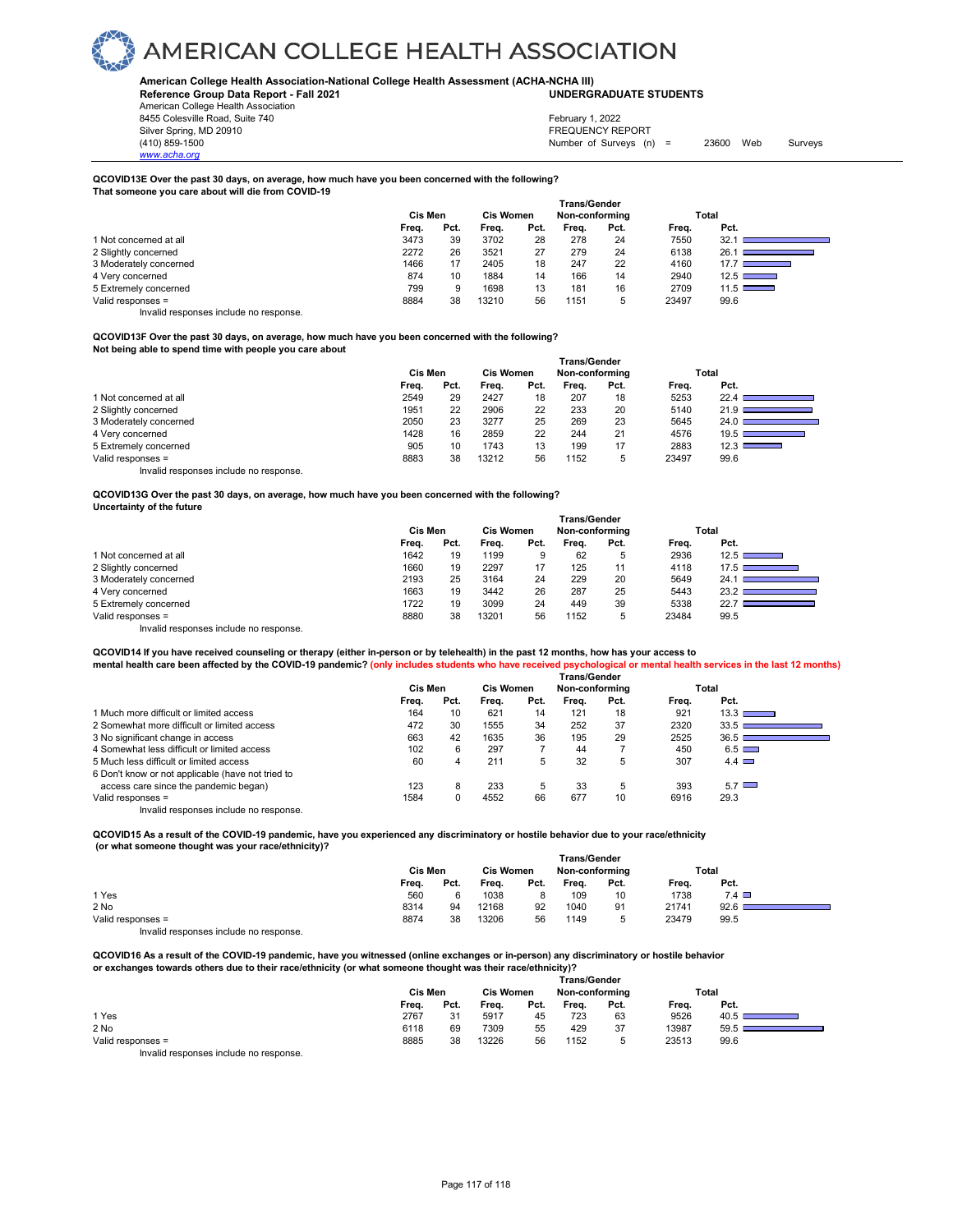#### **American College Health Association-National College Health Assessment (ACHA-NCHA III) UNDERGRADUATE STUDENTS**

**Reference Group Data Report - Fall 2021** American College Health Association

8455 Colesville Road, Suite 740 Silver Spring, MD 20910<br>
1990 - The Survey State of Surveys (1990)<br>
Silver Surveys (1990)<br>
Surveys (1990) *www.acha.org*

Number of Surveys (n) = 23600 Web Surveys February 1, 2022

#### **QCOVID13E Over the past 30 days, on average, how much have you been concerned with the following? That someone you care about will die from COVID-19**

 **Trans/Gender Cis Men Cis Women Non-conforming Total Freq. Pct. Freq. Pct. Freq. Pct. Freq. Pct.** 1 Not concerned at all 1 and 2011 1 and 2012 3473 39 3702 28 278 24 7550 32.1 ■<br>1 2 Slightly concerned 281 ■ 2772 26 3521 27 279 24 6138 26.1 ■ 2 Slightly concerned 26.1 ■ 2272 26 3521 27 279 24 6138 26.1 ■<br>2 Moderately concerned 3 Note and 2466 17 2405 18 247 22 4160 17.7 3 Moderately concerned 1466 17 2405 18 247 22 4160<br>4 Very concerned 1460 17 2405 1874 10 1884 14 166 14 2940 4 Very concerned 874 10 1884 14 166 14 2940 12.5 5 Extremely concerned the state of the concerned to the concerned to the concerned to the concerned to the concerned to the concerned to the concerned to the concerned to the concerned to the concerned to the concerned to 5 Valid responses = 8884 38 13210 56 1151 5 23497 99.6

Invalid responses include no response.

**QCOVID13F Over the past 30 days, on average, how much have you been concerned with the following? Not being able to spend time with people you care about**

|                                        | <b>Trans/Gender</b> |      |                  |      |                |      |       |                                                           |  |  |
|----------------------------------------|---------------------|------|------------------|------|----------------|------|-------|-----------------------------------------------------------|--|--|
|                                        | Cis Men             |      | <b>Cis Women</b> |      | Non-conforming |      |       | Total                                                     |  |  |
|                                        | Freq.               | Pct. | Frea.            | Pct. | Frea.          | Pct. | Frea. | Pct.                                                      |  |  |
| 1 Not concerned at all                 | 2549                | 29   | 2427             | 18   | 207            | 18   | 5253  | 22.4                                                      |  |  |
| 2 Slightly concerned                   | 1951                | 22   | 2906             | 22   | 233            | 20   | 5140  | 21.9                                                      |  |  |
| 3 Moderately concerned                 | 2050                | 23   | 3277             | 25   | 269            | 23   | 5645  | 24.0                                                      |  |  |
| 4 Very concerned                       | 1428                | 16   | 2859             | 22   | 244            | 21   | 4576  | $19.5$ C<br><u> 1989 - Johann Barnett, mars et al. 19</u> |  |  |
| 5 Extremely concerned                  | 905                 | 10   | 1743             | 13   | 199            | 17   | 2883  | 12.3 $\square$                                            |  |  |
| Valid responses =                      | 8883                | 38   | 13212            | 56   | 1152           | b    | 23497 | 99.6                                                      |  |  |
| Invalid responses include no response. |                     |      |                  |      |                |      |       |                                                           |  |  |

**QCOVID13G Over the past 30 days, on average, how much have you been concerned with the following? Uncertainty of the future**

|                                        | <b>Trans/Gender</b> |      |                  |      |                |      |       |                       |  |  |  |
|----------------------------------------|---------------------|------|------------------|------|----------------|------|-------|-----------------------|--|--|--|
|                                        | Cis Men             |      | <b>Cis Women</b> |      | Non-conforming |      |       | Total                 |  |  |  |
|                                        | Freq.               | Pct. | Frea.            | Pct. | Frea.          | Pct. | Frea. | Pct.                  |  |  |  |
| 1 Not concerned at all                 | 1642                | 19   | 1199             | 9    | 62             | 5    | 2936  | $12.5$ $\blacksquare$ |  |  |  |
| 2 Slightly concerned                   | 1660                | 19   | 2297             | 17   | 125            | 11   | 4118  | $17.5$ $\blacksquare$ |  |  |  |
| 3 Moderately concerned                 | 2193                | 25   | 3164             | 24   | 229            | 20   | 5649  | 24.1                  |  |  |  |
| 4 Very concerned                       | 1663                | 19   | 3442             | 26   | 287            | 25   | 5443  | 23.2                  |  |  |  |
| 5 Extremely concerned                  | 1722                | 19   | 3099             | 24   | 449            | 39   | 5338  | 22.7                  |  |  |  |
| Valid responses =                      | 8880                | 38   | 13201            | 56   | 1152           | 5    | 23484 | 99.5                  |  |  |  |
| Invalid responses include no response. |                     |      |                  |      |                |      |       |                       |  |  |  |

**QCOVID14 If you have received counseling or therapy (either in-person or by telehealth) in the past 12 months, how has your access to mental health care been affected by the COVID-19 pandemic? (only includes students who have received psychological or mental health services in the last 12 months)**

|                                                   | <b>Trans/Gender</b> |      |                  |      |                |      |       |              |  |  |  |  |
|---------------------------------------------------|---------------------|------|------------------|------|----------------|------|-------|--------------|--|--|--|--|
|                                                   | Cis Men             |      | <b>Cis Women</b> |      | Non-conforming |      | Total |              |  |  |  |  |
|                                                   | Frea.               | Pct. | Frea.            | Pct. | Frea.          | Pct. | Frea. | Pct.         |  |  |  |  |
| 1 Much more difficult or limited access           | 164                 | 10   | 621              | 14   | 121            | 18   | 921   | 13.3         |  |  |  |  |
| 2 Somewhat more difficult or limited access       | 472                 | 30   | 1555             | 34   | 252            | 37   | 2320  | 33.5         |  |  |  |  |
| 3 No significant change in access                 | 663                 | 42   | 1635             | 36   | 195            | 29   | 2525  | 36.5         |  |  |  |  |
| 4 Somewhat less difficult or limited access       | 102                 | 6    | 297              |      | 44             |      | 450   | $6.5$ $\Box$ |  |  |  |  |
| 5 Much less difficult or limited access           | 60                  | 4    | 211              | 5    | 32             | 5    | 307   | 4.4          |  |  |  |  |
| 6 Don't know or not applicable (have not tried to |                     |      |                  |      |                |      |       |              |  |  |  |  |
| access care since the pandemic began)             | 123                 | 8    | 233              | 5    | 33             | 5    | 393   | $5.7$ $\Box$ |  |  |  |  |
| Valid responses =                                 | 1584                |      | 4552             | 66   | 677            | 10   | 6916  | 29.3         |  |  |  |  |
| Invalid responses include no response.            |                     |      |                  |      |                |      |       |              |  |  |  |  |

**QCOVID15 As a result of the COVID-19 pandemic, have you experienced any discriminatory or hostile behavior due to your race/ethnicity (or what someone thought was your race/ethnicity)? Trans/Gender**

|                                       | Cis Men |      | <b>Cis Women</b> |      | Non-conforming |      | Total |              |  |
|---------------------------------------|---------|------|------------------|------|----------------|------|-------|--------------|--|
|                                       | Freq.   | Pct. | Freq.            | Pct. | Frea.          | Pct. | Frea. | Pct.         |  |
| 1 Yes                                 | 560     |      | 1038             |      | 109            | 10   | 1738  | $7.4$ $\Box$ |  |
| 2 No                                  | 8314    | 94   | 12168            | 92   | 1040           | 91   | 21741 | 92.6         |  |
| Valid responses =                     | 8874    | 38   | 13206            | 56   | 1149           | ∽    | 23479 | 99.5         |  |
| Involid reconnege include no reconneg |         |      |                  |      |                |      |       |              |  |

Invalid responses include no response.

**QCOVID16 As a result of the COVID-19 pandemic, have you witnessed (online exchanges or in-person) any discriminatory or hostile behavior or exchanges towards others due to their race/ethnicity (or what someone thought was their race/ethnicity)?**

|                                        | Trans/Gender |      |                  |      |                |      |       |      |  |  |  |
|----------------------------------------|--------------|------|------------------|------|----------------|------|-------|------|--|--|--|
|                                        | Cis Men      |      | <b>Cis Women</b> |      | Non-conforming |      | Total |      |  |  |  |
|                                        | Freq.        | Pct. | Frea.            | Pct. | Frea.          | Pct. | Frea. | Pct. |  |  |  |
| 1 Yes                                  | 2767         | 31   | 5917             | 45   | 723            | 63   | 9526  | 40.5 |  |  |  |
| 2 No                                   | 6118         | 69   | 7309             | 55   | 429            | 37   | 13987 | 59.5 |  |  |  |
| Valid responses =                      | 8885         | 38   | 13226            | 56   | 1152           | ∽    | 23513 | 99.6 |  |  |  |
| Invalid responses include no response. |              |      |                  |      |                |      |       |      |  |  |  |